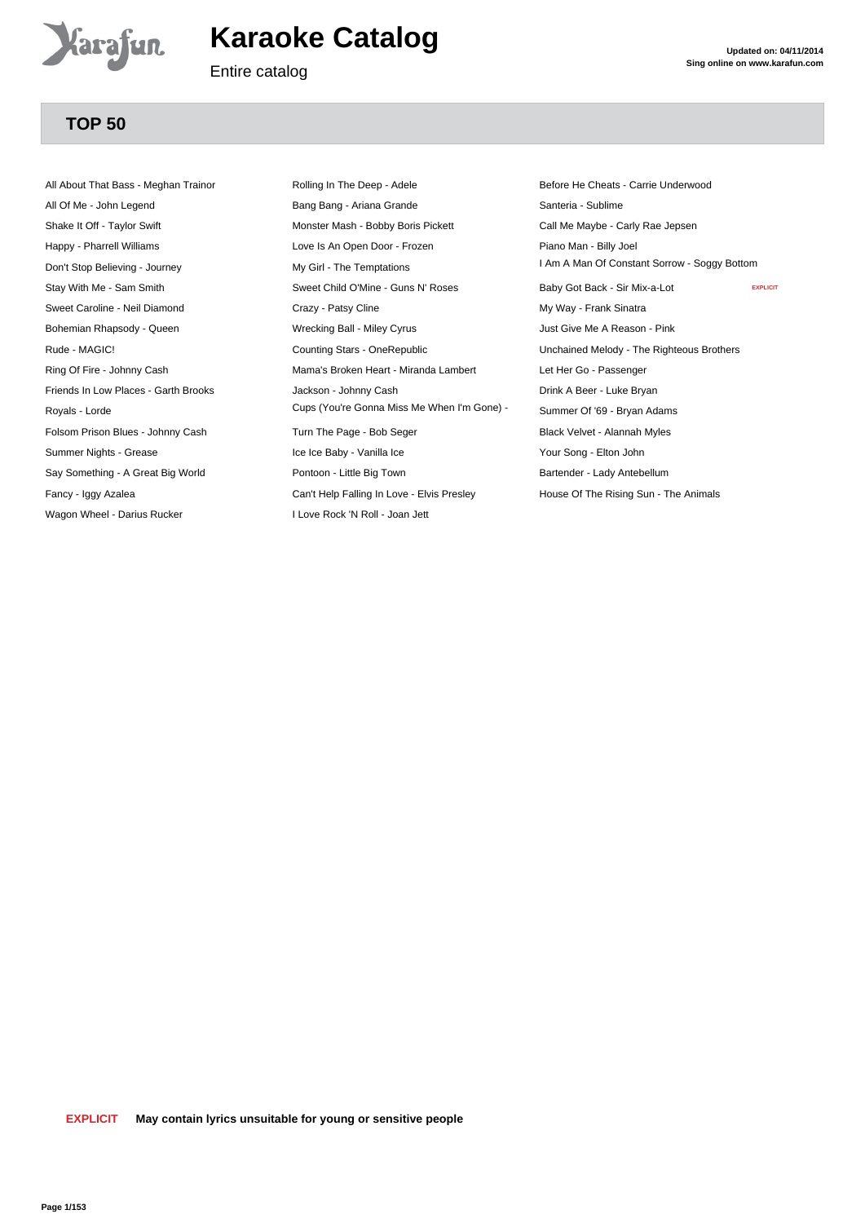

# **Karaoke Catalog**

Entire catalog

### **TOP 50**

All About That Bass - Meghan Trainor All Of Me - John Legend Shake It Off - Taylor Swift Happy - Pharrell Williams Don't Stop Believing - Journey Stay With Me - Sam Smith Sweet Caroline - Neil Diamond Bohemian Rhapsody - Queen Rude - MAGIC! Ring Of Fire - Johnny Cash Friends In Low Places - Garth Brooks Royals - Lorde Folsom Prison Blues - Johnny Cash Summer Nights - Grease Say Something - A Great Big World Fancy - Iggy Azalea Wagon Wheel - Darius Rucker

Rolling In The Deep - Adele Bang Bang - Ariana Grande Monster Mash - Bobby Boris Pickett Love Is An Open Door - Frozen My Girl - The Temptations Sweet Child O'Mine - Guns N' Roses Crazy - Patsy Cline Wrecking Ball - Miley Cyrus Counting Stars - OneRepublic Mama's Broken Heart - Miranda Lambert Jackson - Johnny Cash Cups (You're Gonna Miss Me When I'm Gone) - Turn The Page - Bob Seger Ice Ice Baby - Vanilla Ice Pontoon - Little Big Town Can't Help Falling In Love - Elvis Presley I Love Rock 'N Roll - Joan Jett

Before He Cheats - Carrie Underwood Santeria - Sublime Call Me Maybe - Carly Rae Jepsen Piano Man - Billy Joel I Am A Man Of Constant Sorrow - Soggy Bottom Baby Got Back - Sir Mix-a-Lot **EXPLICIT** My Way - Frank Sinatra Just Give Me A Reason - Pink Unchained Melody - The Righteous Brothers Let Her Go - Passenger Drink A Beer - Luke Bryan Summer Of '69 - Bryan Adams Black Velvet - Alannah Myles Your Song - Elton John Bartender - Lady Antebellum House Of The Rising Sun - The Animals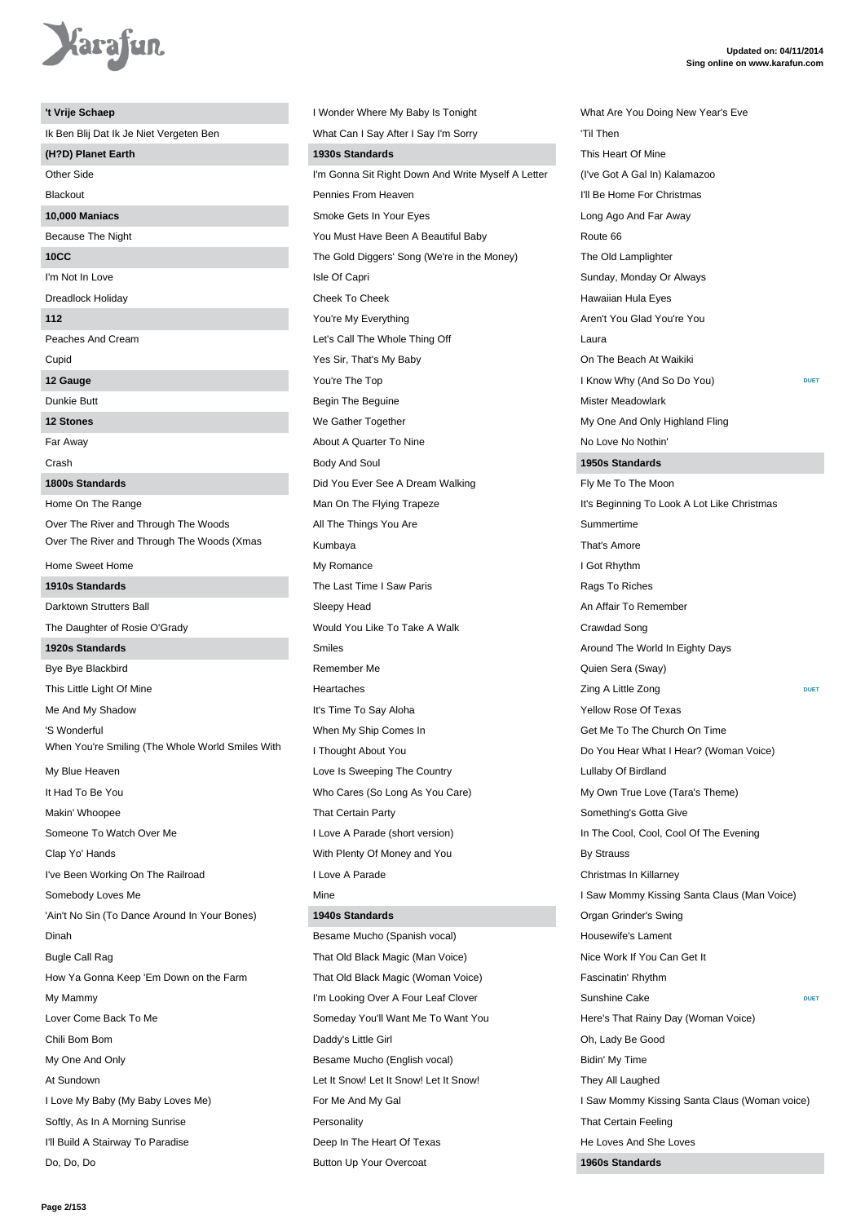

| 't Vrije Schaep                                                      |
|----------------------------------------------------------------------|
| Ik Ben Blij Dat Ik Je Niet Vergeten Ben                              |
| (H?D) Planet Earth                                                   |
| <b>Other Side</b>                                                    |
| <b>Blackout</b>                                                      |
| 10,000 Maniacs                                                       |
| <b>Because The Night</b>                                             |
| <b>10CC</b>                                                          |
| I'm Not In Love                                                      |
| Dreadlock Holiday                                                    |
| 112                                                                  |
| Peaches And Cream                                                    |
| Cupid                                                                |
| 12 Gauge                                                             |
| Dunkie Butt                                                          |
| <b>12 Stones</b>                                                     |
| Far Away                                                             |
| Crash                                                                |
| <b>1800s Standards</b>                                               |
| Home On The Range                                                    |
| Over The River and Through The Woods                                 |
| Over The River and Through The Woods (Xmas                           |
| Home Sweet Home                                                      |
| <b>1910s Standards</b>                                               |
| Darktown Strutters Ball                                              |
| The Daughter of Rosie O'Grady                                        |
|                                                                      |
| <b>1920s Standards</b>                                               |
| Bye Bye Blackbird                                                    |
| This Little Light Of Mine                                            |
| Me And My Shadow                                                     |
| 'S Wonderful                                                         |
| When You're Smiling (The Whole World Smiles With                     |
| My Blue Heaven                                                       |
| It Had To Be You                                                     |
|                                                                      |
| Makin' Whoopee<br>Someone To Watch Over Me                           |
| Clap Yo' Hands                                                       |
|                                                                      |
| I've Been Working On The Railroad                                    |
| Somebody Loves Me                                                    |
| 'Ain't No Sin (To Dance Around In Your Bones)<br>Dinah               |
|                                                                      |
| Bugle Call Rag                                                       |
| How Ya Gonna Keep 'Em Down on the Farm                               |
| My Mammy<br>Lover Come Back To Me                                    |
| Chili Bom Bom                                                        |
|                                                                      |
| My One And Only                                                      |
| At Sundown                                                           |
| I Love My Baby (My Baby Loves Me)                                    |
| Softly, As In A Morning Sunrise<br>I'll Build A Stairway To Paradise |

I Wonder Where My Baby Is Tonight What Can I Say After I Say I'm Sorry **1930s Standards** I'm Gonna Sit Right Down And Write Myself A Letter Pennies From Heaven Smoke Gets In Your Eyes You Must Have Been A Beautiful Baby The Gold Diggers' Song (We're in the Money) Isle Of Capri Cheek To Cheek You're My Everything Let's Call The Whole Thing Off Yes Sir, That's My Baby You're The Top Begin The Beguine We Gather Together About A Quarter To Nine Body And Soul Did You Ever See A Dream Walking Man On The Flying Trapeze All The Things You Are Kumbaya My Romance The Last Time I Saw Paris Sleepy Head Would You Like To Take A Walk Smiles Remember Me Heartaches It's Time To Say Aloha When My Ship Comes In I Thought About You Love Is Sweeping The Country Who Cares (So Long As You Care) That Certain Party I Love A Parade (short version) With Plenty Of Money and You I Love A Parade Mine **1940s Standards** Besame Mucho (Spanish vocal) That Old Black Magic (Man Voice) That Old Black Magic (Woman Voice)

I'm Looking Over A Four Leaf Clover Someday You'll Want Me To Want You Daddy's Little Girl Besame Mucho (English vocal) Let It Snow! Let It Snow! Let It Snow! For Me And My Gal Personality Deep In The Heart Of Texas Button Up Your Overcoat

What Are You Doing New Year's Eve 'Til Then This Heart Of Mine (I've Got A Gal In) Kalamazoo I'll Be Home For Christmas Long Ago And Far Away Route 66 The Old Lamplighter Sunday, Monday Or Always Hawaiian Hula Eyes Aren't You Glad You're You Laura On The Beach At Waikiki **I Know Why (And So Do You)** Mister Meadowlark My One And Only Highland Fling No Love No Nothin' **1950s Standards** Fly Me To The Moon It's Beginning To Look A Lot Like Christmas Summertime That's Amore I Got Rhythm Rags To Riches An Affair To Remember Crawdad Song Around The World In Eighty Days Quien Sera (Sway) **Zing A Little Zong DUET** Yellow Rose Of Texas Get Me To The Church On Time Do You Hear What I Hear? (Woman Voice) Lullaby Of Birdland My Own True Love (Tara's Theme) Something's Gotta Give In The Cool, Cool, Cool Of The Evening By Strauss Christmas In Killarney I Saw Mommy Kissing Santa Claus (Man Voice) Organ Grinder's Swing Housewife's Lament Nice Work If You Can Get It Fascinatin' Rhythm Sunshine Cake **DUET** Here's That Rainy Day (Woman Voice) Oh, Lady Be Good Bidin' My Time They All Laughed I Saw Mommy Kissing Santa Claus (Woman voice) That Certain Feeling He Loves And She Loves **1960s Standards**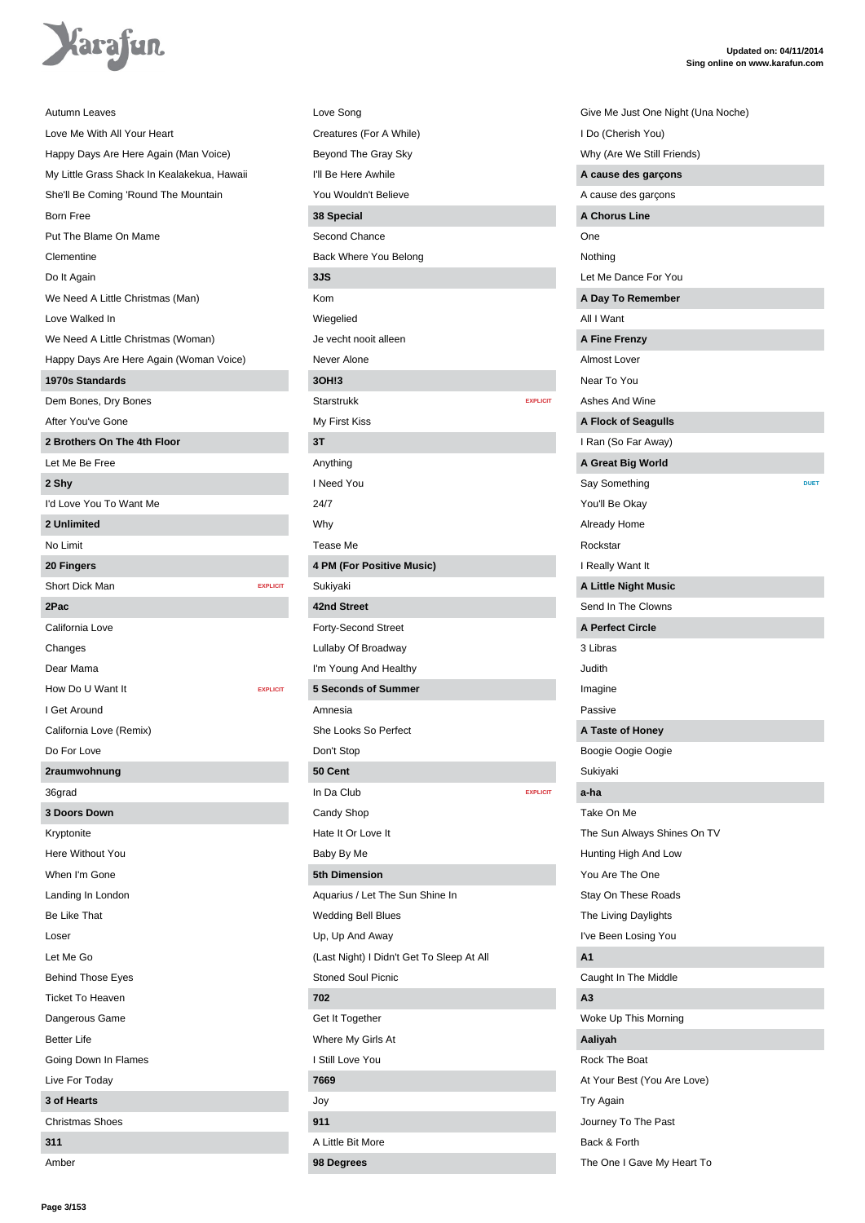

| Autumn Leaves                               |
|---------------------------------------------|
| Love Me With All Your Heart                 |
| Happy Days Are Here Again (Man Voice)       |
| My Little Grass Shack In Kealakekua, Hawaii |
| She'll Be Coming 'Round The Mountain        |
| <b>Born Free</b>                            |
| Put The Blame On Mame                       |
| Clementine                                  |
| Do It Again                                 |
| We Need A Little Christmas (Man)            |
| Love Walked In                              |
| We Need A Little Christmas (Woman)          |
| Happy Days Are Here Again (Woman Voice)     |
| 1970s Standards                             |
| Dem Bones, Dry Bones                        |
| After You've Gone                           |
| 2 Brothers On The 4th Floor                 |
| Let Me Be Free                              |
| 2 Shy                                       |
| I'd Love You To Want Me                     |
| 2 Unlimited                                 |
| No Limit                                    |
| 20 Fingers                                  |
| Short Dick Man<br><b>EXPLICIT</b>           |
| 2Pac                                        |
| California Love                             |
|                                             |
| Changes                                     |
| Dear Mama                                   |
| How Do U Want It<br><b>EXPLICIT</b>         |
| I Get Around                                |
| California Love (Remix)                     |
| Do For Love                                 |
| <b>2raumwohnung</b>                         |
| 36grad                                      |
| 3 Doors Down                                |
| Kryptonite                                  |
| Here Without You                            |
| When I'm Gone                               |
| Landing In London                           |
| Be Like That                                |
| Loser                                       |
| Let Me Go                                   |
| <b>Behind Those Eyes</b>                    |
| <b>Ticket To Heaven</b>                     |
| Dangerous Game                              |
| <b>Better Life</b>                          |
| Going Down In Flames                        |
| Live For Today                              |
| 3 of Hearts                                 |
| <b>Christmas Shoes</b>                      |
| 311                                         |

| Love Song                                 |                 |
|-------------------------------------------|-----------------|
| Creatures (For A While)                   |                 |
| Beyond The Gray Sky                       |                 |
| I'll Be Here Awhile                       |                 |
| You Wouldn't Believe                      |                 |
| 38 Special                                |                 |
| Second Chance                             |                 |
| Back Where You Belong                     |                 |
| 3JS                                       |                 |
| Kom                                       |                 |
| Wiegelied                                 |                 |
| Je vecht nooit alleen                     |                 |
| Never Alone                               |                 |
| 30H!3                                     |                 |
| <b>Starstrukk</b>                         | <b>EXPLICIT</b> |
| My First Kiss                             |                 |
| 3T                                        |                 |
| Anything                                  |                 |
| I Need You                                |                 |
| 24/7                                      |                 |
| Why                                       |                 |
| Tease Me                                  |                 |
| <b>4 PM (For Positive Music)</b>          |                 |
| Sukiyaki                                  |                 |
| 42nd Street                               |                 |
| Forty-Second Street                       |                 |
| Lullaby Of Broadway                       |                 |
| I'm Young And Healthy                     |                 |
| <b>5 Seconds of Summer</b>                |                 |
| Amnesia                                   |                 |
| She Looks So Perfect                      |                 |
| Don't Stop                                |                 |
| 50 Cent                                   |                 |
| In Da Club                                | <b>EXPLICIT</b> |
| Candy Shop                                |                 |
| Hate It Or Love It                        |                 |
| Baby By Me                                |                 |
| 5th Dimension                             |                 |
| Aquarius / Let The Sun Shine In           |                 |
| <b>Wedding Bell Blues</b>                 |                 |
| Up, Up And Away                           |                 |
| (Last Night) I Didn't Get To Sleep At All |                 |
| <b>Stoned Soul Picnic</b>                 |                 |
| 702                                       |                 |
| Get It Together                           |                 |
| Where My Girls At                         |                 |
| I Still Love You                          |                 |
| 7669                                      |                 |
| Joy                                       |                 |
| 911                                       |                 |
| A Little Bit More                         |                 |
| 98 Degrees                                |                 |
|                                           |                 |

| Give Me Just One Night (Una Noche) |             |
|------------------------------------|-------------|
| I Do (Cherish You)                 |             |
| Why (Are We Still Friends)         |             |
| A cause des garçons                |             |
| A cause des garçons                |             |
| A Chorus Line                      |             |
| One                                |             |
| Nothing                            |             |
| Let Me Dance For You               |             |
| A Day To Remember                  |             |
| All I Want                         |             |
| A Fine Frenzy                      |             |
| <b>Almost Lover</b>                |             |
| Near To You                        |             |
| Ashes And Wine                     |             |
| A Flock of Seagulls                |             |
| I Ran (So Far Away)                |             |
| A Great Big World                  |             |
| Say Something                      | <b>DUET</b> |
| You'll Be Okay                     |             |
| Already Home                       |             |
| Rockstar                           |             |
| I Really Want It                   |             |
| A Little Night Music               |             |
| Send In The Clowns                 |             |
| <b>A Perfect Circle</b>            |             |
| 3 Libras                           |             |
| Judith                             |             |
| Imagine                            |             |
| Passive                            |             |
| A Taste of Honey                   |             |
| Boogie Oogie Oogie                 |             |
| Sukiyaki                           |             |
| a-ha                               |             |
| Take On Me                         |             |
| The Sun Always Shines On TV        |             |
| Hunting High And Low               |             |
| You Are The One                    |             |
| Stay On These Roads                |             |
| The Living Daylights               |             |
| I've Been Losing You               |             |
| A1                                 |             |
| Caught In The Middle               |             |
| A <sub>3</sub>                     |             |
| Woke Up This Morning               |             |
| Aaliyah                            |             |
| Rock The Boat                      |             |
| At Your Best (You Are Love)        |             |
| Try Again                          |             |
| Journey To The Past                |             |
| Back & Forth                       |             |
| The One I Gave My Heart To         |             |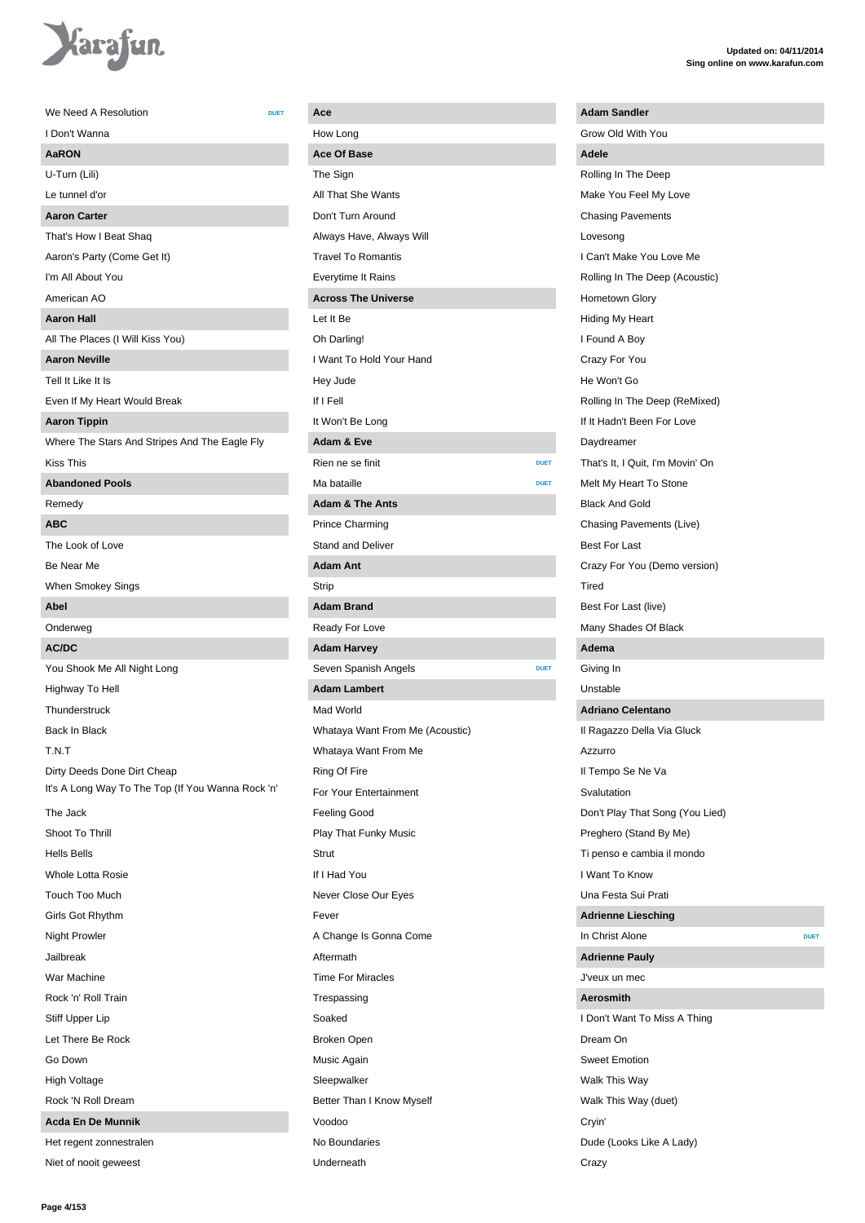

| We Need A Resolution                                                             | <b>DUET</b> |
|----------------------------------------------------------------------------------|-------------|
| I Don't Wanna                                                                    |             |
| <b>AaRON</b>                                                                     |             |
| U-Turn (Lili)                                                                    |             |
| Le tunnel d'or                                                                   |             |
| <b>Aaron Carter</b>                                                              |             |
| That's How I Beat Shaq                                                           |             |
| Aaron's Party (Come Get It)                                                      |             |
| I'm All About You                                                                |             |
| American AO                                                                      |             |
| <b>Aaron Hall</b>                                                                |             |
| All The Places (I Will Kiss You)                                                 |             |
| <b>Aaron Neville</b>                                                             |             |
| Tell It Like It Is                                                               |             |
| Even If My Heart Would Break                                                     |             |
| <b>Aaron Tippin</b>                                                              |             |
| Where The Stars And Stripes And The Eagle Fly                                    |             |
| <b>Kiss This</b>                                                                 |             |
| <b>Abandoned Pools</b>                                                           |             |
| Remedy                                                                           |             |
| <b>ABC</b>                                                                       |             |
| The Look of Love                                                                 |             |
| Be Near Me                                                                       |             |
| When Smokey Sings                                                                |             |
| Abel                                                                             |             |
| Onderweg                                                                         |             |
| <b>AC/DC</b>                                                                     |             |
| You Shook Me All Night Long                                                      |             |
| Highway To Hell                                                                  |             |
| Thunderstruck                                                                    |             |
| Back In Black                                                                    |             |
| T.N.T                                                                            |             |
| Dirty Deeds Done Dirt Cheap<br>It's A Long Way To The Top (If You Wanna Rock 'n' |             |
| The Jack                                                                         |             |
| Shoot To Thrill                                                                  |             |
| <b>Hells Bells</b>                                                               |             |
| Whole Lotta Rosie                                                                |             |
| Touch Too Much                                                                   |             |
| Girls Got Rhythm                                                                 |             |
| <b>Night Prowler</b>                                                             |             |
| Jailbreak                                                                        |             |
| War Machine                                                                      |             |
| Rock 'n' Roll Train                                                              |             |
| Stiff Upper Lip                                                                  |             |
| Let There Be Rock                                                                |             |
| Go Down                                                                          |             |
| High Voltage                                                                     |             |
| Rock 'N Roll Dream                                                               |             |
| <b>Acda En De Munnik</b>                                                         |             |
| Het regent zonnestralen                                                          |             |

Niet of nooit geweest

**Adam Sandler**

| Ace                             |             |
|---------------------------------|-------------|
| How Long                        |             |
| <b>Ace Of Base</b>              |             |
| The Sign                        |             |
| All That She Wants              |             |
| Don't Turn Around               |             |
| Always Have, Always Will        |             |
| <b>Travel To Romantis</b>       |             |
| Everytime It Rains              |             |
| <b>Across The Universe</b>      |             |
| Let It Be                       |             |
| Oh Darling!                     |             |
| I Want To Hold Your Hand        |             |
| Hey Jude                        |             |
| If I Fell                       |             |
| It Won't Be Long                |             |
| Adam & Eve                      |             |
| Rien ne se finit                | <b>DUET</b> |
| Ma bataille                     | <b>DUET</b> |
| <b>Adam &amp; The Ants</b>      |             |
| <b>Prince Charming</b>          |             |
| <b>Stand and Deliver</b>        |             |
| <b>Adam Ant</b>                 |             |
| Strip                           |             |
| <b>Adam Brand</b>               |             |
| Ready For Love                  |             |
| <b>Adam Harvey</b>              |             |
| Seven Spanish Angels            | <b>DUET</b> |
| <b>Adam Lambert</b>             |             |
| Mad World                       |             |
| Whataya Want From Me (Acoustic) |             |
| Whataya Want From Me            |             |
| Ring Of Fire                    |             |
| For Your Entertainment          |             |
| Feeling Good                    |             |
| Play That Funky Music           |             |
| Strut                           |             |
| If I Had You                    |             |
| Never Close Our Eyes            |             |
| Fever                           |             |
|                                 |             |
| A Change Is Gonna Come          |             |
| Aftermath                       |             |
| <b>Time For Miracles</b>        |             |
| Trespassing                     |             |
| Soaked                          |             |
| Broken Open                     |             |
| Music Again                     |             |
| Sleepwalker                     |             |
| Better Than I Know Myself       |             |
| Voodoo                          |             |

No Boundaries Underneath

| Grow Old With You                |
|----------------------------------|
| Adele                            |
| Rolling In The Deep              |
| Make You Feel My Love            |
| <b>Chasing Pavements</b>         |
| Lovesong                         |
| I Can't Make You Love Me         |
| Rolling In The Deep (Acoustic)   |
| Hometown Glory                   |
| Hiding My Heart                  |
| I Found A Boy                    |
| Crazy For You                    |
| He Won't Go                      |
| Rolling In The Deep (ReMixed)    |
| If It Hadn't Been For Love       |
| Daydreamer                       |
| That's It, I Quit, I'm Movin' On |
| Melt My Heart To Stone           |
| <b>Black And Gold</b>            |
| Chasing Pavements (Live)         |
| <b>Best For Last</b>             |
| Crazy For You (Demo version)     |
| Tired                            |
| Best For Last (live)             |
| Many Shades Of Black             |
| Adema                            |
|                                  |
| Giving In                        |
| Unstable                         |
| <b>Adriano Celentano</b>         |
| Il Ragazzo Della Via Gluck       |
| Azzurro                          |
| Il Tempo Se Ne Va                |
| Svalutation                      |
| Don't Play That Song (You Lied)  |
| Preghero (Stand By Me)           |
| Ti penso e cambia il mondo       |
| I Want To Know                   |
| Una Festa Sui Prati              |
| <b>Adrienne Liesching</b>        |
| In Christ Alone<br><b>DUET</b>   |
| <b>Adrienne Pauly</b>            |
| J'veux un mec                    |
| <b>Aerosmith</b>                 |
| I Don't Want To Miss A Thing     |
| Dream On                         |
| <b>Sweet Emotion</b>             |
| Walk This Way                    |
| Walk This Way (duet)             |
| Cryin'                           |
| Dude (Looks Like A Lady)         |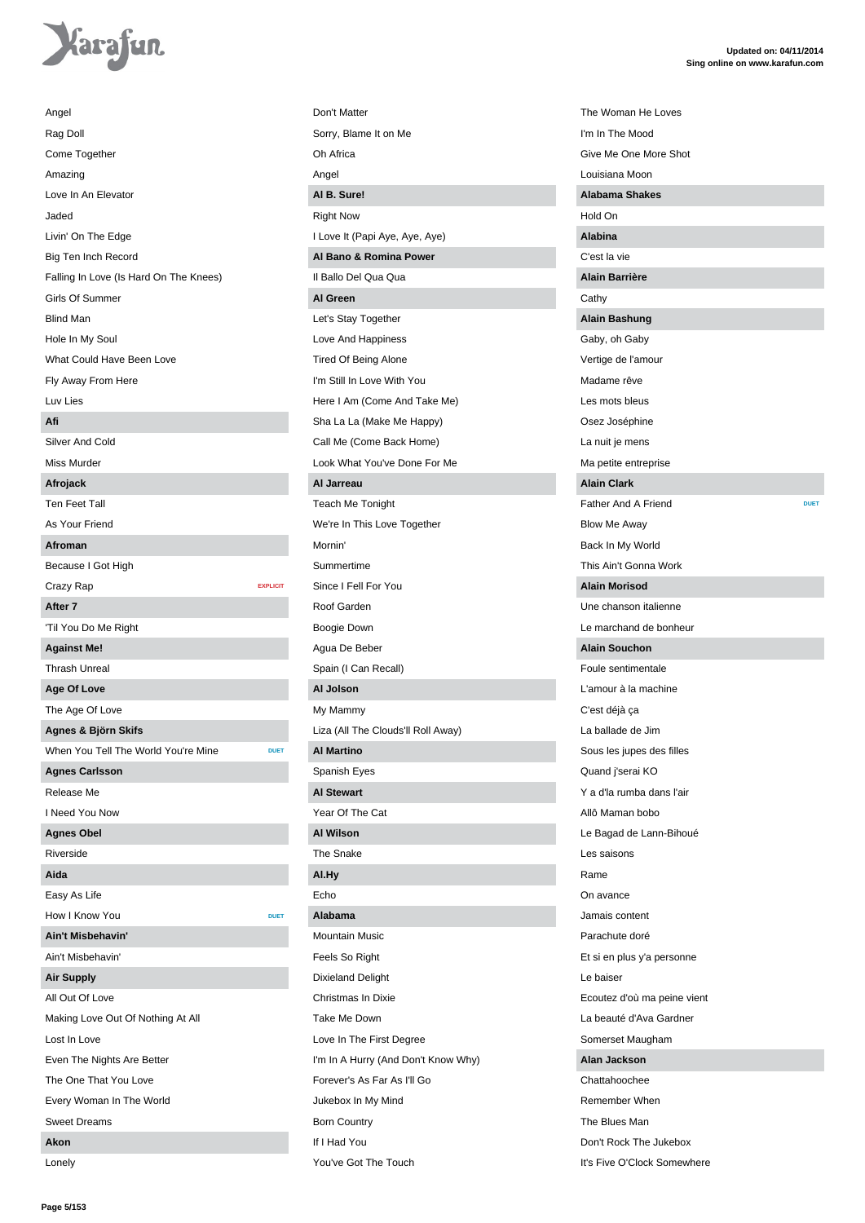

Don't Matter

Oh Africa Angel **Al B. Sure!** Right Now

**Al Green**

**Al Jarreau** Teach Me Tonight

Mornin' Summertime Since I Fell For You Roof Garden Boogie Down Agua De Beber Spain (I Can Recall)

**Al Jolson** My Mammy

**Al Martino** Spanish Eyes **Al Stewart** Year Of The Cat **Al Wilson** The Snake **Al.Hy** Echo **Alabama** Mountain Music Feels So Right Dixieland Delight Christmas In Dixie Take Me Down

We're In This Love Together

Liza (All The Clouds'll Roll Away)

Love In The First Degree

Forever's As Far As I'll Go Jukebox In My Mind Born Country If I Had You

You've Got The Touch

I'm In A Hurry (And Don't Know Why)

Let's Stay Together Love And Happiness Tired Of Being Alone I'm Still In Love With You Here I Am (Come And Take Me) Sha La La (Make Me Happy) Call Me (Come Back Home) Look What You've Done For Me

Sorry, Blame It on Me

I Love It (Papi Aye, Aye, Aye) **Al Bano & Romina Power** Il Ballo Del Qua Qua

| Angel                                              |
|----------------------------------------------------|
| Rag Doll                                           |
| Come Together                                      |
| Amazing                                            |
| Love In An Elevator                                |
| Jaded                                              |
| Livin' On The Edge                                 |
| Big Ten Inch Record                                |
| Falling In Love (Is Hard On The Knees)             |
| Girls Of Summer                                    |
| <b>Blind Man</b>                                   |
| Hole In My Soul                                    |
| What Could Have Been Love                          |
| Fly Away From Here                                 |
| Luv Lies                                           |
| Afi                                                |
| Silver And Cold                                    |
| Miss Murder                                        |
| Afrojack                                           |
| <b>Ten Feet Tall</b>                               |
|                                                    |
| As Your Friend                                     |
| Afroman                                            |
| Because I Got High                                 |
| Crazy Rap<br><b>EXPLICIT</b>                       |
| After 7                                            |
| 'Til You Do Me Right                               |
| <b>Against Me!</b>                                 |
| <b>Thrash Unreal</b>                               |
| Age Of Love                                        |
| The Age Of Love                                    |
| Agnes & Björn Skifs                                |
| When You Tell The World You're Mine<br><b>DUET</b> |
| <b>Agnes Carlsson</b>                              |
| Release Me                                         |
| I Need You Now                                     |
| <b>Agnes Obel</b>                                  |
| Riverside                                          |
| Aida                                               |
| Easy As Life                                       |
| How I Know You<br><b>DUET</b>                      |
| Ain't Misbehavin'                                  |
| Ain't Misbehavin'                                  |
|                                                    |
| <b>Air Supply</b>                                  |
| All Out Of Love                                    |
| Making Love Out Of Nothing At All                  |
| Lost In Love                                       |
| Even The Nights Are Better                         |
| The One That You Love                              |
| Every Woman In The World                           |
| <b>Sweet Dreams</b>                                |
| Akon                                               |

The Woman He Loves I'm In The Mood Give Me One More Shot Louisiana Moon **Alabama Shakes** Hold On **Alabina** C'est la vie **Alain Barrière Cathy Alain Bashung** Gaby, oh Gaby Vertige de l'amour Madame rêve Les mots bleus Osez Joséphine La nuit je mens Ma petite entreprise **Alain Clark Father And A Friend DUET** Blow Me Away Back In My World This Ain't Gonna Work **Alain Morisod** Une chanson italienne Le marchand de bonheur **Alain Souchon** Foule sentimentale L'amour à la machine C'est déjà ça La ballade de Jim Sous les jupes des filles Quand j'serai KO Y a d'la rumba dans l'air Allô Maman bobo Le Bagad de Lann-Bihoué Les saisons Rame On avance Jamais content Parachute doré Et si en plus y'a personne Le baiser Ecoutez d'où ma peine vient La beauté d'Ava Gardner Somerset Maugham **Alan Jackson** Chattahoochee

Remember When The Blues Man Don't Rock The Jukebox It's Five O'Clock Somewhere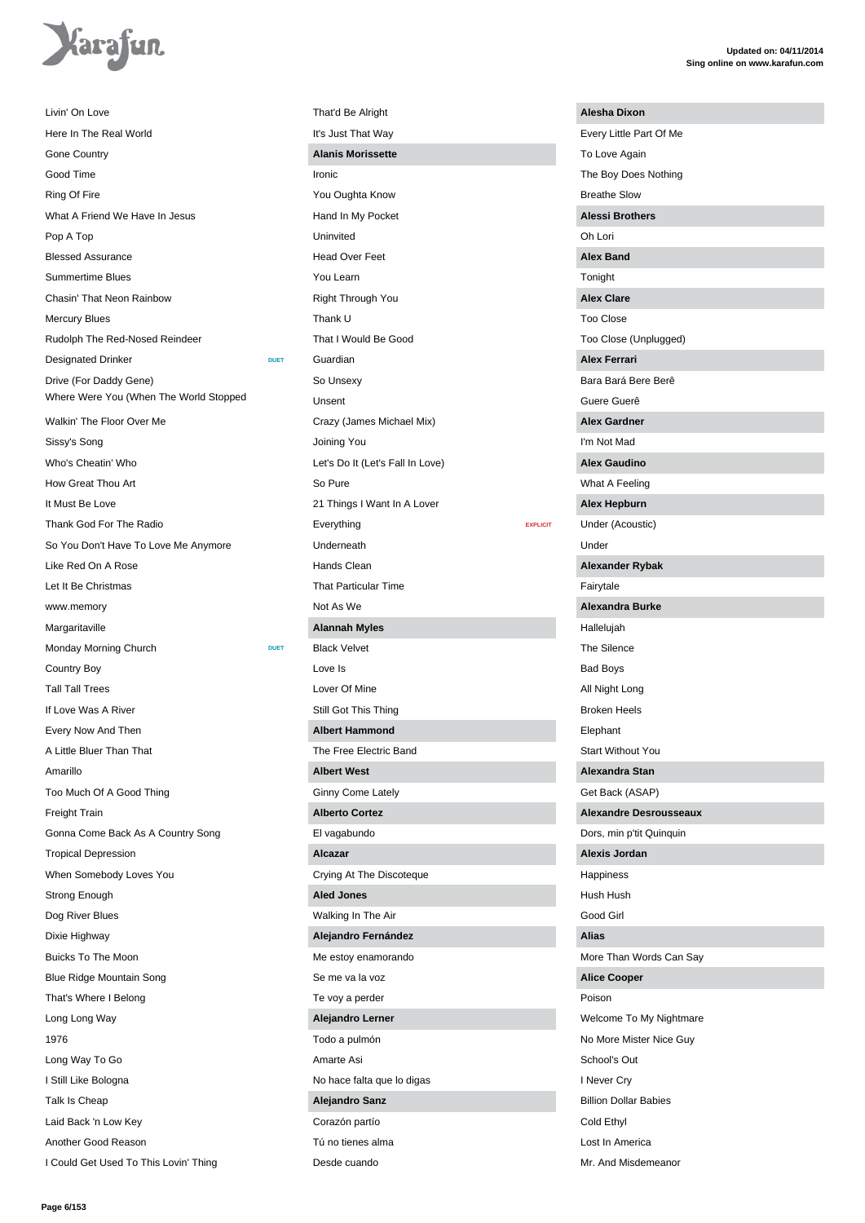

Livin' On Love Here In The Real World Gone Country Good Time Ring Of Fire What A Friend We Have In Jesus Pop A Top Blessed Assurance Summertime Blues Chasin' That Neon Rainbow Mercury Blues Rudolph The Red-Nosed Reindeer **Designated Drinker DUET** Drive (For Daddy Gene) Where Were You (When The World Stopped Walkin' The Floor Over Me Sissy's Song Who's Cheatin' Who How Great Thou Art It Must Be Love Thank God For The Radio So You Don't Have To Love Me Anymore Like Red On A Rose Let It Be Christmas www.memory Margaritaville **Monday Morning Church DUET** Country Boy Tall Tall Trees If Love Was A River Every Now And Then A Little Bluer Than That Amarillo Too Much Of A Good Thing Freight Train Gonna Come Back As A Country Song Tropical Depression When Somebody Loves You Strong Enough Dog River Blues Dixie Highway Buicks To The Moon Blue Ridge Mountain Song That's Where I Belong Long Long Way 1976 Long Way To Go I Still Like Bologna Talk Is Cheap Laid Back 'n Low Key Another Good Reason

That'd Be Alright It's Just That Way **Alanis Morissette** Ironic You Oughta Know Hand In My Pocket Uninvited Head Over Feet You Learn Right Through You Thank U That I Would Be Good Guardian So Unsexy Unsent Crazy (James Michael Mix) Joining You Let's Do It (Let's Fall In Love) So Pure 21 Things I Want In A Lover **Everything** Explicit **EXPLICIT** Underneath Hands Clean That Particular Time Not As We **Alannah Myles** Black Velvet Love Is Lover Of Mine Still Got This Thing **Albert Hammond** The Free Electric Band **Albert West** Ginny Come Lately **Alberto Cortez** El vagabundo **Alcazar** Crying At The Discoteque **Aled Jones** Walking In The Air **Alejandro Fernández** Me estoy enamorando Se me va la voz Te voy a perder **Alejandro Lerner** Todo a pulmón Amarte Asi No hace falta que lo digas **Alejandro Sanz** Corazón partío

Tú no tienes alma Desde cuando

| Alesha Dixon                  |  |
|-------------------------------|--|
| Every Little Part Of Me       |  |
| To Love Again                 |  |
| The Boy Does Nothing          |  |
| <b>Breathe Slow</b>           |  |
| <b>Alessi Brothers</b>        |  |
| Oh Lori                       |  |
| <b>Alex Band</b>              |  |
| Tonight                       |  |
| <b>Alex Clare</b>             |  |
| <b>Too Close</b>              |  |
| Too Close (Unplugged)         |  |
| <b>Alex Ferrari</b>           |  |
| Bara Bará Bere Berê           |  |
| Guere Guerê                   |  |
| <b>Alex Gardner</b>           |  |
| I'm Not Mad                   |  |
| <b>Alex Gaudino</b>           |  |
| What A Feeling                |  |
| <b>Alex Hepburn</b>           |  |
| Under (Acoustic)              |  |
| Under                         |  |
| Alexander Rybak               |  |
| Fairytale                     |  |
| <b>Alexandra Burke</b>        |  |
| Hallelujah                    |  |
| <b>The Silence</b>            |  |
| Bad Boys                      |  |
| All Night Long                |  |
| <b>Broken Heels</b>           |  |
| Elephant                      |  |
| <b>Start Without You</b>      |  |
| Alexandra Stan                |  |
| Get Back (ASAP)               |  |
| <b>Alexandre Desrousseaux</b> |  |
| Dors, min p'tit Quinquin      |  |
| Alexis Jordan                 |  |
| Happiness                     |  |
| Hush Hush                     |  |
| Good Girl                     |  |
| <b>Alias</b>                  |  |
| More Than Words Can Say       |  |
| <b>Alice Cooper</b>           |  |
| Poison                        |  |
| Welcome To My Nightmare       |  |
| No More Mister Nice Guy       |  |
| School's Out                  |  |
| I Never Cry                   |  |
| <b>Billion Dollar Babies</b>  |  |
| Cold Ethyl                    |  |
| Lost In America               |  |
| Mr. And Misdemeanor           |  |
|                               |  |

I Could Get Used To This Lovin' Thing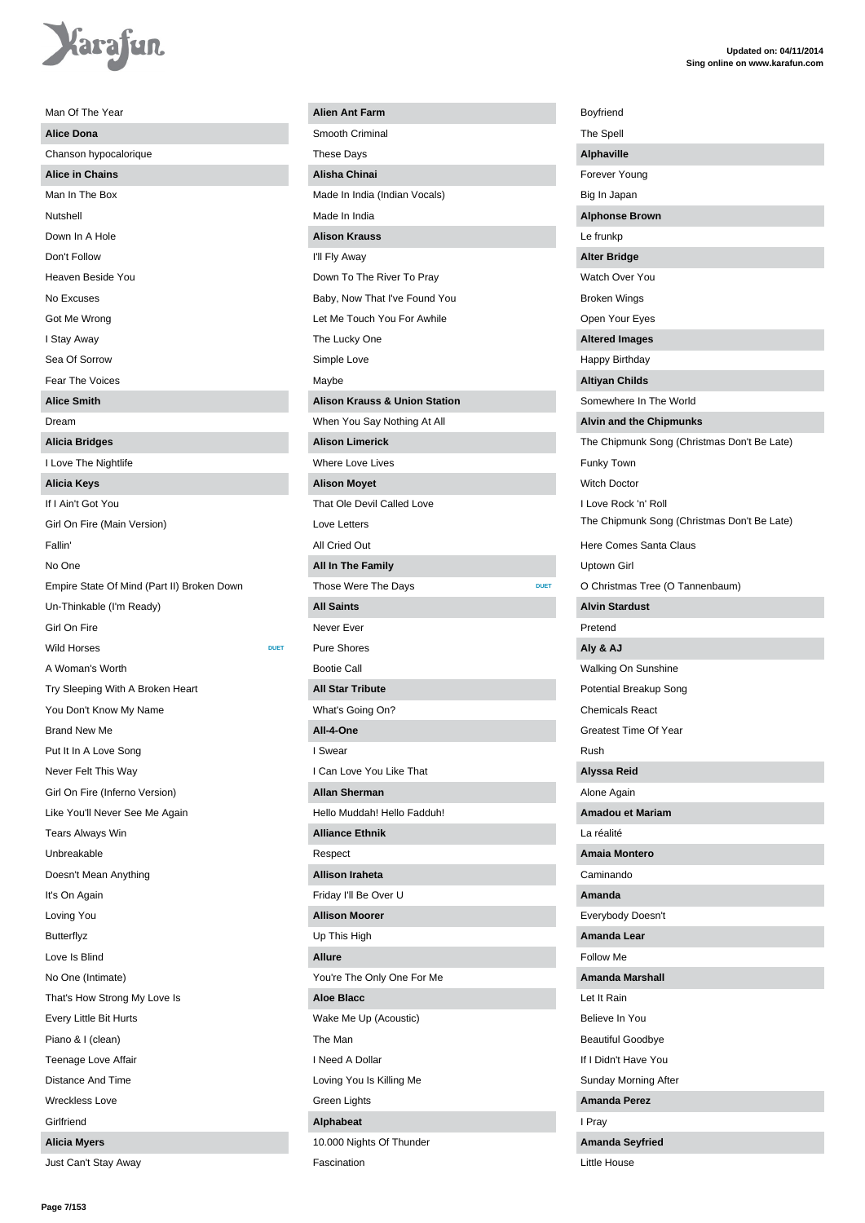

| Man Of The Year                            |
|--------------------------------------------|
| <b>Alice Dona</b>                          |
| Chanson hypocalorique                      |
| <b>Alice in Chains</b>                     |
| Man In The Box                             |
| Nutshell                                   |
| Down In A Hole                             |
| Don't Follow                               |
| Heaven Beside You                          |
| No Excuses                                 |
| Got Me Wrong                               |
| I Stay Away                                |
| Sea Of Sorrow                              |
| Fear The Voices                            |
| <b>Alice Smith</b>                         |
| Dream                                      |
| <b>Alicia Bridges</b>                      |
| I Love The Nightlife                       |
| <b>Alicia Keys</b>                         |
| If I Ain't Got You                         |
| Girl On Fire (Main Version)                |
| Fallin'                                    |
| No One                                     |
| Empire State Of Mind (Part II) Broken Down |
| Un-Thinkable (I'm Ready)                   |
| Girl On Fire                               |
| <b>Wild Horses</b><br><b>DUET</b>          |
| A Woman's Worth                            |
| Try Sleeping With A Broken Heart           |
| You Don't Know My Name                     |
| <b>Brand New Me</b>                        |
| Put It In A Love Song                      |
| Never Felt This Way                        |
| Girl On Fire (Inferno Version)             |
| Like You'll Never See Me Again             |
| <b>Tears Always Win</b>                    |
| Unbreakable                                |
| Doesn't Mean Anything                      |
| It's On Again                              |
| Loving You                                 |
| Butterflyz                                 |
| Love Is Blind                              |
| No One (Intimate)                          |
| That's How Strong My Love Is               |
| Every Little Bit Hurts                     |
| Piano & I (clean)                          |
| Teenage Love Affair                        |
| Distance And Time                          |
| <b>Wreckless Love</b>                      |
| Girlfriend                                 |
| <b>Alicia Myers</b>                        |
| Just Can't Stay Away                       |

| <b>Alien Ant Farm</b>                    |
|------------------------------------------|
| Smooth Criminal                          |
| <b>These Days</b>                        |
| Alisha Chinai                            |
| Made In India (Indian Vocals)            |
| Made In India                            |
| <b>Alison Krauss</b>                     |
| I'll Fly Away                            |
| Down To The River To Pray                |
| Baby, Now That I've Found You            |
| Let Me Touch You For Awhile              |
| The Lucky One                            |
| Simple Love                              |
| Maybe                                    |
| <b>Alison Krauss &amp; Union Station</b> |
| When You Say Nothing At All              |
| <b>Alison Limerick</b>                   |
| <b>Where Love Lives</b>                  |
| <b>Alison Moyet</b>                      |
| That Ole Devil Called Love               |
| Love Letters                             |
| All Cried Out                            |
| All In The Family                        |
| Those Were The Days<br><b>DUET</b>       |
| <b>All Saints</b>                        |
| Never Ever                               |
| <b>Pure Shores</b>                       |
| <b>Bootie Call</b>                       |
| <b>All Star Tribute</b>                  |
| What's Going On?                         |
| All-4-One                                |
| I Swear                                  |
| I Can Love You Like That                 |
| <b>Allan Sherman</b>                     |
| Hello Muddah! Hello Fadduh!              |
| <b>Alliance Ethnik</b>                   |
| Respect                                  |
| <b>Allison Iraheta</b>                   |
| Friday I'll Be Over U                    |
| <b>Allison Moorer</b>                    |
| Up This High                             |
| <b>Allure</b>                            |
| You're The Only One For Me               |
| <b>Aloe Blacc</b>                        |
| Wake Me Up (Acoustic)                    |
| The Man                                  |
| I Need A Dollar                          |
| Loving You Is Killing Me                 |
| Green Lights                             |
| Alphabeat                                |
| 10.000 Nights Of Thunder                 |
|                                          |

| Boyfriend                                   |
|---------------------------------------------|
| The Spell                                   |
| <b>Alphaville</b>                           |
| Forever Young                               |
| Big In Japan                                |
| <b>Alphonse Brown</b>                       |
| Le frunkp                                   |
| <b>Alter Bridge</b>                         |
| Watch Over You                              |
| <b>Broken Wings</b>                         |
| Open Your Eyes                              |
| <b>Altered Images</b>                       |
| Happy Birthday                              |
| <b>Altiyan Childs</b>                       |
| Somewhere In The World                      |
| <b>Alvin and the Chipmunks</b>              |
| The Chipmunk Song (Christmas Don't Be Late) |
| Funky Town                                  |
| <b>Witch Doctor</b>                         |
| I Love Rock 'n' Roll                        |
| The Chipmunk Song (Christmas Don't Be Late) |
| Here Comes Santa Claus                      |
| Uptown Girl                                 |
| O Christmas Tree (O Tannenbaum)             |
| <b>Alvin Stardust</b>                       |
| Pretend                                     |
| Aly & AJ                                    |
| Walking On Sunshine                         |
| Potential Breakup Song                      |
| <b>Chemicals React</b>                      |
| <b>Greatest Time Of Year</b>                |
| Rush                                        |
| Alyssa Reid                                 |
| Alone Again                                 |
| <b>Amadou et Mariam</b>                     |
| La réalité                                  |
| <b>Amaia Montero</b>                        |
| Caminando                                   |
| <b>Amanda</b>                               |
| Everybody Doesn't                           |
| <b>Amanda Lear</b>                          |
| Follow Me                                   |
| <b>Amanda Marshall</b>                      |
| Let It Rain                                 |
| Believe In You                              |
| <b>Beautiful Goodbye</b>                    |
| If I Didn't Have You                        |
| Sunday Morning After                        |
| <b>Amanda Perez</b>                         |
| I Pray                                      |
| <b>Amanda Seyfried</b>                      |
| <b>Little House</b>                         |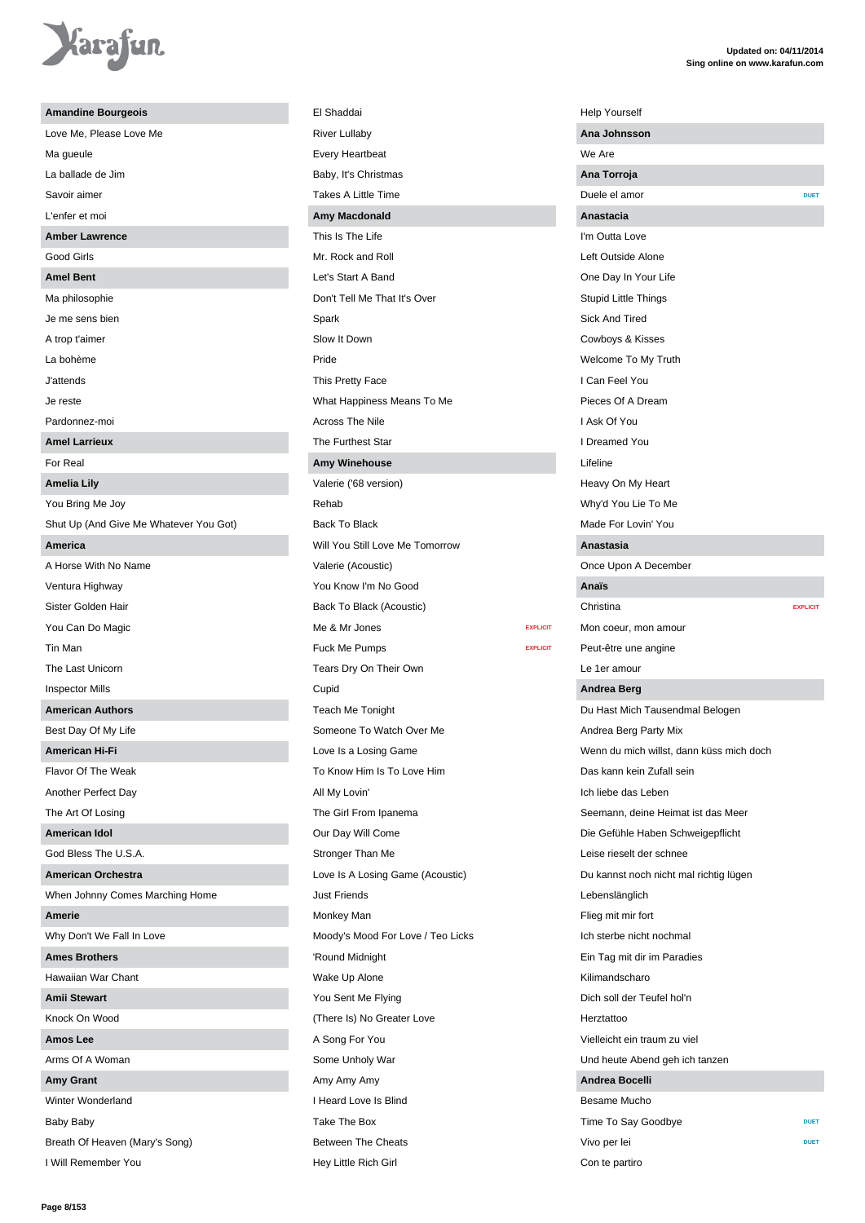

| <b>Amandine Bourgeois</b>              |
|----------------------------------------|
| Love Me, Please Love Me                |
| Ma gueule                              |
| La ballade de Jim                      |
| Savoir aimer                           |
| L'enfer et moi                         |
| <b>Amber Lawrence</b>                  |
| <b>Good Girls</b>                      |
| <b>Amel Bent</b>                       |
| Ma philosophie                         |
| Je me sens bien                        |
| A trop t'aimer                         |
| La bohème                              |
| <b>J'attends</b>                       |
| Je reste                               |
| Pardonnez-moi                          |
| <b>Amel Larrieux</b>                   |
| For Real                               |
| <b>Amelia Lily</b>                     |
| You Bring Me Joy                       |
| Shut Up (And Give Me Whatever You Got) |
| America                                |
| A Horse With No Name                   |
| Ventura Highway                        |
| Sister Golden Hair                     |
| You Can Do Magic                       |
| Tin Man                                |
| The Last Unicorn                       |
| <b>Inspector Mills</b>                 |
| <b>American Authors</b>                |
| Best Day Of My Life                    |
| American Hi-Fi                         |
| Flavor Of The Weak                     |
| Another Perfect Day                    |
| The Art Of Losing                      |
| American Idol                          |
| God Bless The U.S.A.                   |
| <b>American Orchestra</b>              |
| When Johnny Comes Marching Home        |
| Amerie                                 |
| Why Don't We Fall In Love              |
| <b>Ames Brothers</b>                   |
| Hawaiian War Chant                     |
| <b>Amii Stewart</b>                    |
| Knock On Wood                          |
| <b>Amos Lee</b>                        |
| Arms Of A Woman                        |
| <b>Amy Grant</b>                       |
| Winter Wonderland                      |
| Baby Baby                              |
| Breath Of Heaven (Mary's Song)         |

| El Shaddai                        |                 |
|-----------------------------------|-----------------|
| <b>River Lullaby</b>              |                 |
| Every Heartbeat                   |                 |
| Baby, It's Christmas              |                 |
| <b>Takes A Little Time</b>        |                 |
| Amy Macdonald                     |                 |
| This Is The Life                  |                 |
| Mr. Rock and Roll                 |                 |
| Let's Start A Band                |                 |
| Don't Tell Me That It's Over      |                 |
| Spark                             |                 |
| Slow It Down                      |                 |
| Pride                             |                 |
| This Pretty Face                  |                 |
| What Happiness Means To Me        |                 |
| <b>Across The Nile</b>            |                 |
| <b>The Furthest Star</b>          |                 |
| Amy Winehouse                     |                 |
| Valerie ('68 version)             |                 |
| Rehab                             |                 |
| <b>Back To Black</b>              |                 |
| Will You Still Love Me Tomorrow   |                 |
| Valerie (Acoustic)                |                 |
| You Know I'm No Good              |                 |
| Back To Black (Acoustic)          |                 |
| Me & Mr Jones                     | <b>EXPLICIT</b> |
| Fuck Me Pumps                     | <b>EXPLICIT</b> |
| Tears Dry On Their Own            |                 |
| Cupid                             |                 |
| Teach Me Tonight                  |                 |
| Someone To Watch Over Me          |                 |
| Love Is a Losing Game             |                 |
| To Know Him Is To Love Him        |                 |
| All My Lovin'                     |                 |
| The Girl From Ipanema             |                 |
| Our Day Will Come                 |                 |
| Stronger Than Me                  |                 |
| Love Is A Losing Game (Acoustic)  |                 |
| <b>Just Friends</b>               |                 |
| Monkey Man                        |                 |
| Moody's Mood For Love / Teo Licks |                 |
| 'Round Midnight                   |                 |
| Wake Up Alone                     |                 |
| You Sent Me Flying                |                 |
| (There Is) No Greater Love        |                 |
|                                   |                 |
| A Song For You                    |                 |
| Some Unholy War                   |                 |
| Amy Amy Amy                       |                 |
| I Heard Love Is Blind             |                 |
| <b>Take The Box</b>               |                 |

Hey Little Rich Girl

| <b>Help Yourself</b>                     |                 |
|------------------------------------------|-----------------|
| Ana Johnsson                             |                 |
| We Are                                   |                 |
| Ana Torroja                              |                 |
| Duele el amor                            | <b>DUET</b>     |
| Anastacia                                |                 |
| I'm Outta Love                           |                 |
| Left Outside Alone                       |                 |
| One Day In Your Life                     |                 |
| <b>Stupid Little Things</b>              |                 |
| <b>Sick And Tired</b>                    |                 |
| Cowboys & Kisses                         |                 |
| Welcome To My Truth                      |                 |
| I Can Feel You                           |                 |
| Pieces Of A Dream                        |                 |
| I Ask Of You                             |                 |
| I Dreamed You                            |                 |
| Lifeline                                 |                 |
| Heavy On My Heart                        |                 |
| Why'd You Lie To Me                      |                 |
| Made For Lovin' You                      |                 |
| Anastasia                                |                 |
| Once Upon A December                     |                 |
| Anaïs                                    |                 |
| Christina                                | <b>EXPLICIT</b> |
| Mon coeur, mon amour                     |                 |
| Peut-être une angine                     |                 |
| Le 1er amour                             |                 |
| <b>Andrea Berg</b>                       |                 |
| Du Hast Mich Tausendmal Belogen          |                 |
| Andrea Berg Party Mix                    |                 |
| Wenn du mich willst, dann küss mich doch |                 |
| Das kann kein Zufall sein                |                 |
| Ich liebe das Leben                      |                 |
| Seemann, deine Heimat ist das Meer       |                 |
| Die Gefühle Haben Schweigepflicht        |                 |
| Leise rieselt der schnee                 |                 |
| Du kannst noch nicht mal richtig lügen   |                 |
| Lebenslänglich                           |                 |
| Flieg mit mir fort                       |                 |
| Ich sterbe nicht nochmal                 |                 |
| Ein Tag mit dir im Paradies              |                 |
| Kilimandscharo                           |                 |
| Dich soll der Teufel hol'n               |                 |
| Herztattoo                               |                 |
| Vielleicht ein traum zu viel             |                 |
| Und heute Abend geh ich tanzen           |                 |
| <b>Andrea Bocelli</b>                    |                 |
| Besame Mucho                             |                 |
| Time To Say Goodbye                      | <b>DUET</b>     |
|                                          |                 |

Con te partiro

I Will Remember You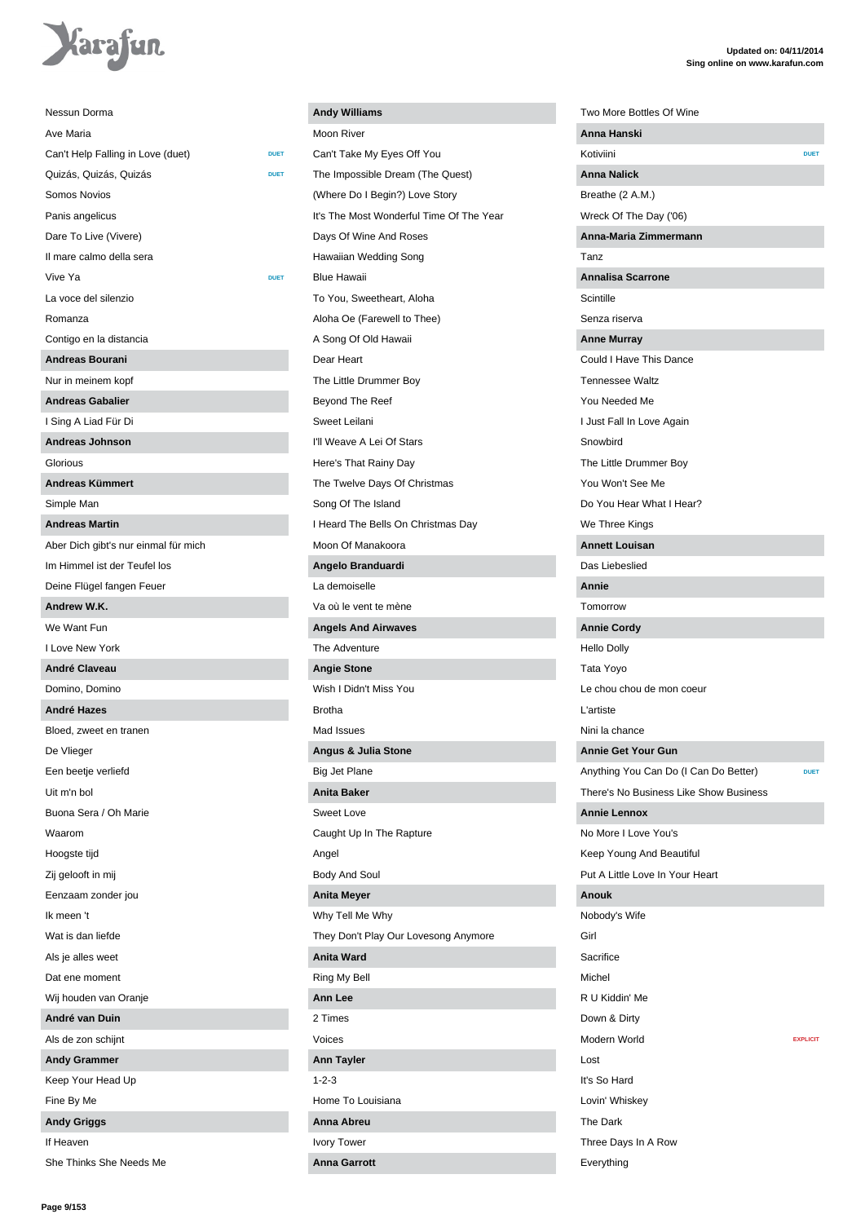

| Ave Maria                            |             |
|--------------------------------------|-------------|
| Can't Help Falling in Love (duet)    | <b>DUET</b> |
| Quizás, Quizás, Quizás               | <b>DUET</b> |
| Somos Novios                         |             |
| Panis angelicus                      |             |
| Dare To Live (Vivere)                |             |
| Il mare calmo della sera             |             |
| Vive Ya                              | <b>DUET</b> |
| La voce del silenzio                 |             |
| Romanza                              |             |
| Contigo en la distancia              |             |
| <b>Andreas Bourani</b>               |             |
| Nur in meinem kopf                   |             |
| <b>Andreas Gabalier</b>              |             |
| I Sing A Liad Für Di                 |             |
| <b>Andreas Johnson</b>               |             |
| Glorious                             |             |
| <b>Andreas Kümmert</b>               |             |
| Simple Man                           |             |
| <b>Andreas Martin</b>                |             |
| Aber Dich gibt's nur einmal für mich |             |
| Im Himmel ist der Teufel los         |             |
| Deine Flügel fangen Feuer            |             |
| Andrew W.K.                          |             |
| We Want Fun                          |             |
| I Love New York                      |             |
| <b>André Claveau</b>                 |             |
| Domino, Domino                       |             |
|                                      |             |
| André Hazes                          |             |
| Bloed, zweet en tranen               |             |
| De Vlieger                           |             |
| Een beetje verliefd                  |             |
| Uit m'n bol                          |             |
| Buona Sera / Oh Marie                |             |
| Waarom                               |             |
| Hoogste tijd                         |             |
| Zij gelooft in mij                   |             |
| Eenzaam zonder jou                   |             |
| Ik meen 't                           |             |
| Wat is dan liefde                    |             |
| Als je alles weet                    |             |
| Dat ene moment                       |             |
| Wij houden van Oranje                |             |
| André van Duin                       |             |
| Als de zon schijnt                   |             |
| <b>Andy Grammer</b>                  |             |
| Keep Your Head Up                    |             |
| Fine By Me                           |             |
| <b>Andy Griggs</b>                   |             |
| If Heaven                            |             |

| <b>Andy Williams</b>                     |
|------------------------------------------|
| Moon River                               |
| Can't Take My Eyes Off You               |
| The Impossible Dream (The Quest)         |
| (Where Do I Begin?) Love Story           |
| It's The Most Wonderful Time Of The Year |
| Days Of Wine And Roses                   |
| Hawaiian Wedding Song                    |
| <b>Blue Hawaii</b>                       |
| To You, Sweetheart, Aloha                |
| Aloha Oe (Farewell to Thee)              |
| A Song Of Old Hawaii                     |
| Dear Heart                               |
| The Little Drummer Boy                   |
| Beyond The Reef                          |
| Sweet Leilani                            |
| I'll Weave A Lei Of Stars                |
| Here's That Rainy Day                    |
| The Twelve Days Of Christmas             |
| Song Of The Island                       |
|                                          |
| I Heard The Bells On Christmas Day       |
| Moon Of Manakoora                        |
| Angelo Branduardi                        |
| La demoiselle                            |
| Va où le vent te mène                    |
| <b>Angels And Airwaves</b>               |
| The Adventure                            |
| <b>Angie Stone</b>                       |
| Wish I Didn't Miss You                   |
| <b>Brotha</b>                            |
| Mad Issues                               |
| <b>Angus &amp; Julia Stone</b>           |
| Big Jet Plane                            |
| <b>Anita Baker</b>                       |
| <b>Sweet Love</b>                        |
| Caught Up In The Rapture                 |
| Angel                                    |
| Body And Soul                            |
| <b>Anita Meyer</b>                       |
| Why Tell Me Why                          |
| They Don't Play Our Lovesong Anymore     |
| <b>Anita Ward</b>                        |
| Ring My Bell                             |
| <b>Ann Lee</b>                           |
| 2 Times                                  |
| Voices                                   |
| Ann Tayler                               |
| $1 - 2 - 3$                              |
| Home To Louisiana                        |
| Anna Abreu                               |
| <b>Ivory Tower</b>                       |

**Anna Garrott**

Two More Bottles Of Wine **Anna Hanski Kotiviini** DUET **Anna Nalick** Breathe (2 A.M.) Wreck Of The Day ('06) **Anna-Maria Zimmermann** Tanz **Annalisa Scarrone** Scintille Senza riserva **Anne Murray** Could I Have This Dance Tennessee Waltz You Needed Me I Just Fall In Love Again Snowbird The Little Drummer Boy You Won't See Me Do You Hear What I Hear? We Three Kings **Annett Louisan** Das Liebeslied **Annie** Tomorrow **Annie Cordy** Hello Dolly Tata Yoyo Le chou chou de mon coeur L'artiste Nini la chance **Annie Get Your Gun** Anything You Can Do (I Can Do Better) **DUET** There's No Business Like Show Business **Annie Lennox** No More I Love You's Keep Young And Beautiful Put A Little Love In Your Heart **Anouk** Nobody's Wife Girl Sacrifice Michel R U Kiddin' Me Down & Dirty **Modern World EXPLICIT** Lost It's So Hard Lovin' Whiskey The Dark Three Days In A Row Everything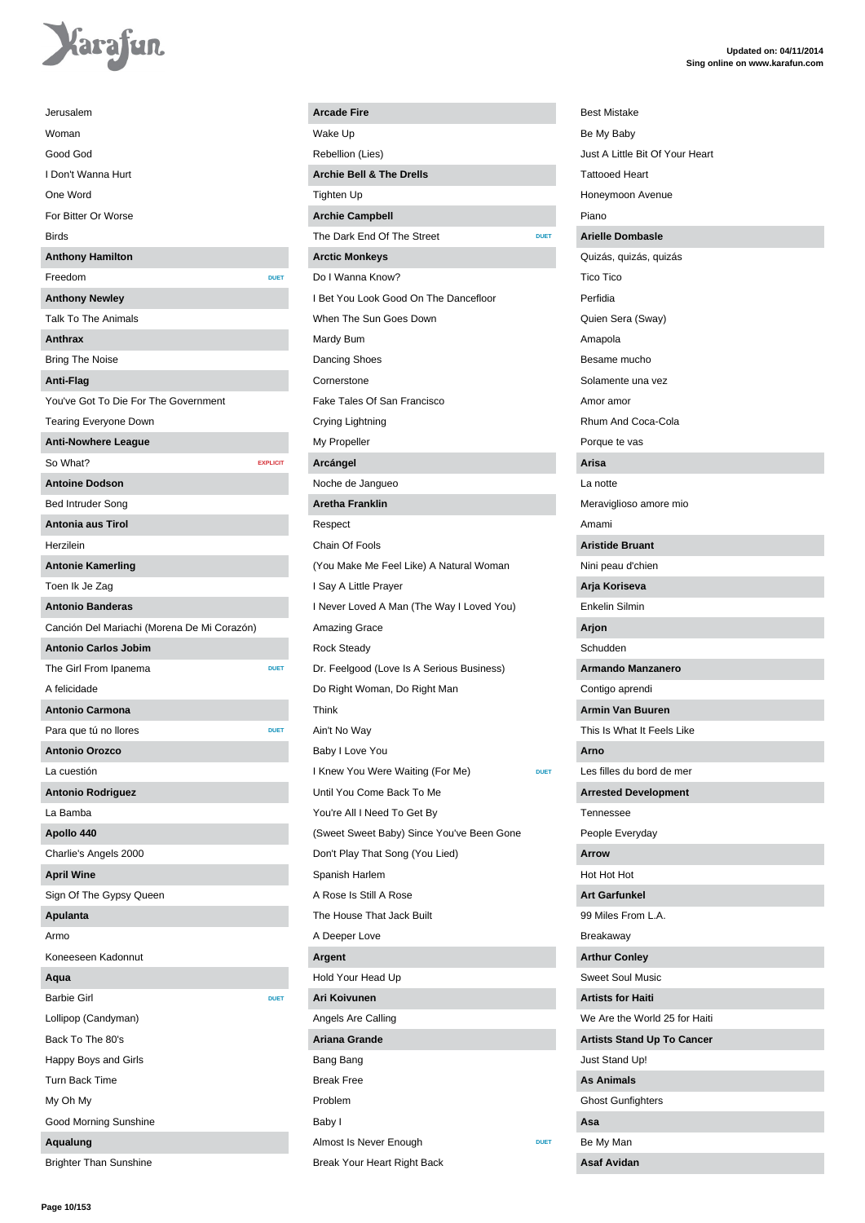

| Jerusalem                                   |                 |
|---------------------------------------------|-----------------|
| Woman                                       |                 |
| Good God                                    |                 |
| I Don't Wanna Hurt                          |                 |
| One Word                                    |                 |
| For Bitter Or Worse                         |                 |
| <b>Birds</b>                                |                 |
| <b>Anthony Hamilton</b>                     |                 |
| Freedom                                     | <b>DUET</b>     |
| <b>Anthony Newley</b>                       |                 |
| <b>Talk To The Animals</b>                  |                 |
| <b>Anthrax</b>                              |                 |
| <b>Bring The Noise</b>                      |                 |
| Anti-Flag                                   |                 |
| You've Got To Die For The Government        |                 |
| <b>Tearing Everyone Down</b>                |                 |
| <b>Anti-Nowhere League</b>                  |                 |
| So What?                                    | <b>EXPLICIT</b> |
| <b>Antoine Dodson</b>                       |                 |
| <b>Bed Intruder Song</b>                    |                 |
| Antonia aus Tirol                           |                 |
|                                             |                 |
| Herzilein                                   |                 |
| <b>Antonie Kamerling</b>                    |                 |
| Toen Ik Je Zag                              |                 |
| <b>Antonio Banderas</b>                     |                 |
| Canción Del Mariachi (Morena De Mi Corazón) |                 |
| <b>Antonio Carlos Jobim</b>                 |                 |
| The Girl From Ipanema                       | <b>DUET</b>     |
| A felicidade                                |                 |
| <b>Antonio Carmona</b>                      |                 |
| Para que tú no llores                       | <b>DUET</b>     |
| <b>Antonio Orozco</b>                       |                 |
| La cuestión                                 |                 |
| <b>Antonio Rodriguez</b>                    |                 |
| La Bamba                                    |                 |
| Apollo 440                                  |                 |
| Charlie's Angels 2000                       |                 |
| <b>April Wine</b>                           |                 |
| Sign Of The Gypsy Queen                     |                 |
| Apulanta                                    |                 |
| Armo                                        |                 |
| Koneeseen Kadonnut                          |                 |
| Aqua                                        |                 |
| <b>Barbie Girl</b>                          | <b>DUET</b>     |
| Lollipop (Candyman)                         |                 |
| Back To The 80's                            |                 |
| Happy Boys and Girls                        |                 |
| Turn Back Time                              |                 |
| My Oh My                                    |                 |
| Good Morning Sunshine                       |                 |
| Aqualung                                    |                 |
| <b>Brighter Than Sunshine</b>               |                 |

| <b>Arcade Fire</b>                        |             |
|-------------------------------------------|-------------|
| Wake Up                                   |             |
| Rebellion (Lies)                          |             |
| <b>Archie Bell &amp; The Drells</b>       |             |
| Tighten Up                                |             |
| <b>Archie Campbell</b>                    |             |
| The Dark End Of The Street                | <b>DUET</b> |
| <b>Arctic Monkeys</b>                     |             |
| Do I Wanna Know?                          |             |
| I Bet You Look Good On The Dancefloor     |             |
| When The Sun Goes Down                    |             |
| Mardy Bum                                 |             |
| Dancing Shoes                             |             |
| Cornerstone                               |             |
| Fake Tales Of San Francisco               |             |
| Crying Lightning                          |             |
| My Propeller                              |             |
| Arcángel                                  |             |
| Noche de Jangueo                          |             |
| <b>Aretha Franklin</b>                    |             |
| Respect                                   |             |
| Chain Of Fools                            |             |
| (You Make Me Feel Like) A Natural Woman   |             |
| I Say A Little Prayer                     |             |
| I Never Loved A Man (The Way I Loved You) |             |
| Amazing Grace                             |             |
| <b>Rock Steady</b>                        |             |
| Dr. Feelgood (Love Is A Serious Business) |             |
| Do Right Woman, Do Right Man              |             |
| Think                                     |             |
| Ain't No Way                              |             |
| Baby I Love You                           |             |
| I Knew You Were Waiting (For Me)          | <b>DUET</b> |
| Until You Come Back To Me                 |             |
| You're All I Need To Get By               |             |
| (Sweet Sweet Baby) Since You've Been Gone |             |
| Don't Play That Song (You Lied)           |             |
| Spanish Harlem                            |             |
| A Rose Is Still A Rose                    |             |
| The House That Jack Built                 |             |
| A Deeper Love                             |             |
| <b>Argent</b>                             |             |
| Hold Your Head Up                         |             |
| Ari Koivunen                              |             |
| Angels Are Calling                        |             |
| <b>Ariana Grande</b>                      |             |
| Bang Bang                                 |             |
| <b>Break Free</b>                         |             |
| Problem                                   |             |
| Baby I                                    |             |
| Almost Is Never Enough                    | <b>DUET</b> |
| Break Your Heart Right Back               |             |
|                                           |             |

Best Mistake Be My Baby Just A Little Bit Of Your Heart Tattooed Heart Honeymoon Avenue Piano **Arielle Dombasle** Quizás, quizás, quizás Tico Tico Perfidia Quien Sera (Sway) Amapola Besame mucho Solamente una vez Amor amor Rhum And Coca-Cola Porque te vas **Arisa** La notte Meraviglioso amore mio Amami **Aristide Bruant** Nini peau d'chien **Arja Koriseva** Enkelin Silmin **Arjon** Schudden **Armando Manzanero** Contigo aprendi **Armin Van Buuren** This Is What It Feels Like **Arno** Les filles du bord de mer **Arrested Development** Tennessee People Everyday **Arrow** Hot Hot Hot **Art Garfunkel** 99 Miles From L.A. Breakaway **Arthur Conley** Sweet Soul Music **Artists for Haiti** We Are the World 25 for Haiti **Artists Stand Up To Cancer** Just Stand Up! **As Animals** Ghost Gunfighters **Asa** Be My Man **Asaf Avidan**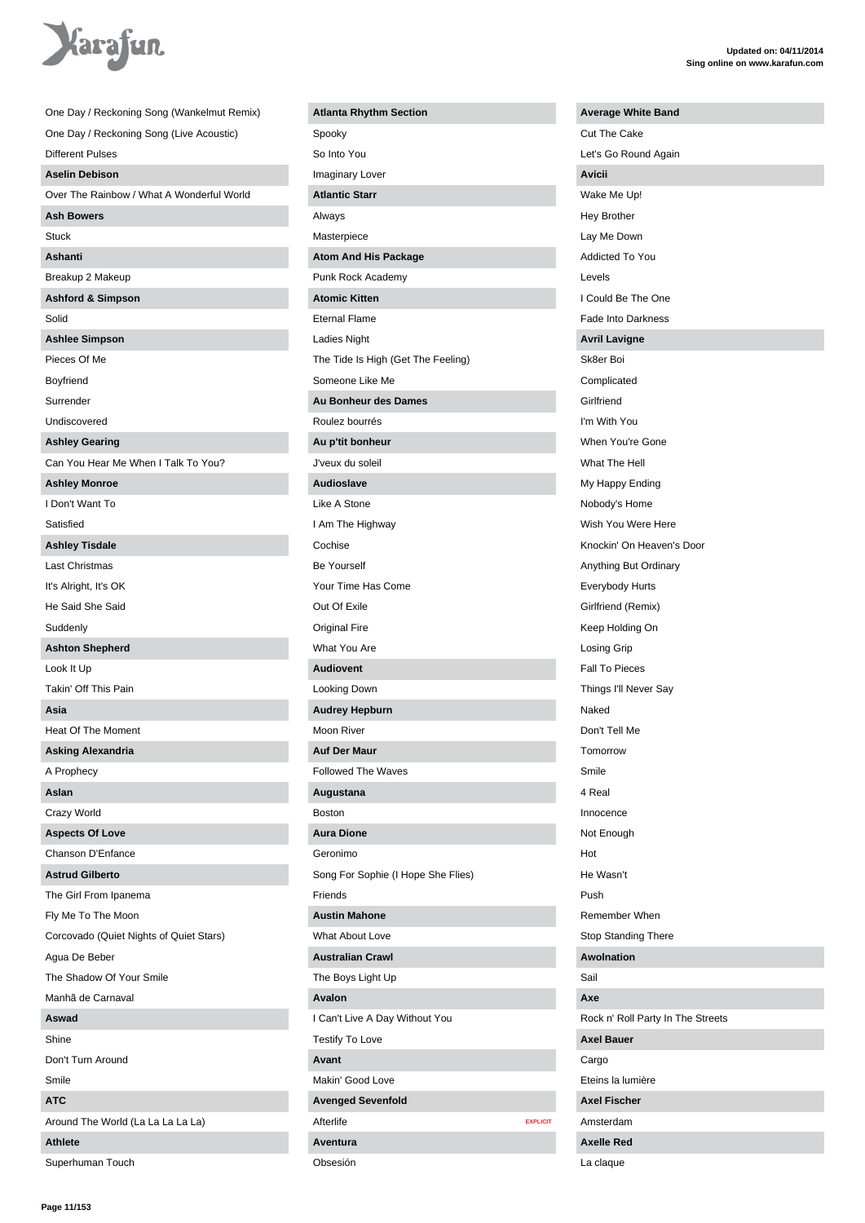

| One Day / Reckoning Song (Wankelmut Remix) |
|--------------------------------------------|
| One Day / Reckoning Song (Live Acoustic)   |
| <b>Different Pulses</b>                    |
| <b>Aselin Debison</b>                      |
| Over The Rainbow / What A Wonderful World  |
| <b>Ash Bowers</b>                          |
| <b>Stuck</b>                               |
| <b>Ashanti</b>                             |
| Breakup 2 Makeup                           |
| <b>Ashford &amp; Simpson</b>               |
| Solid                                      |
| <b>Ashlee Simpson</b>                      |
| Pieces Of Me                               |
| Boyfriend                                  |
| Surrender                                  |
| Undiscovered                               |
| <b>Ashley Gearing</b>                      |
| Can You Hear Me When I Talk To You?        |
| <b>Ashley Monroe</b>                       |
| I Don't Want To                            |
| Satisfied                                  |
| <b>Ashley Tisdale</b>                      |
| Last Christmas                             |
| It's Alright, It's OK                      |
| He Said She Said                           |
| Suddenly                                   |
| <b>Ashton Shepherd</b>                     |
| Look It Up                                 |
| Takin' Off This Pain                       |
| Asia                                       |
| <b>Heat Of The Moment</b>                  |
| <b>Asking Alexandria</b>                   |
| A Prophecy                                 |
| Aslan                                      |
| Crazy World                                |
| <b>Aspects Of Love</b>                     |
| Chanson D'Enfance                          |
| <b>Astrud Gilberto</b>                     |
| The Girl From Ipanema                      |
| Fly Me To The Moon                         |
| Corcovado (Quiet Nights of Quiet Stars)    |
| Agua De Beber                              |
| The Shadow Of Your Smile                   |
| Manhã de Carnaval                          |
| Aswad                                      |
| Shine                                      |
| Don't Turn Around                          |
| Smile                                      |
| <b>ATC</b>                                 |
| Around The World (La La La La La)          |
| <b>Athlete</b>                             |

**Updated on: 04/11/2014 Sing online on www.karafun.com**

**Average White Band**

| <b>Atlanta Rhythm Section</b>      |                 |
|------------------------------------|-----------------|
| Spooky                             |                 |
| So Into You                        |                 |
| Imaginary Lover                    |                 |
| <b>Atlantic Starr</b>              |                 |
| Always                             |                 |
| Masterpiece                        |                 |
| <b>Atom And His Package</b>        |                 |
| Punk Rock Academy                  |                 |
| <b>Atomic Kitten</b>               |                 |
| <b>Eternal Flame</b>               |                 |
| Ladies Night                       |                 |
| The Tide Is High (Get The Feeling) |                 |
| Someone Like Me                    |                 |
| Au Bonheur des Dames               |                 |
| Roulez bourrés                     |                 |
| Au p'tit bonheur                   |                 |
| J'veux du soleil                   |                 |
| Audioslave                         |                 |
| Like A Stone                       |                 |
| I Am The Highway                   |                 |
| Cochise                            |                 |
| <b>Be Yourself</b>                 |                 |
| Your Time Has Come                 |                 |
| Out Of Exile                       |                 |
| <b>Original Fire</b>               |                 |
| What You Are                       |                 |
| <b>Audiovent</b>                   |                 |
| Looking Down                       |                 |
| <b>Audrey Hepburn</b>              |                 |
| <b>Moon River</b>                  |                 |
| <b>Auf Der Maur</b>                |                 |
| <b>Followed The Waves</b>          |                 |
| Augustana                          |                 |
| <b>Boston</b>                      |                 |
| <b>Aura Dione</b>                  |                 |
| Geronimo                           |                 |
| Song For Sophie (I Hope She Flies) |                 |
| Friends                            |                 |
| <b>Austin Mahone</b>               |                 |
| <b>What About Love</b>             |                 |
| <b>Australian Crawl</b>            |                 |
| The Boys Light Up                  |                 |
| <b>Avalon</b>                      |                 |
| I Can't Live A Day Without You     |                 |
| <b>Testify To Love</b>             |                 |
| Avant                              |                 |
| Makin' Good Love                   |                 |
| <b>Avenged Sevenfold</b>           |                 |
| Afterlife                          | <b>EXPLICIT</b> |
| Aventura                           |                 |

Obsesión

Cut The Cake Let's Go Round Again **Avicii** Wake Me Up! Hey Brother Lay Me Down Addicted To You Levels I Could Be The One Fade Into Darkness **Avril Lavigne** Sk8er Boi Complicated Girlfriend I'm With You When You're Gone What The Hell My Happy Ending Nobody's Home Wish You Were Here Knockin' On Heaven's Door Anything But Ordinary Everybody Hurts Girlfriend (Remix) Keep Holding On Losing Grip Fall To Pieces Things I'll Never Say Naked Don't Tell Me Tomorrow Smile 4 Real Innocence Not Enough Hot He Wasn't Push Remember When Stop Standing There **Awolnation** Sail **Axe** Rock n' Roll Party In The Streets **Axel Bauer** Cargo Eteins la lumière **Axel Fischer** Amsterdam **Axelle Red** La claque

Superhuman Touch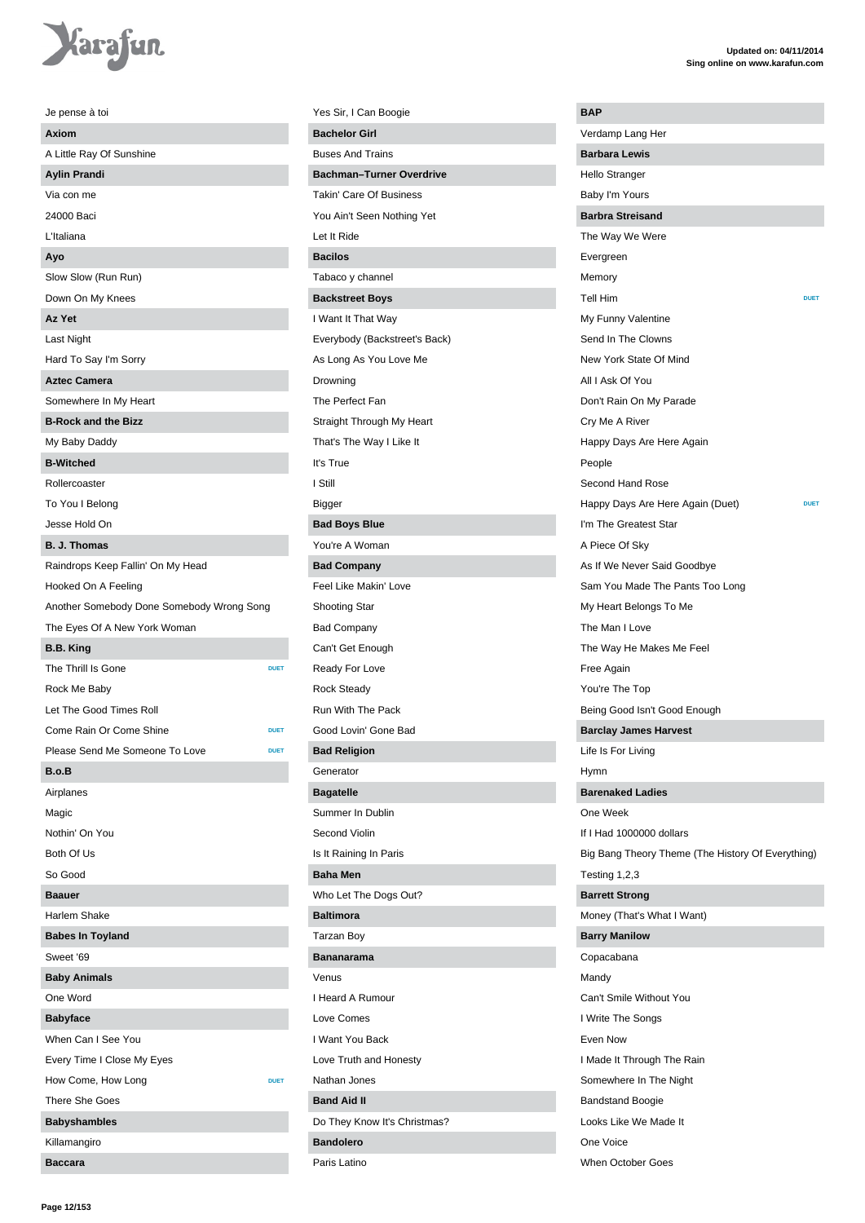

| Je pense à toi                            |             | Yes Sir, I Can Boogie   |
|-------------------------------------------|-------------|-------------------------|
| Axiom                                     |             | <b>Bachelor Girl</b>    |
| A Little Ray Of Sunshine                  |             | <b>Buses And Trains</b> |
| <b>Aylin Prandi</b>                       |             | Bachman-Turner Ov       |
| Via con me                                |             | Takin' Care Of Busine   |
| 24000 Baci                                |             | You Ain't Seen Nothir   |
| L'Italiana                                |             | Let It Ride             |
| Ayo                                       |             | <b>Bacilos</b>          |
| Slow Slow (Run Run)                       |             | Tabaco y channel        |
| Down On My Knees                          |             | <b>Backstreet Boys</b>  |
| Az Yet                                    |             | I Want It That Way      |
| Last Night                                |             | Everybody (Backstree    |
| Hard To Say I'm Sorry                     |             | As Long As You Love     |
| <b>Aztec Camera</b>                       |             | Drowning                |
| Somewhere In My Heart                     |             | The Perfect Fan         |
| <b>B-Rock and the Bizz</b>                |             | Straight Through My I   |
| My Baby Daddy                             |             | That's The Way I Like   |
| <b>B-Witched</b>                          |             | It's True               |
| Rollercoaster                             |             | I Still                 |
| To You I Belong                           |             | Bigger                  |
| Jesse Hold On                             |             | <b>Bad Boys Blue</b>    |
| B. J. Thomas                              |             | You're A Woman          |
| Raindrops Keep Fallin' On My Head         |             | <b>Bad Company</b>      |
| Hooked On A Feeling                       |             | Feel Like Makin' Love   |
| Another Somebody Done Somebody Wrong Song |             | Shooting Star           |
| The Eyes Of A New York Woman              |             | <b>Bad Company</b>      |
| <b>B.B. King</b>                          |             | Can't Get Enough        |
| The Thrill Is Gone                        | <b>DUET</b> | Ready For Love          |
| Rock Me Baby                              |             | <b>Rock Steady</b>      |
| Let The Good Times Roll                   |             | Run With The Pack       |
| Come Rain Or Come Shine                   | <b>DUET</b> | Good Lovin' Gone Ba     |
| Please Send Me Someone To Love            | <b>DUET</b> | <b>Bad Religion</b>     |
| B.o.B                                     |             | Generator               |
| Airplanes                                 |             | <b>Bagatelle</b>        |
| Magic                                     |             | Summer In Dublin        |
| Nothin' On You                            |             | Second Violin           |
| Both Of Us                                |             | Is It Raining In Paris  |
| So Good                                   |             | <b>Baha Men</b>         |
| <b>Baauer</b>                             |             | Who Let The Dogs Or     |
| Harlem Shake                              |             | <b>Baltimora</b>        |
| <b>Babes In Toyland</b>                   |             | Tarzan Boy              |
| Sweet '69                                 |             | Bananarama              |
| <b>Baby Animals</b>                       |             | Venus                   |
| One Word                                  |             | I Heard A Rumour        |
| <b>Babyface</b>                           |             | Love Comes              |
| When Can I See You                        |             | I Want You Back         |
| Every Time I Close My Eyes                |             | Love Truth and Hones    |
| How Come, How Long                        | <b>DUET</b> | Nathan Jones            |
| <b>There She Goes</b>                     |             | <b>Band Aid II</b>      |
| <b>Babyshambles</b>                       |             | Do They Know It's Ch    |
| Killamangiro                              |             | <b>Bandolero</b>        |
| Baccara                                   |             | Paris Latino            |

# **Bachelor Girl** Buses And Trains **Bachman–Turner Overdrive** Takin' Care Of Business You Ain't Seen Nothing Yet Let It Ride **Bacilos** Tabaco y channel **Backstreet Boys** I Want It That Way Everybody (Backstreet's Back) As Long As You Love Me Drowning The Perfect Fan Straight Through My Heart That's The Way I Like It It's True I Still Bigger **Bad Boys Blue** You're A Woman **Bad Company** Feel Like Makin' Love Shooting Star Bad Company Can't Get Enough Ready For Love Rock Steady Run With The Pack Good Lovin' Gone Bad **Bad Religion** Generator **Bagatelle** Summer In Dublin Second Violin Is It Raining In Paris **Baha Men** Who Let The Dogs Out? **Baltimora** Tarzan Boy **Bananarama** Venus I Heard A Rumour Love Comes I Want You Back Love Truth and Honesty Nathan Jones **Band Aid II** Do They Know It's Christmas? **Bandolero** Paris Latino

**BAP**

| <b>Barbara Lewis</b><br><b>Hello Stranger</b><br>Baby I'm Yours<br><b>Barbra Streisand</b><br>The Way We Were<br>Evergreen<br>Memory<br><b>Tell Him</b><br>My Funny Valentine<br>Send In The Clowns<br>New York State Of Mind<br>All I Ask Of You<br>Don't Rain On My Parade<br>Cry Me A River<br>Happy Days Are Here Again<br>People<br>Second Hand Rose<br>Happy Days Are Here Again (Duet)<br>I'm The Greatest Star<br>A Piece Of Sky<br>As If We Never Said Goodbye<br>Sam You Made The Pants Too Long<br>My Heart Belongs To Me<br>The Man I Love<br>The Way He Makes Me Feel<br>Free Again<br>You're The Top<br>Being Good Isn't Good Enough<br><b>Barclay James Harvest</b><br>Life Is For Living<br>Hymn<br><b>Barenaked Ladies</b><br>One Week<br>If I Had 1000000 dollars<br>Big Bang Theory Theme (The History Of Everything)<br>Testing 1,2,3<br><b>Barrett Strong</b><br>Money (That's What I Want)<br><b>Barry Manilow</b><br>Copacabana<br>Mandy<br>Can't Smile Without You<br>I Write The Songs<br>Even Now<br>I Made It Through The Rain<br>Somewhere In The Night<br><b>Bandstand Boogie</b><br>Looks Like We Made It<br>One Voice<br>When October Goes | Verdamp Lang Her |             |
|---------------------------------------------------------------------------------------------------------------------------------------------------------------------------------------------------------------------------------------------------------------------------------------------------------------------------------------------------------------------------------------------------------------------------------------------------------------------------------------------------------------------------------------------------------------------------------------------------------------------------------------------------------------------------------------------------------------------------------------------------------------------------------------------------------------------------------------------------------------------------------------------------------------------------------------------------------------------------------------------------------------------------------------------------------------------------------------------------------------------------------------------------------------------------|------------------|-------------|
|                                                                                                                                                                                                                                                                                                                                                                                                                                                                                                                                                                                                                                                                                                                                                                                                                                                                                                                                                                                                                                                                                                                                                                           |                  |             |
|                                                                                                                                                                                                                                                                                                                                                                                                                                                                                                                                                                                                                                                                                                                                                                                                                                                                                                                                                                                                                                                                                                                                                                           |                  |             |
|                                                                                                                                                                                                                                                                                                                                                                                                                                                                                                                                                                                                                                                                                                                                                                                                                                                                                                                                                                                                                                                                                                                                                                           |                  |             |
|                                                                                                                                                                                                                                                                                                                                                                                                                                                                                                                                                                                                                                                                                                                                                                                                                                                                                                                                                                                                                                                                                                                                                                           |                  |             |
|                                                                                                                                                                                                                                                                                                                                                                                                                                                                                                                                                                                                                                                                                                                                                                                                                                                                                                                                                                                                                                                                                                                                                                           |                  |             |
|                                                                                                                                                                                                                                                                                                                                                                                                                                                                                                                                                                                                                                                                                                                                                                                                                                                                                                                                                                                                                                                                                                                                                                           |                  |             |
|                                                                                                                                                                                                                                                                                                                                                                                                                                                                                                                                                                                                                                                                                                                                                                                                                                                                                                                                                                                                                                                                                                                                                                           |                  |             |
|                                                                                                                                                                                                                                                                                                                                                                                                                                                                                                                                                                                                                                                                                                                                                                                                                                                                                                                                                                                                                                                                                                                                                                           |                  | <b>DUET</b> |
|                                                                                                                                                                                                                                                                                                                                                                                                                                                                                                                                                                                                                                                                                                                                                                                                                                                                                                                                                                                                                                                                                                                                                                           |                  |             |
|                                                                                                                                                                                                                                                                                                                                                                                                                                                                                                                                                                                                                                                                                                                                                                                                                                                                                                                                                                                                                                                                                                                                                                           |                  |             |
|                                                                                                                                                                                                                                                                                                                                                                                                                                                                                                                                                                                                                                                                                                                                                                                                                                                                                                                                                                                                                                                                                                                                                                           |                  |             |
|                                                                                                                                                                                                                                                                                                                                                                                                                                                                                                                                                                                                                                                                                                                                                                                                                                                                                                                                                                                                                                                                                                                                                                           |                  |             |
|                                                                                                                                                                                                                                                                                                                                                                                                                                                                                                                                                                                                                                                                                                                                                                                                                                                                                                                                                                                                                                                                                                                                                                           |                  |             |
|                                                                                                                                                                                                                                                                                                                                                                                                                                                                                                                                                                                                                                                                                                                                                                                                                                                                                                                                                                                                                                                                                                                                                                           |                  |             |
|                                                                                                                                                                                                                                                                                                                                                                                                                                                                                                                                                                                                                                                                                                                                                                                                                                                                                                                                                                                                                                                                                                                                                                           |                  |             |
|                                                                                                                                                                                                                                                                                                                                                                                                                                                                                                                                                                                                                                                                                                                                                                                                                                                                                                                                                                                                                                                                                                                                                                           |                  |             |
|                                                                                                                                                                                                                                                                                                                                                                                                                                                                                                                                                                                                                                                                                                                                                                                                                                                                                                                                                                                                                                                                                                                                                                           |                  |             |
|                                                                                                                                                                                                                                                                                                                                                                                                                                                                                                                                                                                                                                                                                                                                                                                                                                                                                                                                                                                                                                                                                                                                                                           |                  | <b>DUET</b> |
|                                                                                                                                                                                                                                                                                                                                                                                                                                                                                                                                                                                                                                                                                                                                                                                                                                                                                                                                                                                                                                                                                                                                                                           |                  |             |
|                                                                                                                                                                                                                                                                                                                                                                                                                                                                                                                                                                                                                                                                                                                                                                                                                                                                                                                                                                                                                                                                                                                                                                           |                  |             |
|                                                                                                                                                                                                                                                                                                                                                                                                                                                                                                                                                                                                                                                                                                                                                                                                                                                                                                                                                                                                                                                                                                                                                                           |                  |             |
|                                                                                                                                                                                                                                                                                                                                                                                                                                                                                                                                                                                                                                                                                                                                                                                                                                                                                                                                                                                                                                                                                                                                                                           |                  |             |
|                                                                                                                                                                                                                                                                                                                                                                                                                                                                                                                                                                                                                                                                                                                                                                                                                                                                                                                                                                                                                                                                                                                                                                           |                  |             |
|                                                                                                                                                                                                                                                                                                                                                                                                                                                                                                                                                                                                                                                                                                                                                                                                                                                                                                                                                                                                                                                                                                                                                                           |                  |             |
|                                                                                                                                                                                                                                                                                                                                                                                                                                                                                                                                                                                                                                                                                                                                                                                                                                                                                                                                                                                                                                                                                                                                                                           |                  |             |
|                                                                                                                                                                                                                                                                                                                                                                                                                                                                                                                                                                                                                                                                                                                                                                                                                                                                                                                                                                                                                                                                                                                                                                           |                  |             |
|                                                                                                                                                                                                                                                                                                                                                                                                                                                                                                                                                                                                                                                                                                                                                                                                                                                                                                                                                                                                                                                                                                                                                                           |                  |             |
|                                                                                                                                                                                                                                                                                                                                                                                                                                                                                                                                                                                                                                                                                                                                                                                                                                                                                                                                                                                                                                                                                                                                                                           |                  |             |
|                                                                                                                                                                                                                                                                                                                                                                                                                                                                                                                                                                                                                                                                                                                                                                                                                                                                                                                                                                                                                                                                                                                                                                           |                  |             |
|                                                                                                                                                                                                                                                                                                                                                                                                                                                                                                                                                                                                                                                                                                                                                                                                                                                                                                                                                                                                                                                                                                                                                                           |                  |             |
|                                                                                                                                                                                                                                                                                                                                                                                                                                                                                                                                                                                                                                                                                                                                                                                                                                                                                                                                                                                                                                                                                                                                                                           |                  |             |
|                                                                                                                                                                                                                                                                                                                                                                                                                                                                                                                                                                                                                                                                                                                                                                                                                                                                                                                                                                                                                                                                                                                                                                           |                  |             |
|                                                                                                                                                                                                                                                                                                                                                                                                                                                                                                                                                                                                                                                                                                                                                                                                                                                                                                                                                                                                                                                                                                                                                                           |                  |             |
|                                                                                                                                                                                                                                                                                                                                                                                                                                                                                                                                                                                                                                                                                                                                                                                                                                                                                                                                                                                                                                                                                                                                                                           |                  |             |
|                                                                                                                                                                                                                                                                                                                                                                                                                                                                                                                                                                                                                                                                                                                                                                                                                                                                                                                                                                                                                                                                                                                                                                           |                  |             |
|                                                                                                                                                                                                                                                                                                                                                                                                                                                                                                                                                                                                                                                                                                                                                                                                                                                                                                                                                                                                                                                                                                                                                                           |                  |             |
|                                                                                                                                                                                                                                                                                                                                                                                                                                                                                                                                                                                                                                                                                                                                                                                                                                                                                                                                                                                                                                                                                                                                                                           |                  |             |
|                                                                                                                                                                                                                                                                                                                                                                                                                                                                                                                                                                                                                                                                                                                                                                                                                                                                                                                                                                                                                                                                                                                                                                           |                  |             |
|                                                                                                                                                                                                                                                                                                                                                                                                                                                                                                                                                                                                                                                                                                                                                                                                                                                                                                                                                                                                                                                                                                                                                                           |                  |             |
|                                                                                                                                                                                                                                                                                                                                                                                                                                                                                                                                                                                                                                                                                                                                                                                                                                                                                                                                                                                                                                                                                                                                                                           |                  |             |
|                                                                                                                                                                                                                                                                                                                                                                                                                                                                                                                                                                                                                                                                                                                                                                                                                                                                                                                                                                                                                                                                                                                                                                           |                  |             |
|                                                                                                                                                                                                                                                                                                                                                                                                                                                                                                                                                                                                                                                                                                                                                                                                                                                                                                                                                                                                                                                                                                                                                                           |                  |             |
|                                                                                                                                                                                                                                                                                                                                                                                                                                                                                                                                                                                                                                                                                                                                                                                                                                                                                                                                                                                                                                                                                                                                                                           |                  |             |
|                                                                                                                                                                                                                                                                                                                                                                                                                                                                                                                                                                                                                                                                                                                                                                                                                                                                                                                                                                                                                                                                                                                                                                           |                  |             |
|                                                                                                                                                                                                                                                                                                                                                                                                                                                                                                                                                                                                                                                                                                                                                                                                                                                                                                                                                                                                                                                                                                                                                                           |                  |             |
|                                                                                                                                                                                                                                                                                                                                                                                                                                                                                                                                                                                                                                                                                                                                                                                                                                                                                                                                                                                                                                                                                                                                                                           |                  |             |
|                                                                                                                                                                                                                                                                                                                                                                                                                                                                                                                                                                                                                                                                                                                                                                                                                                                                                                                                                                                                                                                                                                                                                                           |                  |             |
|                                                                                                                                                                                                                                                                                                                                                                                                                                                                                                                                                                                                                                                                                                                                                                                                                                                                                                                                                                                                                                                                                                                                                                           |                  |             |
|                                                                                                                                                                                                                                                                                                                                                                                                                                                                                                                                                                                                                                                                                                                                                                                                                                                                                                                                                                                                                                                                                                                                                                           |                  |             |
|                                                                                                                                                                                                                                                                                                                                                                                                                                                                                                                                                                                                                                                                                                                                                                                                                                                                                                                                                                                                                                                                                                                                                                           |                  |             |
|                                                                                                                                                                                                                                                                                                                                                                                                                                                                                                                                                                                                                                                                                                                                                                                                                                                                                                                                                                                                                                                                                                                                                                           |                  |             |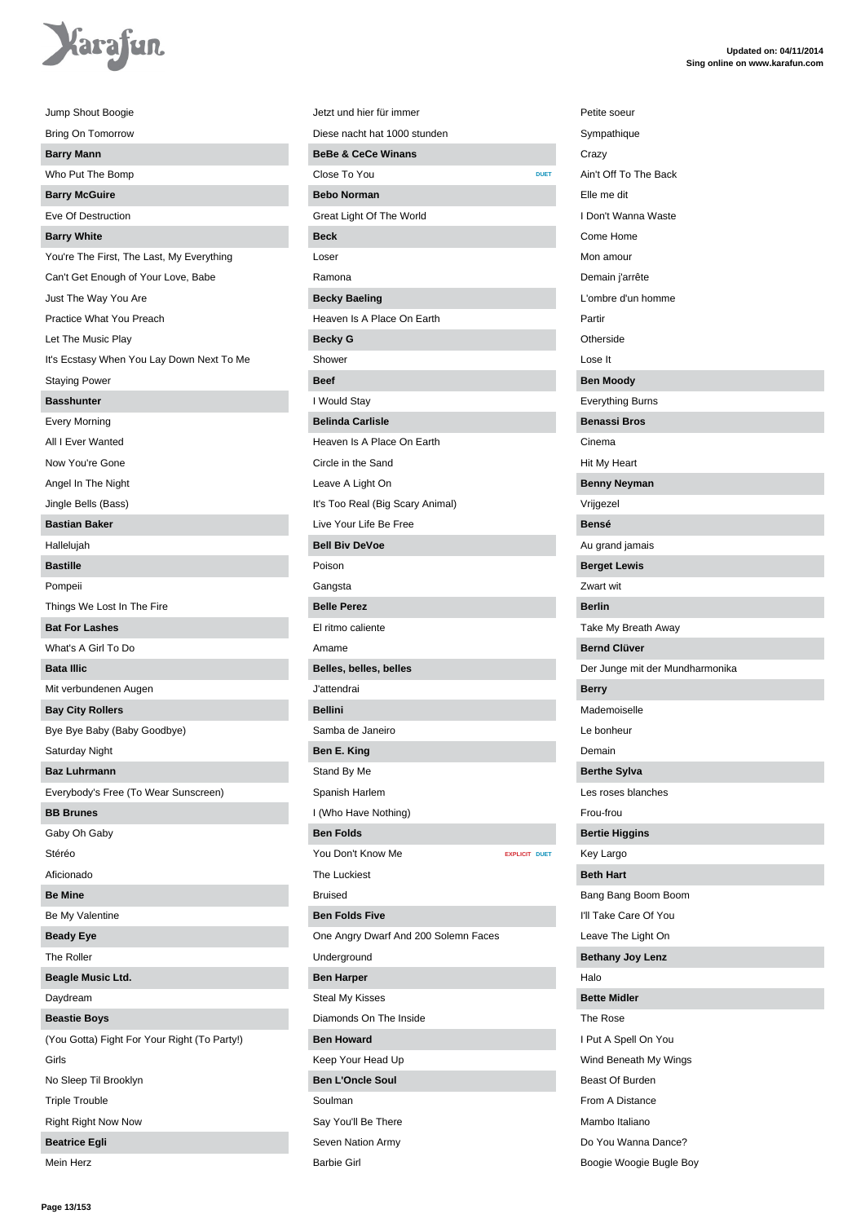

| Jump Shout Boogie                            |
|----------------------------------------------|
| <b>Bring On Tomorrow</b>                     |
| <b>Barry Mann</b>                            |
| Who Put The Bomp                             |
| <b>Barry McGuire</b>                         |
| Eve Of Destruction                           |
| <b>Barry White</b>                           |
| You're The First, The Last, My Everything    |
| Can't Get Enough of Your Love, Babe          |
| Just The Way You Are                         |
| Practice What You Preach                     |
| Let The Music Play                           |
| It's Ecstasy When You Lay Down Next To Me    |
| <b>Staying Power</b>                         |
| <b>Basshunter</b>                            |
| <b>Every Morning</b>                         |
| All I Ever Wanted                            |
| Now You're Gone                              |
| Angel In The Night                           |
| Jingle Bells (Bass)                          |
| <b>Bastian Baker</b>                         |
| Hallelujah                                   |
| <b>Bastille</b>                              |
| Pompeii                                      |
| Things We Lost In The Fire                   |
| <b>Bat For Lashes</b>                        |
| What's A Girl To Do                          |
| <b>Bata Illic</b>                            |
| Mit verbundenen Augen                        |
| <b>Bay City Rollers</b>                      |
| Bye Bye Baby (Baby Goodbye)                  |
| Saturday Night                               |
| <b>Baz Luhrmann</b>                          |
| Everybody's Free (To Wear Sunscreen)         |
| <b>BB Brunes</b>                             |
| Gaby Oh Gaby                                 |
| Stéréo                                       |
| Aficionado                                   |
| <b>Be Mine</b>                               |
| Be My Valentine                              |
| <b>Beady Eye</b>                             |
| The Roller                                   |
| <b>Beagle Music Ltd.</b>                     |
| Daydream                                     |
| <b>Beastie Boys</b>                          |
| (You Gotta) Fight For Your Right (To Party!) |
| Girls                                        |
| No Sleep Til Brooklyn                        |
| <b>Triple Trouble</b>                        |
| <b>Right Right Now Now</b>                   |
| <b>Beatrice Egli</b>                         |
| Mein Herz                                    |

Jetzt und hier für immer Diese nacht hat 1000 stunden **BeBe & CeCe Winans Close To You**  DUET **Bebo Norman** Great Light Of The World **Beck** Loser Ramona **Becky Baeling** Heaven Is A Place On Earth **Becky G** Shower **Beef** I Would Stay **Belinda Carlisle** Heaven Is A Place On Earth Circle in the Sand Leave A Light On It's Too Real (Big Scary Animal) Live Your Life Be Free **Bell Biv DeVoe** Poison Gangsta **Belle Perez** El ritmo caliente Amame **Belles, belles, belles** J'attendrai **Bellini** Samba de Janeiro **Ben E. King** Stand By Me Spanish Harlem I (Who Have Nothing) **Ben Folds** You Don't Know Me **EXPLICIT EXPLICIT** DUET The Luckiest Bruised **Ben Folds Five** One Angry Dwarf And 200 Solemn Faces Underground **Ben Harper** Steal My Kisses Diamonds On The Inside **Ben Howard** Keep Your Head Up **Ben L'Oncle Soul** Soulman Say You'll Be There Seven Nation Army

Barbie Girl

| Petite soeur                    |
|---------------------------------|
| Sympathique                     |
| Crazy                           |
| Ain't Off To The Back           |
| Elle me dit                     |
| I Don't Wanna Waste             |
| Come Home                       |
| Mon amour                       |
| Demain j'arrête                 |
| L'ombre d'un homme              |
| Partir                          |
| Otherside                       |
| Lose It                         |
| <b>Ben Moody</b>                |
| <b>Everything Burns</b>         |
| <b>Benassi Bros</b>             |
| Cinema                          |
|                                 |
| Hit My Heart                    |
| <b>Benny Neyman</b>             |
| Vrijgezel                       |
| <b>Bensé</b>                    |
| Au grand jamais                 |
| <b>Berget Lewis</b>             |
| Zwart wit                       |
| <b>Berlin</b>                   |
| Take My Breath Away             |
| <b>Bernd Clüver</b>             |
| Der Junge mit der Mundharmonika |
| <b>Berry</b>                    |
| Mademoiselle                    |
| Le bonheur                      |
| Demain                          |
| <b>Berthe Sylva</b>             |
| Les roses blanches              |
| Frou-frou                       |
| <b>Bertie Higgins</b>           |
| Key Largo                       |
| <b>Beth Hart</b>                |
| Bang Bang Boom Boom             |
| I'll Take Care Of You           |
| Leave The Light On              |
| <b>Bethany Joy Lenz</b>         |
| Halo                            |
| <b>Bette Midler</b>             |
| The Rose                        |
|                                 |
| I Put A Spell On You            |
| Wind Beneath My Wings           |
| Beast Of Burden                 |
| From A Distance                 |
| Mambo Italiano                  |
| Do You Wanna Dance?             |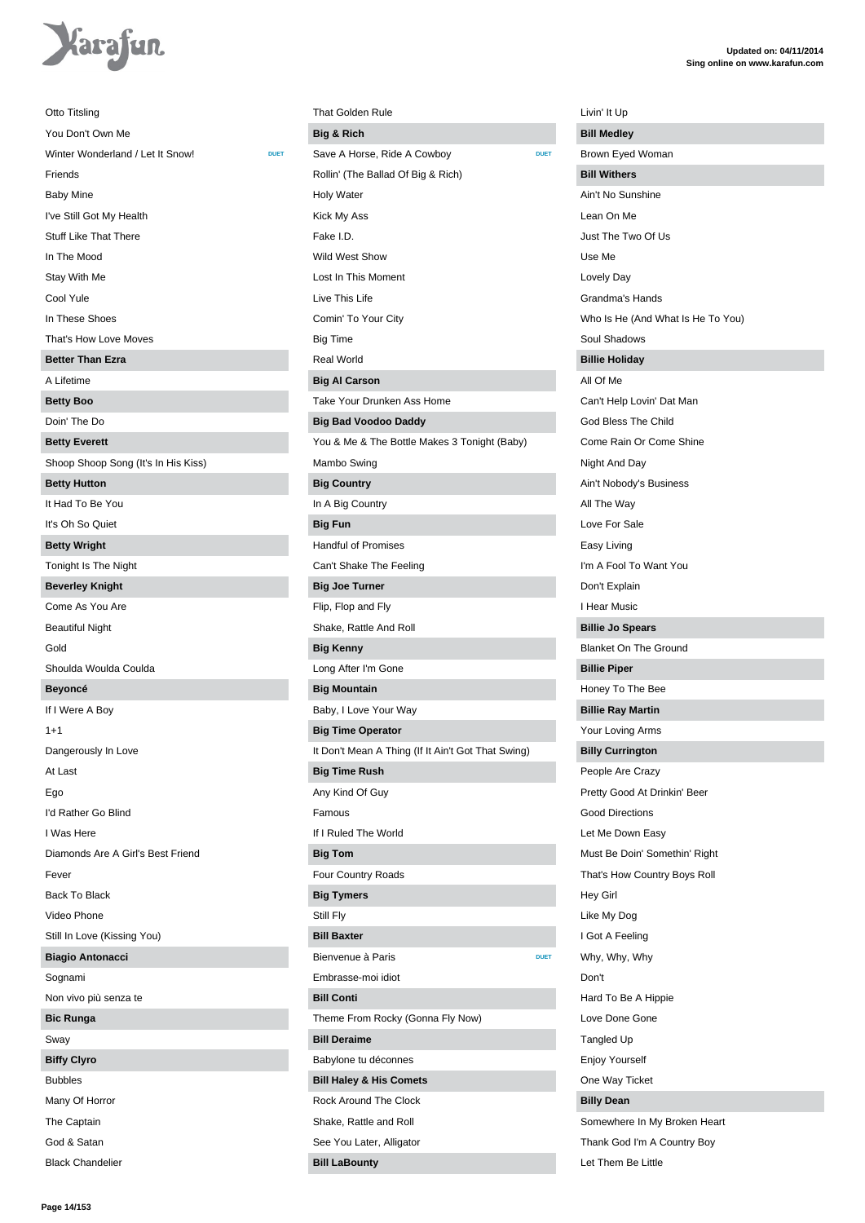

| Otto Titsling                                   |  |
|-------------------------------------------------|--|
| You Don't Own Me                                |  |
| Winter Wonderland / Let It Snow!<br><b>DUET</b> |  |
| Friends                                         |  |
| <b>Baby Mine</b>                                |  |
| I've Still Got My Health                        |  |
| <b>Stuff Like That There</b>                    |  |
| In The Mood                                     |  |
| Stay With Me                                    |  |
| Cool Yule                                       |  |
| In These Shoes                                  |  |
| That's How Love Moves                           |  |
| <b>Better Than Ezra</b>                         |  |
| A Lifetime                                      |  |
| <b>Betty Boo</b>                                |  |
| Doin' The Do                                    |  |
| <b>Betty Everett</b>                            |  |
| Shoop Shoop Song (It's In His Kiss)             |  |
| <b>Betty Hutton</b>                             |  |
| It Had To Be You                                |  |
| It's Oh So Quiet                                |  |
| <b>Betty Wright</b>                             |  |
| Tonight Is The Night                            |  |
| <b>Beverley Knight</b>                          |  |
| Come As You Are                                 |  |
| <b>Beautiful Night</b>                          |  |
| Gold                                            |  |
| Shoulda Woulda Coulda                           |  |
| <b>Beyoncé</b>                                  |  |
| If I Were A Boy                                 |  |
| $1 + 1$                                         |  |
| Dangerously In Love                             |  |
| At Last                                         |  |
| Ego                                             |  |
| I'd Rather Go Blind                             |  |
| I Was Here                                      |  |
| Diamonds Are A Girl's Best Friend               |  |
| Fever                                           |  |
| <b>Back To Black</b>                            |  |
| Video Phone                                     |  |
| Still In Love (Kissing You)                     |  |
| <b>Biagio Antonacci</b>                         |  |
| Sognami                                         |  |
| Non vivo più senza te                           |  |
| <b>Bic Runga</b>                                |  |
| Sway                                            |  |
| <b>Biffy Clyro</b>                              |  |
| <b>Bubbles</b>                                  |  |
| Many Of Horror                                  |  |
| The Captain                                     |  |
| God & Satan                                     |  |

# That Golden Rule **Big & Rich** Save A Horse, Ride A Cowboy **DUET** Rollin' (The Ballad Of Big & Rich) Holy Water Kick My Ass Fake I.D. Wild West Show Lost In This Moment Live This Life Comin' To Your City Big Time Real World **Big Al Carson** Take Your Drunken Ass Home **Big Bad Voodoo Daddy** You & Me & The Bottle Makes 3 Tonight (Baby) Mambo Swing **Big Country** In A Big Country **Big Fun** Handful of Promises Can't Shake The Feeling **Big Joe Turner** Flip, Flop and Fly Shake, Rattle And Roll **Big Kenny** Long After I'm Gone **Big Mountain** Baby, I Love Your Way **Big Time Operator** It Don't Mean A Thing (If It Ain't Got That Swing) **Big Time Rush** Any Kind Of Guy Famous If I Ruled The World **Big Tom** Four Country Roads **Big Tymers** Still Flv **Bill Baxter Bienvenue à Paris de la comme de la comme de la comme de la comme de la comme de la comme de la comme de la comme** Embrasse-moi idiot **Bill Conti** Theme From Rocky (Gonna Fly Now) **Bill Deraime** Babylone tu déconnes **Bill Haley & His Comets** Rock Around The Clock Shake, Rattle and Roll See You Later, Alligator

**Bill LaBounty**

### **Updated on: 04/11/2014 Sing online on www.karafun.com**

Livin' It Up **Bill Medley** Brown Eyed Woman **Bill Withers** Ain't No Sunshine Lean On Me Just The Two Of Us Use Me Lovely Day Grandma's Hands Who Is He (And What Is He To You) Soul Shadows **Billie Holiday** All Of Me Can't Help Lovin' Dat Man God Bless The Child Come Rain Or Come Shine Night And Day Ain't Nobody's Business All The Way Love For Sale Easy Living I'm A Fool To Want You Don't Explain I Hear Music **Billie Jo Spears** Blanket On The Ground **Billie Piper** Honey To The Bee **Billie Ray Martin** Your Loving Arms **Billy Currington** People Are Crazy Pretty Good At Drinkin' Beer Good Directions Let Me Down Easy Must Be Doin' Somethin' Right That's How Country Boys Roll Hey Girl Like My Dog I Got A Feeling Why, Why, Why Don't Hard To Be A Hippie Love Done Gone Tangled Up Enjoy Yourself One Way Ticket **Billy Dean** Somewhere In My Broken Heart Thank God I'm A Country Boy Let Them Be Little

Black Chandelier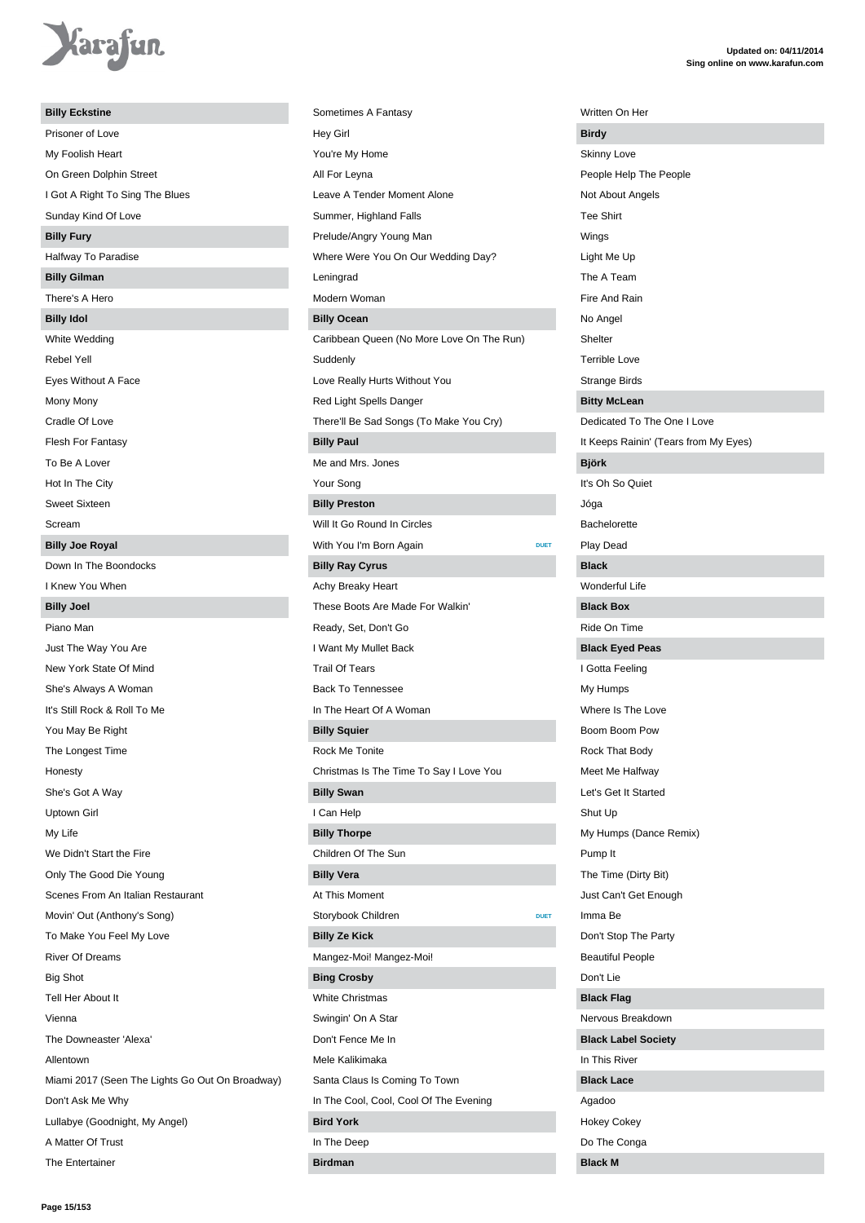

| <b>Billy Eckstine</b>                           |  |
|-------------------------------------------------|--|
| Prisoner of Love                                |  |
| My Foolish Heart                                |  |
| On Green Dolphin Street                         |  |
| I Got A Right To Sing The Blues                 |  |
| Sunday Kind Of Love                             |  |
| <b>Billy Fury</b>                               |  |
| Halfway To Paradise                             |  |
| <b>Billy Gilman</b>                             |  |
| There's A Hero                                  |  |
| <b>Billy Idol</b>                               |  |
| White Wedding                                   |  |
| <b>Rebel Yell</b>                               |  |
| Eyes Without A Face                             |  |
| Mony Mony                                       |  |
| Cradle Of Love                                  |  |
| <b>Flesh For Fantasy</b>                        |  |
| To Be A Lover                                   |  |
| Hot In The City                                 |  |
| <b>Sweet Sixteen</b>                            |  |
| Scream                                          |  |
| <b>Billy Joe Royal</b>                          |  |
| Down In The Boondocks                           |  |
| I Knew You When                                 |  |
| <b>Billy Joel</b>                               |  |
| Piano Man                                       |  |
| Just The Way You Are                            |  |
| New York State Of Mind                          |  |
| She's Always A Woman                            |  |
| It's Still Rock & Roll To Me                    |  |
| You May Be Right                                |  |
| The Longest Time                                |  |
| Honesty                                         |  |
| She's Got A Way                                 |  |
| Uptown Girl                                     |  |
| My Life                                         |  |
| We Didn't Start the Fire                        |  |
| Only The Good Die Young                         |  |
| Scenes From An Italian Restaurant               |  |
| Movin' Out (Anthony's Song)                     |  |
| To Make You Feel My Love                        |  |
| <b>River Of Dreams</b>                          |  |
| <b>Big Shot</b>                                 |  |
| Tell Her About It                               |  |
| Vienna                                          |  |
| The Downeaster 'Alexa'                          |  |
| Allentown                                       |  |
| Miami 2017 (Seen The Lights Go Out On Broadway) |  |
| Don't Ask Me Why                                |  |
|                                                 |  |
| Lullabye (Goodnight, My Angel)                  |  |
| A Matter Of Trust                               |  |

Sometimes A Fantasy Hey Girl You're My Home All For Leyna Leave A Tender Moment Alone Summer, Highland Falls Prelude/Angry Young Man Where Were You On Our Wedding Day? Leningrad Modern Woman **Billy Ocean** Caribbean Queen (No More Love On The Run) Suddenly Love Really Hurts Without You Red Light Spells Danger There'll Be Sad Songs (To Make You Cry) **Billy Paul** Me and Mrs. Jones Your Song **Billy Preston** Will It Go Round In Circles With You I'm Born Again **DUET Billy Ray Cyrus** Achy Breaky Heart These Boots Are Made For Walkin' Ready, Set, Don't Go I Want My Mullet Back Trail Of Tears Back To Tennessee In The Heart Of A Woman **Billy Squier** Rock Me Tonite Christmas Is The Time To Say I Love You **Billy Swan** I Can Help **Billy Thorpe** Children Of The Sun **Billy Vera** At This Moment **Storybook Children DUET Billy Ze Kick** Mangez-Moi! Mangez-Moi! **Bing Crosby** White Christmas Swingin' On A Star Don't Fence Me In Mele Kalikimaka Santa Claus Is Coming To Town In The Cool, Cool, Cool Of The Evening **Bird York** In The Deep

**Birdman**

| Written On Her                        |  |
|---------------------------------------|--|
| <b>Birdy</b>                          |  |
| <b>Skinny Love</b>                    |  |
| People Help The People                |  |
| Not About Angels                      |  |
| <b>Tee Shirt</b>                      |  |
| Wings                                 |  |
| Light Me Up                           |  |
| The A Team                            |  |
| Fire And Rain                         |  |
| No Angel                              |  |
| Shelter                               |  |
| <b>Terrible Love</b>                  |  |
| Strange Birds                         |  |
| <b>Bitty McLean</b>                   |  |
| Dedicated To The One I Love           |  |
| It Keeps Rainin' (Tears from My Eyes) |  |
| <b>Björk</b>                          |  |
| It's Oh So Quiet                      |  |
| Jóga                                  |  |
| <b>Bachelorette</b>                   |  |
| Play Dead                             |  |
| <b>Black</b>                          |  |
| Wonderful Life                        |  |
| <b>Black Box</b>                      |  |
| Ride On Time                          |  |
| <b>Black Eyed Peas</b>                |  |
| I Gotta Feeling                       |  |
| My Humps                              |  |
| Where Is The Love                     |  |
| Boom Boom Pow                         |  |
| Rock That Body                        |  |
| Meet Me Halfway                       |  |
| Let's Get It Started                  |  |
| Shut Up                               |  |
| My Humps (Dance Remix)                |  |
| Pump It                               |  |
| The Time (Dirty Bit)                  |  |
| Just Can't Get Enough                 |  |
| Imma Be                               |  |
| Don't Stop The Party                  |  |
| <b>Beautiful People</b>               |  |
| Don't Lie                             |  |
| <b>Black Flag</b>                     |  |
| Nervous Breakdown                     |  |
| <b>Black Label Society</b>            |  |
| In This River                         |  |
| <b>Black Lace</b>                     |  |
| Agadoo                                |  |
| <b>Hokey Cokey</b>                    |  |
| Do The Conga                          |  |
| <b>Black M</b>                        |  |
|                                       |  |

The Entertainer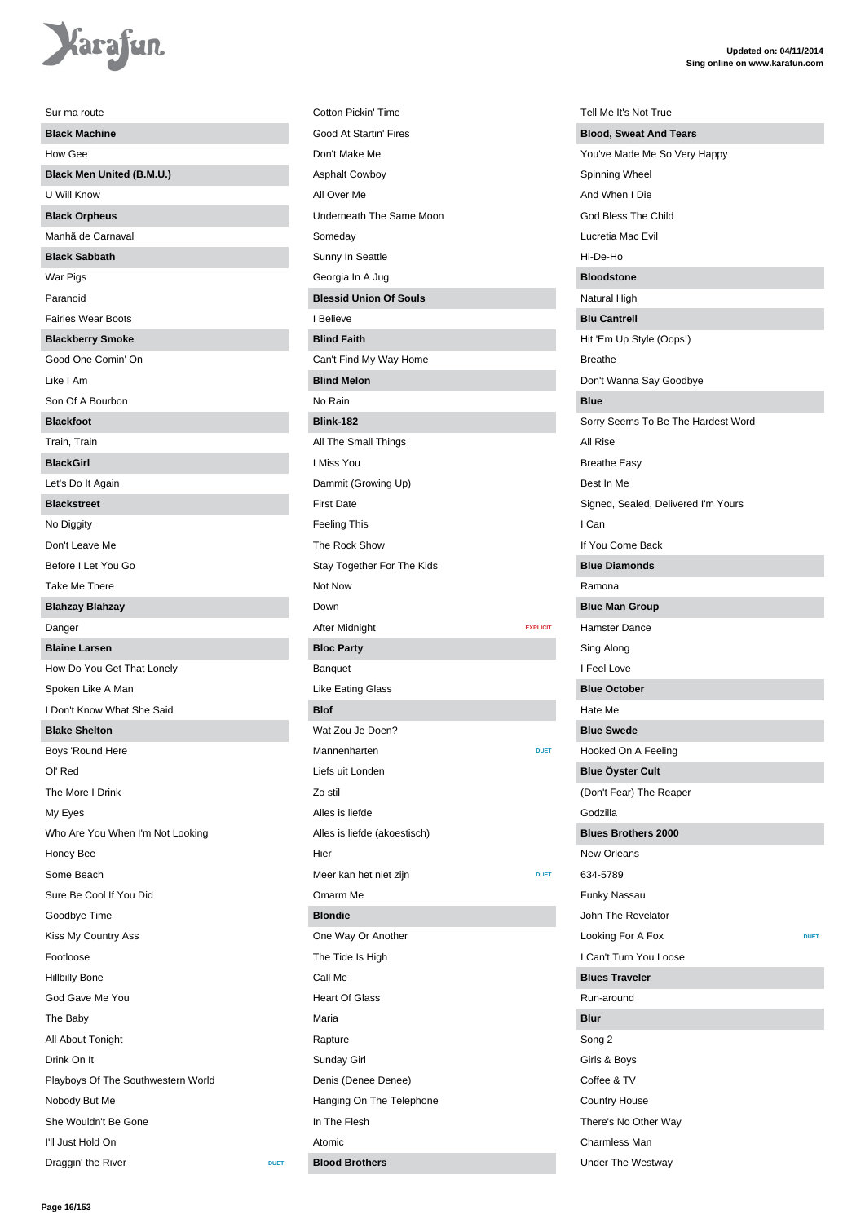

| <b>Black Machine</b>               |
|------------------------------------|
| How Gee                            |
| <b>Black Men United (B.M.U.)</b>   |
| U Will Know                        |
| <b>Black Orpheus</b>               |
| Manhã de Carnaval                  |
| <b>Black Sabbath</b>               |
| War Pigs                           |
| Paranoid                           |
| <b>Fairies Wear Boots</b>          |
| <b>Blackberry Smoke</b>            |
| Good One Comin' On                 |
| Like I Am                          |
| Son Of A Bourbon                   |
| <b>Blackfoot</b>                   |
| Train, Train                       |
| <b>BlackGirl</b>                   |
| Let's Do It Again                  |
| <b>Blackstreet</b>                 |
| No Diggity                         |
| Don't Leave Me                     |
| Before I Let You Go                |
| <b>Take Me There</b>               |
| <b>Blahzay Blahzay</b>             |
| Danger                             |
| <b>Blaine Larsen</b>               |
| How Do You Get That Lonely         |
|                                    |
| Spoken Like A Man                  |
| I Don't Know What She Said         |
| <b>Blake Shelton</b>               |
| Boys 'Round Here                   |
| Ol' Red                            |
| The More I Drink                   |
| My Eyes                            |
| Who Are You When I'm Not Looking   |
| Honey Bee                          |
| Some Beach                         |
| Sure Be Cool If You Did            |
| Goodbye Time                       |
| Kiss My Country Ass                |
| Footloose                          |
| <b>Hillbilly Bone</b>              |
| God Gave Me You                    |
| The Baby                           |
| All About Tonight                  |
| Drink On It                        |
| Playboys Of The Southwestern World |
| Nobody But Me                      |
| She Wouldn't Be Gone               |
| I'll Just Hold On                  |

Cotton Pickin' Time Good At Startin' Fires Don't Make Me Asphalt Cowboy All Over Me Underneath The Same Moon Someday Sunny In Seattle Georgia In A Jug **Blessid Union Of Souls** I Believe **Blind Faith** Can't Find My Way Home **Blind Melon** No Rain **Blink-182** All The Small Things I Miss You Dammit (Growing Up) First Date Feeling This The Rock Show Stay Together For The Kids Not Now Down After Midnight **EXPLICIT Bloc Party** Banquet Like Eating Glass **Blof** Wat Zou Je Doen? **Mannenharten DUET** Liefs uit Londen Zo stil Alles is liefde Alles is liefde (akoestisch) Hier **Meer kan het niet zijn DUET** Omarm Me **Blondie** One Way Or Another The Tide Is High Call Me Heart Of Glass Maria Rapture Sunday Girl Denis (Denee Denee) Hanging On The Telephone In The Flesh Atomic

**Blood Brothers**

| Tell Me It's Not True               |             |
|-------------------------------------|-------------|
| <b>Blood, Sweat And Tears</b>       |             |
| You've Made Me So Very Happy        |             |
| Spinning Wheel                      |             |
| And When I Die                      |             |
| God Bless The Child                 |             |
| Lucretia Mac Evil                   |             |
| Hi-De-Ho                            |             |
| <b>Bloodstone</b>                   |             |
| Natural High                        |             |
| <b>Blu Cantrell</b>                 |             |
| Hit 'Em Up Style (Oops!)            |             |
| <b>Breathe</b>                      |             |
| Don't Wanna Say Goodbye             |             |
| <b>Blue</b>                         |             |
| Sorry Seems To Be The Hardest Word  |             |
| All Rise                            |             |
| <b>Breathe Easy</b>                 |             |
| Best In Me                          |             |
| Signed, Sealed, Delivered I'm Yours |             |
| I Can                               |             |
| If You Come Back                    |             |
| <b>Blue Diamonds</b>                |             |
| Ramona                              |             |
| <b>Blue Man Group</b>               |             |
| <b>Hamster Dance</b>                |             |
| Sing Along                          |             |
| I Feel Love                         |             |
| <b>Blue October</b>                 |             |
| Hate Me                             |             |
| <b>Blue Swede</b>                   |             |
| Hooked On A Feeling                 |             |
| <b>Blue Öyster Cult</b>             |             |
| (Don't Fear) The Reaper             |             |
| Godzilla                            |             |
| <b>Blues Brothers 2000</b>          |             |
| <b>New Orleans</b>                  |             |
| 634-5789                            |             |
| <b>Funky Nassau</b>                 |             |
| John The Revelator                  |             |
| Looking For A Fox                   | <b>DUET</b> |
| I Can't Turn You Loose              |             |
| <b>Blues Traveler</b>               |             |
| Run-around                          |             |
| <b>Blur</b>                         |             |
|                                     |             |
| Song 2                              |             |
| Girls & Boys                        |             |
| Coffee & TV                         |             |
| <b>Country House</b>                |             |
| There's No Other Way                |             |
| Charmless Man                       |             |
| <b>Under The Westway</b>            |             |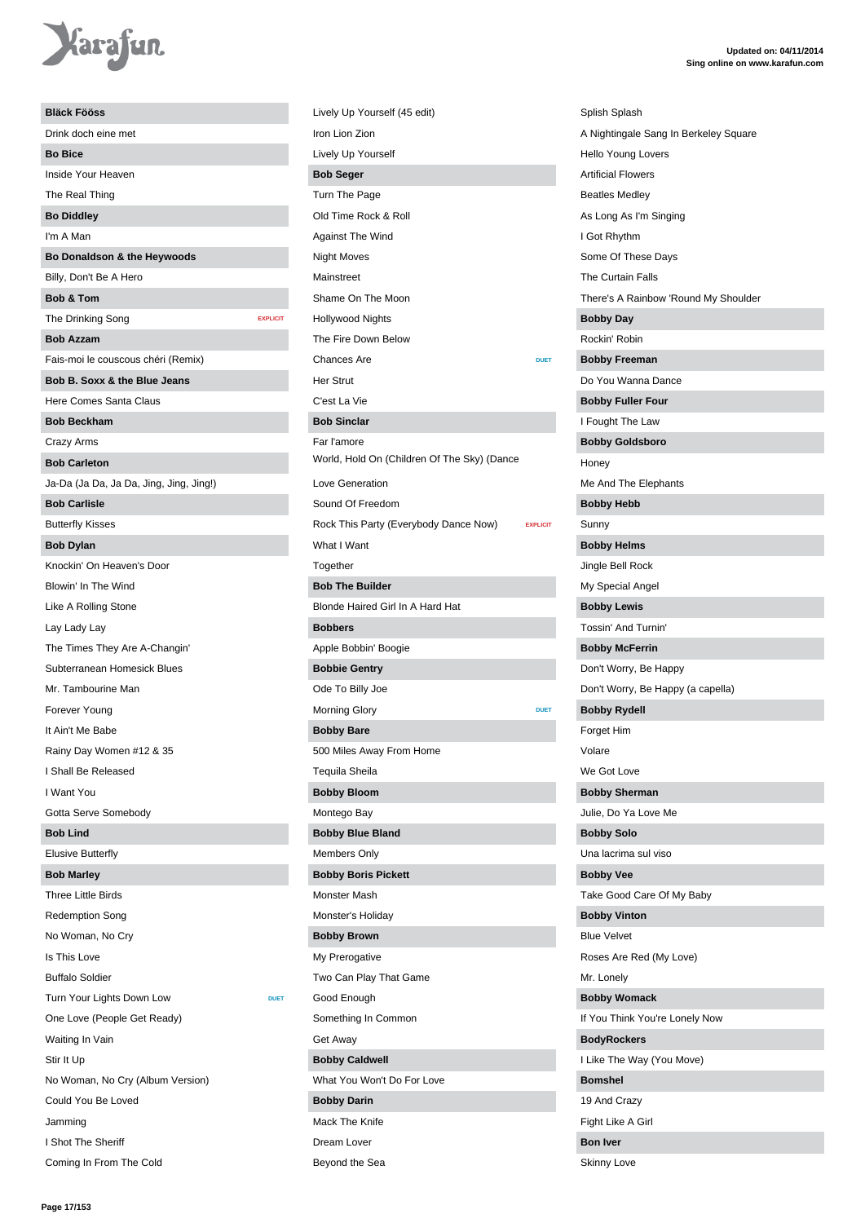

| <b>Bläck Fööss</b>                      |                 |
|-----------------------------------------|-----------------|
| Drink doch eine met                     |                 |
| <b>Bo Bice</b>                          |                 |
| Inside Your Heaven                      |                 |
| The Real Thing                          |                 |
| <b>Bo Diddley</b>                       |                 |
| I'm A Man                               |                 |
| Bo Donaldson & the Heywoods             |                 |
| Billy, Don't Be A Hero                  |                 |
| <b>Bob &amp; Tom</b>                    |                 |
| The Drinking Song                       | <b>EXPLICIT</b> |
| <b>Bob Azzam</b>                        |                 |
| Fais-moi le couscous chéri (Remix)      |                 |
| Bob B. Soxx & the Blue Jeans            |                 |
| Here Comes Santa Claus                  |                 |
| <b>Bob Beckham</b>                      |                 |
| Crazy Arms                              |                 |
| <b>Bob Carleton</b>                     |                 |
| Ja-Da (Ja Da, Ja Da, Jing, Jing, Jing!) |                 |
| <b>Bob Carlisle</b>                     |                 |
| <b>Butterfly Kisses</b>                 |                 |
| <b>Bob Dylan</b>                        |                 |
| Knockin' On Heaven's Door               |                 |
| Blowin' In The Wind                     |                 |
| Like A Rolling Stone                    |                 |
| Lay Lady Lay                            |                 |
| The Times They Are A-Changin'           |                 |
| Subterranean Homesick Blues             |                 |
| Mr. Tambourine Man                      |                 |
| Forever Young                           |                 |
| It Ain't Me Babe                        |                 |
| Rainy Day Women #12 & 35                |                 |
| I Shall Be Released                     |                 |
| I Want You                              |                 |
| Gotta Serve Somebody                    |                 |
| <b>Bob Lind</b>                         |                 |
| <b>Elusive Butterfly</b>                |                 |
| <b>Bob Marley</b>                       |                 |
| <b>Three Little Birds</b>               |                 |
| Redemption Song                         |                 |
| No Woman, No Cry                        |                 |
| Is This Love                            |                 |
| <b>Buffalo Soldier</b>                  |                 |
| Turn Your Lights Down Low               | <b>DUET</b>     |
| One Love (People Get Ready)             |                 |
| Waiting In Vain                         |                 |
| Stir It Up                              |                 |
| No Woman, No Cry (Album Version)        |                 |
| Could You Be Loved                      |                 |
| Jamming                                 |                 |

Lively Up Yourself (45 edit) Iron Lion Zion Lively Up Yourself **Bob Seger** Turn The Page Old Time Rock & Roll Against The Wind Night Moves Mainstreet Shame On The Moon Hollywood Nights The Fire Down Below Chances Are **DUET** Her Strut C'est La Vie **Bob Sinclar** Far l'amore World, Hold On (Children Of The Sky) (Dance Love Generation Sound Of Freedom Rock This Party (Everybody Dance Now) **EXPLICIT** What I Want Together **Bob The Builder** Blonde Haired Girl In A Hard Hat **Bobbers** Apple Bobbin' Boogie **Bobbie Gentry** Ode To Billy Joe **Morning Glory Bobby Bare** 500 Miles Away From Home Tequila Sheila **Bobby Bloom** Montego Bay **Bobby Blue Bland** Members Only **Bobby Boris Pickett** Monster Mash Monster's Holiday **Bobby Brown** My Prerogative Two Can Play That Game Good Enough Something In Common Get Away **Bobby Caldwell** What You Won't Do For Love **Bobby Darin** Mack The Knife Dream Lover

Beyond the Sea

Splish Splash A Nightingale Sang In Berkeley Square Hello Young Lovers Artificial Flowers Beatles Medley As Long As I'm Singing I Got Rhythm Some Of These Days The Curtain Falls There's A Rainbow 'Round My Shoulder **Bobby Day** Rockin' Robin **Bobby Freeman** Do You Wanna Dance **Bobby Fuller Four** I Fought The Law **Bobby Goldsboro** Honey Me And The Elephants **Bobby Hebb** Sunny **Bobby Helms** Jingle Bell Rock My Special Angel **Bobby Lewis** Tossin' And Turnin' **Bobby McFerrin** Don't Worry, Be Happy Don't Worry, Be Happy (a capella) **Bobby Rydell** Forget Him Volare We Got Love **Bobby Sherman** Julie, Do Ya Love Me **Bobby Solo** Una lacrima sul viso **Bobby Vee** Take Good Care Of My Baby **Bobby Vinton** Blue Velvet Roses Are Red (My Love) Mr. Lonely **Bobby Womack** If You Think You're Lonely Now **BodyRockers** I Like The Way (You Move) **Bomshel** 19 And Crazy Fight Like A Girl **Bon Iver**

Skinny Love

I Shot The Sheriff Coming In From The Cold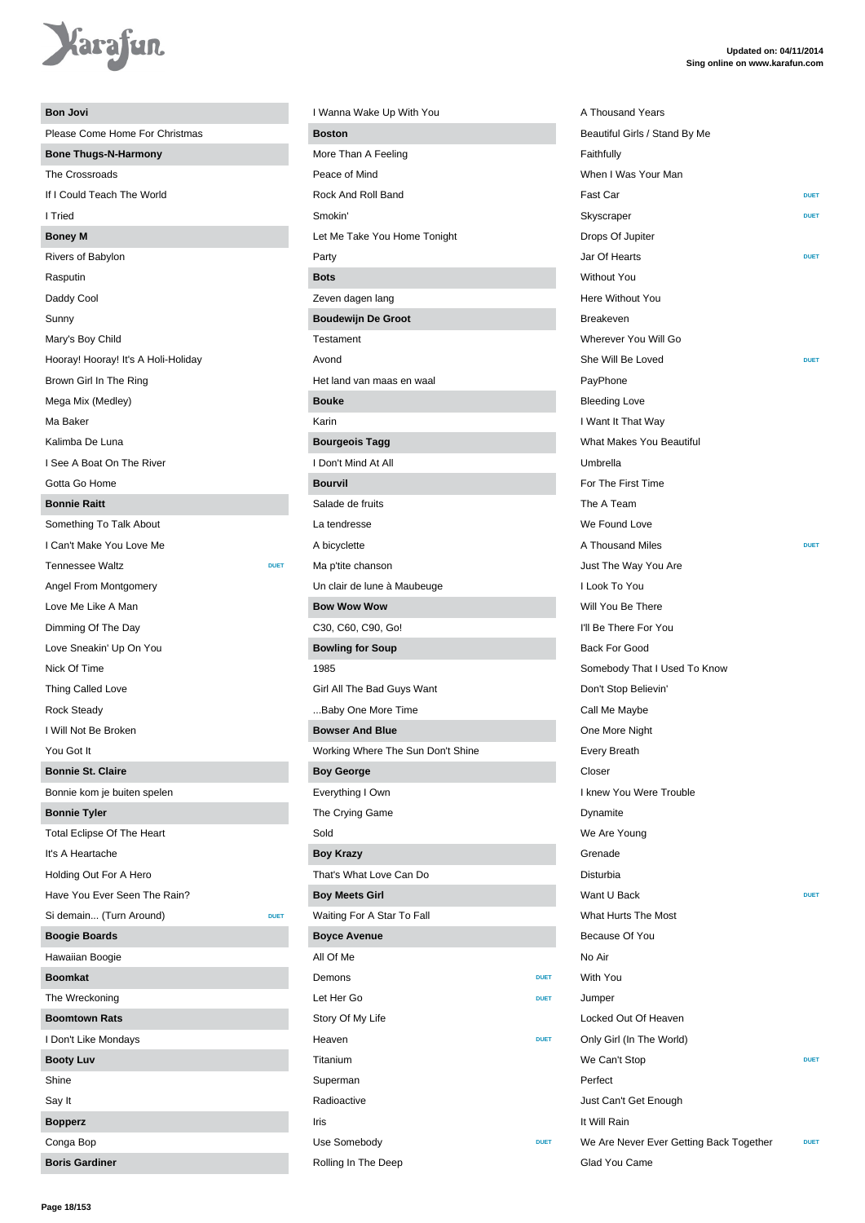

| <b>Bon Jovi</b>                        |
|----------------------------------------|
| Please Come Home For Christmas         |
| <b>Bone Thugs-N-Harmony</b>            |
| The Crossroads                         |
| If I Could Teach The World             |
| I Tried                                |
| <b>Boney M</b>                         |
| Rivers of Babylon                      |
| Rasputin                               |
| Daddy Cool                             |
| Sunny                                  |
| Mary's Boy Child                       |
| Hooray! Hooray! It's A Holi-Holiday    |
| Brown Girl In The Ring                 |
| Mega Mix (Medley)                      |
| Ma Baker                               |
| Kalimba De Luna                        |
| I See A Boat On The River              |
| Gotta Go Home                          |
| <b>Bonnie Raitt</b>                    |
| Something To Talk About                |
| I Can't Make You Love Me               |
| <b>Tennessee Waltz</b><br><b>DUET</b>  |
| Angel From Montgomery                  |
| Love Me Like A Man                     |
| Dimming Of The Day                     |
| Love Sneakin' Up On You                |
| Nick Of Time                           |
| <b>Thing Called Love</b>               |
| <b>Rock Steady</b>                     |
| I Will Not Be Broken                   |
| You Got It                             |
| <b>Bonnie St. Claire</b>               |
| Bonnie kom je buiten spelen            |
| <b>Bonnie Tyler</b>                    |
| Total Eclipse Of The Heart             |
| It's A Heartache                       |
| Holding Out For A Hero                 |
| Have You Ever Seen The Rain?           |
| Si demain (Turn Around)<br><b>DUET</b> |
| <b>Boogie Boards</b>                   |
| Hawaiian Boogie                        |
| <b>Boomkat</b>                         |
| The Wreckoning                         |
| <b>Boomtown Rats</b>                   |
| I Don't Like Mondays                   |
| <b>Booty Luv</b>                       |
| Shine                                  |
| Say It                                 |
| <b>Bopperz</b>                         |
| Conga Bop                              |
| <b>Boris Gardiner</b>                  |

I Wanna Wake Up With You **Boston** More Than A Feeling Peace of Mind Rock And Roll Band Smokin' Let Me Take You Home Tonight Party **Bots** Zeven dagen lang **Boudewijn De Groot** Testament Avond Het land van maas en waal **Bouke** Karin **Bourgeois Tagg** I Don't Mind At All **Bourvil** Salade de fruits La tendresse A bicyclette Ma p'tite chanson Un clair de lune à Maubeuge **Bow Wow Wow** C30, C60, C90, Go! **Bowling for Soup** 1985 Girl All The Bad Guys Want ...Baby One More Time **Bowser And Blue** Working Where The Sun Don't Shine **Boy George** Everything I Own The Crying Game Sold **Boy Krazy** That's What Love Can Do **Boy Meets Girl** Waiting For A Star To Fall **Boyce Avenue** All Of Me **Demons Demons** Let Her Go **DUET** Story Of My Life **Heaven DUET** Titanium Superman Radioactive Iris

Use Somebody **DUET** 

Rolling In The Deep

| A Thousand Years                        |             |
|-----------------------------------------|-------------|
| Beautiful Girls / Stand By Me           |             |
| Faithfully                              |             |
| When I Was Your Man                     |             |
| Fast Car                                | <b>DUET</b> |
| Skyscraper                              | <b>DUET</b> |
| Drops Of Jupiter                        |             |
| Jar Of Hearts                           | <b>DUET</b> |
| <b>Without You</b>                      |             |
| <b>Here Without You</b>                 |             |
| <b>Breakeven</b>                        |             |
| Wherever You Will Go                    |             |
| She Will Be Loved                       | <b>DUET</b> |
| PayPhone                                |             |
| <b>Bleeding Love</b>                    |             |
| I Want It That Way                      |             |
| What Makes You Beautiful                |             |
| Umbrella                                |             |
| For The First Time                      |             |
| The A Team                              |             |
| We Found Love                           |             |
| A Thousand Miles                        | <b>DUET</b> |
| Just The Way You Are                    |             |
| I Look To You                           |             |
| Will You Be There                       |             |
| I'll Be There For You                   |             |
| <b>Back For Good</b>                    |             |
| Somebody That I Used To Know            |             |
| Don't Stop Believin'                    |             |
| Call Me Maybe                           |             |
| One More Night                          |             |
| <b>Every Breath</b>                     |             |
| Closer                                  |             |
| I knew You Were Trouble                 |             |
| Dynamite                                |             |
| We Are Young                            |             |
| Grenade                                 |             |
| Disturbia                               |             |
| Want U Back                             | <b>DUET</b> |
| What Hurts The Most                     |             |
| Because Of You                          |             |
| No Air                                  |             |
| With You                                |             |
| Jumper                                  |             |
| Locked Out Of Heaven                    |             |
| Only Girl (In The World)                |             |
| We Can't Stop                           | <b>DUET</b> |
| Perfect                                 |             |
| Just Can't Get Enough                   |             |
| It Will Rain                            |             |
| We Are Never Ever Getting Back Together | <b>DUET</b> |
| Glad You Came                           |             |
|                                         |             |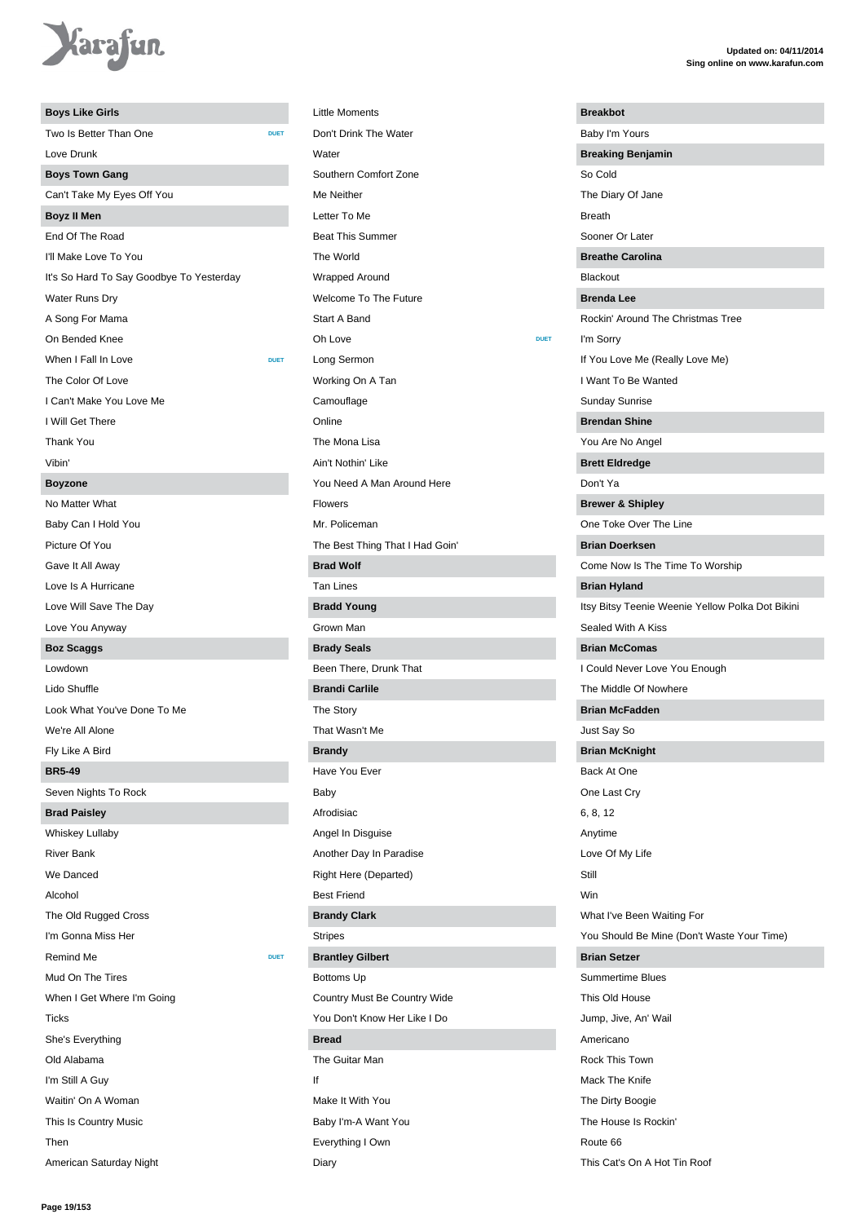

| <b>Boys Like Girls</b>                   |             |
|------------------------------------------|-------------|
| Two Is Better Than One                   | <b>DUET</b> |
| Love Drunk                               |             |
| <b>Boys Town Gang</b>                    |             |
| Can't Take My Eyes Off You               |             |
| <b>Boyz II Men</b>                       |             |
| End Of The Road                          |             |
| I'll Make Love To You                    |             |
| It's So Hard To Say Goodbye To Yesterday |             |
| Water Runs Dry                           |             |
| A Song For Mama                          |             |
| On Bended Knee                           |             |
| When I Fall In Love                      | <b>DUET</b> |
| The Color Of Love                        |             |
| I Can't Make You Love Me                 |             |
| I Will Get There                         |             |
| Thank You                                |             |
| Vibin'                                   |             |
| <b>Boyzone</b>                           |             |
| No Matter What                           |             |
| Baby Can I Hold You                      |             |
| Picture Of You                           |             |
| Gave It All Away                         |             |
| Love Is A Hurricane                      |             |
| Love Will Save The Day                   |             |
| Love You Anyway                          |             |
|                                          |             |
| <b>Boz Scaggs</b>                        |             |
| Lowdown                                  |             |
| Lido Shuffle                             |             |
| Look What You've Done To Me              |             |
| We're All Alone                          |             |
| Fly Like A Bird                          |             |
| <b>BR5-49</b>                            |             |
| Seven Nights To Rock                     |             |
| <b>Brad Paisley</b>                      |             |
| <b>Whiskey Lullaby</b>                   |             |
| <b>River Bank</b>                        |             |
| We Danced                                |             |
| Alcohol                                  |             |
| The Old Rugged Cross                     |             |
| I'm Gonna Miss Her                       |             |
| Remind Me                                | <b>DUET</b> |
| Mud On The Tires                         |             |
| When I Get Where I'm Going               |             |
| Ticks                                    |             |
| She's Everything                         |             |
| Old Alabama                              |             |
| I'm Still A Guy                          |             |
| Waitin' On A Woman                       |             |
| This Is Country Music                    |             |
| Then                                     |             |

Don't Drink The Water Water Southern Comfort Zone Me Neither Letter To Me Beat This Summer The World Wrapped Around Welcome To The Future Start A Band Oh Love **DUET** Long Sermon Working On A Tan **Camouflage** Online The Mona Lisa Ain't Nothin' Like You Need A Man Around Here Flowers Mr. Policeman The Best Thing That I Had Goin' **Brad Wolf** Tan Lines **Bradd Young** Grown Man **Brady Seals** Been There, Drunk That **Brandi Carlile** The Story That Wasn't Me **Brandy** Have You Ever Baby Afrodisiac Angel In Disguise Another Day In Paradise Right Here (Departed) Best Friend **Brandy Clark** Stripes **Brantley Gilbert** Bottoms Up Country Must Be Country Wide You Don't Know Her Like I Do **Bread** The Guitar Man Make It With You Baby I'm-A Want You Everything I Own

If

Diary

Little Moments

**Breakbot** Baby I'm Yours **Breaking Benjamin** So Cold The Diary Of Jane Breath Sooner Or Later **Breathe Carolina** Blackout **Brenda Lee** Rockin' Around The Christmas Tree I'm Sorry If You Love Me (Really Love Me) I Want To Be Wanted Sunday Sunrise **Brendan Shine** You Are No Angel **Brett Eldredge** Don't Ya **Brewer & Shipley** One Toke Over The Line **Brian Doerksen** Come Now Is The Time To Worship **Brian Hyland** Itsy Bitsy Teenie Weenie Yellow Polka Dot Bikini Sealed With A Kiss **Brian McComas** I Could Never Love You Enough The Middle Of Nowhere **Brian McFadden** Just Say So **Brian McKnight** Back At One One Last Cry 6, 8, 12 Anytime Love Of My Life Still Win What I've Been Waiting For You Should Be Mine (Don't Waste Your Time) **Brian Setzer** Summertime Blues This Old House Jump, Jive, An' Wail Americano Rock This Town Mack The Knife The Dirty Boogie The House Is Rockin' Route 66 This Cat's On A Hot Tin Roof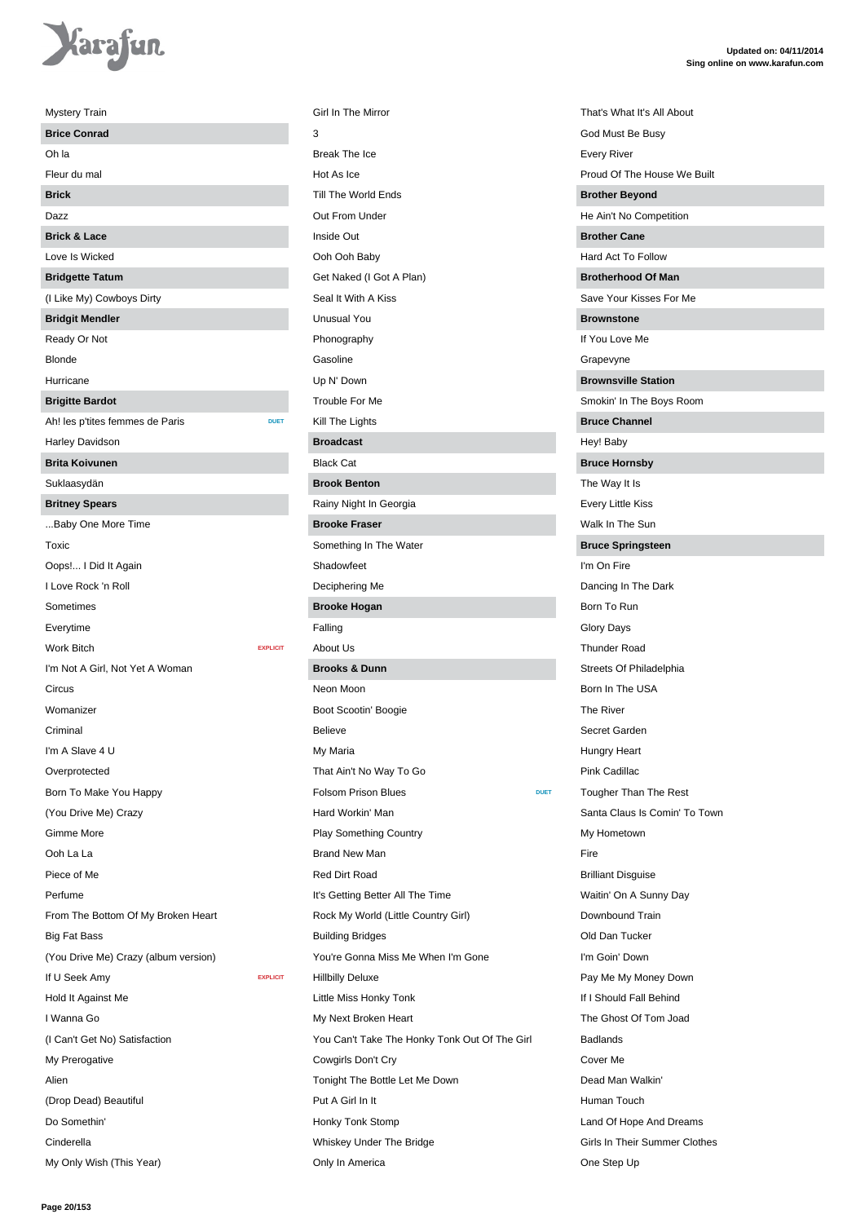

| <b>Mystery Train</b>                 |                 |
|--------------------------------------|-----------------|
| <b>Brice Conrad</b>                  |                 |
| Oh la                                |                 |
| Fleur du mal                         |                 |
| <b>Brick</b>                         |                 |
| Dazz                                 |                 |
| <b>Brick &amp; Lace</b>              |                 |
| Love Is Wicked                       |                 |
| <b>Bridgette Tatum</b>               |                 |
| (I Like My) Cowboys Dirty            |                 |
| <b>Bridgit Mendler</b>               |                 |
| Ready Or Not                         |                 |
| <b>Blonde</b>                        |                 |
| Hurricane                            |                 |
| <b>Brigitte Bardot</b>               |                 |
| Ah! les p'tites femmes de Paris      | <b>DUET</b>     |
| <b>Harley Davidson</b>               |                 |
| <b>Brita Koivunen</b>                |                 |
| Suklaasydän                          |                 |
| <b>Britney Spears</b>                |                 |
| Baby One More Time                   |                 |
| Toxic                                |                 |
| Oops! I Did It Again                 |                 |
| I Love Rock 'n Roll                  |                 |
| Sometimes                            |                 |
| Everytime                            |                 |
| <b>Work Bitch</b>                    | <b>EXPLICIT</b> |
| I'm Not A Girl, Not Yet A Woman      |                 |
| Circus                               |                 |
| Womanizer                            |                 |
| Criminal                             |                 |
| I'm A Slave 4 U                      |                 |
| Overprotected                        |                 |
| Born To Make You Happy               |                 |
| (You Drive Me) Crazy                 |                 |
| <b>Gimme More</b>                    |                 |
| Ooh La La                            |                 |
| Piece of Me                          |                 |
| Perfume                              |                 |
| From The Bottom Of My Broken Heart   |                 |
| <b>Big Fat Bass</b>                  |                 |
| (You Drive Me) Crazy (album version) |                 |
| If U Seek Amy                        | <b>EXPLICIT</b> |
| Hold It Against Me                   |                 |
| I Wanna Go                           |                 |
| (I Can't Get No) Satisfaction        |                 |
| My Prerogative                       |                 |
| Alien                                |                 |
| (Drop Dead) Beautiful                |                 |
| Do Somethin'                         |                 |
| Cinderella                           |                 |

That's What It's All About

Girl In The Mirror 3 Break The Ice Hot As Ice Till The World Ends Out From Under Inside Out Ooh Ooh Baby Get Naked (I Got A Plan) Seal It With A Kiss Unusual You Phonography Gasoline Up N' Down Trouble For Me Kill The Lights **Broadcast** Black Cat **Brook Benton** Rainy Night In Georgia **Brooke Fraser** Something In The Water Shadowfeet Deciphering Me **Brooke Hogan** Falling About Us **Brooks & Dunn** Neon Moon Boot Scootin' Boogie Believe My Maria That Ain't No Way To Go **Folsom Prison Blues DUET** Hard Workin' Man Play Something Country Brand New Man Red Dirt Road It's Getting Better All The Time Rock My World (Little Country Girl) Building Bridges You're Gonna Miss Me When I'm Gone Hillbilly Deluxe Little Miss Honky Tonk My Next Broken Heart You Can't Take The Honky Tonk Out Of The Girl Cowgirls Don't Cry Tonight The Bottle Let Me Down Put A Girl In It Honky Tonk Stomp Whiskey Under The Bridge Only In America

God Must Be Busy Every River Proud Of The House We Built **Brother Beyond** He Ain't No Competition **Brother Cane** Hard Act To Follow **Brotherhood Of Man** Save Your Kisses For Me **Brownstone** If You Love Me Grapevyne **Brownsville Station** Smokin' In The Boys Room **Bruce Channel** Hey! Baby **Bruce Hornsby** The Way It Is Every Little Kiss Walk In The Sun **Bruce Springsteen** I'm On Fire Dancing In The Dark Born To Run Glory Days Thunder Road Streets Of Philadelphia Born In The USA The River Secret Garden Hungry Heart Pink Cadillac Tougher Than The Rest Santa Claus Is Comin' To Town My Hometown Fire Brilliant Disguise Waitin' On A Sunny Day Downbound Train Old Dan Tucker I'm Goin' Down Pay Me My Money Down If I Should Fall Behind The Ghost Of Tom Joad Badlands Cover Me Dead Man Walkin' Human Touch Land Of Hope And Dreams Girls In Their Summer Clothes One Step Up

My Only Wish (This Year)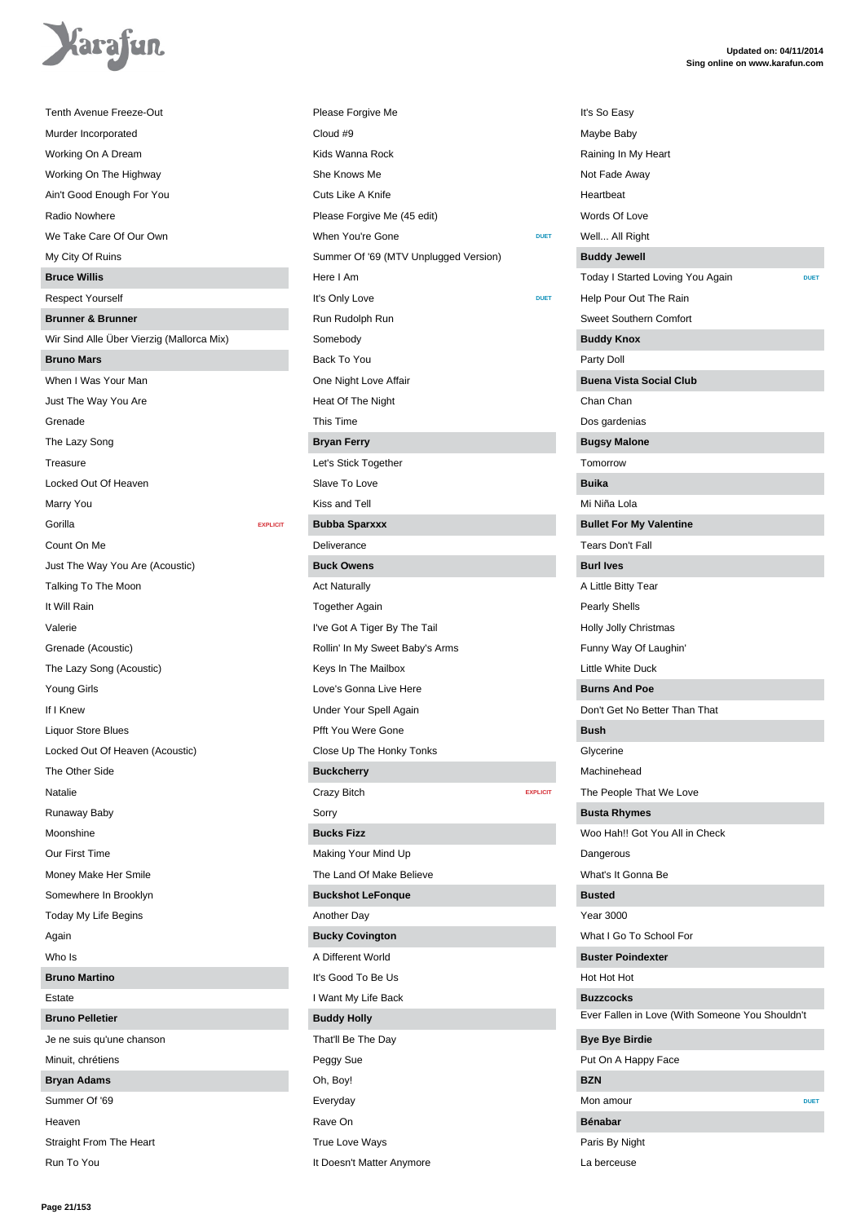

Tenth Avenue Freeze-Out Murder Incorporated Working On A Dream Working On The Highway Ain't Good Enough For You Radio Nowhere We Take Care Of Our Own My City Of Ruins **Bruce Willis** Respect Yourself **Brunner & Brunner** Wir Sind Alle Über Vierzig (Mallorca Mix) **Bruno Mars** When I Was Your Man Just The Way You Are Grenade The Lazy Song Treasure Locked Out Of Heaven Marry You Gorilla **EXPLICIT** Count On Me Just The Way You Are (Acoustic) Talking To The Moon It Will Rain Valerie Grenade (Acoustic) The Lazy Song (Acoustic) Young Girls If I Knew Liquor Store Blues Locked Out Of Heaven (Acoustic) The Other Side Natalie Runaway Baby Moonshine Our First Time Money Make Her Smile Somewhere In Brooklyn Today My Life Begins Again Who Is **Bruno Martino** Estate **Bruno Pelletier** Je ne suis qu'une chanson Minuit, chrétiens **Bryan Adams** Summer Of '69 Heaven Straight From The Heart

Please Forgive Me Cloud #9 Kids Wanna Rock She Knows Me Cuts Like A Knife Please Forgive Me (45 edit) When You're Gone **DUET** Summer Of '69 (MTV Unplugged Version) Here I Am **It's Only Love DUET** Run Rudolph Run Somebody Back To You One Night Love Affair Heat Of The Night This Time **Bryan Ferry** Let's Stick Together Slave To Love Kiss and Tell **Bubba Sparxxx** Deliverance **Buck Owens** Act Naturally Together Again I've Got A Tiger By The Tail Rollin' In My Sweet Baby's Arms Keys In The Mailbox Love's Gonna Live Here Under Your Spell Again Pfft You Were Gone Close Up The Honky Tonks **Buckcherry Crazy Bitch** EXPLICIT Sorry **Bucks Fizz** Making Your Mind Up The Land Of Make Believe **Buckshot LeFonque** Another Day **Bucky Covington** A Different World It's Good To Be Us I Want My Life Back **Buddy Holly** That'll Be The Day Peggy Sue Oh, Boy! Everyday Rave On True Love Ways It Doesn't Matter Anymore

| It's So Easy                                    |             |
|-------------------------------------------------|-------------|
| Maybe Baby                                      |             |
| Raining In My Heart                             |             |
| Not Fade Away                                   |             |
| Heartbeat                                       |             |
| Words Of Love                                   |             |
| Well All Right                                  |             |
| <b>Buddy Jewell</b>                             |             |
| Today I Started Loving You Again                | <b>DUET</b> |
| Help Pour Out The Rain                          |             |
| <b>Sweet Southern Comfort</b>                   |             |
| <b>Buddy Knox</b>                               |             |
| Party Doll                                      |             |
| <b>Buena Vista Social Club</b>                  |             |
| Chan Chan                                       |             |
| Dos gardenias                                   |             |
| <b>Bugsy Malone</b>                             |             |
| Tomorrow                                        |             |
| <b>Buika</b>                                    |             |
| Mi Niña Lola                                    |             |
| <b>Bullet For My Valentine</b>                  |             |
| <b>Tears Don't Fall</b>                         |             |
| <b>Burl Ives</b>                                |             |
| A Little Bitty Tear                             |             |
| <b>Pearly Shells</b>                            |             |
|                                                 |             |
| Holly Jolly Christmas                           |             |
| Funny Way Of Laughin'                           |             |
| <b>Little White Duck</b>                        |             |
| <b>Burns And Poe</b>                            |             |
| Don't Get No Better Than That                   |             |
| <b>Bush</b>                                     |             |
| Glycerine                                       |             |
| Machinehead                                     |             |
| The People That We Love                         |             |
| <b>Busta Rhymes</b>                             |             |
| Woo Hah!! Got You All in Check                  |             |
| Dangerous                                       |             |
| What's It Gonna Be                              |             |
| <b>Busted</b>                                   |             |
| <b>Year 3000</b>                                |             |
| What I Go To School For                         |             |
| <b>Buster Poindexter</b>                        |             |
| Hot Hot Hot                                     |             |
| <b>Buzzcocks</b>                                |             |
| Ever Fallen in Love (With Someone You Shouldn't |             |
| <b>Bye Bye Birdie</b>                           |             |
| Put On A Happy Face                             |             |
| <b>BZN</b>                                      |             |
| Mon amour                                       | <b>DUET</b> |
| <b>Bénabar</b>                                  |             |
| Paris By Night                                  |             |
| La berceuse                                     |             |

Run To You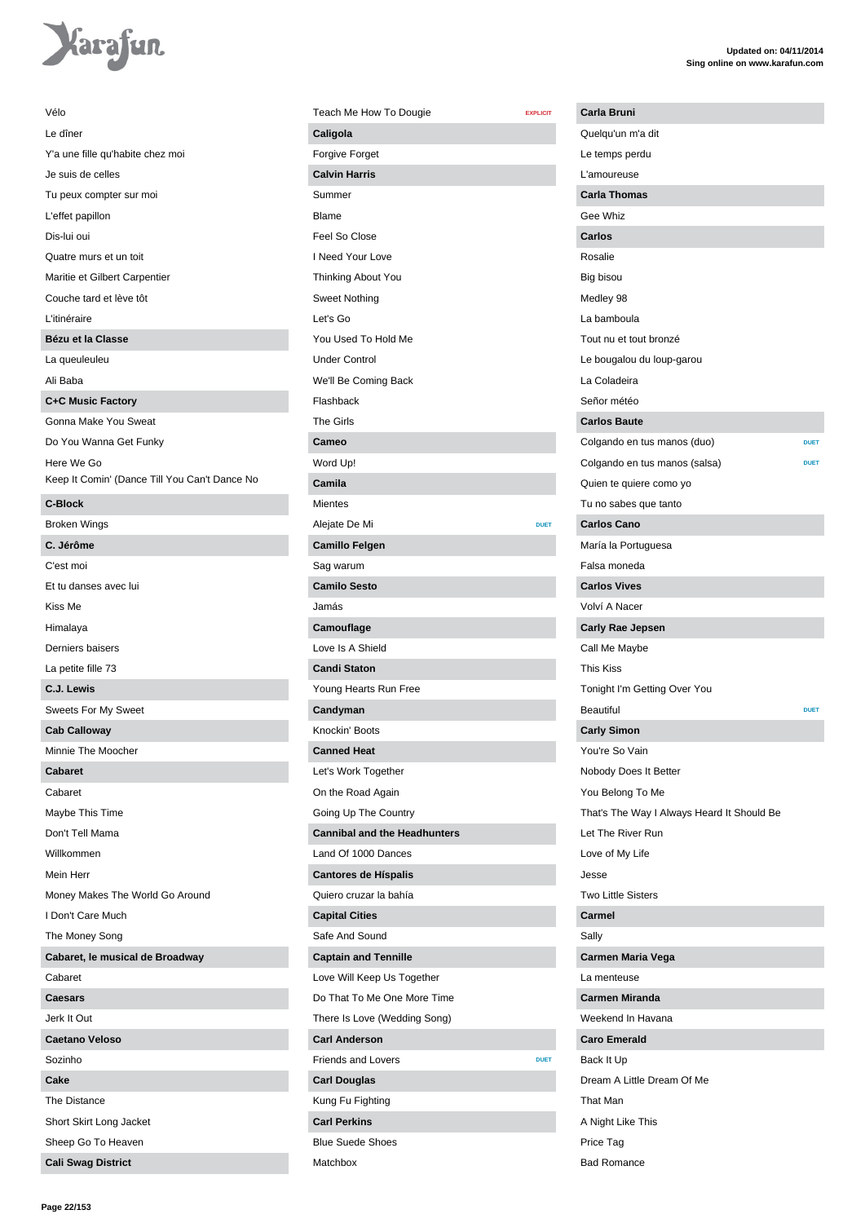

| Vélo                                          | Teach Me How To Dougie              |
|-----------------------------------------------|-------------------------------------|
| Le dîner                                      | Caligola                            |
| Y'a une fille qu'habite chez moi              | Forgive Forget                      |
| Je suis de celles                             | <b>Calvin Harris</b>                |
| Tu peux compter sur moi                       | Summer                              |
| L'effet papillon                              | <b>Blame</b>                        |
| Dis-lui oui                                   | Feel So Close                       |
| Quatre murs et un toit                        | I Need Your Love                    |
| Maritie et Gilbert Carpentier                 | Thinking About You                  |
| Couche tard et lève tôt                       | <b>Sweet Nothing</b>                |
| L'itinéraire                                  | Let's Go                            |
| Bézu et la Classe                             | You Used To Hold Me                 |
| La queuleuleu                                 | <b>Under Control</b>                |
| Ali Baba                                      | We'll Be Coming Back                |
| C+C Music Factory                             | Flashback                           |
| Gonna Make You Sweat                          | The Girls                           |
| Do You Wanna Get Funky                        | Cameo                               |
| Here We Go                                    | Word Up!                            |
| Keep It Comin' (Dance Till You Can't Dance No | Camila                              |
| C-Block                                       | Mientes                             |
| <b>Broken Wings</b>                           | Alejate De Mi                       |
| C. Jérôme                                     | <b>Camillo Felgen</b>               |
| C'est moi                                     | Sag warum                           |
| Et tu danses avec lui                         | <b>Camilo Sesto</b>                 |
| Kiss Me                                       | Jamás                               |
| Himalaya                                      | Camouflage                          |
| Derniers baisers                              | Love Is A Shield                    |
| La petite fille 73                            | <b>Candi Staton</b>                 |
| C.J. Lewis                                    | Young Hearts Run Free               |
| Sweets For My Sweet                           | Candyman                            |
| <b>Cab Calloway</b>                           | Knockin' Boots                      |
| Minnie The Moocher                            | <b>Canned Heat</b>                  |
| Cabaret                                       | Let's Work Together                 |
| Cabaret                                       | On the Road Again                   |
| Maybe This Time                               | Going Up The Country                |
| Don't Tell Mama                               | <b>Cannibal and the Headhunters</b> |
| Willkommen                                    | Land Of 1000 Dances                 |
| Mein Herr                                     | Cantores de Híspalis                |
| Money Makes The World Go Around               | Quiero cruzar la bahía              |
| I Don't Care Much                             | <b>Capital Cities</b>               |
| The Money Song                                | Safe And Sound                      |
| Cabaret, le musical de Broadway               | <b>Captain and Tennille</b>         |
| Cabaret                                       | Love Will Keep Us Together          |
| Caesars                                       | Do That To Me One More Time         |
| Jerk It Out                                   | There Is Love (Wedding Song)        |
| Caetano Veloso                                | <b>Carl Anderson</b>                |
| Sozinho                                       | <b>Friends and Lovers</b>           |
| Cake                                          | <b>Carl Douglas</b>                 |
| The Distance                                  | Kung Fu Fighting                    |
| Short Skirt Long Jacket                       | <b>Carl Perkins</b>                 |
| Sheep Go To Heaven                            | <b>Blue Suede Shoes</b>             |
| Cali Swag District                            | Matchbox                            |

### **The Me How To Dougie And Accept Contract CONCE Aleger De Mi DUET Friends and Lovers DUET Carla Bruni** Quelqu'un m'a dit Le temps perdu L'amoureuse **Carla Thomas** Gee Whiz **Carlos** Rosalie Big bisou Medley 98 La bamboula Tout nu et tout bronzé Le bougalou du loup-garou La Coladeira Señor météo **Carlos Baute Colgando en tus manos (duo) DUET** Colgando en tus manos (salsa) **DUET** Quien te quiere como yo Tu no sabes que tanto **Carlos Cano** María la Portuguesa Falsa moneda **Carlos Vives** Volví A Nacer **Carly Rae Jepsen** Call Me Maybe This Kiss Tonight I'm Getting Over You **Beautiful Carly Simon** You're So Vain Nobody Does It Better You Belong To Me That's The Way I Always Heard It Should Be Let The River Run Love of My Life Jesse Two Little Sisters **Carmel** Sally **Carmen Maria Vega** La menteuse **Carmen Miranda** Weekend In Havana **Caro Emerald** Back It Up Dream A Little Dream Of Me That Man A Night Like This Price Tag

Bad Romance

### **Updated on: 04/11/2014 Sing online on www.karafun.com**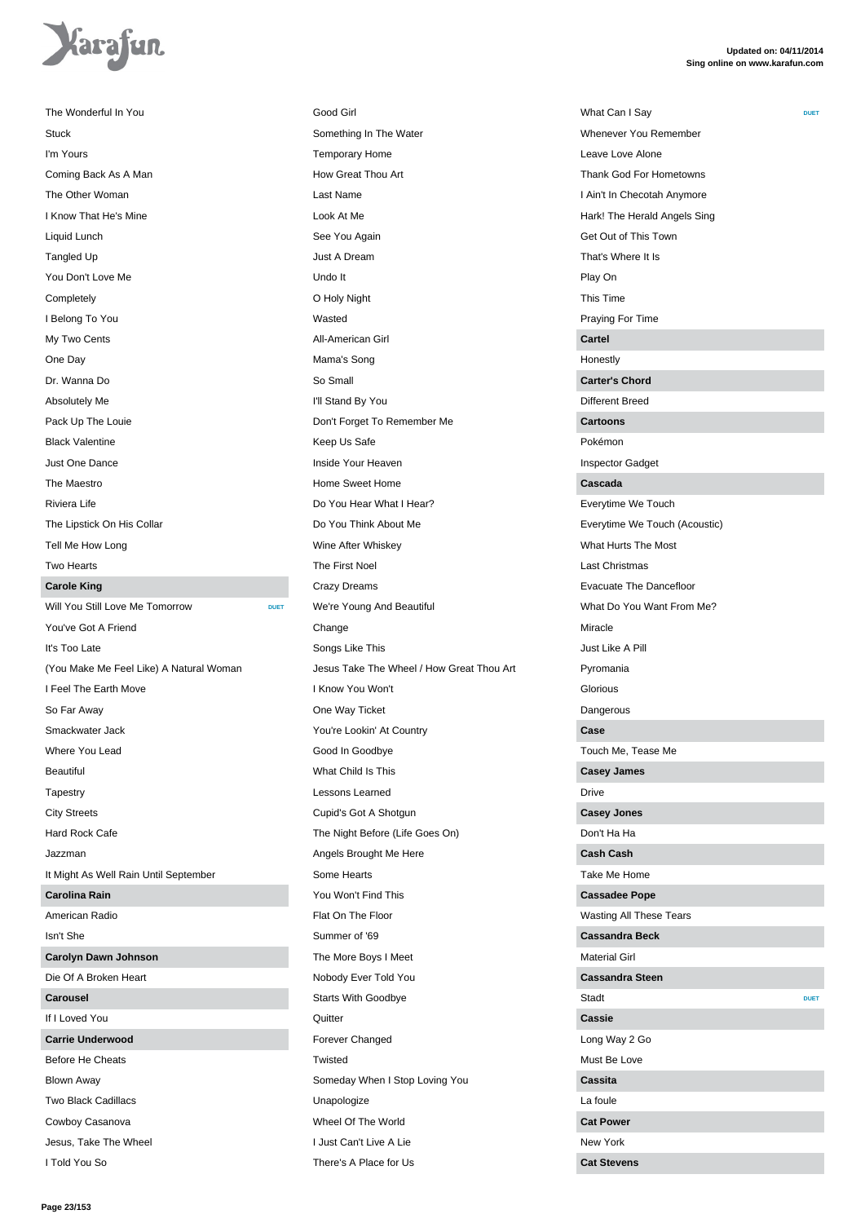

The Wonderful In You Stuck I'm Yours Coming Back As A Man The Other Woman I Know That He's Mine Liquid Lunch Tangled Up You Don't Love Me Completely I Belong To You My Two Cents One Day Dr. Wanna Do Absolutely Me Pack Up The Louie Black Valentine Just One Dance The Maestro Riviera Life The Lipstick On His Collar Tell Me How Long Two Hearts **Carole King** Will You Still Love Me Tomorrow **DUET** You've Got A Friend It's Too Late (You Make Me Feel Like) A Natural Woman I Feel The Earth Move So Far Away Smackwater Jack Where You Lead Beautiful **Tapestry** City Streets Hard Rock Cafe Jazzman It Might As Well Rain Until September **Carolina Rain** American Radio Isn't She **Carolyn Dawn Johnson** Die Of A Broken Heart **Carousel** If I Loved You **Carrie Underwood** Before He Cheats Blown Away Two Black Cadillacs Cowboy Casanova Jesus, Take The Wheel

Good Girl Something In The Water Temporary Home How Great Thou Art Last Name Look At Me See You Again Just A Dream Undo It O Holy Night Wasted All-American Girl Mama's Song So Small I'll Stand By You Don't Forget To Remember Me Keep Us Safe Inside Your Heaven Home Sweet Home Do You Hear What I Hear? Do You Think About Me Wine After Whiskey The First Noel Crazy Dreams We're Young And Beautiful Change Songs Like This Jesus Take The Wheel / How Great Thou Art I Know You Won't One Way Ticket You're Lookin' At Country Good In Goodbye What Child Is This Lessons Learned Cupid's Got A Shotgun The Night Before (Life Goes On) Angels Brought Me Here Some Hearts You Won't Find This Flat On The Floor Summer of '69 The More Boys I Meet Nobody Ever Told You Starts With Goodbye **Quitter** Forever Changed Twisted Someday When I Stop Loving You Unapologize Wheel Of The World I Just Can't Live A Lie There's A Place for Us

What Can I Say **DUET** Whenever You Remember Leave Love Alone Thank God For Hometowns I Ain't In Checotah Anymore Hark! The Herald Angels Sing Get Out of This Town That's Where It Is Play On This Time Praying For Time **Cartel** Honestly **Carter's Chord** Different Breed **Cartoons** Pokémon Inspector Gadget **Cascada** Everytime We Touch Everytime We Touch (Acoustic) What Hurts The Most Last Christmas Evacuate The Dancefloor What Do You Want From Me? Miracle Just Like A Pill Pyromania Glorious Dangerous **Case** Touch Me, Tease Me **Casey James** Drive **Casey Jones** Don't Ha Ha **Cash Cash** Take Me Home **Cassadee Pope** Wasting All These Tears **Cassandra Beck** Material Girl **Cassandra Steen** Stadt **DUET Cassie** Long Way 2 Go Must Be Love **Cassita** La foule **Cat Power** New York **Cat Stevens**

I Told You So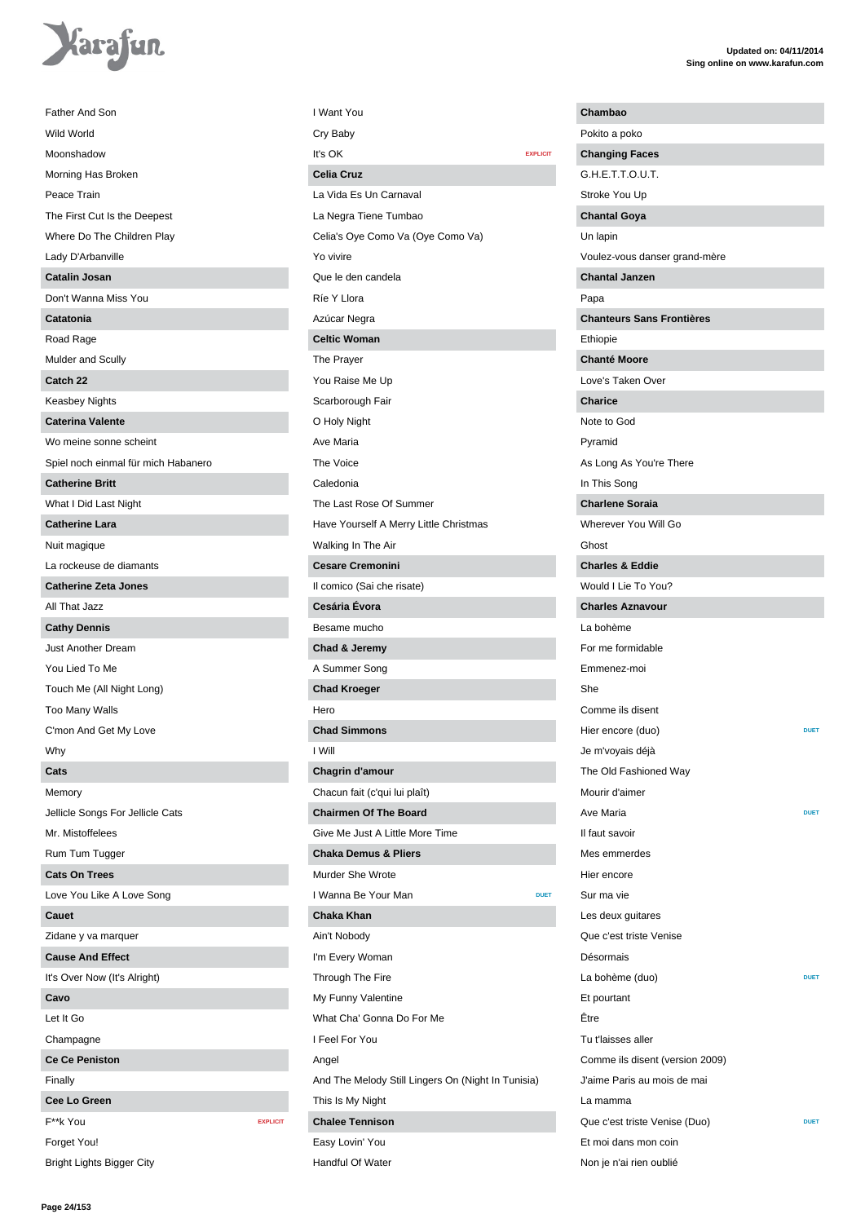

| Father And Son                          |                 |
|-----------------------------------------|-----------------|
| Wild World                              |                 |
| Moonshadow                              |                 |
| Morning Has Broken                      |                 |
| Peace Train                             |                 |
| The First Cut Is the Deepest            |                 |
| Where Do The Children Play              |                 |
| Lady D'Arbanville                       |                 |
| <b>Catalin Josan</b>                    |                 |
| Don't Wanna Miss You                    |                 |
| Catatonia                               |                 |
| Road Rage                               |                 |
| Mulder and Scully                       |                 |
| Catch 22                                |                 |
| <b>Keasbey Nights</b>                   |                 |
| <b>Caterina Valente</b>                 |                 |
| Wo meine sonne scheint                  |                 |
| Spiel noch einmal für mich Habanero     |                 |
| <b>Catherine Britt</b>                  |                 |
| What I Did Last Night                   |                 |
| <b>Catherine Lara</b>                   |                 |
|                                         |                 |
| Nuit magique<br>La rockeuse de diamants |                 |
|                                         |                 |
| <b>Catherine Zeta Jones</b>             |                 |
| All That Jazz                           |                 |
| <b>Cathy Dennis</b>                     |                 |
| <b>Just Another Dream</b>               |                 |
| You Lied To Me                          |                 |
| Touch Me (All Night Long)               |                 |
| <b>Too Many Walls</b>                   |                 |
| C'mon And Get My Love                   |                 |
| Why                                     |                 |
| Cats                                    |                 |
| Memory                                  |                 |
| Jellicle Songs For Jellicle Cats        |                 |
| Mr. Mistoffelees                        |                 |
| Rum Tum Tugger                          |                 |
| <b>Cats On Trees</b>                    |                 |
| Love You Like A Love Song               |                 |
| Cauet                                   |                 |
| Zidane y va marquer                     |                 |
| <b>Cause And Effect</b>                 |                 |
| It's Over Now (It's Alright)            |                 |
| Cavo                                    |                 |
| Let It Go                               |                 |
| Champagne                               |                 |
| <b>Ce Ce Peniston</b>                   |                 |
| Finally                                 |                 |
| Cee Lo Green                            |                 |
| F**k You                                | <b>EXPLICIT</b> |
| Forget You!                             |                 |

I Want You Cry Baby It's OK **EXPLICIT Celia Cruz** La Vida Es Un Carnaval La Negra Tiene Tumbao Celia's Oye Como Va (Oye Como Va) Yo vivire Que le den candela Ríe Y Llora Azúcar Negra **Celtic Woman** The Prayer You Raise Me Up Scarborough Fair O Holy Night Ave Maria The Voice Caledonia The Last Rose Of Summer Have Yourself A Merry Little Christmas Walking In The Air **Cesare Cremonini** Il comico (Sai che risate) **Cesária Évora** Besame mucho **Chad & Jeremy** A Summer Song **Chad Kroeger** Hero **Chad Simmons** I Will **Chagrin d'amour** Chacun fait (c'qui lui plaît) **Chairmen Of The Board** Give Me Just A Little More Time **Chaka Demus & Pliers** Murder She Wrote **I Wanna Be Your Man DUET Chaka Khan** Ain't Nobody I'm Every Woman Through The Fire My Funny Valentine What Cha' Gonna Do For Me I Feel For You Angel And The Melody Still Lingers On (Night In Tunisia) This Is My Night **Chalee Tennison** Easy Lovin' You Handful Of Water

#### **Updated on: 04/11/2014 Sing online on www.karafun.com**

| Chambao                          |             |
|----------------------------------|-------------|
| Pokito a poko                    |             |
| <b>Changing Faces</b>            |             |
| G.H.E.T.T.O.U.T.                 |             |
| Stroke You Up                    |             |
| <b>Chantal Goya</b>              |             |
| Un lapin                         |             |
| Voulez-vous danser grand-mère    |             |
| <b>Chantal Janzen</b>            |             |
| Papa                             |             |
| <b>Chanteurs Sans Frontières</b> |             |
| Ethiopie                         |             |
| <b>Chanté Moore</b>              |             |
| Love's Taken Over                |             |
| <b>Charice</b>                   |             |
| Note to God                      |             |
| Pyramid                          |             |
| As Long As You're There          |             |
| In This Song                     |             |
| <b>Charlene Soraia</b>           |             |
| Wherever You Will Go             |             |
| Ghost                            |             |
| <b>Charles &amp; Eddie</b>       |             |
| Would I Lie To You?              |             |
| <b>Charles Aznavour</b>          |             |
| La bohème                        |             |
| For me formidable                |             |
| Emmenez-moi                      |             |
| She                              |             |
| Comme ils disent                 |             |
| Hier encore (duo)                | <b>DUET</b> |
| Je m'voyais déjà                 |             |
| The Old Fashioned Way            |             |
| Mourir d'aimer                   |             |
| Ave Maria                        | <b>DUET</b> |
| Il faut savoir                   |             |
| Mes emmerdes                     |             |
| Hier encore                      |             |
| Sur ma vie                       |             |
| Les deux guitares                |             |
| Que c'est triste Venise          |             |
| Désormais                        |             |
| La bohème (duo)                  | <b>DUET</b> |
| Et pourtant                      |             |
| Être                             |             |
| Tu t'laisses aller               |             |
| Comme ils disent (version 2009)  |             |
| J'aime Paris au mois de mai      |             |
| La mamma                         |             |
| Que c'est triste Venise (Duo)    | <b>DUET</b> |
| Et moi dans mon coin             |             |
| Non je n'ai rien oublié          |             |

Bright Lights Bigger City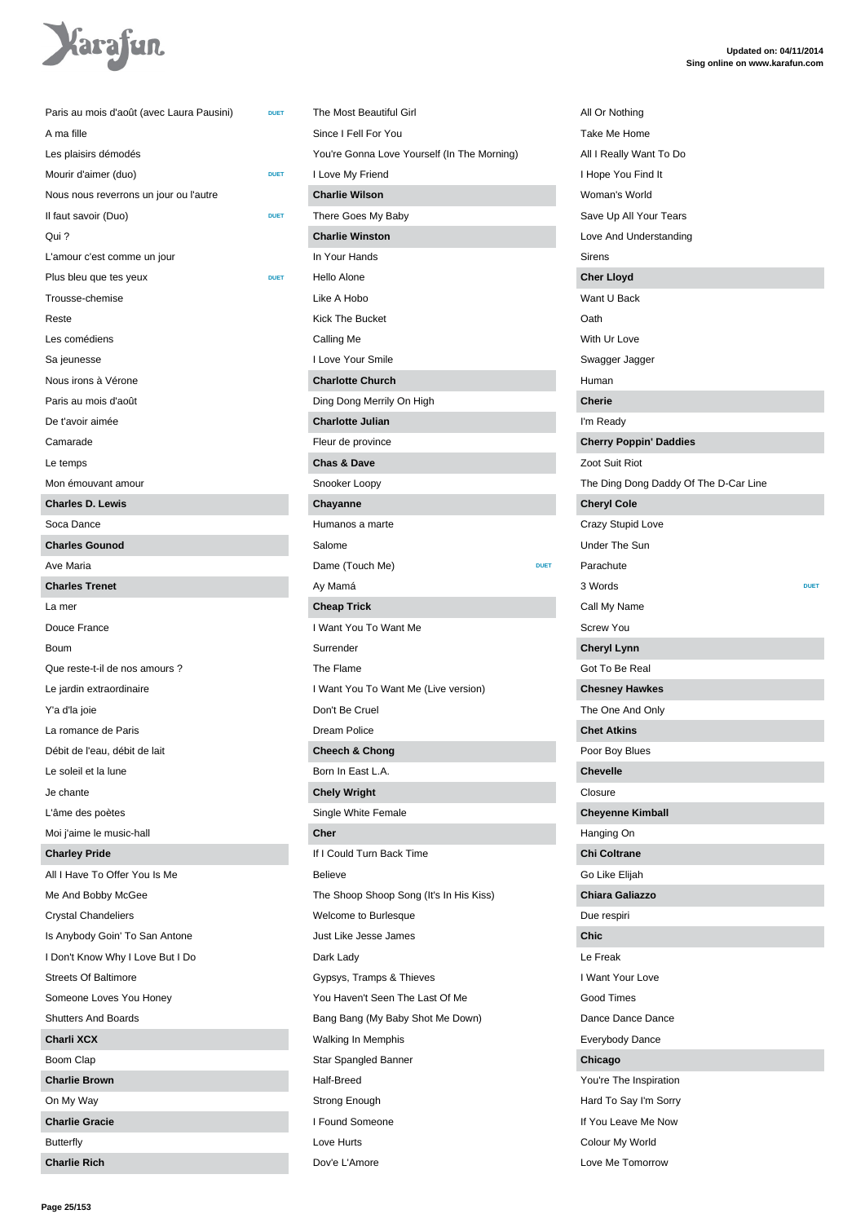

| Paris au mois d'août (avec Laura Pausini) | <b>DUET</b> |
|-------------------------------------------|-------------|
| A ma fille                                |             |
| Les plaisirs démodés                      |             |
| Mourir d'aimer (duo)                      | <b>DUET</b> |
| Nous nous reverrons un jour ou l'autre    |             |
| Il faut savoir (Duo)                      | <b>DUET</b> |
| Qui ?                                     |             |
| L'amour c'est comme un jour               |             |
| Plus bleu que tes yeux                    | <b>DUET</b> |
| Trousse-chemise                           |             |
| Reste                                     |             |
| Les comédiens                             |             |
| Sa jeunesse                               |             |
| Nous irons à Vérone                       |             |
| Paris au mois d'août                      |             |
| De t'avoir aimée                          |             |
| Camarade                                  |             |
| Le temps                                  |             |
| Mon émouvant amour                        |             |
| <b>Charles D. Lewis</b>                   |             |
| Soca Dance                                |             |
| <b>Charles Gounod</b>                     |             |
| Ave Maria                                 |             |
| <b>Charles Trenet</b>                     |             |
| La mer                                    |             |
| Douce France                              |             |
| Boum                                      |             |
| Que reste-t-il de nos amours ?            |             |
| Le jardin extraordinaire                  |             |
| Y'a d'la joie                             |             |
| La romance de Paris                       |             |
| Débit de l'eau, débit de lait             |             |
| Le soleil et la lune                      |             |
| Je chante                                 |             |
| L'âme des poètes                          |             |
| Moi j'aime le music-hall                  |             |
| <b>Charley Pride</b>                      |             |
| All I Have To Offer You Is Me             |             |
| Me And Bobby McGee                        |             |
| <b>Crystal Chandeliers</b>                |             |
| Is Anybody Goin' To San Antone            |             |
| I Don't Know Why I Love But I Do          |             |
| <b>Streets Of Baltimore</b>               |             |
| Someone Loves You Honey                   |             |
| <b>Shutters And Boards</b>                |             |
| <b>Charli XCX</b>                         |             |
| Boom Clap                                 |             |
| <b>Charlie Brown</b>                      |             |
| On My Way                                 |             |
| <b>Charlie Gracie</b>                     |             |
|                                           |             |

| The Most Beautiful Girl                     |             |
|---------------------------------------------|-------------|
| Since I Fell For You                        |             |
| You're Gonna Love Yourself (In The Morning) |             |
| I Love My Friend                            |             |
| <b>Charlie Wilson</b>                       |             |
| There Goes My Baby                          |             |
| <b>Charlie Winston</b>                      |             |
| In Your Hands                               |             |
| Hello Alone                                 |             |
| Like A Hobo                                 |             |
| <b>Kick The Bucket</b>                      |             |
| Calling Me                                  |             |
| I Love Your Smile                           |             |
| <b>Charlotte Church</b>                     |             |
| Ding Dong Merrily On High                   |             |
| <b>Charlotte Julian</b>                     |             |
| Fleur de province                           |             |
| <b>Chas &amp; Dave</b>                      |             |
| Snooker Loopy                               |             |
| Chayanne                                    |             |
| Humanos a marte                             |             |
| Salome                                      |             |
| Dame (Touch Me)                             | <b>DUET</b> |
| Ay Mamá                                     |             |
| <b>Cheap Trick</b>                          |             |
| I Want You To Want Me                       |             |
| Surrender                                   |             |
| The Flame                                   |             |
| I Want You To Want Me (Live version)        |             |
| Don't Be Cruel                              |             |
| <b>Dream Police</b>                         |             |
| Cheech & Chon                               |             |
| Born In East L.A.                           |             |
| <b>Chely Wright</b>                         |             |
| Single White Female                         |             |
| <b>Cher</b>                                 |             |
| If I Could Turn Back Time                   |             |
| Believe                                     |             |
| The Shoop Shoop Song (It's In His Kiss)     |             |
| Welcome to Burlesque                        |             |
| Just Like Jesse James                       |             |
| Dark Lady                                   |             |
| Gypsys, Tramps & Thieves                    |             |
| You Haven't Seen The Last Of Me             |             |
| Bang Bang (My Baby Shot Me Down)            |             |
| Walking In Memphis                          |             |
| Star Spangled Banner                        |             |
| Half-Breed                                  |             |
| Strong Enough                               |             |
| I Found Someone                             |             |
| Love Hurts                                  |             |
| Dov'e L'Amore                               |             |

| Take Me Home                          |
|---------------------------------------|
| All I Really Want To Do               |
| I Hope You Find It                    |
| Woman's World                         |
| Save Up All Your Tears                |
| Love And Understanding                |
| Sirens                                |
| <b>Cher Lloyd</b>                     |
| Want U Back                           |
| Oath                                  |
| With Ur Love                          |
| Swagger Jagger                        |
| Human                                 |
| <b>Cherie</b>                         |
| I'm Ready                             |
| <b>Cherry Poppin' Daddies</b>         |
| Zoot Suit Riot                        |
| The Ding Dong Daddy Of The D-Car Line |
| <b>Cheryl Cole</b>                    |
| Crazy Stupid Love                     |
| Under The Sun                         |
| Parachute                             |
| 3 Words<br><b>DUET</b>                |
| Call My Name                          |
| <b>Screw You</b>                      |
| <b>Cheryl Lynn</b>                    |
| Got To Be Real                        |
| <b>Chesney Hawkes</b>                 |
| The One And Only                      |
| <b>Chet Atkins</b>                    |
| Poor Boy Blues                        |
| <b>Chevelle</b>                       |
|                                       |
|                                       |
| Closure                               |
| <b>Cheyenne Kimball</b>               |
| Hanging On                            |
| <b>Chi Coltrane</b>                   |
| Go Like Elijah                        |
| Chiara Galiazzo                       |
| Due respiri                           |
| <b>Chic</b>                           |
| Le Freak                              |
| I Want Your Love                      |
| Good Times                            |
| Dance Dance Dance                     |
| <b>Everybody Dance</b>                |
| Chicago                               |
| You're The Inspiration                |
| Hard To Say I'm Sorry                 |
| If You Leave Me Now                   |
| Colour My World<br>Love Me Tomorrow   |

**Charlie Rich**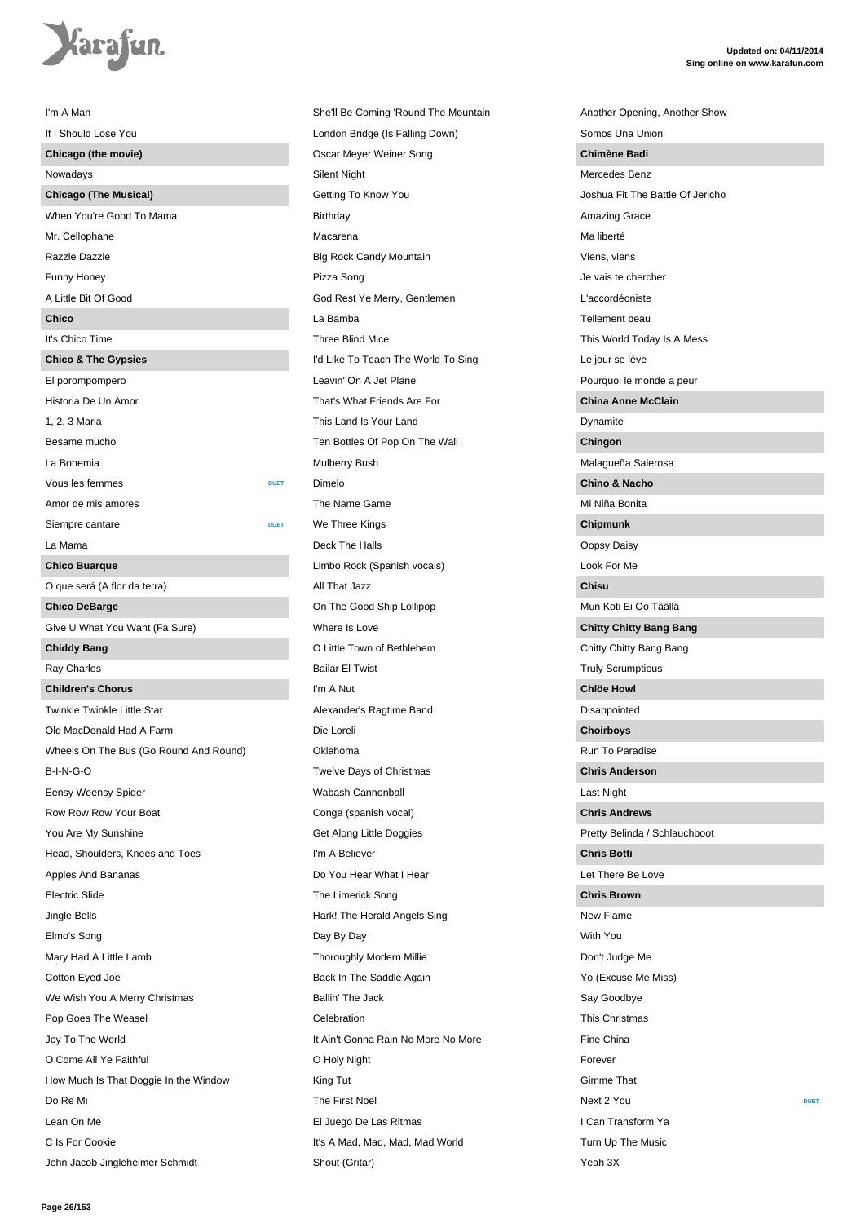

| I'm A Man                              |             |
|----------------------------------------|-------------|
| If I Should Lose You                   |             |
| Chicago (the movie)                    |             |
| Nowadays                               |             |
| <b>Chicago (The Musical)</b>           |             |
| When You're Good To Mama               |             |
| Mr. Cellophane                         |             |
| Razzle Dazzle                          |             |
| Funny Honey                            |             |
| A Little Bit Of Good                   |             |
| <b>Chico</b>                           |             |
| It's Chico Time                        |             |
| <b>Chico &amp; The Gypsies</b>         |             |
| El porompompero                        |             |
| Historia De Un Amor                    |             |
| 1, 2, 3 Maria                          |             |
| Besame mucho                           |             |
| La Bohemia                             |             |
| Vous les femmes                        | <b>DUET</b> |
| Amor de mis amores                     |             |
| Siempre cantare                        | <b>DUET</b> |
| La Mama                                |             |
| <b>Chico Buarque</b>                   |             |
| O que será (A flor da terra)           |             |
| <b>Chico DeBarge</b>                   |             |
| Give U What You Want (Fa Sure)         |             |
| <b>Chiddy Bang</b>                     |             |
| <b>Ray Charles</b>                     |             |
| <b>Children's Chorus</b>               |             |
| <b>Twinkle Twinkle Little Star</b>     |             |
| Old MacDonald Had A Farm               |             |
| Wheels On The Bus (Go Round And Round) |             |
| B-I-N-G-O                              |             |
| Eensy Weensy Spider                    |             |
| Row Row Row Your Boat                  |             |
| You Are My Sunshine                    |             |
| Head, Shoulders, Knees and Toes        |             |
| Apples And Bananas                     |             |
| <b>Electric Slide</b>                  |             |
| <b>Jingle Bells</b>                    |             |
| Elmo's Song                            |             |
| Mary Had A Little Lamb                 |             |
| Cotton Eyed Joe                        |             |
| We Wish You A Merry Christmas          |             |
| Pop Goes The Weasel                    |             |
| Joy To The World                       |             |
| O Come All Ye Faithful                 |             |
| How Much Is That Doggie In the Window  |             |
| Do Re Mi                               |             |
| Lean On Me                             |             |
| C Is For Cookie                        |             |
|                                        |             |

She'll Be Coming 'Round The Mountain London Bridge (Is Falling Down) Oscar Meyer Weiner Song Silent Night Getting To Know You Birthday Macarena Big Rock Candy Mountain Pizza Song God Rest Ye Merry, Gentlemen La Bamba Three Blind Mice I'd Like To Teach The World To Sing Leavin' On A Jet Plane That's What Friends Are For This Land Is Your Land Ten Bottles Of Pop On The Wall Mulberry Bush Dimelo The Name Game We Three Kings Deck The Halls Limbo Rock (Spanish vocals) All That Jazz On The Good Ship Lollipop Where Is Love O Little Town of Bethlehem Bailar El Twist I'm A Nut Alexander's Ragtime Band Die Loreli Oklahoma Twelve Days of Christmas Wabash Cannonball Conga (spanish vocal) Get Along Little Doggies I'm A Believer Do You Hear What I Hear The Limerick Song Hark! The Herald Angels Sing Day By Day Thoroughly Modern Millie Back In The Saddle Again Ballin' The Jack Celebration It Ain't Gonna Rain No More No More O Holy Night King Tut The First Noel El Juego De Las Ritmas It's A Mad, Mad, Mad, Mad World Shout (Gritar)

Another Opening, Another Show Somos Una Union **Chimène Badi** Mercedes Benz Joshua Fit The Battle Of Jericho Amazing Grace Ma liberté Viens, viens Je vais te chercher L'accordéoniste Tellement beau This World Today Is A Mess Le jour se lève Pourquoi le monde a peur **China Anne McClain** Dynamite **Chingon** Malagueña Salerosa **Chino & Nacho** Mi Niña Bonita **Chipmunk** Oopsy Daisy Look For Me **Chisu** Mun Koti Ei Oo Täällä **Chitty Chitty Bang Bang** Chitty Chitty Bang Bang Truly Scrumptious **Chlöe Howl** Disappointed **Choirboys** Run To Paradise **Chris Anderson** Last Night **Chris Andrews** Pretty Belinda / Schlauchboot **Chris Botti** Let There Be Love **Chris Brown** New Flame With You Don't Judge Me Yo (Excuse Me Miss) Say Goodbye This Christmas Fine China Forever Gimme That Next 2 You **DUET** I Can Transform Ya Turn Up The Music

Yeah 3X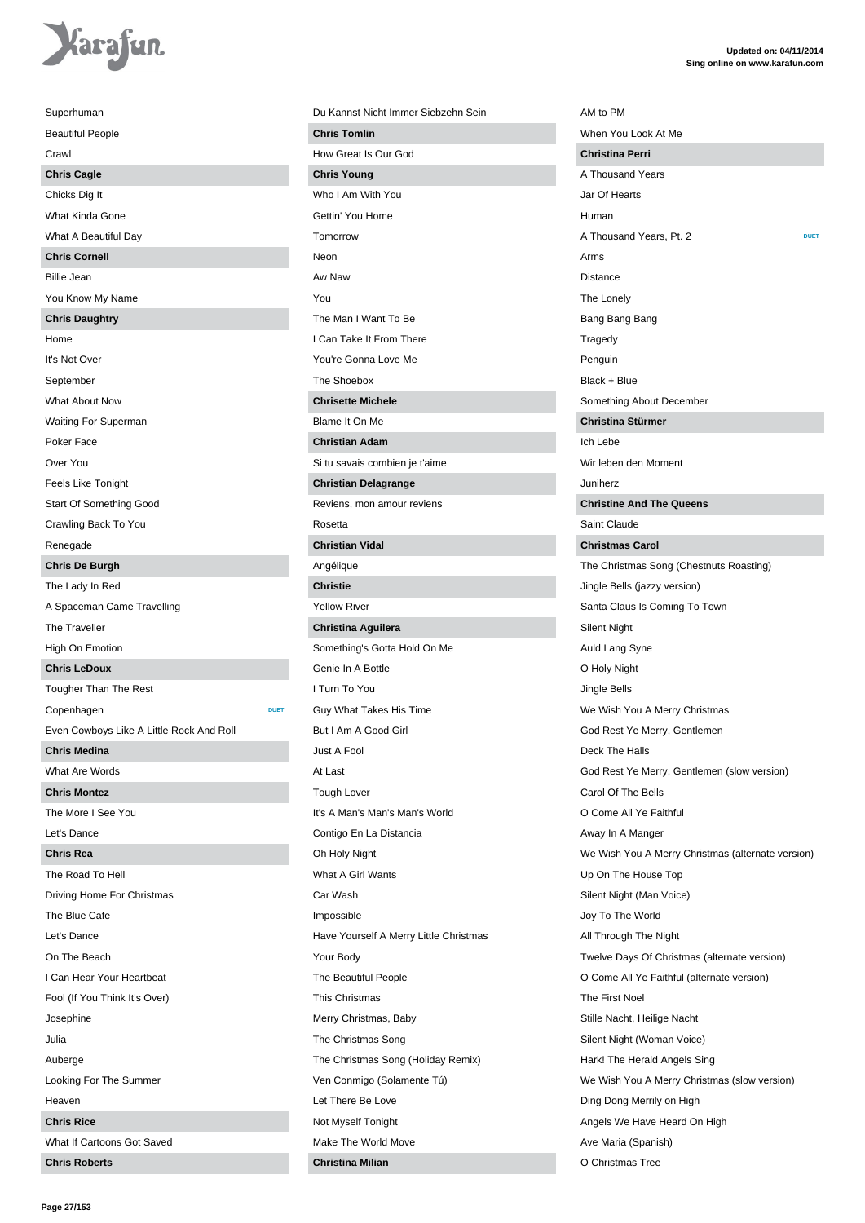

| Superhuman                               | Du Kannst Nicht Immer Siebzehn Sein    |
|------------------------------------------|----------------------------------------|
| <b>Beautiful People</b>                  | <b>Chris Tomlin</b>                    |
| Crawl                                    | How Great Is Our God                   |
| <b>Chris Cagle</b>                       | <b>Chris Young</b>                     |
| Chicks Dig It                            | Who I Am With You                      |
| What Kinda Gone                          | Gettin' You Home                       |
| What A Beautiful Day                     | Tomorrow                               |
| <b>Chris Cornell</b>                     | Neon                                   |
| <b>Billie Jean</b>                       | Aw Naw                                 |
| You Know My Name                         | You                                    |
| <b>Chris Daughtry</b>                    | The Man I Want To Be                   |
| Home                                     | I Can Take It From There               |
| It's Not Over                            | You're Gonna Love Me                   |
| September                                | The Shoebox                            |
| What About Now                           | <b>Chrisette Michele</b>               |
| Waiting For Superman                     | Blame It On Me                         |
| Poker Face                               | <b>Christian Adam</b>                  |
| Over You                                 | Si tu savais combien je t'aime         |
| Feels Like Tonight                       | <b>Christian Delagrange</b>            |
| <b>Start Of Something Good</b>           | Reviens, mon amour reviens             |
| Crawling Back To You                     | Rosetta                                |
| Renegade                                 | <b>Christian Vidal</b>                 |
| <b>Chris De Burgh</b>                    | Angélique                              |
| The Lady In Red                          | <b>Christie</b>                        |
| A Spaceman Came Travelling               | <b>Yellow River</b>                    |
| The Traveller                            | Christina Aguilera                     |
| High On Emotion                          | Something's Gotta Hold On Me           |
| <b>Chris LeDoux</b>                      | Genie In A Bottle                      |
| Tougher Than The Rest                    | I Turn To You                          |
| Copenhagen<br><b>DUET</b>                | Guy What Takes His Time                |
| Even Cowboys Like A Little Rock And Roll | But I Am A Good Girl                   |
| Chris Medina                             | Just A Fool                            |
| What Are Words                           | At Last                                |
| <b>Chris Montez</b>                      | Tough Lover                            |
| The More I See You                       | It's A Man's Man's Man's World         |
| Let's Dance                              | Contigo En La Distancia                |
| <b>Chris Rea</b>                         | Oh Holy Night                          |
| The Road To Hell                         | What A Girl Wants                      |
| Driving Home For Christmas               | Car Wash                               |
| The Blue Cafe                            | Impossible                             |
| Let's Dance                              | Have Yourself A Merry Little Christmas |
| On The Beach                             | Your Body                              |
| I Can Hear Your Heartbeat                | The Beautiful People                   |
| Fool (If You Think It's Over)            | This Christmas                         |
| Josephine                                | Merry Christmas, Baby                  |
| Julia                                    | The Christmas Song                     |
| Auberge                                  | The Christmas Song (Holiday Remix)     |
| Looking For The Summer                   | Ven Conmigo (Solamente Tú)             |
| Heaven                                   | Let There Be Love                      |
| <b>Chris Rice</b>                        | Not Myself Tonight                     |
| What If Cartoons Got Saved               | Make The World Move                    |
| <b>Chris Roberts</b>                     | <b>Christina Milian</b>                |

# How Great Is Our God **Chris Young** Who I Am With You Gettin' You Home Tomorrow Neon Aw Naw You The Man I Want To Be I Can Take It From There You're Gonna Love Me The Shoebox **Chrisette Michele** Blame It On Me **Christian Adam** Si tu savais combien je t'aime **Christian Delagrange** Reviens, mon amour reviens Rosetta **Christian Vidal** Angélique **Christie** Yellow River **Christina Aguilera** Something's Gotta Hold On Me Genie In A Bottle I Turn To You Guy What Takes His Time But I Am A Good Girl Just A Fool At Last Tough Lover It's A Man's Man's Man's World Contigo En La Distancia Oh Holy Night What A Girl Wants Car Wash Impossible Have Yourself A Merry Little Christmas Your Body The Beautiful People This Christmas Merry Christmas, Baby The Christmas Song The Christmas Song (Holiday Remix) Ven Conmigo (Solamente Tú) Let There Be Love Not Myself Tonight Make The World Move **Christina Milian**

#### **Updated on: 04/11/2014 Sing online on www.karafun.com**

| AM to PM                                          |
|---------------------------------------------------|
| When You Look At Me                               |
| <b>Christina Perri</b>                            |
| A Thousand Years                                  |
| Jar Of Hearts                                     |
| Human                                             |
| A Thousand Years, Pt. 2<br><b>DUET</b>            |
| Arms                                              |
| <b>Distance</b>                                   |
| The Lonely                                        |
| Bang Bang Bang                                    |
| Tragedy                                           |
| Penguin                                           |
| Black + Blue                                      |
| Something About December                          |
| Christina Stürmer                                 |
| Ich Lebe                                          |
| Wir leben den Moment                              |
| Juniherz                                          |
| <b>Christine And The Queens</b>                   |
| Saint Claude                                      |
| <b>Christmas Carol</b>                            |
| The Christmas Song (Chestnuts Roasting)           |
| Jingle Bells (jazzy version)                      |
| Santa Claus Is Coming To Town                     |
| Silent Night                                      |
| Auld Lang Syne                                    |
| O Holy Night                                      |
| Jingle Bells                                      |
| We Wish You A Merry Christmas                     |
| God Rest Ye Merry, Gentlemen                      |
| Deck The Halls                                    |
| God Rest Ye Merry, Gentlemen (slow version)       |
| Carol Of The Bells                                |
| O Come All Ye Faithful                            |
| Away In A Manger                                  |
| We Wish You A Merry Christmas (alternate version) |
| Up On The House Top                               |
| Silent Night (Man Voice)                          |
| Joy To The World                                  |
| All Through The Night                             |
| Twelve Days Of Christmas (alternate version)      |
| O Come All Ye Faithful (alternate version)        |
| The First Noel                                    |
| Stille Nacht, Heilige Nacht                       |
| Silent Night (Woman Voice)                        |
| Hark! The Herald Angels Sing                      |
| We Wish You A Merry Christmas (slow version)      |
| Ding Dong Merrily on High                         |
| Angels We Have Heard On High                      |
| Ave Maria (Spanish)                               |
| O Christmas Tree                                  |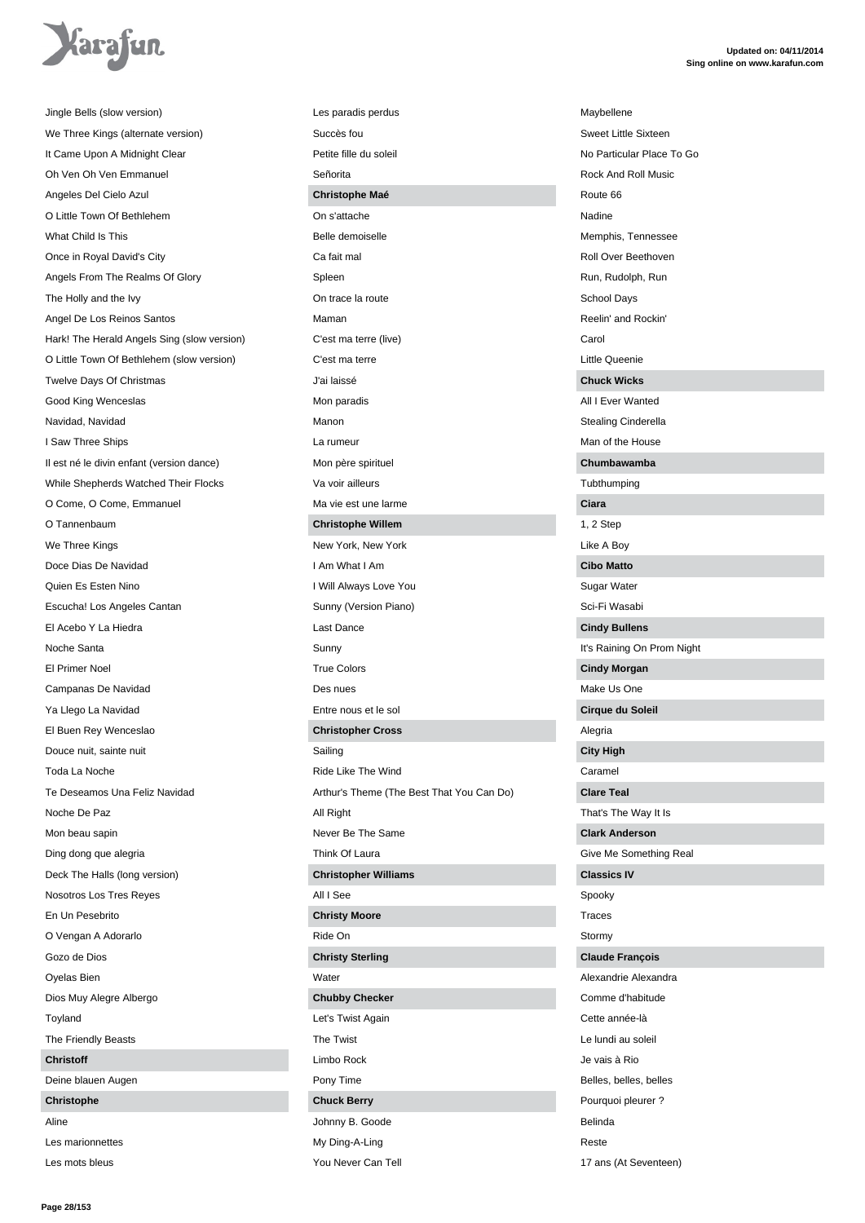

Jingle Bells (slow version) We Three Kings (alternate version) It Came Upon A Midnight Clear Oh Ven Oh Ven Emmanuel Angeles Del Cielo Azul O Little Town Of Bethlehem What Child Is This Once in Royal David's City Angels From The Realms Of Glory The Holly and the Ivy Angel De Los Reinos Santos Hark! The Herald Angels Sing (slow version) O Little Town Of Bethlehem (slow version) Twelve Days Of Christmas Good King Wenceslas Navidad, Navidad I Saw Three Ships Il est né le divin enfant (version dance) While Shepherds Watched Their Flocks O Come, O Come, Emmanuel O Tannenbaum We Three Kings Doce Dias De Navidad Quien Es Esten Nino Escucha! Los Angeles Cantan El Acebo Y La Hiedra Noche Santa El Primer Noel Campanas De Navidad Ya Llego La Navidad El Buen Rey Wenceslao Douce nuit, sainte nuit Toda La Noche Te Deseamos Una Feliz Navidad Noche De Paz Mon beau sapin Ding dong que alegria Deck The Halls (long version) Nosotros Los Tres Reyes En Un Pesebrito O Vengan A Adorarlo Gozo de Dios Oyelas Bien Dios Muy Alegre Albergo Toyland The Friendly Beasts **Christoff** Deine blauen Augen **Christophe** Aline

Les marionnettes Les mots bleus

Les paradis perdus Succès fou Petite fille du soleil Señorita **Christophe Maé** On s'attache Belle demoiselle Ca fait mal Spleen On trace la route Maman C'est ma terre (live) C'est ma terre J'ai laissé Mon paradis Manon La rumeur Mon père spirituel Va voir ailleurs Ma vie est une larme **Christophe Willem** New York, New York I Am What I Am I Will Always Love You Sunny (Version Piano) Last Dance Sunny True Colors Des nues Entre nous et le sol **Christopher Cross** Sailing Ride Like The Wind Arthur's Theme (The Best That You Can Do) All Right Never Be The Same Think Of Laura **Christopher Williams** All I See **Christy Moore** Ride On **Christy Sterling** Water **Chubby Checker** Let's Twist Again The Twist Limbo Rock Pony Time **Chuck Berry** Johnny B. Goode

My Ding-A-Ling You Never Can Tell

Maybellene Sweet Little Sixteen No Particular Place To Go Rock And Roll Music Route 66 Nadine Memphis, Tennessee Roll Over Beethoven Run, Rudolph, Run School Days Reelin' and Rockin' Carol Little Queenie **Chuck Wicks** All I Ever Wanted Stealing Cinderella Man of the House **Chumbawamba** Tubthumping **Ciara** 1, 2 Step Like A Boy **Cibo Matto** Sugar Water Sci-Fi Wasabi **Cindy Bullens** It's Raining On Prom Night **Cindy Morgan** Make Us One **Cirque du Soleil** Alegria **City High** Caramel **Clare Teal** That's The Way It Is **Clark Anderson** Give Me Something Real **Classics IV** Spooky Traces Stormy **Claude François** Alexandrie Alexandra Comme d'habitude Cette année-là Le lundi au soleil Je vais à Rio Belles, belles, belles Pourquoi pleurer ? Belinda Reste 17 ans (At Seventeen)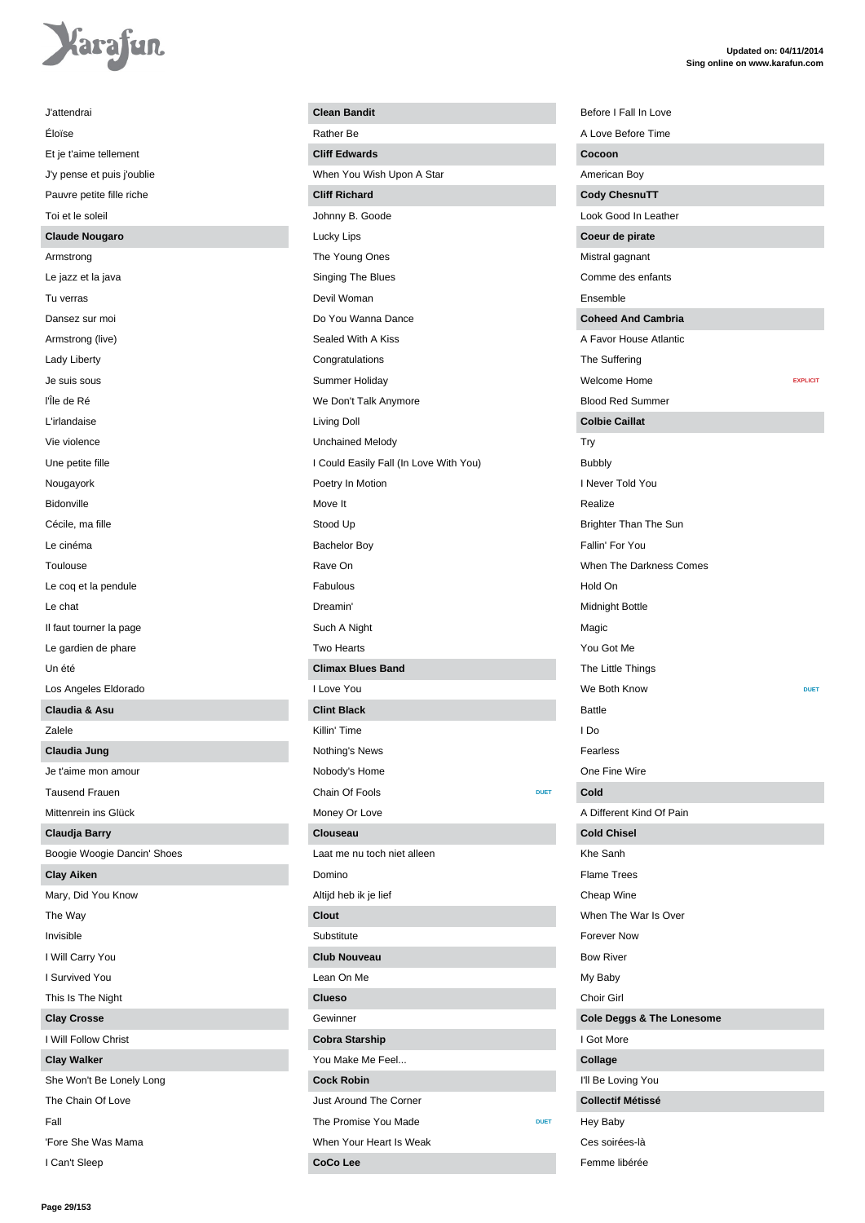

| J'attendrai                 |
|-----------------------------|
| Éloïse                      |
| Et je t'aime tellement      |
| J'y pense et puis j'oublie  |
| Pauvre petite fille riche   |
| Toi et le soleil            |
| <b>Claude Nougaro</b>       |
| Armstrong                   |
| Le jazz et la java          |
| Tu verras                   |
| Dansez sur moi              |
| Armstrong (live)            |
| Lady Liberty                |
| Je suis sous                |
| l'Île de Ré                 |
| L'irlandaise                |
| Vie violence                |
| Une petite fille            |
| Nougayork                   |
| Bidonville                  |
| Cécile, ma fille            |
| Le cinéma                   |
| Toulouse                    |
| Le coq et la pendule        |
| Le chat                     |
| Il faut tourner la page     |
| Le gardien de phare         |
| Un été                      |
| Los Angeles Eldorado        |
| Claudia & Asu               |
| Zalele                      |
| Claudia Jung                |
| Je t'aime mon amour         |
| <b>Tausend Frauen</b>       |
| Mittenrein ins Glück        |
| Claudja Barry               |
| Boogie Woogie Dancin' Shoes |
| <b>Clay Aiken</b>           |
| Mary, Did You Know          |
| The Way                     |
| Invisible                   |
| I Will Carry You            |
| I Survived You              |
| This Is The Night           |
| <b>Clay Crosse</b>          |
| I Will Follow Christ        |
| <b>Clay Walker</b>          |
| She Won't Be Lonely Long    |
| The Chain Of Love           |
| Fall                        |
| 'Fore She Was Mama          |
|                             |

### **Updated on: 04/11/2014 Sing online on www.karafun.com**

| <b>Clean Bandit</b>                    |             |
|----------------------------------------|-------------|
| <b>Rather Be</b>                       |             |
| <b>Cliff Edwards</b>                   |             |
| When You Wish Upon A Star              |             |
| <b>Cliff Richard</b>                   |             |
| Johnny B. Goode                        |             |
| Lucky Lips                             |             |
| The Young Ones                         |             |
| Singing The Blues                      |             |
| Devil Woman                            |             |
| Do You Wanna Dance                     |             |
| Sealed With A Kiss                     |             |
| Congratulations                        |             |
| Summer Holiday                         |             |
| We Don't Talk Anymore                  |             |
| Living Doll                            |             |
| <b>Unchained Melody</b>                |             |
| I Could Easily Fall (In Love With You) |             |
| Poetry In Motion                       |             |
| Move It                                |             |
| Stood Up                               |             |
| <b>Bachelor Boy</b>                    |             |
| Rave On                                |             |
| Fabulous                               |             |
| Dreamin'                               |             |
| Such A Night                           |             |
| <b>Two Hearts</b>                      |             |
| <b>Climax Blues Band</b>               |             |
| I Love You                             |             |
| <b>Clint Black</b>                     |             |
| Killin' Time                           |             |
| Nothing's News                         |             |
| Nobody's Home                          |             |
| Chain Of Fools                         | <b>DUET</b> |
| Money Or Love                          |             |
| Clouseau                               |             |
| Laat me nu toch niet alleen            |             |
| Domino                                 |             |
| Altijd heb ik je lief                  |             |
| Clout                                  |             |
| Substitute                             |             |
| <b>Club Nouveau</b>                    |             |
| Lean On Me                             |             |
| <b>Clueso</b>                          |             |
| Gewinner                               |             |
| <b>Cobra Starship</b>                  |             |
| You Make Me Feel                       |             |
| <b>Cock Robin</b>                      |             |
| Just Around The Corner                 |             |
| The Promise You Made                   | <b>DUET</b> |
| When Your Heart Is Weak                |             |
| CoCo Lee                               |             |
|                                        |             |

| Before I Fall In Love                |                 |
|--------------------------------------|-----------------|
| A Love Before Time                   |                 |
| Cocoon                               |                 |
| American Boy                         |                 |
| <b>Cody ChesnuTT</b>                 |                 |
| Look Good In Leather                 |                 |
| Coeur de pirate                      |                 |
| Mistral gagnant                      |                 |
| Comme des enfants                    |                 |
| Ensemble                             |                 |
| <b>Coheed And Cambria</b>            |                 |
| A Favor House Atlantic               |                 |
| The Suffering                        |                 |
| Welcome Home                         | <b>EXPLICIT</b> |
| <b>Blood Red Summer</b>              |                 |
| <b>Colbie Caillat</b>                |                 |
| Try                                  |                 |
| <b>Bubbly</b>                        |                 |
| I Never Told You                     |                 |
| Realize                              |                 |
| Brighter Than The Sun                |                 |
| Fallin' For You                      |                 |
| When The Darkness Comes              |                 |
| Hold On                              |                 |
| Midnight Bottle                      |                 |
| Magic                                |                 |
| You Got Me                           |                 |
| The Little Things                    |                 |
| We Both Know                         | <b>DUET</b>     |
| Battle                               |                 |
| l Do                                 |                 |
| Fearless                             |                 |
| One Fine Wire                        |                 |
| Cold                                 |                 |
| A Different Kind Of Pain             |                 |
| <b>Cold Chisel</b>                   |                 |
| Khe Sanh                             |                 |
| <b>Flame Trees</b>                   |                 |
| Cheap Wine                           |                 |
| When The War Is Over                 |                 |
| <b>Forever Now</b>                   |                 |
| <b>Bow River</b>                     |                 |
| My Baby                              |                 |
| Choir Girl                           |                 |
| <b>Cole Deggs &amp; The Lonesome</b> |                 |
| I Got More                           |                 |
| Collage                              |                 |
| I'll Be Loving You                   |                 |
| <b>Collectif Métissé</b>             |                 |
| Hey Baby                             |                 |
| Ces soirées-là                       |                 |
| Femme libérée                        |                 |
|                                      |                 |

I Can't Sleep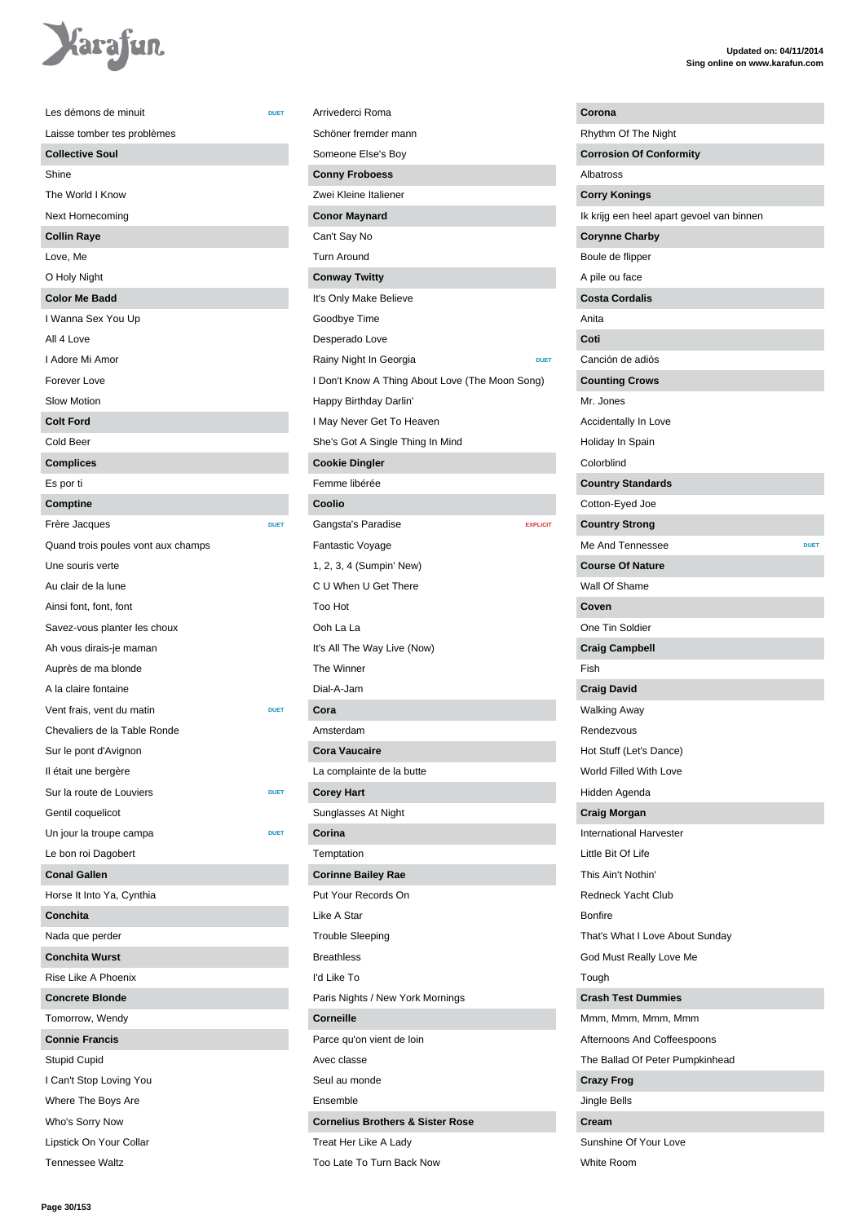

| Les démons de minuit               | <b>DUET</b> |
|------------------------------------|-------------|
| Laisse tomber tes problèmes        |             |
| <b>Collective Soul</b>             |             |
| Shine                              |             |
| The World I Know                   |             |
| Next Homecoming                    |             |
| <b>Collin Raye</b>                 |             |
| Love, Me                           |             |
| O Holy Night                       |             |
| <b>Color Me Badd</b>               |             |
| I Wanna Sex You Up                 |             |
| All 4 Love                         |             |
| I Adore Mi Amor                    |             |
| Forever Love                       |             |
| <b>Slow Motion</b>                 |             |
| <b>Colt Ford</b>                   |             |
| Cold Beer                          |             |
| <b>Complices</b>                   |             |
| Es por ti                          |             |
| <b>Comptine</b>                    |             |
| Frère Jacques                      | <b>DUET</b> |
| Quand trois poules vont aux champs |             |
| Une souris verte                   |             |
| Au clair de la lune                |             |
| Ainsi font, font, font             |             |
| Savez-vous planter les choux       |             |
| Ah vous dirais-je maman            |             |
| Auprès de ma blonde                |             |
| A la claire fontaine               |             |
| Vent frais, vent du matin          | <b>DUET</b> |
| Chevaliers de la Table Ronde       |             |
| Sur le pont d'Avignon              |             |
| Il était une bergère               |             |
| Sur la route de Louviers           | <b>DUET</b> |
| Gentil coquelicot                  |             |
| Un jour la troupe campa            | <b>DUET</b> |
| Le bon roi Dagobert                |             |
| <b>Conal Gallen</b>                |             |
| Horse It Into Ya, Cynthia          |             |
| Conchita                           |             |
| Nada que perder                    |             |
| <b>Conchita Wurst</b>              |             |
| Rise Like A Phoenix                |             |
| <b>Concrete Blonde</b>             |             |
| Tomorrow, Wendy                    |             |
| <b>Connie Francis</b>              |             |
| <b>Stupid Cupid</b>                |             |
| I Can't Stop Loving You            |             |
| Where The Boys Are                 |             |
| Who's Sorry Now                    |             |
| Lipstick On Your Collar            |             |
|                                    |             |

| Arrivederci Roma                                 |
|--------------------------------------------------|
| Schöner fremder mann                             |
| Someone Else's Boy                               |
| <b>Conny Froboess</b>                            |
| Zwei Kleine Italiener                            |
| <b>Conor Maynard</b>                             |
| Can't Say No                                     |
| <b>Turn Around</b>                               |
| <b>Conway Twitty</b>                             |
| It's Only Make Believe                           |
| Goodbye Time                                     |
| Desperado Love                                   |
| Rainy Night In Georgia<br><b>DUET</b>            |
| I Don't Know A Thing About Love (The Moon Song)  |
| Happy Birthday Darlin'                           |
| I May Never Get To Heaven                        |
| She's Got A Single Thing In Mind                 |
| <b>Cookie Dingler</b>                            |
| Femme libérée                                    |
| Coolio                                           |
| <b>EXPLICIT</b>                                  |
| Gangsta's Paradise                               |
| <b>Fantastic Voyage</b>                          |
| 1, 2, 3, 4 (Sumpin' New)<br>C U When U Get There |
| Too Hot                                          |
| Ooh La La                                        |
|                                                  |
| It's All The Way Live (Now)                      |
| The Winner                                       |
| Dial-A-Jam<br>Cora                               |
| Amsterdam                                        |
| <b>Cora Vaucaire</b>                             |
| La complainte de la butte                        |
| <b>Corey Hart</b>                                |
|                                                  |
| Sunglasses At Night<br>Corina                    |
|                                                  |
| Temptation                                       |
| <b>Corinne Bailey Rae</b>                        |
| Put Your Records On                              |
| Like A Star                                      |
| <b>Trouble Sleeping</b>                          |
| <b>Breathless</b>                                |
| I'd Like To                                      |
| Paris Nights / New York Mornings                 |
| Corneille                                        |
| Parce qu'on vient de loin                        |
| Avec classe                                      |
| Seul au monde                                    |
| Ensemble                                         |
| <b>Cornelius Brothers &amp; Sister Rose</b>      |
| Treat Her Like A Lady                            |
| Too Late To Turn Back Now                        |

l

| Corona                                    |
|-------------------------------------------|
| Rhythm Of The Night                       |
| <b>Corrosion Of Conformity</b>            |
| Albatross                                 |
| <b>Corry Konings</b>                      |
| Ik krijg een heel apart gevoel van binnen |
| <b>Corynne Charby</b>                     |
| Boule de flipper                          |
| A pile ou face                            |
| <b>Costa Cordalis</b>                     |
| Anita                                     |
| Coti                                      |
| Canción de adiós                          |
| <b>Counting Crows</b>                     |
| Mr. Jones                                 |
| Accidentally In Love                      |
| Holiday In Spain                          |
| Colorblind                                |
| <b>Country Standards</b>                  |
| Cotton-Eyed Joe                           |
| <b>Country Strong</b>                     |
| Me And Tennessee<br><b>DUET</b>           |
| <b>Course Of Nature</b>                   |
| Wall Of Shame                             |
| Coven                                     |
| One Tin Soldier                           |
|                                           |
| <b>Craig Campbell</b>                     |
| Fish                                      |
| <b>Craig David</b>                        |
| Walking Away                              |
| Rendezvous                                |
| Hot Stuff (Let's Dance)                   |
| World Filled With Love                    |
| Hidden Agenda                             |
| <b>Craig Morgan</b>                       |
| <b>International Harvester</b>            |
| Little Bit Of Life                        |
| This Ain't Nothin'                        |
| Redneck Yacht Club                        |
| <b>Bonfire</b>                            |
| That's What I Love About Sunday           |
| God Must Really Love Me                   |
| Tough                                     |
| <b>Crash Test Dummies</b>                 |
| Mmm, Mmm, Mmm, Mmm                        |
| Afternoons And Coffeespoons               |
| The Ballad Of Peter Pumpkinhead           |
| <b>Crazy Frog</b>                         |
| Jingle Bells                              |
| Cream                                     |
| Sunshine Of Your Love                     |

Tennessee Waltz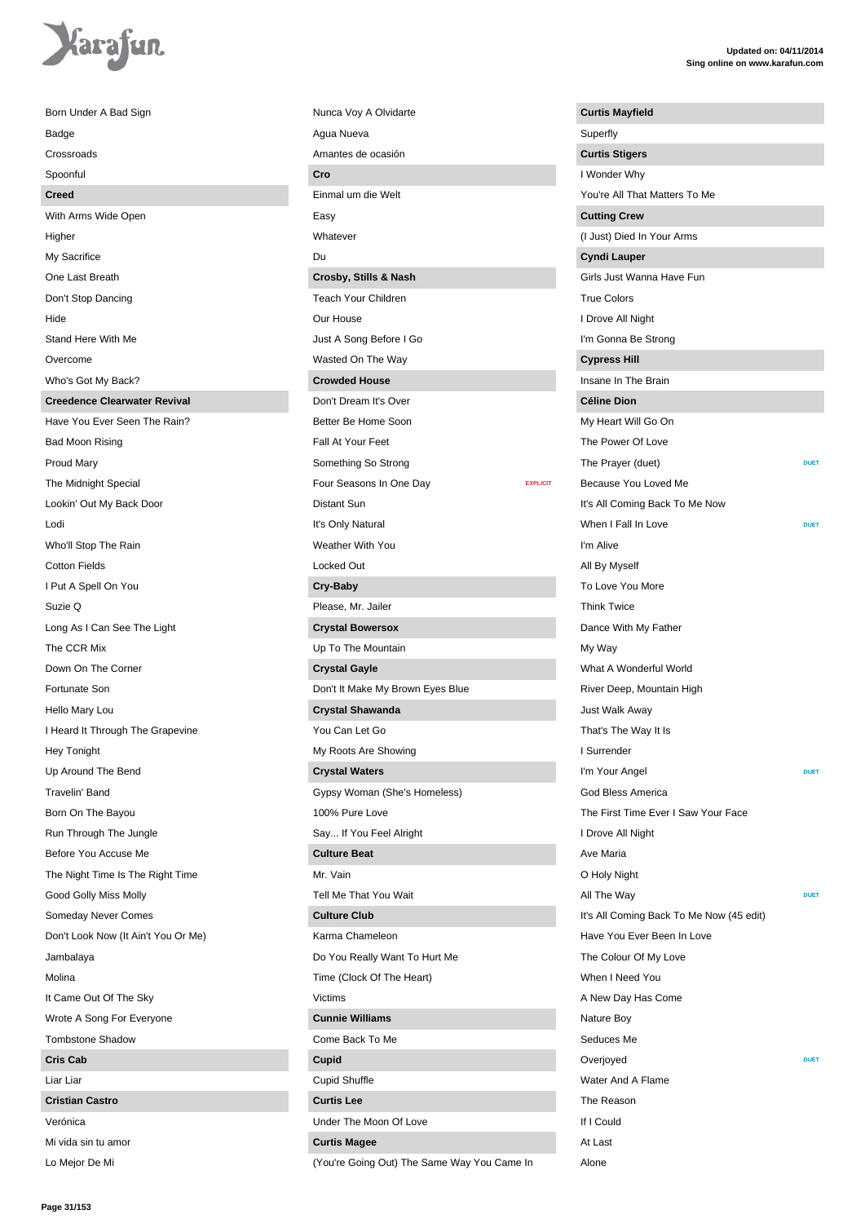

| Born Under A Bad Sign                                |
|------------------------------------------------------|
| Badge                                                |
| Crossroads                                           |
| Spoonful                                             |
| <b>Creed</b>                                         |
| With Arms Wide Open                                  |
| Higher                                               |
| My Sacrifice                                         |
| One Last Breath                                      |
| Don't Stop Dancing                                   |
| Hide                                                 |
| Stand Here With Me                                   |
| Overcome                                             |
| Who's Got My Back?                                   |
| <b>Creedence Clearwater Revival</b>                  |
| Have You Ever Seen The Rain?                         |
| Bad Moon Rising                                      |
| <b>Proud Mary</b>                                    |
| The Midnight Special                                 |
| Lookin' Out My Back Door                             |
| Lodi                                                 |
| Who'll Stop The Rain                                 |
| <b>Cotton Fields</b>                                 |
| I Put A Spell On You                                 |
| Suzie Q                                              |
| Long As I Can See The Light                          |
| The CCR Mix                                          |
| Down On The Corner                                   |
| Fortunate Son                                        |
| Hello Mary Lou                                       |
| I Heard It Through The Grapevine                     |
| <b>Hey Tonight</b>                                   |
| Up Around The Bend                                   |
| <b>Travelin' Band</b>                                |
| Born On The Bayou                                    |
| Run Through The Jungle<br>Before You Accuse Me       |
|                                                      |
| The Night Time Is The Right Time                     |
| Good Golly Miss Molly                                |
| <b>Someday Never Comes</b>                           |
| Don't Look Now (It Ain't You Or Me)                  |
| Jambalaya<br>Molina                                  |
|                                                      |
| It Came Out Of The Sky                               |
| Wrote A Song For Everyone<br><b>Tombstone Shadow</b> |
| <b>Cris Cab</b>                                      |
| Liar Liar                                            |
| <b>Cristian Castro</b>                               |
| Verónica                                             |
| Mi vida sin tu amor                                  |
| Lo Mejor De Mi                                       |
|                                                      |

Nunca Voy A Olvidarte Agua Nueva Amantes de ocasión **Cro** Einmal um die Welt Easy Whatever Du **Crosby, Stills & Nash** Teach Your Children Our House Just A Song Before I Go Wasted On The Way **Crowded House** Don't Dream It's Over Better Be Home Soon Fall At Your Feet Something So Strong Four Seasons In One Day **EXPLICIT** Distant Sun It's Only Natural Weather With You Locked Out **Cry-Baby** Please, Mr. Jailer **Crystal Bowersox** Up To The Mountain **Crystal Gayle** Don't It Make My Brown Eyes Blue **Crystal Shawanda** You Can Let Go My Roots Are Showing **Crystal Waters** Gypsy Woman (She's Homeless) 100% Pure Love Say... If You Feel Alright **Culture Beat** Mr. Vain Tell Me That You Wait **Culture Club** Karma Chameleon Do You Really Want To Hurt Me Time (Clock Of The Heart) Victims **Cunnie Williams** Come Back To Me **Cupid** Cupid Shuffle **Curtis Lee** Under The Moon Of Love **Curtis Magee**

(You're Going Out) The Same Way You Came In

| <b>Curtis Mayfield</b>                   |             |
|------------------------------------------|-------------|
| Superfly                                 |             |
| <b>Curtis Stigers</b>                    |             |
| I Wonder Why                             |             |
| You're All That Matters To Me            |             |
| <b>Cutting Crew</b>                      |             |
| (I Just) Died In Your Arms               |             |
| <b>Cyndi Lauper</b>                      |             |
| Girls Just Wanna Have Fun                |             |
| <b>True Colors</b>                       |             |
| I Drove All Night                        |             |
| I'm Gonna Be Strong                      |             |
| <b>Cypress Hill</b>                      |             |
| Insane In The Brain                      |             |
| <b>Céline Dion</b>                       |             |
| My Heart Will Go On                      |             |
| The Power Of Love                        |             |
| The Prayer (duet)                        | <b>DUET</b> |
| Because You Loved Me                     |             |
| It's All Coming Back To Me Now           |             |
| When I Fall In Love                      | <b>DUET</b> |
| I'm Alive                                |             |
| All By Myself                            |             |
| To Love You More                         |             |
| <b>Think Twice</b>                       |             |
| Dance With My Father                     |             |
| My Way                                   |             |
| What A Wonderful World                   |             |
| River Deep, Mountain High                |             |
| <b>Just Walk Away</b>                    |             |
| That's The Way It Is                     |             |
| I Surrender                              |             |
| I'm Your Angel                           | <b>DUET</b> |
| God Bless America                        |             |
| The First Time Ever I Saw Your Face      |             |
| I Drove All Night                        |             |
| Ave Maria                                |             |
| O Holy Night                             |             |
| All The Way                              | <b>DUET</b> |
| It's All Coming Back To Me Now (45 edit) |             |
| Have You Ever Been In Love               |             |
| The Colour Of My Love                    |             |
| When I Need You                          |             |
| A New Day Has Come                       |             |
| Nature Boy                               |             |
| Seduces Me                               |             |
| Overjoyed                                | <b>DUET</b> |
| Water And A Flame                        |             |
| The Reason                               |             |
| If I Could                               |             |
| At Last                                  |             |
| Alone                                    |             |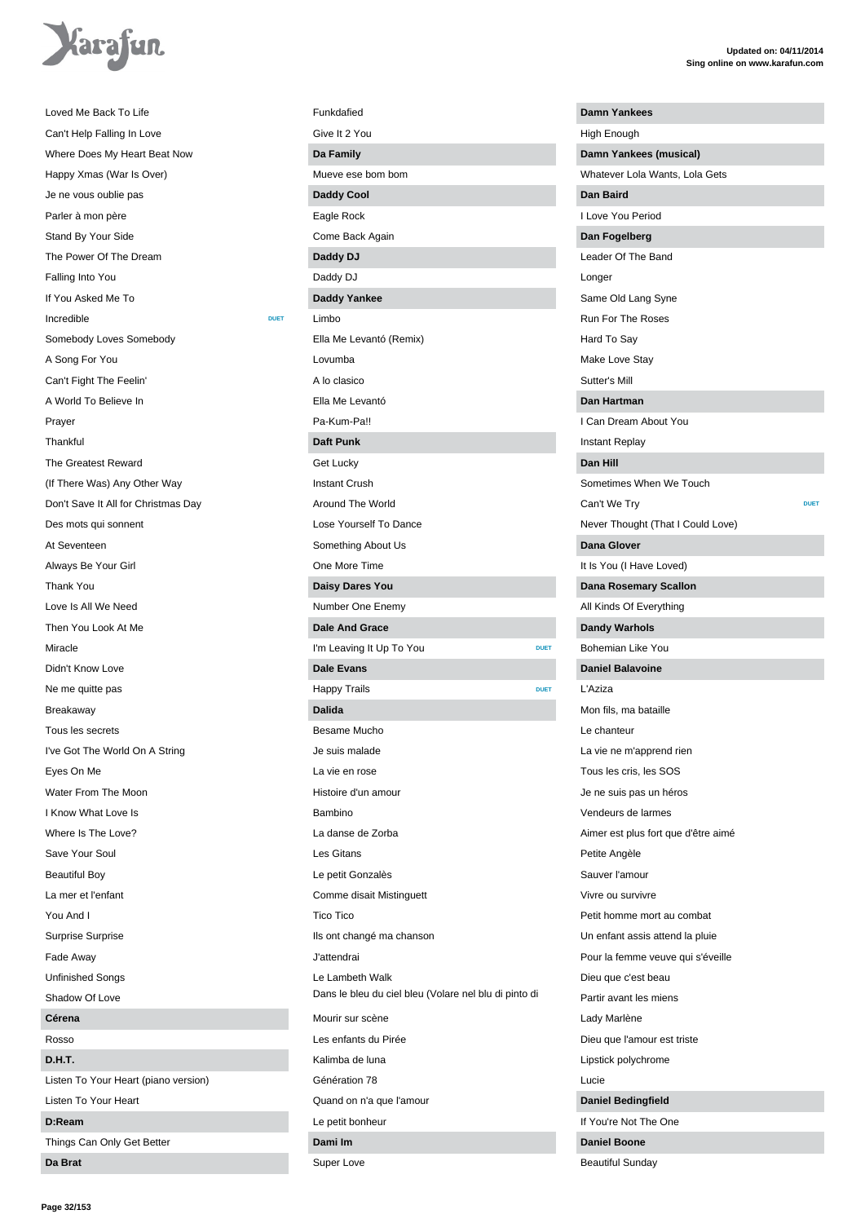

Loved Me Back To Life Can't Help Falling In Love Where Does My Heart Beat Now Happy Xmas (War Is Over) Je ne vous oublie pas Parler à mon père Stand By Your Side The Power Of The Dream Falling Into You If You Asked Me To **Incredible** Somebody Loves Somebody A Song For You Can't Fight The Feelin' A World To Believe In Prayer Thankful The Greatest Reward (If There Was) Any Other Way Don't Save It All for Christmas Day Des mots qui sonnent At Seventeen Always Be Your Girl Thank You Love Is All We Need Then You Look At Me Miracle Didn't Know Love Ne me quitte pas Breakaway Tous les secrets I've Got The World On A String Eyes On Me Water From The Moon I Know What Love Is Where Is The Love? Save Your Soul Beautiful Boy La mer et l'enfant You And I Surprise Surprise Fade Away Unfinished Songs Shadow Of Love **Cérena** Rosso **D.H.T.** Listen To Your Heart (piano version) Listen To Your Heart **D:Ream** Things Can Only Get Better

Funkdafied Give It 2 You **Da Family** Mueve ese bom bom **Daddy Cool** Eagle Rock Come Back Again **Daddy DJ** Daddy DJ **Daddy Yankee** Limbo Ella Me Levantó (Remix) Lovumba A lo clasico Ella Me Levantó Pa-Kum-Pa!! **Daft Punk** Get Lucky Instant Crush Around The World Lose Yourself To Dance Something About Us One More Time **Daisy Dares You** Number One Enemy **Dale And Grace I'm Leaving It Up To You DUET Dale Evans** Happy Trails **DUET Dalida** Besame Mucho Je suis malade La vie en rose Histoire d'un amour Bambino La danse de Zorba Les Gitans Le petit Gonzalès Comme disait Mistinguett Tico Tico Ils ont changé ma chanson J'attendrai Le Lambeth Walk Dans le bleu du ciel bleu (Volare nel blu di pinto di Mourir sur scène Les enfants du Pirée Kalimba de luna Génération 78 Quand on n'a que l'amour Le petit bonheur **Dami Im**

Super Love

**Damn Yankees (musical)** Whatever Lola Wants, Lola Gets **Dan Baird** I Love You Period **Dan Fogelberg** Leader Of The Band Longer Same Old Lang Syne Run For The Roses Hard To Say Make Love Stay Sutter's Mill **Dan Hartman** I Can Dream About You Instant Replay **Dan Hill** Sometimes When We Touch Can't We Try **DUET** Never Thought (That I Could Love) **Dana Glover** It Is You (I Have Loved) **Dana Rosemary Scallon** All Kinds Of Everything **Dandy Warhols** Bohemian Like You **Daniel Balavoine** L'Aziza Mon fils, ma bataille Le chanteur La vie ne m'apprend rien Tous les cris, les SOS Je ne suis pas un héros Vendeurs de larmes Aimer est plus fort que d'être aimé Petite Angèle Sauver l'amour Vivre ou survivre Petit homme mort au combat Un enfant assis attend la pluie Pour la femme veuve qui s'éveille Dieu que c'est beau Partir avant les miens Lady Marlène Dieu que l'amour est triste Lipstick polychrome Lucie **Daniel Bedingfield** If You're Not The One **Daniel Boone** Beautiful Sunday

**Damn Yankees** High Enough

**Da Brat**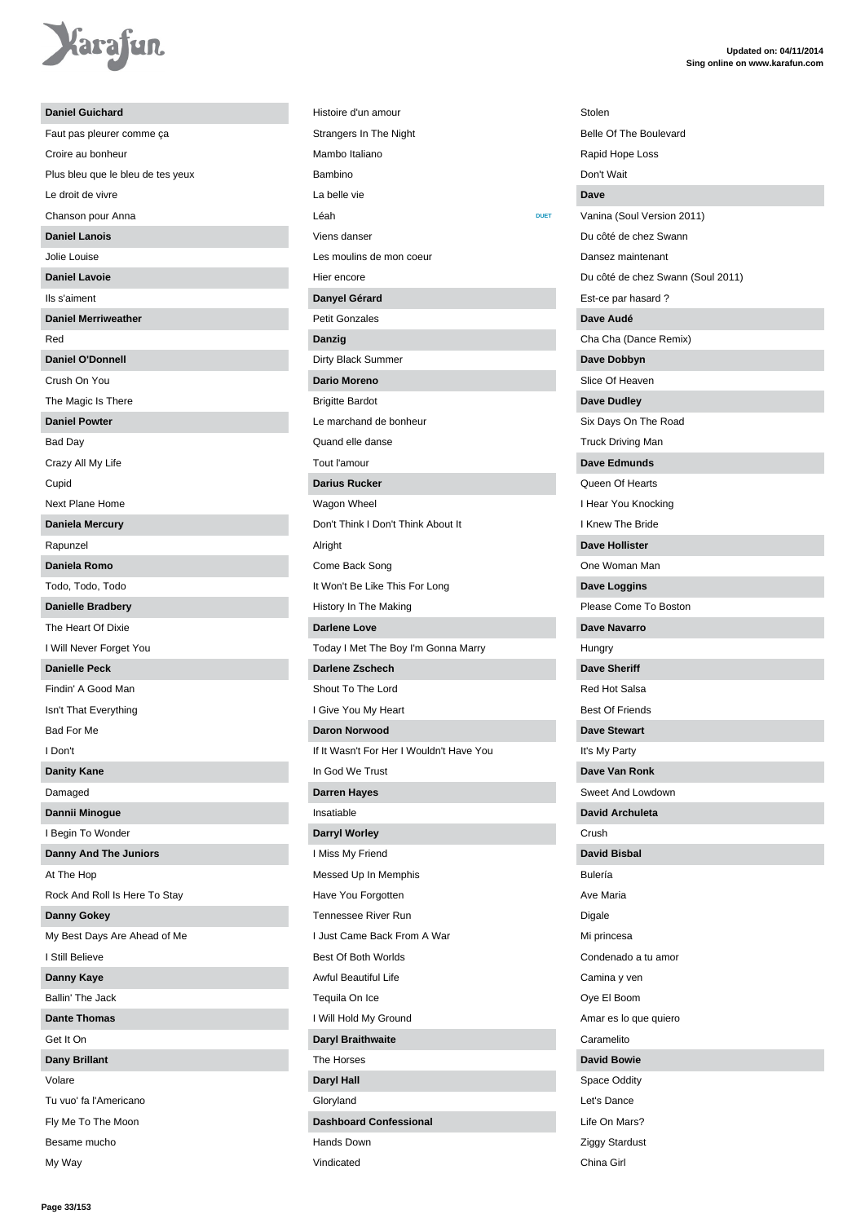

Histoire d'un amour Strangers In The Night Mambo Italiano Bambino La belle vie

Viens danser

Hier encore **Danyel Gérard** Petit Gonzales **Danzig**

**Dario Moreno** Brigitte Bardot

Quand elle danse Tout l'amour **Darius Rucker** Wagon Wheel

Come Back Song

**Darlene Love**

**Darlene Zschech** Shout To The Lord

**Daron Norwood**

In God We Trust **Darren Hayes** Insatiable **Darryl Worley** I Miss My Friend

Awful Beautiful Life Tequila On Ice

**Daryl Braithwaite** The Horses **Daryl Hall** Gloryland

Hands Down Vindicated

Alright

| <b>Daniel Guichard</b>            |
|-----------------------------------|
| Faut pas pleurer comme ça         |
| Croire au bonheur                 |
| Plus bleu que le bleu de tes yeux |
| Le droit de vivre                 |
| Chanson pour Anna                 |
| <b>Daniel Lanois</b>              |
| Jolie Louise                      |
| <b>Daniel Lavoie</b>              |
| Ils s'aiment                      |
| <b>Daniel Merriweather</b>        |
| Red                               |
| <b>Daniel O'Donnell</b>           |
| Crush On You                      |
| The Magic Is There                |
| <b>Daniel Powter</b>              |
| Bad Day                           |
| Crazy All My Life                 |
| Cupid                             |
| <b>Next Plane Home</b>            |
| <b>Daniela Mercury</b>            |
| Rapunzel                          |
| Daniela Romo                      |
| Todo, Todo, Todo                  |
| <b>Danielle Bradbery</b>          |
| The Heart Of Dixie                |
| I Will Never Forget You           |
| <b>Danielle Peck</b>              |
| Findin' A Good Man                |
| Isn't That Everything             |
| <b>Bad For Me</b>                 |
| I Don't                           |
| <b>Danity Kane</b>                |
| Damaged                           |
| Dannii Minogue                    |
| I Begin To Wonder                 |
| <b>Danny And The Juniors</b>      |
| At The Hop                        |
| Rock And Roll Is Here To Stay     |
| <b>Danny Gokey</b>                |
| My Best Days Are Ahead of Me      |
| I Still Believe                   |
| Danny Kaye                        |
| Ballin' The Jack                  |
| <b>Dante Thomas</b>               |
| Get It On                         |
| <b>Dany Brillant</b>              |
| Volare                            |
| Tu vuo' fa l'Americano            |
| Fly Me To The Moon                |
| Besame mucho                      |
|                                   |

China Girl

Stolen

Belle Of The Boulevard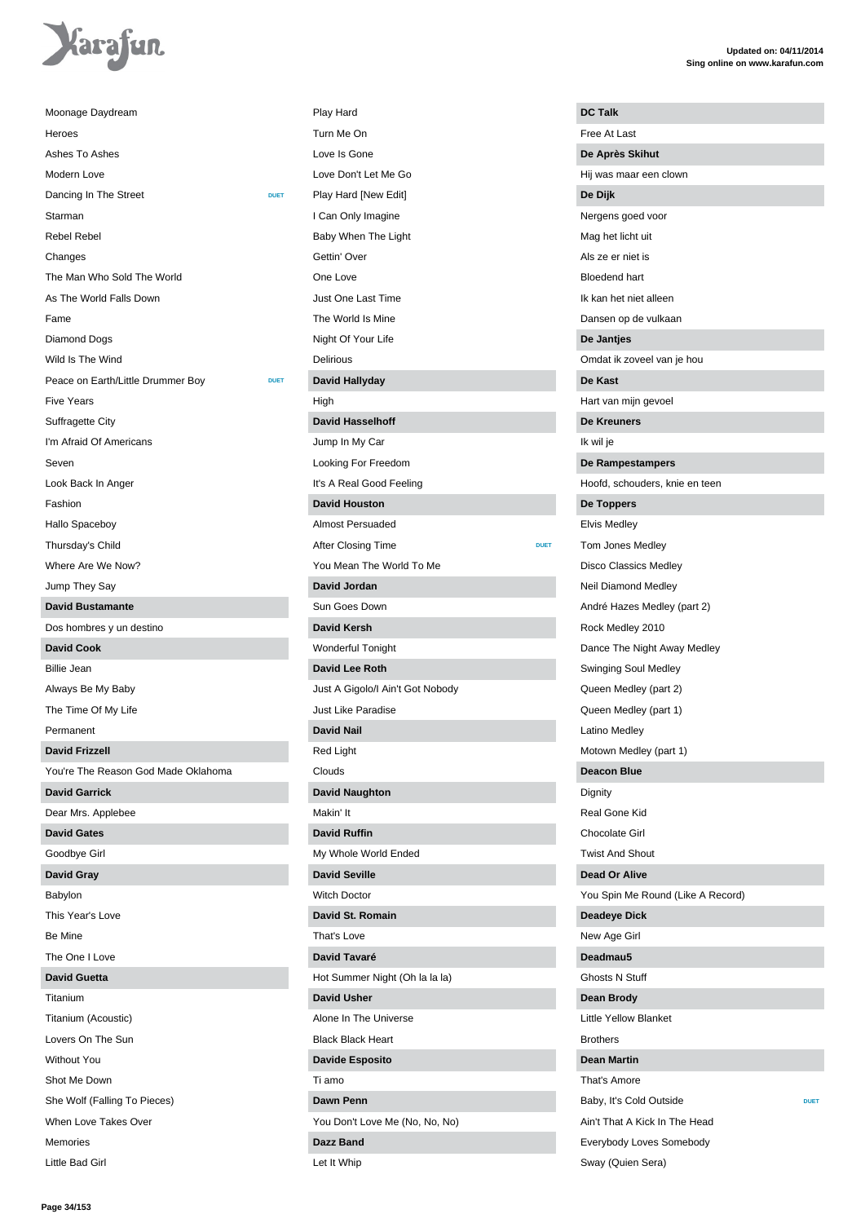

Moonage Daydream Heroes Ashes To Ashes Modern Love Dancing In The Street **DUET** Starman Rebel Rebel Changes The Man Who Sold The World As The World Falls Down Fame Diamond Dogs Wild Is The Wind **Peace on Earth/Little Drummer Boy DUET** Five Years Suffragette City I'm Afraid Of Americans Seven Look Back In Anger Fashion Hallo Spaceboy Thursday's Child Where Are We Now? Jump They Say **David Bustamante** Dos hombres y un destino **David Cook** Billie Jean Always Be My Baby The Time Of My Life Permanent **David Frizzell** You're The Reason God Made Oklahoma **David Garrick** Dear Mrs. Applebee **David Gates** Goodbye Girl **David Gray** Babylon This Year's Love Be Mine The One I Love **David Guetta** Titanium Titanium (Acoustic) Lovers On The Sun Without You Shot Me Down She Wolf (Falling To Pieces) When Love Takes Over Memories

Turn Me On Love Is Gone Love Don't Let Me Go Play Hard [New Edit] I Can Only Imagine Baby When The Light Gettin' Over One Love Just One Last Time The World Is Mine Night Of Your Life Delirious **David Hallyday** High **David Hasselhoff** Jump In My Car Looking For Freedom It's A Real Good Feeling **David Houston** Almost Persuaded After Closing Time **DUET** You Mean The World To Me **David Jordan** Sun Goes Down **David Kersh** Wonderful Tonight **David Lee Roth** Just A Gigolo/I Ain't Got Nobody Just Like Paradise **David Nail** Red Light Clouds **David Naughton** Makin' It **David Ruffin** My Whole World Ended **David Seville** Witch Doctor **David St. Romain** That's Love **David Tavaré** Hot Summer Night (Oh la la la) **David Usher** Alone In The Universe Black Black Heart **Davide Esposito** Ti amo **Dawn Penn** You Don't Love Me (No, No, No)

Play Hard

**Dazz Band**

Let It Whip

| <b>DC Talk</b>                    |             |
|-----------------------------------|-------------|
| Free At Last                      |             |
| De Après Skihut                   |             |
| Hij was maar een clown            |             |
| De Dijk                           |             |
| Nergens goed voor                 |             |
| Mag het licht uit                 |             |
| Als ze er niet is                 |             |
| <b>Bloedend hart</b>              |             |
| Ik kan het niet alleen            |             |
| Dansen op de vulkaan              |             |
| De Jantjes                        |             |
| Omdat ik zoveel van je hou        |             |
| De Kast                           |             |
| Hart van mijn gevoel              |             |
| De Kreuners                       |             |
| Ik wil je                         |             |
| De Rampestampers                  |             |
| Hoofd, schouders, knie en teen    |             |
| <b>De Toppers</b>                 |             |
| <b>Elvis Medley</b>               |             |
| Tom Jones Medley                  |             |
| <b>Disco Classics Medley</b>      |             |
| Neil Diamond Medley               |             |
| André Hazes Medley (part 2)       |             |
| Rock Medley 2010                  |             |
| Dance The Night Away Medley       |             |
| <b>Swinging Soul Medley</b>       |             |
| Queen Medley (part 2)             |             |
| Queen Medley (part 1)             |             |
| Latino Medley                     |             |
| Motown Medley (part 1)            |             |
| <b>Deacon Blue</b>                |             |
| Dignity                           |             |
| Real Gone Kid                     |             |
| Chocolate Girl                    |             |
| <b>Twist And Shout</b>            |             |
| <b>Dead Or Alive</b>              |             |
| You Spin Me Round (Like A Record) |             |
| <b>Deadeye Dick</b>               |             |
| New Age Girl                      |             |
| Deadmau5                          |             |
| <b>Ghosts N Stuff</b>             |             |
| Dean Brody                        |             |
| <b>Little Yellow Blanket</b>      |             |
| <b>Brothers</b>                   |             |
| <b>Dean Martin</b>                |             |
| That's Amore                      |             |
| Baby, It's Cold Outside           | <b>DUET</b> |
| Ain't That A Kick In The Head     |             |
| Everybody Loves Somebody          |             |
| Sway (Quien Sera)                 |             |

Little Bad Girl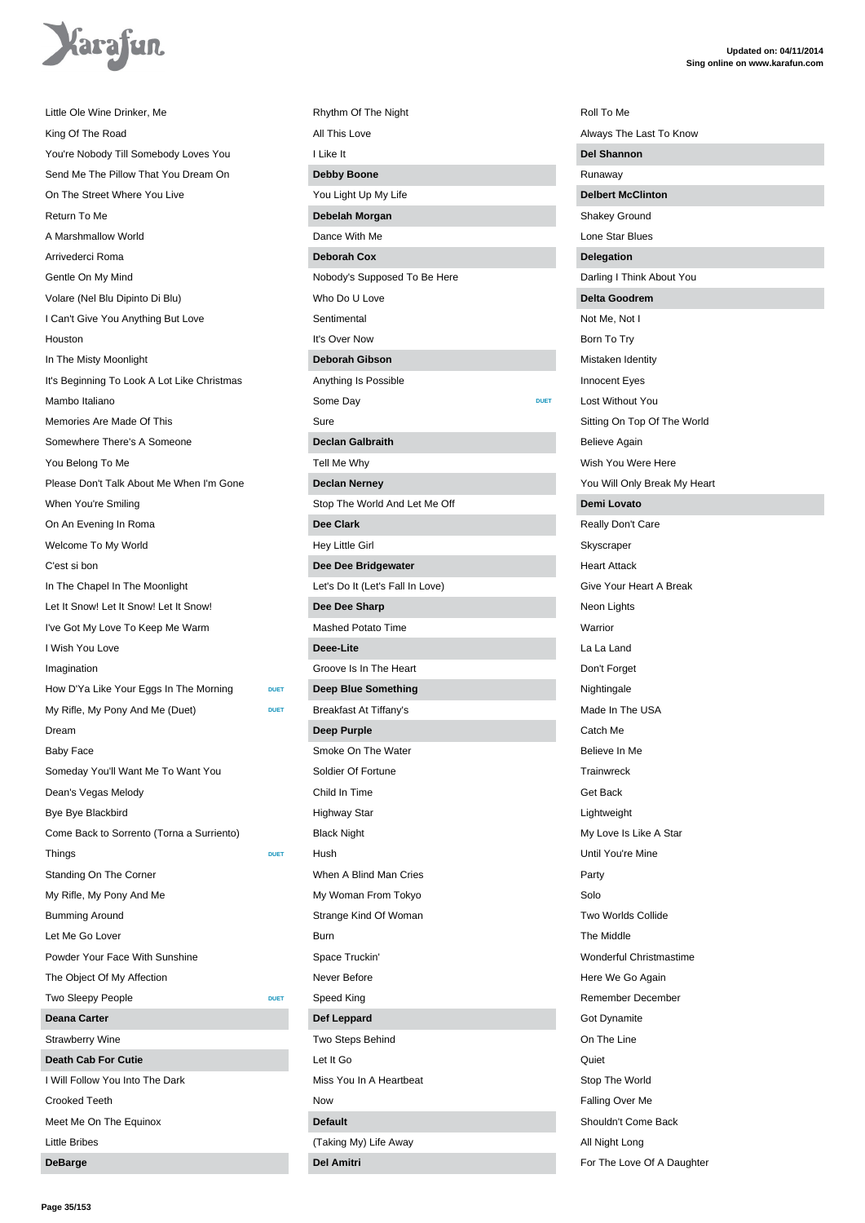

Little Ole Wine Drinker, Me King Of The Road You're Nobody Till Somebody Loves You Send Me The Pillow That You Dream On On The Street Where You Live Return To Me A Marshmallow World Arrivederci Roma Gentle On My Mind Volare (Nel Blu Dipinto Di Blu) I Can't Give You Anything But Love Houston In The Misty Moonlight It's Beginning To Look A Lot Like Christmas Mambo Italiano Memories Are Made Of This Somewhere There's A Someone You Belong To Me Please Don't Talk About Me When I'm Gone When You're Smiling On An Evening In Roma Welcome To My World C'est si bon In The Chapel In The Moonlight Let It Snow! Let It Snow! Let It Snow! I've Got My Love To Keep Me Warm I Wish You Love Imagination How D'Ya Like Your Eggs In The Morning **DUET My Rifle, My Pony And Me (Duet)** Dream Baby Face Someday You'll Want Me To Want You Dean's Vegas Melody Bye Bye Blackbird Come Back to Sorrento (Torna a Surriento) **Things DUET** Standing On The Corner My Rifle, My Pony And Me Bumming Around Let Me Go Lover Powder Your Face With Sunshine The Object Of My Affection **Two Sleepy People Deana Carter** Strawberry Wine **Death Cab For Cutie** I Will Follow You Into The Dark Crooked Teeth Meet Me On The Equinox Little Bribes

Rhythm Of The Night All This Love I Like It **Debby Boone** You Light Up My Life **Debelah Morgan** Dance With Me **Deborah Cox** Nobody's Supposed To Be Here Who Do U Love Sentimental It's Over Now **Deborah Gibson** Anything Is Possible Some Day **DUET** Sure **Declan Galbraith** Tell Me Why **Declan Nerney** Stop The World And Let Me Off **Dee Clark** Hey Little Girl **Dee Dee Bridgewater** Let's Do It (Let's Fall In Love) **Dee Dee Sharp** Mashed Potato Time **Deee-Lite** Groove Is In The Heart **Deep Blue Something** Breakfast At Tiffany's **Deep Purple** Smoke On The Water Soldier Of Fortune Child In Time Highway Star Black Night Hush When A Blind Man Cries My Woman From Tokyo Strange Kind Of Woman Burn Space Truckin' Never Before Speed King **Def Leppard** Two Steps Behind Let It Go Miss You In A Heartbeat Now **Default** (Taking My) Life Away

**Del Amitri**

Roll To Me Always The Last To Know **Del Shannon** Runaway **Delbert McClinton** Shakey Ground Lone Star Blues **Delegation** Darling I Think About You **Delta Goodrem** Not Me, Not I Born To Try Mistaken Identity Innocent Eyes Lost Without You Sitting On Top Of The World Believe Again Wish You Were Here You Will Only Break My Heart **Demi Lovato** Really Don't Care **Skyscraper** Heart Attack Give Your Heart A Break Neon Lights Warrior La La Land Don't Forget Nightingale Made In The USA Catch Me Believe In Me **Trainwreck** Get Back Lightweight My Love Is Like A Star Until You're Mine Party Solo Two Worlds Collide The Middle Wonderful Christmastime Here We Go Again Remember December Got Dynamite On The Line Quiet Stop The World Falling Over Me Shouldn't Come Back All Night Long For The Love Of A Daughter

**DeBarge**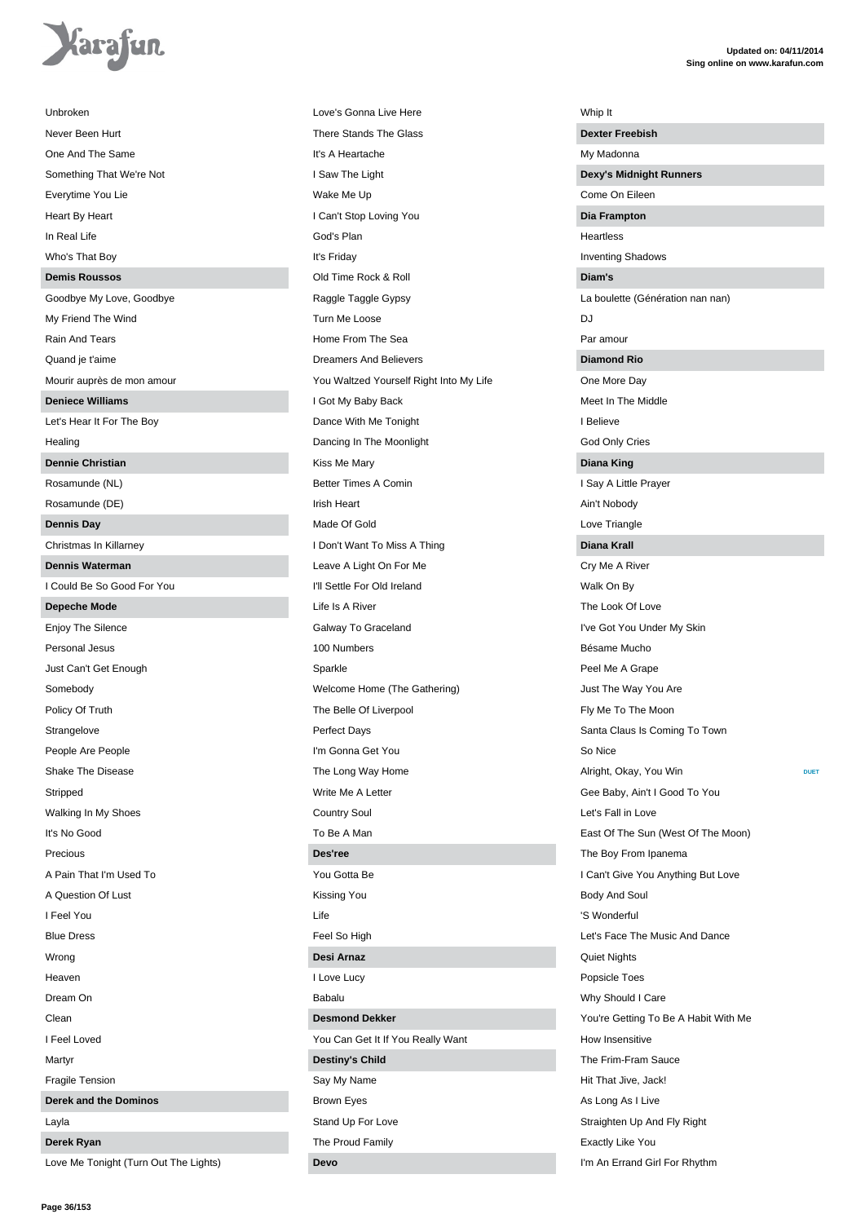

Unbroken Never Been Hurt One And The Same Something That We're Not Everytime You Lie Heart By Heart In Real Life Who's That Boy **Demis Roussos** Goodbye My Love, Goodbye My Friend The Wind Rain And Tears Quand je t'aime Mourir auprès de mon amour **Deniece Williams** Let's Hear It For The Boy Healing **Dennie Christian** Rosamunde (NL) Rosamunde (DE) **Dennis Day** Christmas In Killarney **Dennis Waterman** I Could Be So Good For You **Depeche Mode** Enjoy The Silence Personal Jesus Just Can't Get Enough Somebody Policy Of Truth **Strangelove** People Are People Shake The Disease **Stripped** Walking In My Shoes It's No Good Precious A Pain That I'm Used To A Question Of Lust I Feel You Blue Dress Wrong Heaven Dream On Clean I Feel Loved Martyr Fragile Tension **Derek and the Dominos** Layla **Derek Ryan**

Love's Gonna Live Here There Stands The Glass It's A Heartache I Saw The Light Wake Me Up I Can't Stop Loving You God's Plan It's Friday Old Time Rock & Roll Raggle Taggle Gypsy Turn Me Loose Home From The Sea Dreamers And Believers You Waltzed Yourself Right Into My Life I Got My Baby Back Dance With Me Tonight Dancing In The Moonlight Kiss Me Mary Better Times A Comin Irish Heart Made Of Gold I Don't Want To Miss A Thing Leave A Light On For Me I'll Settle For Old Ireland Life Is A River Galway To Graceland 100 Numbers Sparkle Welcome Home (The Gathering) The Belle Of Liverpool Perfect Days I'm Gonna Get You The Long Way Home Write Me A Letter Country Soul To Be A Man **Des'ree** You Gotta Be Kissing You Life Feel So High **Desi Arnaz** I Love Lucy Babalu **Desmond Dekker** You Can Get It If You Really Want **Destiny's Child** Say My Name Brown Eyes Stand Up For Love The Proud Family

Whip It **Dexter Freebish** My Madonna **Dexy's Midnight Runners** Come On Eileen **Dia Frampton** Heartless Inventing Shadows **Diam's** La boulette (Génération nan nan) DJ<sub>1</sub> Par amour **Diamond Rio** One More Day Meet In The Middle I Believe God Only Cries **Diana King** I Say A Little Prayer Ain't Nobody Love Triangle **Diana Krall** Cry Me A River Walk On By The Look Of Love I've Got You Under My Skin Bésame Mucho Peel Me A Grape Just The Way You Are Fly Me To The Moon Santa Claus Is Coming To Town So Nice Alright, Okay, You Win **DUET** Gee Baby, Ain't I Good To You Let's Fall in Love East Of The Sun (West Of The Moon) The Boy From Ipanema I Can't Give You Anything But Love Body And Soul 'S Wonderful Let's Face The Music And Dance Quiet Nights Popsicle Toes Why Should I Care You're Getting To Be A Habit With Me How Insensitive The Frim-Fram Sauce Hit That Jive, Jack! As Long As I Live Straighten Up And Fly Right Exactly Like You I'm An Errand Girl For Rhythm

Love Me Tonight (Turn Out The Lights)

**Devo**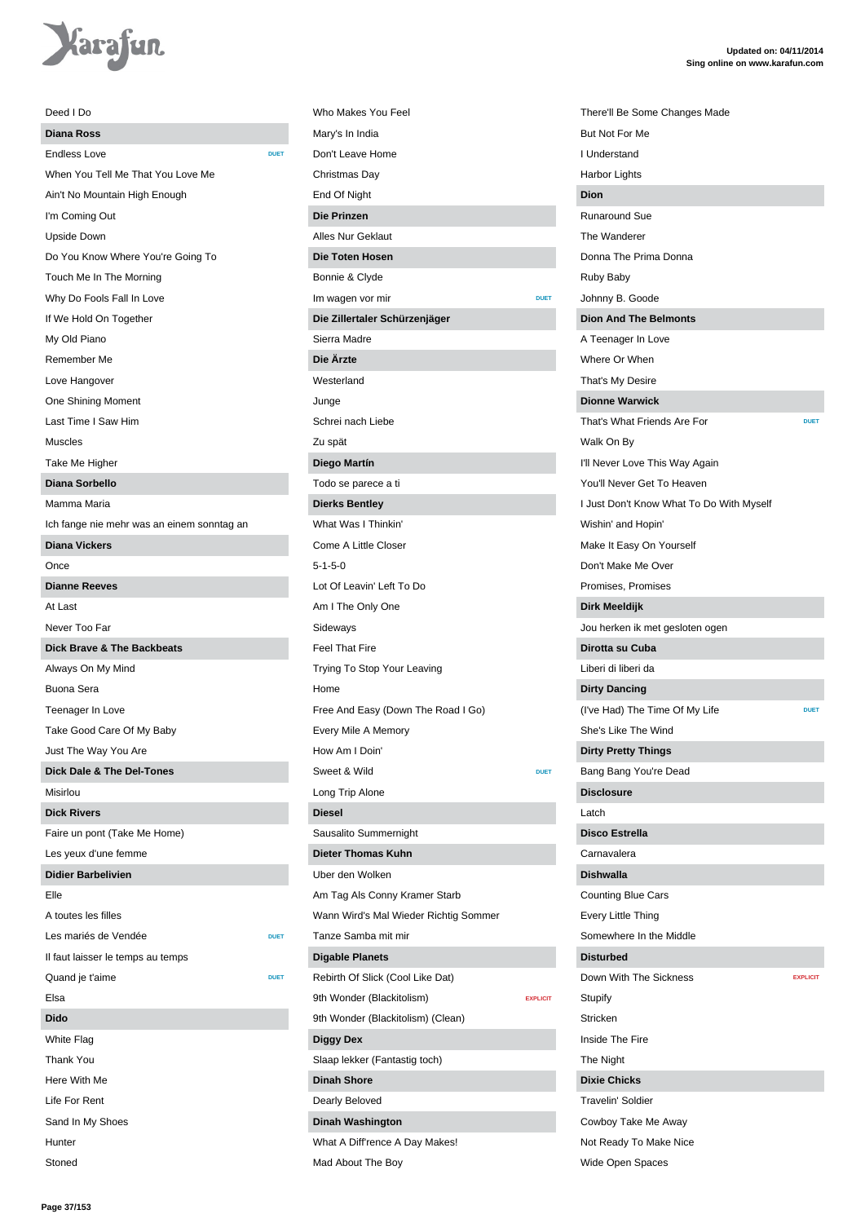

| Deed I Do                                  |             |
|--------------------------------------------|-------------|
| <b>Diana Ross</b>                          |             |
| <b>Endless Love</b>                        | <b>DUET</b> |
| When You Tell Me That You Love Me          |             |
| Ain't No Mountain High Enough              |             |
| I'm Coming Out                             |             |
| Upside Down                                |             |
| Do You Know Where You're Going To          |             |
| Touch Me In The Morning                    |             |
| Why Do Fools Fall In Love                  |             |
| If We Hold On Together                     |             |
| My Old Piano                               |             |
| Remember Me                                |             |
| Love Hangover                              |             |
| One Shining Moment                         |             |
| Last Time I Saw Him                        |             |
| <b>Muscles</b>                             |             |
| Take Me Higher                             |             |
| Diana Sorbello                             |             |
| Mamma Maria                                |             |
| Ich fange nie mehr was an einem sonntag an |             |
| <b>Diana Vickers</b>                       |             |
| Once                                       |             |
| <b>Dianne Reeves</b>                       |             |
| At Last                                    |             |
| Never Too Far                              |             |
| <b>Dick Brave &amp; The Backbeats</b>      |             |
| Always On My Mind                          |             |
| <b>Buona Sera</b>                          |             |
| Teenager In Love                           |             |
| Take Good Care Of My Baby                  |             |
| Just The Way You Are                       |             |
| <b>Dick Dale &amp; The Del-Tones</b>       |             |
| Misirlou                                   |             |
| <b>Dick Rivers</b>                         |             |
| Faire un pont (Take Me Home)               |             |
| Les yeux d'une femme                       |             |
| <b>Didier Barbelivien</b>                  |             |
| Elle                                       |             |
| A toutes les filles                        |             |
| Les mariés de Vendée                       | <b>DUET</b> |
| Il faut laisser le temps au temps          |             |
| Quand je t'aime                            | <b>DUET</b> |
| Elsa                                       |             |
| <b>Dido</b>                                |             |
| White Flag                                 |             |
| <b>Thank You</b>                           |             |
| Here With Me                               |             |
| Life For Rent                              |             |
| Sand In My Shoes                           |             |
| Hunter                                     |             |
| Stoned                                     |             |
|                                            |             |

| Who Makes You Feel                    |                 |
|---------------------------------------|-----------------|
| Mary's In India                       |                 |
| Don't Leave Home                      |                 |
| Christmas Day                         |                 |
| End Of Night                          |                 |
| Die Prinzen                           |                 |
| <b>Alles Nur Geklaut</b>              |                 |
| <b>Die Toten Hosen</b>                |                 |
| Bonnie & Clyde                        |                 |
| Im wagen vor mir                      | <b>DUET</b>     |
| Die Zillertaler Schürzenjäger         |                 |
| Sierra Madre                          |                 |
| Die Ärzte                             |                 |
| Westerland                            |                 |
| Junge                                 |                 |
| Schrei nach Liebe                     |                 |
| Zu spät                               |                 |
| Diego Martín                          |                 |
| Todo se parece a ti                   |                 |
| <b>Dierks Bentley</b>                 |                 |
| What Was I Thinkin'                   |                 |
| Come A Little Closer                  |                 |
| $5 - 1 - 5 - 0$                       |                 |
| Lot Of Leavin' Left To Do             |                 |
| Am I The Only One                     |                 |
| Sideways                              |                 |
| <b>Feel That Fire</b>                 |                 |
| Trying To Stop Your Leaving           |                 |
| Home                                  |                 |
| Free And Easy (Down The Road I Go)    |                 |
| Every Mile A Memory                   |                 |
| How Am I Doin'                        |                 |
| Sweet & Wild                          | <b>DUET</b>     |
| Long Trip Alone                       |                 |
| <b>Diesel</b>                         |                 |
| Sausalito Summernight                 |                 |
| <b>Dieter Thomas Kuhn</b>             |                 |
| Uber den Wolken                       |                 |
| Am Tag Als Conny Kramer Starb         |                 |
| Wann Wird's Mal Wieder Richtig Sommer |                 |
| Tanze Samba mit mir                   |                 |
| <b>Digable Planets</b>                |                 |
| Rebirth Of Slick (Cool Like Dat)      |                 |
| 9th Wonder (Blackitolism)             | <b>EXPLICIT</b> |
| 9th Wonder (Blackitolism) (Clean)     |                 |
| Diggy Dex                             |                 |
| Slaap lekker (Fantastig toch)         |                 |
| <b>Dinah Shore</b>                    |                 |
| Dearly Beloved                        |                 |
| Dinah Washington                      |                 |
| What A Diff'rence A Day Makes!        |                 |
| Mad About The Boy                     |                 |

| There'll Be Some Changes Made            |                 |
|------------------------------------------|-----------------|
| <b>But Not For Me</b>                    |                 |
| I Understand                             |                 |
| Harbor Lights                            |                 |
| <b>Dion</b>                              |                 |
| <b>Runaround Sue</b>                     |                 |
| The Wanderer                             |                 |
| Donna The Prima Donna                    |                 |
| Ruby Baby                                |                 |
| Johnny B. Goode                          |                 |
| <b>Dion And The Belmonts</b>             |                 |
| A Teenager In Love                       |                 |
| Where Or When                            |                 |
| That's My Desire                         |                 |
| <b>Dionne Warwick</b>                    |                 |
| That's What Friends Are For              | <b>DUET</b>     |
| Walk On By                               |                 |
| I'll Never Love This Way Again           |                 |
| You'll Never Get To Heaven               |                 |
| I Just Don't Know What To Do With Myself |                 |
| Wishin' and Hopin'                       |                 |
| Make It Easy On Yourself                 |                 |
| Don't Make Me Over                       |                 |
| Promises, Promises                       |                 |
| Dirk Meeldijk                            |                 |
| Jou herken ik met gesloten ogen          |                 |
| Dirotta su Cuba                          |                 |
| Liberi di liberi da                      |                 |
| <b>Dirty Dancing</b>                     |                 |
| (I've Had) The Time Of My Life           | <b>DUET</b>     |
| She's Like The Wind                      |                 |
| <b>Dirty Pretty Things</b>               |                 |
| Bang Bang You're Dead                    |                 |
| <b>Disclosure</b>                        |                 |
| Latch                                    |                 |
| <b>Disco Estrella</b>                    |                 |
| Carnavalera                              |                 |
| <b>Dishwalla</b>                         |                 |
|                                          |                 |
| <b>Counting Blue Cars</b>                |                 |
| Every Little Thing                       |                 |
| Somewhere In the Middle                  |                 |
| <b>Disturbed</b>                         |                 |
| Down With The Sickness                   | <b>EXPLICIT</b> |
| Stupify                                  |                 |
| <b>Stricken</b>                          |                 |
| Inside The Fire                          |                 |
| The Night                                |                 |
| <b>Dixie Chicks</b>                      |                 |
| <b>Travelin' Soldier</b>                 |                 |
| Cowboy Take Me Away                      |                 |
| Not Ready To Make Nice                   |                 |
| Wide Open Spaces                         |                 |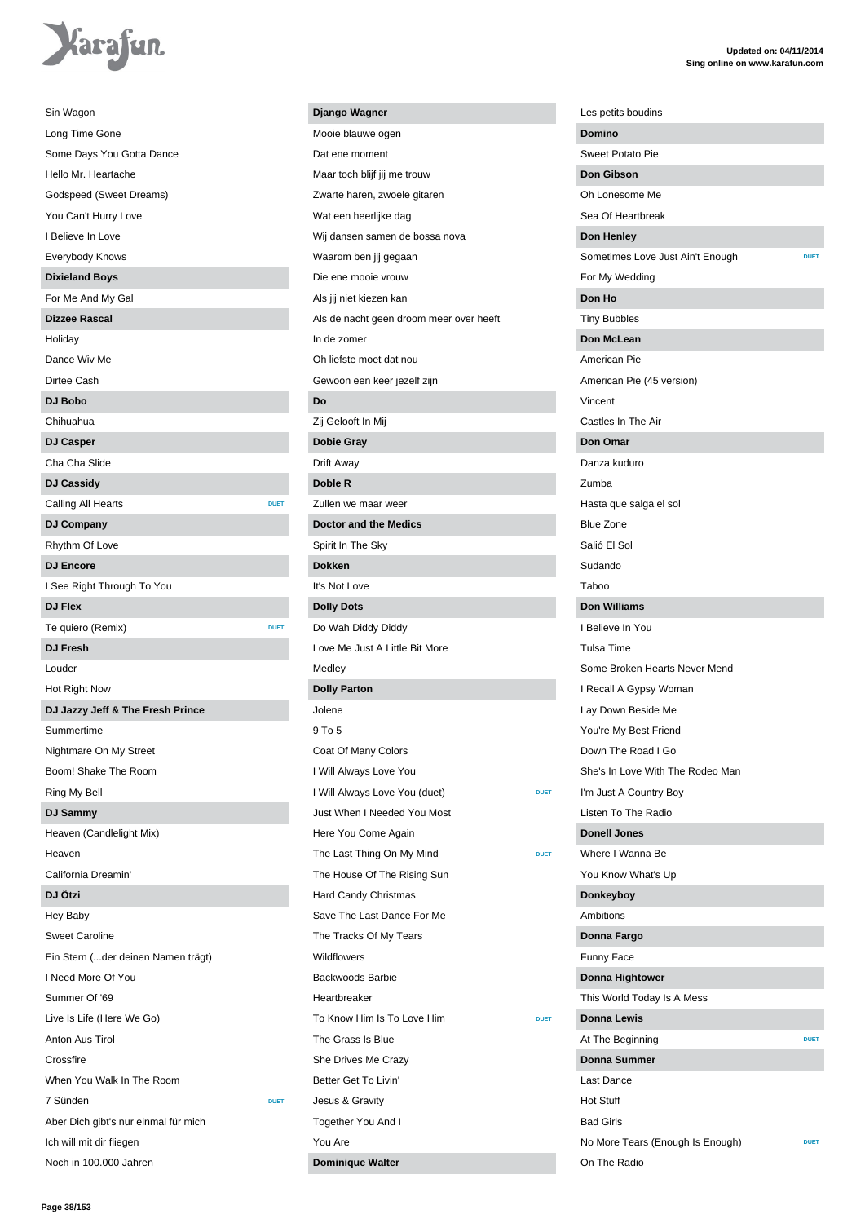

| Sin Wagon                            |             |
|--------------------------------------|-------------|
| Long Time Gone                       |             |
| Some Days You Gotta Dance            |             |
| Hello Mr. Heartache                  |             |
| Godspeed (Sweet Dreams)              |             |
| You Can't Hurry Love                 |             |
| I Believe In Love                    |             |
| Everybody Knows                      |             |
| <b>Dixieland Boys</b>                |             |
| For Me And My Gal                    |             |
| <b>Dizzee Rascal</b>                 |             |
| Holiday                              |             |
| Dance Wiv Me                         |             |
| Dirtee Cash                          |             |
| DJ Bobo                              |             |
| Chihuahua                            |             |
| <b>DJ Casper</b>                     |             |
| Cha Cha Slide                        |             |
| <b>DJ Cassidy</b>                    |             |
| Calling All Hearts                   | <b>DUET</b> |
| <b>DJ Company</b>                    |             |
| Rhythm Of Love                       |             |
| <b>DJ Encore</b>                     |             |
| I See Right Through To You           |             |
| <b>DJ Flex</b>                       |             |
| Te quiero (Remix)                    | <b>DUET</b> |
| <b>DJ Fresh</b>                      |             |
|                                      |             |
| Louder                               |             |
| Hot Right Now                        |             |
| DJ Jazzy Jeff & The Fresh Prince     |             |
| Summertime                           |             |
| Nightmare On My Street               |             |
| Boom! Shake The Room                 |             |
| Ring My Bell                         |             |
| DJ Sammy                             |             |
| Heaven (Candlelight Mix)             |             |
| Heaven                               |             |
| California Dreamin'                  |             |
| DJ Ötzi                              |             |
| Hey Baby                             |             |
| <b>Sweet Caroline</b>                |             |
| Ein Stern (der deinen Namen trägt)   |             |
| I Need More Of You                   |             |
| Summer Of '69                        |             |
| Live Is Life (Here We Go)            |             |
| Anton Aus Tirol                      |             |
| Crossfire                            |             |
| When You Walk In The Room            |             |
| 7 Sünden                             | <b>DUET</b> |
| Aber Dich gibt's nur einmal für mich |             |

**Django Wagner** Mooie blauwe ogen Dat ene moment Maar toch blijf jij me trouw Zwarte haren, zwoele gitaren Wat een heerlijke dag Wij dansen samen de bossa nova Waarom ben jij gegaan Die ene mooie vrouw Als jij niet kiezen kan Als de nacht geen droom meer over heeft In de zomer Oh liefste moet dat nou Gewoon een keer jezelf zijn **Do** Zij Gelooft In Mij **Dobie Gray** Drift Away **Doble R** Zullen we maar weer **Doctor and the Medics** Spirit In The Sky **Dokken** It's Not Love **Dolly Dots** Do Wah Diddy Diddy Love Me Just A Little Bit More Medley **Dolly Parton** Jolene 9 To 5 Coat Of Many Colors I Will Always Love You **I Will Always Love You (duet) DUET** Just When I Needed You Most Here You Come Again The Last Thing On My Mind **DUET** The House Of The Rising Sun Hard Candy Christmas Save The Last Dance For Me The Tracks Of My Tears Wildflowers Backwoods Barbie Heartbreaker To Know Him Is To Love Him **DUET** The Grass Is Blue She Drives Me Crazy Better Get To Livin' Jesus & Gravity Together You And I You Are

**Dominique Walter**

Les petits boudins **Domino** Sweet Potato Pie **Don Gibson** Oh Lonesome Me Sea Of Heartbreak **Don Henley Sometimes Love Just Ain't Enough** For My Wedding **Don Ho** Tiny Bubbles **Don McLean** American Pie American Pie (45 version) Vincent Castles In The Air **Don Omar** Danza kuduro Zumba Hasta que salga el sol Blue Zone Salió El Sol Sudando Taboo **Don Williams** I Believe In You Tulsa Time Some Broken Hearts Never Mend I Recall A Gypsy Woman Lay Down Beside Me You're My Best Friend Down The Road I Go She's In Love With The Rodeo Man I'm Just A Country Boy Listen To The Radio **Donell Jones** Where I Wanna Be You Know What's Up **Donkeyboy** Ambitions **Donna Fargo** Funny Face **Donna Hightower** This World Today Is A Mess **Donna Lewis At The Beginning Donna Summer** Last Dance Hot Stuff Bad Girls **No More Tears (Enough Is Enough) DUET** 

On The Radio

Noch in 100.000 Jahren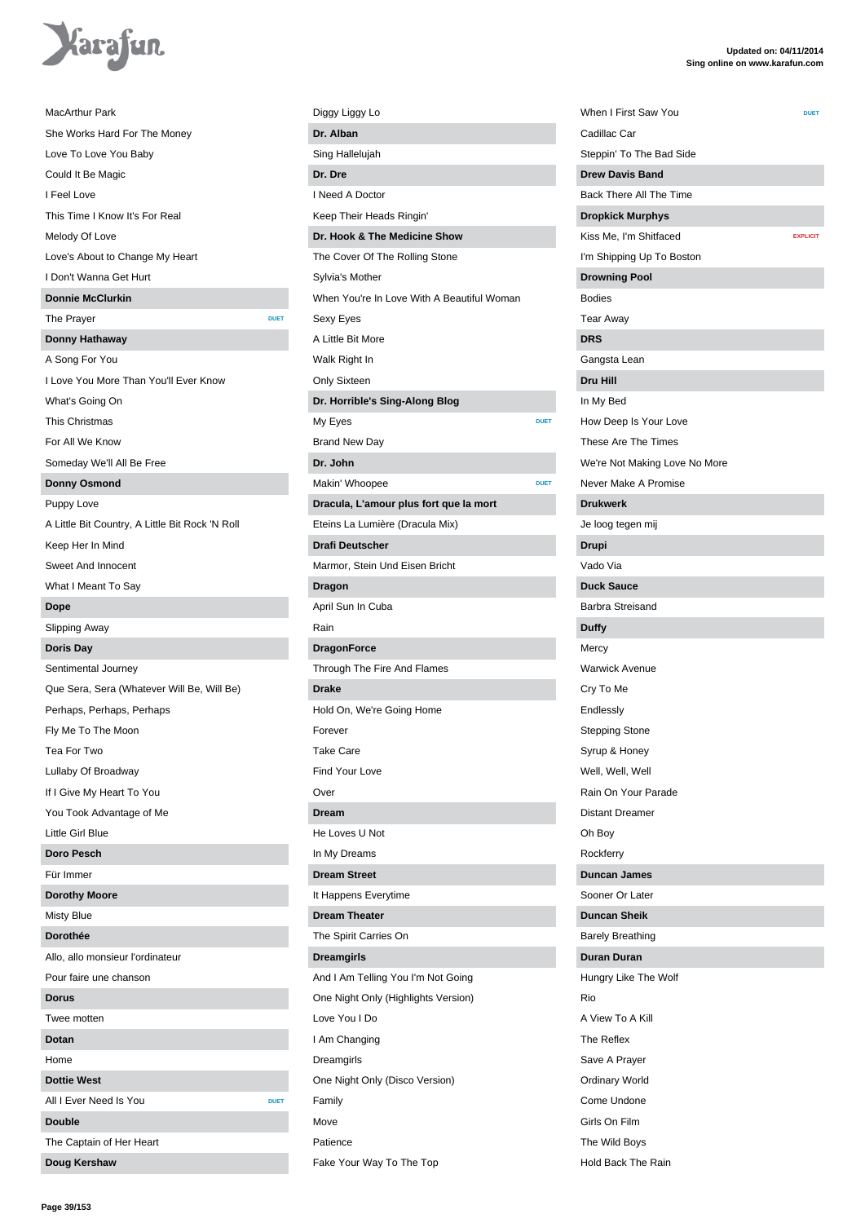

| <b>MacArthur Park</b>                           |
|-------------------------------------------------|
| She Works Hard For The Money                    |
| Love To Love You Baby                           |
| Could It Be Magic                               |
| I Feel Love                                     |
| This Time I Know It's For Real                  |
| Melody Of Love                                  |
| Love's About to Change My Heart                 |
| I Don't Wanna Get Hurt                          |
| <b>Donnie McClurkin</b>                         |
| The Prayer<br><b>DUET</b>                       |
| Donny Hathaway                                  |
| A Song For You                                  |
| I Love You More Than You'll Ever Know           |
| What's Going On                                 |
| This Christmas                                  |
| For All We Know                                 |
| Someday We'll All Be Free                       |
| <b>Donny Osmond</b>                             |
| Puppy Love                                      |
| A Little Bit Country, A Little Bit Rock 'N Roll |
| Keep Her In Mind                                |
| Sweet And Innocent                              |
| What I Meant To Say                             |
| Dope                                            |
| Slipping Away                                   |
|                                                 |
| <b>Doris Day</b>                                |
| Sentimental Journey                             |
| Que Sera, Sera (Whatever Will Be, Will Be)      |
| Perhaps, Perhaps, Perhaps                       |
| Fly Me To The Moon                              |
| Tea For Two                                     |
| Lullaby Of Broadway                             |
| If I Give My Heart To You                       |
| You Took Advantage of Me                        |
| Little Girl Blue                                |
| <b>Doro Pesch</b>                               |
| Für Immer                                       |
| <b>Dorothy Moore</b>                            |
| <b>Misty Blue</b>                               |
| <b>Dorothée</b>                                 |
| Allo, allo monsieur l'ordinateur                |
| Pour faire une chanson                          |
| <b>Dorus</b>                                    |
| Twee motten                                     |
| <b>Dotan</b>                                    |
| Home                                            |
| <b>Dottie West</b>                              |
| All I Ever Need Is You<br><b>DUET</b>           |
| <b>Double</b>                                   |
| The Captain of Her Heart                        |

Diggy Liggy Lo **Dr. Alban** Sing Hallelujah **Dr. Dre** I Need A Doctor Keep Their Heads Ringin' **Dr. Hook & The Medicine Show** The Cover Of The Rolling Stone Sylvia's Mother When You're In Love With A Beautiful Woman Sexy Eyes A Little Bit More Walk Right In Only Sixteen **Dr. Horrible's Sing-Along Blog My Eyes DUET** Brand New Day **Dr. John Makin' Whoopee DUET Dracula, L'amour plus fort que la mort** Eteins La Lumière (Dracula Mix) **Drafi Deutscher** Marmor, Stein Und Eisen Bricht **Dragon** April Sun In Cuba Rain **DragonForce** Through The Fire And Flames **Drake** Hold On, We're Going Home Forever Take Care Find Your Love Over **Dream** He Loves U Not In My Dreams **Dream Street** It Happens Everytime **Dream Theater** The Spirit Carries On **Dreamgirls** And I Am Telling You I'm Not Going One Night Only (Highlights Version) Love You I Do I Am Changing Dreamgirls One Night Only (Disco Version) Family Move Patience

Fake Your Way To The Top

#### **Updated on: 04/11/2014 Sing online on www.karafun.com**

| When I First Saw You           | <b>DUET</b>     |
|--------------------------------|-----------------|
| Cadillac Car                   |                 |
| Steppin' To The Bad Side       |                 |
| <b>Drew Davis Band</b>         |                 |
| <b>Back There All The Time</b> |                 |
| <b>Dropkick Murphys</b>        |                 |
| Kiss Me, I'm Shitfaced         | <b>EXPLICIT</b> |
| I'm Shipping Up To Boston      |                 |
| <b>Drowning Pool</b>           |                 |
| <b>Bodies</b>                  |                 |
| <b>Tear Away</b>               |                 |
| <b>DRS</b>                     |                 |
| Gangsta Lean                   |                 |
| Dru Hill                       |                 |
| In My Bed                      |                 |
| How Deep Is Your Love          |                 |
| These Are The Times            |                 |
| We're Not Making Love No More  |                 |
| Never Make A Promise           |                 |
| <b>Drukwerk</b>                |                 |
| Je loog tegen mij              |                 |
| <b>Drupi</b>                   |                 |
| Vado Via                       |                 |
| <b>Duck Sauce</b>              |                 |
| <b>Barbra Streisand</b>        |                 |
| Duffy                          |                 |
| Mercy                          |                 |
| <b>Warwick Avenue</b>          |                 |
| Cry To Me                      |                 |
| Endlessly                      |                 |
| <b>Stepping Stone</b>          |                 |
| Syrup & Honey                  |                 |
| Well, Well, Well               |                 |
| Rain On Your Parade            |                 |
| <b>Distant Dreamer</b>         |                 |
| Oh Boy                         |                 |
| Rockferry                      |                 |
| <b>Duncan James</b>            |                 |
| Sooner Or Later                |                 |
| <b>Duncan Sheik</b>            |                 |
| <b>Barely Breathing</b>        |                 |
| <b>Duran Duran</b>             |                 |
| Hungry Like The Wolf           |                 |
| Rio                            |                 |
| A View To A Kill               |                 |
| The Reflex                     |                 |
| Save A Prayer                  |                 |
| <b>Ordinary World</b>          |                 |
| Come Undone                    |                 |
| Girls On Film                  |                 |
| The Wild Boys                  |                 |
| Hold Back The Rain             |                 |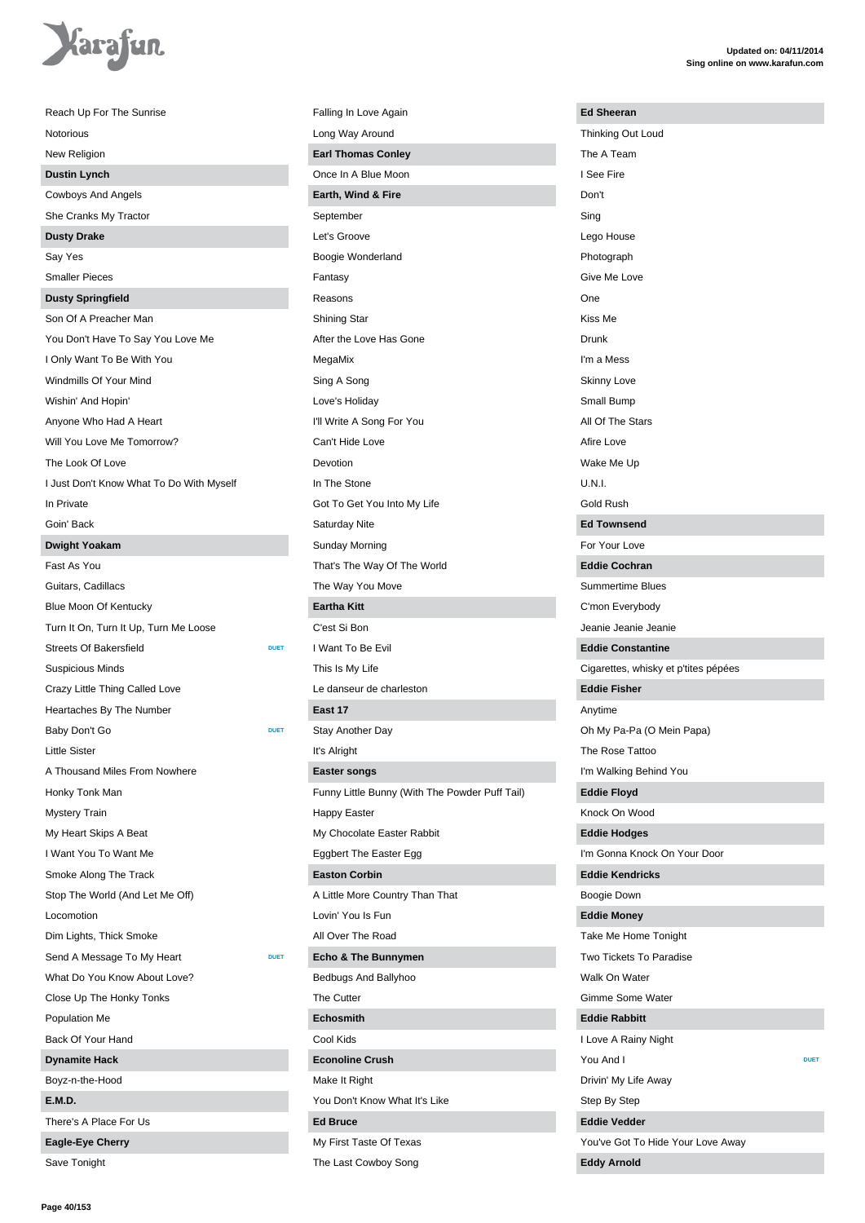

| Reach Up For The Sunrise                 |             |
|------------------------------------------|-------------|
| Notorious                                |             |
| New Religion                             |             |
| <b>Dustin Lynch</b>                      |             |
| <b>Cowboys And Angels</b>                |             |
| She Cranks My Tractor                    |             |
| <b>Dusty Drake</b>                       |             |
| Say Yes                                  |             |
| <b>Smaller Pieces</b>                    |             |
| <b>Dusty Springfield</b>                 |             |
| Son Of A Preacher Man                    |             |
| You Don't Have To Say You Love Me        |             |
| I Only Want To Be With You               |             |
| Windmills Of Your Mind                   |             |
| Wishin' And Hopin'                       |             |
| Anyone Who Had A Heart                   |             |
| Will You Love Me Tomorrow?               |             |
| The Look Of Love                         |             |
| I Just Don't Know What To Do With Myself |             |
| In Private                               |             |
| Goin' Back                               |             |
| <b>Dwight Yoakam</b>                     |             |
| Fast As You                              |             |
| Guitars, Cadillacs                       |             |
| Blue Moon Of Kentucky                    |             |
| Turn It On, Turn It Up, Turn Me Loose    |             |
| <b>Streets Of Bakersfield</b>            | <b>DUET</b> |
| <b>Suspicious Minds</b>                  |             |
| Crazy Little Thing Called Love           |             |
| Heartaches By The Number                 |             |
| Baby Don't Go                            | <b>DUET</b> |
| <b>Little Sister</b>                     |             |
| A Thousand Miles From Nowhere            |             |
| Honky Tonk Man                           |             |
| <b>Mystery Train</b>                     |             |
| My Heart Skips A Beat                    |             |
| I Want You To Want Me                    |             |
| Smoke Along The Track                    |             |
| Stop The World (And Let Me Off)          |             |
| Locomotion                               |             |
| Dim Lights, Thick Smoke                  |             |
| Send A Message To My Heart               | <b>DUET</b> |
| What Do You Know About Love?             |             |
| Close Up The Honky Tonks                 |             |
| <b>Population Me</b>                     |             |
| Back Of Your Hand                        |             |
| <b>Dynamite Hack</b>                     |             |
| Boyz-n-the-Hood                          |             |
| <b>E.M.D.</b>                            |             |
| There's A Place For Us                   |             |
| <b>Eagle-Eye Cherry</b>                  |             |
| Save Tonight                             |             |

| <b>DUET</b><br><b>DUET</b><br>re:<br>if)<br><b>DUET</b><br>$\cdot$ |  |  |
|--------------------------------------------------------------------|--|--|
|                                                                    |  |  |
|                                                                    |  |  |
|                                                                    |  |  |
|                                                                    |  |  |
|                                                                    |  |  |
|                                                                    |  |  |
|                                                                    |  |  |
|                                                                    |  |  |
|                                                                    |  |  |
|                                                                    |  |  |
|                                                                    |  |  |
|                                                                    |  |  |
|                                                                    |  |  |
|                                                                    |  |  |
|                                                                    |  |  |
|                                                                    |  |  |
|                                                                    |  |  |
|                                                                    |  |  |
|                                                                    |  |  |
|                                                                    |  |  |
|                                                                    |  |  |
|                                                                    |  |  |
|                                                                    |  |  |
|                                                                    |  |  |
|                                                                    |  |  |
|                                                                    |  |  |
|                                                                    |  |  |
|                                                                    |  |  |
|                                                                    |  |  |

Falling In Love Again Long Way Around **Earl Thomas Conley** Once In A Blue Moon **Earth, Wind & Fire** September Let's Groove Boogie Wonderland Fantasy Reasons Shining Star After the Love Has Gone MegaMix Sing A Song Love's Holiday I'll Write A Song For You Can't Hide Love Devotion In The Stone Got To Get You Into My Life Saturday Nite Sunday Morning That's The Way Of The World The Way You Move **Eartha Kitt** C'est Si Bon I Want To Be Evil This Is My Life Le danseur de charleston **East 17** Stay Another Day It's Alright **Easter songs** Funny Little Bunny (With The Powder Puff Tail) Happy Easter My Chocolate Easter Rabbit Eggbert The Easter Egg **Easton Corbin** A Little More Country Than That Lovin' You Is Fun All Over The Road **Echo & The Bunnymen** Bedbugs And Ballyhoo The Cutter **Echosmith** Cool Kids **Econoline Crush** Make It Right You Don't Know What It's Like **Ed Bruce** My First Taste Of Texas The Last Cowboy Song

| <b>Ed Sheeran</b>                    |             |
|--------------------------------------|-------------|
| Thinking Out Loud                    |             |
| The A Team                           |             |
| I See Fire                           |             |
| Don't                                |             |
| Sing                                 |             |
| Lego House                           |             |
| Photograph                           |             |
| Give Me Love                         |             |
| One                                  |             |
| Kiss Me                              |             |
| Drunk                                |             |
| I'm a Mess                           |             |
| <b>Skinny Love</b>                   |             |
| Small Bump                           |             |
| All Of The Stars                     |             |
| Afire Love                           |             |
| Wake Me Up                           |             |
| U.N.I.                               |             |
| Gold Rush                            |             |
| <b>Ed Townsend</b>                   |             |
| For Your Love                        |             |
| <b>Eddie Cochran</b>                 |             |
| <b>Summertime Blues</b>              |             |
| C'mon Everybody                      |             |
| Jeanie Jeanie Jeanie                 |             |
| <b>Eddie Constantine</b>             |             |
| Cigarettes, whisky et p'tites pépées |             |
| <b>Eddie Fisher</b>                  |             |
| Anytime                              |             |
| Oh My Pa-Pa (O Mein Papa)            |             |
| The Rose Tattoo                      |             |
| I'm Walking Behind You               |             |
| <b>Eddie Floyd</b>                   |             |
| Knock On Wood                        |             |
| <b>Eddie Hodges</b>                  |             |
| I'm Gonna Knock On Your Door         |             |
| <b>Eddie Kendricks</b>               |             |
| Boogie Down                          |             |
| <b>Eddie Money</b>                   |             |
| Take Me Home Tonight                 |             |
| Two Tickets To Paradise              |             |
| Walk On Water                        |             |
| Gimme Some Water                     |             |
| <b>Eddie Rabbitt</b>                 |             |
| I Love A Rainy Night                 |             |
| You And I                            | <b>DUET</b> |
| Drivin' My Life Away                 |             |
| Step By Step                         |             |
| <b>Eddie Vedder</b>                  |             |
| You've Got To Hide Your Love Away    |             |
| <b>Eddy Arnold</b>                   |             |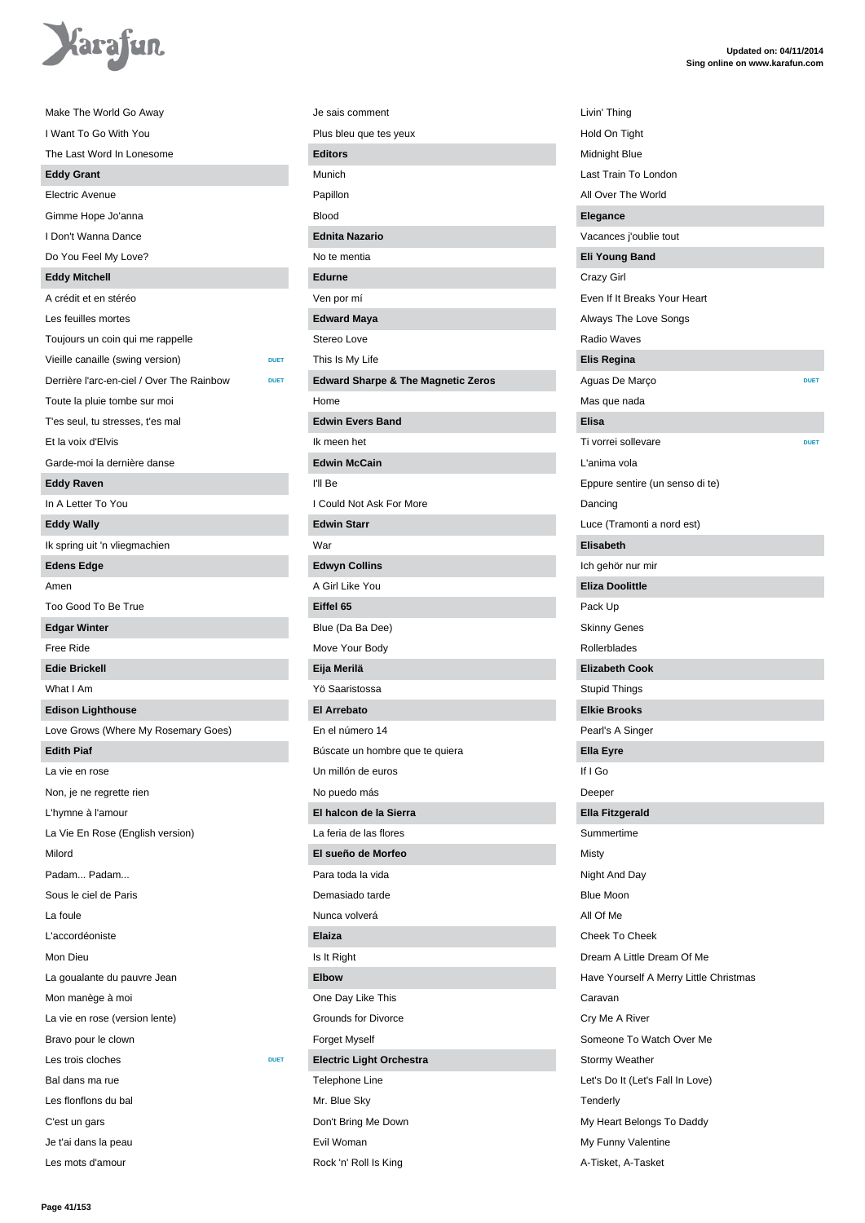

| Make The World Go Away                    |             |
|-------------------------------------------|-------------|
| I Want To Go With You                     |             |
| The Last Word In Lonesome                 |             |
| <b>Eddy Grant</b>                         |             |
| <b>Electric Avenue</b>                    |             |
| Gimme Hope Jo'anna                        |             |
| I Don't Wanna Dance                       |             |
| Do You Feel My Love?                      |             |
| <b>Eddy Mitchell</b>                      |             |
| A crédit et en stéréo                     |             |
| Les feuilles mortes                       |             |
| Toujours un coin qui me rappelle          |             |
| Vieille canaille (swing version)          | <b>DUET</b> |
| Derrière l'arc-en-ciel / Over The Rainbow | <b>DUET</b> |
| Toute la pluie tombe sur moi              |             |
| T'es seul, tu stresses, t'es mal          |             |
| Et la voix d'Elvis                        |             |
| Garde-moi la dernière danse               |             |
| <b>Eddy Raven</b>                         |             |
| In A Letter To You                        |             |
| <b>Eddy Wally</b>                         |             |
| Ik spring uit 'n vliegmachien             |             |
| <b>Edens Edge</b>                         |             |
| Amen                                      |             |
| Too Good To Be True                       |             |
| <b>Edgar Winter</b>                       |             |
| Free Ride                                 |             |
| <b>Edie Brickell</b>                      |             |
| What I Am                                 |             |
| <b>Edison Lighthouse</b>                  |             |
| Love Grows (Where My Rosemary Goes)       |             |
| <b>Edith Piaf</b>                         |             |
| La vie en rose                            |             |
| Non, je ne regrette rien                  |             |
| L'hymne à l'amour                         |             |
| La Vie En Rose (English version)          |             |
| Milord                                    |             |
| Padam Padam                               |             |
| Sous le ciel de Paris                     |             |
| La foule                                  |             |
| L'accordéoniste                           |             |
| Mon Dieu                                  |             |
| La goualante du pauvre Jean               |             |
| Mon manège à moi                          |             |
| La vie en rose (version lente)            |             |
| Bravo pour le clown                       |             |
| Les trois cloches                         | <b>DUET</b> |
| Bal dans ma rue                           |             |
| Les flonflons du bal                      |             |
| C'est un gars                             |             |
| Je t'ai dans la peau                      |             |

Je sais comment Plus bleu que tes yeux **Editors** Munich Papillon Blood **Ednita Nazario** No te mentia **Edurne** Ven por mí **Edward Maya** Stereo Love This Is My Life **Edward Sharpe & The Magnetic Zeros** Home **Edwin Evers Band** Ik meen het **Edwin McCain** I'll Be I Could Not Ask For More **Edwin Starr** War **Edwyn Collins** A Girl Like You **Eiffel 65** Blue (Da Ba Dee) Move Your Body **Eija Merilä** Yö Saaristossa **El Arrebato** En el número 14 Búscate un hombre que te quiera Un millón de euros No puedo más **El halcon de la Sierra** La feria de las flores **El sueño de Morfeo** Para toda la vida Demasiado tarde Nunca volverá **Elaiza** Is It Right **Elbow** One Day Like This Grounds for Divorce Forget Myself **Electric Light Orchestra** Telephone Line Mr. Blue Sky Don't Bring Me Down Evil Woman

Rock 'n' Roll Is King

| Livin' Thing                           |             |
|----------------------------------------|-------------|
| Hold On Tight                          |             |
| Midnight Blue                          |             |
| Last Train To London                   |             |
| All Over The World                     |             |
| Elegance                               |             |
| Vacances j'oublie tout                 |             |
| <b>Eli Young Band</b>                  |             |
| Crazy Girl                             |             |
| Even If It Breaks Your Heart           |             |
| Always The Love Songs                  |             |
| Radio Waves                            |             |
| Elis Regina                            |             |
| Aguas De Março                         | <b>DUET</b> |
| Mas que nada                           |             |
| <b>Elisa</b>                           |             |
| Ti vorrei sollevare                    | <b>DUET</b> |
| L'anima vola                           |             |
| Eppure sentire (un senso di te)        |             |
| Dancing                                |             |
| Luce (Tramonti a nord est)             |             |
| <b>Elisabeth</b>                       |             |
| Ich gehör nur mir                      |             |
| <b>Eliza Doolittle</b>                 |             |
| Pack Up                                |             |
| <b>Skinny Genes</b>                    |             |
| Rollerblades                           |             |
| <b>Elizabeth Cook</b>                  |             |
| <b>Stupid Things</b>                   |             |
| <b>Elkie Brooks</b>                    |             |
| Pearl's A Singer                       |             |
| Ella Eyre                              |             |
| If I Go                                |             |
| Deeper                                 |             |
| <b>Ella Fitzgerald</b>                 |             |
| Summertime                             |             |
| Misty                                  |             |
| Night And Day                          |             |
| <b>Blue Moon</b>                       |             |
| All Of Me                              |             |
| Cheek To Cheek                         |             |
| Dream A Little Dream Of Me             |             |
| Have Yourself A Merry Little Christmas |             |
| Caravan                                |             |
| Cry Me A River                         |             |
| Someone To Watch Over Me               |             |
| <b>Stormy Weather</b>                  |             |
| Let's Do It (Let's Fall In Love)       |             |
| Tenderly                               |             |
| My Heart Belongs To Daddy              |             |
| My Funny Valentine                     |             |
| A-Tisket, A-Tasket                     |             |

Les mots d'amour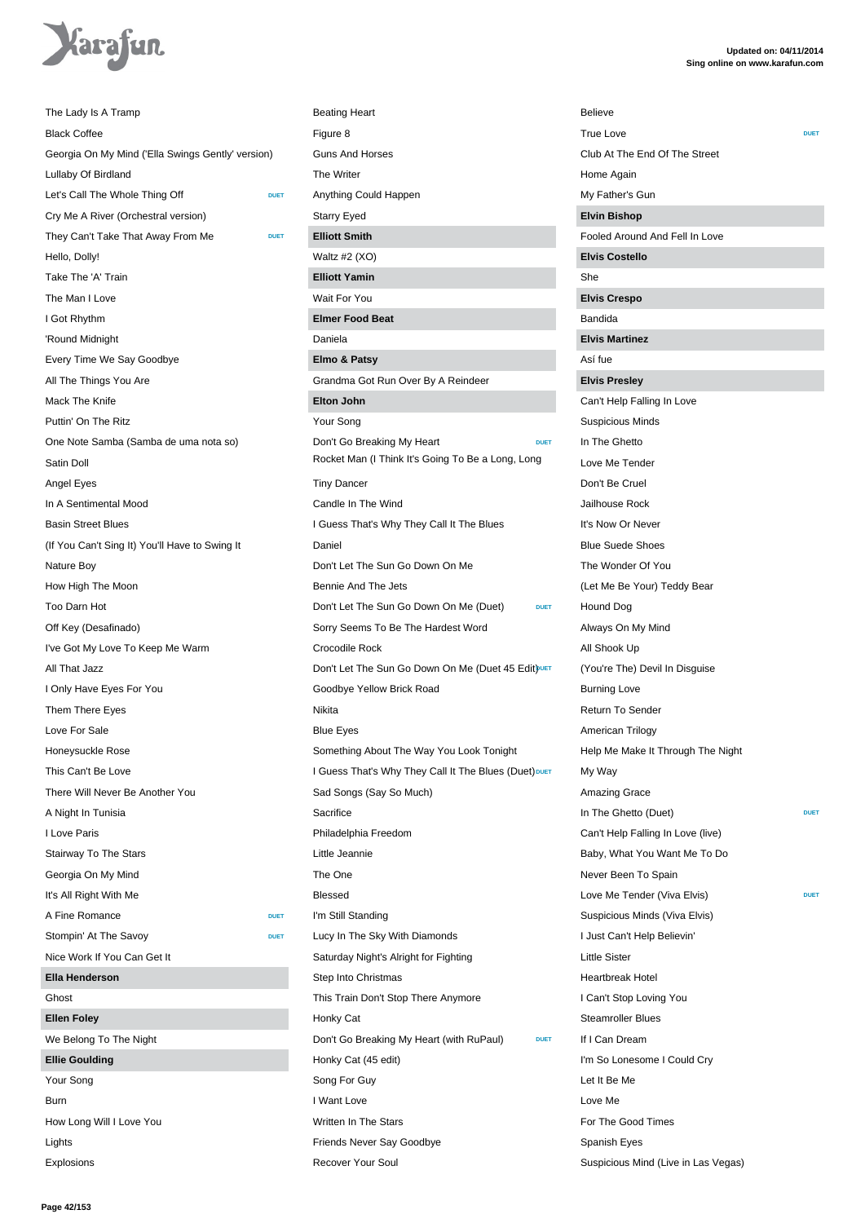

| The Lady Is A Tramp                               |             |
|---------------------------------------------------|-------------|
| <b>Black Coffee</b>                               |             |
| Georgia On My Mind ('Ella Swings Gently' version) |             |
| Lullaby Of Birdland                               |             |
| Let's Call The Whole Thing Off                    | <b>DUET</b> |
| Cry Me A River (Orchestral version)               |             |
| They Can't Take That Away From Me                 | <b>DUET</b> |
| Hello, Dolly!                                     |             |
| Take The 'A' Train                                |             |
| The Man I Love                                    |             |
| I Got Rhythm                                      |             |
| 'Round Midnight                                   |             |
| Every Time We Say Goodbye                         |             |
| All The Things You Are                            |             |
| Mack The Knife                                    |             |
| Puttin' On The Ritz                               |             |
| One Note Samba (Samba de uma nota so)             |             |
| Satin Doll                                        |             |
| Angel Eyes                                        |             |
| In A Sentimental Mood                             |             |
| <b>Basin Street Blues</b>                         |             |
| (If You Can't Sing It) You'll Have to Swing It    |             |
| Nature Boy                                        |             |
|                                                   |             |
| How High The Moon<br>Too Darn Hot                 |             |
|                                                   |             |
| Off Key (Desafinado)                              |             |
| I've Got My Love To Keep Me Warm                  |             |
| All That Jazz                                     |             |
| I Only Have Eyes For You                          |             |
| Them There Eyes                                   |             |
| Love For Sale                                     |             |
| Honeysuckle Rose                                  |             |
| This Can't Be Love                                |             |
| There Will Never Be Another You                   |             |
| A Night In Tunisia                                |             |
| I Love Paris                                      |             |
| <b>Stairway To The Stars</b>                      |             |
| Georgia On My Mind                                |             |
| It's All Right With Me                            |             |
| A Fine Romance                                    | <b>DUET</b> |
| Stompin' At The Savoy                             | <b>DUET</b> |
| Nice Work If You Can Get It                       |             |
| <b>Ella Henderson</b>                             |             |
| Ghost                                             |             |
| <b>Ellen Foley</b>                                |             |
| We Belong To The Night                            |             |
| <b>Ellie Goulding</b>                             |             |
| Your Song                                         |             |
| Burn                                              |             |
| How Long Will I Love You                          |             |
| Lights                                            |             |
| Explosions                                        |             |

## Beating Heart Figure 8 Guns And Horses The Writer Anything Could Happen Starry Eyed **Elliott Smith** Waltz #2 (XO) **Elliott Yamin** Wait For You **Elmer Food Beat** Daniela **Elmo & Patsy** Grandma Got Run Over By A Reindeer **Elton John** Your Song **Don't Go Breaking My Heart <b>DUET** DUET Rocket Man (I Think It's Going To Be a Long, Long Tiny Dancer Candle In The Wind I Guess That's Why They Call It The Blues Daniel Don't Let The Sun Go Down On Me Bennie And The Jets Don't Let The Sun Go Down On Me (Duet) DUET Sorry Seems To Be The Hardest Word Crocodile Rock Don't Let The Sun Go Down On Me (Duet 45 Edit)<sup>buer</sup> Goodbye Yellow Brick Road Nikita Blue Eyes Something About The Way You Look Tonight I Guess That's Why They Call It The Blues (Duet)<sup>DUET</sup> Sad Songs (Say So Much) **Sacrifice** Philadelphia Freedom Little Jeannie The One Blessed I'm Still Standing Lucy In The Sky With Diamonds Saturday Night's Alright for Fighting Step Into Christmas This Train Don't Stop There Anymore Honky Cat **Don't Go Breaking My Heart (with RuPaul)** DUET Honky Cat (45 edit) Song For Guy I Want Love Written In The Stars Friends Never Say Goodbye Recover Your Soul

| <b>Believe</b>                      |             |
|-------------------------------------|-------------|
| <b>True Love</b>                    | <b>DUET</b> |
| Club At The End Of The Street       |             |
| Home Again                          |             |
| My Father's Gun                     |             |
| <b>Elvin Bishop</b>                 |             |
| Fooled Around And Fell In Love      |             |
| <b>Elvis Costello</b>               |             |
| She                                 |             |
| <b>Elvis Crespo</b>                 |             |
| Bandida                             |             |
| <b>Elvis Martinez</b>               |             |
| Así fue                             |             |
| <b>Elvis Presley</b>                |             |
| Can't Help Falling In Love          |             |
| <b>Suspicious Minds</b>             |             |
| In The Ghetto                       |             |
| Love Me Tender                      |             |
| Don't Be Cruel                      |             |
| Jailhouse Rock                      |             |
| It's Now Or Never                   |             |
| <b>Blue Suede Shoes</b>             |             |
| The Wonder Of You                   |             |
| (Let Me Be Your) Teddy Bear         |             |
| Hound Dog                           |             |
| Always On My Mind                   |             |
| All Shook Up                        |             |
| (You're The) Devil In Disguise      |             |
| <b>Burning Love</b>                 |             |
| Return To Sender                    |             |
| American Trilogy                    |             |
| Help Me Make It Through The Night   |             |
| My Way                              |             |
| <b>Amazing Grace</b>                |             |
| In The Ghetto (Duet)                | <b>DUET</b> |
| Can't Help Falling In Love (live)   |             |
| Baby, What You Want Me To Do        |             |
| Never Been To Spain                 |             |
| Love Me Tender (Viva Elvis)         | <b>DUET</b> |
| Suspicious Minds (Viva Elvis)       |             |
| I Just Can't Help Believin'         |             |
| <b>Little Sister</b>                |             |
| <b>Heartbreak Hotel</b>             |             |
| I Can't Stop Loving You             |             |
| <b>Steamroller Blues</b>            |             |
| If I Can Dream                      |             |
| I'm So Lonesome I Could Cry         |             |
| Let It Be Me                        |             |
| Love Me                             |             |
| For The Good Times                  |             |
| Spanish Eyes                        |             |
| Suspicious Mind (Live in Las Vegas) |             |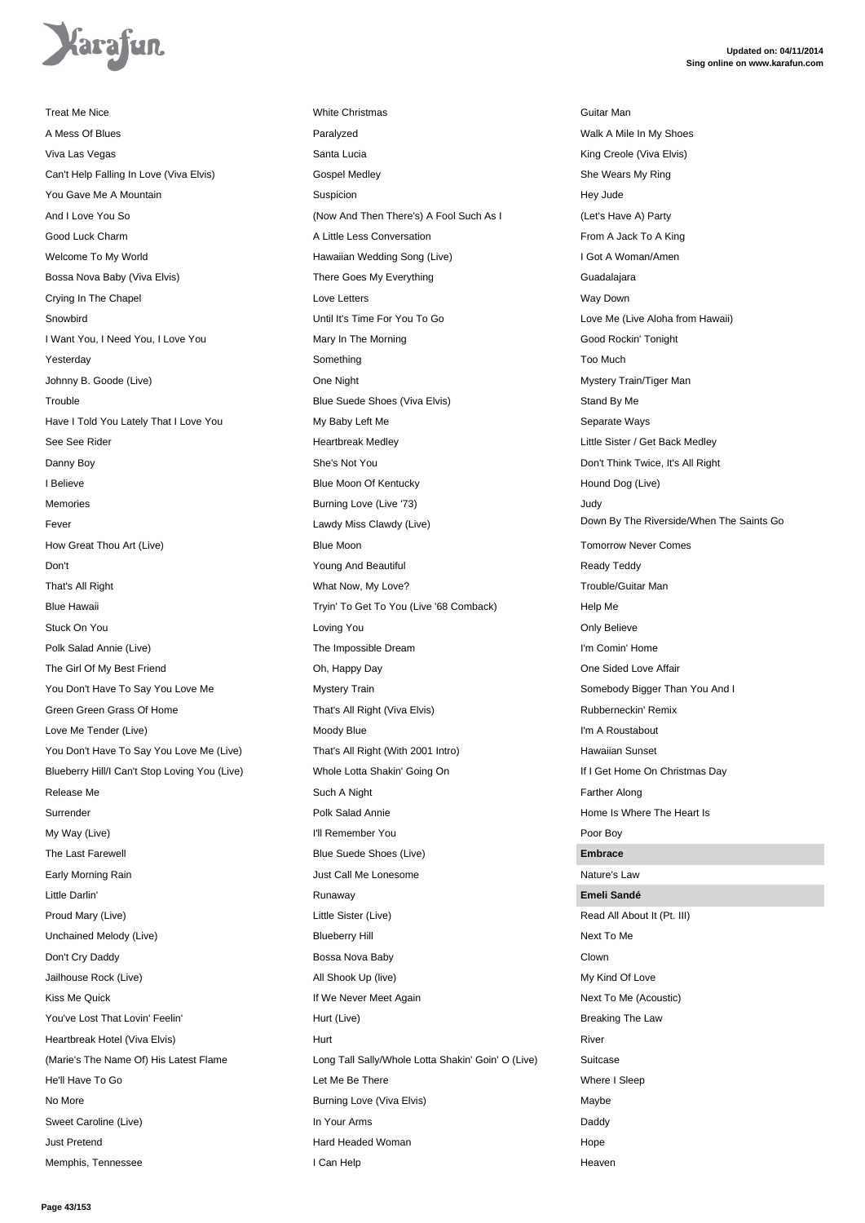

Treat Me Nice A Mess Of Blues Viva Las Vegas Can't Help Falling In Love (Viva Elvis) You Gave Me A Mountain And I Love You So Good Luck Charm Welcome To My World Bossa Nova Baby (Viva Elvis) Crying In The Chapel **Snowhird** I Want You, I Need You, I Love You Yesterday Johnny B. Goode (Live) Trouble Have I Told You Lately That I Love You See See Rider Danny Boy I Believe Memories Fever How Great Thou Art (Live) Don't That's All Right Blue Hawaii Stuck On You Polk Salad Annie (Live) The Girl Of My Best Friend You Don't Have To Say You Love Me Green Green Grass Of Home Love Me Tender (Live) You Don't Have To Say You Love Me (Live) Blueberry Hill/I Can't Stop Loving You (Live) Release Me Surrender My Way (Live) The Last Farewell Early Morning Rain Little Darlin' Proud Mary (Live) Unchained Melody (Live) Don't Cry Daddy Jailhouse Rock (Live) Kiss Me Quick You've Lost That Lovin' Feelin' Heartbreak Hotel (Viva Elvis) (Marie's The Name Of) His Latest Flame He'll Have To Go No More Sweet Caroline (Live) Just Pretend

Paralyzed Santa Lucia Gospel Medley Suspicion (Now And Then There's) A Fool Such As I A Little Less Conversation Hawaiian Wedding Song (Live) There Goes My Everything Love Letters Until It's Time For You To Go Mary In The Morning Something One Night Blue Suede Shoes (Viva Elvis) My Baby Left Me Heartbreak Medley She's Not You Blue Moon Of Kentucky Burning Love (Live '73) Lawdy Miss Clawdy (Live) Blue Moon Young And Beautiful What Now, My Love? Tryin' To Get To You (Live '68 Comback) Loving You The Impossible Dream Oh, Happy Day Mystery Train That's All Right (Viva Elvis) Moody Blue That's All Right (With 2001 Intro) Whole Lotta Shakin' Going On Such A Night Polk Salad Annie I'll Remember You Blue Suede Shoes (Live) Just Call Me Lonesome Runaway Little Sister (Live) Blueberry Hill Bossa Nova Baby All Shook Up (live) If We Never Meet Again Hurt (Live) Hurt Long Tall Sally/Whole Lotta Shakin' Goin' O (Live) Let Me Be There Burning Love (Viva Elvis) In Your Arms Hard Headed Woman

I Can Help

White Christmas

Guitar Man Walk A Mile In My Shoes King Creole (Viva Elvis) She Wears My Ring Hey Jude (Let's Have A) Party From A Jack To A King I Got A Woman/Amen Guadalajara Way Down Love Me (Live Aloha from Hawaii) Good Rockin' Tonight Too Much Mystery Train/Tiger Man Stand By Me Separate Ways Little Sister / Get Back Medley Don't Think Twice, It's All Right Hound Dog (Live) Judy Down By The Riverside/When The Saints Go Tomorrow Never Comes Ready Teddy Trouble/Guitar Man Help Me Only Believe I'm Comin' Home One Sided Love Affair Somebody Bigger Than You And I Rubberneckin' Remix I'm A Roustabout Hawaiian Sunset If I Get Home On Christmas Day Farther Along Home Is Where The Heart Is Poor Boy **Embrace** Nature's Law **Emeli Sandé** Read All About It (Pt. III) Next To Me Clown My Kind Of Love Next To Me (Acoustic) Breaking The Law River Suitcase Where I Sleep Maybe Daddy Hope Heaven

Memphis, Tennessee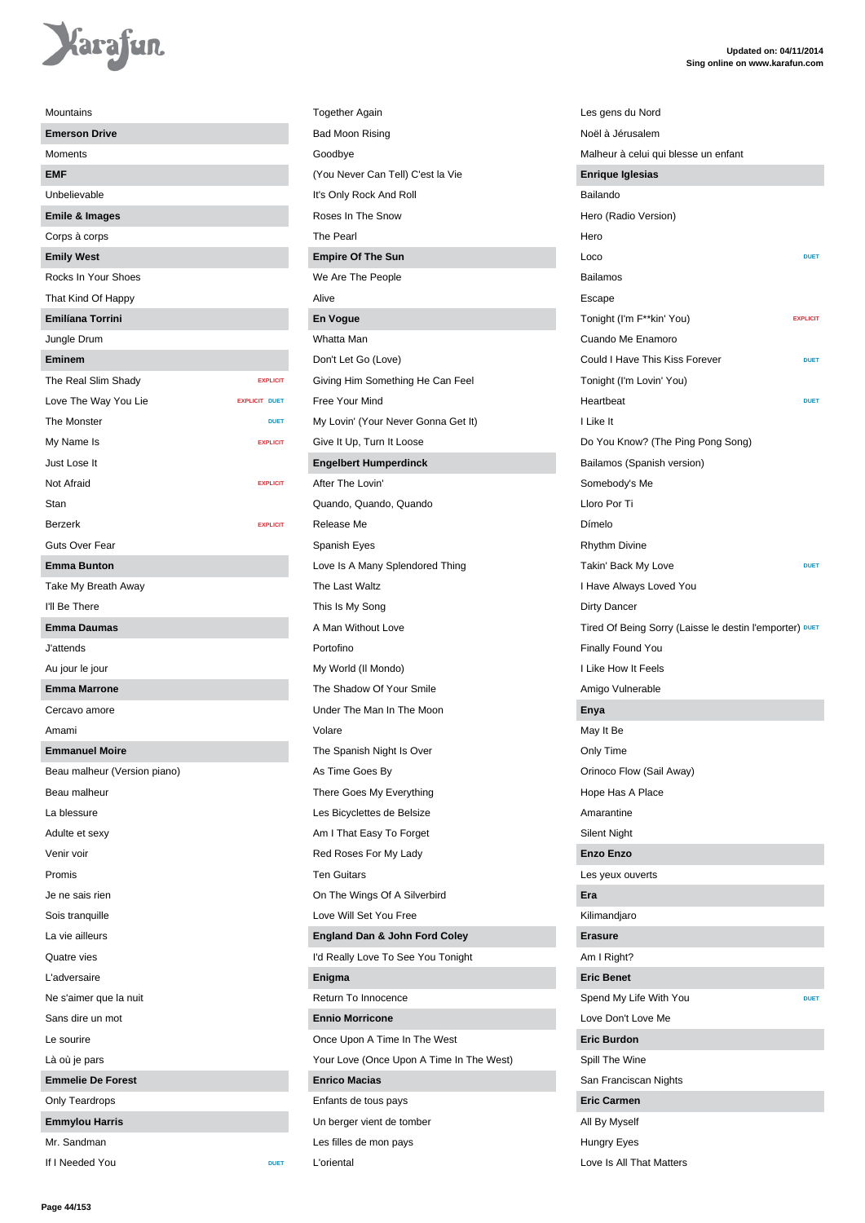

| Mountains                    |                      |
|------------------------------|----------------------|
| <b>Emerson Drive</b>         |                      |
| Moments                      |                      |
| <b>EMF</b>                   |                      |
| Unbelievable                 |                      |
| Emile & Images               |                      |
| Corps à corps                |                      |
| <b>Emily West</b>            |                      |
| Rocks In Your Shoes          |                      |
| That Kind Of Happy           |                      |
| <b>Emilíana Torrini</b>      |                      |
| Jungle Drum                  |                      |
| Eminem                       |                      |
| The Real Slim Shady          | <b>EXPLICIT</b>      |
| Love The Way You Lie         | <b>EXPLICIT DUET</b> |
| The Monster                  | <b>DUET</b>          |
| My Name Is                   | <b>EXPLICIT</b>      |
| Just Lose It                 |                      |
| Not Afraid                   | <b>EXPLICIT</b>      |
| Stan                         |                      |
| <b>Berzerk</b>               | <b>EXPLICIT</b>      |
| Guts Over Fear               |                      |
| <b>Emma Bunton</b>           |                      |
| Take My Breath Away          |                      |
| I'll Be There                |                      |
| <b>Emma Daumas</b>           |                      |
| <b>J'attends</b>             |                      |
| Au jour le jour              |                      |
| <b>Emma Marrone</b>          |                      |
| Cercavo amore                |                      |
| Amami                        |                      |
| <b>Emmanuel Moire</b>        |                      |
| Beau malheur (Version piano) |                      |
| Beau malheur                 |                      |
| La blessure                  |                      |
| Adulte et sexy               |                      |
| Venir voir                   |                      |
| Promis                       |                      |
| Je ne sais rien              |                      |
| Sois tranquille              |                      |
| La vie ailleurs              |                      |
| Quatre vies                  |                      |
| L'adversaire                 |                      |
| Ne s'aimer que la nuit       |                      |
| Sans dire un mot             |                      |
| Le sourire                   |                      |
| Là où je pars                |                      |
| <b>Emmelie De Forest</b>     |                      |
| Only Teardrops               |                      |
| <b>Emmylou Harris</b>        |                      |
| Mr. Sandman                  |                      |
| If I Needed You              | <b>DUET</b>          |

Together Again Bad Moon Rising Goodbye (You Never Can Tell) C'est la Vie It's Only Rock And Roll Roses In The Snow The Pearl **Empire Of The Sun** We Are The People Alive **En Vogue** Whatta Man Don't Let Go (Love) Giving Him Something He Can Feel Free Your Mind My Lovin' (Your Never Gonna Get It) Give It Up, Turn It Loose **Engelbert Humperdinck** After The Lovin' Quando, Quando, Quando Release Me Spanish Eyes Love Is A Many Splendored Thing The Last Waltz This Is My Song A Man Without Love Portofino My World (Il Mondo) The Shadow Of Your Smile Under The Man In The Moon Volare The Spanish Night Is Over As Time Goes By There Goes My Everything Les Bicyclettes de Belsize Am I That Easy To Forget Red Roses For My Lady Ten Guitars On The Wings Of A Silverbird Love Will Set You Free **England Dan & John Ford Coley** I'd Really Love To See You Tonight **Enigma** Return To Innocence **Ennio Morricone** Once Upon A Time In The West Your Love (Once Upon A Time In The West) **Enrico Macias** Enfants de tous pays Un berger vient de tomber Les filles de mon pays L'oriental

| Les gens du Nord                                        |                 |
|---------------------------------------------------------|-----------------|
| Noël à Jérusalem                                        |                 |
| Malheur à celui qui blesse un enfant                    |                 |
| <b>Enrique Iglesias</b>                                 |                 |
| Bailando                                                |                 |
| Hero (Radio Version)                                    |                 |
| Hero                                                    |                 |
| Loco                                                    | <b>DUET</b>     |
| <b>Bailamos</b>                                         |                 |
| Escape                                                  |                 |
| Tonight (I'm F**kin' You)                               | <b>EXPLICIT</b> |
| Cuando Me Enamoro                                       |                 |
| Could I Have This Kiss Forever                          | <b>DUET</b>     |
| Tonight (I'm Lovin' You)                                |                 |
| Heartbeat                                               | <b>DUET</b>     |
| I Like It                                               |                 |
| Do You Know? (The Ping Pong Song)                       |                 |
| Bailamos (Spanish version)                              |                 |
| Somebody's Me                                           |                 |
| Lloro Por Ti                                            |                 |
| Dímelo                                                  |                 |
| <b>Rhythm Divine</b>                                    |                 |
| Takin' Back My Love                                     | <b>DUET</b>     |
| I Have Always Loved You                                 |                 |
| Dirty Dancer                                            |                 |
| Tired Of Being Sorry (Laisse le destin l'emporter) DUET |                 |
| <b>Finally Found You</b>                                |                 |
| I Like How It Feels                                     |                 |
| Amigo Vulnerable                                        |                 |
| Enya                                                    |                 |
| May It Be                                               |                 |
| Only Time                                               |                 |
| Orinoco Flow (Sail Away)                                |                 |
| Hope Has A Place                                        |                 |
| Amarantine                                              |                 |
| <b>Silent Night</b>                                     |                 |
| <b>Enzo Enzo</b>                                        |                 |
| Les yeux ouverts                                        |                 |
| Era                                                     |                 |
| Kilimandjaro                                            |                 |
| <b>Erasure</b>                                          |                 |
| Am I Right?                                             |                 |
| <b>Eric Benet</b>                                       |                 |
| Spend My Life With You                                  | <b>DUET</b>     |
| Love Don't Love Me                                      |                 |
| <b>Eric Burdon</b>                                      |                 |
|                                                         |                 |
| Spill The Wine                                          |                 |
| San Franciscan Nights<br><b>Eric Carmen</b>             |                 |
|                                                         |                 |
| All By Myself                                           |                 |
| Hungry Eyes                                             |                 |
| Love Is All That Matters                                |                 |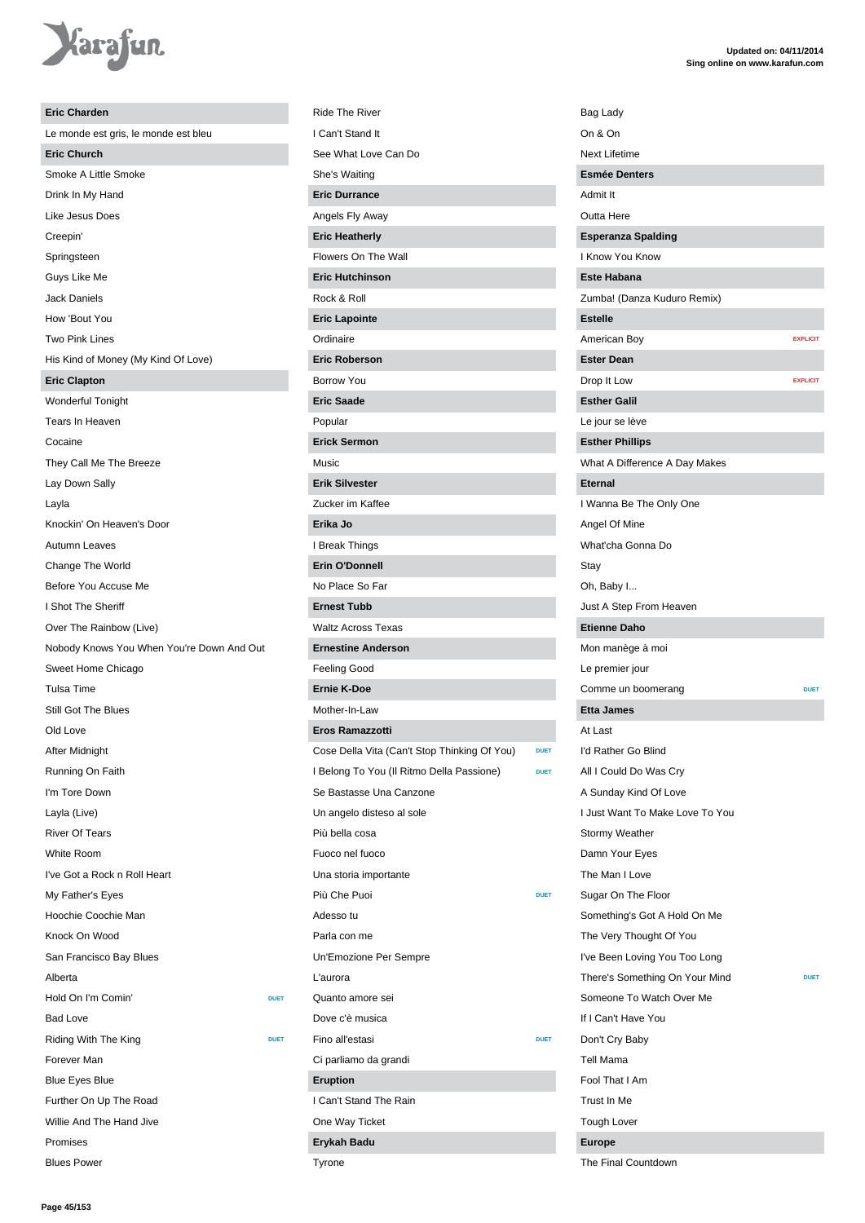

| <b>Eric Charden</b>                                                  |             |
|----------------------------------------------------------------------|-------------|
| Le monde est gris, le monde est bleu                                 |             |
| <b>Eric Church</b>                                                   |             |
| Smoke A Little Smoke                                                 |             |
| Drink In My Hand                                                     |             |
| Like Jesus Does                                                      |             |
| Creepin'                                                             |             |
| Springsteen                                                          |             |
| Guys Like Me                                                         |             |
| <b>Jack Daniels</b>                                                  |             |
| How 'Bout You                                                        |             |
| <b>Two Pink Lines</b>                                                |             |
| His Kind of Money (My Kind Of Love)                                  |             |
| <b>Eric Clapton</b>                                                  |             |
| <b>Wonderful Tonight</b>                                             |             |
| Tears In Heaven                                                      |             |
| Cocaine                                                              |             |
| They Call Me The Breeze                                              |             |
| Lay Down Sally                                                       |             |
| Layla                                                                |             |
| Knockin' On Heaven's Door                                            |             |
| <b>Autumn Leaves</b>                                                 |             |
| Change The World                                                     |             |
| Before You Accuse Me                                                 |             |
| I Shot The Sheriff                                                   |             |
|                                                                      |             |
| Over The Rainbow (Live)<br>Nobody Knows You When You're Down And Out |             |
|                                                                      |             |
| Sweet Home Chicago                                                   |             |
| <b>Tulsa Time</b>                                                    |             |
| Still Got The Blues                                                  |             |
| Old Love                                                             |             |
| After Midnight                                                       |             |
| Running On Faith                                                     |             |
| I'm Tore Down                                                        |             |
| Layla (Live)                                                         |             |
| <b>River Of Tears</b>                                                |             |
| White Room                                                           |             |
| I've Got a Rock n Roll Heart                                         |             |
| My Father's Eyes                                                     |             |
| Hoochie Coochie Man                                                  |             |
| Knock On Wood                                                        |             |
| San Francisco Bay Blues                                              |             |
| Alberta                                                              |             |
| Hold On I'm Comin'                                                   | <b>DUET</b> |
| <b>Bad Love</b>                                                      |             |
| Riding With The King                                                 | <b>DUET</b> |
| Forever Man                                                          |             |
| <b>Blue Eyes Blue</b>                                                |             |
| Further On Up The Road                                               |             |
| Willie And The Hand Jive                                             |             |
| Promises                                                             |             |
| <b>Blues Power</b>                                                   |             |

| <b>Ride The River</b>                        |             |
|----------------------------------------------|-------------|
| I Can't Stand It                             |             |
| See What Love Can Do                         |             |
| She's Waiting                                |             |
| <b>Eric Durrance</b>                         |             |
| Angels Fly Away                              |             |
| <b>Eric Heatherly</b>                        |             |
| Flowers On The Wall                          |             |
| <b>Eric Hutchinson</b>                       |             |
| Rock & Roll                                  |             |
| <b>Eric Lapointe</b>                         |             |
| Ordinaire                                    |             |
| <b>Eric Roberson</b>                         |             |
| <b>Borrow You</b>                            |             |
| <b>Eric Saade</b>                            |             |
| Popular                                      |             |
| <b>Erick Sermon</b>                          |             |
| Music                                        |             |
| <b>Erik Silvester</b>                        |             |
| Zucker im Kaffee                             |             |
| Erika Jo                                     |             |
| I Break Things                               |             |
| <b>Erin O'Donnell</b>                        |             |
| No Place So Far                              |             |
| <b>Ernest Tubb</b>                           |             |
| <b>Waltz Across Texas</b>                    |             |
| <b>Ernestine Anderson</b>                    |             |
| <b>Feeling Good</b>                          |             |
| <b>Ernie K-Doe</b>                           |             |
| Mother-In-Law                                |             |
| <b>Eros Ramazzotti</b>                       |             |
| Cose Della Vita (Can't Stop Thinking Of You) | <b>DUET</b> |
| I Belong To You (Il Ritmo Della Passione)    | <b>DUET</b> |
| Se Bastasse Una Canzone                      |             |
| Un angelo disteso al sole                    |             |
| Più bella cosa                               |             |
| Fuoco nel fuoco                              |             |
|                                              |             |
| Una storia importante<br>Più Che Puoi        | <b>DUET</b> |
|                                              |             |
| Adesso tu                                    |             |
| Parla con me                                 |             |
| Un'Emozione Per Sempre                       |             |
| L'aurora                                     |             |
| Quanto amore sei                             |             |
| Dove c'è musica                              |             |
| Fino all'estasi                              | <b>DUET</b> |
| Ci parliamo da grandi                        |             |
| <b>Eruption</b>                              |             |
| I Can't Stand The Rain                       |             |
| One Way Ticket                               |             |
| Erykah Badu                                  |             |
| Tyrone                                       |             |

| Bag Lady                        |                 |
|---------------------------------|-----------------|
| On & On                         |                 |
| <b>Next Lifetime</b>            |                 |
| <b>Esmée Denters</b>            |                 |
| Admit It                        |                 |
| Outta Here                      |                 |
| <b>Esperanza Spalding</b>       |                 |
| <b>Know You Know</b>            |                 |
| <b>Este Habana</b>              |                 |
| Zumba! (Danza Kuduro Remix)     |                 |
| <b>Estelle</b>                  |                 |
| American Boy                    | <b>EXPLICIT</b> |
| <b>Ester Dean</b>               |                 |
| Drop It Low                     | <b>EXPLICIT</b> |
| <b>Esther Galil</b>             |                 |
| Le jour se lève                 |                 |
| <b>Esther Phillips</b>          |                 |
| What A Difference A Day Makes   |                 |
| <b>Eternal</b>                  |                 |
| I Wanna Be The Only One         |                 |
| Angel Of Mine                   |                 |
| What'cha Gonna Do               |                 |
| Stay                            |                 |
| Oh, Baby I                      |                 |
| Just A Step From Heaven         |                 |
| <b>Etienne Daho</b>             |                 |
| Mon manège à moi                |                 |
| Le premier jour                 |                 |
| Comme un boomerang              | <b>DUET</b>     |
| <b>Etta James</b>               |                 |
| At Last                         |                 |
| I'd Rather Go Blind             |                 |
| All I Could Do Was Cry          |                 |
| A Sunday Kind Of Love           |                 |
| I Just Want To Make Love To You |                 |
| <b>Stormy Weather</b>           |                 |
| Damn Your Eyes                  |                 |
| The Man I Love                  |                 |
| Sugar On The Floor              |                 |
| Something's Got A Hold On Me    |                 |
| The Very Thought Of You         |                 |
| I've Been Loving You Too Long   |                 |
| There's Something On Your Mind  | <b>DUET</b>     |
| Someone To Watch Over Me        |                 |
| If I Can't Have You             |                 |
| Don't Cry Baby                  |                 |
| Tell Mama                       |                 |
| Fool That I Am                  |                 |
| Trust In Me                     |                 |
| <b>Tough Lover</b>              |                 |
| <b>Europe</b>                   |                 |
| The Final Countdown             |                 |

**Page 45/153**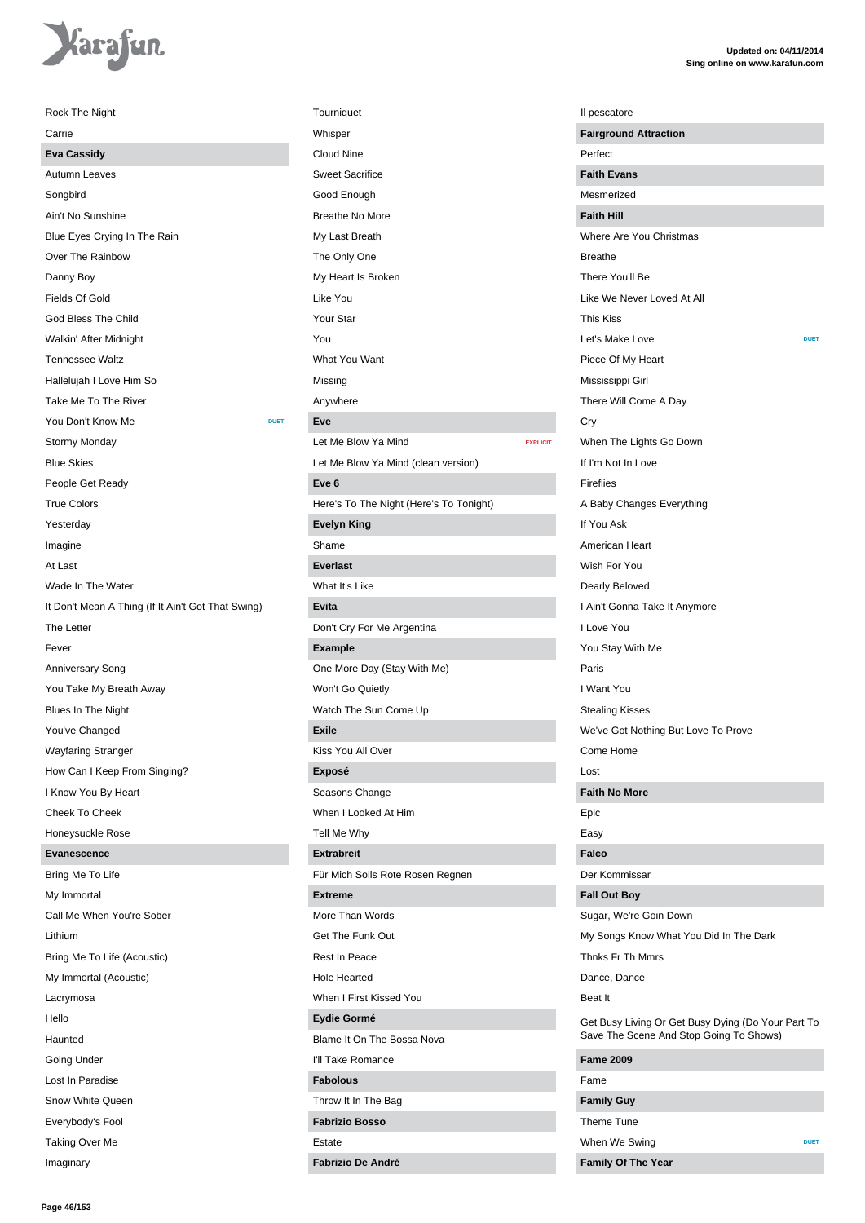

| Rock The Night                                     | Tourniquet                              |  |
|----------------------------------------------------|-----------------------------------------|--|
| Carrie                                             | Whisper                                 |  |
| <b>Eva Cassidy</b>                                 | Cloud Nine                              |  |
| Autumn Leaves                                      | <b>Sweet Sacrifice</b>                  |  |
| Songbird                                           | Good Enough                             |  |
| Ain't No Sunshine                                  | <b>Breathe No More</b>                  |  |
| Blue Eyes Crying In The Rain                       | My Last Breath                          |  |
| Over The Rainbow                                   | The Only One                            |  |
| Danny Boy                                          | My Heart Is Broken                      |  |
| Fields Of Gold                                     | Like You                                |  |
| God Bless The Child                                | Your Star                               |  |
| Walkin' After Midnight                             | You                                     |  |
| <b>Tennessee Waltz</b>                             | What You Want                           |  |
| Hallelujah I Love Him So                           | Missing                                 |  |
| Take Me To The River                               | Anywhere                                |  |
| You Don't Know Me<br><b>DUET</b>                   | Eve                                     |  |
| Stormy Monday                                      | Let Me Blow Ya Mind<br><b>EXPLICIT</b>  |  |
| <b>Blue Skies</b>                                  | Let Me Blow Ya Mind (clean version)     |  |
| People Get Ready                                   | Eve <sub>6</sub>                        |  |
| <b>True Colors</b>                                 | Here's To The Night (Here's To Tonight) |  |
| Yesterday                                          | <b>Evelyn King</b>                      |  |
| Imagine                                            | Shame                                   |  |
| At Last                                            | <b>Everlast</b>                         |  |
| Wade In The Water                                  | What It's Like                          |  |
| It Don't Mean A Thing (If It Ain't Got That Swing) | <b>Evita</b>                            |  |
|                                                    |                                         |  |
| The Letter                                         | Don't Cry For Me Argentina              |  |
| Fever                                              | <b>Example</b>                          |  |
| Anniversary Song                                   | One More Day (Stay With Me)             |  |
| You Take My Breath Away                            | Won't Go Quietly                        |  |
| Blues In The Night                                 | Watch The Sun Come Up                   |  |
| You've Changed                                     | <b>Exile</b>                            |  |
| Wayfaring Stranger                                 | Kiss You All Over                       |  |
| How Can I Keep From Singing?                       | Exposé                                  |  |
| I Know You By Heart                                | Seasons Change                          |  |
| Cheek To Cheek                                     | When I Looked At Him                    |  |
| Honeysuckle Rose                                   | Tell Me Why                             |  |
| <b>Evanescence</b>                                 | <b>Extrabreit</b>                       |  |
| Bring Me To Life                                   | Für Mich Solls Rote Rosen Regnen        |  |
| My Immortal                                        | <b>Extreme</b>                          |  |
| Call Me When You're Sober                          | More Than Words                         |  |
| Lithium                                            | Get The Funk Out                        |  |
| Bring Me To Life (Acoustic)                        | Rest In Peace                           |  |
| My Immortal (Acoustic)                             | <b>Hole Hearted</b>                     |  |
| Lacrymosa                                          | When I First Kissed You                 |  |
| Hello                                              | Eydie Gormé                             |  |
| Haunted                                            | Blame It On The Bossa Nova              |  |
| Going Under                                        | I'll Take Romance                       |  |
| Lost In Paradise                                   | <b>Fabolous</b>                         |  |
| Snow White Queen                                   | Throw It In The Bag                     |  |
| Everybody's Fool                                   | <b>Fabrizio Bosso</b>                   |  |
| Taking Over Me                                     | Estate                                  |  |

| Il pescatore                                                                                  |             |
|-----------------------------------------------------------------------------------------------|-------------|
| <b>Fairground Attraction</b>                                                                  |             |
| Perfect                                                                                       |             |
| <b>Faith Evans</b>                                                                            |             |
| Mesmerized                                                                                    |             |
| <b>Faith Hill</b>                                                                             |             |
| Where Are You Christmas                                                                       |             |
| <b>Breathe</b>                                                                                |             |
| There You'll Be                                                                               |             |
| Like We Never Loved At All                                                                    |             |
| <b>This Kiss</b>                                                                              |             |
| Let's Make Love                                                                               | <b>DUET</b> |
| Piece Of My Heart                                                                             |             |
| Mississippi Girl                                                                              |             |
| There Will Come A Day                                                                         |             |
| Cry                                                                                           |             |
| When The Lights Go Down                                                                       |             |
| If I'm Not In Love                                                                            |             |
| <b>Fireflies</b>                                                                              |             |
| A Baby Changes Everything                                                                     |             |
| If You Ask                                                                                    |             |
| American Heart                                                                                |             |
| Wish For You                                                                                  |             |
| Dearly Beloved                                                                                |             |
| I Ain't Gonna Take It Anymore                                                                 |             |
| I Love You                                                                                    |             |
| You Stay With Me                                                                              |             |
| Paris                                                                                         |             |
| I Want You                                                                                    |             |
| <b>Stealing Kisses</b>                                                                        |             |
| We've Got Nothing But Love To Prove                                                           |             |
| Come Home                                                                                     |             |
| Lost                                                                                          |             |
| <b>Faith No More</b>                                                                          |             |
| Epic                                                                                          |             |
| Easy                                                                                          |             |
| <b>Falco</b>                                                                                  |             |
| Der Kommissar                                                                                 |             |
| <b>Fall Out Boy</b>                                                                           |             |
| Sugar, We're Goin Down                                                                        |             |
| My Songs Know What You Did In The Dark                                                        |             |
| Thnks Fr Th Mmrs                                                                              |             |
| Dance, Dance                                                                                  |             |
| Beat It                                                                                       |             |
| Get Busy Living Or Get Busy Dying (Do Your Part To<br>Save The Scene And Stop Going To Shows) |             |
| <b>Fame 2009</b>                                                                              |             |
| Fame                                                                                          |             |
| <b>Family Guy</b>                                                                             |             |
| Theme Tune                                                                                    |             |
| When We Swing                                                                                 | <b>DUET</b> |
|                                                                                               |             |

**Family Of The Year**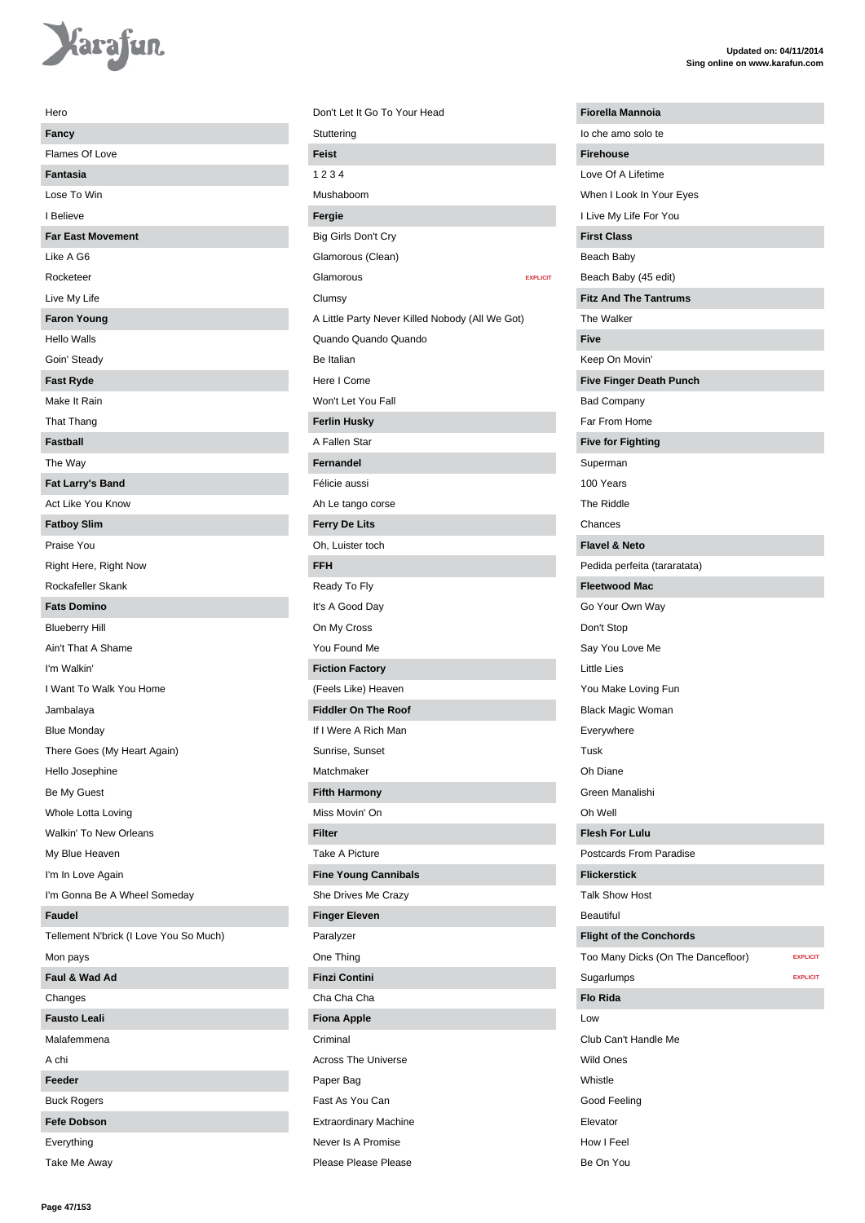

| Hero                                   |
|----------------------------------------|
| Fancy                                  |
| <b>Flames Of Love</b>                  |
| <b>Fantasia</b>                        |
| Lose To Win                            |
| I Believe                              |
| <b>Far East Movement</b>               |
| Like A G6                              |
| Rocketeer                              |
| Live My Life                           |
| <b>Faron Young</b>                     |
| <b>Hello Walls</b>                     |
| Goin' Steady                           |
| <b>Fast Ryde</b>                       |
| Make It Rain                           |
| That Thang                             |
| <b>Fastball</b>                        |
| The Way                                |
| Fat Larry's Band                       |
| Act Like You Know                      |
| <b>Fatboy Slim</b>                     |
| Praise You                             |
| Right Here, Right Now                  |
| Rockafeller Skank                      |
| <b>Fats Domino</b>                     |
| <b>Blueberry Hill</b>                  |
| Ain't That A Shame                     |
| I'm Walkin'                            |
| I Want To Walk You Home                |
| Jambalaya                              |
| <b>Blue Monday</b>                     |
| There Goes (My Heart Again)            |
| Hello Josephine                        |
| Be My Guest                            |
| Whole Lotta Loving                     |
| <b>Walkin' To New Orleans</b>          |
| My Blue Heaven                         |
| I'm In Love Again                      |
| I'm Gonna Be A Wheel Someday           |
| <b>Faudel</b>                          |
| Tellement N'brick (I Love You So Much) |
| Mon pays                               |
| Faul & Wad Ad                          |
| Changes                                |
| <b>Fausto Leali</b>                    |
| Malafemmena                            |
| A chi                                  |
| Feeder                                 |
| <b>Buck Rogers</b>                     |
| <b>Fefe Dobson</b>                     |
| Everything                             |
| Take Me Away                           |

| Don't Let It Go To Your Head                    |
|-------------------------------------------------|
| Stuttering                                      |
| Feist                                           |
| 1234                                            |
| Mushaboom                                       |
| Fergie                                          |
| Big Girls Don't Cry                             |
| Glamorous (Clean)                               |
| Glamorous<br><b>EXPLICIT</b>                    |
| Clumsy                                          |
| A Little Party Never Killed Nobody (All We Got) |
| Quando Quando Quando                            |
| Be Italian                                      |
| Here I Come                                     |
| Won't Let You Fall                              |
| <b>Ferlin Husky</b>                             |
| A Fallen Star                                   |
| Fernandel                                       |
| Félicie aussi                                   |
| Ah Le tango corse                               |
| <b>Ferry De Lits</b>                            |
| Oh, Luister toch                                |
| <b>FFH</b>                                      |
| Ready To Fly                                    |
| It's A Good Day                                 |
| On My Cross                                     |
| You Found Me                                    |
| <b>Fiction Factory</b>                          |
| (Feels Like) Heaven                             |
| <b>Fiddler On The Roof</b>                      |
| If I Were A Rich Man                            |
| Sunrise, Sunset                                 |
| Matchmaker                                      |
| <b>Fifth Harmony</b>                            |
| Miss Movin' On                                  |
| <b>Filter</b>                                   |
| Take A Picture                                  |
| <b>Fine Young Cannibals</b>                     |
| She Drives Me Crazy                             |
| <b>Finger Eleven</b>                            |
| Paralyzer                                       |
| One Thing                                       |
| <b>Finzi Contini</b>                            |
| Cha Cha Cha                                     |
| <b>Fiona Apple</b>                              |
| Criminal                                        |
| <b>Across The Universe</b>                      |
| Paper Bag                                       |
| Fast As You Can                                 |
| <b>Extraordinary Machine</b>                    |
| Never Is A Promise                              |
| <b>Please Please Please</b>                     |

### **Updated on: 04/11/2014 Sing online on www.karafun.com**

| <b>Fiorella Mannoia</b>            |                 |
|------------------------------------|-----------------|
| lo che amo solo te                 |                 |
| <b>Firehouse</b>                   |                 |
| Love Of A Lifetime                 |                 |
| When I Look In Your Eyes           |                 |
| I Live My Life For You             |                 |
| <b>First Class</b>                 |                 |
| Beach Baby                         |                 |
| Beach Baby (45 edit)               |                 |
| <b>Fitz And The Tantrums</b>       |                 |
| The Walker                         |                 |
| Five                               |                 |
| Keep On Movin'                     |                 |
| <b>Five Finger Death Punch</b>     |                 |
| <b>Bad Company</b>                 |                 |
| Far From Home                      |                 |
| <b>Five for Fighting</b>           |                 |
| Superman                           |                 |
| 100 Years                          |                 |
| The Riddle                         |                 |
| Chances                            |                 |
| <b>Flavel &amp; Neto</b>           |                 |
| Pedida perfeita (tararatata)       |                 |
| <b>Fleetwood Mac</b>               |                 |
| Go Your Own Way                    |                 |
| Don't Stop                         |                 |
| Say You Love Me                    |                 |
| <b>Little Lies</b>                 |                 |
| You Make Loving Fun                |                 |
| <b>Black Magic Woman</b>           |                 |
| Everywhere                         |                 |
| Tusk                               |                 |
| Oh Diane                           |                 |
| Green Manalishi                    |                 |
| Oh Well                            |                 |
| <b>Flesh For Lulu</b>              |                 |
| Postcards From Paradise            |                 |
| <b>Flickerstick</b>                |                 |
| <b>Talk Show Host</b>              |                 |
| <b>Beautiful</b>                   |                 |
| <b>Flight of the Conchords</b>     |                 |
| Too Many Dicks (On The Dancefloor) | <b>EXPLICIT</b> |
| Sugarlumps                         | <b>EXPLICIT</b> |
| <b>Flo Rida</b>                    |                 |
| Low                                |                 |
| Club Can't Handle Me               |                 |
| Wild Ones                          |                 |
| Whistle                            |                 |
| Good Feeling                       |                 |
| Elevator                           |                 |
| How I Feel                         |                 |
| Be On You                          |                 |
|                                    |                 |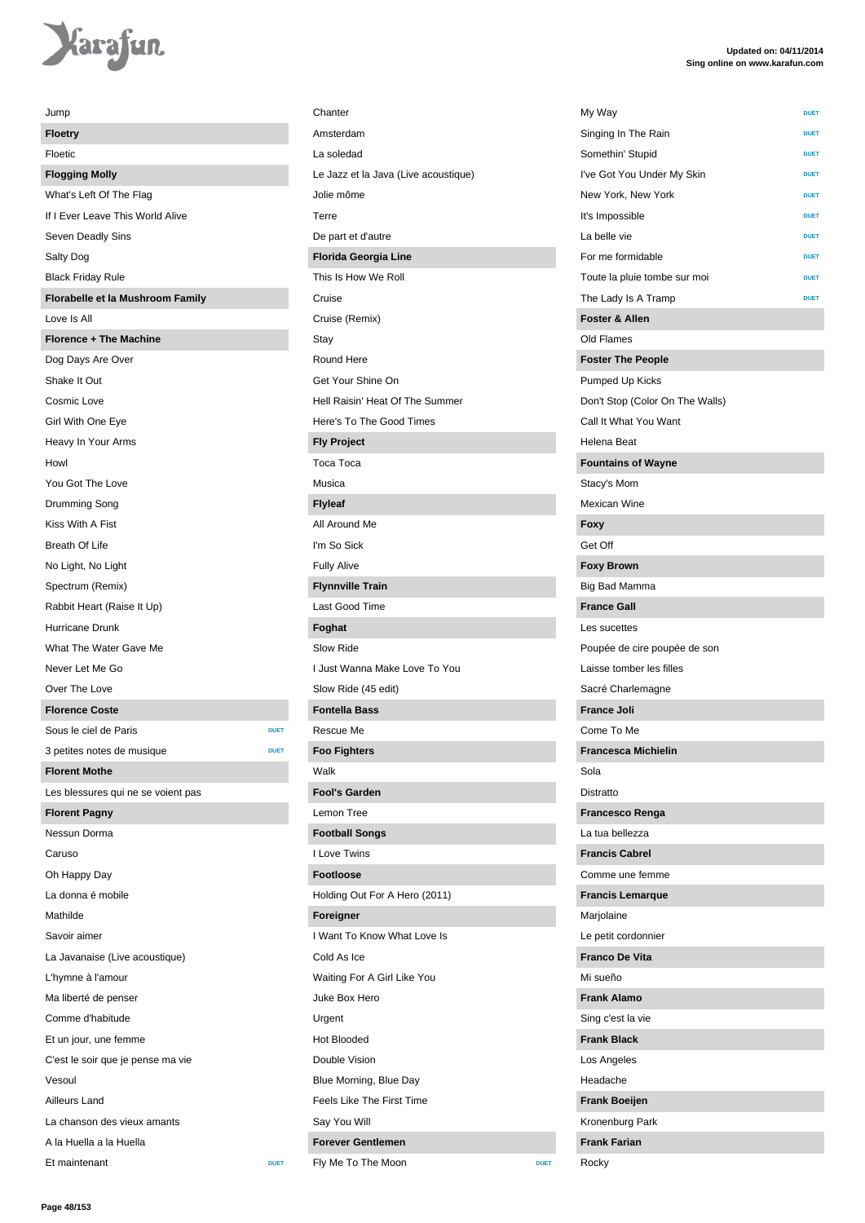

| Jump                               |             | Chanter                              |             |
|------------------------------------|-------------|--------------------------------------|-------------|
| Floetry                            |             | Amsterdam                            |             |
| Floetic                            |             | La soledad                           |             |
| <b>Flogging Molly</b>              |             | Le Jazz et la Java (Live acoustique) |             |
| What's Left Of The Flag            |             | Jolie môme                           |             |
| If I Ever Leave This World Alive   |             | Terre                                |             |
| Seven Deadly Sins                  |             | De part et d'autre                   |             |
| Salty Dog                          |             | <b>Florida Georgia Line</b>          |             |
| <b>Black Friday Rule</b>           |             | This Is How We Roll                  |             |
| Florabelle et la Mushroom Family   |             | Cruise                               |             |
| Love Is All                        |             | Cruise (Remix)                       |             |
| Florence + The Machine             |             | Stay                                 |             |
| Dog Days Are Over                  |             | Round Here                           |             |
| Shake It Out                       |             | Get Your Shine On                    |             |
| Cosmic Love                        |             | Hell Raisin' Heat Of The Summer      |             |
| Girl With One Eye                  |             | Here's To The Good Times             |             |
| Heavy In Your Arms                 |             | <b>Fly Project</b>                   |             |
| Howl                               |             | Toca Toca                            |             |
| You Got The Love                   |             | Musica                               |             |
| Drumming Song                      |             | <b>Flyleaf</b>                       |             |
| Kiss With A Fist                   |             | All Around Me                        |             |
| <b>Breath Of Life</b>              |             | I'm So Sick                          |             |
| No Light, No Light                 |             | <b>Fully Alive</b>                   |             |
| Spectrum (Remix)                   |             | <b>Flynnville Train</b>              |             |
| Rabbit Heart (Raise It Up)         |             | Last Good Time                       |             |
| Hurricane Drunk                    |             | Foghat                               |             |
| What The Water Gave Me             |             | Slow Ride                            |             |
| Never Let Me Go                    |             | I Just Wanna Make Love To You        |             |
| Over The Love                      |             | Slow Ride (45 edit)                  |             |
| <b>Florence Coste</b>              |             | <b>Fontella Bass</b>                 |             |
| Sous le ciel de Paris              | <b>DUET</b> | Rescue Me                            |             |
| 3 petites notes de musique         | <b>DUET</b> | <b>Foo Fighters</b>                  |             |
| <b>Florent Mothe</b>               |             | Walk                                 |             |
| Les blessures qui ne se voient pas |             | <b>Fool's Garden</b>                 |             |
| <b>Florent Pagny</b>               |             | Lemon Tree                           |             |
| Nessun Dorma                       |             | <b>Football Songs</b>                |             |
| Caruso                             |             | I Love Twins                         |             |
| Oh Happy Day                       |             | <b>Footloose</b>                     |             |
| La donna é mobile                  |             | Holding Out For A Hero (2011)        |             |
| Mathilde                           |             | Foreigner                            |             |
| Savoir aimer                       |             | I Want To Know What Love Is          |             |
| La Javanaise (Live acoustique)     |             | Cold As Ice                          |             |
| L'hymne à l'amour                  |             | Waiting For A Girl Like You          |             |
| Ma liberté de penser               |             | Juke Box Hero                        |             |
| Comme d'habitude                   |             | Urgent                               |             |
| Et un jour, une femme              |             | <b>Hot Blooded</b>                   |             |
| C'est le soir que je pense ma vie  |             | Double Vision                        |             |
| Vesoul                             |             | Blue Morning, Blue Day               |             |
| Ailleurs Land                      |             | Feels Like The First Time            |             |
| La chanson des vieux amants        |             | Say You Will                         |             |
| A la Huella a la Huella            |             | <b>Forever Gentlemen</b>             |             |
| Et maintenant                      | <b>DUET</b> | Fly Me To The Moon                   | <b>DUET</b> |
|                                    |             |                                      |             |

| My Way                          | <b>DUET</b> |
|---------------------------------|-------------|
| Singing In The Rain             | <b>DUET</b> |
| Somethin' Stupid                | <b>DUET</b> |
| I've Got You Under My Skin      | <b>DUET</b> |
| New York, New York              | <b>DUET</b> |
| It's Impossible                 | <b>DUET</b> |
| La belle vie                    | <b>DUET</b> |
| For me formidable               | <b>DUET</b> |
| Toute la pluie tombe sur moi    | <b>DUET</b> |
| The Lady Is A Tramp             | <b>DUET</b> |
| <b>Foster &amp; Allen</b>       |             |
| Old Flames                      |             |
| <b>Foster The People</b>        |             |
| Pumped Up Kicks                 |             |
| Don't Stop (Color On The Walls) |             |
| Call It What You Want           |             |
| Helena Beat                     |             |
| <b>Fountains of Wayne</b>       |             |
| Stacy's Mom                     |             |
| <b>Mexican Wine</b>             |             |
| Foxy                            |             |
| Get Off                         |             |
| <b>Foxy Brown</b>               |             |
| Big Bad Mamma                   |             |
| <b>France Gall</b>              |             |
| Les sucettes                    |             |
| Poupée de cire poupée de son    |             |
| Laisse tomber les filles        |             |
| Sacré Charlemagne               |             |
| <b>France Joli</b>              |             |
| Come To Me                      |             |
| <b>Francesca Michielin</b>      |             |
| Sola                            |             |
| Distratto                       |             |
| <b>Francesco Renga</b>          |             |
| La tua bellezza                 |             |
| <b>Francis Cabrel</b>           |             |
| Comme une femme                 |             |
| <b>Francis Lemarque</b>         |             |
| Marjolaine                      |             |
| Le petit cordonnier             |             |
| <b>Franco De Vita</b>           |             |
| Mi sueño                        |             |
| <b>Frank Alamo</b>              |             |
| Sing c'est la vie               |             |
| <b>Frank Black</b>              |             |
| Los Angeles                     |             |
| Headache                        |             |
| <b>Frank Boeijen</b>            |             |
| Kronenburg Park                 |             |
| <b>Frank Farian</b>             |             |
| Rocky                           |             |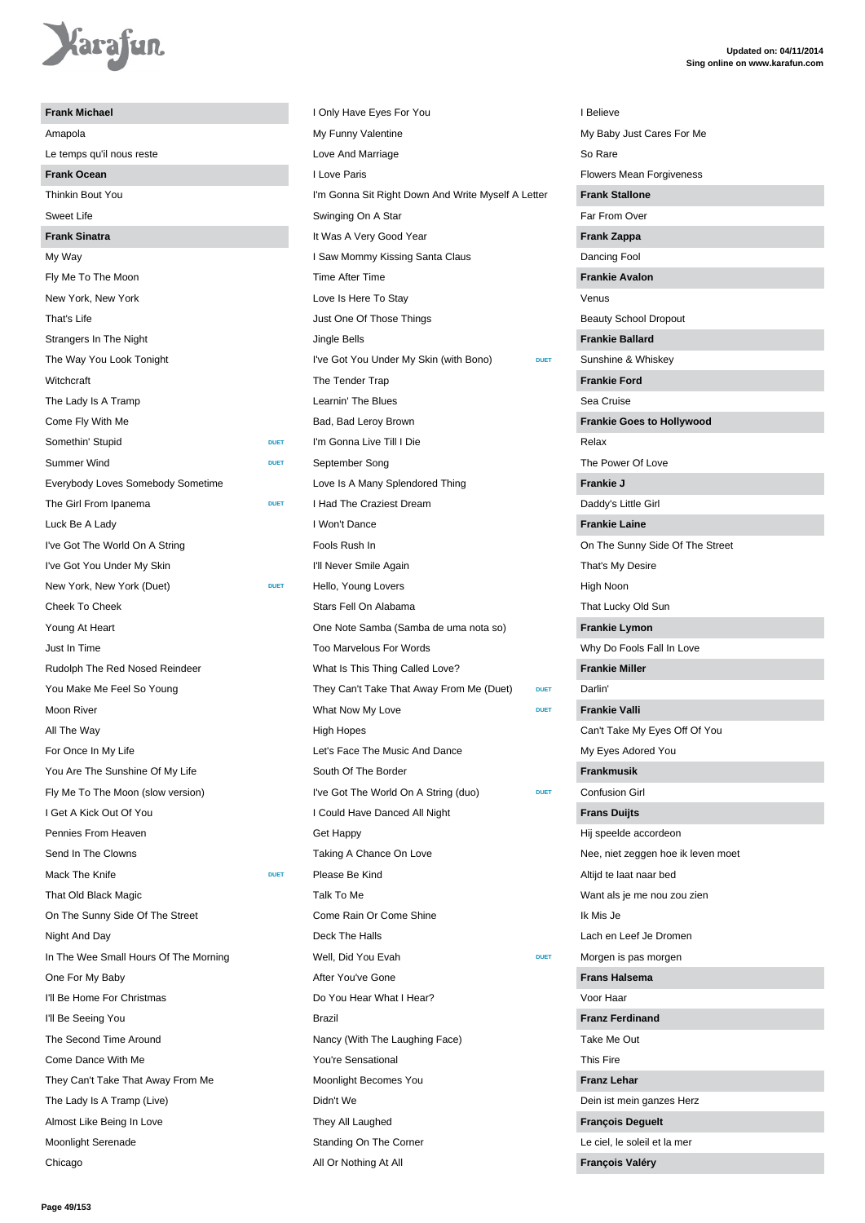

I Only Have Eyes For You My Funny Valentine Love And Marriage I Love Paris

Swinging On A Star It Was A Very Good Year

Time After Time Love Is Here To Stay Just One Of Those Things

Jingle Bells

The Tender Trap Learnin' The Blues Bad, Bad Leroy Brown I'm Gonna Live Till I Die September Song

I Won't Dance Fools Rush In I'll Never Smile Again Hello, Young Lovers Stars Fell On Alabama

High Hopes

Get Happy

Please Be Kind Talk To Me

Deck The Halls

After You've Gone Do You Hear What I Hear?

You're Sensational Moonlight Becomes You

Brazil

Didn't We They All Laughed Standing On The Corner All Or Nothing At All

South Of The Border

I Saw Mommy Kissing Santa Claus

Love Is A Many Splendored Thing I Had The Craziest Dream

One Note Samba (Samba de uma nota so)

Too Marvelous For Words What Is This Thing Called Love?

Let's Face The Music And Dance

I Could Have Danced All Night

Taking A Chance On Love

Come Rain Or Come Shine

Nancy (With The Laughing Face)

**I've Got The World On A String (duo)** DUET

Well, Did You Evah **DUET** 

I'm Gonna Sit Right Down And Write Myself A Letter

**I've Got You Under My Skin (with Bono)** DUET

| <b>Frank Michael</b>                  |             |
|---------------------------------------|-------------|
| Amapola                               |             |
| Le temps qu'il nous reste             |             |
| <b>Frank Ocean</b>                    |             |
| <b>Thinkin Bout You</b>               |             |
| <b>Sweet Life</b>                     |             |
| <b>Frank Sinatra</b>                  |             |
| My Way                                |             |
| Fly Me To The Moon                    |             |
| New York, New York                    |             |
| That's Life                           |             |
| Strangers In The Night                |             |
| The Way You Look Tonight              |             |
| Witchcraft                            |             |
| The Lady Is A Tramp                   |             |
| Come Fly With Me                      |             |
| Somethin' Stupid                      | <b>DUET</b> |
| Summer Wind                           | <b>DUET</b> |
| Everybody Loves Somebody Sometime     |             |
| The Girl From Ipanema                 | <b>DUET</b> |
| Luck Be A Lady                        |             |
| I've Got The World On A String        |             |
| I've Got You Under My Skin            |             |
| New York, New York (Duet)             | <b>DUET</b> |
| <b>Cheek To Cheek</b>                 |             |
| Young At Heart                        |             |
| Just In Time                          |             |
| Rudolph The Red Nosed Reindeer        |             |
| You Make Me Feel So Young             |             |
| Moon River                            |             |
| All The Way                           |             |
| For Once In My Life                   |             |
| You Are The Sunshine Of My Life       |             |
| Fly Me To The Moon (slow version)     |             |
| I Get A Kick Out Of You               |             |
| Pennies From Heaven                   |             |
| Send In The Clowns                    |             |
| Mack The Knife                        | <b>DUET</b> |
| That Old Black Magic                  |             |
| On The Sunny Side Of The Street       |             |
| Night And Day                         |             |
| In The Wee Small Hours Of The Morning |             |
| One For My Baby                       |             |
| I'll Be Home For Christmas            |             |
| I'll Be Seeing You                    |             |
| The Second Time Around                |             |
| Come Dance With Me                    |             |
| They Can't Take That Away From Me     |             |
| The Lady Is A Tramp (Live)            |             |
| Almost Like Being In Love             |             |
| <b>Moonlight Serenade</b>             |             |
| Chicago                               |             |

| Updated on: 04/11<br>Sing online on www.karafur |
|-------------------------------------------------|
|                                                 |
| I Believe                                       |
| My Baby Just Cares For Me                       |
| So Rare                                         |
| <b>Flowers Mean Forgiveness</b>                 |
| <b>Frank Stallone</b>                           |
| Far From Over                                   |
| <b>Frank Zappa</b>                              |
| Dancing Fool                                    |
| <b>Frankie Avalon</b>                           |
| Venus                                           |
| <b>Beauty School Dropout</b>                    |
| <b>Frankie Ballard</b>                          |
| Sunshine & Whiskey                              |
| <b>Frankie Ford</b>                             |

Sea Cruise **Frankie Goes to Hollywood**

The Power Of Love

**Frankie J**

Relax

Daddy's Little Girl

**Frankie Laine** On The Sunny Side Of The Street

That's My Desire

High Noon

That Lucky Old Sun

**Frankie Lymon** Why Do Fools Fall In Love

**Frankie Miller** Darlin'

They Can't Take That Away From Me (Duet) DUET What Now My Love **DUET Frankie Valli**

Can't Take My Eyes Off Of You

My Eyes Adored You

**Frankmusik**

Confusion Girl

**Frans Duijts**

Hij speelde accordeon Nee, niet zeggen hoe ik leven moet

Altijd te laat naar bed

Want als je me nou zou zien

Ik Mis Je

Lach en Leef Je Dromen

Morgen is pas morgen

**Frans Halsema**

Voor Haar

**Franz Ferdinand**

Take Me Out This Fire

**Franz Lehar**

Dein ist mein ganzes Herz

**François Deguelt** Le ciel, le soleil et la mer

**François Valéry**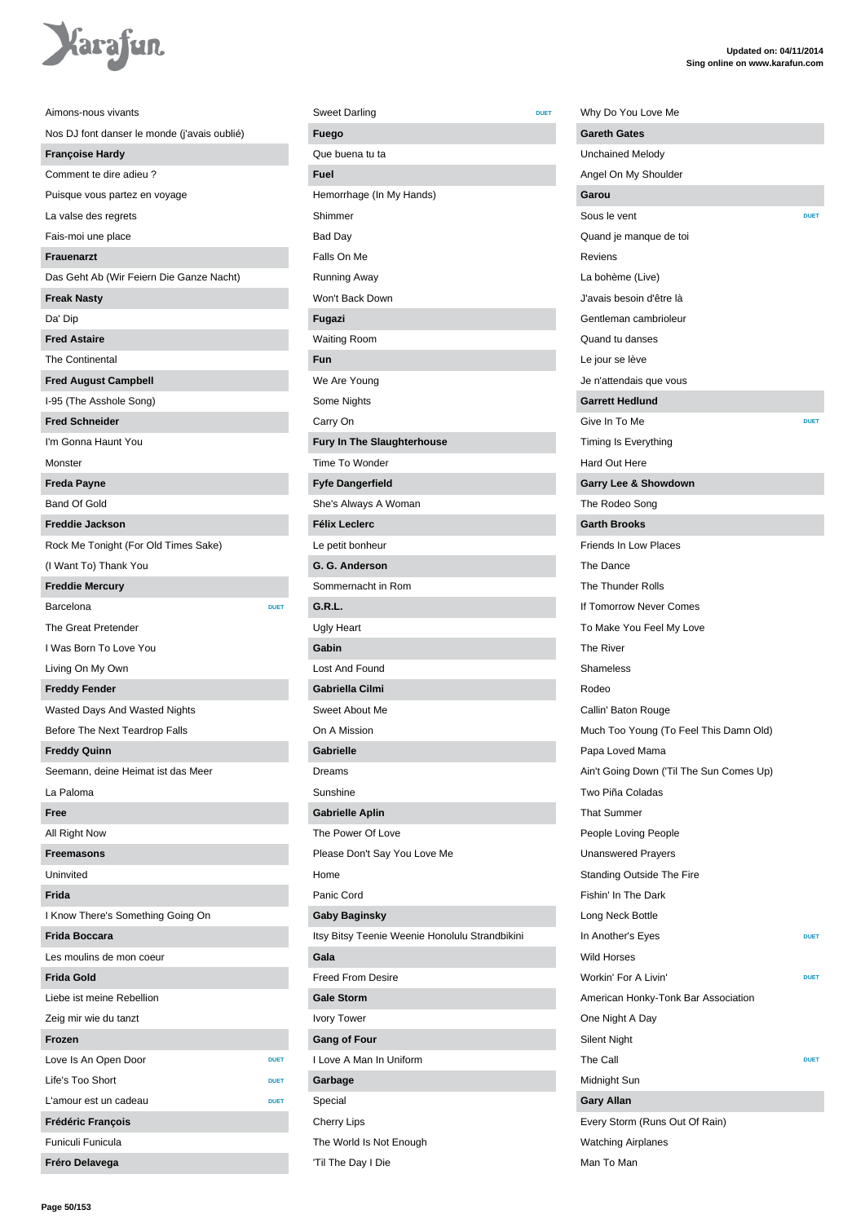

| Aimons-nous vivants                          |             |
|----------------------------------------------|-------------|
| Nos DJ font danser le monde (j'avais oublié) |             |
| <b>Françoise Hardy</b>                       |             |
| Comment te dire adieu?                       |             |
| Puisque vous partez en voyage                |             |
| La valse des regrets                         |             |
| Fais-moi une place                           |             |
| <b>Frauenarzt</b>                            |             |
| Das Geht Ab (Wir Feiern Die Ganze Nacht)     |             |
| <b>Freak Nasty</b>                           |             |
| Da' Dip                                      |             |
| <b>Fred Astaire</b>                          |             |
| <b>The Continental</b>                       |             |
| <b>Fred August Campbell</b>                  |             |
| I-95 (The Asshole Song)                      |             |
| <b>Fred Schneider</b>                        |             |
| I'm Gonna Haunt You                          |             |
| Monster                                      |             |
| <b>Freda Payne</b>                           |             |
| <b>Band Of Gold</b>                          |             |
| <b>Freddie Jackson</b>                       |             |
| Rock Me Tonight (For Old Times Sake)         |             |
| (I Want To) Thank You                        |             |
| <b>Freddie Mercury</b>                       |             |
| Barcelona                                    | <b>DUET</b> |
| The Great Pretender                          |             |
| I Was Born To Love You                       |             |
|                                              |             |
| Living On My Own                             |             |
|                                              |             |
| <b>Freddy Fender</b>                         |             |
| Wasted Days And Wasted Nights                |             |
| Before The Next Teardrop Falls               |             |
| <b>Freddy Quinn</b>                          |             |
| Seemann, deine Heimat ist das Meer           |             |
| La Paloma                                    |             |
| Free                                         |             |
| All Right Now                                |             |
| <b>Freemasons</b>                            |             |
| Uninvited                                    |             |
| Frida                                        |             |
| I Know There's Something Going On            |             |
| <b>Frida Boccara</b>                         |             |
| Les moulins de mon coeur                     |             |
| <b>Frida Gold</b>                            |             |
| Liebe ist meine Rebellion                    |             |
| Zeig mir wie du tanzt                        |             |
| Frozen                                       |             |
| Love Is An Open Door                         | <b>DUET</b> |
| Life's Too Short                             | <b>DUET</b> |
| L'amour est un cadeau                        | <b>DUET</b> |
| Frédéric François                            |             |
| Funiculi Funicula                            |             |

| <b>Sweet Darling</b>                           | <b>DUET</b> |
|------------------------------------------------|-------------|
| Fuego                                          |             |
| Que buena tu ta                                |             |
| Fuel                                           |             |
| Hemorrhage (In My Hands)                       |             |
| Shimmer                                        |             |
| Bad Day                                        |             |
| Falls On Me                                    |             |
| <b>Running Away</b>                            |             |
| Won't Back Down                                |             |
| Fugazi                                         |             |
| <b>Waiting Room</b>                            |             |
| <b>Fun</b>                                     |             |
| We Are Young                                   |             |
| Some Nights                                    |             |
| Carry On                                       |             |
| Fury In The Slaughterhouse                     |             |
| Time To Wonder                                 |             |
| <b>Fyfe Dangerfield</b>                        |             |
| She's Always A Woman                           |             |
| <b>Félix Leclerc</b>                           |             |
|                                                |             |
| Le petit bonheur                               |             |
| G. G. Anderson                                 |             |
| Sommernacht in Rom                             |             |
| G.R.L.                                         |             |
| <b>Ugly Heart</b>                              |             |
| Gabin                                          |             |
| Lost And Found                                 |             |
| Gabriella Cilmi                                |             |
| <b>Sweet About Me</b>                          |             |
| On A Mission                                   |             |
| Gabrielle                                      |             |
| Dreams                                         |             |
| Sunshine                                       |             |
| <b>Gabrielle Aplin</b>                         |             |
| The Power Of Love                              |             |
| Please Don't Say You Love Me                   |             |
| Home                                           |             |
| Panic Cord                                     |             |
| <b>Gaby Baginsky</b>                           |             |
| Itsy Bitsy Teenie Weenie Honolulu Strandbikini |             |
| Gala                                           |             |
| <b>Freed From Desire</b>                       |             |
| <b>Gale Storm</b>                              |             |
| <b>Ivory Tower</b>                             |             |
| <b>Gang of Four</b>                            |             |
| I Love A Man In Uniform                        |             |
| Garbage                                        |             |
| Special                                        |             |
| <b>Cherry Lips</b>                             |             |
| The World Is Not Enough                        |             |
| 'Til The Day I Die                             |             |

### **Updated on: 04/11/2014 Sing online on www.karafun.com**

| Why Do You Love Me                       |             |
|------------------------------------------|-------------|
| <b>Gareth Gates</b>                      |             |
| <b>Unchained Melody</b>                  |             |
| Angel On My Shoulder                     |             |
| Garou                                    |             |
| Sous le vent                             | <b>DUET</b> |
| Quand je manque de toi                   |             |
| Reviens                                  |             |
| La bohème (Live)                         |             |
| J'avais besoin d'être là                 |             |
| Gentleman cambrioleur                    |             |
| Quand tu danses                          |             |
| Le jour se lève                          |             |
| Je n'attendais que vous                  |             |
| <b>Garrett Hedlund</b>                   |             |
| Give In To Me                            | <b>DUET</b> |
| Timing Is Everything                     |             |
| Hard Out Here                            |             |
| Garry Lee & Showdown                     |             |
| The Rodeo Song                           |             |
| <b>Garth Brooks</b>                      |             |
| <b>Friends In Low Places</b>             |             |
| The Dance                                |             |
| The Thunder Rolls                        |             |
| If Tomorrow Never Comes                  |             |
| To Make You Feel My Love                 |             |
| The River                                |             |
| Shameless                                |             |
| Rodeo                                    |             |
| Callin' Baton Rouge                      |             |
| Much Too Young (To Feel This Damn Old)   |             |
| Papa Loved Mama                          |             |
| Ain't Going Down ('Til The Sun Comes Up) |             |
| Two Piña Coladas                         |             |
| <b>That Summer</b>                       |             |
| People Loving People                     |             |
| <b>Unanswered Prayers</b>                |             |
| <b>Standing Outside The Fire</b>         |             |
| Fishin' In The Dark                      |             |
| Long Neck Bottle                         |             |
| In Another's Eyes                        | <b>DUET</b> |
| <b>Wild Horses</b>                       |             |
| Workin' For A Livin'                     | <b>DUET</b> |
| American Honky-Tonk Bar Association      |             |
| One Night A Day                          |             |
| <b>Silent Night</b>                      |             |
| The Call                                 | <b>DUET</b> |
| Midnight Sun                             |             |
| <b>Gary Allan</b>                        |             |
| Every Storm (Runs Out Of Rain)           |             |
| Watching Airplanes                       |             |
| Man To Man                               |             |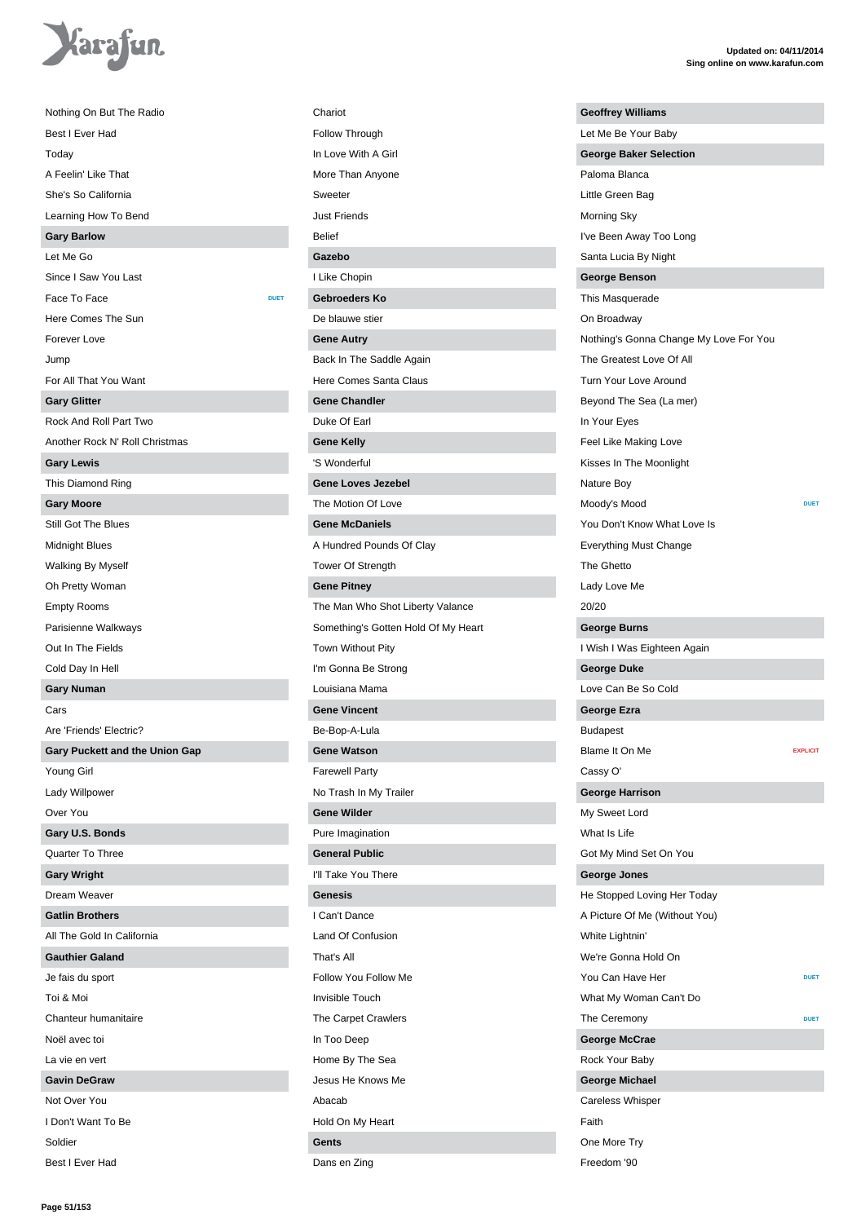

| Nothing On But The Radio              |
|---------------------------------------|
| Best I Ever Had                       |
| Today                                 |
| A Feelin' Like That                   |
| She's So California                   |
| Learning How To Bend                  |
| <b>Gary Barlow</b>                    |
| Let Me Go                             |
| Since I Saw You Last                  |
| Face To Face<br><b>DUET</b>           |
| Here Comes The Sun                    |
| Forever Love                          |
| Jump                                  |
| For All That You Want                 |
| <b>Gary Glitter</b>                   |
| Rock And Roll Part Two                |
| Another Rock N' Roll Christmas        |
| <b>Gary Lewis</b>                     |
| This Diamond Ring                     |
| <b>Gary Moore</b>                     |
| Still Got The Blues                   |
| <b>Midnight Blues</b>                 |
| Walking By Myself                     |
| Oh Pretty Woman                       |
| <b>Empty Rooms</b>                    |
| Parisienne Walkways                   |
| Out In The Fields                     |
| Cold Day In Hell                      |
| <b>Gary Numan</b>                     |
| Cars                                  |
| Are 'Friends' Electric?               |
| <b>Gary Puckett and the Union Gap</b> |
| Young Girl                            |
| Lady Willpower                        |
| Over You                              |
| Gary U.S. Bonds                       |
| Quarter To Three                      |
| <b>Gary Wright</b>                    |
| Dream Weaver                          |
| <b>Gatlin Brothers</b>                |
| All The Gold In California            |
| <b>Gauthier Galand</b>                |
| Je fais du sport                      |
| Toi & Moi                             |
| Chanteur humanitaire                  |
| Noël avec toi                         |
| La vie en vert                        |
| <b>Gavin DeGraw</b>                   |
| Not Over You                          |
| I Don't Want To Be                    |
| Soldier                               |

Chariot Follow Through In Love With A Girl More Than Anyone Sweeter Just Friends Belief **Gazebo** I Like Chopin **Gebroeders Ko** De blauwe stier **Gene Autry** Back In The Saddle Again Here Comes Santa Claus **Gene Chandler** Duke Of Earl **Gene Kelly** 'S Wonderful **Gene Loves Jezebel** The Motion Of Love **Gene McDaniels** A Hundred Pounds Of Clay Tower Of Strength **Gene Pitney** The Man Who Shot Liberty Valance Something's Gotten Hold Of My Heart Town Without Pity I'm Gonna Be Strong Louisiana Mama **Gene Vincent** Be-Bop-A-Lula **Gene Watson** Farewell Party No Trash In My Trailer **Gene Wilder** Pure Imagination **General Public** I'll Take You There **Genesis** I Can't Dance Land Of Confusion That's All Follow You Follow Me Invisible Touch The Carpet Crawlers In Too Deep Home By The Sea Jesus He Knows Me Abacab Hold On My Heart

**Gents** Dans en Zing

| <b>Geoffrey Williams</b>               |                 |
|----------------------------------------|-----------------|
| Let Me Be Your Baby                    |                 |
| <b>George Baker Selection</b>          |                 |
| Paloma Blanca                          |                 |
| Little Green Bag                       |                 |
| Morning Sky                            |                 |
| I've Been Away Too Long                |                 |
| Santa Lucia By Night                   |                 |
| George Benson                          |                 |
| This Masquerade                        |                 |
| On Broadway                            |                 |
| Nothing's Gonna Change My Love For You |                 |
| The Greatest Love Of All               |                 |
| Turn Your Love Around                  |                 |
| Beyond The Sea (La mer)                |                 |
| In Your Eyes                           |                 |
| Feel Like Making Love                  |                 |
| Kisses In The Moonlight                |                 |
| Nature Boy                             |                 |
| Moody's Mood                           | <b>DUET</b>     |
| You Don't Know What Love Is            |                 |
| Everything Must Change                 |                 |
| The Ghetto                             |                 |
| Lady Love Me                           |                 |
| 20/20                                  |                 |
| George Burns                           |                 |
| I Wish I Was Eighteen Again            |                 |
| <b>George Duke</b>                     |                 |
| Love Can Be So Cold                    |                 |
| George Ezra                            |                 |
| <b>Budapest</b>                        |                 |
| Blame It On Me                         | <b>EXPLICIT</b> |
| Cassy O'                               |                 |
| George Harrison                        |                 |
| My Sweet Lord                          |                 |
| What Is Life                           |                 |
| Got My Mind Set On You                 |                 |
| <b>George Jones</b>                    |                 |
| He Stopped Loving Her Today            |                 |
| A Picture Of Me (Without You)          |                 |
| White Lightnin'                        |                 |
| We're Gonna Hold On                    |                 |
| You Can Have Her                       | <b>DUET</b>     |
| What My Woman Can't Do                 |                 |
| The Ceremony                           | <b>DUET</b>     |
| George McCrae                          |                 |
| Rock Your Baby                         |                 |
| George Michael                         |                 |
| Careless Whisper                       |                 |
| Faith                                  |                 |
| One More Try                           |                 |
| Freedom '90                            |                 |

Best I Ever Had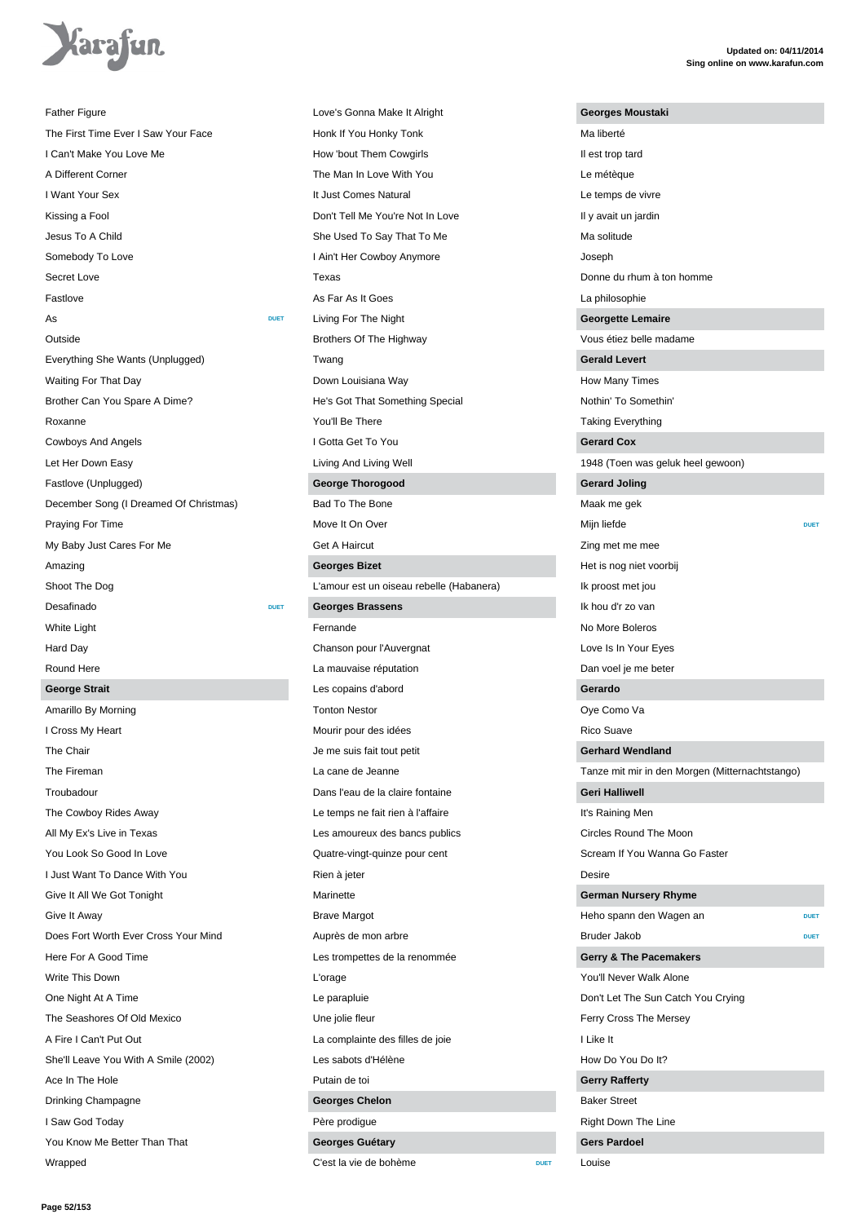

**Father Figure** The First Time Ever I Saw Your Face I Can't Make You Love Me A Different Corner I Want Your Sex Kissing a Fool Jesus To A Child Somebody To Love Secret Love Fastlove As **DUET Outside** Everything She Wants (Unplugged) Waiting For That Day Brother Can You Spare A Dime? Roxanne Cowboys And Angels Let Her Down Easy Fastlove (Unplugged) December Song (I Dreamed Of Christmas) Praying For Time My Baby Just Cares For Me Amazing Shoot The Dog Desafinado **DESAFINADO DUET** White Light Hard Day Round Here **George Strait** Amarillo By Morning I Cross My Heart The Chair The Fireman Troubadour The Cowboy Rides Away All My Ex's Live in Texas You Look So Good In Love I Just Want To Dance With You Give It All We Got Tonight Give It Away Does Fort Worth Ever Cross Your Mind Here For A Good Time Write This Down One Night At A Time The Seashores Of Old Mexico A Fire I Can't Put Out She'll Leave You With A Smile (2002) Ace In The Hole Drinking Champagne I Saw God Today You Know Me Better Than That

Love's Gonna Make It Alright Honk If You Honky Tonk How 'bout Them Cowgirls The Man In Love With You It Just Comes Natural Don't Tell Me You're Not In Love She Used To Say That To Me I Ain't Her Cowboy Anymore Texas As Far As It Goes Living For The Night Brothers Of The Highway Twang Down Louisiana Way He's Got That Something Special You'll Be There I Gotta Get To You Living And Living Well **George Thorogood** Bad To The Bone Move It On Over Get A Haircut **Georges Bizet** L'amour est un oiseau rebelle (Habanera) **Georges Brassens** Fernande Chanson pour l'Auvergnat La mauvaise réputation Les copains d'abord Tonton Nestor Mourir pour des idées Je me suis fait tout petit La cane de Jeanne Dans l'eau de la claire fontaine Le temps ne fait rien à l'affaire Les amoureux des bancs publics Quatre-vingt-quinze pour cent Rien à jeter Marinette Brave Margot Auprès de mon arbre Les trompettes de la renommée L'orage Le parapluie Une jolie fleur La complainte des filles de joie Les sabots d'Hélène Putain de toi **Georges Chelon** Père prodigue **Georges Guétary**

C'est la vie de bohème **DUET** 

**Georges Moustaki** Ma liberté Il est trop tard Le métèque Le temps de vivre Il y avait un jardin Ma solitude Joseph Donne du rhum à ton homme La philosophie **Georgette Lemaire** Vous étiez belle madame **Gerald Levert** How Many Times Nothin' To Somethin' Taking Everything **Gerard Cox** 1948 (Toen was geluk heel gewoon) **Gerard Joling** Maak me gek **Mijn liefde** Zing met me mee Het is nog niet voorbij Ik proost met jou Ik hou d'r zo van No More Boleros Love Is In Your Eyes Dan voel je me beter **Gerardo** Oye Como Va Rico Suave **Gerhard Wendland** Tanze mit mir in den Morgen (Mitternachtstango) **Geri Halliwell** It's Raining Men Circles Round The Moon Scream If You Wanna Go Faster Desire **German Nursery Rhyme** Heho spann den Wagen an **DUET Bruder Jakob DUE Gerry & The Pacemakers** You'll Never Walk Alone Don't Let The Sun Catch You Crying Ferry Cross The Mersey I Like It How Do You Do It? **Gerry Rafferty** Baker Street Right Down The Line **Gers Pardoel** Louise

Wrapped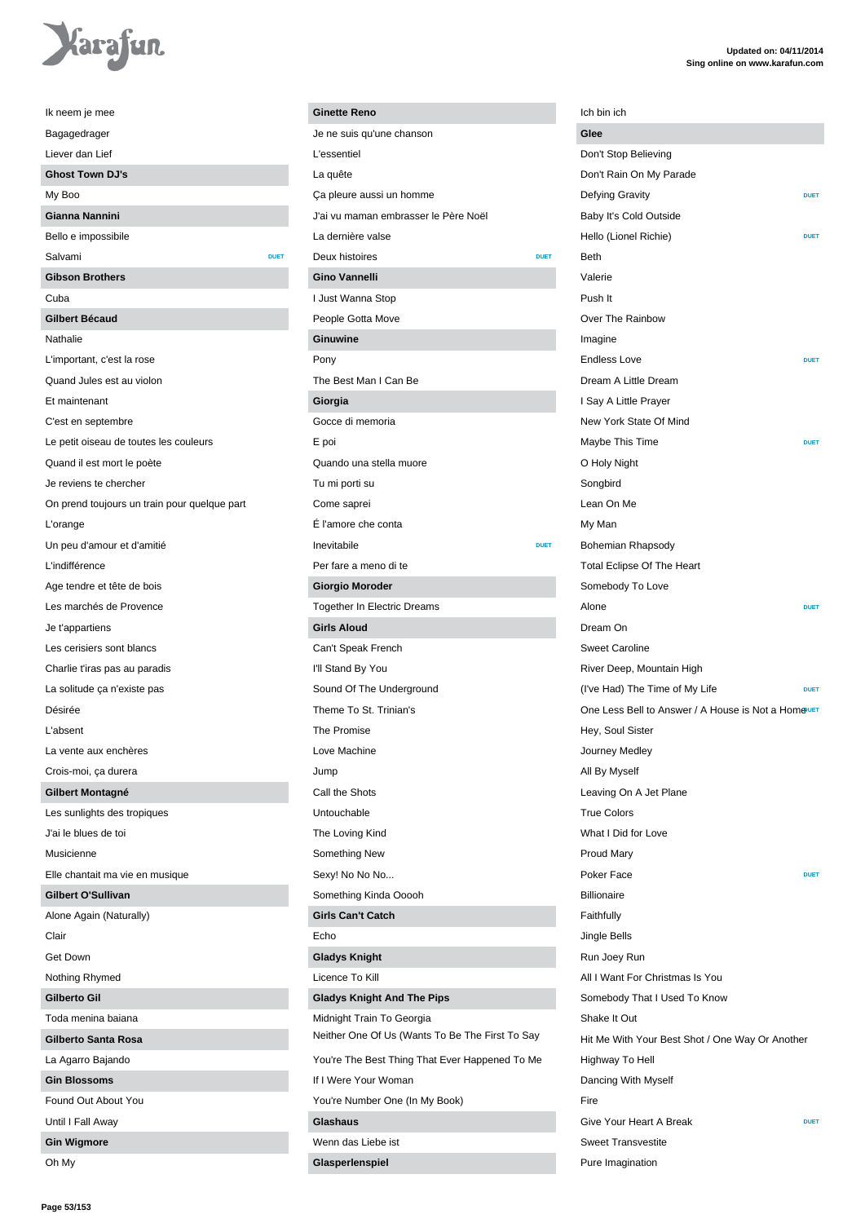

| Ik neem je mee                               |
|----------------------------------------------|
| Bagagedrager                                 |
| Liever dan Lief                              |
| <b>Ghost Town DJ's</b>                       |
| My Boo                                       |
| Gianna Nannini                               |
| Bello e impossibile                          |
| Salvami<br><b>DUET</b>                       |
| <b>Gibson Brothers</b>                       |
| Cuba                                         |
| <b>Gilbert Bécaud</b>                        |
| Nathalie                                     |
| L'important, c'est la rose                   |
| Quand Jules est au violon                    |
| Et maintenant                                |
| C'est en septembre                           |
| Le petit oiseau de toutes les couleurs       |
| Quand il est mort le poète                   |
| Je reviens te chercher                       |
| On prend toujours un train pour quelque part |
| L'orange                                     |
| Un peu d'amour et d'amitié                   |
| L'indifférence                               |
| Age tendre et tête de bois                   |
| Les marchés de Provence                      |
| Je t'appartiens                              |
| Les cerisiers sont blancs                    |
| Charlie t'iras pas au paradis                |
| La solitude ça n'existe pas                  |
| Désirée                                      |
| L'absent                                     |
| La vente aux enchères                        |
| Crois-moi, ça durera                         |
| Gilbert Montagné                             |
| Les sunlights des tropiques                  |
| J'ai le blues de toi                         |
| Musicienne                                   |
| Elle chantait ma vie en musique              |
| Gilbert O'Sullivan                           |
| Alone Again (Naturally)                      |
| Clair                                        |
| Get Down                                     |
| Nothing Rhymed                               |
| <b>Gilberto Gil</b>                          |
| Toda menina baiana                           |
| Gilberto Santa Rosa                          |
| La Agarro Bajando                            |
| <b>Gin Blossoms</b>                          |
| Found Out About You                          |
| Until I Fall Away                            |
| <b>Gin Wigmore</b>                           |
| Oh My                                        |

| <b>Ginette Reno</b>                             |             |
|-------------------------------------------------|-------------|
| Je ne suis qu'une chanson                       |             |
| L'essentiel                                     |             |
| La quête                                        |             |
| Ça pleure aussi un homme                        |             |
| J'ai vu maman embrasser le Père Noël            |             |
| La dernière valse                               |             |
| Deux histoires                                  | <b>DUET</b> |
| <b>Gino Vannelli</b>                            |             |
| I Just Wanna Stop                               |             |
| People Gotta Move                               |             |
| Ginuwine                                        |             |
| Pony                                            |             |
| The Best Man I Can Be                           |             |
| Giorgia                                         |             |
| Gocce di memoria                                |             |
| E poi                                           |             |
| Quando una stella muore                         |             |
| Tu mi porti su                                  |             |
| Come saprei                                     |             |
| É l'amore che conta                             |             |
| Inevitabile                                     | <b>DUET</b> |
| Per fare a meno di te                           |             |
| <b>Giorgio Moroder</b>                          |             |
| <b>Together In Electric Dreams</b>              |             |
| <b>Girls Aloud</b>                              |             |
| Can't Speak French                              |             |
| I'll Stand By You                               |             |
| Sound Of The Underground                        |             |
| Theme To St. Trinian's                          |             |
| The Promise                                     |             |
| Love Machine                                    |             |
| Jump                                            |             |
| Call the Shots                                  |             |
| Untouchable                                     |             |
| The Loving Kind                                 |             |
| Something New                                   |             |
| Sexy! No No No                                  |             |
| Something Kinda Ooooh                           |             |
| <b>Girls Can't Catch</b>                        |             |
| Echo                                            |             |
| <b>Gladys Knight</b>                            |             |
| Licence To Kill                                 |             |
| <b>Gladys Knight And The Pips</b>               |             |
| Midnight Train To Georgia                       |             |
| Neither One Of Us (Wants To Be The First To Say |             |
| You're The Best Thing That Ever Happened To Me  |             |
| If I Were Your Woman                            |             |
| You're Number One (In My Book)                  |             |
| Glashaus                                        |             |
| Wenn das Liebe ist                              |             |
| Glasperlenspiel                                 |             |

| Ich bin ich                                                                          |
|--------------------------------------------------------------------------------------|
| Glee                                                                                 |
| Don't Stop Believing                                                                 |
| Don't Rain On My Parade                                                              |
| Defying Gravity<br><b>DUET</b>                                                       |
| Baby It's Cold Outside                                                               |
| Hello (Lionel Richie)<br><b>DUET</b>                                                 |
| <b>Beth</b>                                                                          |
| Valerie                                                                              |
| Push It                                                                              |
| Over The Rainbow                                                                     |
| Imagine                                                                              |
| <b>Endless Love</b><br><b>DUET</b>                                                   |
| Dream A Little Dream                                                                 |
| I Say A Little Prayer                                                                |
| New York State Of Mind                                                               |
| Maybe This Time<br><b>DUET</b>                                                       |
| O Holy Night                                                                         |
| Songbird                                                                             |
| Lean On Me                                                                           |
| My Man                                                                               |
| <b>Bohemian Rhapsody</b>                                                             |
| <b>Total Eclipse Of The Heart</b>                                                    |
| Somebody To Love                                                                     |
| Alone<br><b>DUET</b>                                                                 |
| Dream On                                                                             |
| <b>Sweet Caroline</b>                                                                |
|                                                                                      |
| River Deep, Mountain High<br><b>DUET</b>                                             |
| (I've Had) The Time of My Life<br>One Less Bell to Answer / A House is Not a Homever |
|                                                                                      |
| Hey, Soul Sister                                                                     |
| Journey Medley                                                                       |
| All By Myself                                                                        |
| Leaving On A Jet Plane                                                               |
| <b>True Colors</b>                                                                   |
| What I Did for Love                                                                  |
| <b>Proud Mary</b>                                                                    |
| Poker Face<br><b>DUET</b>                                                            |
| <b>Billionaire</b>                                                                   |
| Faithfully                                                                           |
| Jingle Bells                                                                         |
| Run Joey Run                                                                         |
| All I Want For Christmas Is You                                                      |
| Somebody That I Used To Know                                                         |
| Shake It Out                                                                         |
| Hit Me With Your Best Shot / One Way Or Another                                      |
| Highway To Hell                                                                      |
| Dancing With Myself                                                                  |
| Fire                                                                                 |
| Give Your Heart A Break<br><b>DUET</b>                                               |
| <b>Sweet Transvestite</b>                                                            |
| Pure Imagination                                                                     |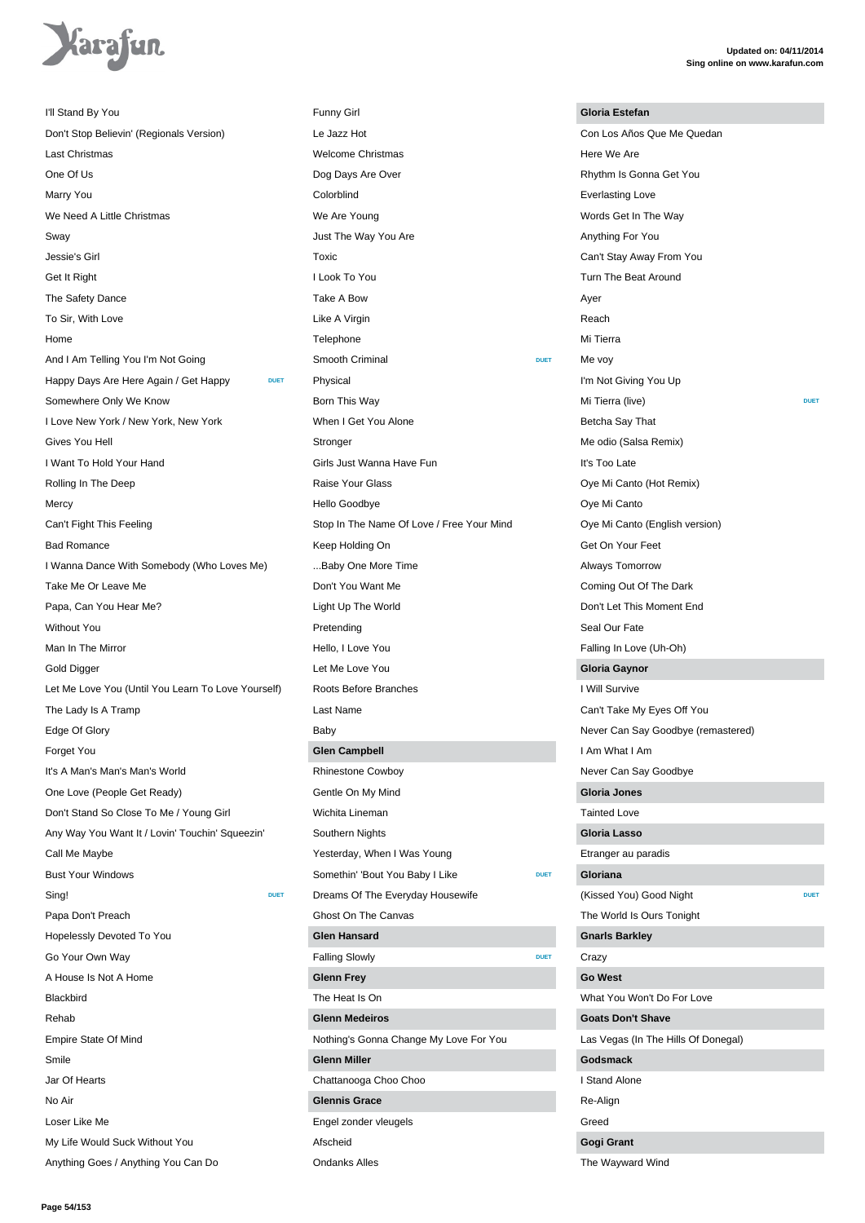

I'll Stand By You Don't Stop Believin' (Regionals Version) Last Christmas One Of Us Marry You We Need A Little Christmas Sway Jessie's Girl Get It Right The Safety Dance To Sir, With Love Home And I Am Telling You I'm Not Going Happy Days Are Here Again / Get Happy Somewhere Only We Know I Love New York / New York, New York Gives You Hell I Want To Hold Your Hand Rolling In The Deep Mercy Can't Fight This Feeling Bad Romance I Wanna Dance With Somebody (Who Loves Me) Take Me Or Leave Me Papa, Can You Hear Me? Without You Man In The Mirror Gold Digger Let Me Love You (Until You Learn To Love Yourself) The Lady Is A Tramp Edge Of Glory Forget You It's A Man's Man's Man's World One Love (People Get Ready) Don't Stand So Close To Me / Young Girl Any Way You Want It / Lovin' Touchin' Squeezin' Call Me Maybe Bust Your Windows **Sing! DUET** Papa Don't Preach Hopelessly Devoted To You Go Your Own Way A House Is Not A Home Blackbird Rehab Empire State Of Mind Smile Jar Of Hearts No Air Loser Like Me My Life Would Suck Without You

Le Jazz Hot Welcome Christmas Dog Days Are Over Colorblind We Are Young Just The Way You Are Toxic I Look To You Take A Bow Like A Virgin Telephone **Smooth Criminal** DUET Physical Born This Way When I Get You Alone Stronger Girls Just Wanna Have Fun Raise Your Glass Hello Goodbye Stop In The Name Of Love / Free Your Mind Keep Holding On ...Baby One More Time Don't You Want Me Light Up The World Pretending Hello, I Love You Let Me Love You Roots Before Branches Last Name **Baby Glen Campbell** Rhinestone Cowboy Gentle On My Mind Wichita Lineman Southern Nights Yesterday, When I Was Young Somethin' 'Bout You Baby I Like **DUET** Dreams Of The Everyday Housewife Ghost On The Canvas **Glen Hansard Falling Slowly DUET Glenn Frey** The Heat Is On **Glenn Medeiros** Nothing's Gonna Change My Love For You **Glenn Miller** Chattanooga Choo Choo **Glennis Grace** Engel zonder vleugels Afscheid Ondanks Alles

Funny Girl

**Gloria Estefan**

Con Los Años Que Me Quedan Here We Are Rhythm Is Gonna Get You Everlasting Love Words Get In The Way Anything For You Can't Stay Away From You Turn The Beat Around Ayer Reach Mi Tierra Me voy I'm Not Giving You Up **Mi Tierra (live) DUET** Betcha Say That Me odio (Salsa Remix) It's Too Late Oye Mi Canto (Hot Remix) Oye Mi Canto Oye Mi Canto (English version) Get On Your Feet Always Tomorrow Coming Out Of The Dark Don't Let This Moment End Seal Our Fate Falling In Love (Uh-Oh) **Gloria Gaynor** I Will Survive Can't Take My Eyes Off You Never Can Say Goodbye (remastered) I Am What I Am Never Can Say Goodbye **Gloria Jones** Tainted Love **Gloria Lasso** Etranger au paradis **Gloriana** (Kissed You) Good Night **DUET** The World Is Ours Tonight **Gnarls Barkley** Crazy **Go West** What You Won't Do For Love **Goats Don't Shave** Las Vegas (In The Hills Of Donegal) **Godsmack** I Stand Alone Re-Align Greed **Gogi Grant** The Wayward Wind

Anything Goes / Anything You Can Do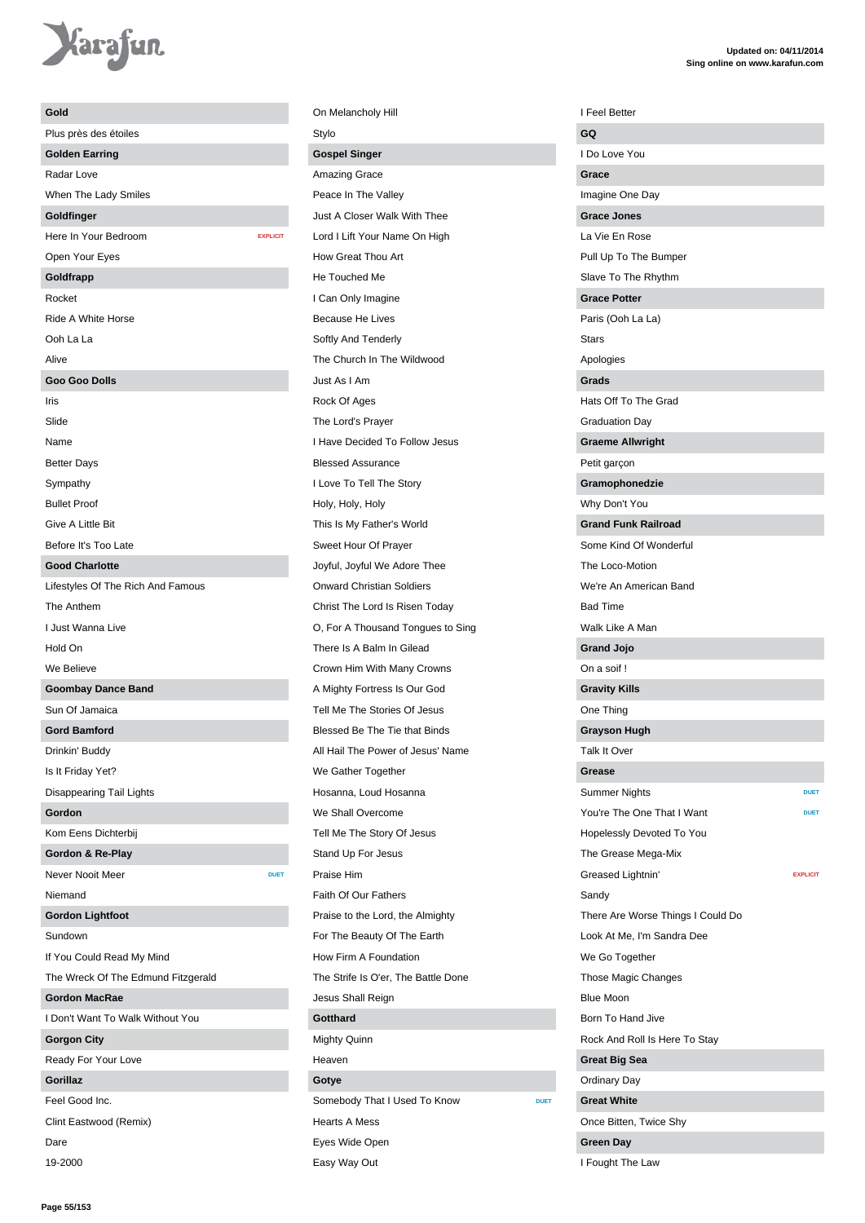

| Gold                                    |  |
|-----------------------------------------|--|
| Plus près des étoiles                   |  |
| <b>Golden Earring</b>                   |  |
| Radar Love                              |  |
| When The Lady Smiles                    |  |
| Goldfinger                              |  |
| Here In Your Bedroom<br><b>EXPLICIT</b> |  |
| Open Your Eyes                          |  |
| Goldfrapp                               |  |
| Rocket                                  |  |
| Ride A White Horse                      |  |
| Ooh La La                               |  |
| Alive                                   |  |
| Goo Goo Dolls                           |  |
| Iris                                    |  |
| Slide                                   |  |
| Name                                    |  |
| <b>Better Days</b>                      |  |
| Sympathy                                |  |
| <b>Bullet Proof</b>                     |  |
| Give A Little Bit                       |  |
| Before It's Too Late                    |  |
| <b>Good Charlotte</b>                   |  |
| Lifestyles Of The Rich And Famous       |  |
| The Anthem                              |  |
| I Just Wanna Live                       |  |
| Hold On                                 |  |
| We Believe                              |  |
| <b>Goombay Dance Band</b>               |  |
| Sun Of Jamaica                          |  |
| <b>Gord Bamford</b>                     |  |
| Drinkin' Buddy                          |  |
| Is It Friday Yet?                       |  |
| Disappearing Tail Lights                |  |
| Gordon                                  |  |
| Kom Eens Dichterbij                     |  |
| Gordon & Re-Play                        |  |
| Never Nooit Meer<br><b>DUET</b>         |  |
| Niemand                                 |  |
| <b>Gordon Lightfoot</b>                 |  |
| Sundown                                 |  |
| If You Could Read My Mind               |  |
| The Wreck Of The Edmund Fitzgerald      |  |
| <b>Gordon MacRae</b>                    |  |
| I Don't Want To Walk Without You        |  |
|                                         |  |
| <b>Gorgon City</b>                      |  |
| Ready For Your Love                     |  |
| Gorillaz                                |  |
| Feel Good Inc.                          |  |
| Clint Eastwood (Remix)                  |  |
| Dare                                    |  |
| 19-2000                                 |  |

On Melancholy Hill Stylo **Gospel Singer** Amazing Grace Peace In The Valley Just A Closer Walk With Thee Lord I Lift Your Name On High How Great Thou Art He Touched Me I Can Only Imagine Because He Lives Softly And Tenderly The Church In The Wildwood Just As I Am Rock Of Ages The Lord's Prayer I Have Decided To Follow Jesus Blessed Assurance I Love To Tell The Story Holy, Holy, Holy This Is My Father's World Sweet Hour Of Prayer Joyful, Joyful We Adore Thee Onward Christian Soldiers Christ The Lord Is Risen Today O, For A Thousand Tongues to Sing There Is A Balm In Gilead Crown Him With Many Crowns A Mighty Fortress Is Our God Tell Me The Stories Of Jesus Blessed Be The Tie that Binds All Hail The Power of Jesus' Name We Gather Together Hosanna, Loud Hosanna We Shall Overcome Tell Me The Story Of Jesus Stand Up For Jesus Praise Him Faith Of Our Fathers Praise to the Lord, the Almighty For The Beauty Of The Earth How Firm A Foundation The Strife Is O'er, The Battle Done Jesus Shall Reign **Gotthard** Mighty Quinn Heaven **Gotye** Somebody That I Used To Know **DUET** Hearts A Mess

Eyes Wide Open Easy Way Out

I Feel Better **GQ** I Do Love You **Grace** Imagine One Day **Grace Jones** La Vie En Rose Pull Up To The Bumper Slave To The Rhythm **Grace Potter** Paris (Ooh La La) **Stars** Apologies **Grads** Hats Off To The Grad Graduation Day **Graeme Allwright** Petit garçon **Gramophonedzie** Why Don't You **Grand Funk Railroad** Some Kind Of Wonderful The Loco-Motion We're An American Band Bad Time Walk Like A Man **Grand Jojo** On a soif ! **Gravity Kills** One Thing **Grayson Hugh** Talk It Over **Grease Summer Nights DUET You're The One That I Want DUET** Hopelessly Devoted To You The Grease Mega-Mix Greased Lightnin' **EXPLICIT** Sandy There Are Worse Things I Could Do Look At Me, I'm Sandra Dee We Go Together Those Magic Changes Blue Moon Born To Hand Jive Rock And Roll Is Here To Stay **Great Big Sea** Ordinary Day **Great White** Once Bitten, Twice Shy **Green Day** I Fought The Law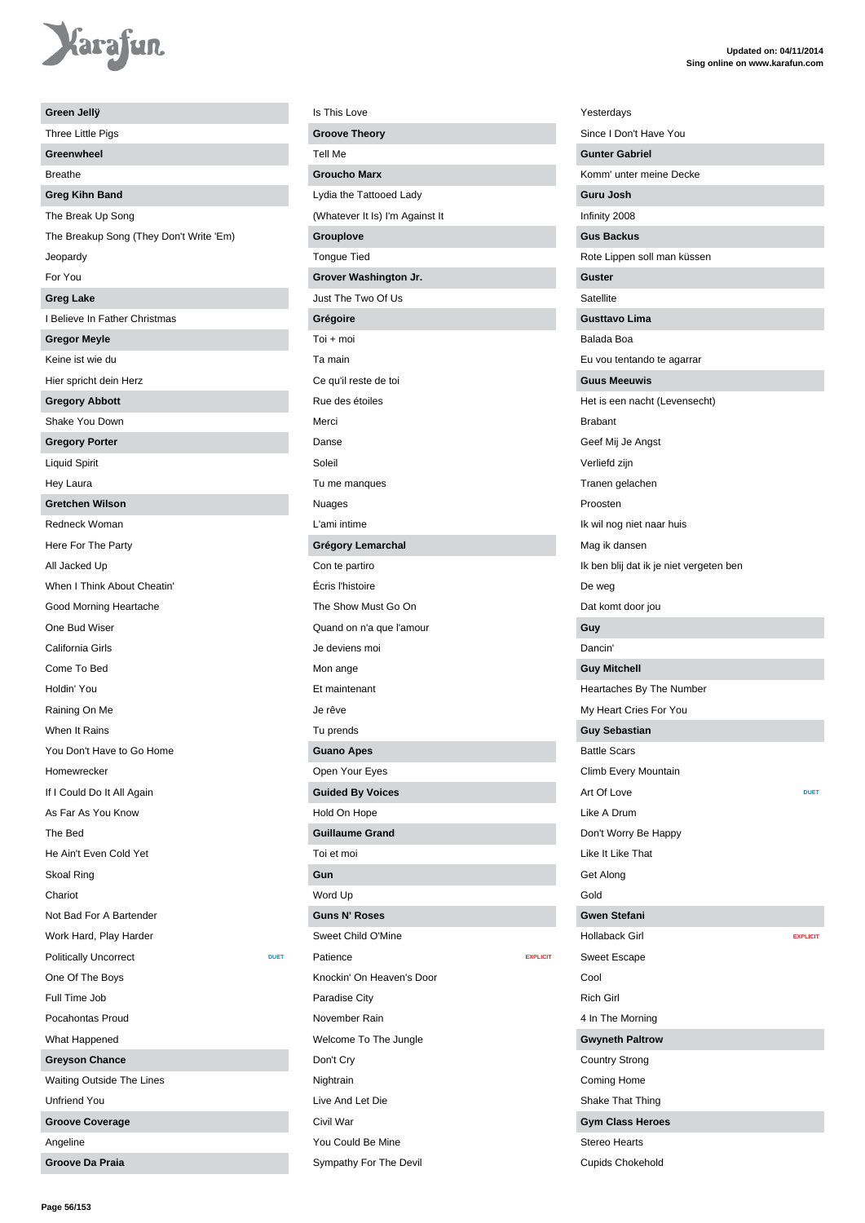

| Green Jellÿ                                      |             |
|--------------------------------------------------|-------------|
| <b>Three Little Pigs</b>                         |             |
| Greenwheel                                       |             |
| <b>Breathe</b>                                   |             |
| <b>Greg Kihn Band</b>                            |             |
| The Break Up Song                                |             |
| The Breakup Song (They Don't Write 'Em)          |             |
| Jeopardy                                         |             |
| For You                                          |             |
| <b>Greg Lake</b>                                 |             |
| I Believe In Father Christmas                    |             |
| <b>Gregor Meyle</b>                              |             |
| Keine ist wie du                                 |             |
| Hier spricht dein Herz                           |             |
| <b>Gregory Abbott</b>                            |             |
| Shake You Down                                   |             |
| <b>Gregory Porter</b>                            |             |
| Liquid Spirit                                    |             |
| Hey Laura                                        |             |
| <b>Gretchen Wilson</b>                           |             |
| Redneck Woman                                    |             |
| Here For The Party                               |             |
| All Jacked Up                                    |             |
| When I Think About Cheatin'                      |             |
| Good Morning Heartache                           |             |
| One Bud Wiser                                    |             |
| California Girls                                 |             |
| Come To Bed                                      |             |
| Holdin' You                                      |             |
| Raining On Me                                    |             |
| When It Rains                                    |             |
| You Don't Have to Go Home                        |             |
|                                                  |             |
| Homewrecker                                      |             |
| If I Could Do It All Again<br>As Far As You Know |             |
| The Bed                                          |             |
| He Ain't Even Cold Yet                           |             |
|                                                  |             |
| Skoal Ring<br>Chariot                            |             |
|                                                  |             |
| Not Bad For A Bartender                          |             |
| Work Hard, Play Harder                           |             |
| <b>Politically Uncorrect</b>                     | <b>DUET</b> |
| One Of The Boys                                  |             |
| Full Time Job                                    |             |
| Pocahontas Proud                                 |             |
| What Happened                                    |             |
| <b>Greyson Chance</b>                            |             |
| <b>Waiting Outside The Lines</b>                 |             |
| Unfriend You                                     |             |
| <b>Groove Coverage</b>                           |             |
| Angeline                                         |             |
| Groove Da Praia                                  |             |

# Is This Love **Groove Theory** Tell Me **Groucho Marx** Lydia the Tattooed Lady (Whatever It Is) I'm Against It **Grouplove** Tongue Tied **Grover Washington Jr.** Just The Two Of Us **Grégoire** Toi + moi Ta main Ce qu'il reste de toi Rue des étoiles Merci Danse Soleil Tu me manques Nuages L'ami intime **Grégory Lemarchal** Con te partiro Écris l'histoire The Show Must Go On Quand on n'a que l'amour Je deviens moi Mon ange Et maintenant Je rêve Tu prends **Guano Apes** Open Your Eyes **Guided By Voices** Hold On Hope **Guillaume Grand** Toi et moi **Gun** Word Up **Guns N' Roses** Sweet Child O'Mine Patience **EXPLICIT** Knockin' On Heaven's Door Paradise City November Rain Welcome To The Jungle Don't Cry Nightrain Live And Let Die Civil War You Could Be Mine

Sympathy For The Devil

| Yesterdays                              |                 |
|-----------------------------------------|-----------------|
| Since I Don't Have You                  |                 |
| <b>Gunter Gabriel</b>                   |                 |
| Komm' unter meine Decke                 |                 |
| <b>Guru Josh</b>                        |                 |
| Infinity 2008                           |                 |
| <b>Gus Backus</b>                       |                 |
| Rote Lippen soll man küssen             |                 |
| Guster                                  |                 |
| Satellite                               |                 |
| <b>Gusttavo Lima</b>                    |                 |
| Balada Boa                              |                 |
| Eu vou tentando te agarrar              |                 |
| <b>Guus Meeuwis</b>                     |                 |
| Het is een nacht (Levensecht)           |                 |
| <b>Brabant</b>                          |                 |
| Geef Mij Je Angst                       |                 |
| Verliefd zijn                           |                 |
| Tranen gelachen                         |                 |
| Proosten                                |                 |
| Ik wil nog niet naar huis               |                 |
| Mag ik dansen                           |                 |
| Ik ben blij dat ik je niet vergeten ben |                 |
| De weg                                  |                 |
| Dat komt door jou                       |                 |
| Guy                                     |                 |
| Dancin'                                 |                 |
| <b>Guy Mitchell</b>                     |                 |
| Heartaches By The Number                |                 |
| My Heart Cries For You                  |                 |
| <b>Guy Sebastian</b>                    |                 |
| <b>Battle Scars</b>                     |                 |
| Climb Every Mountain                    |                 |
| Art Of Love                             | <b>DUET</b>     |
| Like A Drum                             |                 |
| Don't Worry Be Happy                    |                 |
| Like It Like That                       |                 |
| Get Along                               |                 |
| Gold                                    |                 |
| <b>Gwen Stefani</b>                     |                 |
| Hollaback Girl                          | <b>EXPLICIT</b> |
| Sweet Escape                            |                 |
| Cool                                    |                 |
| <b>Rich Girl</b>                        |                 |
| 4 In The Morning                        |                 |
| <b>Gwyneth Paltrow</b>                  |                 |
| <b>Country Strong</b>                   |                 |
| Coming Home                             |                 |
| Shake That Thing                        |                 |
| <b>Gym Class Heroes</b>                 |                 |
| <b>Stereo Hearts</b>                    |                 |
| <b>Cupids Chokehold</b>                 |                 |
|                                         |                 |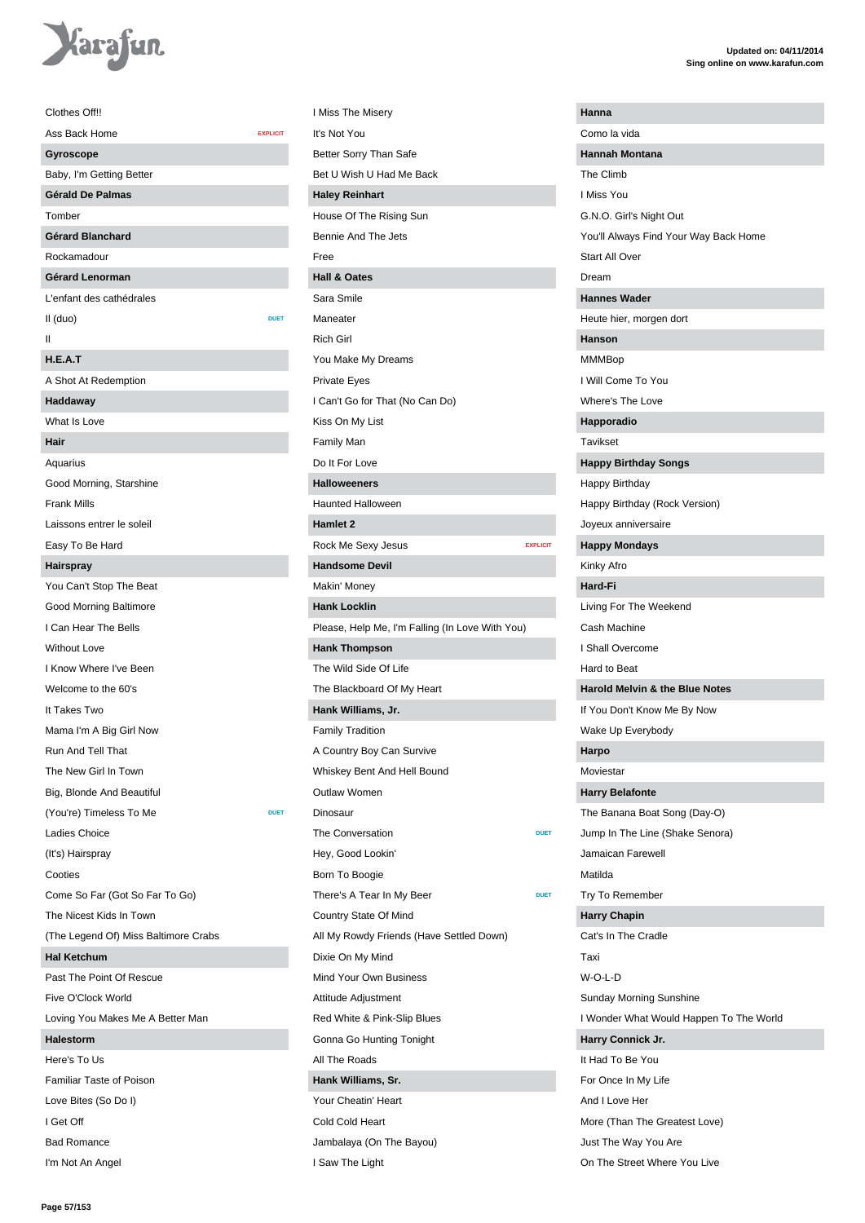

| Clothes Off!!                        |                 |
|--------------------------------------|-----------------|
| Ass Back Home                        | <b>EXPLICIT</b> |
| Gyroscope                            |                 |
| Baby, I'm Getting Better             |                 |
| Gérald De Palmas                     |                 |
| Tomber                               |                 |
| Gérard Blanchard                     |                 |
| Rockamadour                          |                 |
| Gérard Lenorman                      |                 |
| L'enfant des cathédrales             |                 |
| II (duo)                             | <b>DUET</b>     |
| Ш                                    |                 |
| H.E.A.T                              |                 |
| A Shot At Redemption                 |                 |
| Haddaway                             |                 |
| What Is Love                         |                 |
| Hair                                 |                 |
| Aquarius                             |                 |
| Good Morning, Starshine              |                 |
| <b>Frank Mills</b>                   |                 |
| Laissons entrer le soleil            |                 |
| Easy To Be Hard                      |                 |
| <b>Hairspray</b>                     |                 |
| You Can't Stop The Beat              |                 |
| Good Morning Baltimore               |                 |
| I Can Hear The Bells                 |                 |
| <b>Without Love</b>                  |                 |
| I Know Where I've Been               |                 |
| Welcome to the 60's                  |                 |
| It Takes Two                         |                 |
| Mama I'm A Big Girl Now              |                 |
| Run And Tell That                    |                 |
| The New Girl In Town                 |                 |
| Big, Blonde And Beautiful            |                 |
| (You're) Timeless To Me              | <b>DUET</b>     |
| Ladies Choice                        |                 |
| (It's) Hairspray                     |                 |
| Cooties                              |                 |
| Come So Far (Got So Far To Go)       |                 |
| The Nicest Kids In Town              |                 |
| (The Legend Of) Miss Baltimore Crabs |                 |
| <b>Hal Ketchum</b>                   |                 |
| Past The Point Of Rescue             |                 |
| Five O'Clock World                   |                 |
| Loving You Makes Me A Better Man     |                 |
| <b>Halestorm</b>                     |                 |
| Here's To Us                         |                 |
| <b>Familiar Taste of Poison</b>      |                 |
| Love Bites (So Do I)                 |                 |
| I Get Off                            |                 |
| <b>Bad Romance</b>                   |                 |

I Miss The Misery It's Not You Better Sorry Than Safe Bet U Wish U Had Me Back **Haley Reinhart** House Of The Rising Sun Bennie And The Jets Free **Hall & Oates** Sara Smile Maneater Rich Girl You Make My Dreams Private Eyes I Can't Go for That (No Can Do) Kiss On My List Family Man Do It For Love **Halloweeners** Haunted Halloween **Hamlet 2** Rock Me Sexy Jesus **EXPLICIT Handsome Devil** Makin' Money **Hank Locklin** Please, Help Me, I'm Falling (In Love With You) **Hank Thompson** The Wild Side Of Life The Blackboard Of My Heart **Hank Williams, Jr.** Family Tradition A Country Boy Can Survive Whiskey Bent And Hell Bound Outlaw Women Dinosaur The Conversation **DUET** Hey, Good Lookin' Born To Boogie There's A Tear In My Beer **DUET** Country State Of Mind All My Rowdy Friends (Have Settled Down) Dixie On My Mind Mind Your Own Business Attitude Adjustment Red White & Pink-Slip Blues Gonna Go Hunting Tonight All The Roads **Hank Williams, Sr.** Your Cheatin' Heart Cold Cold Heart Jambalaya (On The Bayou) I Saw The Light

| Hanna                                     |
|-------------------------------------------|
| Como la vida                              |
| Hannah Montana                            |
| The Climb                                 |
| I Miss You                                |
| G.N.O. Girl's Night Out                   |
| You'll Always Find Your Way Back Home     |
| Start All Over                            |
| Dream                                     |
| <b>Hannes Wader</b>                       |
| Heute hier, morgen dort                   |
| <b>Hanson</b>                             |
| MMMBop                                    |
| I Will Come To You                        |
| Where's The Love                          |
| Happoradio                                |
| <b>Tavikset</b>                           |
| <b>Happy Birthday Songs</b>               |
| Happy Birthday                            |
| Happy Birthday (Rock Version)             |
| Joyeux anniversaire                       |
| <b>Happy Mondays</b>                      |
| Kinky Afro                                |
| Hard-Fi                                   |
| Living For The Weekend                    |
| Cash Machine                              |
| I Shall Overcome                          |
| Hard to Beat                              |
| <b>Harold Melvin &amp; the Blue Notes</b> |
| If You Don't Know Me By Now               |
| Wake Up Everybody                         |
| Harpo                                     |
| Moviestar                                 |
| <b>Harry Belafonte</b>                    |
| The Banana Boat Song (Day-O)              |
| Jump In The Line (Shake Senora)           |
| Jamaican Farewell                         |
| Matilda                                   |
| Try To Remember                           |
| <b>Harry Chapin</b>                       |
| Cat's In The Cradle                       |
| Taxi                                      |
| W-O-L-D                                   |
| Sunday Morning Sunshine                   |
| I Wonder What Would Happen To The World   |
| Harry Connick Jr.                         |
| It Had To Be You                          |
| For Once In My Life                       |
| And I Love Her                            |
| More (Than The Greatest Love)             |
| Just The Way You Are                      |
| On The Street Where You Live              |

I'm Not An Angel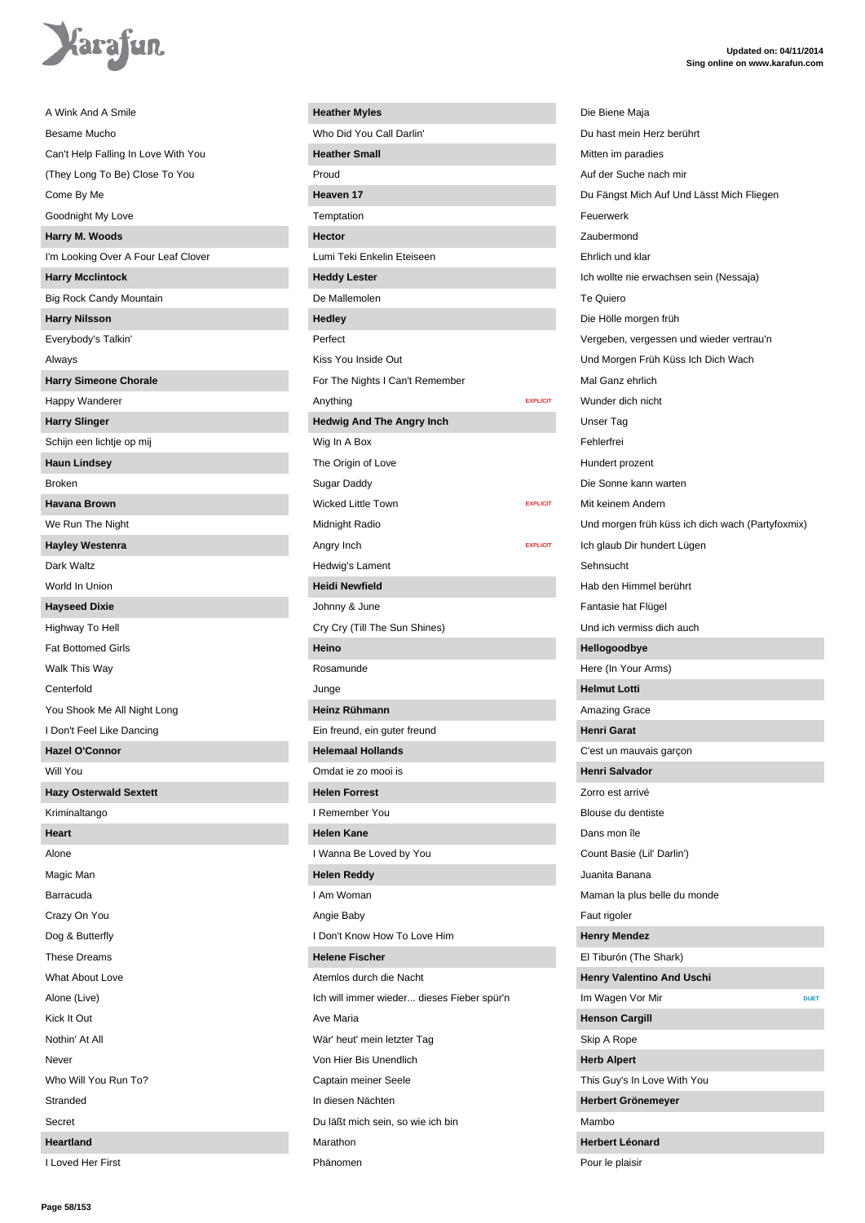

| A Wink And A Smile                  |
|-------------------------------------|
| Besame Mucho                        |
| Can't Help Falling In Love With You |
| (They Long To Be) Close To You      |
| Come By Me                          |
| Goodnight My Love                   |
| Harry M. Woods                      |
| I'm Looking Over A Four Leaf Clover |
| <b>Harry Mcclintock</b>             |
| <b>Big Rock Candy Mountain</b>      |
| <b>Harry Nilsson</b>                |
| Everybody's Talkin'                 |
| Always                              |
| <b>Harry Simeone Chorale</b>        |
| Happy Wanderer                      |
| <b>Harry Slinger</b>                |
| Schijn een lichtje op mij           |
| <b>Haun Lindsey</b>                 |
| <b>Broken</b>                       |
| Havana Brown                        |
| We Run The Night                    |
| <b>Hayley Westenra</b>              |
| Dark Waltz                          |
| World In Union                      |
| <b>Hayseed Dixie</b>                |
| Highway To Hell                     |
| <b>Fat Bottomed Girls</b>           |
| Walk This Way                       |
| Centerfold                          |
| You Shook Me All Night Long         |
| I Don't Feel Like Dancing           |
| <b>Hazel O'Connor</b>               |
| Will You                            |
| <b>Hazy Osterwald Sextett</b>       |
| Kriminaltango                       |
| Heart                               |
| Alone                               |
| Magic Man                           |
| Barracuda                           |
| Crazy On You                        |
| Dog & Butterfly                     |
| <b>These Dreams</b>                 |
| <b>What About Love</b>              |
| Alone (Live)                        |
| Kick It Out                         |
| Nothin' At All                      |
| Never                               |
| Who Will You Run To?                |
| Stranded                            |
| Secret                              |
| Heartland                           |

I Loved Her First

| <b>Heather Myles</b>                       |                 |
|--------------------------------------------|-----------------|
| Who Did You Call Darlin'                   |                 |
| <b>Heather Small</b>                       |                 |
| Proud                                      |                 |
| Heaven 17                                  |                 |
| Temptation                                 |                 |
| <b>Hector</b>                              |                 |
| Lumi Teki Enkelin Eteiseen                 |                 |
| <b>Heddy Lester</b>                        |                 |
| De Mallemolen                              |                 |
| <b>Hedley</b>                              |                 |
| Perfect                                    |                 |
| Kiss You Inside Out                        |                 |
| For The Nights I Can't Remember            |                 |
| Anything                                   | <b>EXPLICIT</b> |
| <b>Hedwig And The Angry Inch</b>           |                 |
| Wig In A Box                               |                 |
| The Origin of Love                         |                 |
| Sugar Daddy                                |                 |
| <b>Wicked Little Town</b>                  | <b>EXPLICIT</b> |
| Midnight Radio                             |                 |
| Angry Inch                                 | <b>EXPLICIT</b> |
| Hedwig's Lament                            |                 |
| <b>Heidi Newfield</b>                      |                 |
| Johnny & June                              |                 |
| Cry Cry (Till The Sun Shines)              |                 |
| Heino                                      |                 |
| Rosamunde                                  |                 |
| Junge                                      |                 |
| Heinz Rühmann                              |                 |
| Ein freund, ein guter freund               |                 |
| <b>Helemaal Hollands</b>                   |                 |
| Omdat je zo mooj is                        |                 |
| <b>Helen Forrest</b>                       |                 |
| I Remember You                             |                 |
| <b>Helen Kane</b>                          |                 |
|                                            |                 |
| I Wanna Be Loved by You                    |                 |
| <b>Helen Reddy</b>                         |                 |
| I Am Woman                                 |                 |
| Angie Baby                                 |                 |
| I Don't Know How To Love Him               |                 |
| <b>Helene Fischer</b>                      |                 |
| Atemlos durch die Nacht                    |                 |
| Ich will immer wieder dieses Fieber spür'n |                 |
| Ave Maria                                  |                 |
| Wär' heut' mein letzter Tag                |                 |
| Von Hier Bis Unendlich                     |                 |
| Captain meiner Seele                       |                 |
| In diesen Nächten                          |                 |
| Du läßt mich sein, so wie ich bin          |                 |
| Marathon                                   |                 |
| Phänomen                                   |                 |

| Die Biene Maja                                   |
|--------------------------------------------------|
| Du hast mein Herz berührt                        |
| Mitten im paradies                               |
| Auf der Suche nach mir                           |
| Du Fängst Mich Auf Und Lässt Mich Fliegen        |
| Feuerwerk                                        |
| Zaubermond                                       |
| Ehrlich und klar                                 |
| Ich wollte nie erwachsen sein (Nessaja)          |
| Te Quiero                                        |
| Die Hölle morgen früh                            |
| Vergeben, vergessen und wieder vertrau'n         |
| Und Morgen Früh Küss Ich Dich Wach               |
| Mal Ganz ehrlich                                 |
| Wunder dich nicht                                |
| Unser Tag                                        |
| Fehlerfrei                                       |
| Hundert prozent                                  |
| Die Sonne kann warten                            |
| Mit keinem Andern                                |
| Und morgen früh küss ich dich wach (Partyfoxmix) |
| Ich glaub Dir hundert Lügen                      |
| Sehnsucht                                        |
| Hab den Himmel berührt                           |
| Fantasie hat Flügel                              |
| Und ich vermiss dich auch                        |
| Hellogoodbye                                     |
| Here (In Your Arms)                              |
| <b>Helmut Lotti</b>                              |
| Amazing Grace                                    |
| <b>Henri Garat</b>                               |
| C'est un mauvais garcon                          |
| <b>Henri Salvador</b>                            |
| Zorro est arrivé                                 |
| Blouse du dentiste                               |
| Dans mon île                                     |
| Count Basie (Lil' Darlin')                       |
| Juanita Banana                                   |
| Maman la plus belle du monde                     |
| Faut rigoler                                     |
| <b>Henry Mendez</b>                              |
| El Tiburón (The Shark)                           |
| <b>Henry Valentino And Uschi</b>                 |
| Im Wagen Vor Mir<br><b>DUET</b>                  |
| <b>Henson Cargill</b>                            |
| Skip A Rope                                      |
| <b>Herb Alpert</b>                               |
|                                                  |
|                                                  |
| This Guy's In Love With You                      |
| Herbert Grönemeyer<br>Mambo                      |
| <b>Herbert Léonard</b>                           |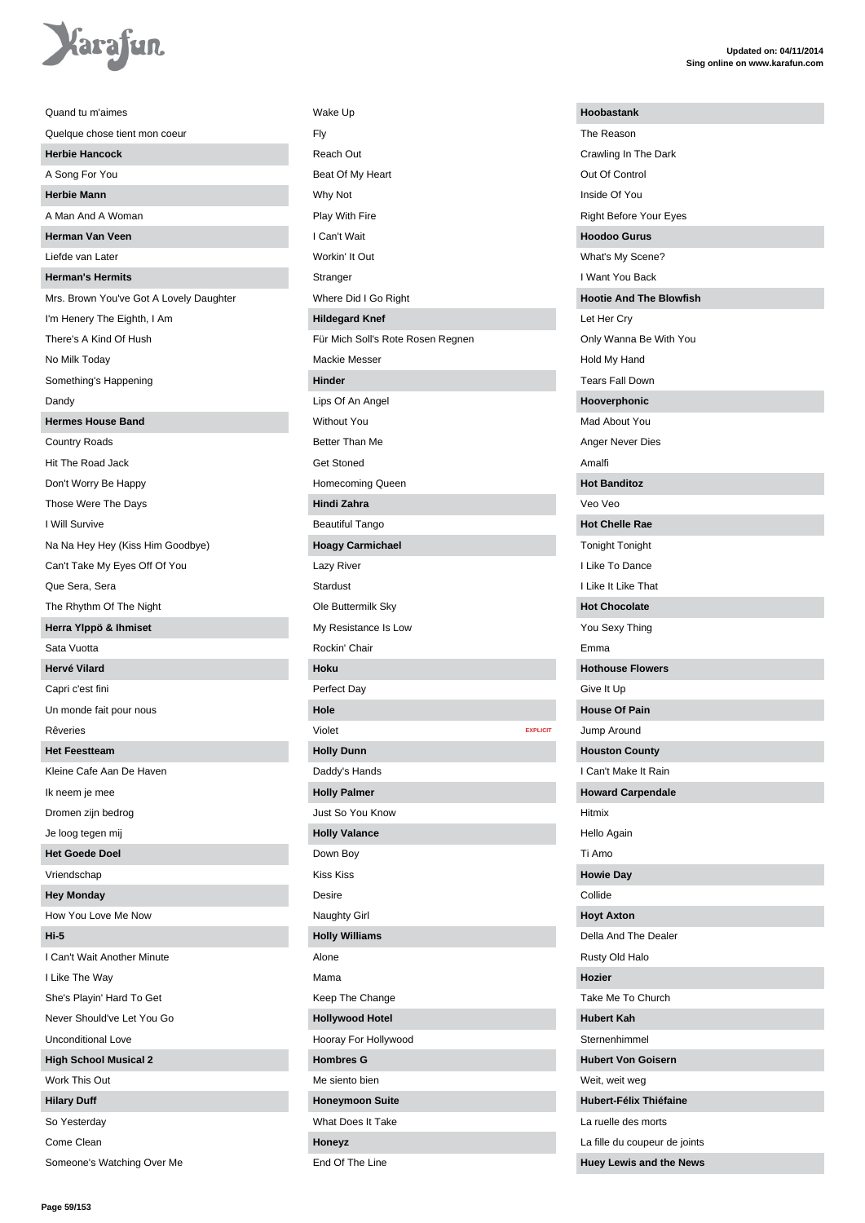

| Quand tu m'aimes                        |
|-----------------------------------------|
| Quelque chose tient mon coeur           |
| <b>Herbie Hancock</b>                   |
| A Song For You                          |
| <b>Herbie Mann</b>                      |
| A Man And A Woman                       |
| <b>Herman Van Veen</b>                  |
| Liefde van Later                        |
| <b>Herman's Hermits</b>                 |
| Mrs. Brown You've Got A Lovely Daughter |
| I'm Henery The Eighth, I Am             |
| There's A Kind Of Hush                  |
| No Milk Today                           |
| Something's Happening                   |
| Dandy                                   |
| <b>Hermes House Band</b>                |
| Country Roads                           |
| Hit The Road Jack                       |
| Don't Worry Be Happy                    |
| Those Were The Days                     |
| I Will Survive                          |
| Na Na Hey Hey (Kiss Him Goodbye)        |
| Can't Take My Eyes Off Of You           |
| Que Sera, Sera                          |
| The Rhythm Of The Night                 |
| Herra Ylppö & Ihmiset                   |
| Sata Vuotta                             |
| Hervé Vilard                            |
| Capri c'est fini                        |
| Un monde fait pour nous                 |
| Rêveries                                |
|                                         |
| <b>Het Feestteam</b>                    |
| Kleine Cafe Aan De Haven                |
| Ik neem je mee                          |
| Dromen zijn bedrog                      |
| Je loog tegen mij                       |
| <b>Het Goede Doel</b>                   |
| Vriendschap                             |
| <b>Hey Monday</b>                       |
| How You Love Me Now                     |
| $Hi-5$                                  |
| I Can't Wait Another Minute             |
| I Like The Way                          |
| She's Playin' Hard To Get               |
| Never Should've Let You Go              |
| <b>Unconditional Love</b>               |
| <b>High School Musical 2</b>            |
| <b>Work This Out</b>                    |
| <b>Hilary Duff</b>                      |
| So Yesterday                            |

Wake Up Fly Reach Out Beat Of My Heart Why Not Play With Fire I Can't Wait Workin' It Out Stranger Where Did I Go Right **Hildegard Knef** Für Mich Soll's Rote Rosen Regnen Mackie Messer **Hinder** Lips Of An Angel Without You Better Than Me Get Stoned Homecoming Queen **Hindi Zahra** Beautiful Tango **Hoagy Carmichael** Lazy River Stardust Ole Buttermilk Sky My Resistance Is Low Rockin' Chair **Hoku** Perfect Day **Hole** Violet **EXPLICIT Holly Dunn** Daddy's Hands **Holly Palmer** Just So You Know **Holly Valance** Down Boy Kiss Kiss Desire Naughty Girl **Holly Williams** Alone Mama Keep The Change **Hollywood Hotel** Hooray For Hollywood **Hombres G** Me siento bien **Honeymoon Suite** What Does It Take **Honeyz**

End Of The Line

| Hoobastank                     |  |
|--------------------------------|--|
| The Reason                     |  |
| Crawling In The Dark           |  |
| Out Of Control                 |  |
| Inside Of You                  |  |
| <b>Right Before Your Eyes</b>  |  |
| <b>Hoodoo Gurus</b>            |  |
| What's My Scene?               |  |
| I Want You Back                |  |
| <b>Hootie And The Blowfish</b> |  |
| Let Her Cry                    |  |
| Only Wanna Be With You         |  |
| Hold My Hand                   |  |
| <b>Tears Fall Down</b>         |  |
| Hooverphonic                   |  |
| Mad About You                  |  |
| Anger Never Dies               |  |
| Amalfi                         |  |
| <b>Hot Banditoz</b>            |  |
| Veo Veo                        |  |
| <b>Hot Chelle Rae</b>          |  |
| <b>Tonight Tonight</b>         |  |
| I Like To Dance                |  |
| I Like It Like That            |  |
| <b>Hot Chocolate</b>           |  |
| You Sexy Thing                 |  |
| Emma                           |  |
| <b>Hothouse Flowers</b>        |  |
| Give It Up                     |  |
| <b>House Of Pain</b>           |  |
| Jump Around                    |  |
| <b>Houston County</b>          |  |
| I Can't Make It Rain           |  |
| <b>Howard Carpendale</b>       |  |
| Hitmix                         |  |
| Hello Again                    |  |
| Ti Amo                         |  |
| <b>Howie Day</b>               |  |
| Collide                        |  |
| <b>Hoyt Axton</b>              |  |
| Della And The Dealer           |  |
| Rusty Old Halo                 |  |
| Hozier                         |  |
| Take Me To Church              |  |
| <b>Hubert Kah</b>              |  |
| Sternenhimmel                  |  |
| <b>Hubert Von Goisern</b>      |  |
| Weit, weit weg                 |  |
| <b>Hubert-Félix Thiéfaine</b>  |  |
| La ruelle des morts            |  |
| La fille du coupeur de joints  |  |
| <b>Huey Lewis and the News</b> |  |
|                                |  |

Someone's Watching Over Me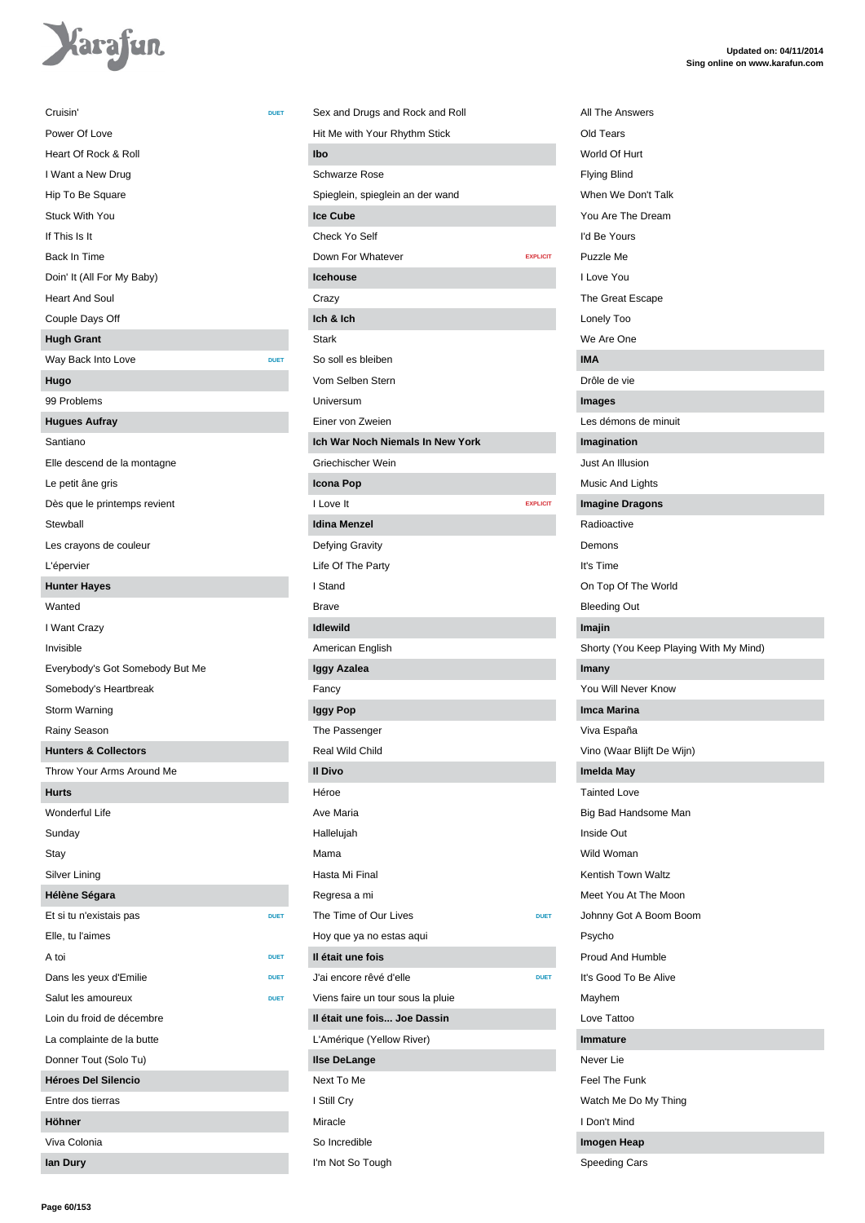

| Cruisin'                              | <b>DUET</b> |
|---------------------------------------|-------------|
| Power Of Love                         |             |
| Heart Of Rock & Roll                  |             |
| I Want a New Drug                     |             |
| Hip To Be Square                      |             |
| <b>Stuck With You</b>                 |             |
| If This Is It                         |             |
| <b>Back In Time</b>                   |             |
| Doin' It (All For My Baby)            |             |
| <b>Heart And Soul</b>                 |             |
| Couple Days Off                       |             |
| <b>Hugh Grant</b>                     |             |
| Way Back Into Love                    | <b>DUET</b> |
| Hugo                                  |             |
| 99 Problems                           |             |
| <b>Hugues Aufray</b>                  |             |
| Santiano                              |             |
| Elle descend de la montagne           |             |
| Le petit âne gris                     |             |
| Dès que le printemps revient          |             |
| Stewball                              |             |
| Les crayons de couleur                |             |
|                                       |             |
| L'épervier                            |             |
| <b>Hunter Hayes</b><br>Wanted         |             |
| I Want Crazy                          |             |
| Invisible                             |             |
|                                       |             |
| Everybody's Got Somebody But Me       |             |
| Somebody's Heartbreak                 |             |
| Storm Warning                         |             |
| Rainy Season                          |             |
| <b>Hunters &amp; Collectors</b>       |             |
| Throw Your Arms Around Me             |             |
| <b>Hurts</b><br><b>Wonderful Life</b> |             |
|                                       |             |
| Sunday                                |             |
| Stay                                  |             |
| Silver Lining                         |             |
| Hélène Ségara                         | <b>DUET</b> |
| Et si tu n'existais pas               |             |
| Elle, tu l'aimes                      |             |
| A toi                                 | <b>DUET</b> |
| Dans les yeux d'Emilie                | <b>DUET</b> |
| Salut les amoureux                    | <b>DUET</b> |
| Loin du froid de décembre             |             |
| La complainte de la butte             |             |
| Donner Tout (Solo Tu)                 |             |
| <b>Héroes Del Silencio</b>            |             |
| Entre dos tierras                     |             |
| Höhner                                |             |
| Viva Colonia                          |             |
| lan Dury                              |             |

| Sex and Drugs and Rock and Roll   |                 |
|-----------------------------------|-----------------|
| Hit Me with Your Rhythm Stick     |                 |
| lbo                               |                 |
| Schwarze Rose                     |                 |
| Spieglein, spieglein an der wand  |                 |
| <b>Ice Cube</b>                   |                 |
| Check Yo Self                     |                 |
| Down For Whatever                 | <b>EXPLICIT</b> |
| Icehouse                          |                 |
| Crazy                             |                 |
| Ich & Ich                         |                 |
| <b>Stark</b>                      |                 |
| So soll es bleiben                |                 |
| Vom Selben Stern                  |                 |
| Universum                         |                 |
| Einer von Zweien                  |                 |
| Ich War Noch Niemals In New York  |                 |
| Griechischer Wein                 |                 |
| <b>Icona Pop</b>                  |                 |
| I Love It                         | <b>EXPLICIT</b> |
| <b>Idina Menzel</b>               |                 |
| Defying Gravity                   |                 |
| Life Of The Party                 |                 |
| I Stand                           |                 |
| <b>Brave</b>                      |                 |
| <b>Idlewild</b>                   |                 |
|                                   |                 |
| American English                  |                 |
| Iggy Azalea                       |                 |
| Fancy                             |                 |
| Iggy Pop                          |                 |
| The Passenger                     |                 |
| Real Wild Child                   |                 |
| Il Divo                           |                 |
| Héroe                             |                 |
| Ave Maria                         |                 |
| Hallelujah                        |                 |
| Mama                              |                 |
| Hasta Mi Final                    |                 |
| Regresa a mi                      |                 |
| The Time of Our Lives             | <b>DUET</b>     |
| Hoy que ya no estas aqui          |                 |
| Il était une fois                 |                 |
| J'ai encore rêvé d'elle           | <b>DUET</b>     |
| Viens faire un tour sous la pluie |                 |
| Il était une fois Joe Dassin      |                 |
| L'Amérique (Yellow River)         |                 |
| <b>Ilse DeLange</b>               |                 |
| Next To Me                        |                 |
| I Still Cry                       |                 |
| Miracle                           |                 |
| So Incredible                     |                 |

I'm Not So Tough

| All The Answers                      |                                        |
|--------------------------------------|----------------------------------------|
| Old Tears                            |                                        |
| World Of Hurt                        |                                        |
| <b>Flying Blind</b>                  |                                        |
| When We Don't Talk                   |                                        |
| You Are The Dream                    |                                        |
| I'd Be Yours                         |                                        |
| Puzzle Me                            |                                        |
| I Love You                           |                                        |
| The Great Escape                     |                                        |
| Lonely Too                           |                                        |
| We Are One                           |                                        |
| <b>IMA</b>                           |                                        |
| Drôle de vie                         |                                        |
| <b>Images</b>                        |                                        |
| Les démons de minuit                 |                                        |
| Imagination                          |                                        |
| Just An Illusion                     |                                        |
| Music And Lights                     |                                        |
| <b>Imagine Dragons</b>               |                                        |
| Radioactive                          |                                        |
| Demons                               |                                        |
| It's Time                            |                                        |
| On Top Of The World                  |                                        |
| <b>Bleeding Out</b>                  |                                        |
| Imajin                               |                                        |
|                                      | Shorty (You Keep Playing With My Mind) |
| Imany                                |                                        |
| You Will Never Know                  |                                        |
| <b>Imca Marina</b>                   |                                        |
| Viva España                          |                                        |
| Vino (Waar Blijft De Wijn)           |                                        |
| Imelda May                           |                                        |
| <b>Tainted Love</b>                  |                                        |
| Big Bad Handsome Man                 |                                        |
| Inside Out                           |                                        |
| Wild Woman                           |                                        |
| <b>Kentish Town Waltz</b>            |                                        |
| Meet You At The Moon                 |                                        |
| Johnny Got A Boom Boom               |                                        |
| Psycho                               |                                        |
| <b>Proud And Humble</b>              |                                        |
| It's Good To Be Alive                |                                        |
| Mayhem                               |                                        |
| Love Tattoo                          |                                        |
| <b>Immature</b>                      |                                        |
| Never Lie                            |                                        |
| Feel The Funk                        |                                        |
|                                      |                                        |
| Watch Me Do My Thing<br>I Don't Mind |                                        |
|                                      |                                        |
| Imogen Heap                          |                                        |
| Speeding Cars                        |                                        |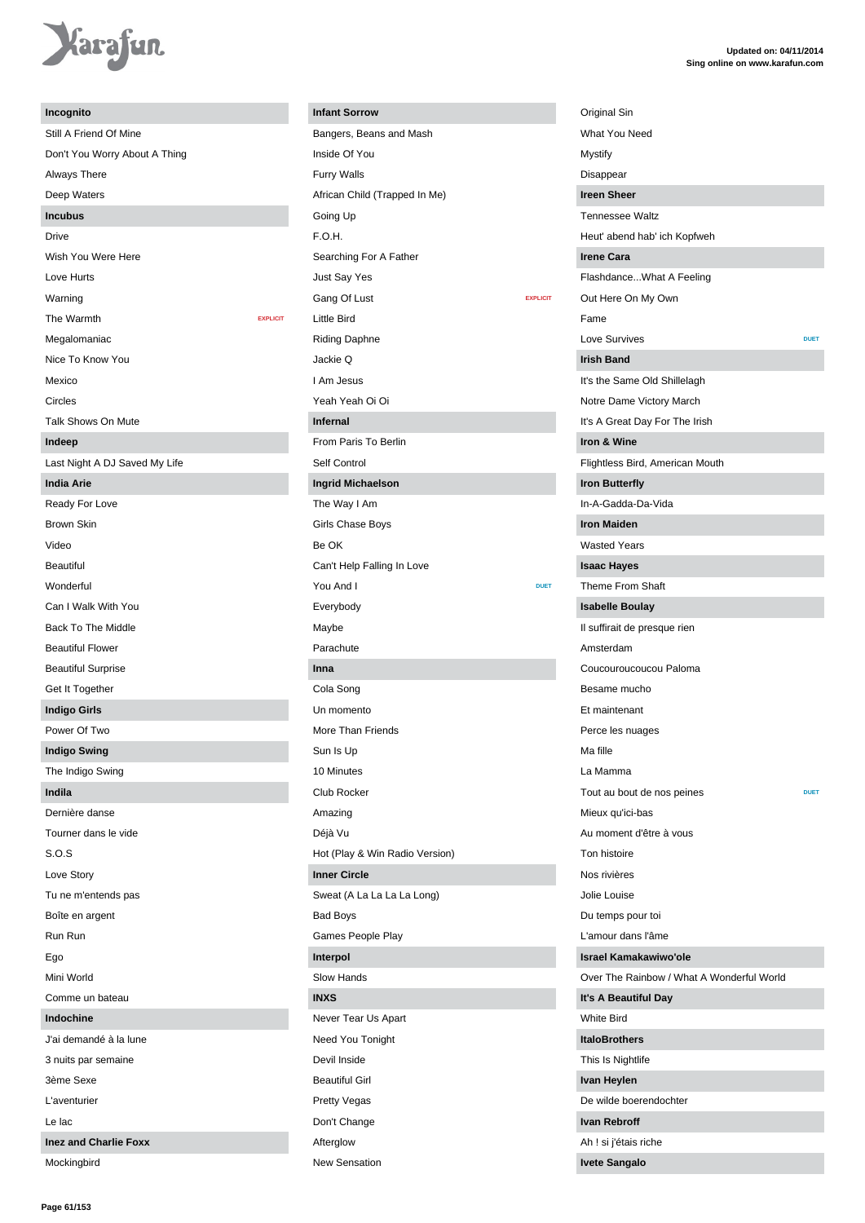

| Incognito                     |
|-------------------------------|
| Still A Friend Of Mine        |
| Don't You Worry About A Thing |
| <b>Always There</b>           |
| Deep Waters                   |
| <b>Incubus</b>                |
| <b>Drive</b>                  |
| Wish You Were Here            |
| Love Hurts                    |
| Warning                       |
| The Warmth<br><b>EXPLICIT</b> |
| Megalomaniac                  |
| Nice To Know You              |
| Mexico                        |
| Circles                       |
| <b>Talk Shows On Mute</b>     |
| Indeep                        |
| Last Night A DJ Saved My Life |
| <b>India Arie</b>             |
| Ready For Love                |
| <b>Brown Skin</b>             |
| Video                         |
| <b>Beautiful</b>              |
| Wonderful                     |
| Can I Walk With You           |
| <b>Back To The Middle</b>     |
| <b>Beautiful Flower</b>       |
| <b>Beautiful Surprise</b>     |
| Get It Together               |
| <b>Indigo Girls</b>           |
| Power Of Two                  |
| <b>Indigo Swing</b>           |
| The Indigo Swing              |
| Indila                        |
| Dernière danse                |
| Tourner dans le vide          |
| S.O.S                         |
| Love Story                    |
| Tu ne m'entends pas           |
| Boîte en argent               |
| Run Run                       |
| Ego                           |
| Mini World                    |
| Comme un bateau               |
| Indochine                     |
| J'ai demandé à la lune        |
| 3 nuits par semaine           |
| 3ème Sexe                     |
| L'aventurier                  |
| Le lac                        |
| <b>Inez and Charlie Foxx</b>  |

| <b>Infant Sorrow</b>           |                 |
|--------------------------------|-----------------|
| Bangers, Beans and Mash        |                 |
| Inside Of You                  |                 |
| <b>Furry Walls</b>             |                 |
| African Child (Trapped In Me)  |                 |
| Going Up                       |                 |
| F.O.H.                         |                 |
| Searching For A Father         |                 |
| Just Say Yes                   |                 |
| Gang Of Lust                   | <b>EXPLICIT</b> |
| Little Bird                    |                 |
| <b>Riding Daphne</b>           |                 |
| Jackie Q                       |                 |
| I Am Jesus                     |                 |
| Yeah Yeah Oi Oi                |                 |
| <b>Infernal</b>                |                 |
| From Paris To Berlin           |                 |
| Self Control                   |                 |
| <b>Ingrid Michaelson</b>       |                 |
| The Way I Am                   |                 |
| Girls Chase Boys               |                 |
| Be OK                          |                 |
| Can't Help Falling In Love     |                 |
| You And I                      | <b>DUET</b>     |
| Everybody                      |                 |
| Maybe                          |                 |
| Parachute                      |                 |
| Inna                           |                 |
| Cola Song                      |                 |
| Un momento                     |                 |
| More Than Friends              |                 |
| Sun Is Up                      |                 |
| 10 Minutes                     |                 |
| Club Rocker                    |                 |
| Amazing                        |                 |
| Déjà Vu                        |                 |
| Hot (Play & Win Radio Version) |                 |
| <b>Inner Circle</b>            |                 |
| Sweat (A La La La La Long)     |                 |
| <b>Bad Boys</b>                |                 |
| Games People Play              |                 |
| Interpol                       |                 |
| <b>Slow Hands</b>              |                 |
| <b>INXS</b>                    |                 |
| Never Tear Us Apart            |                 |
| Need You Tonight               |                 |
| Devil Inside                   |                 |
| <b>Beautiful Girl</b>          |                 |
| Pretty Vegas                   |                 |
| Don't Change                   |                 |
| Afterglow                      |                 |
| <b>New Sensation</b>           |                 |

| Original Sin                              |             |
|-------------------------------------------|-------------|
| What You Need                             |             |
| Mystify                                   |             |
| Disappear                                 |             |
| <b>Ireen Sheer</b>                        |             |
| Tennessee Waltz                           |             |
| Heut' abend hab' ich Kopfweh              |             |
| <b>Irene Cara</b>                         |             |
| FlashdanceWhat A Feeling                  |             |
| Out Here On My Own                        |             |
| Fame                                      |             |
| Love Survives                             | <b>DUET</b> |
| <b>Irish Band</b>                         |             |
| It's the Same Old Shillelagh              |             |
| Notre Dame Victory March                  |             |
| It's A Great Day For The Irish            |             |
| Iron & Wine                               |             |
| Flightless Bird, American Mouth           |             |
| <b>Iron Butterfly</b>                     |             |
| In-A-Gadda-Da-Vida                        |             |
| <b>Iron Maiden</b>                        |             |
| <b>Wasted Years</b>                       |             |
| <b>Isaac Hayes</b>                        |             |
| Theme From Shaft                          |             |
| <b>Isabelle Boulay</b>                    |             |
| Il suffirait de presque rien              |             |
| Amsterdam                                 |             |
| Coucouroucoucou Paloma                    |             |
| Besame mucho                              |             |
| Et maintenant                             |             |
| Perce les nuages                          |             |
| Ma fille                                  |             |
| La Mamma                                  |             |
| Tout au bout de nos peines                | <b>DUET</b> |
| Mieux qu'ici-bas                          |             |
| Au moment d'être à vous                   |             |
| Ton histoire                              |             |
| Nos rivières                              |             |
| Jolie Louise                              |             |
| Du temps pour toi                         |             |
| L'amour dans l'âme                        |             |
| Israel Kamakawiwo'ole                     |             |
| Over The Rainbow / What A Wonderful World |             |
| It's A Beautiful Day                      |             |
| <b>White Bird</b>                         |             |
| <b>ItaloBrothers</b>                      |             |
| This Is Nightlife                         |             |
| Ivan Heylen                               |             |
| De wilde boerendochter                    |             |
| <b>Ivan Rebroff</b>                       |             |
| Ah ! si j'étais riche                     |             |
| Ivete Sangalo                             |             |

Mockingbird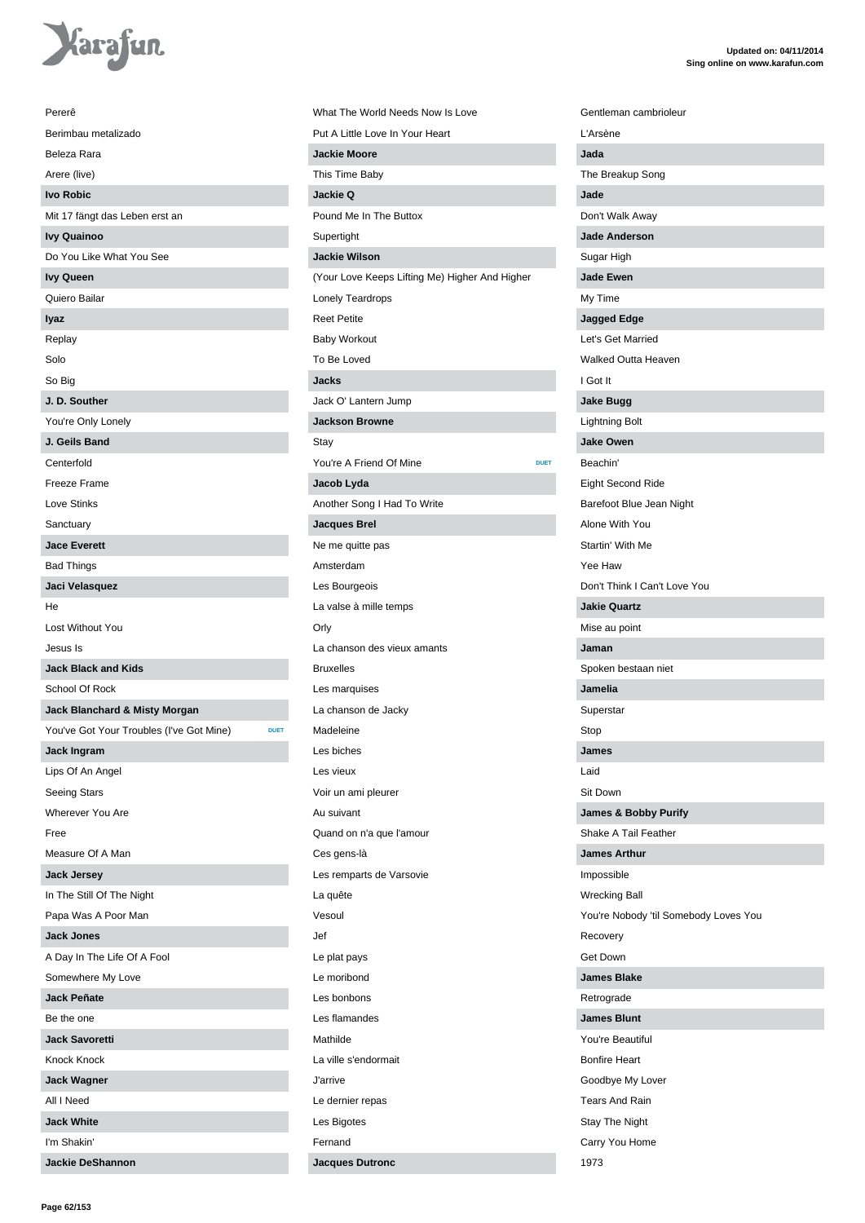

| Pererê                                                  |
|---------------------------------------------------------|
| Berimbau metalizado                                     |
| Beleza Rara                                             |
| Arere (live)                                            |
| <b>Ivo Robic</b>                                        |
| Mit 17 fängt das Leben erst an                          |
| <b>Ivy Quainoo</b>                                      |
| Do You Like What You See                                |
| <b>Ivy Queen</b>                                        |
| Quiero Bailar                                           |
| lyaz                                                    |
| Replay                                                  |
| Solo                                                    |
| So Big                                                  |
| J. D. Souther                                           |
| You're Only Lonely                                      |
| J. Geils Band                                           |
| Centerfold                                              |
| Freeze Frame                                            |
| Love Stinks                                             |
| Sanctuary                                               |
| <b>Jace Everett</b>                                     |
| <b>Bad Things</b>                                       |
| Jaci Velasquez                                          |
| He                                                      |
| Lost Without You                                        |
| Jesus Is                                                |
| <b>Jack Black and Kids</b>                              |
| School Of Rock                                          |
| Jack Blanchard & Misty Morgan                           |
| You've Got Your Troubles (I've Got Mine)<br><b>DUET</b> |
| Jack Ingram                                             |
| Lips Of An Angel                                        |
| Seeing Stars                                            |
| Wherever You Are                                        |
| Free                                                    |
| Measure Of A Man                                        |
| <b>Jack Jersey</b>                                      |
| In The Still Of The Night                               |
| Papa Was A Poor Man                                     |
| <b>Jack Jones</b>                                       |
| A Day In The Life Of A Fool                             |
| Somewhere My Love                                       |
| <b>Jack Peñate</b>                                      |
| Be the one                                              |
| <b>Jack Savoretti</b>                                   |
| Knock Knock                                             |
| <b>Jack Wagner</b>                                      |
| All I Need                                              |
| <b>Jack White</b>                                       |
| I'm Shakin'                                             |
|                                                         |

What The World Needs Now Is Love Put A Little Love In Your Heart **Jackie Moore** This Time Baby **Jackie Q** Pound Me In The Buttox Supertight **Jackie Wilson** (Your Love Keeps Lifting Me) Higher And Higher Lonely Teardrops Reet Petite Baby Workout To Be Loved **Jacks** Jack O' Lantern Jump **Jackson Browne** Stay **You're A Friend Of Mine DUET Jacob Lyda** Another Song I Had To Write **Jacques Brel** Ne me quitte pas Amsterdam Les Bourgeois La valse à mille temps Orly La chanson des vieux amants Bruxelles Les marquises La chanson de Jacky Madeleine Les biches Les vieux Voir un ami pleurer Au suivant Quand on n'a que l'amour Ces gens-là Les remparts de Varsovie La quête Vesoul Jef Le plat pays Le moribond Les bonbons Les flamandes Mathilde La ville s'endormait J'arrive Le dernier repas Les Bigotes Fernand

**Jacques Dutronc**

| Gentleman cambrioleur                 |
|---------------------------------------|
| L'Arsène                              |
| Jada                                  |
| The Breakup Song                      |
| Jade                                  |
| Don't Walk Away                       |
| <b>Jade Anderson</b>                  |
| Sugar High                            |
| <b>Jade Ewen</b>                      |
| My Time                               |
| <b>Jagged Edge</b>                    |
| Let's Get Married                     |
| Walked Outta Heaven                   |
| I Got It                              |
| <b>Jake Bugg</b>                      |
| Lightning Bolt                        |
| <b>Jake Owen</b>                      |
| Beachin'                              |
| <b>Eight Second Ride</b>              |
| Barefoot Blue Jean Night              |
| Alone With You                        |
| Startin' With Me                      |
|                                       |
| Yee Haw                               |
| Don't Think I Can't Love You          |
| <b>Jakie Quartz</b>                   |
| Mise au point                         |
| Jaman                                 |
| Spoken bestaan niet                   |
| <b>Jamelia</b>                        |
| Superstar                             |
| Stop                                  |
| James                                 |
| Laid                                  |
| <b>Sit Down</b>                       |
| <b>James &amp; Bobby Purify</b>       |
| Shake A Tail Feather                  |
| <b>James Arthur</b>                   |
| Impossible                            |
| <b>Wrecking Ball</b>                  |
| You're Nobody 'til Somebody Loves You |
| Recovery                              |
| Get Down                              |
| <b>James Blake</b>                    |
| Retrograde                            |
| <b>James Blunt</b>                    |
| You're Beautiful                      |
| <b>Bonfire Heart</b>                  |
| Goodbye My Lover                      |
|                                       |
| Tears And Rain                        |
| Stay The Night                        |

1973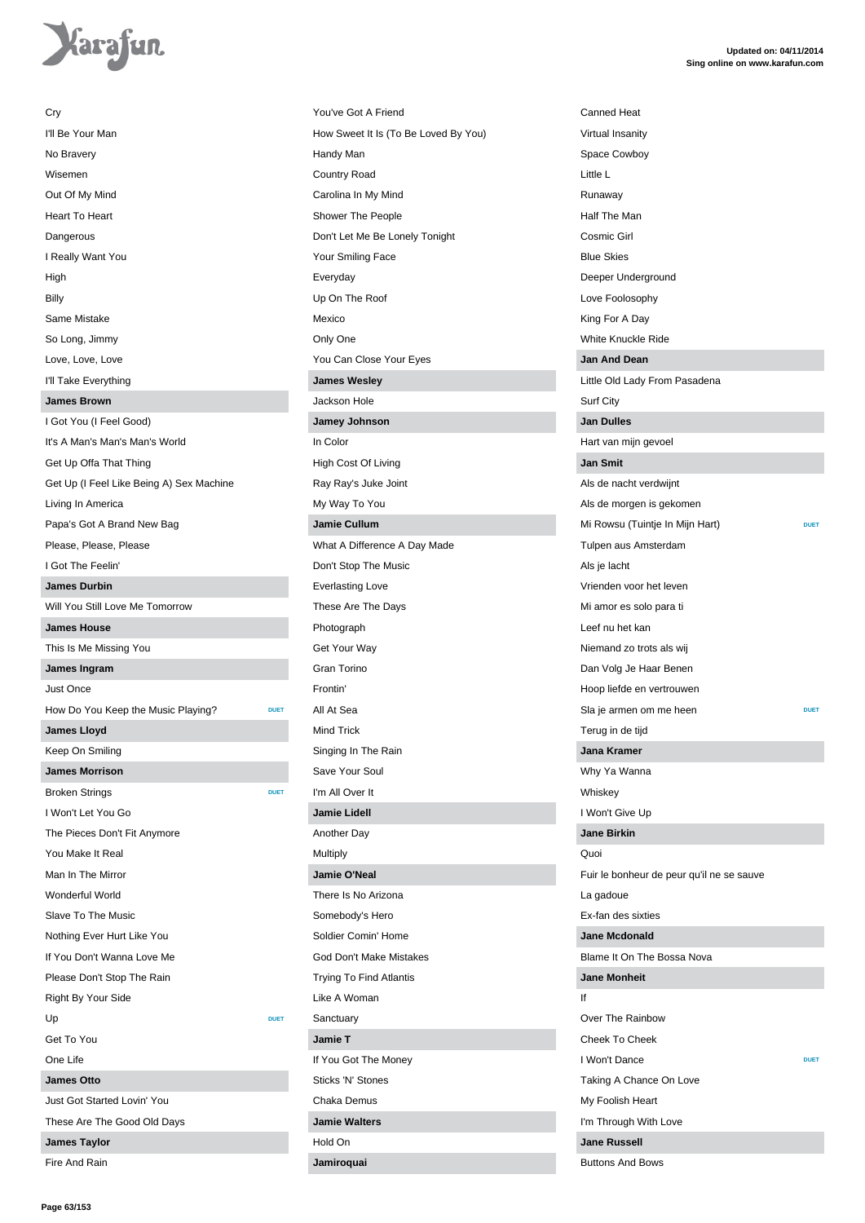

Cry I'll Be Your Man No Bravery Wisemen Out Of My Mind Heart To Heart Dangerous I Really Want You High Billy Same Mistake So Long, Jimmy Love, Love, Love I'll Take Everything **James Brown** I Got You (I Feel Good) It's A Man's Man's Man's World Get Up Offa That Thing Get Up (I Feel Like Being A) Sex Machine Living In America Papa's Got A Brand New Bag Please, Please, Please I Got The Feelin' **James Durbin** Will You Still Love Me Tomorrow **James House** This Is Me Missing You **James Ingram** Just Once How Do You Keep the Music Playing? **James Lloyd** Keep On Smiling **James Morrison Broken Strings** I Won't Let You Go The Pieces Don't Fit Anymore You Make It Real Man In The Mirror Wonderful World Slave To The Music Nothing Ever Hurt Like You If You Don't Wanna Love Me Please Don't Stop The Rain Right By Your Side **Up DUET** Get To You One Life **James Otto** Just Got Started Lovin' You These Are The Good Old Days **James Taylor** Fire And Rain

You've Got A Friend How Sweet It Is (To Be Loved By You) Handy Man Country Road Carolina In My Mind Shower The People Don't Let Me Be Lonely Tonight Your Smiling Face Everyday Up On The Roof Mexico Only One You Can Close Your Eyes **James Wesley** Jackson Hole **Jamey Johnson** In Color High Cost Of Living Ray Ray's Juke Joint My Way To You **Jamie Cullum** What A Difference A Day Made Don't Stop The Music Everlasting Love These Are The Days Photograph Get Your Way Gran Torino Frontin' All At Sea Mind Trick Singing In The Rain Save Your Soul I'm All Over It **Jamie Lidell** Another Day Multiply **Jamie O'Neal** There Is No Arizona Somebody's Hero Soldier Comin' Home God Don't Make Mistakes Trying To Find Atlantis Like A Woman **Sanctuary Jamie T** If You Got The Money Sticks 'N' Stones Chaka Demus **Jamie Walters** Hold On

**Jamiroquai**

| <b>Canned Heat</b>                             |  |
|------------------------------------------------|--|
| Virtual Insanity                               |  |
| Space Cowboy                                   |  |
| Little L                                       |  |
| Runaway                                        |  |
| Half The Man                                   |  |
| Cosmic Girl                                    |  |
| <b>Blue Skies</b>                              |  |
| Deeper Underground                             |  |
| Love Foolosophy                                |  |
|                                                |  |
| King For A Day                                 |  |
| White Knuckle Ride                             |  |
| <b>Jan And Dean</b>                            |  |
| Little Old Lady From Pasadena                  |  |
| Surf City                                      |  |
| <b>Jan Dulles</b>                              |  |
| Hart van mijn gevoel                           |  |
| <b>Jan Smit</b>                                |  |
| Als de nacht verdwijnt                         |  |
| Als de morgen is gekomen                       |  |
| Mi Rowsu (Tuintje In Mijn Hart)<br><b>DUET</b> |  |
| Tulpen aus Amsterdam                           |  |
| Als je lacht                                   |  |
| Vrienden voor het leven                        |  |
| Mi amor es solo para ti                        |  |
| Leef nu het kan                                |  |
| Niemand zo trots als wij                       |  |
| Dan Volg Je Haar Benen                         |  |
| Hoop liefde en vertrouwen                      |  |
| Sla je armen om me heen<br><b>DUET</b>         |  |
| Terug in de tijd                               |  |
| <b>Jana Kramer</b>                             |  |
| Why Ya Wanna                                   |  |
| Whiskey                                        |  |
| I Won't Give Up                                |  |
| <b>Jane Birkin</b>                             |  |
| Quoi                                           |  |
| Fuir le bonheur de peur qu'il ne se sauve      |  |
| La gadoue                                      |  |
| Ex-fan des sixties                             |  |
| <b>Jane Mcdonald</b>                           |  |
| Blame It On The Bossa Nova                     |  |
| <b>Jane Monheit</b>                            |  |
| lf                                             |  |
| Over The Rainbow                               |  |
| Cheek To Cheek                                 |  |
| I Won't Dance<br><b>DUET</b>                   |  |
| Taking A Chance On Love                        |  |
| My Foolish Heart                               |  |
| I'm Through With Love                          |  |
| <b>Jane Russell</b>                            |  |
| <b>Buttons And Bows</b>                        |  |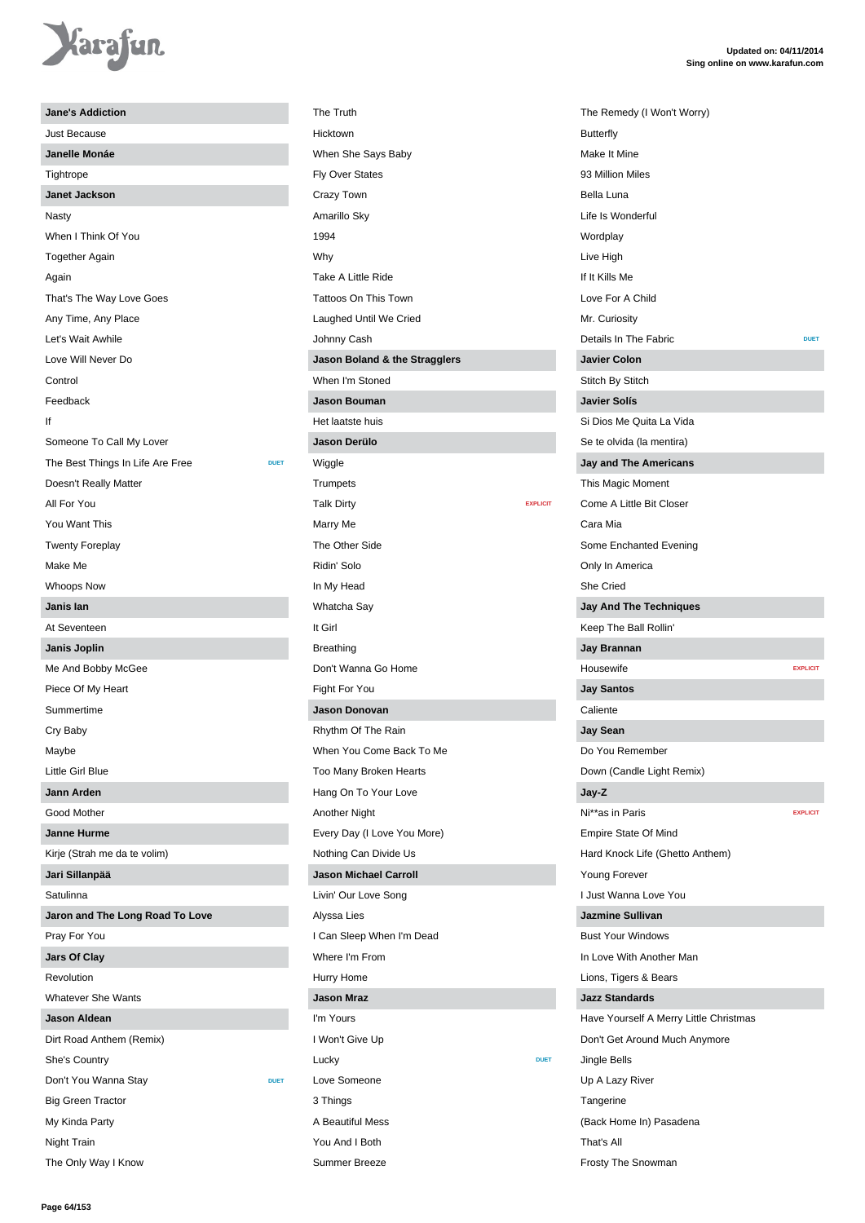

| <b>Jane's Addiction</b>          |             |
|----------------------------------|-------------|
| <b>Just Because</b>              |             |
| Janelle Monáe                    |             |
| Tightrope                        |             |
| Janet Jackson                    |             |
| Nasty                            |             |
| When I Think Of You              |             |
| <b>Together Again</b>            |             |
| Again                            |             |
| That's The Way Love Goes         |             |
| Any Time, Any Place              |             |
| Let's Wait Awhile                |             |
| Love Will Never Do               |             |
| Control                          |             |
| Feedback                         |             |
| lf                               |             |
| Someone To Call My Lover         |             |
| The Best Things In Life Are Free | <b>DUET</b> |
| Doesn't Really Matter            |             |
| All For You                      |             |
| You Want This                    |             |
| <b>Twenty Foreplay</b>           |             |
| Make Me                          |             |
| <b>Whoops Now</b>                |             |
| Janis lan                        |             |
| At Seventeen                     |             |
| Janis Joplin                     |             |
| Me And Bobby McGee               |             |
| Piece Of My Heart                |             |
| Summertime                       |             |
| Cry Baby                         |             |
| Maybe                            |             |
| Little Girl Blue                 |             |
| Jann Arden                       |             |
| Good Mother                      |             |
| <b>Janne Hurme</b>               |             |
| Kirje (Strah me da te volim)     |             |
| Jari Sillanpää                   |             |
| Satulinna                        |             |
| Jaron and The Long Road To Love  |             |
| Pray For You                     |             |
| <b>Jars Of Clay</b>              |             |
| Revolution                       |             |
| <b>Whatever She Wants</b>        |             |
| <b>Jason Aldean</b>              |             |
| Dirt Road Anthem (Remix)         |             |
| She's Country                    |             |
| Don't You Wanna Stay             | <b>DUET</b> |
| <b>Big Green Tractor</b>         |             |
| My Kinda Party                   |             |
| Night Train                      |             |
| The Only Way I Know              |             |

| The Truth                            |
|--------------------------------------|
| Hicktown                             |
| When She Says Baby                   |
| <b>Fly Over States</b>               |
| Crazy Town                           |
| Amarillo Sky                         |
| 1994                                 |
| Why                                  |
| Take A Little Ride                   |
| Tattoos On This Town                 |
| Laughed Until We Cried               |
| Johnny Cash                          |
| Jason Boland & the Stragglers        |
| When I'm Stoned                      |
| <b>Jason Bouman</b>                  |
| Het laatste huis                     |
| Jason Derülo                         |
| Wiggle                               |
| <b>Trumpets</b>                      |
| <b>Talk Dirty</b><br><b>EXPLICIT</b> |
| Marry Me                             |
| The Other Side                       |
| Ridin' Solo                          |
| In My Head                           |
| Whatcha Say                          |
| It Girl                              |
| <b>Breathing</b>                     |
| Don't Wanna Go Home                  |
| Fight For You                        |
| Jason Donovan                        |
| Rhythm Of The Rain                   |
| When You Come Back To Me             |
| Too Many Broken Hearts               |
| Hang On To Your Love                 |
| Another Night                        |
| Every Day (I Love You More)          |
| Nothing Can Divide Us                |
| <b>Jason Michael Carroll</b>         |
| Livin' Our Love Song                 |
| Alyssa Lies                          |
| I Can Sleep When I'm Dead            |
| Where I'm From                       |
| Hurry Home                           |
| <b>Jason Mraz</b>                    |
| I'm Yours                            |
| I Won't Give Up                      |
| Lucky<br><b>DUET</b>                 |
|                                      |
| Love Someone                         |
|                                      |
| 3 Things<br>A Beautiful Mess         |

Summer Breeze

| The Remedy (I Won't Worry)             |
|----------------------------------------|
| <b>Butterfly</b>                       |
| Make It Mine                           |
| 93 Million Miles                       |
| Bella Luna                             |
| Life Is Wonderful                      |
| Wordplay                               |
| Live High                              |
| If It Kills Me                         |
| Love For A Child                       |
| Mr. Curiosity                          |
| Details In The Fabric<br><b>DUET</b>   |
| <b>Javier Colon</b>                    |
|                                        |
| Stitch By Stitch                       |
| <b>Javier Solís</b>                    |
| Si Dios Me Quita La Vida               |
| Se te olvida (la mentira)              |
| <b>Jay and The Americans</b>           |
| This Magic Moment                      |
| Come A Little Bit Closer               |
| Cara Mia                               |
| Some Enchanted Evening                 |
| Only In America                        |
| She Cried                              |
| <b>Jay And The Techniques</b>          |
| Keep The Ball Rollin'                  |
| Jay Brannan                            |
| Housewife<br><b>EXPLICIT</b>           |
| <b>Jay Santos</b>                      |
| Caliente                               |
| Jay Sean                               |
| Do You Remember                        |
| Down (Candle Light Remix)              |
| Jay-Z                                  |
| Ni**as in Paris<br><b>EXPLICIT</b>     |
| <b>Empire State Of Mind</b>            |
| Hard Knock Life (Ghetto Anthem)        |
| Young Forever                          |
| I Just Wanna Love You                  |
| <b>Jazmine Sullivan</b>                |
| <b>Bust Your Windows</b>               |
| In Love With Another Man               |
| Lions, Tigers & Bears                  |
| <b>Jazz Standards</b>                  |
| Have Yourself A Merry Little Christmas |
| Don't Get Around Much Anymore          |
| Jingle Bells                           |
| Up A Lazy River                        |
| Tangerine                              |
| (Back Home In) Pasadena                |
| That's All                             |
| <b>Frosty The Snowman</b>              |
|                                        |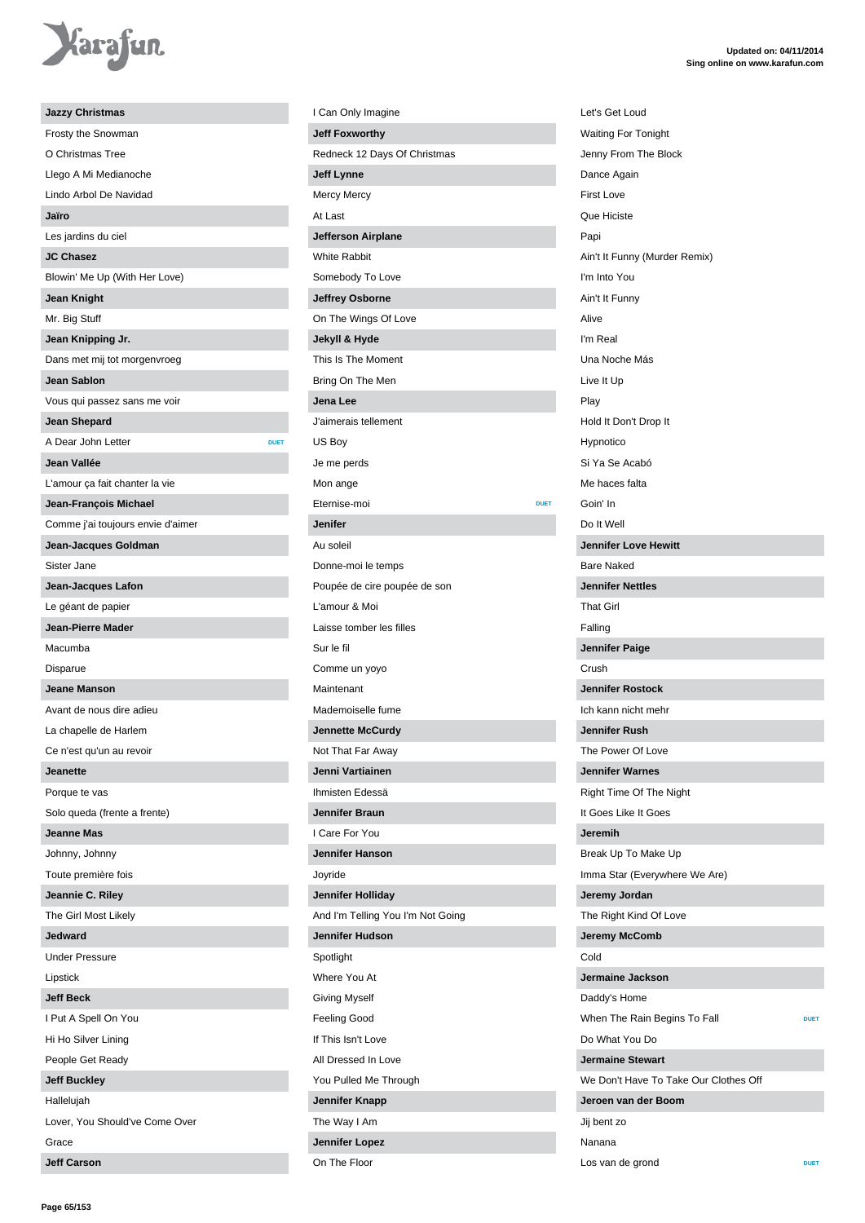

| <b>Jazzy Christmas</b>            |             |
|-----------------------------------|-------------|
| Frosty the Snowman                |             |
| O Christmas Tree                  |             |
| Llego A Mi Medianoche             |             |
| Lindo Arbol De Navidad            |             |
| Jaïro                             |             |
| Les jardins du ciel               |             |
| <b>JC Chasez</b>                  |             |
| Blowin' Me Up (With Her Love)     |             |
| <b>Jean Knight</b>                |             |
| Mr. Big Stuff                     |             |
| Jean Knipping Jr.                 |             |
| Dans met mij tot morgenvroeg      |             |
| Jean Sablon                       |             |
| Vous qui passez sans me voir      |             |
| Jean Shepard                      |             |
| A Dear John Letter                | <b>DUET</b> |
| Jean Vallée                       |             |
| L'amour ça fait chanter la vie    |             |
| Jean-François Michael             |             |
| Comme j'ai toujours envie d'aimer |             |
| Jean-Jacques Goldman              |             |
| Sister Jane                       |             |
| Jean-Jacques Lafon                |             |
| Le géant de papier                |             |
| Jean-Pierre Mader                 |             |
| Macumba                           |             |
| Disparue                          |             |
| <b>Jeane Manson</b>               |             |
| Avant de nous dire adieu          |             |
| La chapelle de Harlem             |             |
| Ce n'est qu'un au revoir          |             |
| Jeanette                          |             |
| Porque te vas                     |             |
| Solo queda (frente a frente)      |             |
| Jeanne Mas                        |             |
| Johnny, Johnny                    |             |
| Toute première fois               |             |
| Jeannie C. Riley                  |             |
| The Girl Most Likely              |             |
| Jedward                           |             |
| <b>Under Pressure</b>             |             |
| Lipstick                          |             |
| <b>Jeff Beck</b>                  |             |
| I Put A Spell On You              |             |
| Hi Ho Silver Lining               |             |
| People Get Ready                  |             |
| <b>Jeff Buckley</b>               |             |
| Hallelujah                        |             |
| Lover, You Should've Come Over    |             |
| Grace                             |             |
| <b>Jeff Carson</b>                |             |

| I Can Only Imagine                |
|-----------------------------------|
| <b>Jeff Foxworthy</b>             |
| Redneck 12 Days Of Christmas      |
| Jeff Lynne                        |
| <b>Mercy Mercy</b>                |
| At Last                           |
| <b>Jefferson Airplane</b>         |
| <b>White Rabbit</b>               |
| Somebody To Love                  |
| Jeffrey Osborne                   |
| On The Wings Of Love              |
| Jekyll & Hyde                     |
| This Is The Moment                |
| Bring On The Men                  |
| Jena Lee                          |
| J'aimerais tellement              |
| US Boy                            |
| Je me perds                       |
| Mon ange                          |
| Eternise-moi<br><b>DUET</b>       |
| Jenifer                           |
| Au soleil                         |
| Donne-moi le temps                |
| Poupée de cire poupée de son      |
| L'amour & Moi                     |
| Laisse tomber les filles          |
| Sur le fil                        |
| Comme un yoyo                     |
| Maintenant                        |
| Mademoiselle fume                 |
| Jennette McCurdy                  |
| Not That Far Away                 |
| Jenni Vartiainen                  |
| Ihmisten Edessä                   |
| <b>Jennifer Braun</b>             |
| I Care For You                    |
| Jennifer Hanson                   |
| Joyride                           |
| Jennifer Holliday                 |
| And I'm Telling You I'm Not Going |
| <b>Jennifer Hudson</b>            |
| Spotlight                         |
| Where You At                      |
| <b>Giving Myself</b>              |
| Feeling Good                      |
| If This Isn't Love                |
| All Dressed In Love               |
| You Pulled Me Through             |
| Jennifer Knapp                    |
| The Way I Am                      |
| <b>Jennifer Lopez</b>             |
| On The Floor                      |

Let's Get Loud Waiting For Tonight Jenny From The Block Dance Again First Love Que Hiciste Papi Ain't It Funny (Murder Remix) I'm Into You Ain't It Funny Alive I'm Real Una Noche Más Live It Up Play Hold It Don't Drop It Hypnotico Si Ya Se Acabó Me haces falta Goin' In Do It Well **Jennifer Love Hewitt** Bare Naked **Jennifer Nettles** That Girl Falling **Jennifer Paige** Crush **Jennifer Rostock** Ich kann nicht mehr **Jennifer Rush** The Power Of Love **Jennifer Warnes** Right Time Of The Night It Goes Like It Goes **Jeremih** Break Up To Make Up Imma Star (Everywhere We Are) **Jeremy Jordan** The Right Kind Of Love **Jeremy McComb** Cold **Jermaine Jackson** Daddy's Home When The Rain Begins To Fall Do What You Do **Jermaine Stewart** We Don't Have To Take Our Clothes Off **Jeroen van der Boom** Jij bent zo Nanana Los van de grond **DUET**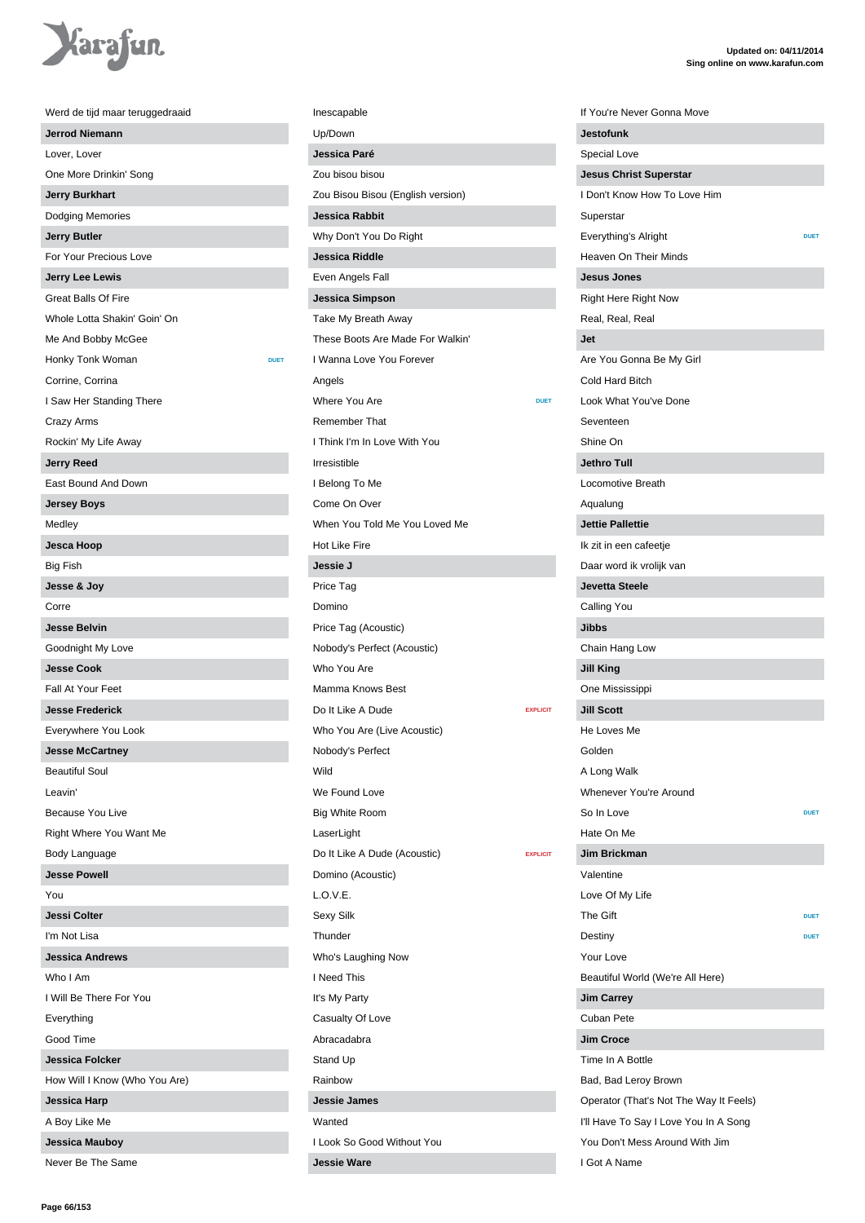

| Werd de tijd maar teruggedraaid |  |
|---------------------------------|--|
| <b>Jerrod Niemann</b>           |  |
| Lover, Lover                    |  |
| One More Drinkin' Song          |  |
| <b>Jerry Burkhart</b>           |  |
| Dodging Memories                |  |
| <b>Jerry Butler</b>             |  |
| For Your Precious Love          |  |
| Jerry Lee Lewis                 |  |
| <b>Great Balls Of Fire</b>      |  |
| Whole Lotta Shakin' Goin' On    |  |
| Me And Bobby McGee              |  |
| Honky Tonk Woman<br><b>DUET</b> |  |
| Corrine, Corrina                |  |
| I Saw Her Standing There        |  |
| Crazy Arms                      |  |
| Rockin' My Life Away            |  |
| <b>Jerry Reed</b>               |  |
| East Bound And Down             |  |
| Jersey Boys                     |  |
| Medley                          |  |
| Jesca Hoop                      |  |
| <b>Big Fish</b>                 |  |
| Jesse & Joy                     |  |
| Corre                           |  |
| <b>Jesse Belvin</b>             |  |
| Goodnight My Love               |  |
| <b>Jesse Cook</b>               |  |
| Fall At Your Feet               |  |
| <b>Jesse Frederick</b>          |  |
| Everywhere You Look             |  |
| <b>Jesse McCartney</b>          |  |
| <b>Beautiful Soul</b>           |  |
| Leavin'                         |  |
| <b>Because You Live</b>         |  |
| Right Where You Want Me         |  |
| Body Language                   |  |
| <b>Jesse Powell</b>             |  |
| You                             |  |
| Jessi Colter                    |  |
| I'm Not Lisa                    |  |
| <b>Jessica Andrews</b>          |  |
| Who I Am                        |  |
| I Will Be There For You         |  |
| Everything                      |  |
| Good Time                       |  |
| <b>Jessica Folcker</b>          |  |
| How Will I Know (Who You Are)   |  |
| <b>Jessica Harp</b>             |  |
| A Boy Like Me                   |  |
| <b>Jessica Mauboy</b>           |  |
| Never Be The Same               |  |

Inescapable Up/Down **Jessica Paré** Zou bisou bisou Zou Bisou Bisou (English version) **Jessica Rabbit** Why Don't You Do Right **Jessica Riddle** Even Angels Fall **Jessica Simpson** Take My Breath Away These Boots Are Made For Walkin' I Wanna Love You Forever Angels Where You Are **DUET** Remember That I Think I'm In Love With You Irresistible I Belong To Me Come On Over When You Told Me You Loved Me Hot Like Fire **Jessie J** Price Tag Domino Price Tag (Acoustic) Nobody's Perfect (Acoustic) Who You Are Mamma Knows Best Do It Like A Dude **EXPLICIT** Who You Are (Live Acoustic) Nobody's Perfect Wild We Found Love Big White Room LaserLight Do It Like A Dude (Acoustic) **EXPLICIT** Domino (Acoustic) L.O.V.E. Sexy Silk **Thunder** Who's Laughing Now I Need This It's My Party Casualty Of Love Abracadabra Stand Up Rainbow **Jessie James** Wanted I Look So Good Without You **Jessie Ware**

| If You're Never Gonna Move             |             |
|----------------------------------------|-------------|
| <b>Jestofunk</b>                       |             |
| <b>Special Love</b>                    |             |
| <b>Jesus Christ Superstar</b>          |             |
| I Don't Know How To Love Him           |             |
| Superstar                              |             |
| Everything's Alright                   | <b>DUET</b> |
| Heaven On Their Minds                  |             |
| <b>Jesus Jones</b>                     |             |
| <b>Right Here Right Now</b>            |             |
| Real, Real, Real                       |             |
| Jet                                    |             |
| Are You Gonna Be My Girl               |             |
| Cold Hard Bitch                        |             |
| Look What You've Done                  |             |
| Seventeen                              |             |
| Shine On                               |             |
| Jethro Tull                            |             |
| <b>Locomotive Breath</b>               |             |
| Aqualung                               |             |
| <b>Jettie Pallettie</b>                |             |
| Ik zit in een cafeetje                 |             |
| Daar word ik vrolijk van               |             |
| <b>Jevetta Steele</b>                  |             |
| Calling You                            |             |
| <b>Jibbs</b>                           |             |
| Chain Hang Low                         |             |
| Jill King                              |             |
| One Mississippi                        |             |
| <b>Jill Scott</b>                      |             |
| He Loves Me                            |             |
| Golden                                 |             |
| A Long Walk                            |             |
| Whenever You're Around                 |             |
| So In Love                             | <b>DUET</b> |
| Hate On Me                             |             |
| Jim Brickman                           |             |
| Valentine                              |             |
| Love Of My Life                        |             |
| The Gift                               | <b>DUET</b> |
| Destiny                                | <b>DUET</b> |
| Your Love                              |             |
| Beautiful World (We're All Here)       |             |
| <b>Jim Carrey</b>                      |             |
| Cuban Pete                             |             |
| Jim Croce                              |             |
| Time In A Bottle                       |             |
| Bad, Bad Leroy Brown                   |             |
| Operator (That's Not The Way It Feels) |             |
| I'll Have To Say I Love You In A Song  |             |
| You Don't Mess Around With Jim         |             |
| I Got A Name                           |             |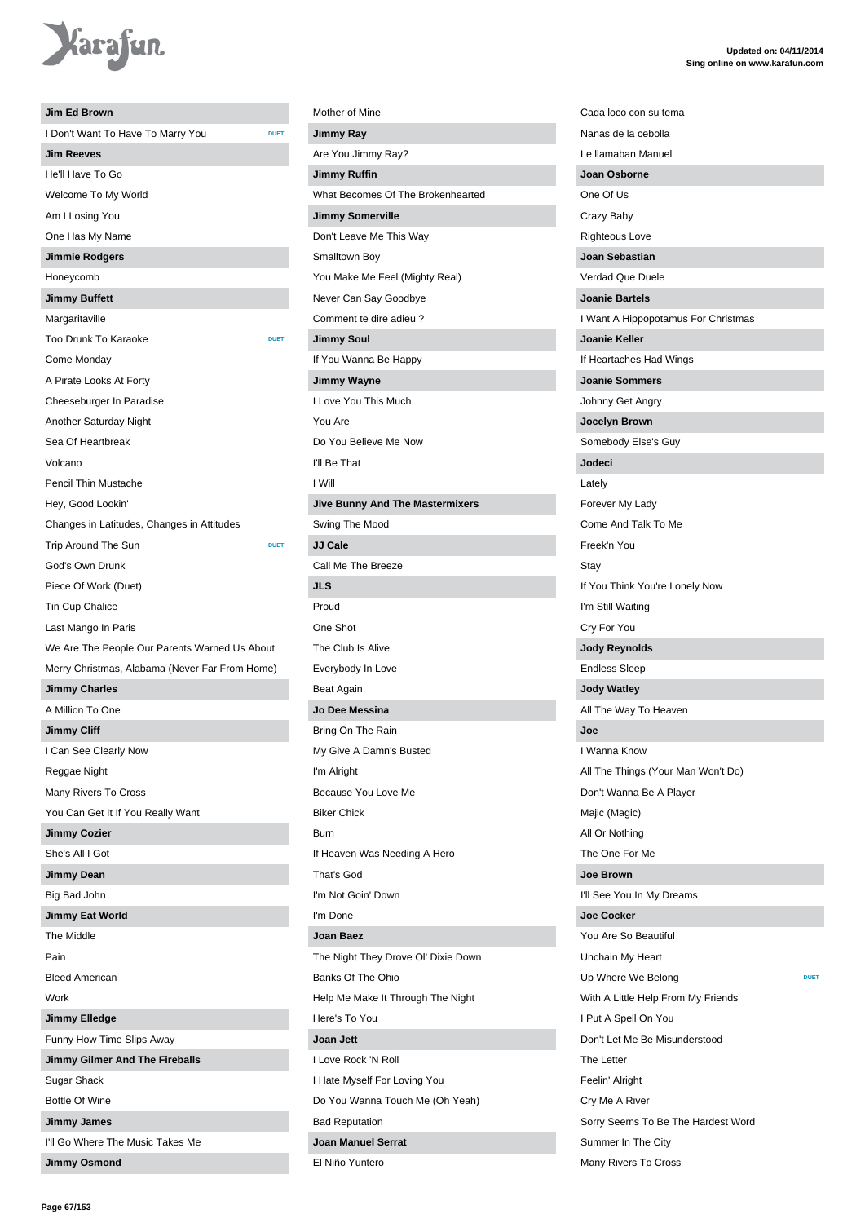

| Jim Ed Brown                                   |             |
|------------------------------------------------|-------------|
| I Don't Want To Have To Marry You              | <b>DUET</b> |
| <b>Jim Reeves</b>                              |             |
| He'll Have To Go                               |             |
| Welcome To My World                            |             |
| Am I Losing You                                |             |
| One Has My Name                                |             |
| Jimmie Rodgers                                 |             |
| Honeycomb                                      |             |
| <b>Jimmy Buffett</b>                           |             |
| Margaritaville                                 |             |
| Too Drunk To Karaoke                           | <b>DUET</b> |
| Come Monday                                    |             |
| A Pirate Looks At Forty                        |             |
| Cheeseburger In Paradise                       |             |
| Another Saturday Night                         |             |
| Sea Of Heartbreak                              |             |
| Volcano                                        |             |
| Pencil Thin Mustache                           |             |
| Hey, Good Lookin'                              |             |
| Changes in Latitudes, Changes in Attitudes     |             |
| Trip Around The Sun                            | <b>DUET</b> |
| God's Own Drunk                                |             |
| Piece Of Work (Duet)                           |             |
| Tin Cup Chalice                                |             |
| Last Mango In Paris                            |             |
| We Are The People Our Parents Warned Us About  |             |
| Merry Christmas, Alabama (Never Far From Home) |             |
| <b>Jimmy Charles</b>                           |             |
| A Million To One                               |             |
| <b>Jimmy Cliff</b>                             |             |
| I Can See Clearly Now                          |             |
| Reggae Night                                   |             |
| Many Rivers To Cross                           |             |
| You Can Get It If You Really Want              |             |
| <b>Jimmy Cozier</b>                            |             |
| She's All I Got                                |             |
| <b>Jimmy Dean</b>                              |             |
| Big Bad John                                   |             |
| <b>Jimmy Eat World</b>                         |             |
| The Middle                                     |             |
| Pain                                           |             |
| <b>Bleed American</b>                          |             |
| Work                                           |             |
| <b>Jimmy Elledge</b>                           |             |
| Funny How Time Slips Away                      |             |
| Jimmy Gilmer And The Fireballs                 |             |
| Sugar Shack                                    |             |
| Bottle Of Wine                                 |             |
| <b>Jimmy James</b>                             |             |
| I'll Go Where The Music Takes Me               |             |
| <b>Jimmy Osmond</b>                            |             |

Mother of Mine **Jimmy Ray** Are You Jimmy Ray? **Jimmy Ruffin** What Becomes Of The Brokenhearted **Jimmy Somerville** Don't Leave Me This Way Smalltown Boy You Make Me Feel (Mighty Real) Never Can Say Goodbye Comment te dire adieu ? **Jimmy Soul** If You Wanna Be Happy **Jimmy Wayne** I Love You This Much You Are Do You Believe Me Now I'll Be That I Will **Jive Bunny And The Mastermixers** Swing The Mood **JJ Cale** Call Me The Breeze **JLS** Proud One Shot The Club Is Alive Everybody In Love Beat Again **Jo Dee Messina** Bring On The Rain My Give A Damn's Busted I'm Alright Because You Love Me Biker Chick Burn If Heaven Was Needing A Hero That's God I'm Not Goin' Down I'm Done **Joan Baez** The Night They Drove Ol' Dixie Down Banks Of The Ohio Help Me Make It Through The Night Here's To You **Joan Jett** I Love Rock 'N Roll I Hate Myself For Loving You Do You Wanna Touch Me (Oh Yeah) Bad Reputation **Joan Manuel Serrat**

El Niño Yuntero

Cada loco con su tema Nanas de la cebolla Le llamaban Manuel **Joan Osborne** One Of Us Crazy Baby Righteous Love **Joan Sebastian** Verdad Que Duele **Joanie Bartels** I Want A Hippopotamus For Christmas **Joanie Keller** If Heartaches Had Wings **Joanie Sommers** Johnny Get Angry **Jocelyn Brown** Somebody Else's Guy **Jodeci** Lately Forever My Lady Come And Talk To Me Freek'n You Stay If You Think You're Lonely Now I'm Still Waiting Cry For You **Jody Reynolds** Endless Sleep **Jody Watley** All The Way To Heaven **Joe** I Wanna Know All The Things (Your Man Won't Do) Don't Wanna Be A Player Majic (Magic) All Or Nothing The One For Me **Joe Brown** I'll See You In My Dreams **Joe Cocker** You Are So Beautiful Unchain My Heart Up Where We Belong **DUET** With A Little Help From My Friends I Put A Spell On You Don't Let Me Be Misunderstood The Letter Feelin' Alright Cry Me A River Sorry Seems To Be The Hardest Word Summer In The City

Many Rivers To Cross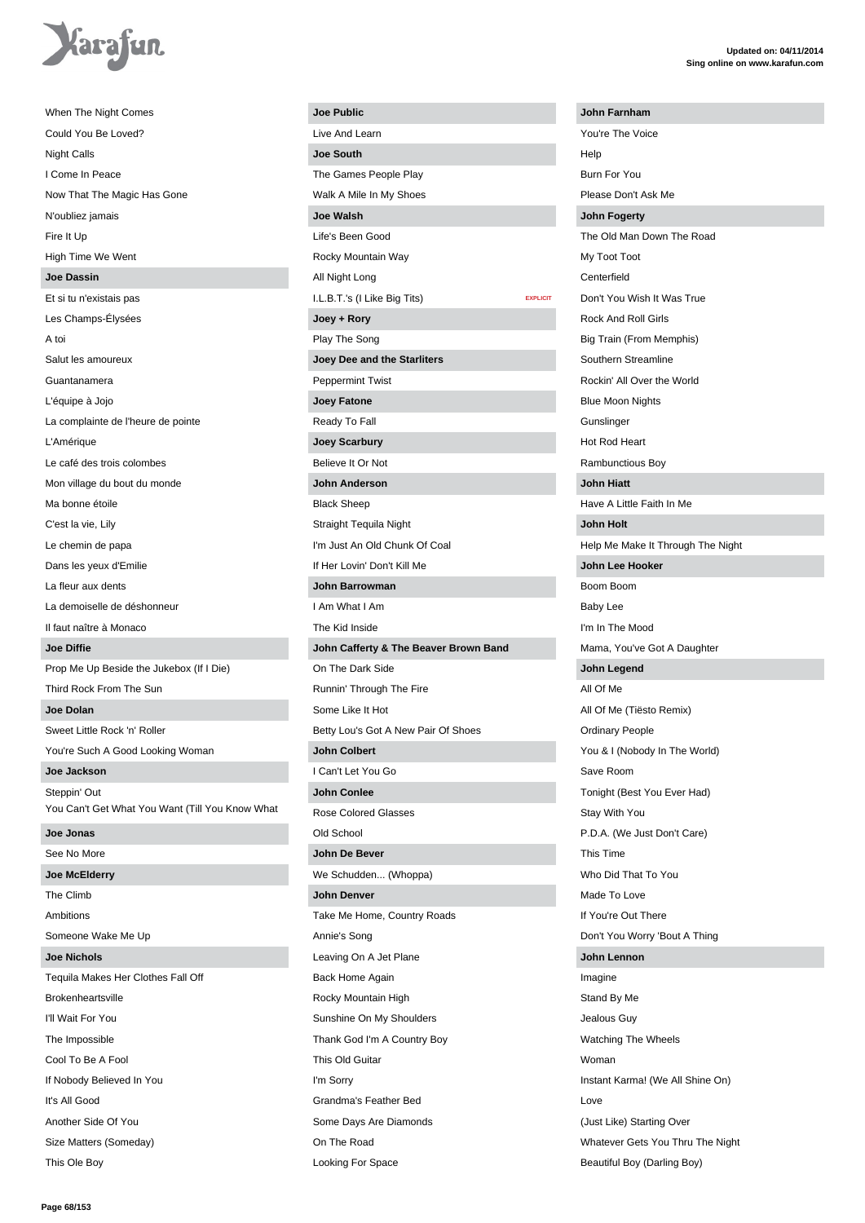

When The Night Comes Could You Be Loved? Night Calls I Come In Peace Now That The Magic Has Gone N'oubliez jamais Fire It Up High Time We Went **Joe Dassin** Et si tu n'existais pas Les Champs-Élysées A toi Salut les amoureux Guantanamera L'équipe à Jojo La complainte de l'heure de pointe L'Amérique Le café des trois colombes Mon village du bout du monde Ma bonne étoile C'est la vie, Lily Le chemin de papa Dans les yeux d'Emilie La fleur aux dents La demoiselle de déshonneur Il faut naître à Monaco **Joe Diffie** Prop Me Up Beside the Jukebox (If I Die) Third Rock From The Sun **Joe Dolan** Sweet Little Rock 'n' Roller You're Such A Good Looking Woman **Joe Jackson** Steppin' Out You Can't Get What You Want (Till You Know What **Joe Jonas** See No More **Joe McElderry** The Climb Ambitions Someone Wake Me Up **Joe Nichols** Tequila Makes Her Clothes Fall Off Brokenheartsville I'll Wait For You The Impossible Cool To Be A Fool If Nobody Believed In You It's All Good Another Side Of You Size Matters (Someday)

# **Joe Public** Live And Learn **Joe South** The Games People Play Walk A Mile In My Shoes **Joe Walsh** Life's Been Good Rocky Mountain Way All Night Long I.L.B.T.'s (I Like Big Tits) **EXPLICIT Joey + Rory** Play The Song **Joey Dee and the Starliters** Peppermint Twist **Joey Fatone** Ready To Fall **Joey Scarbury** Believe It Or Not **John Anderson** Black Sheep Straight Tequila Night I'm Just An Old Chunk Of Coal If Her Lovin' Don't Kill Me **John Barrowman** I Am What I Am The Kid Inside **John Cafferty & The Beaver Brown Band** On The Dark Side Runnin' Through The Fire Some Like It Hot Betty Lou's Got A New Pair Of Shoes **John Colbert** I Can't Let You Go **John Conlee** Rose Colored Glasses Old School **John De Bever** We Schudden... (Whoppa) **John Denver** Take Me Home, Country Roads Annie's Song Leaving On A Jet Plane Back Home Again Rocky Mountain High Sunshine On My Shoulders Thank God I'm A Country Boy This Old Guitar I'm Sorry Grandma's Feather Bed Some Days Are Diamonds On The Road Looking For Space

**John Farnham** You're The Voice Help Burn For You Please Don't Ask Me **John Fogerty** The Old Man Down The Road My Toot Toot Centerfield Don't You Wish It Was True Rock And Roll Girls Big Train (From Memphis) Southern Streamline Rockin' All Over the World Blue Moon Nights **Gunslinger** Hot Rod Heart Rambunctious Boy **John Hiatt** Have A Little Faith In Me **John Holt** Help Me Make It Through The Night **John Lee Hooker** Boom Boom Baby Lee I'm In The Mood Mama, You've Got A Daughter **John Legend** All Of Me All Of Me (Tiësto Remix) Ordinary People You & I (Nobody In The World) Save Room Tonight (Best You Ever Had) Stay With You P.D.A. (We Just Don't Care) This Time Who Did That To You Made To Love If You're Out There Don't You Worry 'Bout A Thing **John Lennon** Imagine Stand By Me Jealous Guy Watching The Wheels Woman Instant Karma! (We All Shine On) Love (Just Like) Starting Over Whatever Gets You Thru The Night Beautiful Boy (Darling Boy)

This Ole Boy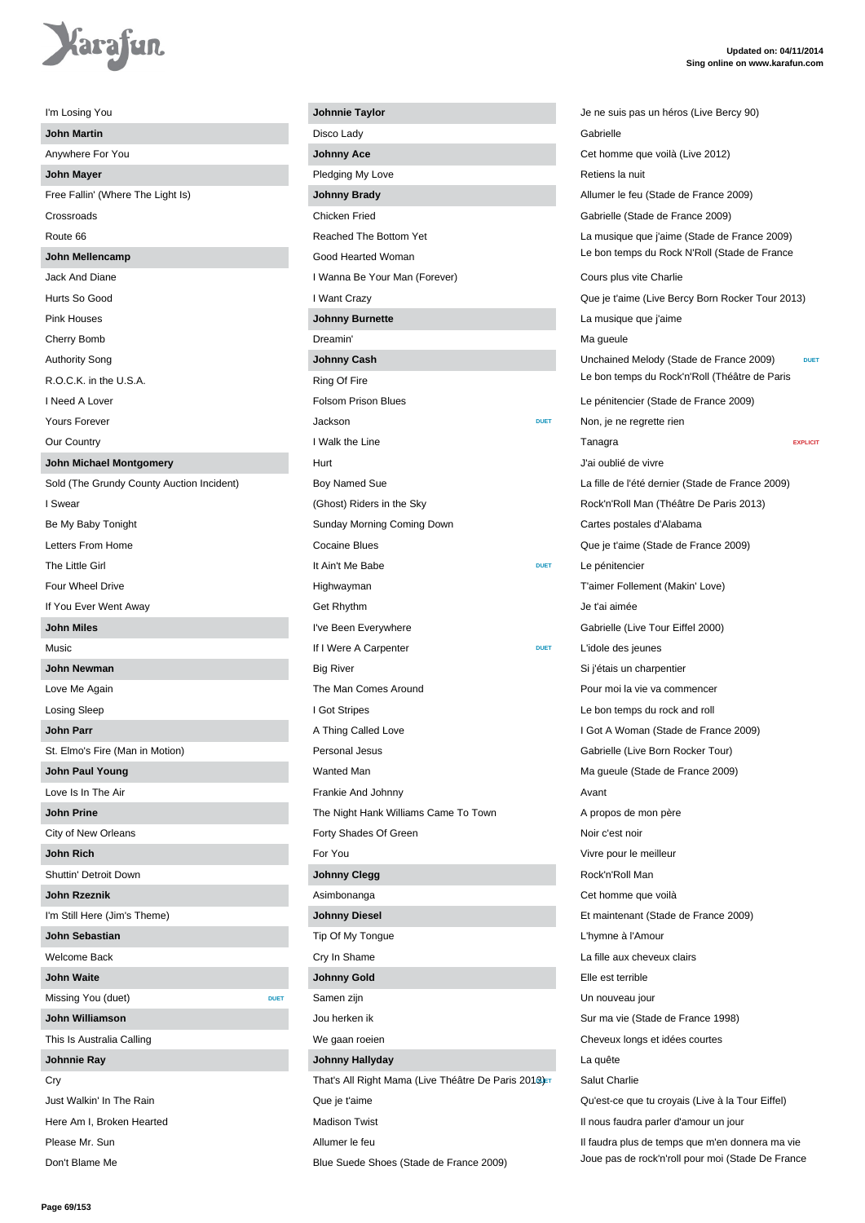

| I'm Losing You                                     |
|----------------------------------------------------|
| <b>John Martin</b>                                 |
| Anywhere For You                                   |
| John Mayer                                         |
| Free Fallin' (Where The Light Is)                  |
| Crossroads                                         |
| Route 66                                           |
| John Mellencamp                                    |
| Jack And Diane                                     |
| Hurts So Good                                      |
| <b>Pink Houses</b>                                 |
| <b>Cherry Bomb</b>                                 |
| <b>Authority Song</b>                              |
| R.O.C.K. in the U.S.A.                             |
| I Need A Lover                                     |
| <b>Yours Forever</b>                               |
| <b>Our Country</b>                                 |
| John Michael Montgomery                            |
| Sold (The Grundy County Auction Incident)          |
| I Swear                                            |
| Be My Baby Tonight                                 |
| Letters From Home                                  |
| The Little Girl                                    |
| Four Wheel Drive                                   |
| If You Ever Went Away                              |
| <b>John Miles</b>                                  |
| Music                                              |
| John Newman                                        |
|                                                    |
| Love Me Again<br><b>Losing Sleep</b>               |
| <b>John Parr</b>                                   |
|                                                    |
| St. Elmo's Fire (Man in Motion)<br>John Paul Young |
| Love Is In The Air                                 |
|                                                    |
| John Prine                                         |
| City of New Orleans                                |
| John Rich                                          |
| Shuttin' Detroit Down                              |
| <b>John Rzeznik</b>                                |
| I'm Still Here (Jim's Theme)                       |
| <b>John Sebastian</b>                              |
| <b>Welcome Back</b>                                |
| <b>John Waite</b>                                  |
| Missing You (duet)<br><b>DUET</b>                  |
| <b>John Williamson</b>                             |
| This Is Australia Calling                          |
| Johnnie Ray                                        |
| Cry                                                |
| Just Walkin' In The Rain                           |
| Here Am I, Broken Hearted                          |
| Please Mr. Sun                                     |
| Don't Blame Me                                     |

| Johnnie Taylor                                                   |             |
|------------------------------------------------------------------|-------------|
| Disco Lady                                                       |             |
| <b>Johnny Ace</b>                                                |             |
| Pledging My Love                                                 |             |
| <b>Johnny Brady</b>                                              |             |
| <b>Chicken Fried</b>                                             |             |
| Reached The Bottom Yet                                           |             |
| Good Hearted Woman                                               |             |
| I Wanna Be Your Man (Forever)                                    |             |
| I Want Crazy                                                     |             |
| <b>Johnny Burnette</b>                                           |             |
| Dreamin'                                                         |             |
| <b>Johnny Cash</b>                                               |             |
| Ring Of Fire                                                     |             |
| <b>Folsom Prison Blues</b>                                       |             |
| Jackson                                                          | <b>DUET</b> |
| I Walk the Line                                                  |             |
| Hurt                                                             |             |
| <b>Boy Named Sue</b>                                             |             |
| (Ghost) Riders in the Sky                                        |             |
| Sunday Morning Coming Down                                       |             |
| <b>Cocaine Blues</b>                                             |             |
| It Ain't Me Babe                                                 | <b>DUET</b> |
| Highwayman                                                       |             |
| Get Rhythm                                                       |             |
| I've Been Everywhere                                             |             |
| If I Were A Carpenter                                            | <b>DUET</b> |
| <b>Big River</b>                                                 |             |
| The Man Comes Around                                             |             |
| I Got Stripes                                                    |             |
| A Thing Called Love                                              |             |
| Personal Jesus                                                   |             |
| Wanted Man                                                       |             |
| Frankie And Johnny                                               |             |
| The Night Hank Williams Came To Town                             |             |
| Forty Shades Of Green                                            |             |
| For You                                                          |             |
| <b>Johnny Clegg</b>                                              |             |
| Asimbonanga                                                      |             |
| <b>Johnny Diesel</b>                                             |             |
| Tip Of My Tongue                                                 |             |
| Cry In Shame                                                     |             |
| <b>Johnny Gold</b>                                               |             |
| Samen zijn                                                       |             |
| Jou herken ik                                                    |             |
| We gaan roeien                                                   |             |
| Johnny Hallyday                                                  |             |
| That's All Right Mama (Live Théâtre De Paris 2018) <sup>ET</sup> |             |
| Que je t'aime                                                    |             |
| <b>Madison Twist</b>                                             |             |
| Allumer le feu                                                   |             |
|                                                                  |             |

Blue Suede Shoes (Stade de France 2009)

Je ne suis pas un héros (Live Bercy 90) Gabrielle Cet homme que voilà (Live 2012) Retiens la nuit Allumer le feu (Stade de France 2009) Gabrielle (Stade de France 2009) La musique que j'aime (Stade de France 2009) Le bon temps du Rock N'Roll (Stade de France Cours plus vite Charlie Que je t'aime (Live Bercy Born Rocker Tour 2013) La musique que j'aime Ma gueule Unchained Melody (Stade de France 2009) DUET Le bon temps du Rock'n'Roll (Théâtre de Paris Le pénitencier (Stade de France 2009) Non, je ne regrette rien **Tanagra EXPLICIT** J'ai oublié de vivre La fille de l'été dernier (Stade de France 2009) Rock'n'Roll Man (Théâtre De Paris 2013) Cartes postales d'Alabama Que je t'aime (Stade de France 2009) Le pénitencier T'aimer Follement (Makin' Love) Je t'ai aimée Gabrielle (Live Tour Eiffel 2000) L'idole des jeunes Si j'étais un charpentier Pour moi la vie va commencer Le bon temps du rock and roll I Got A Woman (Stade de France 2009) Gabrielle (Live Born Rocker Tour) Ma gueule (Stade de France 2009) Avant A propos de mon père Noir c'est noir Vivre pour le meilleur Rock'n'Roll Man Cet homme que voilà Et maintenant (Stade de France 2009) L'hymne à l'Amour La fille aux cheveux clairs Elle est terrible Un nouveau jour Sur ma vie (Stade de France 1998) Cheveux longs et idées courtes La quête Salut Charlie Qu'est-ce que tu croyais (Live à la Tour Eiffel) Il nous faudra parler d'amour un jour Il faudra plus de temps que m'en donnera ma vie Joue pas de rock'n'roll pour moi (Stade De France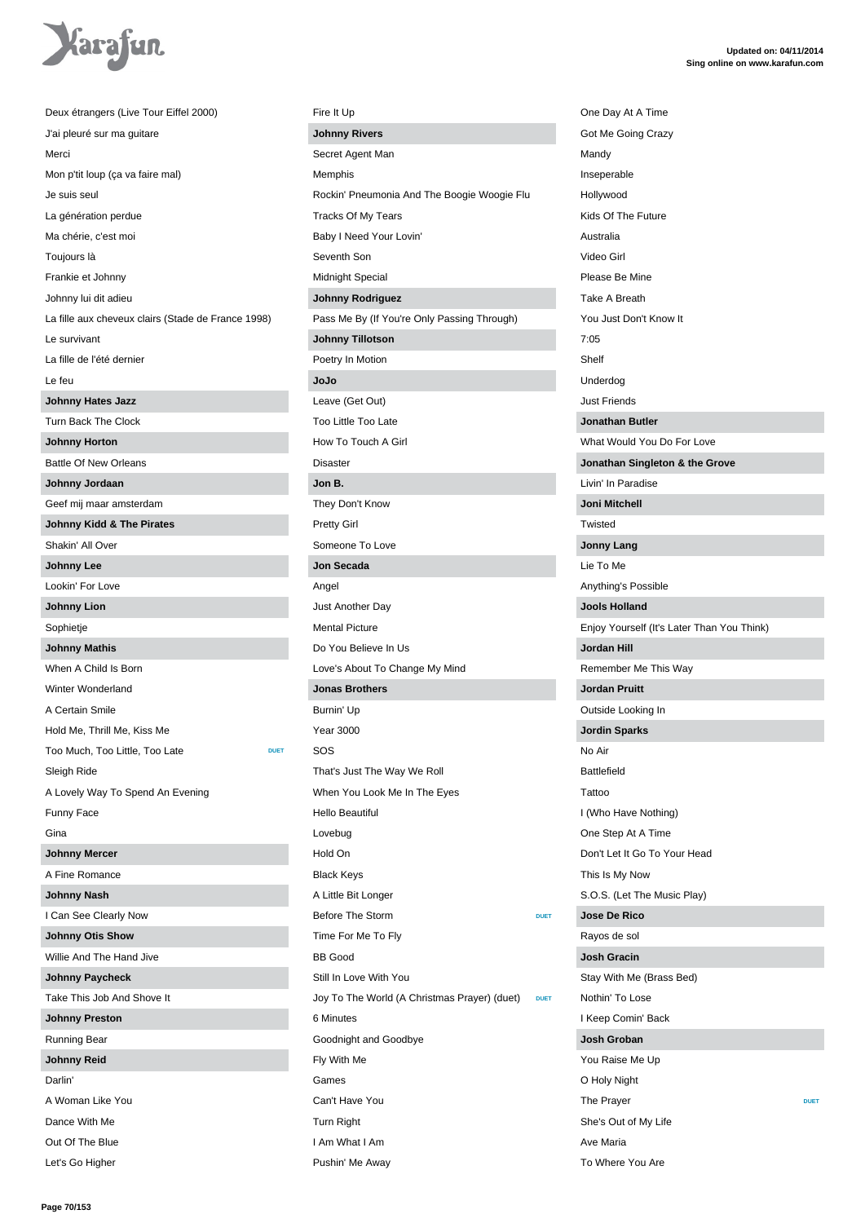

| Deux étrangers (Live Tour Eiffel 2000)                |
|-------------------------------------------------------|
| J'ai pleuré sur ma guitare                            |
| Merci                                                 |
| Mon p'tit loup (ça va faire mal)                      |
| Je suis seul                                          |
| La génération perdue                                  |
| Ma chérie, c'est moi                                  |
| Toujours là                                           |
| Frankie et Johnny                                     |
| Johnny lui dit adieu                                  |
| La fille aux cheveux clairs (Stade de France 1998)    |
| Le survivant                                          |
| La fille de l'été dernier                             |
| Le feu                                                |
| <b>Johnny Hates Jazz</b>                              |
| Turn Back The Clock                                   |
| <b>Johnny Horton</b>                                  |
| <b>Battle Of New Orleans</b>                          |
| Johnny Jordaan                                        |
| Geef mij maar amsterdam                               |
| <b>Johnny Kidd &amp; The Pirates</b>                  |
| Shakin' All Over                                      |
| Johnny Lee                                            |
| Lookin' For Love                                      |
| <b>Johnny Lion</b>                                    |
| Sophietje                                             |
| <b>Johnny Mathis</b>                                  |
| When A Child Is Born                                  |
| Winter Wonderland                                     |
| A Certain Smile                                       |
| Hold Me, Thrill Me, Kiss Me                           |
| Too Much, Too Little, Too Late<br><b>DUET</b>         |
|                                                       |
| Sleigh Ride                                           |
| A Lovely Way To Spend An Evening<br><b>Funny Face</b> |
| Gina                                                  |
|                                                       |
| Johnny Mercer<br>A Fine Romance                       |
|                                                       |
| <b>Johnny Nash</b>                                    |
| I Can See Clearly Now                                 |
| <b>Johnny Otis Show</b>                               |
| Willie And The Hand Jive                              |
| <b>Johnny Paycheck</b>                                |
| Take This Job And Shove It                            |
| <b>Johnny Preston</b>                                 |
| Running Bear                                          |
| Johnny Reid                                           |
| Darlin'                                               |
| A Woman Like You                                      |
| Dance With Me                                         |
| Out Of The Blue                                       |

## **Johnny Rivers** Secret Agent Man Memphis Rockin' Pneumonia And The Boogie Woogie Flu Tracks Of My Tears Baby I Need Your Lovin' Seventh Son Midnight Special **Johnny Rodriguez** Pass Me By (If You're Only Passing Through) **Johnny Tillotson** Poetry In Motion **JoJo** Leave (Get Out) Too Little Too Late How To Touch A Girl Disaster **Jon B.** They Don't Know Pretty Girl Someone To Love **Jon Secada** Angel Just Another Day Mental Picture Do You Believe In Us Love's About To Change My Mind **Jonas Brothers** Burnin' Up Year 3000 SOS That's Just The Way We Roll When You Look Me In The Eyes Hello Beautiful Lovebug Hold On Black Keys A Little Bit Longer Before The Storm **DUET** Time For Me To Fly BB Good Still In Love With You Joy To The World (A Christmas Prayer) (duet) DUET 6 Minutes Goodnight and Goodbye Fly With Me Games Can't Have You Turn Right I Am What I Am

Pushin' Me Away

Fire It Up

One Day At A Time Got Me Going Crazy Mandy Inseperable Hollywood Kids Of The Future Australia Video Girl Please Be Mine Take A Breath You Just Don't Know It 7:05 Shelf Underdog Just Friends **Jonathan Butler** What Would You Do For Love **Jonathan Singleton & the Grove** Livin' In Paradise **Joni Mitchell** Twisted **Jonny Lang** Lie To Me Anything's Possible **Jools Holland** Enjoy Yourself (It's Later Than You Think) **Jordan Hill** Remember Me This Way **Jordan Pruitt** Outside Looking In **Jordin Sparks** No Air Battlefield Tattoo I (Who Have Nothing) One Step At A Time Don't Let It Go To Your Head This Is My Now S.O.S. (Let The Music Play) **Jose De Rico** Rayos de sol **Josh Gracin** Stay With Me (Brass Bed) Nothin' To Lose I Keep Comin' Back **Josh Groban** You Raise Me Up O Holy Night The Prayer **DUET** She's Out of My Life Ave Maria

To Where You Are

Let's Go Higher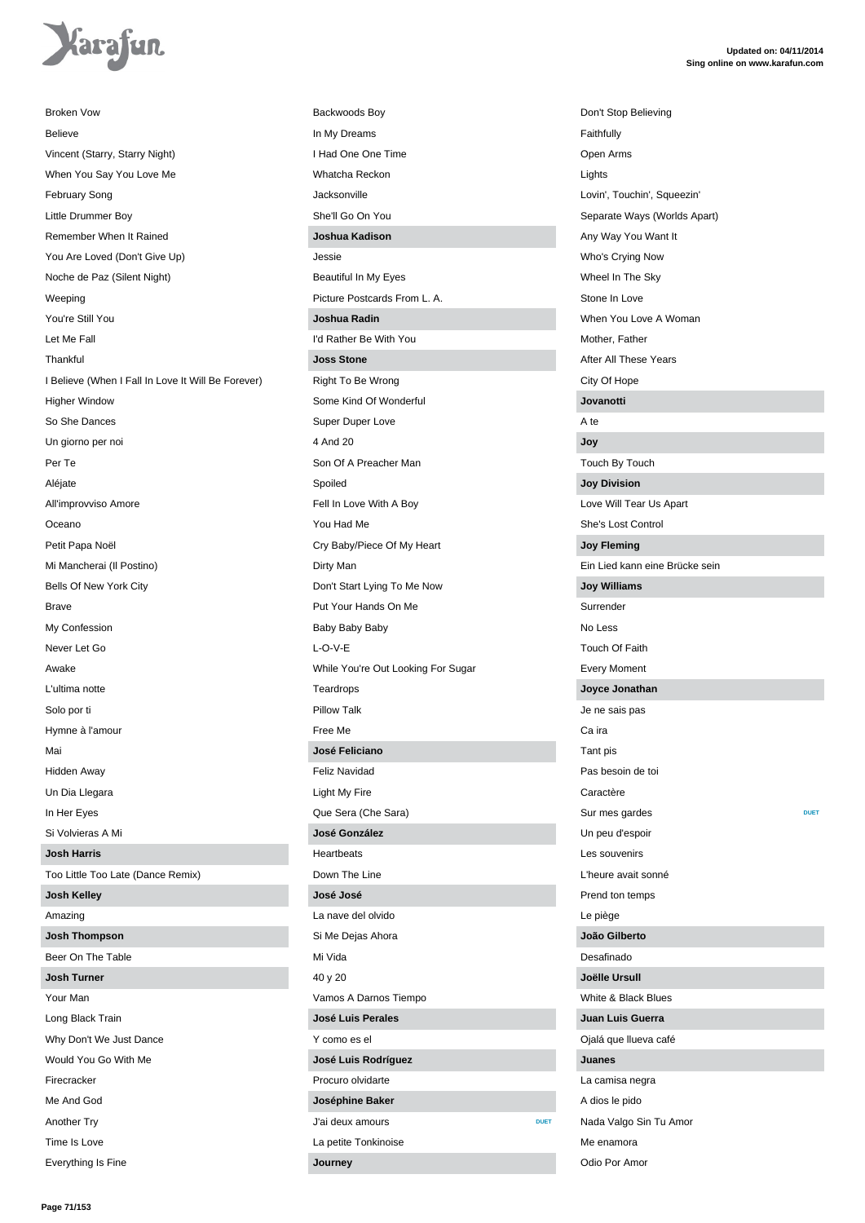

Broken Vow Believe Vincent (Starry, Starry Night) When You Say You Love Me February Song Little Drummer Boy Remember When It Rained You Are Loved (Don't Give Up) Noche de Paz (Silent Night) Weeping You're Still You Let Me Fall Thankful I Believe (When I Fall In Love It Will Be Forever) Higher Window So She Dances Un giorno per noi Per Te Aléjate All'improvviso Amore Oceano Petit Papa Noël Mi Mancherai (Il Postino) Bells Of New York City Brave My Confession Never Let Go Awake L'ultima notte Solo por ti Hymne à l'amour Mai Hidden Away Un Dia Llegara In Her Eyes Si Volvieras A Mi **Josh Harris** Too Little Too Late (Dance Remix) **Josh Kelley** Amazing **Josh Thompson** Beer On The Table **Josh Turner** Your Man Long Black Train Why Don't We Just Dance Would You Go With Me Firecracker Me And God Another Try Time Is Love

Backwoods Boy In My Dreams I Had One One Time Whatcha Reckon Jacksonville She'll Go On You **Joshua Kadison** Jessie Beautiful In My Eyes Picture Postcards From L. A. **Joshua Radin** I'd Rather Be With You **Joss Stone** Right To Be Wrong Some Kind Of Wonderful Super Duper Love 4 And 20 Son Of A Preacher Man Spoiled Fell In Love With A Boy You Had Me Cry Baby/Piece Of My Heart Dirty Man Don't Start Lying To Me Now Put Your Hands On Me Baby Baby Baby L-O-V-E While You're Out Looking For Sugar Teardrops Pillow Talk Free Me **José Feliciano** Feliz Navidad Light My Fire Que Sera (Che Sara) **José González Heartbeats** Down The Line **José José** La nave del olvido Si Me Dejas Ahora Mi Vida 40 y 20 Vamos A Darnos Tiempo **José Luis Perales** Y como es el **José Luis Rodríguez** Procuro olvidarte **Joséphine Baker** J'ai deux amours La petite Tonkinoise

**Journey**

Don't Stop Believing Faithfully Open Arms Lights Lovin', Touchin', Squeezin' Separate Ways (Worlds Apart) Any Way You Want It Who's Crying Now Wheel In The Sky Stone In Love When You Love A Woman Mother, Father After All These Years City Of Hope **Jovanotti** A te **Joy** Touch By Touch **Joy Division** Love Will Tear Us Apart She's Lost Control **Joy Fleming** Ein Lied kann eine Brücke sein **Joy Williams** Surrender No Less Touch Of Faith Every Moment **Joyce Jonathan** Je ne sais pas Ca ira Tant pis Pas besoin de toi Caractère Sur mes gardes **DUET** Un peu d'espoir Les souvenirs L'heure avait sonné Prend ton temps Le piège **João Gilberto** Desafinado **Joëlle Ursull** White & Black Blues **Juan Luis Guerra** Ojalá que llueva café **Juanes** La camisa negra A dios le pido Nada Valgo Sin Tu Amor Me enamora Odio Por Amor

Everything Is Fine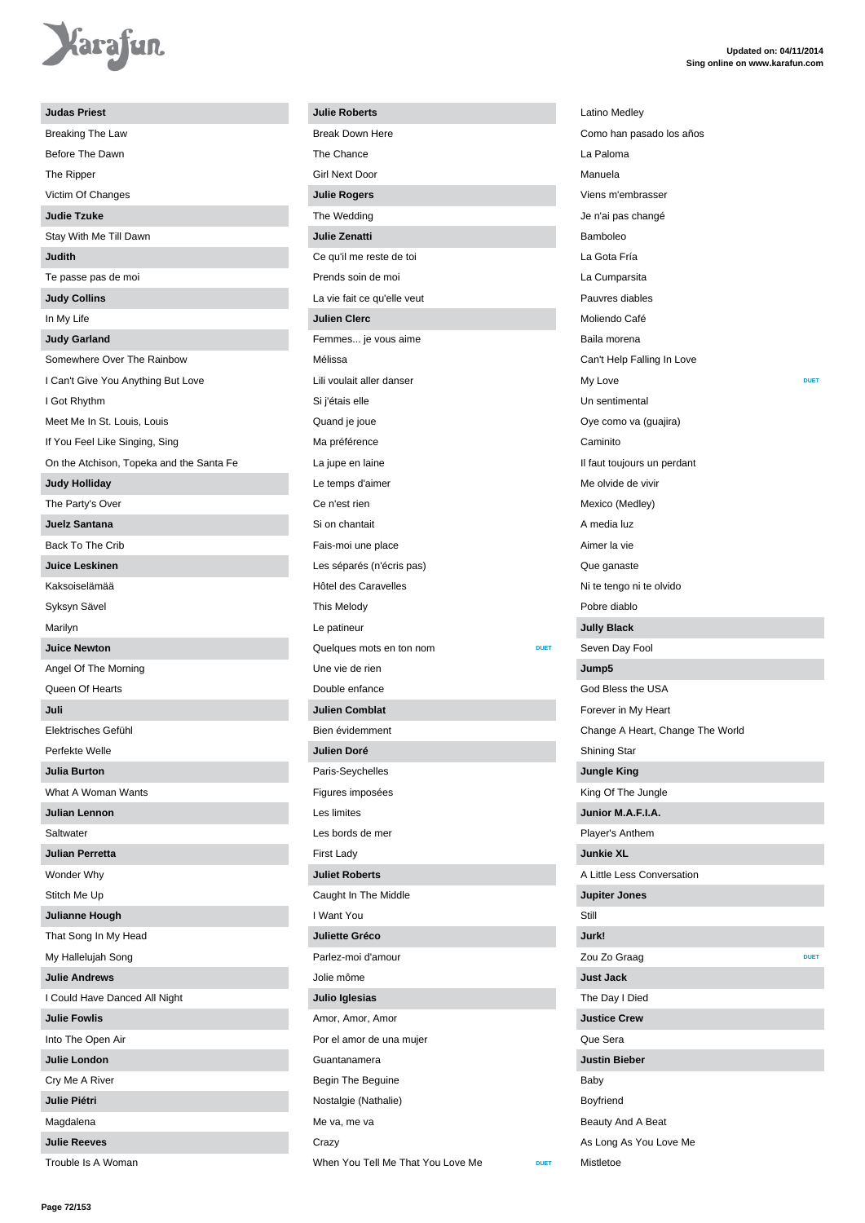

| <b>Judas Priest</b>                      |
|------------------------------------------|
| <b>Breaking The Law</b>                  |
| Before The Dawn                          |
| The Ripper                               |
| Victim Of Changes                        |
| <b>Judie Tzuke</b>                       |
| Stay With Me Till Dawn                   |
| Judith                                   |
| Te passe pas de moi                      |
| <b>Judy Collins</b>                      |
| In My Life                               |
| <b>Judy Garland</b>                      |
| Somewhere Over The Rainbow               |
| I Can't Give You Anything But Love       |
| I Got Rhythm                             |
| Meet Me In St. Louis, Louis              |
| If You Feel Like Singing, Sing           |
| On the Atchison, Topeka and the Santa Fe |
| <b>Judy Holliday</b>                     |
| The Party's Over                         |
| Juelz Santana                            |
| Back To The Crib                         |
| <b>Juice Leskinen</b>                    |
| Kaksoiselämää                            |
| Syksyn Sävel                             |
| Marilyn                                  |
| <b>Juice Newton</b>                      |
| Angel Of The Morning                     |
| Queen Of Hearts                          |
| Juli                                     |
| Elektrisches Gefühl                      |
| Perfekte Welle                           |
| <b>Julia Burton</b>                      |
| What A Woman Wants                       |
| <b>Julian Lennon</b>                     |
| Saltwater                                |
| <b>Julian Perretta</b>                   |
| Wonder Why                               |
| Stitch Me Up                             |
| Julianne Hough                           |
| That Song In My Head                     |
| My Hallelujah Song                       |
| <b>Julie Andrews</b>                     |
| I Could Have Danced All Night            |
| <b>Julie Fowlis</b>                      |
| Into The Open Air                        |
| <b>Julie London</b>                      |
| Cry Me A River                           |
| Julie Piétri                             |
| Magdalena                                |
| <b>Julie Reeves</b>                      |

Break Down Here The Chance Girl Next Door **Julie Rogers** The Wedding **Julie Zenatti** Ce qu'il me reste de toi Prends soin de moi La vie fait ce qu'elle veut **Julien Clerc** Femmes... je vous aime Mélissa Lili voulait aller danser Si j'étais elle Quand je joue Ma préférence La jupe en laine Le temps d'aimer Ce n'est rien Si on chantait Fais-moi une place Les séparés (n'écris pas) Hôtel des Caravelles This Melody Le patineur Quelques mots en ton nom **DUET** Une vie de rien Double enfance **Julien Comblat** Bien évidemment **Julien Doré** Paris-Seychelles Figures imposées Les limites Les bords de mer First Lady **Juliet Roberts** Caught In The Middle I Want You **Juliette Gréco** Parlez-moi d'amour Jolie môme **Julio Iglesias** Amor, Amor, Amor Por el amor de una mujer Guantanamera Begin The Beguine Nostalgie (Nathalie) Me va, me va Crazy

When You Tell Me That You Love Me

**Julie Roberts**

**Updated on: 04/11/2014 Sing online on www.karafun.com**

| Latino Medley                    |             |
|----------------------------------|-------------|
| Como han pasado los años         |             |
| La Paloma                        |             |
| Manuela                          |             |
| Viens m'embrasser                |             |
| Je n'ai pas changé               |             |
| Bamboleo                         |             |
| La Gota Fría                     |             |
| La Cumparsita                    |             |
| Pauvres diables                  |             |
| Moliendo Café                    |             |
| Baila morena                     |             |
| Can't Help Falling In Love       |             |
| My Love                          | <b>DUET</b> |
| Un sentimental                   |             |
| Oye como va (guajira)            |             |
| Caminito                         |             |
| Il faut toujours un perdant      |             |
| Me olvide de vivir               |             |
| Mexico (Medley)                  |             |
| A media luz                      |             |
| Aimer la vie                     |             |
| Que ganaste                      |             |
| Ni te tengo ni te olvido         |             |
| Pobre diablo                     |             |
| <b>Jully Black</b>               |             |
| Seven Day Fool                   |             |
| Jump5                            |             |
| God Bless the USA                |             |
| Forever in My Heart              |             |
| Change A Heart, Change The World |             |
| Shining Star                     |             |
| <b>Jungle King</b>               |             |
| King Of The Jungle               |             |
| Junior M.A.F.I.A.                |             |
| Player's Anthem                  |             |
| <b>Junkie XL</b>                 |             |
| A Little Less Conversation       |             |
|                                  |             |
| <b>Jupiter Jones</b>             |             |
| Still                            |             |
| Jurk!                            |             |
| Zou Zo Graag                     | <b>DUET</b> |
| <b>Just Jack</b>                 |             |
| The Day I Died                   |             |
| <b>Justice Crew</b>              |             |
| Que Sera                         |             |
| <b>Justin Bieber</b>             |             |
| Baby                             |             |
| Boyfriend                        |             |
| Beauty And A Beat                |             |
| As Long As You Love Me           |             |
| Mistletoe                        |             |

Trouble Is A Woman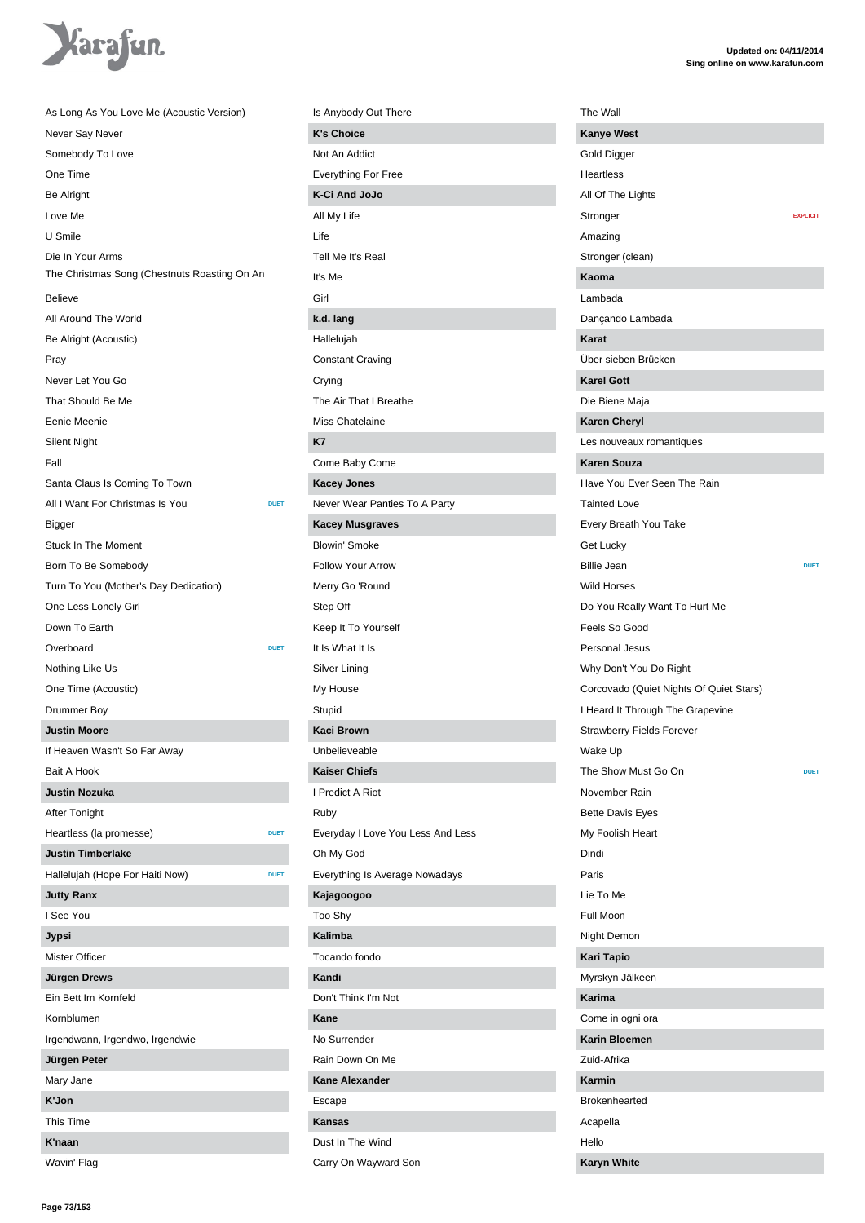

| As Long As You Love Me (Acoustic Version)    |             |
|----------------------------------------------|-------------|
| Never Say Never                              |             |
| Somebody To Love                             |             |
| One Time                                     |             |
| <b>Be Alright</b>                            |             |
| Love Me                                      |             |
| U Smile                                      |             |
| Die In Your Arms                             |             |
| The Christmas Song (Chestnuts Roasting On An |             |
| <b>Believe</b>                               |             |
| All Around The World                         |             |
| Be Alright (Acoustic)                        |             |
| Pray                                         |             |
| Never Let You Go                             |             |
| That Should Be Me                            |             |
| Eenie Meenie                                 |             |
| Silent Night                                 |             |
| Fall                                         |             |
| Santa Claus Is Coming To Town                |             |
|                                              |             |
| All I Want For Christmas Is You              | <b>DUET</b> |
| Bigger                                       |             |
| <b>Stuck In The Moment</b>                   |             |
| Born To Be Somebody                          |             |
| Turn To You (Mother's Day Dedication)        |             |
| One Less Lonely Girl                         |             |
| Down To Earth                                |             |
| Overboard                                    | <b>DUET</b> |
| Nothing Like Us                              |             |
| One Time (Acoustic)                          |             |
| Drummer Boy                                  |             |
| <b>Justin Moore</b>                          |             |
| If Heaven Wasn't So Far Away                 |             |
| <b>Bait A Hook</b>                           |             |
| <b>Justin Nozuka</b>                         |             |
| After Tonight                                |             |
| Heartless (la promesse)                      | <b>DUET</b> |
| <b>Justin Timberlake</b>                     |             |
| Hallelujah (Hope For Haiti Now)              | <b>DUET</b> |
| <b>Jutty Ranx</b>                            |             |
| I See You                                    |             |
| Jypsi                                        |             |
| Mister Officer                               |             |
| Jürgen Drews                                 |             |
| Ein Bett Im Kornfeld                         |             |
| Kornblumen                                   |             |
| Irgendwann, Irgendwo, Irgendwie              |             |
| Jürgen Peter                                 |             |
| Mary Jane                                    |             |
|                                              |             |
| K'Jon                                        |             |
| This Time                                    |             |

| Is Anybody Out There              |
|-----------------------------------|
| <b>K's Choice</b>                 |
| Not An Addict                     |
| <b>Everything For Free</b>        |
| <b>K-Ci And JoJo</b>              |
| All My Life                       |
| Life                              |
| Tell Me It's Real                 |
| It's Me                           |
| Girl                              |
| k.d. lang                         |
| Hallelujah                        |
| <b>Constant Craving</b>           |
| Crying                            |
| The Air That I Breathe            |
| Miss Chatelaine                   |
| <b>K7</b>                         |
|                                   |
| Come Baby Come                    |
| <b>Kacey Jones</b>                |
| Never Wear Panties To A Party     |
| <b>Kacey Musgraves</b>            |
| Blowin' Smoke                     |
| Follow Your Arrow                 |
| Merry Go 'Round                   |
| Step Off                          |
| Keep It To Yourself               |
| It Is What It Is                  |
| Silver Lining                     |
| My House                          |
| Stupid                            |
| Kaci Brown                        |
| Unbelieveable                     |
| <b>Kaiser Chiefs</b>              |
| I Predict A Riot                  |
| Ruby                              |
| Everyday I Love You Less And Less |
| Oh My God                         |
| Everything Is Average Nowadays    |
| Kajagoogoo                        |
| Too Shy                           |
| Kalimba                           |
| Tocando fondo                     |
| Kandi                             |
| Don't Think I'm Not               |
| Kane                              |
| No Surrender                      |
| Rain Down On Me                   |
| <b>Kane Alexander</b>             |
| Escape                            |
| <b>Kansas</b>                     |
| Dust In The Wind                  |
| Carry On Wayward Son              |

#### **Updated on: 04/11/2014 Sing online on www.karafun.com**

| The Wall                                |                 |
|-----------------------------------------|-----------------|
| <b>Kanye West</b>                       |                 |
| Gold Digger                             |                 |
| Heartless                               |                 |
| All Of The Lights                       |                 |
| Stronger                                | <b>EXPLICIT</b> |
| Amazing                                 |                 |
| Stronger (clean)                        |                 |
| Kaoma                                   |                 |
| Lambada                                 |                 |
| Dançando Lambada                        |                 |
| Karat                                   |                 |
| Über sieben Brücken                     |                 |
| <b>Karel Gott</b>                       |                 |
| Die Biene Maja                          |                 |
| <b>Karen Cheryl</b>                     |                 |
| Les nouveaux romantiques                |                 |
| <b>Karen Souza</b>                      |                 |
| Have You Ever Seen The Rain             |                 |
| <b>Tainted Love</b>                     |                 |
| Every Breath You Take                   |                 |
| Get Lucky                               |                 |
| <b>Billie Jean</b>                      | <b>DUET</b>     |
| <b>Wild Horses</b>                      |                 |
| Do You Really Want To Hurt Me           |                 |
| Feels So Good                           |                 |
| <b>Personal Jesus</b>                   |                 |
|                                         |                 |
| Why Don't You Do Right                  |                 |
| Corcovado (Quiet Nights Of Quiet Stars) |                 |
| I Heard It Through The Grapevine        |                 |
| Strawberry Fields Forever               |                 |
| Wake Up                                 | <b>DUET</b>     |
| The Show Must Go On<br>November Rain    |                 |
|                                         |                 |
| <b>Bette Davis Eyes</b>                 |                 |
| My Foolish Heart                        |                 |
| Dindi                                   |                 |
| Paris                                   |                 |
| Lie To Me                               |                 |
| Full Moon                               |                 |
| Night Demon                             |                 |
| Kari Tapio                              |                 |
| Myrskyn Jälkeen                         |                 |
| <b>Karima</b>                           |                 |
| Come in ogni ora                        |                 |
| Karin Bloemen                           |                 |
| Zuid-Afrika                             |                 |
| Karmin                                  |                 |
| <b>Brokenhearted</b>                    |                 |
| Acapella                                |                 |
| Hello                                   |                 |
| <b>Karyn White</b>                      |                 |

Wavin' Flag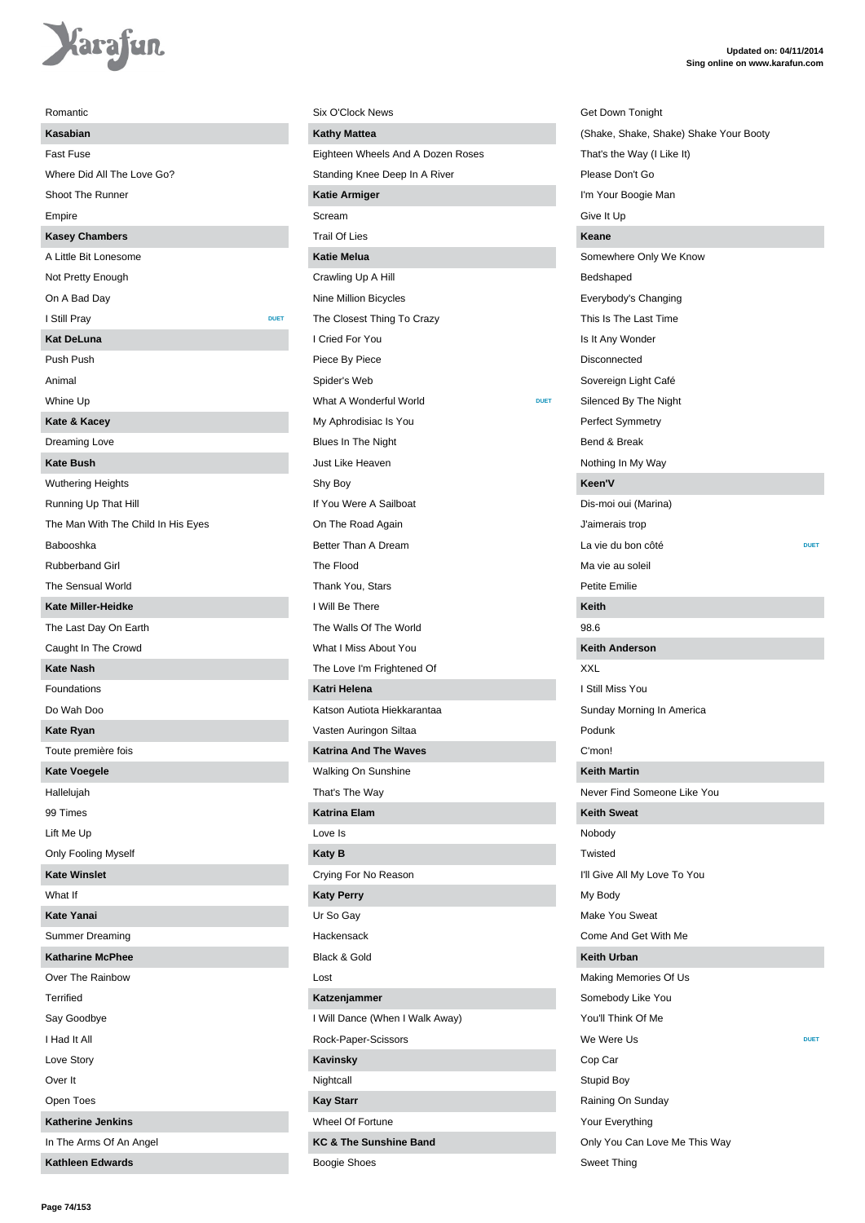

| Romantic                                          |
|---------------------------------------------------|
| Kasabian                                          |
| <b>Fast Fuse</b>                                  |
| Where Did All The Love Go?                        |
| Shoot The Runner                                  |
| Empire                                            |
| <b>Kasey Chambers</b>                             |
| A Little Bit Lonesome                             |
| Not Pretty Enough                                 |
| On A Bad Day                                      |
| I Still Pray<br><b>DUET</b>                       |
| Kat DeLuna                                        |
| Push Push                                         |
| Animal                                            |
| Whine Up                                          |
| Kate & Kacey                                      |
| Dreaming Love                                     |
| <b>Kate Bush</b>                                  |
| <b>Wuthering Heights</b>                          |
| Running Up That Hill                              |
| The Man With The Child In His Eyes                |
| Babooshka                                         |
| <b>Rubberband Girl</b>                            |
| The Sensual World                                 |
| Kate Miller-Heidke                                |
| The Last Day On Earth                             |
| Caught In The Crowd                               |
| <b>Kate Nash</b>                                  |
| Foundations                                       |
| Do Wah Doo                                        |
| Kate Ryan                                         |
| Toute première fois                               |
| <b>Kate Voegele</b>                               |
|                                                   |
| Hallelujah<br>99 Times                            |
|                                                   |
| Lift Me Up<br>Only Fooling Myself                 |
| <b>Kate Winslet</b>                               |
| What If                                           |
| <b>Kate Yanai</b>                                 |
|                                                   |
| <b>Summer Dreaming</b><br><b>Katharine McPhee</b> |
|                                                   |
| Over The Rainbow                                  |
| <b>Terrified</b>                                  |
| Say Goodbye                                       |
| I Had It All                                      |
| Love Story                                        |
| Over It                                           |
| Open Toes                                         |
| <b>Katherine Jenkins</b>                          |
| In The Arms Of An Angel                           |
| <b>Kathleen Edwards</b>                           |

Six O'Clock News **Kathy Mattea** Eighteen Wheels And A Dozen Roses Standing Knee Deep In A River **Katie Armiger** Scream Trail Of Lies **Katie Melua** Crawling Up A Hill Nine Million Bicycles The Closest Thing To Crazy I Cried For You Piece By Piece Spider's Web What A Wonderful World **DUET** My Aphrodisiac Is You Blues In The Night Just Like Heaven Shy Boy If You Were A Sailboat On The Road Again Better Than A Dream The Flood Thank You, Stars I Will Be There The Walls Of The World What I Miss About You The Love I'm Frightened Of **Katri Helena** Katson Autiota Hiekkarantaa Vasten Auringon Siltaa **Katrina And The Waves** Walking On Sunshine That's The Way **Katrina Elam** Love Is **Katy B** Crying For No Reason **Katy Perry** Ur So Gay Hackensack Black & Gold Lost **Katzenjammer** I Will Dance (When I Walk Away) Rock-Paper-Scissors **Kavinsky** Nightcall **Kay Starr** Wheel Of Fortune **KC & The Sunshine Band**

Boogie Shoes

| Get Down Tonight                                 |             |
|--------------------------------------------------|-------------|
| (Shake, Shake, Shake) Shake Your Booty           |             |
| That's the Way (I Like It)                       |             |
| Please Don't Go                                  |             |
| I'm Your Boogie Man                              |             |
| Give It Up                                       |             |
| Keane                                            |             |
| Somewhere Only We Know                           |             |
| Bedshaped                                        |             |
| Everybody's Changing                             |             |
| This Is The Last Time                            |             |
| Is It Any Wonder                                 |             |
| Disconnected                                     |             |
| Sovereign Light Café                             |             |
| Silenced By The Night                            |             |
| <b>Perfect Symmetry</b>                          |             |
| Bend & Break                                     |             |
| Nothing In My Way                                |             |
| Keen'V                                           |             |
| Dis-moi oui (Marina)                             |             |
| J'aimerais trop                                  |             |
| La vie du bon côté                               | <b>DUET</b> |
| Ma vie au soleil                                 |             |
| <b>Petite Emilie</b>                             |             |
| Keith                                            |             |
| 98.6                                             |             |
|                                                  |             |
| <b>Keith Anderson</b>                            |             |
| XXL                                              |             |
| I Still Miss You                                 |             |
| Sunday Morning In America                        |             |
| Podunk                                           |             |
| C'mon!                                           |             |
| <b>Keith Martin</b>                              |             |
| Never Find Someone Like You                      |             |
| <b>Keith Sweat</b>                               |             |
| Nobody                                           |             |
| Twisted                                          |             |
| I'll Give All My Love To You                     |             |
| My Body                                          |             |
| <b>Make You Sweat</b>                            |             |
| Come And Get With Me                             |             |
| <b>Keith Urban</b>                               |             |
| Making Memories Of Us                            |             |
| Somebody Like You                                |             |
| You'll Think Of Me                               |             |
| We Were Us                                       | <b>DUET</b> |
| Cop Car                                          |             |
| Stupid Boy                                       |             |
| Raining On Sunday                                |             |
|                                                  |             |
| Your Everything<br>Only You Can Love Me This Way |             |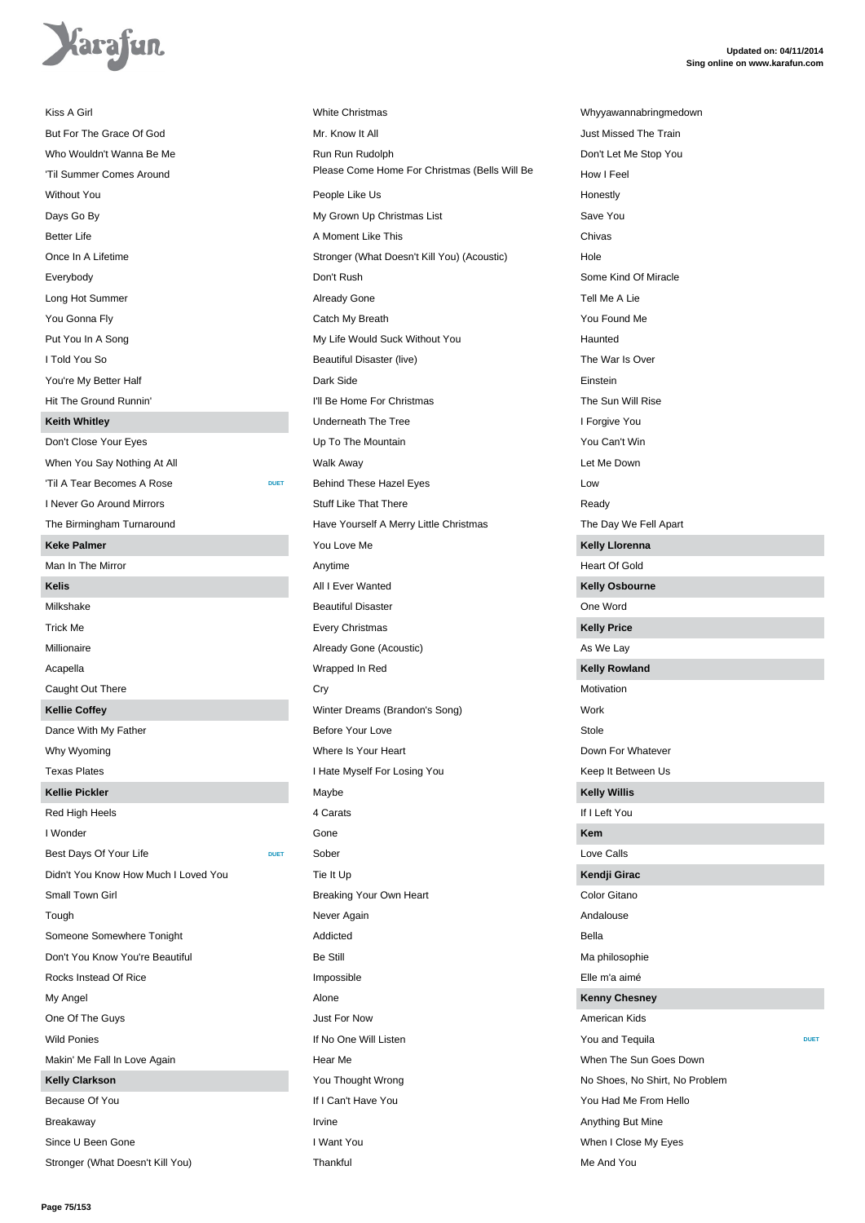

| Kiss A Girl                          |             |
|--------------------------------------|-------------|
| But For The Grace Of God             |             |
| Who Wouldn't Wanna Be Me             |             |
| 'Til Summer Comes Around             |             |
| <b>Without You</b>                   |             |
| Days Go By                           |             |
| <b>Better Life</b>                   |             |
| Once In A Lifetime                   |             |
| Everybody                            |             |
| Long Hot Summer                      |             |
| You Gonna Fly                        |             |
| Put You In A Song                    |             |
| I Told You So                        |             |
| You're My Better Half                |             |
| Hit The Ground Runnin'               |             |
|                                      |             |
| <b>Keith Whitley</b>                 |             |
| Don't Close Your Eyes                |             |
| When You Say Nothing At All          |             |
| 'Til A Tear Becomes A Rose           | <b>DUET</b> |
| I Never Go Around Mirrors            |             |
| The Birmingham Turnaround            |             |
| <b>Keke Palmer</b>                   |             |
| Man In The Mirror                    |             |
| <b>Kelis</b>                         |             |
| Milkshake                            |             |
| <b>Trick Me</b>                      |             |
| Millionaire                          |             |
| Acapella                             |             |
| Caught Out There                     |             |
| <b>Kellie Coffey</b>                 |             |
| Dance With My Father                 |             |
| Why Wyoming                          |             |
| <b>Texas Plates</b>                  |             |
| <b>Kellie Pickler</b>                |             |
| Red High Heels                       |             |
| I Wonder                             |             |
| Best Days Of Your Life               | <b>DUET</b> |
| Didn't You Know How Much I Loved You |             |
| <b>Small Town Girl</b>               |             |
| Tough                                |             |
| Someone Somewhere Tonight            |             |
| Don't You Know You're Beautiful      |             |
| Rocks Instead Of Rice                |             |
| My Angel                             |             |
| One Of The Guys                      |             |
| <b>Wild Ponies</b>                   |             |
| Makin' Me Fall In Love Again         |             |
| <b>Kelly Clarkson</b>                |             |
| Because Of You                       |             |
| Breakaway                            |             |
|                                      |             |

Mr. Know It All Run Run Rudolph Please Come Home For Christmas (Bells Will Be People Like Us My Grown Up Christmas List A Moment Like This Stronger (What Doesn't Kill You) (Acoustic) Don't Rush Already Gone Catch My Breath My Life Would Suck Without You Beautiful Disaster (live) Dark Side I'll Be Home For Christmas Underneath The Tree Up To The Mountain Walk Away Behind These Hazel Eyes Stuff Like That There Have Yourself A Merry Little Christmas You Love Me Anytime All I Ever Wanted Beautiful Disaster Every Christmas Already Gone (Acoustic) Wrapped In Red **Cry** Winter Dreams (Brandon's Song) Before Your Love Where Is Your Heart I Hate Myself For Losing You Maybe 4 Carats Gone Sober Tie It Up Breaking Your Own Heart Never Again Addicted Be Still Impossible Alone Just For Now If No One Will Listen Hear Me You Thought Wrong If I Can't Have You Irvine I Want You

**Thankful** 

White Christmas

Whyyawannabringmedown Just Missed The Train Don't Let Me Stop You How I Feel Honestly Save You Chivas Hole Some Kind Of Miracle Tell Me A Lie You Found Me Haunted The War Is Over Einstein The Sun Will Rise I Forgive You You Can't Win Let Me Down Low Ready The Day We Fell Apart **Kelly Llorenna** Heart Of Gold **Kelly Osbourne** One Word **Kelly Price** As We Lay **Kelly Rowland** Motivation Work Stole Down For Whatever Keep It Between Us **Kelly Willis** If I Left You **Kem** Love Calls **Kendji Girac** Color Gitano Andalouse Bella Ma philosophie Elle m'a aimé **Kenny Chesney** American Kids You and Tequila **DUET** When The Sun Goes Down No Shoes, No Shirt, No Problem You Had Me From Hello Anything But Mine When I Close My Eyes

Me And You

Stronger (What Doesn't Kill You)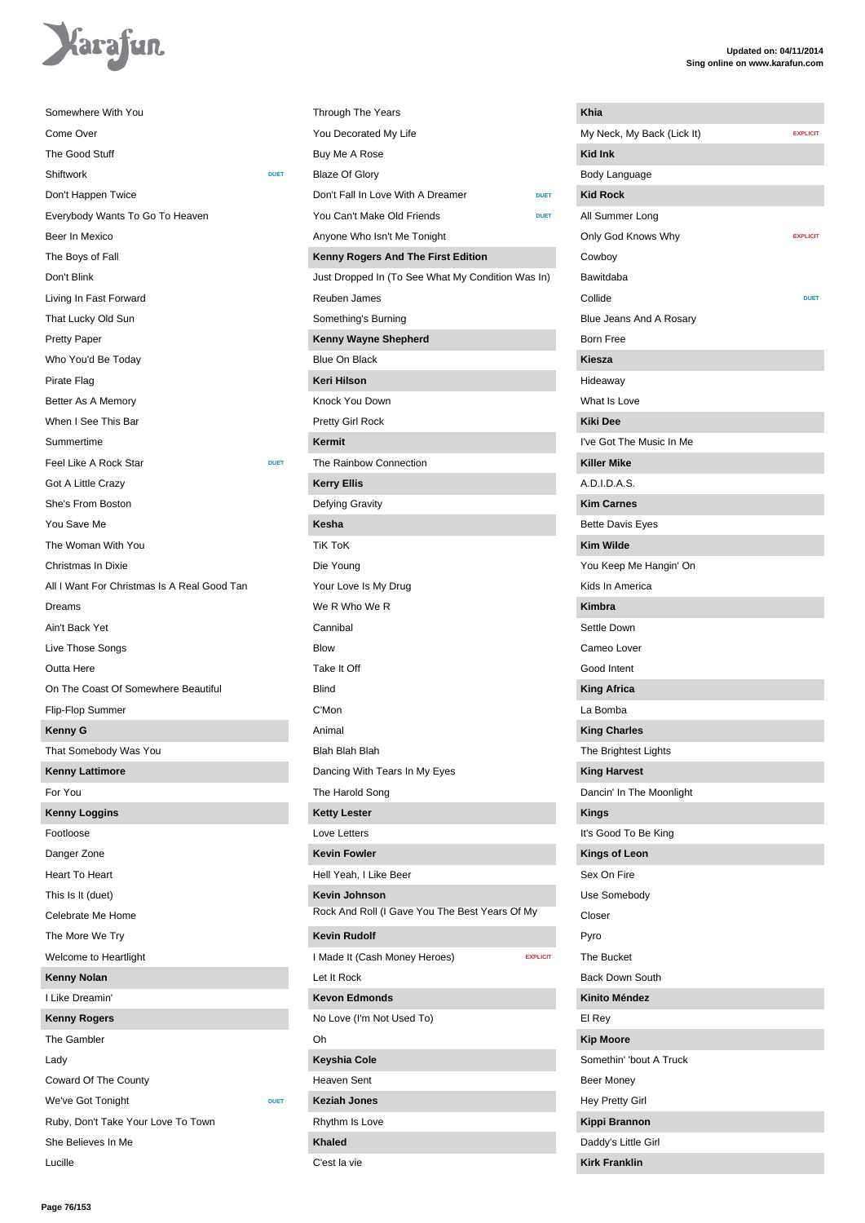

| Somewhere With You                          |             |
|---------------------------------------------|-------------|
| Come Over                                   |             |
| The Good Stuff                              |             |
| Shiftwork                                   | <b>DUET</b> |
| Don't Happen Twice                          |             |
| Everybody Wants To Go To Heaven             |             |
| Beer In Mexico                              |             |
| The Boys of Fall                            |             |
| Don't Blink                                 |             |
| Living In Fast Forward                      |             |
| That Lucky Old Sun                          |             |
| <b>Pretty Paper</b>                         |             |
| Who You'd Be Today                          |             |
| Pirate Flag                                 |             |
| Better As A Memory                          |             |
| When I See This Bar                         |             |
| Summertime                                  |             |
| Feel Like A Rock Star                       | <b>DUET</b> |
| Got A Little Crazy                          |             |
| She's From Boston                           |             |
| You Save Me                                 |             |
| The Woman With You                          |             |
| Christmas In Dixie                          |             |
| All I Want For Christmas Is A Real Good Tan |             |
| Dreams                                      |             |
| Ain't Back Yet                              |             |
|                                             |             |
|                                             |             |
| Live Those Songs<br>Outta Here              |             |
| On The Coast Of Somewhere Beautiful         |             |
|                                             |             |
| Flip-Flop Summer<br><b>Kenny G</b>          |             |
| That Somebody Was You                       |             |
|                                             |             |
| <b>Kenny Lattimore</b><br>For You           |             |
| <b>Kenny Loggins</b>                        |             |
| Footloose                                   |             |
| Danger Zone                                 |             |
| Heart To Heart                              |             |
| This Is It (duet)                           |             |
| Celebrate Me Home                           |             |
| The More We Try                             |             |
| Welcome to Heartlight                       |             |
| <b>Kenny Nolan</b>                          |             |
| I Like Dreamin'                             |             |
| <b>Kenny Rogers</b>                         |             |
| The Gambler                                 |             |
| Lady                                        |             |
| Coward Of The County                        |             |
| We've Got Tonight                           | <b>DUET</b> |
| Ruby, Don't Take Your Love To Town          |             |
| She Believes In Me                          |             |

| Through The Years                                 |
|---------------------------------------------------|
| You Decorated My Life                             |
| Buy Me A Rose                                     |
| <b>Blaze Of Glory</b>                             |
| Don't Fall In Love With A Dreamer<br><b>DUET</b>  |
| You Can't Make Old Friends<br><b>DUET</b>         |
| Anyone Who Isn't Me Tonight                       |
| Kenny Rogers And The First Edition                |
| Just Dropped In (To See What My Condition Was In) |
| Reuben James                                      |
| Something's Burning                               |
| <b>Kenny Wayne Shepherd</b>                       |
| <b>Blue On Black</b>                              |
| <b>Keri Hilson</b>                                |
| Knock You Down                                    |
| Pretty Girl Rock                                  |
| <b>Kermit</b>                                     |
| The Rainbow Connection                            |
| <b>Kerry Ellis</b>                                |
| Defying Gravity                                   |
| Kesha                                             |
| <b>TiK ToK</b>                                    |
| Die Young                                         |
| Your Love Is My Drug                              |
| We R Who We R                                     |
| Cannibal                                          |
| <b>Blow</b>                                       |
| Take It Off                                       |
| <b>Blind</b>                                      |
| C'Mon                                             |
| Animal                                            |
| <b>Blah Blah Blah</b>                             |
| Dancing With Tears In My Eyes                     |
| The Harold Song                                   |
| <b>Ketty Lester</b>                               |
| Love Letters                                      |
| <b>Kevin Fowler</b>                               |
| Hell Yeah, I Like Beer                            |
| <b>Kevin Johnson</b>                              |
| Rock And Roll (I Gave You The Best Years Of My    |
| <b>Kevin Rudolf</b>                               |
| I Made It (Cash Money Heroes)<br><b>EXPLICIT</b>  |
| Let It Rock                                       |
| <b>Kevon Edmonds</b>                              |
| No Love (I'm Not Used To)                         |
| Oh                                                |
| Keyshia Cole                                      |
| <b>Heaven Sent</b>                                |
| <b>Keziah Jones</b>                               |
| Rhythm Is Love                                    |
| <b>Khaled</b>                                     |
| C'est la vie                                      |

### **Updated on: 04/11/2014 Sing online on www.karafun.com**

| My Neck, My Back (Lick It)<br><b>EXPLICIT</b><br><b>Kid Ink</b><br>Body Language<br><b>Kid Rock</b><br>All Summer Long<br>Only God Knows Why<br>Cowboy<br>Bawitdaba<br>Collide<br>Blue Jeans And A Rosary<br><b>Born Free</b><br><b>Kiesza</b><br>Hideaway<br>What Is Love<br><b>Kiki Dee</b><br>I've Got The Music In Me<br><b>Killer Mike</b><br>A.D.I.D.A.S.<br><b>Kim Carnes</b><br><b>Bette Davis Eyes</b><br><b>Kim Wilde</b><br>You Keep Me Hangin' On<br>Kids In America<br>Kimbra<br>Settle Down<br>Cameo Lover<br>Good Intent<br><b>King Africa</b><br>La Bomba<br><b>King Charles</b><br>The Brightest Lights<br><b>King Harvest</b><br>Dancin' In The Moonlight<br><b>Kings</b><br>It's Good To Be King<br><b>Kings of Leon</b><br>Sex On Fire<br>Use Somebody<br>Closer<br>Pyro<br>The Bucket<br><b>Back Down South</b><br>Kinito Méndez<br>El Rey<br><b>Kip Moore</b><br>Somethin' 'bout A Truck | Khia |  |
|----------------------------------------------------------------------------------------------------------------------------------------------------------------------------------------------------------------------------------------------------------------------------------------------------------------------------------------------------------------------------------------------------------------------------------------------------------------------------------------------------------------------------------------------------------------------------------------------------------------------------------------------------------------------------------------------------------------------------------------------------------------------------------------------------------------------------------------------------------------------------------------------------------------|------|--|
|                                                                                                                                                                                                                                                                                                                                                                                                                                                                                                                                                                                                                                                                                                                                                                                                                                                                                                                |      |  |
|                                                                                                                                                                                                                                                                                                                                                                                                                                                                                                                                                                                                                                                                                                                                                                                                                                                                                                                |      |  |
|                                                                                                                                                                                                                                                                                                                                                                                                                                                                                                                                                                                                                                                                                                                                                                                                                                                                                                                |      |  |
| <b>EXPLICIT</b><br><b>DUET</b>                                                                                                                                                                                                                                                                                                                                                                                                                                                                                                                                                                                                                                                                                                                                                                                                                                                                                 |      |  |
|                                                                                                                                                                                                                                                                                                                                                                                                                                                                                                                                                                                                                                                                                                                                                                                                                                                                                                                |      |  |
|                                                                                                                                                                                                                                                                                                                                                                                                                                                                                                                                                                                                                                                                                                                                                                                                                                                                                                                |      |  |
|                                                                                                                                                                                                                                                                                                                                                                                                                                                                                                                                                                                                                                                                                                                                                                                                                                                                                                                |      |  |
|                                                                                                                                                                                                                                                                                                                                                                                                                                                                                                                                                                                                                                                                                                                                                                                                                                                                                                                |      |  |
|                                                                                                                                                                                                                                                                                                                                                                                                                                                                                                                                                                                                                                                                                                                                                                                                                                                                                                                |      |  |
|                                                                                                                                                                                                                                                                                                                                                                                                                                                                                                                                                                                                                                                                                                                                                                                                                                                                                                                |      |  |
|                                                                                                                                                                                                                                                                                                                                                                                                                                                                                                                                                                                                                                                                                                                                                                                                                                                                                                                |      |  |
|                                                                                                                                                                                                                                                                                                                                                                                                                                                                                                                                                                                                                                                                                                                                                                                                                                                                                                                |      |  |
|                                                                                                                                                                                                                                                                                                                                                                                                                                                                                                                                                                                                                                                                                                                                                                                                                                                                                                                |      |  |
|                                                                                                                                                                                                                                                                                                                                                                                                                                                                                                                                                                                                                                                                                                                                                                                                                                                                                                                |      |  |
|                                                                                                                                                                                                                                                                                                                                                                                                                                                                                                                                                                                                                                                                                                                                                                                                                                                                                                                |      |  |
|                                                                                                                                                                                                                                                                                                                                                                                                                                                                                                                                                                                                                                                                                                                                                                                                                                                                                                                |      |  |
|                                                                                                                                                                                                                                                                                                                                                                                                                                                                                                                                                                                                                                                                                                                                                                                                                                                                                                                |      |  |
|                                                                                                                                                                                                                                                                                                                                                                                                                                                                                                                                                                                                                                                                                                                                                                                                                                                                                                                |      |  |
|                                                                                                                                                                                                                                                                                                                                                                                                                                                                                                                                                                                                                                                                                                                                                                                                                                                                                                                |      |  |
|                                                                                                                                                                                                                                                                                                                                                                                                                                                                                                                                                                                                                                                                                                                                                                                                                                                                                                                |      |  |
|                                                                                                                                                                                                                                                                                                                                                                                                                                                                                                                                                                                                                                                                                                                                                                                                                                                                                                                |      |  |
|                                                                                                                                                                                                                                                                                                                                                                                                                                                                                                                                                                                                                                                                                                                                                                                                                                                                                                                |      |  |
|                                                                                                                                                                                                                                                                                                                                                                                                                                                                                                                                                                                                                                                                                                                                                                                                                                                                                                                |      |  |
|                                                                                                                                                                                                                                                                                                                                                                                                                                                                                                                                                                                                                                                                                                                                                                                                                                                                                                                |      |  |
|                                                                                                                                                                                                                                                                                                                                                                                                                                                                                                                                                                                                                                                                                                                                                                                                                                                                                                                |      |  |
|                                                                                                                                                                                                                                                                                                                                                                                                                                                                                                                                                                                                                                                                                                                                                                                                                                                                                                                |      |  |
|                                                                                                                                                                                                                                                                                                                                                                                                                                                                                                                                                                                                                                                                                                                                                                                                                                                                                                                |      |  |
|                                                                                                                                                                                                                                                                                                                                                                                                                                                                                                                                                                                                                                                                                                                                                                                                                                                                                                                |      |  |
|                                                                                                                                                                                                                                                                                                                                                                                                                                                                                                                                                                                                                                                                                                                                                                                                                                                                                                                |      |  |
|                                                                                                                                                                                                                                                                                                                                                                                                                                                                                                                                                                                                                                                                                                                                                                                                                                                                                                                |      |  |
|                                                                                                                                                                                                                                                                                                                                                                                                                                                                                                                                                                                                                                                                                                                                                                                                                                                                                                                |      |  |
|                                                                                                                                                                                                                                                                                                                                                                                                                                                                                                                                                                                                                                                                                                                                                                                                                                                                                                                |      |  |
|                                                                                                                                                                                                                                                                                                                                                                                                                                                                                                                                                                                                                                                                                                                                                                                                                                                                                                                |      |  |
|                                                                                                                                                                                                                                                                                                                                                                                                                                                                                                                                                                                                                                                                                                                                                                                                                                                                                                                |      |  |
|                                                                                                                                                                                                                                                                                                                                                                                                                                                                                                                                                                                                                                                                                                                                                                                                                                                                                                                |      |  |
|                                                                                                                                                                                                                                                                                                                                                                                                                                                                                                                                                                                                                                                                                                                                                                                                                                                                                                                |      |  |
|                                                                                                                                                                                                                                                                                                                                                                                                                                                                                                                                                                                                                                                                                                                                                                                                                                                                                                                |      |  |
|                                                                                                                                                                                                                                                                                                                                                                                                                                                                                                                                                                                                                                                                                                                                                                                                                                                                                                                |      |  |
|                                                                                                                                                                                                                                                                                                                                                                                                                                                                                                                                                                                                                                                                                                                                                                                                                                                                                                                |      |  |
|                                                                                                                                                                                                                                                                                                                                                                                                                                                                                                                                                                                                                                                                                                                                                                                                                                                                                                                |      |  |
|                                                                                                                                                                                                                                                                                                                                                                                                                                                                                                                                                                                                                                                                                                                                                                                                                                                                                                                |      |  |
|                                                                                                                                                                                                                                                                                                                                                                                                                                                                                                                                                                                                                                                                                                                                                                                                                                                                                                                |      |  |
|                                                                                                                                                                                                                                                                                                                                                                                                                                                                                                                                                                                                                                                                                                                                                                                                                                                                                                                |      |  |
|                                                                                                                                                                                                                                                                                                                                                                                                                                                                                                                                                                                                                                                                                                                                                                                                                                                                                                                |      |  |
|                                                                                                                                                                                                                                                                                                                                                                                                                                                                                                                                                                                                                                                                                                                                                                                                                                                                                                                |      |  |
|                                                                                                                                                                                                                                                                                                                                                                                                                                                                                                                                                                                                                                                                                                                                                                                                                                                                                                                |      |  |
| <b>Beer Money</b>                                                                                                                                                                                                                                                                                                                                                                                                                                                                                                                                                                                                                                                                                                                                                                                                                                                                                              |      |  |
| Hey Pretty Girl                                                                                                                                                                                                                                                                                                                                                                                                                                                                                                                                                                                                                                                                                                                                                                                                                                                                                                |      |  |
| Kippi Brannon                                                                                                                                                                                                                                                                                                                                                                                                                                                                                                                                                                                                                                                                                                                                                                                                                                                                                                  |      |  |
| Daddy's Little Girl                                                                                                                                                                                                                                                                                                                                                                                                                                                                                                                                                                                                                                                                                                                                                                                                                                                                                            |      |  |
| <b>Kirk Franklin</b>                                                                                                                                                                                                                                                                                                                                                                                                                                                                                                                                                                                                                                                                                                                                                                                                                                                                                           |      |  |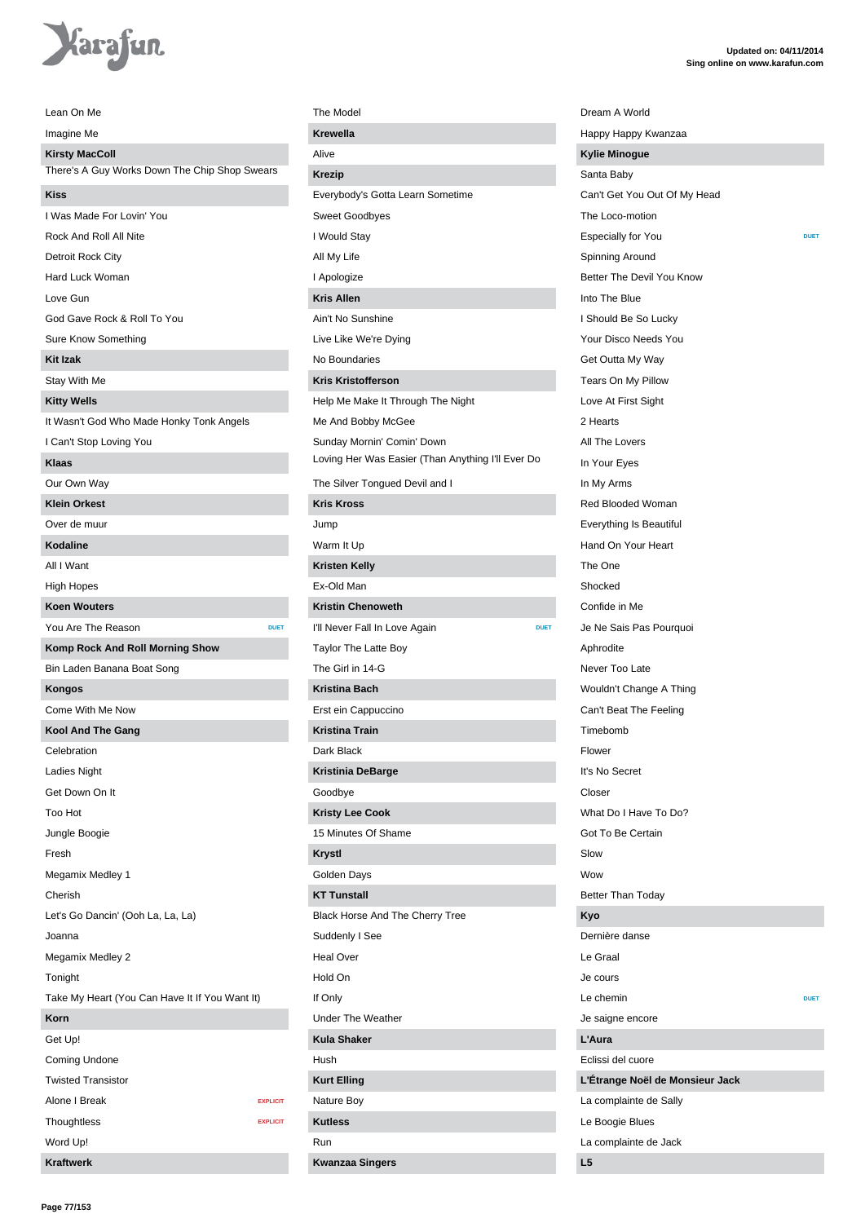

| Lean On Me                                     | The Model                            |
|------------------------------------------------|--------------------------------------|
| Imagine Me                                     | <b>Krewella</b>                      |
| <b>Kirsty MacColl</b>                          | Alive                                |
| There's A Guy Works Down The Chip Shop Swears  | Krezip                               |
| <b>Kiss</b>                                    | Everybody's Gotta                    |
| I Was Made For Lovin' You                      | <b>Sweet Goodbyes</b>                |
| Rock And Roll All Nite                         | I Would Stay                         |
| Detroit Rock City                              | All My Life                          |
| Hard Luck Woman                                | I Apologize                          |
| Love Gun                                       | <b>Kris Allen</b>                    |
| God Gave Rock & Roll To You                    | Ain't No Sunshine                    |
| Sure Know Something                            | Live Like We're Dy                   |
| <b>Kit Izak</b>                                | No Boundaries                        |
| Stay With Me                                   | <b>Kris Kristofferson</b>            |
| <b>Kitty Wells</b>                             | Help Me Make It Th                   |
| It Wasn't God Who Made Honky Tonk Angels       | Me And Bobby Mc                      |
| I Can't Stop Loving You                        | Sunday Mornin' Co                    |
| <b>Klaas</b>                                   | Loving Her Was Ea                    |
| Our Own Way                                    | The Silver Tongued                   |
| <b>Klein Orkest</b>                            | <b>Kris Kross</b>                    |
| Over de muur                                   | Jump                                 |
| <b>Kodaline</b>                                | Warm It Up                           |
| All I Want                                     | <b>Kristen Kelly</b>                 |
| High Hopes                                     | Ex-Old Man                           |
| <b>Koen Wouters</b>                            | <b>Kristin Chenowetl</b>             |
| You Are The Reason                             | I'll Never Fall In Lo<br><b>DUET</b> |
| Komp Rock And Roll Morning Show                | Taylor The Latte Be                  |
| Bin Laden Banana Boat Song                     | The Girl in 14-G                     |
| Kongos                                         | <b>Kristina Bach</b>                 |
| Come With Me Now                               | Erst ein Cappuccin                   |
| Kool And The Gang                              | <b>Kristina Train</b>                |
| Celebration                                    | Dark Black                           |
| Ladies Night                                   | <b>Kristinia DeBarge</b>             |
| Get Down On It                                 | Goodbye                              |
| Too Hot                                        | <b>Kristy Lee Cook</b>               |
| Jungle Boogie                                  | 15 Minutes Of Shar                   |
| Fresh                                          | Krystl                               |
| Megamix Medley 1                               | Golden Days                          |
| Cherish                                        | <b>KT Tunstall</b>                   |
| Let's Go Dancin' (Ooh La, La, La)              | <b>Black Horse And T</b>             |
| Joanna                                         | Suddenly I See                       |
| Megamix Medley 2                               | Heal Over                            |
| Tonight                                        | Hold On                              |
| Take My Heart (You Can Have It If You Want It) | If Only                              |
| Korn                                           | <b>Under The Weathe</b>              |
| Get Up!                                        | <b>Kula Shaker</b>                   |
| Coming Undone                                  | Hush                                 |
| <b>Twisted Transistor</b>                      | <b>Kurt Elling</b>                   |
| Alone I Break                                  | Nature Boy<br><b>EXPLICIT</b>        |
| Thoughtless                                    | <b>Kutless</b><br><b>EXPLICIT</b>    |
| Word Up!                                       | Run                                  |
| <b>Kraftwerk</b>                               | <b>Kwanzaa Singers</b>               |
|                                                |                                      |

| The Model                                         |
|---------------------------------------------------|
| <b>Krewella</b>                                   |
| Alive                                             |
| <b>Krezip</b>                                     |
| Everybody's Gotta Learn Sometime                  |
| Sweet Goodbyes                                    |
| I Would Stay                                      |
| All My Life                                       |
| I Apologize                                       |
| <b>Kris Allen</b>                                 |
| Ain't No Sunshine                                 |
| Live Like We're Dying                             |
| No Boundaries                                     |
| <b>Kris Kristofferson</b>                         |
| Help Me Make It Through The Night                 |
| Me And Bobby McGee                                |
| Sunday Mornin' Comin' Down                        |
| Loving Her Was Easier (Than Anything I'll Ever Do |
| The Silver Tongued Devil and I                    |
| <b>Kris Kross</b>                                 |
| Jump                                              |
| Warm It Up                                        |
| <b>Kristen Kelly</b>                              |
| Ex-Old Man                                        |
| <b>Kristin Chenoweth</b>                          |
| I'll Never Fall In Love Again<br><b>DUET</b>      |
| Taylor The Latte Boy                              |
| The Girl in 14-G                                  |
| <b>Kristina Bach</b>                              |
| Erst ein Cappuccino                               |
| <b>Kristina Train</b>                             |
| Dark Black                                        |
| <b>Kristinia DeBarge</b>                          |
| Goodbye                                           |
| <b>Kristy Lee Cook</b>                            |
| 15 Minutes Of Shame                               |
| Krystl                                            |
| Golden Days                                       |
| <b>KT Tunstall</b>                                |
| Black Horse And The Cherry Tree                   |
| Suddenly I See                                    |
| <b>Heal Over</b>                                  |
| Hold On                                           |
| If Only                                           |
| <b>Under The Weather</b>                          |
| <b>Kula Shaker</b>                                |
| Hush                                              |
| <b>Kurt Elling</b>                                |
| Nature Boy                                        |
| <b>Kutless</b>                                    |
| Run                                               |
|                                                   |

| Dream A World                            |
|------------------------------------------|
| Happy Happy Kwanzaa                      |
| <b>Kylie Minogue</b>                     |
| Santa Baby                               |
| Can't Get You Out Of My Head             |
| The Loco-motion                          |
| <b>Especially for You</b><br><b>DUET</b> |
| Spinning Around                          |
| Better The Devil You Know                |
| Into The Blue                            |
| I Should Be So Lucky                     |
| Your Disco Needs You                     |
| Get Outta My Way                         |
| Tears On My Pillow                       |
| Love At First Sight                      |
| 2 Hearts                                 |
| All The Lovers                           |
| In Your Eyes                             |
| In My Arms                               |
| Red Blooded Woman                        |
| Everything Is Beautiful                  |
| Hand On Your Heart                       |
| The One                                  |
| Shocked                                  |
| Confide in Me                            |
| Je Ne Sais Pas Pourquoi                  |
| Aphrodite                                |
| Never Too Late                           |
| Wouldn't Change A Thing                  |
| Can't Beat The Feeling                   |
| Timebomb                                 |
| Flower                                   |
| It's No Secret                           |
| Closer                                   |
| What Do I Have To Do?                    |
| Got To Be Certain                        |
| Slow                                     |
| Wow                                      |
| <b>Better Than Today</b>                 |
| Kyo                                      |
| Dernière danse                           |
| Le Graal                                 |
| Je cours                                 |
| Le chemin<br><b>DUET</b>                 |
| Je saigne encore                         |
| L'Aura                                   |
| Eclissi del cuore                        |
| L'Étrange Noël de Monsieur Jack          |
| La complainte de Sally                   |
| Le Boogie Blues                          |
| La complainte de Jack                    |
| L <sub>5</sub>                           |
|                                          |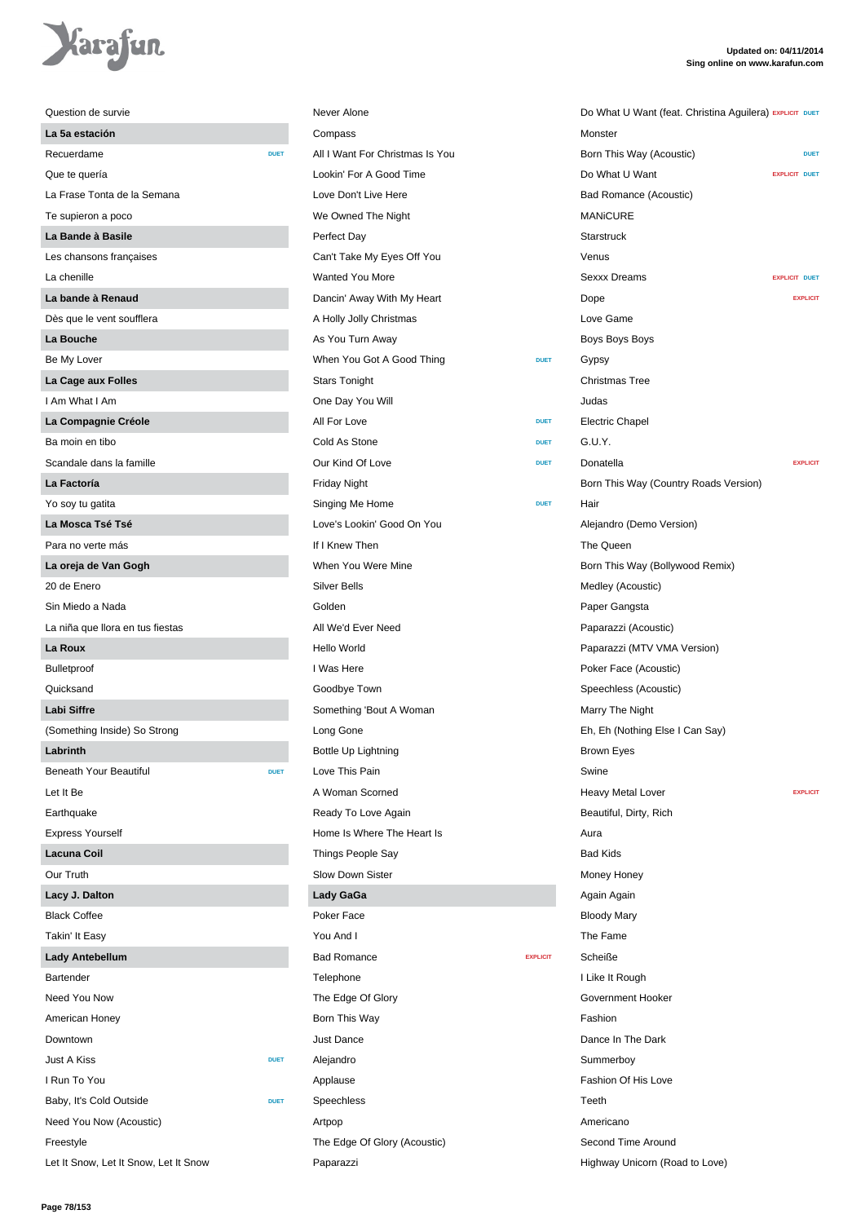

| Question de survie                    |             |
|---------------------------------------|-------------|
| La 5a estación                        |             |
| Recuerdame                            | <b>DUET</b> |
| Que te quería                         |             |
| La Frase Tonta de la Semana           |             |
| Te supieron a poco                    |             |
| La Bande à Basile                     |             |
| Les chansons françaises               |             |
| La chenille                           |             |
| La bande à Renaud                     |             |
| Dès que le vent soufflera             |             |
| La Bouche                             |             |
| Be My Lover                           |             |
| La Cage aux Folles                    |             |
| I Am What I Am                        |             |
| La Compagnie Créole                   |             |
| Ba moin en tibo                       |             |
| Scandale dans la famille              |             |
| La Factoría                           |             |
| Yo soy tu gatita                      |             |
| La Mosca Tsé Tsé                      |             |
| Para no verte más                     |             |
| La oreja de Van Gogh                  |             |
| 20 de Enero                           |             |
| Sin Miedo a Nada                      |             |
| La niña que llora en tus fiestas      |             |
| La Roux                               |             |
| <b>Bulletproof</b>                    |             |
| Quicksand                             |             |
| Labi Siffre                           |             |
| (Something Inside) So Strong          |             |
| Labrinth                              |             |
| Beneath Your Beautiful                | <b>DUET</b> |
| Let It Be                             |             |
| Earthquake                            |             |
| <b>Express Yourself</b>               |             |
| Lacuna Coil                           |             |
| Our Truth                             |             |
| Lacy J. Dalton                        |             |
| <b>Black Coffee</b>                   |             |
| Takin' It Easy                        |             |
| <b>Lady Antebellum</b>                |             |
| Bartender                             |             |
| Need You Now                          |             |
| American Honey                        |             |
| Downtown                              |             |
| Just A Kiss                           | <b>DUET</b> |
| I Run To You                          |             |
| Baby, It's Cold Outside               | <b>DUET</b> |
| Need You Now (Acoustic)               |             |
| Freestyle                             |             |
| Let It Snow, Let It Snow, Let It Snow |             |

| Never Alone                     |                 |
|---------------------------------|-----------------|
| Compass                         |                 |
| All I Want For Christmas Is You |                 |
| Lookin' For A Good Time         |                 |
| Love Don't Live Here            |                 |
| We Owned The Night              |                 |
| Perfect Day                     |                 |
| Can't Take My Eyes Off You      |                 |
| <b>Wanted You More</b>          |                 |
| Dancin' Away With My Heart      |                 |
| A Holly Jolly Christmas         |                 |
| As You Turn Away                |                 |
| When You Got A Good Thing       | <b>DUET</b>     |
| <b>Stars Tonight</b>            |                 |
| One Day You Will                |                 |
| All For Love                    | <b>DUET</b>     |
| Cold As Stone                   | <b>DUET</b>     |
| Our Kind Of Love                | <b>DUET</b>     |
| <b>Friday Night</b>             |                 |
| Singing Me Home                 | <b>DUET</b>     |
| Love's Lookin' Good On You      |                 |
| If I Knew Then                  |                 |
| When You Were Mine              |                 |
| Silver Bells                    |                 |
| Golden                          |                 |
| All We'd Ever Need              |                 |
| <b>Hello World</b>              |                 |
| I Was Here                      |                 |
| Goodbye Town                    |                 |
| Something 'Bout A Woman         |                 |
| Long Gone                       |                 |
| Bottle Up Lightning             |                 |
| Love This Pain                  |                 |
| A Woman Scorned                 |                 |
| Ready To Love Again             |                 |
| Home Is Where The Heart Is      |                 |
| Things People Say               |                 |
| <b>Slow Down Sister</b>         |                 |
| Lady GaGa                       |                 |
| Poker Face                      |                 |
| You And I                       |                 |
| <b>Bad Romance</b>              | <b>EXPLICIT</b> |
| Telephone                       |                 |
| The Edge Of Glory               |                 |
| Born This Way                   |                 |
| <b>Just Dance</b>               |                 |
| Alejandro                       |                 |
| Applause                        |                 |
| Speechless                      |                 |
| Artpop                          |                 |
| The Edge Of Glory (Acoustic)    |                 |
| Paparazzi                       |                 |

| Do What U Want (feat. Christina Aguilera) EXPLICIT DUET |                      |
|---------------------------------------------------------|----------------------|
| Monster                                                 |                      |
| Born This Way (Acoustic)                                | <b>DUET</b>          |
| Do What U Want                                          | <b>EXPLICIT DUET</b> |
| Bad Romance (Acoustic)                                  |                      |
| <b>MANiCURE</b>                                         |                      |
| Starstruck                                              |                      |
| Venus                                                   |                      |
| <b>Sexxx Dreams</b>                                     | <b>EXPLICIT DUET</b> |
| Dope                                                    | <b>EXPLICIT</b>      |
| Love Game                                               |                      |
| Boys Boys Boys                                          |                      |
| Gypsy                                                   |                      |
| <b>Christmas Tree</b>                                   |                      |
| Judas                                                   |                      |
| <b>Electric Chapel</b>                                  |                      |
| G.U.Y.                                                  |                      |
| Donatella                                               | <b>EXPLICIT</b>      |
| Born This Way (Country Roads Version)                   |                      |
| Hair                                                    |                      |
| Alejandro (Demo Version)                                |                      |
| The Queen                                               |                      |
| Born This Way (Bollywood Remix)                         |                      |
| Medley (Acoustic)                                       |                      |
| Paper Gangsta                                           |                      |
| Paparazzi (Acoustic)                                    |                      |
| Paparazzi (MTV VMA Version)                             |                      |
| Poker Face (Acoustic)                                   |                      |
| Speechless (Acoustic)                                   |                      |
| Marry The Night                                         |                      |
| Eh, Eh (Nothing Else I Can Say)                         |                      |
| <b>Brown Eyes</b>                                       |                      |
| Swine                                                   |                      |
| <b>Heavy Metal Lover</b>                                | <b>EXPLICIT</b>      |
| Beautiful, Dirty, Rich                                  |                      |
| Aura                                                    |                      |
| <b>Bad Kids</b>                                         |                      |
| Money Honey                                             |                      |
| Again Again                                             |                      |
| <b>Bloody Mary</b>                                      |                      |
| The Fame                                                |                      |
| Scheiße                                                 |                      |
| I Like It Rough                                         |                      |
| Government Hooker                                       |                      |
| Fashion                                                 |                      |
| Dance In The Dark                                       |                      |
| Summerboy                                               |                      |
| Fashion Of His Love                                     |                      |
| Teeth                                                   |                      |
| Americano                                               |                      |
| Second Time Around                                      |                      |
| Highway Unicorn (Road to Love)                          |                      |
|                                                         |                      |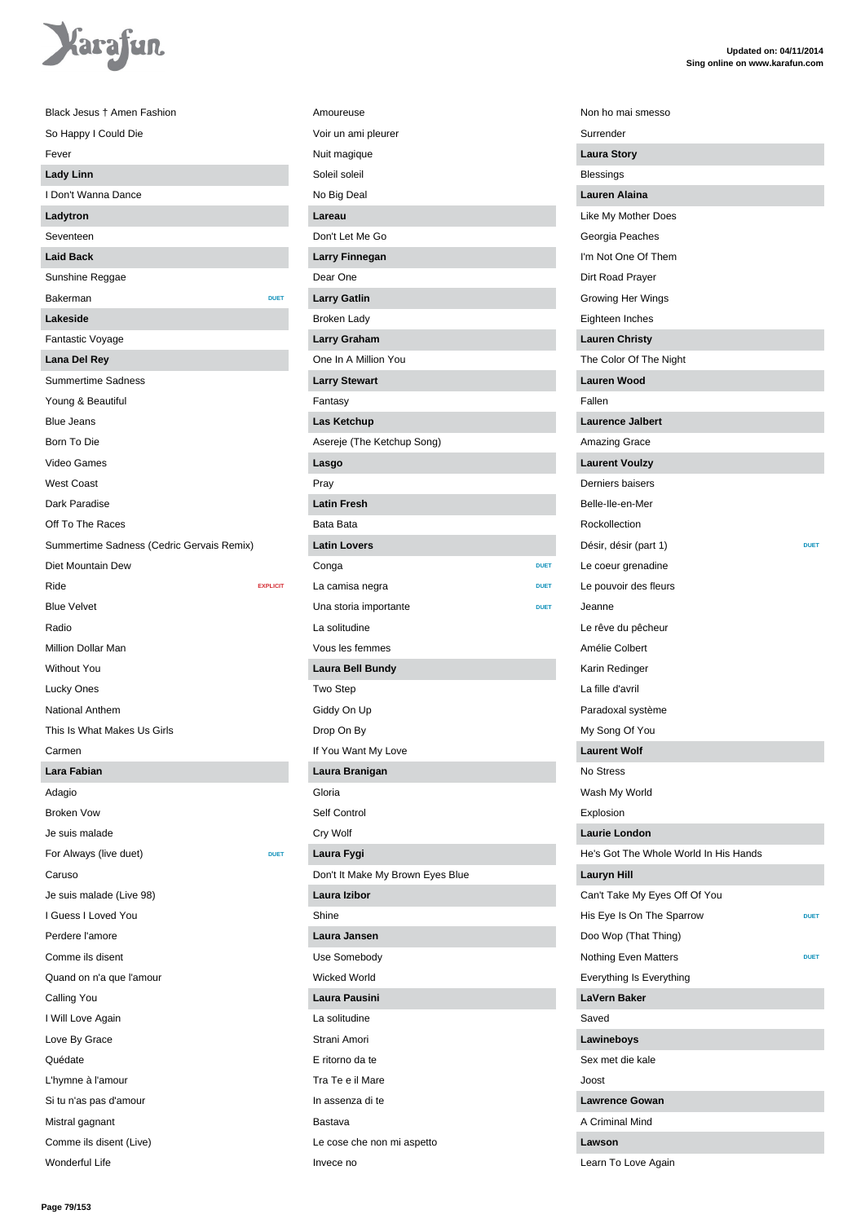

| Black Jesus † Amen Fashion                |                 |
|-------------------------------------------|-----------------|
| So Happy I Could Die                      |                 |
| Fever                                     |                 |
| <b>Lady Linn</b>                          |                 |
| I Don't Wanna Dance                       |                 |
| Ladytron                                  |                 |
| Seventeen                                 |                 |
| <b>Laid Back</b>                          |                 |
| Sunshine Reggae                           |                 |
| Bakerman                                  | <b>DUET</b>     |
| Lakeside                                  |                 |
| Fantastic Voyage                          |                 |
| Lana Del Rey                              |                 |
| <b>Summertime Sadness</b>                 |                 |
| Young & Beautiful                         |                 |
| <b>Blue Jeans</b>                         |                 |
| Born To Die                               |                 |
| Video Games                               |                 |
| <b>West Coast</b>                         |                 |
| Dark Paradise                             |                 |
| Off To The Races                          |                 |
| Summertime Sadness (Cedric Gervais Remix) |                 |
| Diet Mountain Dew                         |                 |
| Ride                                      | <b>EXPLICIT</b> |
| <b>Blue Velvet</b>                        |                 |
| Radio                                     |                 |
| <b>Million Dollar Man</b>                 |                 |
| <b>Without You</b>                        |                 |
| Lucky Ones                                |                 |
| National Anthem                           |                 |
| This Is What Makes Us Girls               |                 |
| Carmen                                    |                 |
| Lara Fabian                               |                 |
| Adagio                                    |                 |
| <b>Broken Vow</b>                         |                 |
| Je suis malade                            |                 |
| For Always (live duet)                    | <b>DUET</b>     |
| Caruso                                    |                 |
| Je suis malade (Live 98)                  |                 |
| <b>I Guess I Loved You</b>                |                 |
| Perdere l'amore                           |                 |
| Comme ils disent                          |                 |
| Quand on n'a que l'amour                  |                 |
| Calling You                               |                 |
| I Will Love Again                         |                 |
| Love By Grace                             |                 |
| Quédate                                   |                 |
| L'hymne à l'amour                         |                 |
| Si tu n'as pas d'amour                    |                 |
| Mistral gagnant                           |                 |
| Comme ils disent (Live)                   |                 |

| Amoureuse                            |
|--------------------------------------|
| Voir un ami pleurer                  |
| Nuit magique                         |
| Soleil soleil                        |
| No Big Deal                          |
| Lareau                               |
| Don't Let Me Go                      |
| Larry Finnegan                       |
| Dear One                             |
| <b>Larry Gatlin</b>                  |
| <b>Broken Lady</b>                   |
| Larry Graham                         |
| One In A Million You                 |
| <b>Larry Stewart</b>                 |
| Fantasy                              |
| Las Ketchup                          |
| Asereje (The Ketchup Song)           |
| Lasgo                                |
| Pray                                 |
| <b>Latin Fresh</b>                   |
| Bata Bata                            |
| <b>Latin Lovers</b>                  |
| Conga<br><b>DUET</b>                 |
| La camisa negra<br><b>DUET</b>       |
| Una storia importante<br><b>DUET</b> |
| La solitudine                        |
| Vous les femmes                      |
| Laura Bell Bundy                     |
| Two Step                             |
| Giddy On Up                          |
| Drop On By                           |
| If You Want My Love                  |
| Laura Branigan                       |
| Gloria                               |
| Self Control                         |
| Cry Wolf                             |
|                                      |
| Laura Fygi                           |
| Don't It Make My Brown Eyes Blue     |
| Laura Izibor                         |
| Shine                                |
| Laura Jansen                         |
| Use Somebody                         |
| Wicked World                         |
| Laura Pausini                        |
| La solitudine                        |
| Strani Amori                         |
|                                      |
| E ritorno da te                      |
| Tra Te e il Mare                     |
| In assenza di te                     |
| Bastava                              |

Invece no

| Non ho mai smesso                     |             |
|---------------------------------------|-------------|
| Surrender                             |             |
| <b>Laura Story</b>                    |             |
| <b>Blessings</b>                      |             |
| Lauren Alaina                         |             |
| Like My Mother Does                   |             |
| Georgia Peaches                       |             |
| I'm Not One Of Them                   |             |
| Dirt Road Prayer                      |             |
| Growing Her Wings                     |             |
| Eighteen Inches                       |             |
| <b>Lauren Christy</b>                 |             |
| The Color Of The Night                |             |
| <b>Lauren Wood</b>                    |             |
| Fallen                                |             |
| <b>Laurence Jalbert</b>               |             |
| Amazing Grace                         |             |
| <b>Laurent Voulzy</b>                 |             |
| Derniers baisers                      |             |
| Belle-Ile-en-Mer                      |             |
| Rockollection                         |             |
| Désir, désir (part 1)                 | <b>DUET</b> |
| Le coeur grenadine                    |             |
| Le pouvoir des fleurs                 |             |
| Jeanne                                |             |
| Le rêve du pêcheur                    |             |
| Amélie Colbert                        |             |
| Karin Redinger                        |             |
| La fille d'avril                      |             |
| Paradoxal système                     |             |
|                                       |             |
| My Song Of You                        |             |
| <b>Laurent Wolf</b>                   |             |
| <b>No Stress</b>                      |             |
| Wash My World                         |             |
| Explosion                             |             |
| <b>Laurie London</b>                  |             |
| He's Got The Whole World In His Hands |             |
| <b>Lauryn Hill</b>                    |             |
| Can't Take My Eyes Off Of You         |             |
| His Eye Is On The Sparrow             | <b>DUET</b> |
| Doo Wop (That Thing)                  |             |
| Nothing Even Matters                  | <b>DUET</b> |
| Everything Is Everything              |             |
| <b>LaVern Baker</b>                   |             |
| Saved                                 |             |
| Lawineboys                            |             |
| Sex met die kale                      |             |
| Joost                                 |             |
| <b>Lawrence Gowan</b>                 |             |
| A Criminal Mind                       |             |
| Lawson                                |             |
| Learn To Love Again                   |             |

Wonderful Life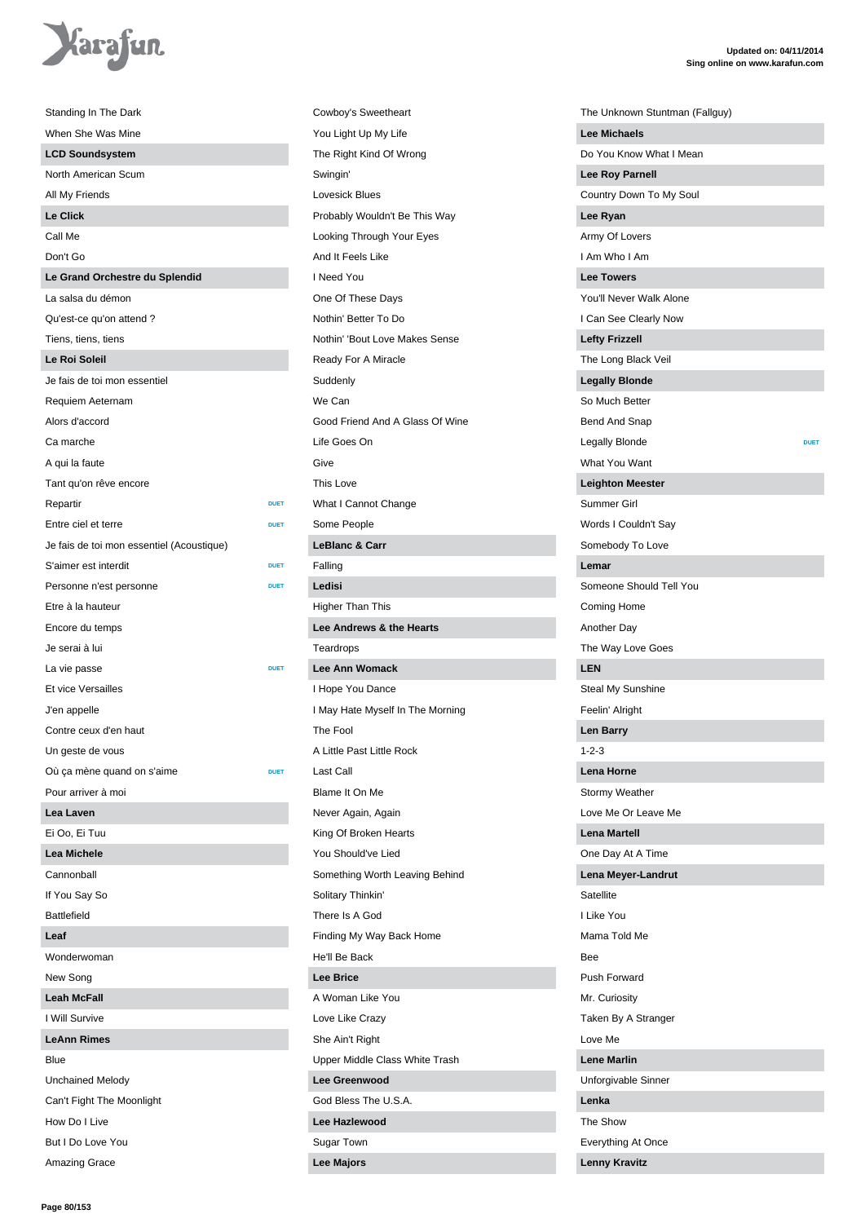

| Standing In The Dark                      |             |
|-------------------------------------------|-------------|
| When She Was Mine                         |             |
| <b>LCD Soundsystem</b>                    |             |
| North American Scum                       |             |
| All My Friends                            |             |
| Le Click                                  |             |
| Call Me                                   |             |
| Don't Go                                  |             |
| Le Grand Orchestre du Splendid            |             |
| La salsa du démon                         |             |
| Qu'est-ce qu'on attend ?                  |             |
| Tiens, tiens, tiens                       |             |
| Le Roi Soleil                             |             |
| Je fais de toi mon essentiel              |             |
| Requiem Aeternam                          |             |
| Alors d'accord                            |             |
| Ca marche                                 |             |
| A qui la faute                            |             |
| Tant qu'on rêve encore                    |             |
| Repartir                                  | <b>DUET</b> |
| Entre ciel et terre                       | <b>DUET</b> |
| Je fais de toi mon essentiel (Acoustique) |             |
| S'aimer est interdit                      | <b>DUET</b> |
| Personne n'est personne                   | <b>DUET</b> |
| Etre à la hauteur                         |             |
| Encore du temps                           |             |
| Je serai à lui                            |             |
| La vie passe                              | <b>DUET</b> |
| Et vice Versailles                        |             |
| J'en appelle                              |             |
| Contre ceux d'en haut                     |             |
| Un geste de vous                          |             |
| Où ça mène quand on s'aime                | <b>DUET</b> |
| Pour arriver à moi                        |             |
| Lea Laven                                 |             |
| Ei Oo, Ei Tuu                             |             |
| <b>Lea Michele</b>                        |             |
| Cannonball                                |             |
| If You Say So                             |             |
| Battlefield                               |             |
| Leaf                                      |             |
| Wonderwoman                               |             |
| New Song                                  |             |
| <b>Leah McFall</b>                        |             |
| I Will Survive                            |             |
| <b>LeAnn Rimes</b>                        |             |
| Blue                                      |             |
| <b>Unchained Melody</b>                   |             |
| Can't Fight The Moonlight                 |             |
| How Do I Live                             |             |
| But I Do Love You                         |             |
| Amazing Grace                             |             |

Cowboy's Sweetheart You Light Up My Life The Right Kind Of Wrong Swingin' Lovesick Blues Probably Wouldn't Be This Way Looking Through Your Eyes And It Feels Like I Need You One Of These Days Nothin' Better To Do Nothin' 'Bout Love Makes Sense Ready For A Miracle Suddenly We Can Good Friend And A Glass Of Wine Life Goes On Give This Love What I Cannot Change Some People **LeBlanc & Carr** Falling **Ledisi** Higher Than This **Lee Andrews & the Hearts** Teardrops **Lee Ann Womack** I Hope You Dance I May Hate Myself In The Morning The Fool A Little Past Little Rock Last Call Blame It On Me Never Again, Again King Of Broken Hearts You Should've Lied Something Worth Leaving Behind Solitary Thinkin' There Is A God Finding My Way Back Home He'll Be Back **Lee Brice** A Woman Like You Love Like Crazy She Ain't Right Upper Middle Class White Trash **Lee Greenwood** God Bless The U.S.A. **Lee Hazlewood** Sugar Town **Lee Majors**

The Unknown Stuntman (Fallguy) **Lee Michaels** Do You Know What I Mean **Lee Roy Parnell** Country Down To My Soul **Lee Ryan** Army Of Lovers I Am Who I Am **Lee Towers** You'll Never Walk Alone I Can See Clearly Now **Lefty Frizzell** The Long Black Veil **Legally Blonde** So Much Better Bend And Snap **Legally Blonde DUET** What You Want **Leighton Meester** Summer Girl Words I Couldn't Say Somebody To Love **Lemar** Someone Should Tell You Coming Home Another Day The Way Love Goes **LEN** Steal My Sunshine Feelin' Alright **Len Barry** 1-2-3 **Lena Horne** Stormy Weather Love Me Or Leave Me **Lena Martell** One Day At A Time **Lena Meyer-Landrut** Satellite I Like You Mama Told Me Bee Push Forward Mr. Curiosity Taken By A Stranger Love Me **Lene Marlin** Unforgivable Sinner **Lenka** The Show Everything At Once **Lenny Kravitz**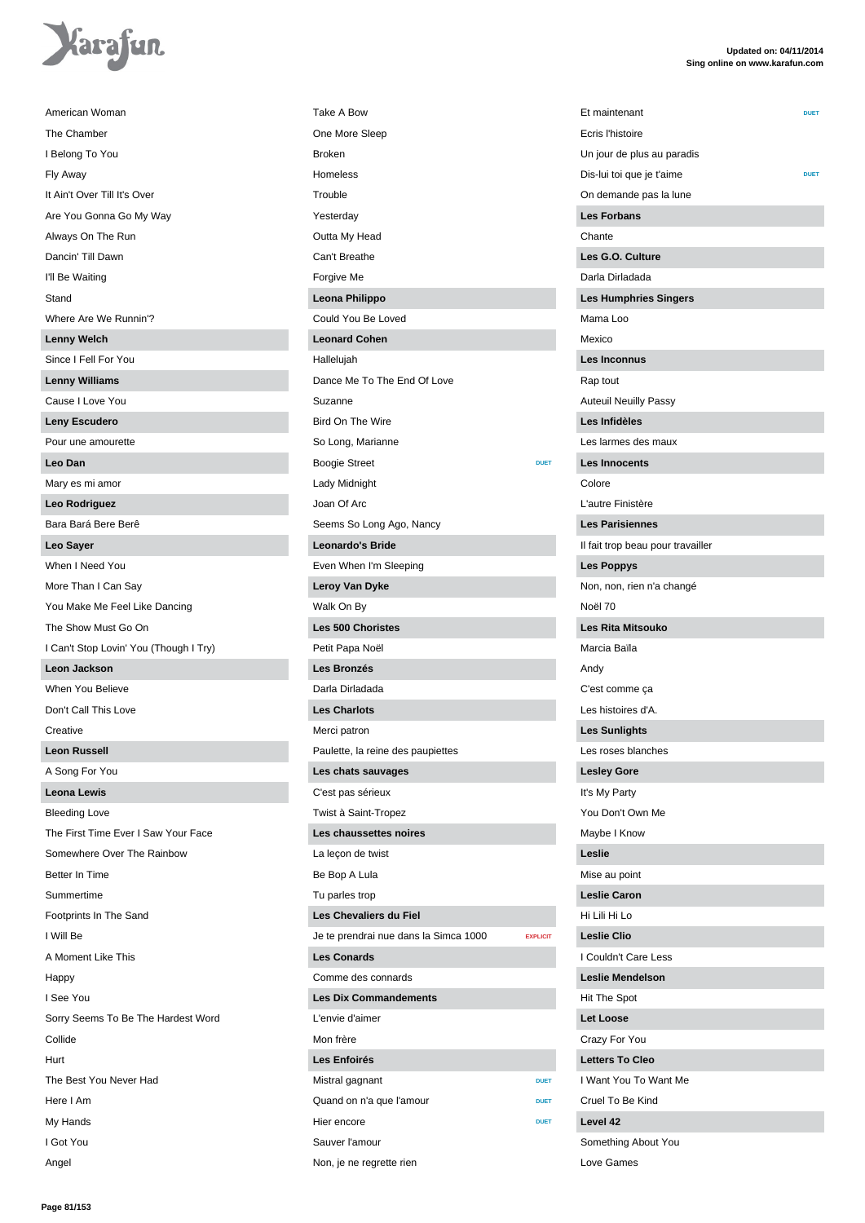

| The Chamber                            |
|----------------------------------------|
| I Belong To You                        |
| Fly Away                               |
| It Ain't Over Till It's Over           |
| Are You Gonna Go My Way                |
| Always On The Run                      |
| Dancin' Till Dawn                      |
| I'll Be Waiting                        |
| Stand                                  |
| Where Are We Runnin'?                  |
| <b>Lenny Welch</b>                     |
| Since I Fell For You                   |
| <b>Lenny Williams</b>                  |
| Cause I Love You                       |
| <b>Leny Escudero</b>                   |
| Pour une amourette                     |
| Leo Dan                                |
| Mary es mi amor                        |
| Leo Rodriguez                          |
| Bara Bará Bere Berê                    |
| Leo Sayer                              |
| When I Need You                        |
| More Than I Can Say                    |
| You Make Me Feel Like Dancing          |
| The Show Must Go On                    |
|                                        |
| I Can't Stop Lovin' You (Though I Try) |
| Leon Jackson                           |
| When You Believe                       |
| Don't Call This Love                   |
| Creative                               |
| <b>Leon Russell</b>                    |
| A Song For You                         |
| <b>Leona Lewis</b>                     |
| <b>Bleeding Love</b>                   |
| The First Time Ever I Saw Your Face    |
| Somewhere Over The Rainbow             |
| Better In Time                         |
| Summertime                             |
| Footprints In The Sand                 |
| I Will Be                              |
| A Moment Like This                     |
| Happy                                  |
| I See You                              |
| Sorry Seems To Be The Hardest Word     |
| Collide                                |
| Hurt                                   |
| The Best You Never Had                 |
| Here I Am                              |
| My Hands                               |
| I Got You                              |

| Take A Bow                                          |                 |
|-----------------------------------------------------|-----------------|
| One More Sleep                                      |                 |
| <b>Broken</b>                                       |                 |
| Homeless                                            |                 |
| Trouble                                             |                 |
| Yesterday                                           |                 |
| Outta My Head                                       |                 |
| Can't Breathe                                       |                 |
| Forgive Me                                          |                 |
| Leona Philippo                                      |                 |
| Could You Be Loved                                  |                 |
| <b>Leonard Cohen</b>                                |                 |
| Hallelujah                                          |                 |
| Dance Me To The End Of Love                         |                 |
| Suzanne                                             |                 |
| Bird On The Wire                                    |                 |
| So Long, Marianne                                   |                 |
| <b>Boogie Street</b>                                | <b>DUET</b>     |
| Lady Midnight                                       |                 |
| Joan Of Arc                                         |                 |
|                                                     |                 |
| Seems So Long Ago, Nancy<br><b>Leonardo's Bride</b> |                 |
|                                                     |                 |
| Even When I'm Sleeping                              |                 |
| Leroy Van Dyke                                      |                 |
| Walk On By                                          |                 |
| <b>Les 500 Choristes</b>                            |                 |
| Petit Papa Noël                                     |                 |
| Les Bronzés                                         |                 |
| Darla Dirladada                                     |                 |
| <b>Les Charlots</b>                                 |                 |
| Merci patron                                        |                 |
| Paulette. la reine des paupiettes                   |                 |
| Les chats sauvages                                  |                 |
| C'est pas sérieux                                   |                 |
| Twist à Saint-Tropez                                |                 |
| Les chaussettes noires                              |                 |
| La leçon de twist                                   |                 |
| Be Bop A Lula                                       |                 |
| Tu parles trop                                      |                 |
| Les Chevaliers du Fiel                              |                 |
| Je te prendrai nue dans la Simca 1000               | <b>EXPLICIT</b> |
| <b>Les Conards</b>                                  |                 |
| Comme des connards                                  |                 |
| <b>Les Dix Commandements</b>                        |                 |
| L'envie d'aimer                                     |                 |
| Mon frère                                           |                 |
| Les Enfoirés                                        |                 |
| Mistral gagnant                                     | <b>DUET</b>     |
| Quand on n'a que l'amour                            | <b>DUET</b>     |
| Hier encore                                         | <b>DUET</b>     |
| Sauver l'amour                                      |                 |

Non, je ne regrette rien

**Updated on: 04/11/2014 Sing online on www.karafun.com**

| Et maintenant                     | <b>DUET</b> |
|-----------------------------------|-------------|
| Ecris l'histoire                  |             |
| Un jour de plus au paradis        |             |
| Dis-lui toi que je t'aime         | <b>DUET</b> |
| On demande pas la lune            |             |
| <b>Les Forbans</b>                |             |
| Chante                            |             |
| Les G.O. Culture                  |             |
| Darla Dirladada                   |             |
| <b>Les Humphries Singers</b>      |             |
| Mama Loo                          |             |
| Mexico                            |             |
| Les Inconnus                      |             |
| Rap tout                          |             |
| <b>Auteuil Neuilly Passy</b>      |             |
| Les Infidèles                     |             |
| Les larmes des maux               |             |
| <b>Les Innocents</b>              |             |
| Colore                            |             |
| L'autre Finistère                 |             |
| <b>Les Parisiennes</b>            |             |
| Il fait trop beau pour travailler |             |
| <b>Les Poppys</b>                 |             |
| Non, non, rien n'a changé         |             |
| Noël 70                           |             |
| Les Rita Mitsouko                 |             |
| Marcia Baïla                      |             |
| Andy                              |             |
| C'est comme ça                    |             |
| Les histoires d'A.                |             |
| <b>Les Sunlights</b>              |             |
| Les roses blanches                |             |
| <b>Lesley Gore</b>                |             |
| It's My Party                     |             |
| You Don't Own Me                  |             |
| Maybe I Know                      |             |
| Leslie                            |             |
| Mise au point                     |             |
| <b>Leslie Caron</b>               |             |
| Hi Lili Hi Lo                     |             |
| <b>Leslie Clio</b>                |             |
| I Couldn't Care Less              |             |
| <b>Leslie Mendelson</b>           |             |
| <b>Hit The Spot</b>               |             |
| <b>Let Loose</b>                  |             |
| Crazy For You                     |             |
| <b>Letters To Cleo</b>            |             |
| I Want You To Want Me             |             |
| Cruel To Be Kind                  |             |
| Level 42                          |             |
| Something About You               |             |
| Love Games                        |             |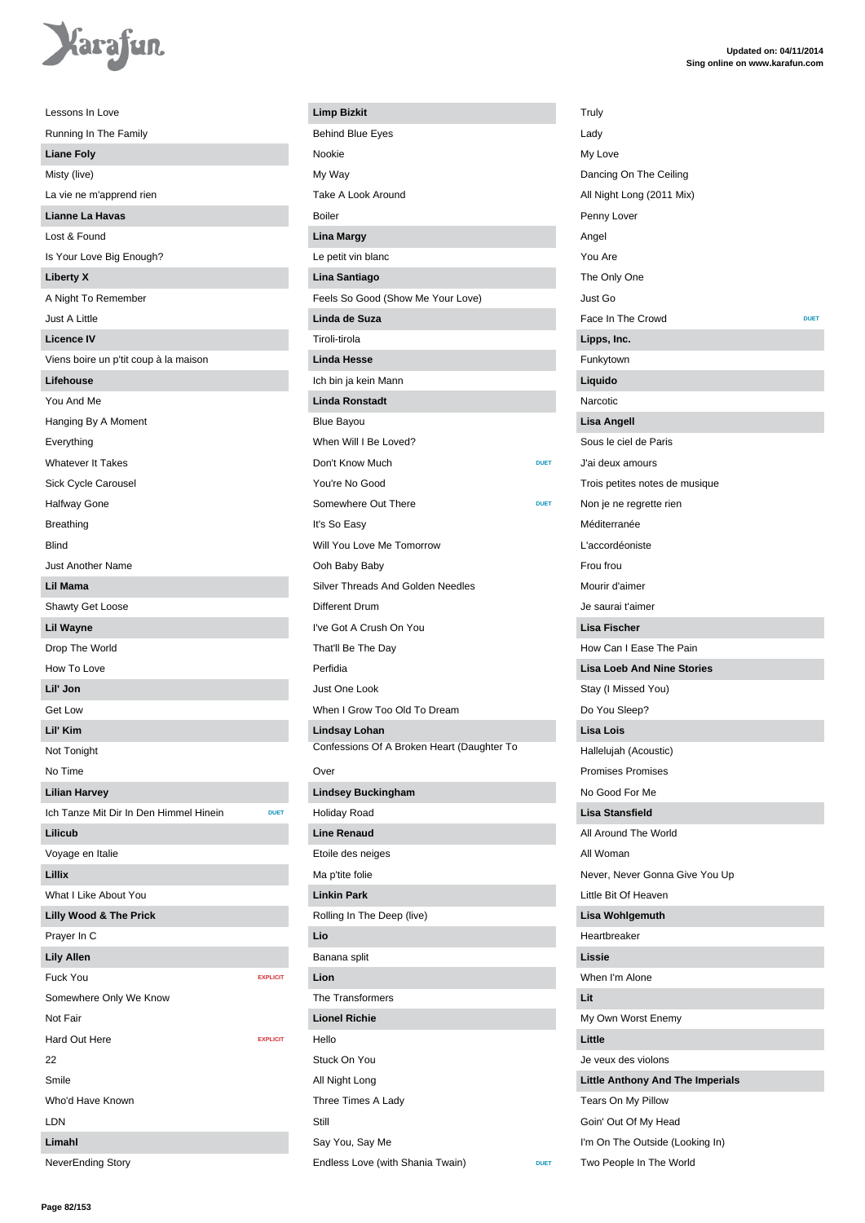

| Lessons In Love                                       |
|-------------------------------------------------------|
| Running In The Family                                 |
| <b>Liane Foly</b>                                     |
| Misty (live)                                          |
| La vie ne m'apprend rien                              |
| Lianne La Havas                                       |
| Lost & Found                                          |
| Is Your Love Big Enough?                              |
| <b>Liberty X</b>                                      |
| A Night To Remember                                   |
| <b>Just A Little</b>                                  |
| <b>Licence IV</b>                                     |
| Viens boire un p'tit coup à la maison                 |
| Lifehouse                                             |
| You And Me                                            |
| Hanging By A Moment                                   |
| Everything                                            |
| <b>Whatever It Takes</b>                              |
| Sick Cycle Carousel                                   |
| <b>Halfway Gone</b>                                   |
| Breathing                                             |
| <b>Blind</b>                                          |
| <b>Just Another Name</b>                              |
|                                                       |
| Lil Mama                                              |
| <b>Shawty Get Loose</b>                               |
| <b>Lil Wayne</b>                                      |
| Drop The World                                        |
| How To Love                                           |
| Lil' Jon                                              |
| Get Low                                               |
| Lil' Kim                                              |
| Not Tonight                                           |
| No Time                                               |
| <b>Lilian Harvey</b>                                  |
| Ich Tanze Mit Dir In Den Himmel Hinein<br><b>DUET</b> |
| Lilicub                                               |
| Voyage en Italie                                      |
| Lillix                                                |
| What I Like About You                                 |
| Lilly Wood & The Prick                                |
| Prayer In C                                           |
| <b>Lily Allen</b>                                     |
| Fuck You<br><b>EXPLICIT</b>                           |
| Somewhere Only We Know                                |
| Not Fair                                              |
| <b>Hard Out Here</b><br><b>EXPLICIT</b>               |
| 22                                                    |
| Smile                                                 |
| Who'd Have Known                                      |
| LDN                                                   |
| Limahl                                                |
| NeverEnding Story                                     |

| <b>Limp Bizkit</b>                         |             |
|--------------------------------------------|-------------|
| <b>Behind Blue Eyes</b>                    |             |
| Nookie                                     |             |
| My Way                                     |             |
| Take A Look Around                         |             |
| <b>Boiler</b>                              |             |
| Lina Margy                                 |             |
| Le petit vin blanc                         |             |
| Lina Santiago                              |             |
| Feels So Good (Show Me Your Love)          |             |
| Linda de Suza                              |             |
| Tiroli-tirola                              |             |
| <b>Linda Hesse</b>                         |             |
| Ich bin ja kein Mann                       |             |
| <b>Linda Ronstadt</b>                      |             |
| <b>Blue Bayou</b>                          |             |
| When Will I Be Loved?                      |             |
| Don't Know Much                            | <b>DUET</b> |
| You're No Good                             |             |
| Somewhere Out There                        | <b>DUET</b> |
| It's So Easy                               |             |
| Will You Love Me Tomorrow                  |             |
| Ooh Baby Baby                              |             |
| <b>Silver Threads And Golden Needles</b>   |             |
| Different Drum                             |             |
| I've Got A Crush On You                    |             |
| That'll Be The Day                         |             |
| Perfidia                                   |             |
| Just One Look                              |             |
| When I Grow Too Old To Dream               |             |
| Lindsay Lohan                              |             |
| Confessions Of A Broken Heart (Daughter To |             |
| Over                                       |             |
| <b>Lindsey Buckingham</b>                  |             |
| Holiday Road                               |             |
| <b>Line Renaud</b>                         |             |
| Etoile des neiges                          |             |
| Ma p'tite folie                            |             |
| <b>Linkin Park</b>                         |             |
| Rolling In The Deep (live)                 |             |
| Lio                                        |             |
| Banana split                               |             |
| Lion                                       |             |
| The Transformers                           |             |
| <b>Lionel Richie</b>                       |             |
| Hello                                      |             |
| Stuck On You                               |             |
| All Night Long                             |             |
| Three Times A Lady                         |             |
| Still                                      |             |
| Say You, Say Me                            |             |
| Endless Love (with Shania Twain)           | <b>DUET</b> |
|                                            |             |

| Truly                                   |             |
|-----------------------------------------|-------------|
| Lady                                    |             |
| My Love                                 |             |
| Dancing On The Ceiling                  |             |
| All Night Long (2011 Mix)               |             |
| Penny Lover                             |             |
| Angel                                   |             |
| You Are                                 |             |
| The Only One                            |             |
| Just Go                                 |             |
| Face In The Crowd                       | <b>DUET</b> |
| Lipps, Inc.                             |             |
| Funkytown                               |             |
| Liquido                                 |             |
| Narcotic                                |             |
| <b>Lisa Angell</b>                      |             |
| Sous le ciel de Paris                   |             |
| J'ai deux amours                        |             |
| Trois petites notes de musique          |             |
| Non je ne regrette rien                 |             |
| Méditerranée                            |             |
| L'accordéoniste                         |             |
| Frou frou                               |             |
| Mourir d'aimer                          |             |
| Je saurai t'aimer                       |             |
| <b>Lisa Fischer</b>                     |             |
| How Can I Ease The Pain                 |             |
| <b>Lisa Loeb And Nine Stories</b>       |             |
| Stay (I Missed You)                     |             |
| Do You Sleep?                           |             |
| Lisa Lois                               |             |
| Hallelujah (Acoustic)                   |             |
| <b>Promises Promises</b>                |             |
| No Good For Me                          |             |
| <b>Lisa Stansfield</b>                  |             |
| All Around The World                    |             |
| All Woman                               |             |
| Never, Never Gonna Give You Up          |             |
| Little Bit Of Heaven                    |             |
| <b>Lisa Wohlgemuth</b>                  |             |
| Heartbreaker                            |             |
| Lissie                                  |             |
| When I'm Alone                          |             |
| Lit                                     |             |
| My Own Worst Enemy                      |             |
| Little                                  |             |
| Je veux des violons                     |             |
| <b>Little Anthony And The Imperials</b> |             |
| Tears On My Pillow                      |             |
| Goin' Out Of My Head                    |             |
| I'm On The Outside (Looking In)         |             |
| Two People In The World                 |             |
|                                         |             |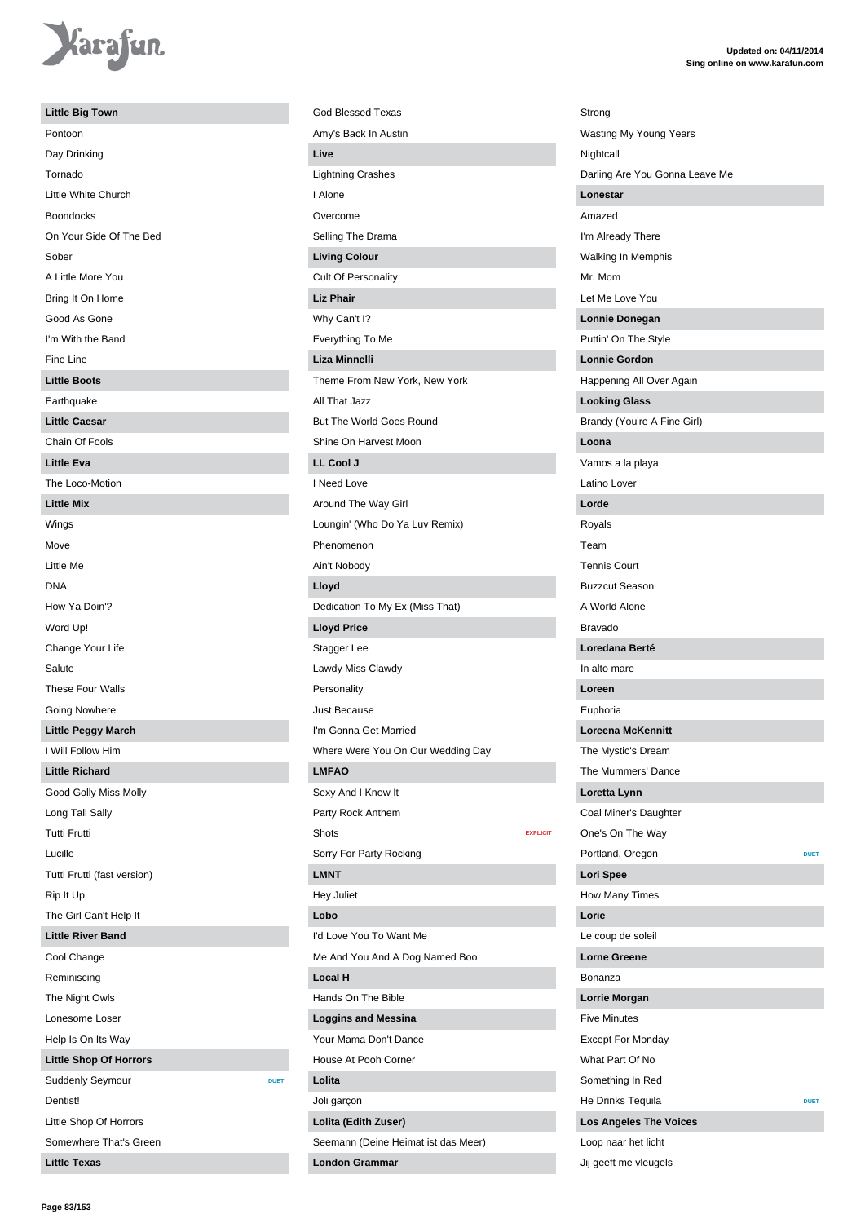

| <b>Little Big Town</b>                             |             |
|----------------------------------------------------|-------------|
| Pontoon                                            |             |
| Day Drinking                                       |             |
| Tornado                                            |             |
| Little White Church                                |             |
| <b>Boondocks</b>                                   |             |
| On Your Side Of The Bed                            |             |
| Sober                                              |             |
| A Little More You                                  |             |
| Bring It On Home                                   |             |
| Good As Gone                                       |             |
| I'm With the Band                                  |             |
| Fine Line                                          |             |
| <b>Little Boots</b>                                |             |
| Earthquake                                         |             |
| <b>Little Caesar</b>                               |             |
| Chain Of Fools                                     |             |
| <b>Little Eva</b>                                  |             |
| The Loco-Motion                                    |             |
| <b>Little Mix</b>                                  |             |
| Wings                                              |             |
| Move                                               |             |
| Little Me                                          |             |
| <b>DNA</b>                                         |             |
| How Ya Doin'?                                      |             |
| Word Up!                                           |             |
| Change Your Life                                   |             |
| Salute                                             |             |
| <b>These Four Walls</b>                            |             |
| <b>Going Nowhere</b>                               |             |
| <b>Little Peggy March</b>                          |             |
| I Will Follow Him                                  |             |
| <b>Little Richard</b>                              |             |
| Good Golly Miss Molly                              |             |
| Long Tall Sally<br><b>Tutti Frutti</b>             |             |
| Lucille                                            |             |
|                                                    |             |
| Tutti Frutti (fast version)                        |             |
| Rip It Up                                          |             |
| The Girl Can't Help It<br><b>Little River Band</b> |             |
|                                                    |             |
| Cool Change<br>Reminiscing                         |             |
| The Night Owls                                     |             |
| Lonesome Loser                                     |             |
| Help Is On Its Way                                 |             |
| <b>Little Shop Of Horrors</b>                      |             |
| <b>Suddenly Seymour</b>                            | <b>DUET</b> |
| Dentist!                                           |             |
| Little Shop Of Horrors                             |             |
| Somewhere That's Green                             |             |
| <b>Little Texas</b>                                |             |

God Blessed Texas Amy's Back In Austin **Live** Lightning Crashes I Alone Overcome Selling The Drama **Living Colour** Cult Of Personality **Liz Phair** Why Can't I? Everything To Me **Liza Minnelli** Theme From New York, New York All That Jazz But The World Goes Round Shine On Harvest Moon **LL Cool J** I Need Love Around The Way Girl Loungin' (Who Do Ya Luv Remix) Phenomenon Ain't Nobody **Lloyd** Dedication To My Ex (Miss That) **Lloyd Price** Stagger Lee Lawdy Miss Clawdy Personality Just Because I'm Gonna Get Married Where Were You On Our Wedding Day **LMFAO** Sexy And I Know It Party Rock Anthem **Shots** EXPLICIT Sorry For Party Rocking **LMNT** Hey Juliet **Lobo** I'd Love You To Want Me Me And You And A Dog Named Boo **Local H** Hands On The Bible **Loggins and Messina** Your Mama Don't Dance House At Pooh Corner **Lolita** Joli garçon **Lolita (Edith Zuser)** Seemann (Deine Heimat ist das Meer) **London Grammar**

Strong Wasting My Young Years Nightcall Darling Are You Gonna Leave Me **Lonestar** Amazed I'm Already There Walking In Memphis Mr. Mom Let Me Love You **Lonnie Donegan** Puttin' On The Style **Lonnie Gordon** Happening All Over Again **Looking Glass** Brandy (You're A Fine Girl) **Loona** Vamos a la playa Latino Lover **Lorde** Royals Team Tennis Court Buzzcut Season A World Alone Bravado **Loredana Berté** In alto mare **Loreen** Euphoria **Loreena McKennitt** The Mystic's Dream The Mummers' Dance **Loretta Lynn** Coal Miner's Daughter One's On The Way Portland, Oregon **DUET Lori Spee** How Many Times **Lorie** Le coup de soleil **Lorne Greene** Bonanza **Lorrie Morgan** Five Minutes Except For Monday What Part Of No Something In Red **He Drinks Tequila Los Angeles The Voices** Loop naar het licht Jij geeft me vleugels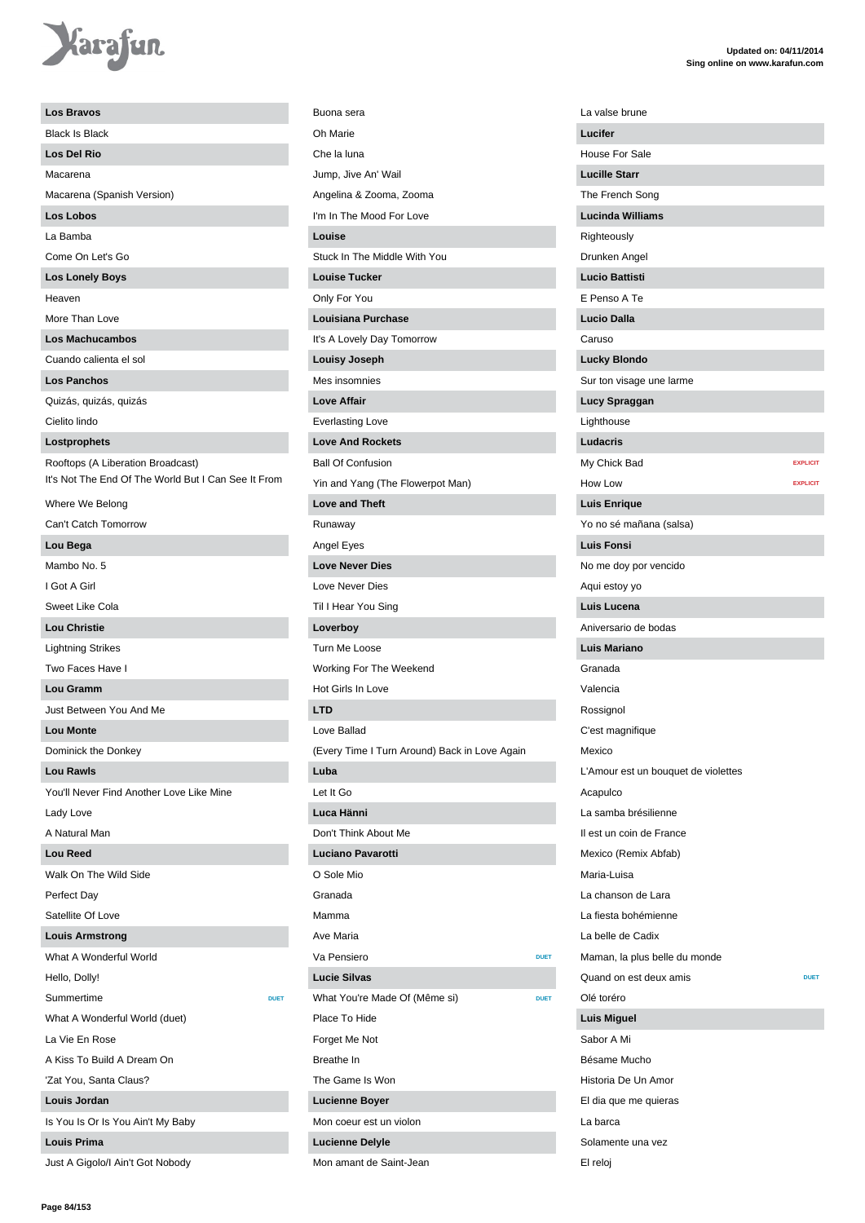

| <b>Los Bravos</b>                                                                        |
|------------------------------------------------------------------------------------------|
| <b>Black Is Black</b>                                                                    |
| <b>Los Del Rio</b>                                                                       |
| Macarena                                                                                 |
| Macarena (Spanish Version)                                                               |
| Los Lobos                                                                                |
| La Bamba                                                                                 |
| Come On Let's Go                                                                         |
| <b>Los Lonely Boys</b>                                                                   |
| Heaven                                                                                   |
| More Than Love                                                                           |
| <b>Los Machucambos</b>                                                                   |
| Cuando calienta el sol                                                                   |
| <b>Los Panchos</b>                                                                       |
| Quizás, quizás, quizás                                                                   |
| Cielito lindo                                                                            |
| Lostprophets                                                                             |
| Rooftops (A Liberation Broadcast)<br>It's Not The End Of The World But I Can See It From |
| Where We Belong                                                                          |
| Can't Catch Tomorrow                                                                     |
| Lou Bega                                                                                 |
| Mambo No. 5                                                                              |
| I Got A Girl                                                                             |
| Sweet Like Cola                                                                          |
| <b>Lou Christie</b>                                                                      |
| <b>Lightning Strikes</b>                                                                 |
| Two Faces Have I                                                                         |
| Lou Gramm                                                                                |
| Just Between You And Me                                                                  |
| <b>Lou Monte</b>                                                                         |
| Dominick the Donkey                                                                      |
| <b>Lou Rawls</b>                                                                         |
| You'll Never Find Another Love Like Mine                                                 |
| Lady Love                                                                                |
| A Natural Man                                                                            |
| <b>Lou Reed</b>                                                                          |
| Walk On The Wild Side                                                                    |
| Perfect Day                                                                              |
| Satellite Of Love                                                                        |
| <b>Louis Armstrong</b>                                                                   |
| What A Wonderful World                                                                   |
| Hello, Dolly!                                                                            |
| Summertime<br><b>DUET</b>                                                                |
| What A Wonderful World (duet)                                                            |
| La Vie En Rose                                                                           |
| A Kiss To Build A Dream On                                                               |
| 'Zat You, Santa Claus?                                                                   |
| Louis Jordan                                                                             |
| Is You Is Or Is You Ain't My Baby                                                        |
| <b>Louis Prima</b>                                                                       |

Just A Gigolo/I Ain't Got Nobody

Buona sera Oh Marie Che la luna Jump, Jive An' Wail Angelina & Zooma, Zooma I'm In The Mood For Love **Louise** Stuck In The Middle With You **Louise Tucker** Only For You **Louisiana Purchase** It's A Lovely Day Tomorrow **Louisy Joseph** Mes insomnies **Love Affair** Everlasting Love **Love And Rockets** Ball Of Confusion Yin and Yang (The Flowerpot Man) **Love and Theft** Runaway Angel Eyes **Love Never Dies** Love Never Dies Til I Hear You Sing **Loverboy** Turn Me Loose Working For The Weekend Hot Girls In Love **LTD** Love Ballad (Every Time I Turn Around) Back in Love Again **Luba** Let It Go **Luca Hänni** Don't Think About Me **Luciano Pavarotti** O Sole Mio Granada Mamma Ave Maria Va Pensiero **DUET Lucie Silvas** What You're Made Of (Même si) **DUET** Place To Hide Forget Me Not Breathe In The Game Is Won **Lucienne Boyer** Mon coeur est un violon **Lucienne Delyle**

Mon amant de Saint-Jean

| La valse brune<br>Lucifer                  |                 |
|--------------------------------------------|-----------------|
| House For Sale                             |                 |
| <b>Lucille Starr</b>                       |                 |
|                                            |                 |
| The French Song<br><b>Lucinda Williams</b> |                 |
|                                            |                 |
| Righteously                                |                 |
| Drunken Angel                              |                 |
| <b>Lucio Battisti</b>                      |                 |
| E Penso A Te                               |                 |
| <b>Lucio Dalla</b>                         |                 |
| Caruso                                     |                 |
| <b>Lucky Blondo</b>                        |                 |
| Sur ton visage une larme                   |                 |
| Lucy Spraggan                              |                 |
| Lighthouse                                 |                 |
| Ludacris                                   |                 |
| My Chick Bad                               | <b>EXPLICIT</b> |
| How Low                                    | <b>EXPLICIT</b> |
| Luis Enrique                               |                 |
| Yo no sé mañana (salsa)                    |                 |
| <b>Luis Fonsi</b>                          |                 |
| No me doy por vencido                      |                 |
| Aqui estoy yo                              |                 |
| Luis Lucena                                |                 |
| Aniversario de bodas                       |                 |
| <b>Luis Mariano</b>                        |                 |
| Granada                                    |                 |
| Valencia                                   |                 |
| Rossignol                                  |                 |
| C'est magnifique                           |                 |
| Mexico                                     |                 |
| L'Amour est un bouquet de violettes        |                 |
| Acapulco                                   |                 |
| La samba brésilienne                       |                 |
| Il est un coin de France                   |                 |
| Mexico (Remix Abfab)                       |                 |
| Maria-Luisa                                |                 |
| La chanson de Lara                         |                 |
| La fiesta bohémienne                       |                 |
| La belle de Cadix                          |                 |
| Maman, la plus belle du monde              |                 |
| Quand on est deux amis                     | <b>DUET</b>     |
| Olé toréro                                 |                 |
| <b>Luis Miguel</b>                         |                 |
| Sabor A Mi                                 |                 |
| Bésame Mucho                               |                 |
| Historia De Un Amor                        |                 |
| El dia que me quieras                      |                 |
| La barca                                   |                 |
| Solamente una vez                          |                 |
| El reloj                                   |                 |
|                                            |                 |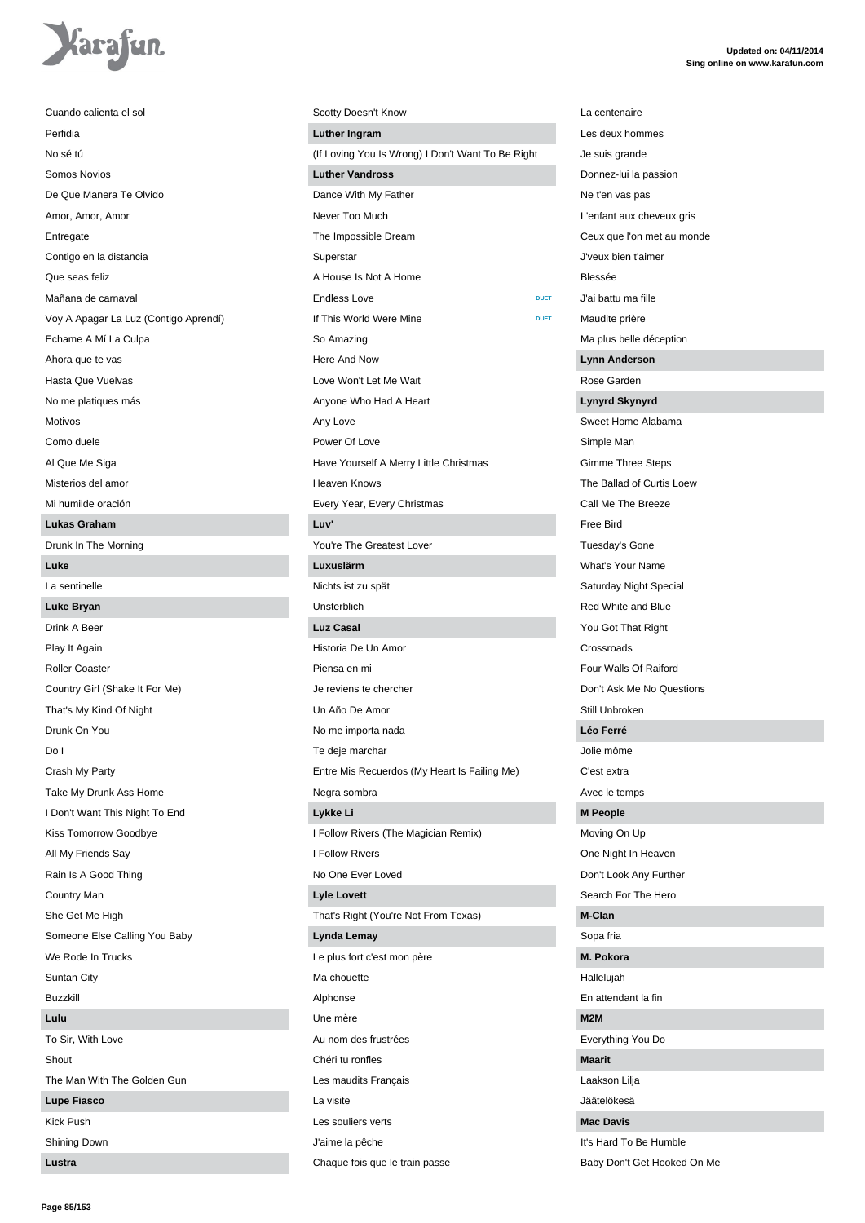

| Cuando calienta el sol                |
|---------------------------------------|
| Perfidia                              |
| No sé tú                              |
| <b>Somos Novios</b>                   |
| De Que Manera Te Olvido               |
| Amor, Amor, Amor                      |
| Entregate                             |
| Contigo en la distancia               |
| Que seas feliz                        |
| Mañana de carnaval                    |
| Voy A Apagar La Luz (Contigo Aprendí) |
| Echame A Mí La Culpa                  |
| Ahora que te vas                      |
| Hasta Que Vuelvas                     |
| No me platiques más                   |
| <b>Motivos</b>                        |
| Como duele                            |
| Al Que Me Siga                        |
| Misterios del amor                    |
| Mi humilde oración                    |
| <b>Lukas Graham</b>                   |
| Drunk In The Morning                  |
| Luke                                  |
| La sentinelle                         |
| Luke Bryan                            |
| Drink A Beer                          |
| Play It Again                         |
| <b>Roller Coaster</b>                 |
| Country Girl (Shake It For Me)        |
| That's My Kind Of Night               |
| Drunk On You                          |
| Do I                                  |
| Crash My Party                        |
| Take My Drunk Ass Home                |
| I Don't Want This Night To End        |
| Kiss Tomorrow Goodbye                 |
| All My Friends Say                    |
| Rain Is A Good Thing                  |
| <b>Country Man</b>                    |
| She Get Me High                       |
| Someone Else Calling You Baby         |
| We Rode In Trucks                     |
| Suntan City                           |
| <b>Buzzkill</b>                       |
| Lulu                                  |
| To Sir, With Love                     |
| Shout                                 |
| The Man With The Golden Gun           |
| Lupe Fiasco                           |
| <b>Kick Push</b>                      |
| Shining Down                          |
|                                       |

| Scotty Doesn't Know                               |             |
|---------------------------------------------------|-------------|
| <b>Luther Ingram</b>                              |             |
| (If Loving You Is Wrong) I Don't Want To Be Right |             |
| <b>Luther Vandross</b>                            |             |
| Dance With My Father                              |             |
| Never Too Much                                    |             |
| The Impossible Dream                              |             |
| Superstar                                         |             |
| A House Is Not A Home                             |             |
| <b>Endless Love</b>                               | <b>DUET</b> |
| If This World Were Mine                           | <b>DUET</b> |
| So Amazing                                        |             |
| Here And Now                                      |             |
| Love Won't Let Me Wait                            |             |
| Anyone Who Had A Heart                            |             |
| Any Love                                          |             |
| Power Of Love                                     |             |
| Have Yourself A Merry Little Christmas            |             |
| <b>Heaven Knows</b>                               |             |
| Every Year, Every Christmas                       |             |
| Luv'                                              |             |
| You're The Greatest Lover                         |             |
| Luxuslärm                                         |             |
| Nichts ist zu spät                                |             |
| Unsterblich                                       |             |
| Luz Casal                                         |             |
| Historia De Un Amor                               |             |
| Piensa en mi                                      |             |
| Je reviens te chercher                            |             |
| Un Año De Amor                                    |             |
| No me importa nada                                |             |
| Te deje marchar                                   |             |
| Entre Mis Recuerdos (My Heart Is Failing Me)      |             |
| Negra sombra                                      |             |
| Lykke Li                                          |             |
| I Follow Rivers (The Magician Remix)              |             |
| I Follow Rivers                                   |             |
| No One Ever Loved                                 |             |
| <b>Lyle Lovett</b>                                |             |
| That's Right (You're Not From Texas)              |             |
| Lynda Lemay                                       |             |
| Le plus fort c'est mon père                       |             |
| Ma chouette                                       |             |
| Alphonse                                          |             |
| Une mère                                          |             |
| Au nom des frustrées                              |             |
| Chéri tu ronfles                                  |             |
| Les maudits Français                              |             |
| La visite                                         |             |
| Les souliers verts                                |             |
| J'aime la pêche                                   |             |
| Chaque fois que le train passe                    |             |

La centenaire Les deux hommes Je suis grande Donnez-lui la passion Ne t'en vas pas L'enfant aux cheveux gris Ceux que l'on met au monde J'veux bien t'aimer Blessée J'ai battu ma fille Maudite prière Ma plus belle déception **Lynn Anderson** Rose Garden **Lynyrd Skynyrd** Sweet Home Alabama Simple Man Gimme Three Steps The Ballad of Curtis Loew Call Me The Breeze Free Bird Tuesday's Gone What's Your Name Saturday Night Special Red White and Blue You Got That Right Crossroads Four Walls Of Raiford Don't Ask Me No Questions Still Unbroken **Léo Ferré** Jolie môme C'est extra Avec le temps **M People** Moving On Up One Night In Heaven Don't Look Any Further Search For The Hero **M-Clan** Sopa fria **M. Pokora** Hallelujah En attendant la fin **M2M** Everything You Do **Maarit** Laakson Lilja Jäätelökesä **Mac Davis** It's Hard To Be Humble Baby Don't Get Hooked On Me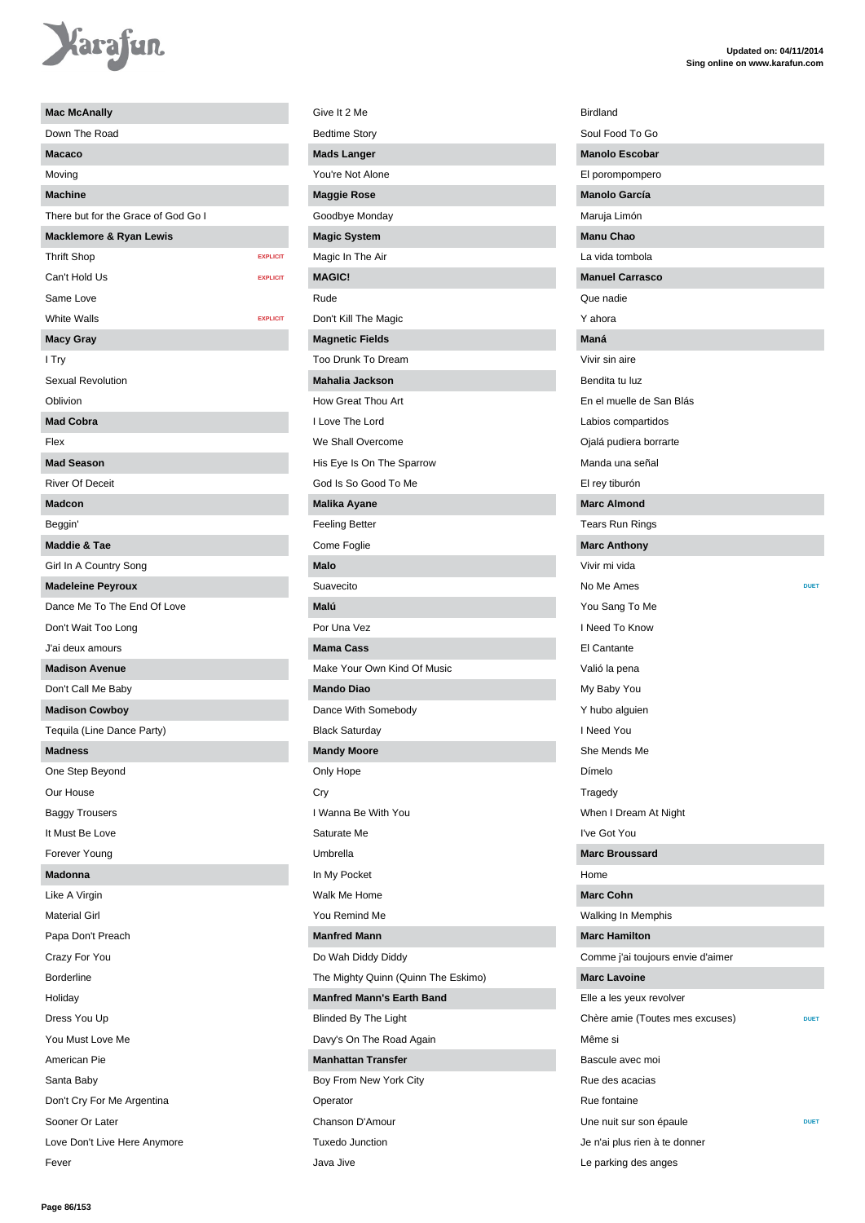

| <b>Mac McAnally</b>                   |  |
|---------------------------------------|--|
| Down The Road                         |  |
| Macaco                                |  |
| Moving                                |  |
| <b>Machine</b>                        |  |
| There but for the Grace of God Go I   |  |
| <b>Macklemore &amp; Ryan Lewis</b>    |  |
| <b>Thrift Shop</b><br><b>EXPLICIT</b> |  |
| Can't Hold Us<br><b>EXPLICIT</b>      |  |
| Same Love                             |  |
| <b>White Walls</b><br><b>EXPLICIT</b> |  |
| <b>Macy Gray</b>                      |  |
| I Try                                 |  |
| Sexual Revolution                     |  |
| Oblivion                              |  |
| <b>Mad Cobra</b>                      |  |
| Flex                                  |  |
| <b>Mad Season</b>                     |  |
| <b>River Of Deceit</b>                |  |
| <b>Madcon</b>                         |  |
| Beggin'                               |  |
| <b>Maddie &amp; Tae</b>               |  |
| Girl In A Country Song                |  |
| <b>Madeleine Peyroux</b>              |  |
| Dance Me To The End Of Love           |  |
| Don't Wait Too Long                   |  |
| J'ai deux amours                      |  |
| <b>Madison Avenue</b>                 |  |
| Don't Call Me Baby                    |  |
| <b>Madison Cowboy</b>                 |  |
| Tequila (Line Dance Party)            |  |
| <b>Madness</b>                        |  |
| One Step Beyond                       |  |
| Our House                             |  |
| <b>Baggy Trousers</b>                 |  |
| It Must Be Love                       |  |
| Forever Young                         |  |
| <b>Madonna</b>                        |  |
| Like A Virgin                         |  |
| <b>Material Girl</b>                  |  |
| Papa Don't Preach                     |  |
| Crazy For You                         |  |
| <b>Borderline</b>                     |  |
| Holiday                               |  |
| Dress You Up                          |  |
| You Must Love Me                      |  |
| American Pie                          |  |
| Santa Baby                            |  |
| Don't Cry For Me Argentina            |  |
| Sooner Or Later                       |  |
| Love Don't Live Here Anymore          |  |
| Fever                                 |  |

# Give It 2 Me Bedtime Story **Mads Langer** You're Not Alone **Maggie Rose** Goodbye Monday **Magic System** Magic In The Air **MAGIC!** Rude Don't Kill The Magic **Magnetic Fields** Too Drunk To Dream **Mahalia Jackson** How Great Thou Art I Love The Lord We Shall Overcome His Eye Is On The Sparrow God Is So Good To Me **Malika Ayane** Feeling Better Come Foglie **Malo** Suavecito **Malú** Por Una Vez **Mama Cass** Make Your Own Kind Of Music **Mando Diao** Dance With Somebody Black Saturday **Mandy Moore** Only Hope Cry I Wanna Be With You Saturate Me Umbrella In My Pocket Walk Me Home You Remind Me **Manfred Mann** Do Wah Diddy Diddy The Mighty Quinn (Quinn The Eskimo) **Manfred Mann's Earth Band** Blinded By The Light Davy's On The Road Again **Manhattan Transfer** Boy From New York City Operator Chanson D'Amour Tuxedo Junction

Java Jive

| <b>Birdland</b>                      |             |
|--------------------------------------|-------------|
| Soul Food To Go                      |             |
| <b>Manolo Escobar</b>                |             |
| El porompompero                      |             |
| <b>Manolo García</b>                 |             |
| Maruja Limón                         |             |
| <b>Manu Chao</b>                     |             |
| La vida tombola                      |             |
| <b>Manuel Carrasco</b>               |             |
| Que nadie                            |             |
| Y ahora                              |             |
| Maná                                 |             |
| Vivir sin aire                       |             |
| Bendita tu luz                       |             |
| En el muelle de San Blás             |             |
| Labios compartidos                   |             |
| Ojalá pudiera borrarte               |             |
| Manda una señal                      |             |
| El rey tiburón                       |             |
| <b>Marc Almond</b>                   |             |
|                                      |             |
| Tears Run Rings                      |             |
| <b>Marc Anthony</b><br>Vivir mi vida |             |
|                                      |             |
| No Me Ames                           | <b>DUET</b> |
| You Sang To Me<br>I Need To Know     |             |
|                                      |             |
| El Cantante                          |             |
| Valió la pena                        |             |
| My Baby You                          |             |
| Y hubo alguien                       |             |
| I Need You                           |             |
| She Mends Me                         |             |
| Dímelo                               |             |
| Tragedy                              |             |
| When I Dream At Night                |             |
| I've Got You                         |             |
| <b>Marc Broussard</b>                |             |
| Home                                 |             |
| <b>Marc Cohn</b>                     |             |
| Walking In Memphis                   |             |
| <b>Marc Hamilton</b>                 |             |
| Comme j'ai toujours envie d'aimer    |             |
| <b>Marc Lavoine</b>                  |             |
| Elle a les yeux revolver             |             |
| Chère amie (Toutes mes excuses)      | <b>DUET</b> |
| Même si                              |             |
| Bascule avec moi                     |             |
| Rue des acacias                      |             |
| Rue fontaine                         |             |
| Une nuit sur son épaule              | <b>DUET</b> |
| Je n'ai plus rien à te donner        |             |
|                                      |             |

Le parking des anges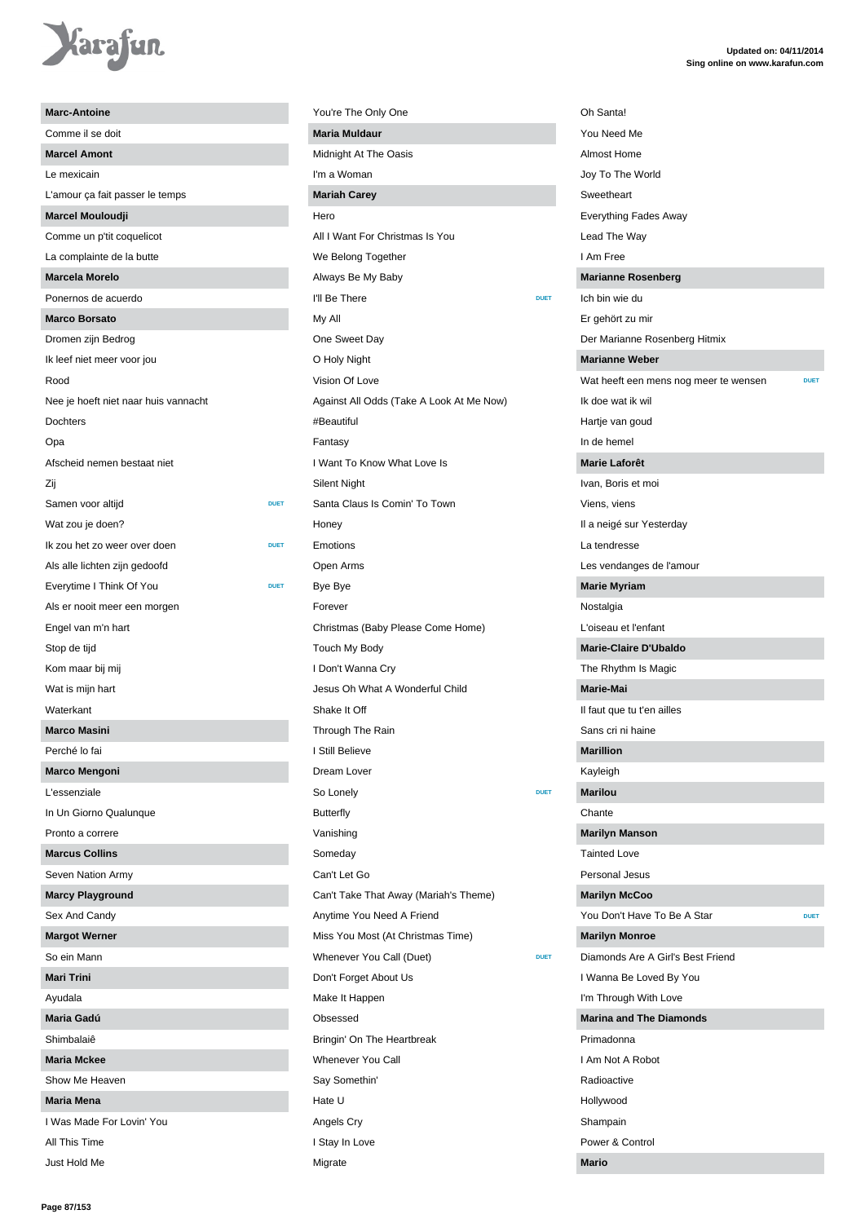

| <b>Marc-Antoine</b>                  |             |
|--------------------------------------|-------------|
| Comme il se doit                     |             |
| <b>Marcel Amont</b>                  |             |
| Le mexicain                          |             |
| L'amour ça fait passer le temps      |             |
| Marcel Mouloudji                     |             |
| Comme un p'tit coquelicot            |             |
| La complainte de la butte            |             |
| <b>Marcela Morelo</b>                |             |
| Ponernos de acuerdo                  |             |
| <b>Marco Borsato</b>                 |             |
| Dromen zijn Bedrog                   |             |
| Ik leef niet meer voor jou           |             |
| Rood                                 |             |
| Nee je hoeft niet naar huis vannacht |             |
| Dochters                             |             |
| Opa                                  |             |
| Afscheid nemen bestaat niet          |             |
| Ζij                                  |             |
| Samen voor altijd                    | <b>DUET</b> |
| Wat zou je doen?                     |             |
| Ik zou het zo weer over doen         | <b>DUET</b> |
| Als alle lichten zijn gedoofd        |             |
| Everytime I Think Of You             | <b>DUET</b> |
| Als er nooit meer een morgen         |             |
| Engel van m'n hart                   |             |
| Stop de tijd                         |             |
| Kom maar bij mij                     |             |
| Wat is mijn hart                     |             |
| Waterkant                            |             |
| <b>Marco Masini</b>                  |             |
| Perché lo fai                        |             |
| <b>Marco Mengoni</b>                 |             |
| L'essenziale                         |             |
| In Un Giorno Qualunque               |             |
| Pronto a correre                     |             |
| <b>Marcus Collins</b>                |             |
| Seven Nation Army                    |             |
| <b>Marcy Playground</b>              |             |
| Sex And Candy                        |             |
| <b>Margot Werner</b>                 |             |
| So ein Mann                          |             |
| <b>Mari Trini</b>                    |             |
| Ayudala                              |             |
| Maria Gadú                           |             |
| Shimbalaiê                           |             |
| <b>Maria Mckee</b>                   |             |
| Show Me Heaven                       |             |
| <b>Maria Mena</b>                    |             |
| I Was Made For Lovin' You            |             |
| All This Time                        |             |
| Just Hold Me                         |             |

You're The Only One **Maria Muldaur** Midnight At The Oasis I'm a Woman **Mariah Carey** Hero All I Want For Christmas Is You We Belong Together Always Be My Baby **I'll Be There DUET** My All One Sweet Day O Holy Night Vision Of Love Against All Odds (Take A Look At Me Now) #Beautiful Fantasy I Want To Know What Love Is Silent Night Santa Claus Is Comin' To Town **Honey** Emotions Open Arms Bye Bye Forever Christmas (Baby Please Come Home) Touch My Body I Don't Wanna Cry Jesus Oh What A Wonderful Child Shake It Off Through The Rain I Still Believe Dream Lover So Lonely **DUET** Butterfly Vanishing Someday Can't Let Go Can't Take That Away (Mariah's Theme) Anytime You Need A Friend Miss You Most (At Christmas Time) Whenever You Call (Duet) **DUET** Don't Forget About Us Make It Happen Obsessed Bringin' On The Heartbreak Whenever You Call Say Somethin' Hate U Angels Cry I Stay In Love Migrate

Oh Santa! You Need Me Almost Home Joy To The World Sweetheart Everything Fades Away Lead The Way I Am Free **Marianne Rosenberg** Ich bin wie du Er gehört zu mir Der Marianne Rosenberg Hitmix **Marianne Weber** Wat heeft een mens nog meer te wensen Ik doe wat ik wil Hartje van goud In de hemel **Marie Laforêt** Ivan, Boris et moi Viens, viens Il a neigé sur Yesterday La tendresse Les vendanges de l'amour **Marie Myriam** Nostalgia L'oiseau et l'enfant **Marie-Claire D'Ubaldo** The Rhythm Is Magic **Marie-Mai** Il faut que tu t'en ailles Sans cri ni haine **Marillion** Kayleigh **Marilou** Chante **Marilyn Manson** Tainted Love Personal Jesus **Marilyn McCoo You Don't Have To Be A Star <b>DUET** DUET **Marilyn Monroe** Diamonds Are A Girl's Best Friend I Wanna Be Loved By You I'm Through With Love **Marina and The Diamonds** Primadonna I Am Not A Robot Radioactive Hollywood Shampain Power & Control **Mario**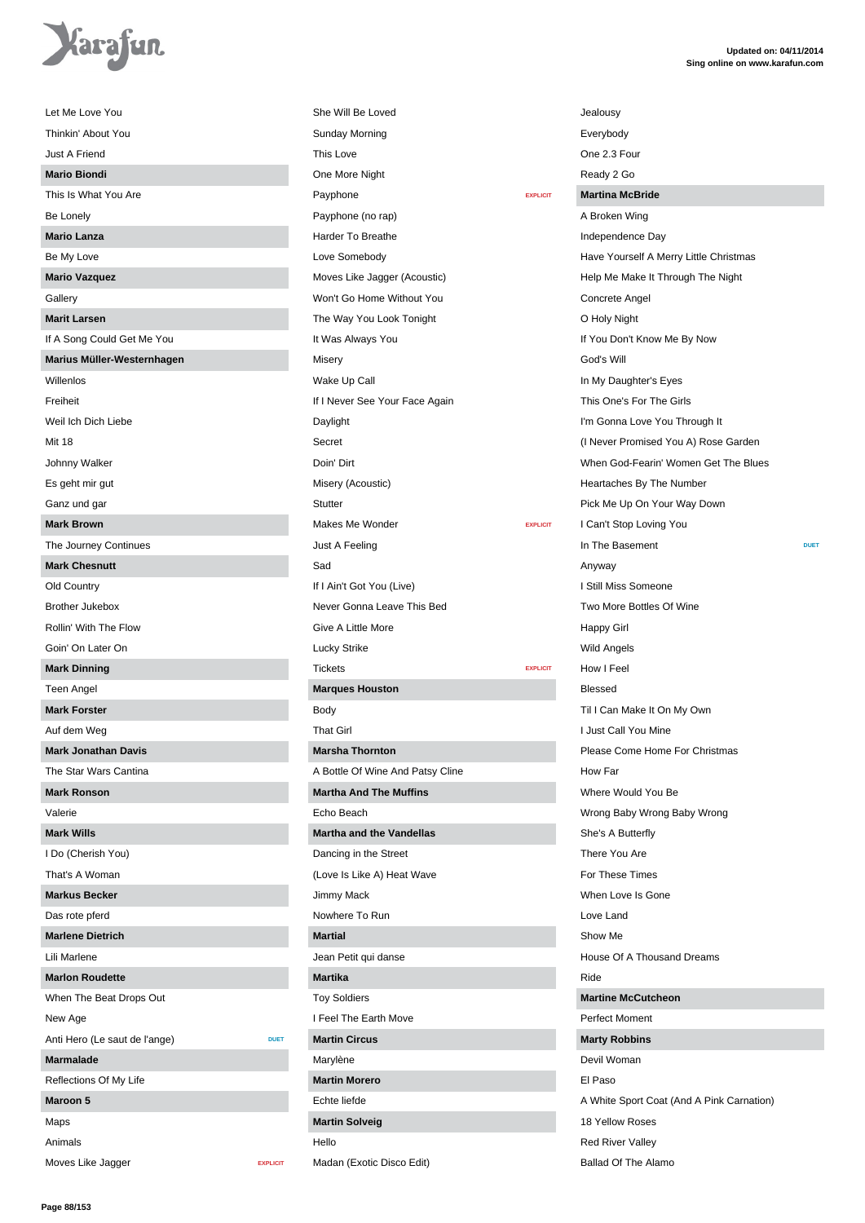

| Let Me Love You                              |
|----------------------------------------------|
| Thinkin' About You                           |
| <b>Just A Friend</b>                         |
| <b>Mario Biondi</b>                          |
| This Is What You Are                         |
| <b>Be Lonely</b>                             |
| <b>Mario Lanza</b>                           |
| Be My Love                                   |
| <b>Mario Vazquez</b>                         |
| Gallery                                      |
| <b>Marit Larsen</b>                          |
| If A Song Could Get Me You                   |
| Marius Müller-Westernhagen                   |
| Willenlos                                    |
| Freiheit                                     |
| Weil Ich Dich Liebe                          |
| Mit 18                                       |
| Johnny Walker                                |
| Es geht mir gut                              |
| Ganz und gar                                 |
| <b>Mark Brown</b>                            |
| The Journey Continues                        |
| <b>Mark Chesnutt</b>                         |
| <b>Old Country</b>                           |
| <b>Brother Jukebox</b>                       |
| Rollin' With The Flow                        |
| Goin' On Later On                            |
| <b>Mark Dinning</b>                          |
| Teen Angel                                   |
| <b>Mark Forster</b>                          |
| Auf dem Weg                                  |
| <b>Mark Jonathan Davis</b>                   |
| The Star Wars Cantina                        |
| <b>Mark Ronson</b>                           |
| Valerie                                      |
| <b>Mark Wills</b>                            |
| I Do (Cherish You)                           |
| That's A Woman                               |
| <b>Markus Becker</b>                         |
| Das rote pferd                               |
| <b>Marlene Dietrich</b>                      |
| Lili Marlene                                 |
| <b>Marlon Roudette</b>                       |
| When The Beat Drops Out                      |
| New Age                                      |
| Anti Hero (Le saut de l'ange)<br><b>DUET</b> |
| <b>Marmalade</b>                             |
| Reflections Of My Life                       |
| Maroon 5                                     |
| Maps                                         |
| Animals                                      |
| Moves Like Jagger<br><b>EXPLICIT</b>         |

She Will Be Loved Sunday Morning This Love One More Night **Payphone** Payphone (no rap) Harder To Breathe Love Somebody Moves Like Jagger (Acoustic) Won't Go Home Without You The Way You Look Tonight It Was Always You Misery Wake Up Call If I Never See Your Face Again Daylight Secret Doin' Dirt Misery (Acoustic) Stutter **Makes Me Wonder** Just A Feeling Sad If I Ain't Got You (Live) Never Gonna Leave This Bed Give A Little More Lucky Strike **Tickets Marques Houston** Body That Girl **Marsha Thornton** A Bottle Of Wine And Patsy Cline **Martha And The Muffins** Echo Beach **Martha and the Vandellas** Dancing in the Street (Love Is Like A) Heat Wave Jimmy Mack Nowhere To Run **Martial** Jean Petit qui danse **Martika** Toy Soldiers I Feel The Earth Move **Martin Circus** Marylène **Martin Morero** Echte liefde **Martin Solveig** Hello Madan (Exotic Disco Edit)

|                 | Jealousy                                  |             |
|-----------------|-------------------------------------------|-------------|
|                 | Everybody                                 |             |
|                 | One 2.3 Four                              |             |
|                 | Ready 2 Go                                |             |
| <b>EXPLICIT</b> | <b>Martina McBride</b>                    |             |
|                 | A Broken Wing                             |             |
|                 | Independence Day                          |             |
|                 | Have Yourself A Merry Little Christmas    |             |
|                 | Help Me Make It Through The Night         |             |
|                 | Concrete Angel                            |             |
|                 | O Holy Night                              |             |
|                 | If You Don't Know Me By Now               |             |
|                 | God's Will                                |             |
|                 | In My Daughter's Eyes                     |             |
|                 | This One's For The Girls                  |             |
|                 | I'm Gonna Love You Through It             |             |
|                 | (I Never Promised You A) Rose Garden      |             |
|                 | When God-Fearin' Women Get The Blues      |             |
|                 | Heartaches By The Number                  |             |
|                 | Pick Me Up On Your Way Down               |             |
| <b>EXPLICIT</b> | I Can't Stop Loving You                   |             |
|                 | In The Basement                           | <b>DUET</b> |
|                 | Anyway                                    |             |
|                 | I Still Miss Someone                      |             |
|                 | Two More Bottles Of Wine                  |             |
|                 | Happy Girl                                |             |
|                 | Wild Angels                               |             |
| <b>EXPLICIT</b> | How I Feel                                |             |
|                 | Blessed                                   |             |
|                 | Til I Can Make It On My Own               |             |
|                 | I Just Call You Mine                      |             |
|                 | Please Come Home For Christmas            |             |
|                 | How Far                                   |             |
|                 | Where Would You Be                        |             |
|                 | Wrong Baby Wrong Baby Wrong               |             |
|                 | She's A Butterfly                         |             |
|                 | There You Are                             |             |
|                 | For These Times                           |             |
|                 | When Love Is Gone                         |             |
|                 | Love Land                                 |             |
|                 | Show Me                                   |             |
|                 | House Of A Thousand Dreams                |             |
|                 | Ride                                      |             |
|                 | <b>Martine McCutcheon</b>                 |             |
|                 | <b>Perfect Moment</b>                     |             |
|                 | <b>Marty Robbins</b>                      |             |
|                 | Devil Woman                               |             |
|                 | El Paso                                   |             |
|                 | A White Sport Coat (And A Pink Carnation) |             |
|                 | 18 Yellow Roses                           |             |
|                 | <b>Red River Valley</b>                   |             |

Ballad Of The Alamo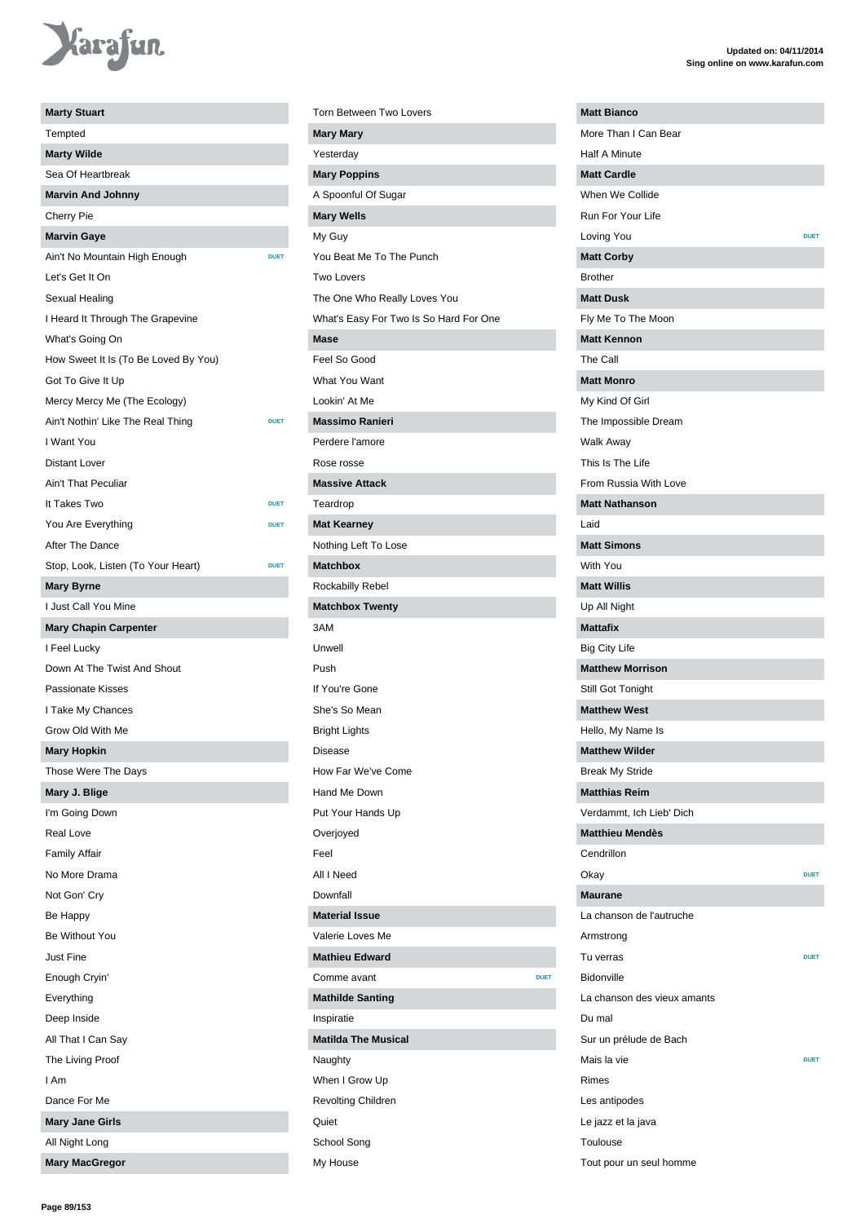

| <b>Marty Stuart</b>                  |             |
|--------------------------------------|-------------|
| Tempted                              |             |
| <b>Marty Wilde</b>                   |             |
| Sea Of Heartbreak                    |             |
| <b>Marvin And Johnny</b>             |             |
| Cherry Pie                           |             |
| <b>Marvin Gaye</b>                   |             |
| Ain't No Mountain High Enough        | <b>DUET</b> |
| Let's Get It On                      |             |
| Sexual Healing                       |             |
| I Heard It Through The Grapevine     |             |
| What's Going On                      |             |
| How Sweet It Is (To Be Loved By You) |             |
| Got To Give It Up                    |             |
| Mercy Mercy Me (The Ecology)         |             |
| Ain't Nothin' Like The Real Thing    | <b>DUET</b> |
| I Want You                           |             |
| <b>Distant Lover</b>                 |             |
| <b>Ain't That Peculiar</b>           |             |
| It Takes Two                         | <b>DUET</b> |
| You Are Everything                   | <b>DUET</b> |
| After The Dance                      |             |
| Stop, Look, Listen (To Your Heart)   | <b>DUET</b> |
| <b>Mary Byrne</b>                    |             |
| I Just Call You Mine                 |             |
| <b>Mary Chapin Carpenter</b>         |             |
| I Feel Lucky                         |             |
| Down At The Twist And Shout          |             |
| <b>Passionate Kisses</b>             |             |
| I Take My Chances                    |             |
| Grow Old With Me                     |             |
| <b>Mary Hopkin</b>                   |             |
| Those Were The Days                  |             |
| Mary J. Blige                        |             |
| I'm Going Down                       |             |
| <b>Real Love</b>                     |             |
| Family Affair                        |             |
| No More Drama                        |             |
| Not Gon' Cry                         |             |
| Be Happy                             |             |
| <b>Be Without You</b>                |             |
| Just Fine                            |             |
| Enough Cryin'                        |             |
| Everything                           |             |
| Deep Inside                          |             |
| All That I Can Say                   |             |
| The Living Proof                     |             |
| I Am                                 |             |
| Dance For Me                         |             |
| <b>Mary Jane Girls</b>               |             |
| All Night Long                       |             |
| <b>Mary MacGregor</b>                |             |

| Torn Between Two Lovers                |
|----------------------------------------|
| <b>Mary Mary</b>                       |
| Yesterday                              |
| <b>Mary Poppins</b>                    |
| A Spoonful Of Sugar                    |
| <b>Mary Wells</b>                      |
| My Guy                                 |
| You Beat Me To The Punch               |
| <b>Two Lovers</b>                      |
| The One Who Really Loves You           |
| What's Easy For Two Is So Hard For One |
| <b>Mase</b>                            |
| Feel So Good                           |
| What You Want                          |
| Lookin' At Me                          |
| <b>Massimo Ranieri</b>                 |
| Perdere l'amore                        |
| Rose rosse                             |
| <b>Massive Attack</b>                  |
| Teardrop                               |
| <b>Mat Kearney</b>                     |
| Nothing Left To Lose                   |
| <b>Matchbox</b>                        |
| Rockabilly Rebel                       |
| <b>Matchbox Twenty</b>                 |
| 3AM                                    |
| Unwell                                 |
| Push                                   |
| If You're Gone                         |
| She's So Mean                          |
| <b>Bright Lights</b>                   |
| <b>Disease</b>                         |
| How Far We've Come                     |
| Hand Me Down                           |
| Put Your Hands Up                      |
| Overjoyed                              |
| Feel                                   |
| All I Need                             |
| Downfall                               |
| <b>Material Issue</b>                  |
| Valerie Loves Me                       |
| <b>Mathieu Edward</b>                  |
| Comme avant<br><b>DUET</b>             |
| <b>Mathilde Santing</b>                |
| Inspiratie                             |
| <b>Matilda The Musical</b>             |
| Naughty                                |
| When I Grow Up                         |
| <b>Revolting Children</b>              |
| Quiet                                  |
| School Song                            |
|                                        |

My House

| <b>Matt Bianco</b>          |             |
|-----------------------------|-------------|
| More Than I Can Bear        |             |
| <b>Half A Minute</b>        |             |
| <b>Matt Cardle</b>          |             |
| When We Collide             |             |
| Run For Your Life           |             |
| Loving You                  | <b>DUET</b> |
| <b>Matt Corby</b>           |             |
| <b>Brother</b>              |             |
| <b>Matt Dusk</b>            |             |
| Fly Me To The Moon          |             |
| <b>Matt Kennon</b>          |             |
| The Call                    |             |
| <b>Matt Monro</b>           |             |
| My Kind Of Girl             |             |
| The Impossible Dream        |             |
| <b>Walk Away</b>            |             |
| This Is The Life            |             |
| From Russia With Love       |             |
| <b>Matt Nathanson</b>       |             |
| Laid                        |             |
| <b>Matt Simons</b>          |             |
| With You                    |             |
| <b>Matt Willis</b>          |             |
| Up All Night                |             |
| <b>Mattafix</b>             |             |
| <b>Big City Life</b>        |             |
| <b>Matthew Morrison</b>     |             |
| Still Got Tonight           |             |
| <b>Matthew West</b>         |             |
| Hello, My Name Is           |             |
| <b>Matthew Wilder</b>       |             |
| <b>Break My Stride</b>      |             |
| <b>Matthias Reim</b>        |             |
| Verdammt, Ich Lieb' Dich    |             |
| <b>Matthieu Mendès</b>      |             |
| Cendrillon                  |             |
| Okay                        | <b>DUET</b> |
| <b>Maurane</b>              |             |
| La chanson de l'autruche    |             |
| Armstrong                   |             |
| Tu verras                   | <b>DUET</b> |
| Bidonville                  |             |
| La chanson des vieux amants |             |
| Du mal                      |             |
| Sur un prélude de Bach      |             |
| Mais la vie                 | <b>DUET</b> |
| Rimes                       |             |
| Les antipodes               |             |
| Le jazz et la java          |             |
| Toulouse                    |             |
| Tout pour un seul homme     |             |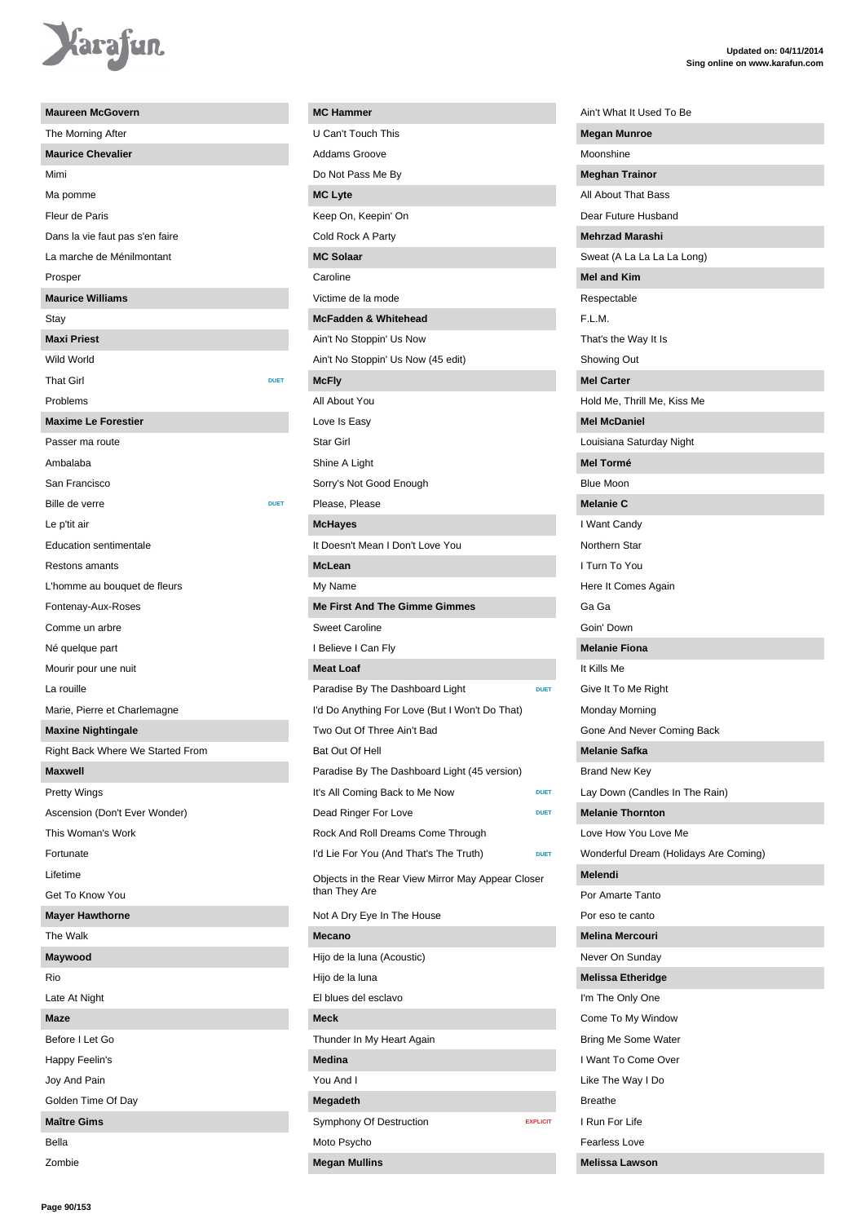

| <b>Maureen McGovern</b>                          |             |
|--------------------------------------------------|-------------|
| The Morning After                                |             |
| <b>Maurice Chevalier</b>                         |             |
| Mimi                                             |             |
| Ma pomme                                         |             |
| Fleur de Paris                                   |             |
| Dans la vie faut pas s'en faire                  |             |
| La marche de Ménilmontant                        |             |
| Prosper                                          |             |
| <b>Maurice Williams</b>                          |             |
| Stay                                             |             |
| <b>Maxi Priest</b>                               |             |
| Wild World                                       |             |
| <b>That Girl</b>                                 | <b>DUET</b> |
| Problems                                         |             |
| <b>Maxime Le Forestier</b>                       |             |
| Passer ma route                                  |             |
| Ambalaba                                         |             |
| San Francisco                                    |             |
| Bille de verre                                   | <b>DUET</b> |
| Le p'tit air                                     |             |
| <b>Education sentimentale</b>                    |             |
| <b>Restons amants</b>                            |             |
| L'homme au bouquet de fleurs                     |             |
| Fontenay-Aux-Roses                               |             |
| Comme un arbre                                   |             |
| Né quelque part                                  |             |
|                                                  |             |
| Mourir pour une nuit<br>La rouille               |             |
|                                                  |             |
| Marie, Pierre et Charlemagne                     |             |
| <b>Maxine Nightingale</b>                        |             |
| Right Back Where We Started Fr<br><b>Maxwell</b> |             |
| <b>Pretty Wings</b>                              |             |
| Ascension (Don't Ever Wonder)                    |             |
| This Woman's Work                                |             |
| Fortunate                                        |             |
|                                                  |             |
| Lifetime                                         |             |
| Get To Know You                                  |             |
| <b>Mayer Hawthorne</b>                           |             |
| The Walk                                         |             |
| Maywood                                          |             |
| Rio                                              |             |
| Late At Night                                    |             |
| <b>Maze</b>                                      |             |
| Before I Let Go                                  |             |
| Happy Feelin's                                   |             |
| Joy And Pain                                     |             |
| Golden Time Of Day                               |             |
| <b>Maître Gims</b>                               |             |
| Bella                                            |             |
| Zombie                                           |             |

| <b>MC Hammer</b>                                                   |                 |
|--------------------------------------------------------------------|-----------------|
| U Can't Touch This                                                 |                 |
| <b>Addams Groove</b>                                               |                 |
| Do Not Pass Me By                                                  |                 |
| <b>MC Lyte</b>                                                     |                 |
| Keep On, Keepin' On                                                |                 |
| Cold Rock A Party                                                  |                 |
| <b>MC Solaar</b>                                                   |                 |
| Caroline                                                           |                 |
| Victime de la mode                                                 |                 |
| <b>McFadden &amp; Whitehead</b>                                    |                 |
| Ain't No Stoppin' Us Now                                           |                 |
| Ain't No Stoppin' Us Now (45 edit)                                 |                 |
| <b>McFly</b>                                                       |                 |
| All About You                                                      |                 |
| Love Is Easy                                                       |                 |
| Star Girl                                                          |                 |
| Shine A Light                                                      |                 |
| Sorry's Not Good Enough                                            |                 |
| Please, Please                                                     |                 |
| <b>McHayes</b>                                                     |                 |
| It Doesn't Mean I Don't Love You                                   |                 |
| <b>McLean</b>                                                      |                 |
| My Name                                                            |                 |
| <b>Me First And The Gimme Gimmes</b>                               |                 |
| <b>Sweet Caroline</b>                                              |                 |
| I Believe I Can Fly                                                |                 |
| <b>Meat Loaf</b>                                                   |                 |
| Paradise By The Dashboard Light                                    | <b>DUET</b>     |
| I'd Do Anything For Love (But I Won't Do That)                     |                 |
| Two Out Of Three Ain't Bad                                         |                 |
| <b>Bat Out Of Hell</b>                                             |                 |
| Paradise By The Dashboard Light (45 version)                       |                 |
| It's All Coming Back to Me Now                                     | <b>DUET</b>     |
| Dead Ringer For Love                                               | <b>DUET</b>     |
| Rock And Roll Dreams Come Through                                  |                 |
| I'd Lie For You (And That's The Truth)                             | <b>DUET</b>     |
| Objects in the Rear View Mirror May Appear Closer<br>than They Are |                 |
| Not A Dry Eye In The House                                         |                 |
| <b>Mecano</b>                                                      |                 |
| Hijo de la luna (Acoustic)                                         |                 |
| Hijo de la luna                                                    |                 |
| El blues del esclavo                                               |                 |
| <b>Meck</b>                                                        |                 |
| Thunder In My Heart Again                                          |                 |
| <b>Medina</b>                                                      |                 |
| You And I                                                          |                 |
| Megadeth                                                           |                 |
| Symphony Of Destruction                                            | <b>EXPLICIT</b> |
| Moto Psycho                                                        |                 |
|                                                                    |                 |

I

I

I

| Ain't What It Used To Be              |
|---------------------------------------|
| <b>Megan Munroe</b>                   |
| Moonshine                             |
| <b>Meghan Trainor</b>                 |
| All About That Bass                   |
| Dear Future Husband                   |
| <b>Mehrzad Marashi</b>                |
| Sweat (A La La La La Long)            |
| <b>Mel and Kim</b>                    |
| Respectable                           |
| F.L.M.                                |
| That's the Way It Is                  |
| Showing Out                           |
| <b>Mel Carter</b>                     |
| Hold Me, Thrill Me, Kiss Me           |
| <b>Mel McDaniel</b>                   |
| Louisiana Saturday Night              |
| <b>Mel Tormé</b>                      |
| <b>Blue Moon</b>                      |
| <b>Melanie C</b>                      |
| I Want Candy                          |
| Northern Star                         |
| I Turn To You                         |
| Here It Comes Again                   |
| Ga Ga                                 |
| Goin' Down                            |
| <b>Melanie Fiona</b>                  |
| It Kills Me                           |
| Give It To Me Right                   |
| Monday Morning                        |
| Gone And Never Coming Back            |
| Melanie Safka                         |
| <b>Brand New Key</b>                  |
| Lay Down (Candles In The Rain)        |
| <b>Melanie Thornton</b>               |
| Love How You Love Me                  |
| Wonderful Dream (Holidays Are Coming) |
| <b>Melendi</b>                        |
| Por Amarte Tanto                      |
| Por eso te canto                      |
| <b>Melina Mercouri</b>                |
| Never On Sunday                       |
| <b>Melissa Etheridge</b>              |
| I'm The Only One                      |
| Come To My Window                     |
| <b>Bring Me Some Water</b>            |
| I Want To Come Over                   |
| Like The Way I Do                     |
| <b>Breathe</b>                        |
| I Run For Life                        |
| <b>Fearless Love</b>                  |
| <b>Melissa Lawson</b>                 |
|                                       |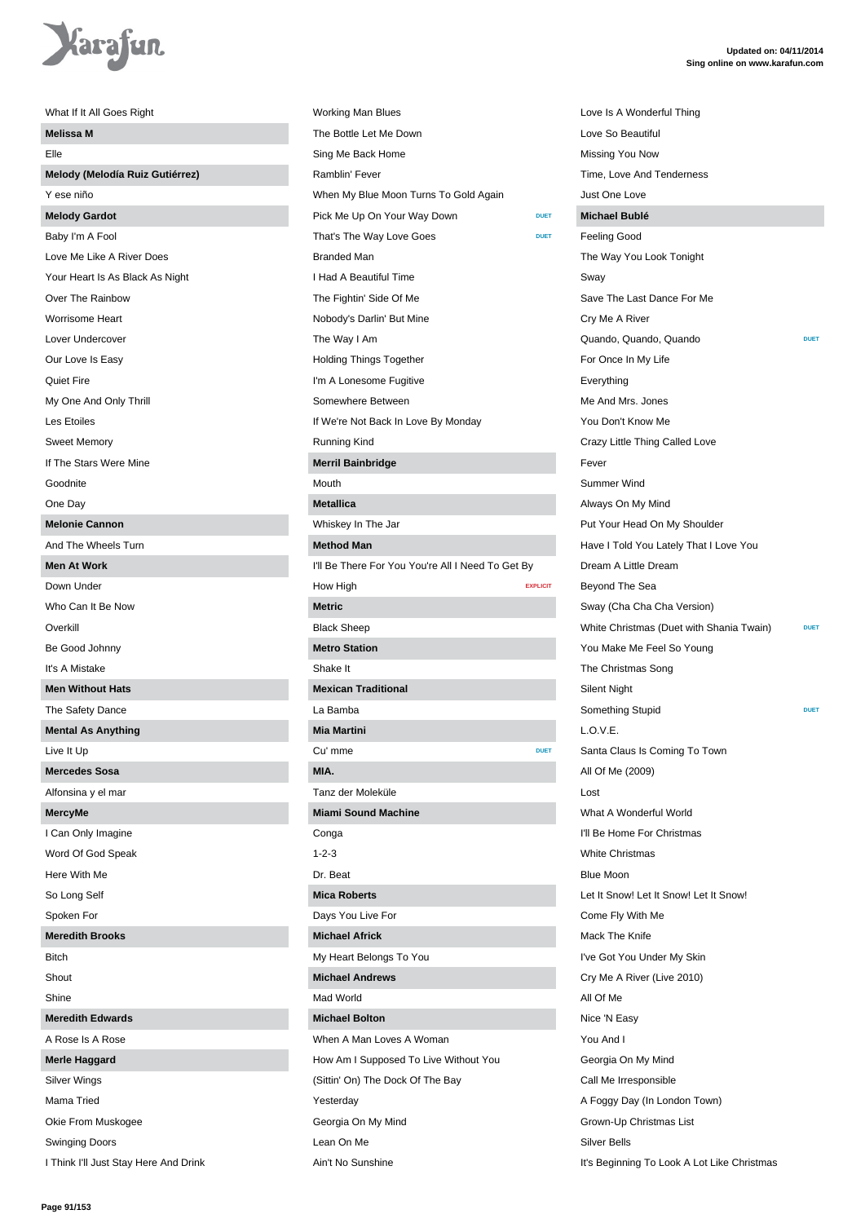

| What If It All Goes Right             | <b>Working Man Blues</b>                          |
|---------------------------------------|---------------------------------------------------|
| <b>Melissa M</b>                      | The Bottle Let Me Down                            |
| Elle                                  | Sing Me Back Home                                 |
| Melody (Melodía Ruiz Gutiérrez)       | Ramblin' Fever                                    |
| Y ese niño                            | When My Blue Moon Turns To Gold Again             |
| <b>Melody Gardot</b>                  | Pick Me Up On Your Way Down<br><b>DUET</b>        |
| Baby I'm A Fool                       | That's The Way Love Goes<br><b>DUET</b>           |
| Love Me Like A River Does             | <b>Branded Man</b>                                |
| Your Heart Is As Black As Night       | I Had A Beautiful Time                            |
| Over The Rainbow                      | The Fightin' Side Of Me                           |
| Worrisome Heart                       | Nobody's Darlin' But Mine                         |
| Lover Undercover                      | The Way I Am                                      |
| Our Love Is Easy                      | <b>Holding Things Together</b>                    |
| Quiet Fire                            | I'm A Lonesome Fugitive                           |
| My One And Only Thrill                | Somewhere Between                                 |
| Les Etoiles                           | If We're Not Back In Love By Monday               |
| <b>Sweet Memory</b>                   | Running Kind                                      |
| If The Stars Were Mine                | <b>Merril Bainbridge</b>                          |
| Goodnite                              | Mouth                                             |
| One Day                               | <b>Metallica</b>                                  |
| <b>Melonie Cannon</b>                 | Whiskey In The Jar                                |
| And The Wheels Turn                   | <b>Method Man</b>                                 |
| <b>Men At Work</b>                    | I'll Be There For You You're All I Need To Get By |
| Down Under                            | How High<br><b>EXPLICIT</b>                       |
| Who Can It Be Now                     | <b>Metric</b>                                     |
| Overkill                              | <b>Black Sheep</b>                                |
| Be Good Johnny                        | <b>Metro Station</b>                              |
| It's A Mistake                        | Shake It                                          |
| <b>Men Without Hats</b>               | <b>Mexican Traditional</b>                        |
| The Safety Dance                      | La Bamba                                          |
| <b>Mental As Anything</b>             | <b>Mia Martini</b>                                |
| Live It Up                            | Cu' mme<br><b>DUET</b>                            |
| <b>Mercedes Sosa</b>                  | MIA.                                              |
| Alfonsina y el mar                    | Tanz der Moleküle                                 |
| <b>MercyMe</b>                        | <b>Miami Sound Machine</b>                        |
| I Can Only Imagine                    | Conga                                             |
| Word Of God Speak                     | $1 - 2 - 3$                                       |
| Here With Me                          | Dr. Beat                                          |
| So Long Self                          | <b>Mica Roberts</b>                               |
| Spoken For                            | Days You Live For                                 |
| <b>Meredith Brooks</b>                | <b>Michael Africk</b>                             |
| <b>Bitch</b>                          | My Heart Belongs To You                           |
| Shout                                 | <b>Michael Andrews</b>                            |
| Shine                                 | Mad World                                         |
| <b>Meredith Edwards</b>               | <b>Michael Bolton</b>                             |
| A Rose Is A Rose                      | When A Man Loves A Woman                          |
| Merle Haggard                         | How Am I Supposed To Live Without You             |
| Silver Wings                          | (Sittin' On) The Dock Of The Bay                  |
| Mama Tried                            | Yesterday                                         |
| Okie From Muskogee                    | Georgia On My Mind                                |
| Swinging Doors                        | Lean On Me                                        |
| I Think I'll Just Stay Here And Drink | Ain't No Sunshine                                 |

| Love Is A Wonderful Thing                                              |             |
|------------------------------------------------------------------------|-------------|
| Love So Beautiful                                                      |             |
| Missing You Now                                                        |             |
| Time, Love And Tenderness                                              |             |
| Just One Love                                                          |             |
| Michael Bublé                                                          |             |
| Feeling Good                                                           |             |
| The Way You Look Tonight                                               |             |
| Sway                                                                   |             |
| Save The Last Dance For Me                                             |             |
| Cry Me A River                                                         |             |
| Quando, Quando, Quando                                                 | <b>DUET</b> |
| For Once In My Life                                                    |             |
| Everything                                                             |             |
| Me And Mrs. Jones                                                      |             |
| You Don't Know Me                                                      |             |
| Crazy Little Thing Called Love                                         |             |
| Fever                                                                  |             |
| Summer Wind                                                            |             |
| Always On My Mind                                                      |             |
| Put Your Head On My Shoulder                                           |             |
| Have I Told You Lately That I Love You                                 |             |
| Dream A Little Dream                                                   |             |
| Beyond The Sea                                                         |             |
| Sway (Cha Cha Cha Version)<br>White Christmas (Duet with Shania Twain) | <b>DUET</b> |
| You Make Me Feel So Young                                              |             |
| The Christmas Song                                                     |             |
| <b>Silent Night</b>                                                    |             |
| Something Stupid                                                       | <b>DUET</b> |
| L.O.V.E.                                                               |             |
| Santa Claus Is Coming To Town                                          |             |
| All Of Me (2009)                                                       |             |
| Lost                                                                   |             |
| What A Wonderful World                                                 |             |
| I'll Be Home For Christmas                                             |             |
| <b>White Christmas</b>                                                 |             |
| <b>Blue Moon</b>                                                       |             |
| Let It Snow! Let It Snow! Let It Snow!                                 |             |
| Come Fly With Me                                                       |             |
| Mack The Knife                                                         |             |
| I've Got You Under My Skin                                             |             |
| Cry Me A River (Live 2010)                                             |             |
| All Of Me                                                              |             |
| Nice 'N Easy                                                           |             |
| You And I                                                              |             |
| Georgia On My Mind                                                     |             |
| Call Me Irresponsible                                                  |             |
| A Foggy Day (In London Town)                                           |             |
| Grown-Up Christmas List                                                |             |
| <b>Silver Bells</b>                                                    |             |
| It's Beginning To Look A Lot Like Christmas                            |             |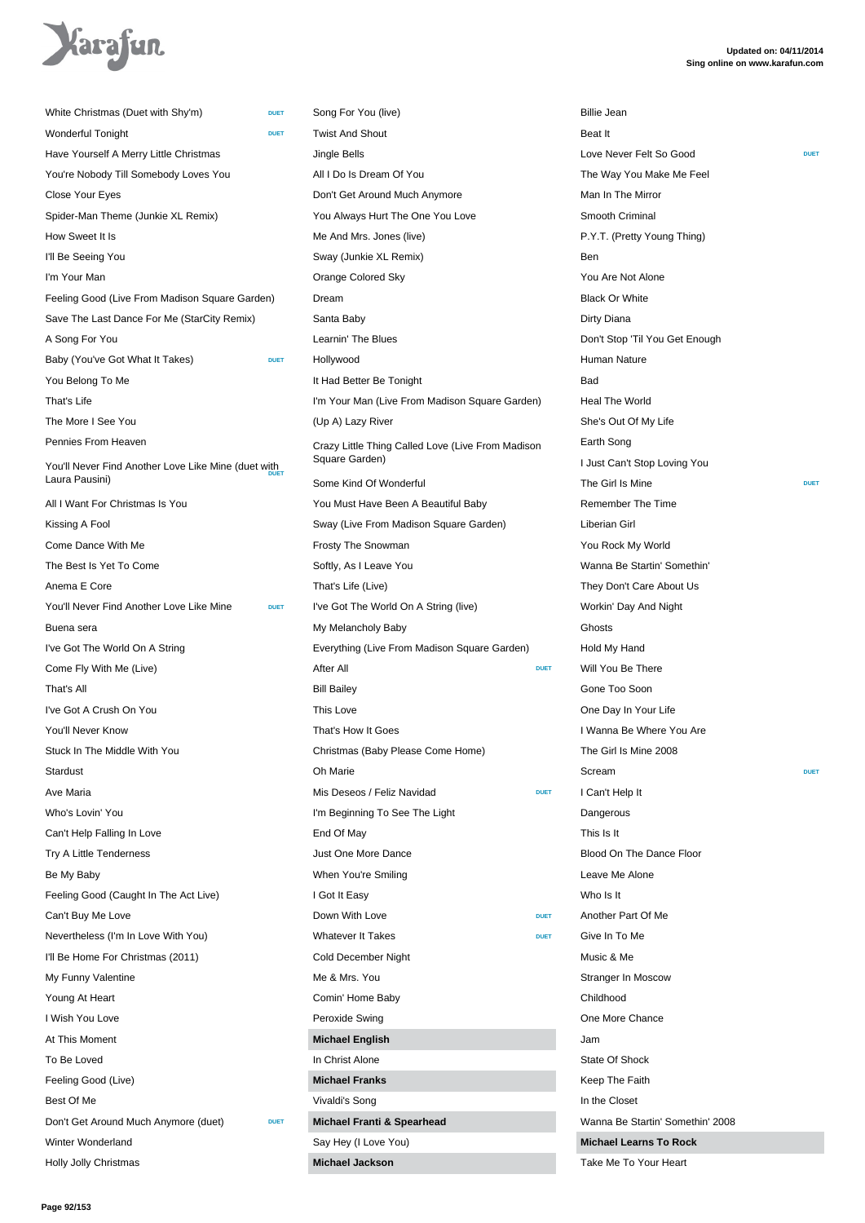

| White Christmas (Duet with Shy'm)                                     | <b>DUET</b> |
|-----------------------------------------------------------------------|-------------|
| <b>Wonderful Tonight</b>                                              | <b>DUET</b> |
| Have Yourself A Merry Little Christmas                                |             |
| You're Nobody Till Somebody Loves You                                 |             |
| Close Your Eyes                                                       |             |
| Spider-Man Theme (Junkie XL Remix)                                    |             |
| How Sweet It Is                                                       |             |
| I'll Be Seeing You                                                    |             |
| I'm Your Man                                                          |             |
| Feeling Good (Live From Madison Square Garden)                        |             |
| Save The Last Dance For Me (StarCity Remix)                           |             |
| A Song For You                                                        |             |
| Baby (You've Got What It Takes)                                       | <b>DUET</b> |
| You Belong To Me                                                      |             |
| That's Life                                                           |             |
| The More I See You                                                    |             |
| Pennies From Heaven                                                   |             |
| You'll Never Find Another Love Like Mine (duet with<br>Laura Pausini) |             |
| All I Want For Christmas Is You                                       |             |
| Kissing A Fool                                                        |             |
| Come Dance With Me                                                    |             |
| The Best Is Yet To Come                                               |             |
| Anema E Core                                                          |             |
| You'll Never Find Another Love Like Mine                              | <b>DUET</b> |
| Buena sera                                                            |             |
| I've Got The World On A String                                        |             |
| Come Fly With Me (Live)                                               |             |
| That's All                                                            |             |
| I've Got A Crush On You                                               |             |
| You'll Never Know                                                     |             |
| Stuck In The Middle With You                                          |             |
| Stardust                                                              |             |
| Ave Maria                                                             |             |
| Who's Lovin' You                                                      |             |
| Can't Help Falling In Love                                            |             |
| Try A Little Tenderness                                               |             |
| Be My Baby                                                            |             |
| Feeling Good (Caught In The Act Live)                                 |             |
| Can't Buy Me Love                                                     |             |
| Nevertheless (I'm In Love With You)                                   |             |
| I'll Be Home For Christmas (2011)                                     |             |
| My Funny Valentine                                                    |             |
| Young At Heart                                                        |             |
| I Wish You Love                                                       |             |
| At This Moment                                                        |             |
| To Be Loved                                                           |             |
| Feeling Good (Live)                                                   |             |
| Best Of Me                                                            |             |
| Don't Get Around Much Anymore (duet)                                  | <b>DUET</b> |
| <b>Winter Wonderland</b>                                              |             |
| Holly Jolly Christmas                                                 |             |

Twist And Shout Jingle Bells All I Do Is Dream Of You Don't Get Around Much Anymore You Always Hurt The One You Love Me And Mrs. Jones (live) Sway (Junkie XL Remix) Orange Colored Sky Dream Santa Baby Learnin' The Blues Hollywood It Had Better Be Tonight I'm Your Man (Live From Madison Square Garden) (Up A) Lazy River Crazy Little Thing Called Love (Live From Madison Square Garden) Some Kind Of Wonderful You Must Have Been A Beautiful Baby Sway (Live From Madison Square Garden) Frosty The Snowman Softly, As I Leave You That's Life (Live) I've Got The World On A String (live) My Melancholy Baby Everything (Live From Madison Square Garden) After All **DUET** Bill Bailey This Love That's How It Goes Christmas (Baby Please Come Home) Oh Marie **Mis Deseos / Feliz Navidad DUET** I'm Beginning To See The Light End Of May Just One More Dance When You're Smiling I Got It Easy Down With Love **DUET** Whatever It Takes **DUET** Cold December Night Me & Mrs. You Comin' Home Baby Peroxide Swing **Michael English** In Christ Alone **Michael Franks** Vivaldi's Song **Michael Franti & Spearhead** Say Hey (I Love You)

**Michael Jackson**

Song For You (live)

Billie Jean

Beat It Love Never Felt So Good **DUET** The Way You Make Me Feel Man In The Mirror Smooth Criminal P.Y.T. (Pretty Young Thing) Ben You Are Not Alone Black Or White Dirty Diana Don't Stop 'Til You Get Enough Human Nature Bad Heal The World She's Out Of My Life Earth Song I Just Can't Stop Loving You The Girl Is Mine **DUET** Remember The Time Liberian Girl You Rock My World Wanna Be Startin' Somethin' They Don't Care About Us Workin' Day And Night Ghosts Hold My Hand Will You Be There Gone Too Soon One Day In Your Life I Wanna Be Where You Are The Girl Is Mine 2008 **Scream DUET** I Can't Help It Dangerous This Is It Blood On The Dance Floor Leave Me Alone Who Is It Another Part Of Me Give In To Me Music & Me Stranger In Moscow Childhood One More Chance Jam State Of Shock Keep The Faith In the Closet Wanna Be Startin' Somethin' 2008 **Michael Learns To Rock** Take Me To Your Heart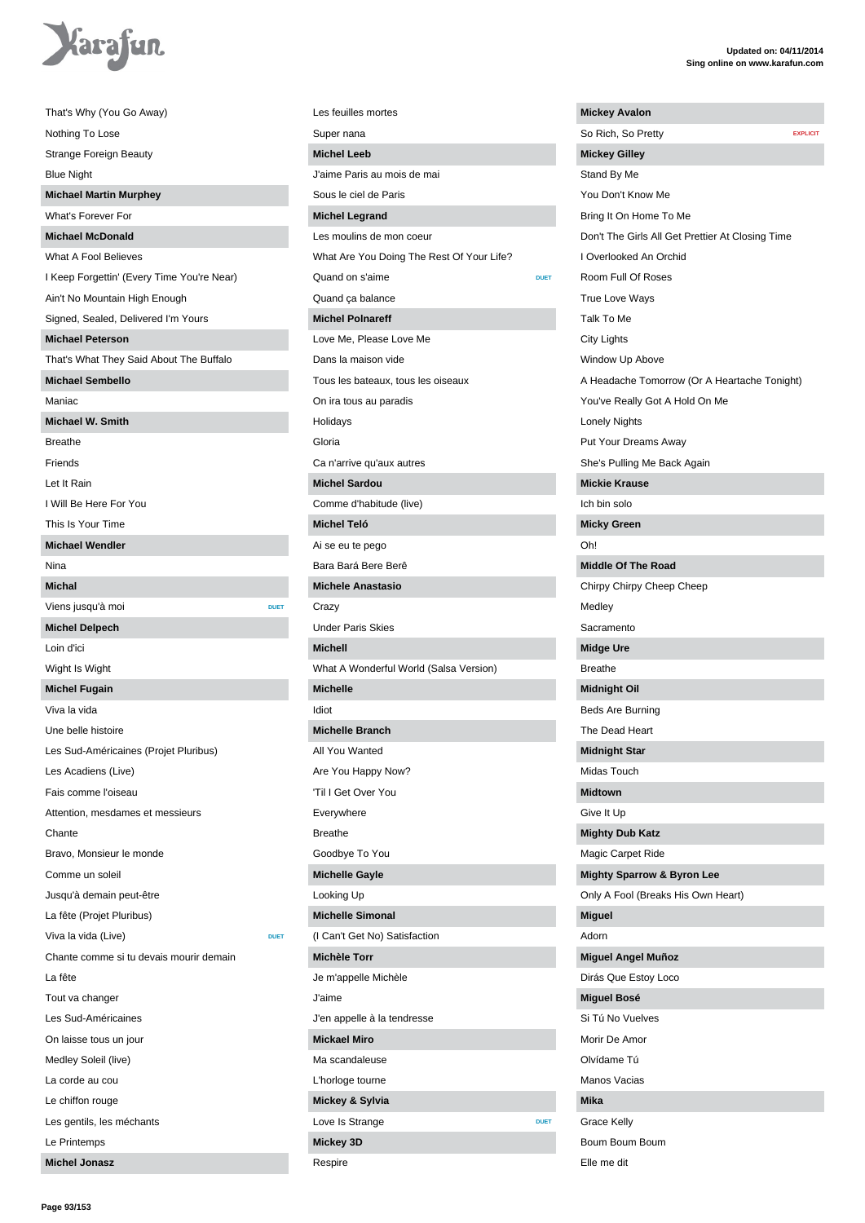

| That's Why (You Go Away)                   |             |
|--------------------------------------------|-------------|
| Nothing To Lose                            |             |
| <b>Strange Foreign Beauty</b>              |             |
| <b>Blue Night</b>                          |             |
| <b>Michael Martin Murphey</b>              |             |
| What's Forever For                         |             |
| <b>Michael McDonald</b>                    |             |
| What A Fool Believes                       |             |
| I Keep Forgettin' (Every Time You're Near) |             |
| Ain't No Mountain High Enough              |             |
| Signed, Sealed, Delivered I'm Yours        |             |
| <b>Michael Peterson</b>                    |             |
| That's What They Said About The Buffalo    |             |
| <b>Michael Sembello</b>                    |             |
| Maniac                                     |             |
| <b>Michael W. Smith</b>                    |             |
| <b>Breathe</b>                             |             |
| Friends                                    |             |
| Let It Rain                                |             |
| I Will Be Here For You                     |             |
| This Is Your Time                          |             |
| <b>Michael Wendler</b>                     |             |
| Nina                                       |             |
| <b>Michal</b>                              |             |
| Viens jusqu'à moi                          | <b>DUET</b> |
| <b>Michel Delpech</b>                      |             |
| Loin d'ici                                 |             |
| Wight Is Wight                             |             |
| <b>Michel Fugain</b>                       |             |
| Viva la vida                               |             |
| Une belle histoire                         |             |
| Les Sud-Américaines (Projet Pluribus)      |             |
| Les Acadiens (Live)                        |             |
| Fais comme l'oiseau                        |             |
| Attention, mesdames et messieurs           |             |
| Chante                                     |             |
| Bravo, Monsieur le monde                   |             |
| Comme un soleil                            |             |
| Jusqu'à demain peut-être                   |             |
| La fête (Projet Pluribus)                  |             |
| Viva la vida (Live)                        | <b>DUET</b> |
| Chante comme si tu devais mourir demain    |             |
| La fête                                    |             |
| Tout va changer                            |             |
| Les Sud-Américaines                        |             |
| On laisse tous un jour                     |             |
| Medley Soleil (live)                       |             |
| La corde au cou                            |             |
| Le chiffon rouge                           |             |
| Les gentils, les méchants                  |             |
| Le Printemps                               |             |
| <b>Michel Jonasz</b>                       |             |

Les feuilles mortes Super nana **Michel Leeb** J'aime Paris au mois de mai Sous le ciel de Paris **Michel Legrand** Les moulins de mon coeur What Are You Doing The Rest Of Your Life? Quand on s'aime **DUET** Quand ça balance **Michel Polnareff** Love Me, Please Love Me Dans la maison vide Tous les bateaux, tous les oiseaux On ira tous au paradis Holidays Gloria Ca n'arrive qu'aux autres **Michel Sardou** Comme d'habitude (live) **Michel Teló** Ai se eu te pego Bara Bará Bere Berê **Michele Anastasio** Crazy Under Paris Skies **Michell** What A Wonderful World (Salsa Version) **Michelle** Idiot **Michelle Branch** All You Wanted Are You Happy Now? 'Til I Get Over You Everywhere Breathe Goodbye To You **Michelle Gayle** Looking Up **Michelle Simonal** (I Can't Get No) Satisfaction **Michèle Torr** Je m'appelle Michèle J'aime J'en appelle à la tendresse **Mickael Miro** Ma scandaleuse L'horloge tourne **Mickey & Sylvia** Love Is Strange **DUET Mickey 3D**

Respire

| <b>Mickey Avalon</b>                             |                 |
|--------------------------------------------------|-----------------|
| So Rich, So Pretty                               | <b>EXPLICIT</b> |
| <b>Mickey Gilley</b>                             |                 |
| Stand By Me                                      |                 |
| You Don't Know Me                                |                 |
| Bring It On Home To Me                           |                 |
| Don't The Girls All Get Prettier At Closing Time |                 |
| I Overlooked An Orchid                           |                 |
| Room Full Of Roses                               |                 |
| <b>True Love Ways</b>                            |                 |
| Talk To Me                                       |                 |
| City Lights                                      |                 |
| Window Up Above                                  |                 |
| A Headache Tomorrow (Or A Heartache Tonight)     |                 |
| You've Really Got A Hold On Me                   |                 |
| Lonely Nights                                    |                 |
| Put Your Dreams Away                             |                 |
| She's Pulling Me Back Again                      |                 |
| <b>Mickie Krause</b>                             |                 |
| Ich bin solo                                     |                 |
| <b>Micky Green</b>                               |                 |
| Oh!                                              |                 |
| <b>Middle Of The Road</b>                        |                 |
| Chirpy Chirpy Cheep Cheep                        |                 |
| Medley                                           |                 |
| Sacramento                                       |                 |
| <b>Midge Ure</b>                                 |                 |
| <b>Breathe</b>                                   |                 |
| <b>Midnight Oil</b>                              |                 |
| Beds Are Burning                                 |                 |
| The Dead Heart                                   |                 |
| <b>Midnight Star</b>                             |                 |
| Midas Touch                                      |                 |
| <b>Midtown</b>                                   |                 |
| Give It Up                                       |                 |
| <b>Mighty Dub Katz</b>                           |                 |
| Magic Carpet Ride                                |                 |
| <b>Mighty Sparrow &amp; Byron Lee</b>            |                 |
| Only A Fool (Breaks His Own Heart)               |                 |
| <b>Miguel</b>                                    |                 |
| Adorn                                            |                 |
| <b>Miguel Angel Muñoz</b>                        |                 |
| Dirás Que Estoy Loco                             |                 |
| <b>Miguel Bosé</b>                               |                 |
| Si Tú No Vuelves                                 |                 |
| Morir De Amor                                    |                 |
| Olvídame Tú                                      |                 |
| <b>Manos Vacias</b>                              |                 |
| Mika                                             |                 |
| <b>Grace Kelly</b>                               |                 |
| Boum Boum Boum                                   |                 |
| Elle me dit                                      |                 |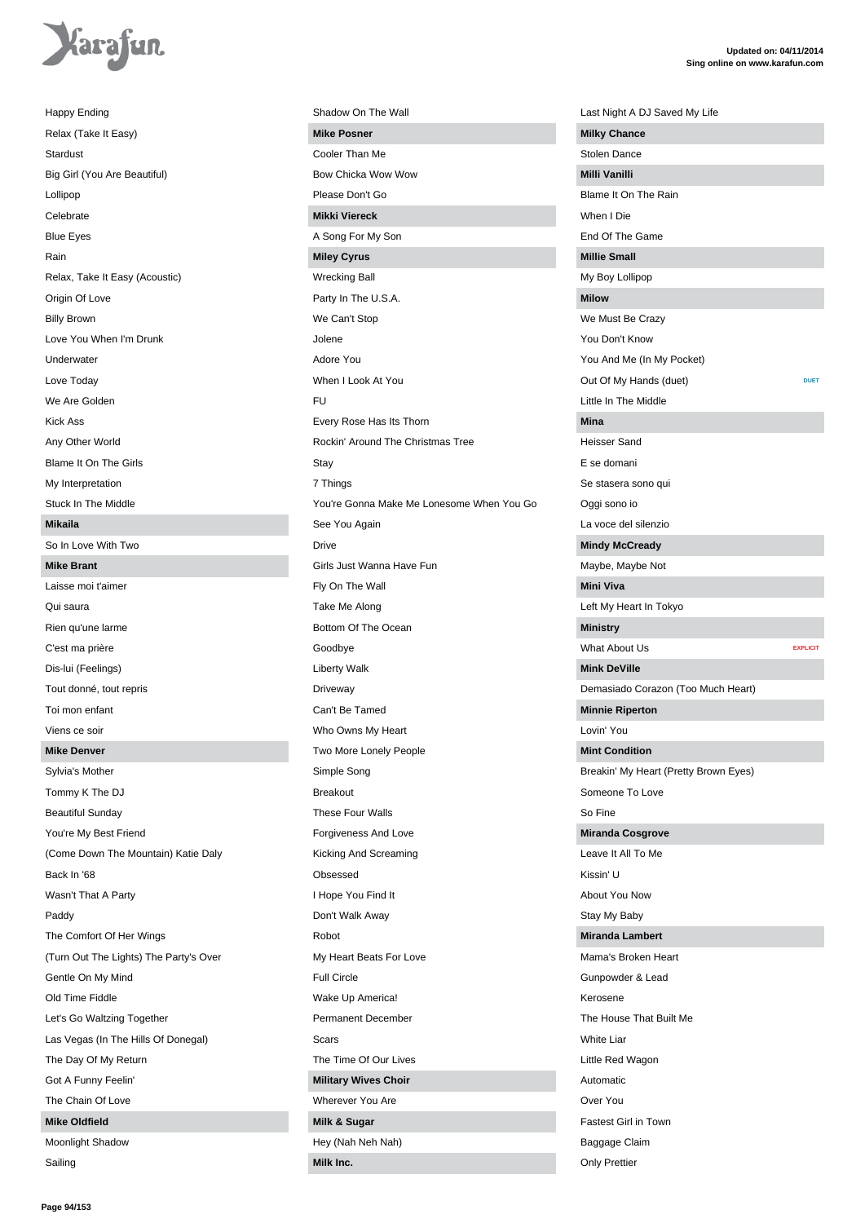

Happy Ending Relax (Take It Easy) Stardust Big Girl (You Are Beautiful) Lollipop Celebrate Blue Eyes Rain Relax, Take It Easy (Acoustic) Origin Of Love Billy Brown Love You When I'm Drunk Underwater Love Today We Are Golden Kick Ass Any Other World Blame It On The Girls My Interpretation Stuck In The Middle **Mikaila** So In Love With Two **Mike Brant** Laisse moi t'aimer Qui saura Rien qu'une larme C'est ma prière Dis-lui (Feelings) Tout donné, tout repris Toi mon enfant Viens ce soir **Mike Denver** Sylvia's Mother Tommy K The DJ Beautiful Sunday You're My Best Friend (Come Down The Mountain) Katie Daly Back In '68 Wasn't That A Party Paddy The Comfort Of Her Wings (Turn Out The Lights) The Party's Over Gentle On My Mind Old Time Fiddle Let's Go Waltzing Together Las Vegas (In The Hills Of Donegal) The Day Of My Return Got A Funny Feelin' The Chain Of Love **Mike Oldfield** Moonlight Shadow

Sailing

**Mike Posner** Cooler Than Me Bow Chicka Wow Wow Please Don't Go **Mikki Viereck** A Song For My Son **Miley Cyrus** Wrecking Ball Party In The U.S.A. We Can't Stop Jolene Adore You When I Look At You Every Rose Has Its Thorn Rockin' Around The Christmas Tree 7 Things You're Gonna Make Me Lonesome When You Go See You Again Girls Just Wanna Have Fun Fly On The Wall Take Me Along Bottom Of The Ocean Goodbye Liberty Walk Driveway Can't Be Tamed Who Owns My Heart Two More Lonely People Simple Song Breakout These Four Walls Forgiveness And Love Kicking And Screaming Obsessed I Hope You Find It Don't Walk Away My Heart Beats For Love Full Circle Wake Up America! Permanent December The Time Of Our Lives **Military Wives Choir** Wherever You Are

Shadow On The Wall

FU

Stay

Drive

Robot

Scars

**Milk & Sugar** Hey (Nah Neh Nah)

**Milk Inc.**

**Updated on: 04/11/2014 Sing online on www.karafun.com**

| Last Night A DJ Saved My Life         |                 |
|---------------------------------------|-----------------|
| <b>Milky Chance</b>                   |                 |
| <b>Stolen Dance</b>                   |                 |
| <b>Milli Vanilli</b>                  |                 |
| Blame It On The Rain                  |                 |
| When I Die                            |                 |
| End Of The Game                       |                 |
| <b>Millie Small</b>                   |                 |
| My Boy Lollipop                       |                 |
| <b>Milow</b>                          |                 |
| We Must Be Crazy                      |                 |
| You Don't Know                        |                 |
| You And Me (In My Pocket)             |                 |
| Out Of My Hands (duet)                | <b>DUET</b>     |
| Little In The Middle                  |                 |
| <b>Mina</b>                           |                 |
| <b>Heisser Sand</b>                   |                 |
| E se domani                           |                 |
| Se stasera sono qui                   |                 |
| Oggi sono io                          |                 |
| La voce del silenzio                  |                 |
| <b>Mindy McCready</b>                 |                 |
| Maybe, Maybe Not                      |                 |
| Mini Viva                             |                 |
| Left My Heart In Tokyo                |                 |
| <b>Ministry</b>                       |                 |
| What About Us                         | <b>EXPLICIT</b> |
| <b>Mink DeVille</b>                   |                 |
| Demasiado Corazon (Too Much Heart)    |                 |
| <b>Minnie Riperton</b>                |                 |
| Lovin' You                            |                 |
| <b>Mint Condition</b>                 |                 |
| Breakin' My Heart (Pretty Brown Eyes) |                 |
| Someone To Love                       |                 |
| So Fine                               |                 |
| <b>Miranda Cosgrove</b>               |                 |
| Leave It All To Me                    |                 |
| Kissin' U                             |                 |
| About You Now                         |                 |
| Stay My Baby                          |                 |
| <b>Miranda Lambert</b>                |                 |
| Mama's Broken Heart                   |                 |
| Gunpowder & Lead                      |                 |
| Kerosene                              |                 |
| The House That Built Me               |                 |
| <b>White Liar</b>                     |                 |
| Little Red Wagon                      |                 |
| Automatic                             |                 |
| Over You                              |                 |
| <b>Fastest Girl in Town</b>           |                 |
| Baggage Claim                         |                 |
| <b>Only Prettier</b>                  |                 |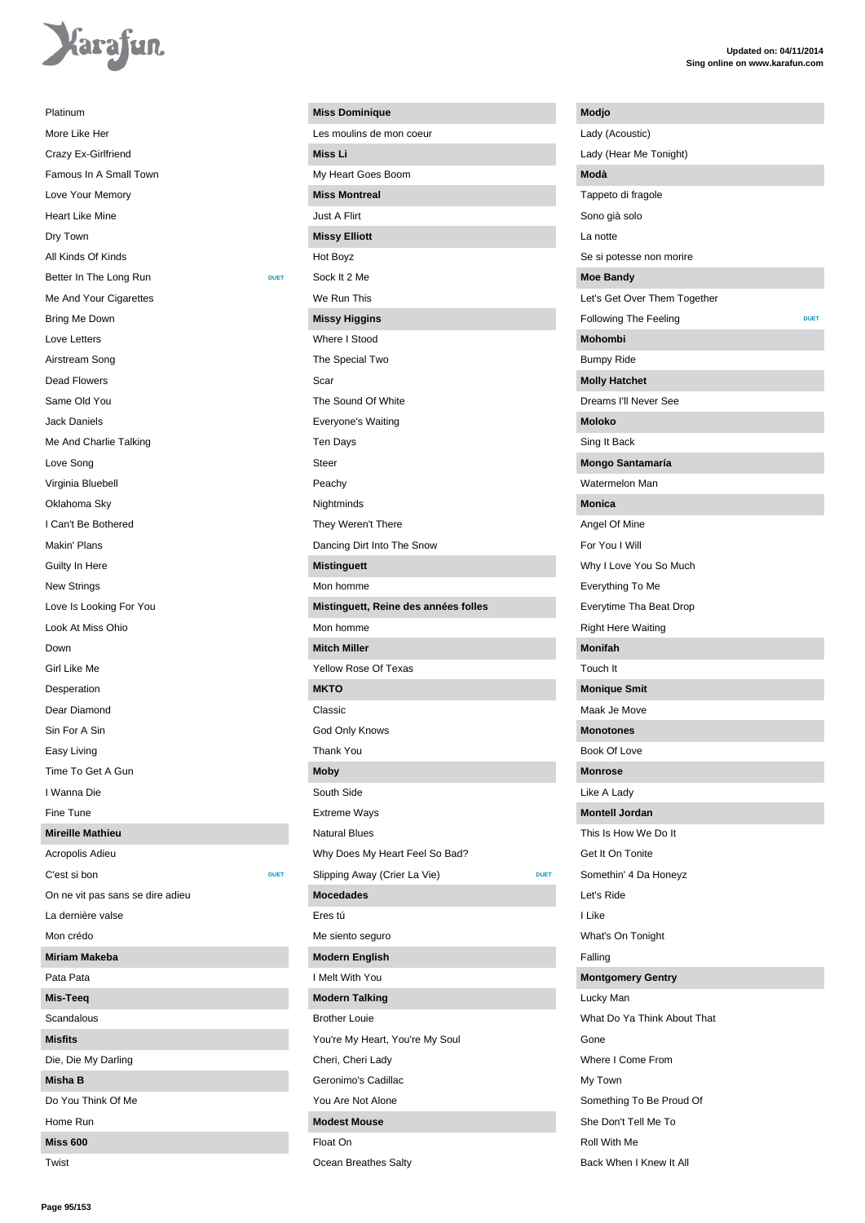

| Platinum                              |  |
|---------------------------------------|--|
| More Like Her                         |  |
| Crazy Ex-Girlfriend                   |  |
| Famous In A Small Town                |  |
| Love Your Memory                      |  |
| <b>Heart Like Mine</b>                |  |
| Dry Town                              |  |
| All Kinds Of Kinds                    |  |
| Better In The Long Run<br><b>DUET</b> |  |
| Me And Your Cigarettes                |  |
| Bring Me Down                         |  |
| Love Letters                          |  |
| Airstream Song                        |  |
| <b>Dead Flowers</b>                   |  |
| Same Old You                          |  |
| <b>Jack Daniels</b>                   |  |
| Me And Charlie Talking                |  |
| Love Song                             |  |
| Virginia Bluebell                     |  |
| Oklahoma Sky                          |  |
| I Can't Be Bothered                   |  |
| Makin' Plans                          |  |
| Guilty In Here                        |  |
| <b>New Strings</b>                    |  |
| Love Is Looking For You               |  |
| Look At Miss Ohio                     |  |
| Down                                  |  |
| Girl Like Me                          |  |
| Desperation                           |  |
| Dear Diamond                          |  |
| Sin For A Sin                         |  |
| Easy Living                           |  |
| Time To Get A Gun                     |  |
| I Wanna Die                           |  |
| Fine Tune                             |  |
| <b>Mireille Mathieu</b>               |  |
| Acropolis Adieu                       |  |
| C'est si bon<br><b>DUET</b>           |  |
| On ne vit pas sans se dire adieu      |  |
| La dernière valse                     |  |
| Mon crédo                             |  |
| <b>Miriam Makeba</b>                  |  |
| Pata Pata                             |  |
| Mis-Teeq                              |  |
| Scandalous                            |  |
| <b>Misfits</b>                        |  |
| Die, Die My Darling                   |  |
| <b>Misha B</b>                        |  |
| Do You Think Of Me                    |  |
| Home Run                              |  |
| <b>Miss 600</b>                       |  |

#### **Updated on: 04/11/2014 Sing online on www.karafun.com**

| <b>Miss Dominique</b>                       |
|---------------------------------------------|
| Les moulins de mon coeur                    |
| <b>Miss Li</b>                              |
| My Heart Goes Boom                          |
| <b>Miss Montreal</b>                        |
| <b>Just A Flirt</b>                         |
| <b>Missy Elliott</b>                        |
| Hot Boyz                                    |
| Sock It 2 Me                                |
| We Run This                                 |
| <b>Missy Higgins</b>                        |
| Where I Stood                               |
| The Special Two                             |
| Scar                                        |
| The Sound Of White                          |
| Everyone's Waiting                          |
| Ten Days                                    |
| Steer                                       |
| Peachy                                      |
| Nightminds                                  |
| They Weren't There                          |
| Dancing Dirt Into The Snow                  |
| <b>Mistinguett</b>                          |
| Mon homme                                   |
| Mistinguett, Reine des années folles        |
| Mon homme                                   |
| <b>Mitch Miller</b>                         |
| Yellow Rose Of Texas                        |
| <b>MKTO</b>                                 |
| Classic                                     |
| God Only Knows                              |
| Thank You                                   |
| <b>Moby</b>                                 |
| South Side                                  |
| <b>Extreme Ways</b>                         |
| <b>Natural Blues</b>                        |
| Why Does My Heart Feel So Bad?              |
| Slipping Away (Crier La Vie)<br><b>DUET</b> |
| <b>Mocedades</b>                            |
| Eres tú                                     |
| Me siento seguro                            |
|                                             |
| <b>Modern English</b><br>I Melt With You    |
| <b>Modern Talking</b>                       |
| <b>Brother Louie</b>                        |
|                                             |
| You're My Heart, You're My Soul             |
| Cheri, Cheri Lady                           |
| Geronimo's Cadillac                         |
| You Are Not Alone                           |
| <b>Modest Mouse</b>                         |
| Float On                                    |
| Ocean Breathes Salty                        |

| Modjo                        |             |
|------------------------------|-------------|
| Lady (Acoustic)              |             |
| Lady (Hear Me Tonight)       |             |
| Modà                         |             |
| Tappeto di fragole           |             |
| Sono già solo                |             |
| La notte                     |             |
| Se si potesse non morire     |             |
| <b>Moe Bandy</b>             |             |
| Let's Get Over Them Together |             |
| <b>Following The Feeling</b> | <b>DUET</b> |
| <b>Mohombi</b>               |             |
| <b>Bumpy Ride</b>            |             |
| <b>Molly Hatchet</b>         |             |
| Dreams I'll Never See        |             |
| <b>Moloko</b>                |             |
| Sing It Back                 |             |
| <b>Mongo Santamaría</b>      |             |
| Watermelon Man               |             |
| <b>Monica</b>                |             |
| Angel Of Mine                |             |
| For You I Will               |             |
| Why I Love You So Much       |             |
| Everything To Me             |             |
| Everytime Tha Beat Drop      |             |
| <b>Right Here Waiting</b>    |             |
| <b>Monifah</b>               |             |
| Touch It                     |             |
| <b>Monique Smit</b>          |             |
| Maak Je Move                 |             |
| <b>Monotones</b>             |             |
| Book Of Love                 |             |
| <b>Monrose</b>               |             |
| Like A Lady                  |             |
| <b>Montell Jordan</b>        |             |
| This Is How We Do It         |             |
| Get It On Tonite             |             |
| Somethin' 4 Da Honeyz        |             |
| Let's Ride                   |             |
| I Like                       |             |
| What's On Tonight            |             |
| Falling                      |             |
| <b>Montgomery Gentry</b>     |             |
| Lucky Man                    |             |
| What Do Ya Think About That  |             |
| Gone                         |             |
| Where I Come From            |             |
| My Town                      |             |
| Something To Be Proud Of     |             |
| She Don't Tell Me To         |             |
| Roll With Me                 |             |
| Back When I Knew It All      |             |

Twist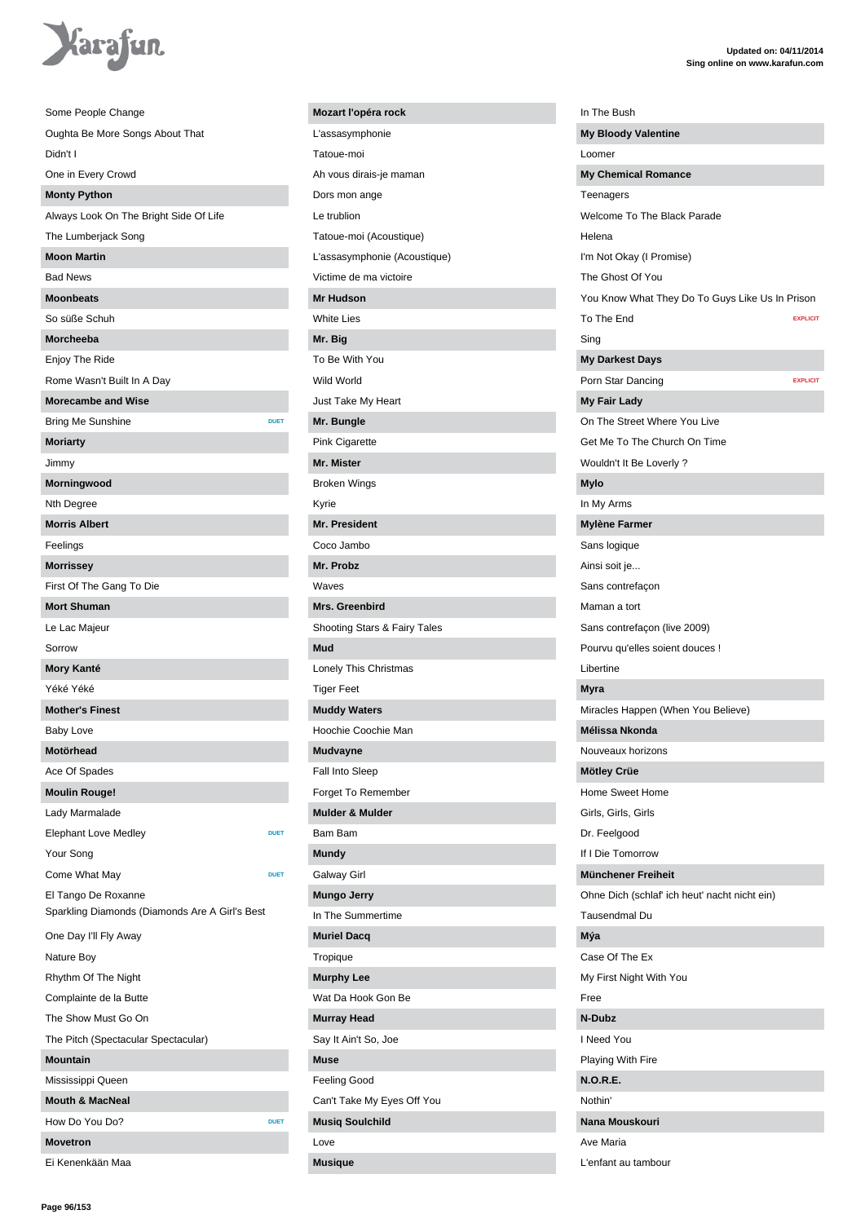

| Some People Change                             |             |
|------------------------------------------------|-------------|
| Oughta Be More Songs About That                |             |
| Didn't I                                       |             |
| One in Every Crowd                             |             |
| <b>Monty Python</b>                            |             |
| Always Look On The Bright Side Of Life         |             |
| The Lumberjack Song                            |             |
| <b>Moon Martin</b>                             |             |
| <b>Bad News</b>                                |             |
| <b>Moonbeats</b>                               |             |
| So süße Schuh                                  |             |
| Morcheeba                                      |             |
| Enjoy The Ride                                 |             |
| Rome Wasn't Built In A Day                     |             |
| <b>Morecambe and Wise</b>                      |             |
| <b>Bring Me Sunshine</b>                       | <b>DUET</b> |
| <b>Moriarty</b>                                |             |
| Jimmy                                          |             |
| Morningwood                                    |             |
| <b>Nth Degree</b>                              |             |
| <b>Morris Albert</b>                           |             |
| Feelings                                       |             |
| <b>Morrissey</b>                               |             |
| First Of The Gang To Die                       |             |
| <b>Mort Shuman</b>                             |             |
| Le Lac Majeur                                  |             |
| Sorrow                                         |             |
| Mory Kanté                                     |             |
| Yéké Yéké                                      |             |
| <b>Mother's Finest</b>                         |             |
| <b>Baby Love</b>                               |             |
| Motörhead                                      |             |
| Ace Of Spades                                  |             |
| <b>Moulin Rouge!</b>                           |             |
| Lady Marmalade                                 |             |
| <b>Elephant Love Medley</b>                    | <b>DUET</b> |
| Your Song                                      |             |
| Come What May                                  | <b>DUET</b> |
| El Tango De Roxanne                            |             |
| Sparkling Diamonds (Diamonds Are A Girl's Best |             |
| One Day I'll Fly Away                          |             |
| Nature Boy                                     |             |
| Rhythm Of The Night                            |             |
| Complainte de la Butte                         |             |
| The Show Must Go On                            |             |
| The Pitch (Spectacular Spectacular)            |             |
| <b>Mountain</b>                                |             |
| Mississippi Queen                              |             |
| <b>Mouth &amp; MacNeal</b>                     |             |
| How Do You Do?                                 | <b>DUET</b> |
| <b>Movetron</b>                                |             |
| Ei Kenenkään Maa                               |             |

| Mozart l'opéra rock          |
|------------------------------|
| L'assasymphonie              |
| Tatoue-moi                   |
| Ah vous dirais-je maman      |
| Dors mon ange                |
| Le trublion                  |
| Tatoue-moi (Acoustique)      |
| L'assasymphonie (Acoustique) |
| Victime de ma victoire       |
| <b>Mr Hudson</b>             |
| <b>White Lies</b>            |
| Mr. Big                      |
| To Be With You               |
| Wild World                   |
|                              |
| Just Take My Heart           |
| Mr. Bungle                   |
| <b>Pink Cigarette</b>        |
| Mr. Mister                   |
| <b>Broken Wings</b>          |
| Kyrie                        |
| Mr. President                |
| Coco Jambo                   |
| Mr. Probz                    |
| Waves                        |
| <b>Mrs. Greenbird</b>        |
| Shooting Stars & Fairy Tales |
| Mud                          |
| Lonely This Christmas        |
| <b>Tiger Feet</b>            |
| <b>Muddy Waters</b>          |
| Hoochie Coochie Man          |
| <b>Mudvayne</b>              |
| Fall Into Sleep              |
| Forget To Remember           |
| Mulder & Mulder              |
| Bam Bam                      |
| <b>Mundy</b>                 |
| <b>Galway Girl</b>           |
| <b>Mungo Jerry</b>           |
| In The Summertime            |
| <b>Muriel Dacq</b>           |
| Tropique                     |
| <b>Murphy Lee</b>            |
| Wat Da Hook Gon Be           |
| <b>Murray Head</b>           |
| Say It Ain't So, Joe         |
| <b>Muse</b>                  |
| <b>Feeling Good</b>          |
| Can't Take My Eyes Off You   |
| <b>Musiq Soulchild</b>       |
| Love                         |
| <b>Musique</b>               |

| In The Bush                                     |                 |
|-------------------------------------------------|-----------------|
| <b>My Bloody Valentine</b>                      |                 |
| Loomer                                          |                 |
| <b>My Chemical Romance</b>                      |                 |
| Teenagers                                       |                 |
| Welcome To The Black Parade                     |                 |
| Helena                                          |                 |
| I'm Not Okay (I Promise)                        |                 |
| The Ghost Of You                                |                 |
| You Know What They Do To Guys Like Us In Prison |                 |
| To The End                                      | <b>EXPLICIT</b> |
| Sing                                            |                 |
| <b>My Darkest Days</b>                          |                 |
| Porn Star Dancing                               | <b>EXPLICIT</b> |
| <b>My Fair Lady</b>                             |                 |
| On The Street Where You Live                    |                 |
| Get Me To The Church On Time                    |                 |
| Wouldn't It Be Loverly?                         |                 |
| <b>Mylo</b>                                     |                 |
| In My Arms                                      |                 |
| <b>Mylène Farmer</b>                            |                 |
| Sans logique                                    |                 |
| Ainsi soit je                                   |                 |
| Sans contrefaçon                                |                 |
| Maman a tort                                    |                 |
| Sans contrefaçon (live 2009)                    |                 |
| Pourvu qu'elles soient douces !                 |                 |
| Libertine                                       |                 |
| Myra                                            |                 |
| Miracles Happen (When You Believe)              |                 |
| Mélissa Nkonda                                  |                 |
| Nouveaux horizons                               |                 |
| Mötley Crüe                                     |                 |
| Home Sweet Home                                 |                 |
| Girls, Girls, Girls                             |                 |
| Dr. Feelgood                                    |                 |
| If I Die Tomorrow                               |                 |
| <b>Münchener Freiheit</b>                       |                 |
| Ohne Dich (schlaf' ich heut' nacht nicht ein)   |                 |
| Tausendmal Du                                   |                 |
| Mýa                                             |                 |
| Case Of The Ex                                  |                 |
| My First Night With You                         |                 |
| Free                                            |                 |
| N-Dubz                                          |                 |
| I Need You                                      |                 |
| Playing With Fire                               |                 |
| <b>N.O.R.E.</b>                                 |                 |
| Nothin'                                         |                 |
| Nana Mouskouri                                  |                 |
| Ave Maria                                       |                 |
| L'enfant au tambour                             |                 |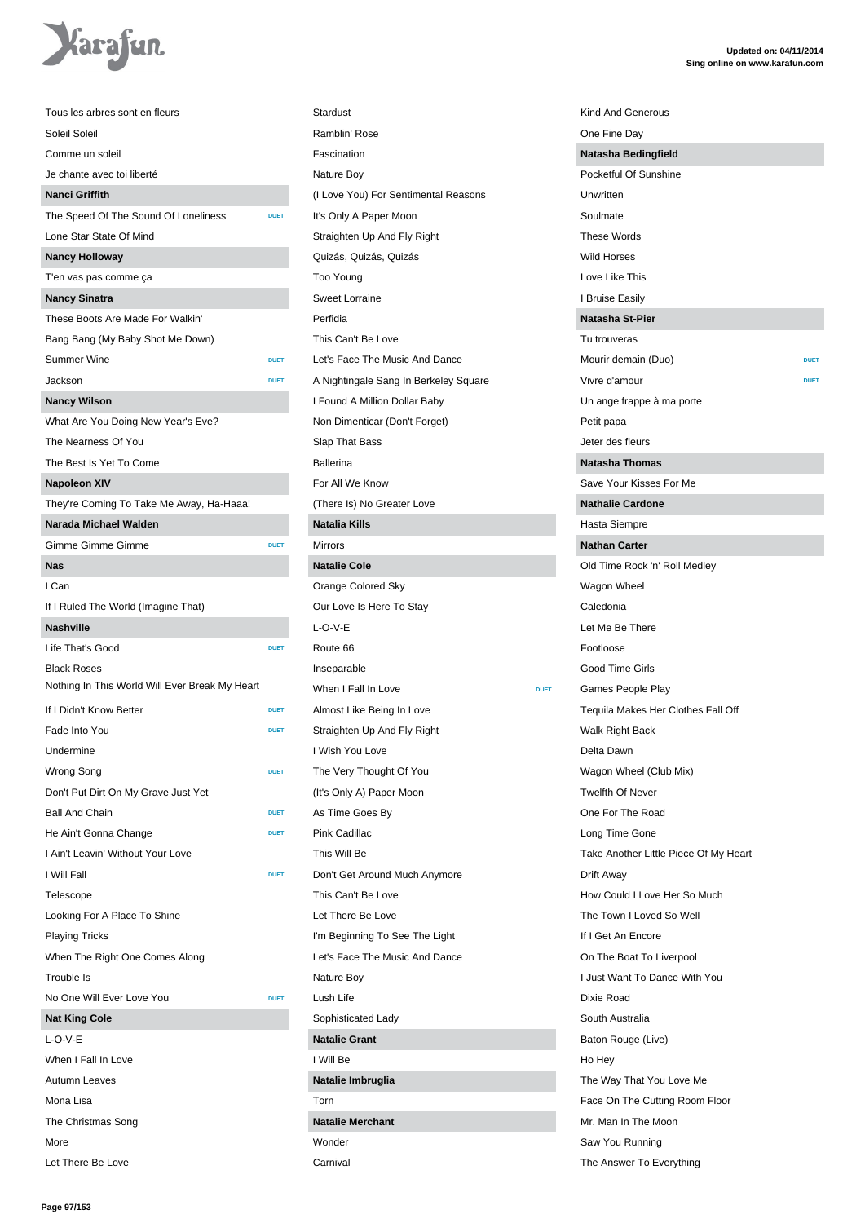

| Tous les arbres sont en fleurs                 |             |
|------------------------------------------------|-------------|
| Soleil Soleil                                  |             |
| Comme un soleil                                |             |
| Je chante avec toi liberté                     |             |
| <b>Nanci Griffith</b>                          |             |
| The Speed Of The Sound Of Loneliness           | <b>DUET</b> |
| Lone Star State Of Mind                        |             |
| <b>Nancy Holloway</b>                          |             |
| T'en vas pas comme ça                          |             |
| <b>Nancy Sinatra</b>                           |             |
| These Boots Are Made For Walkin'               |             |
| Bang Bang (My Baby Shot Me Down)               |             |
| Summer Wine                                    | <b>DUET</b> |
| Jackson                                        | <b>DUET</b> |
| <b>Nancy Wilson</b>                            |             |
| What Are You Doing New Year's Eve?             |             |
| The Nearness Of You                            |             |
| The Best Is Yet To Come                        |             |
| <b>Napoleon XIV</b>                            |             |
| They're Coming To Take Me Away, Ha-Haaa!       |             |
| Narada Michael Walden                          |             |
| Gimme Gimme Gimme                              | <b>DUET</b> |
| <b>Nas</b>                                     |             |
| I Can                                          |             |
| If I Ruled The World (Imagine That)            |             |
|                                                |             |
| <b>Nashville</b>                               |             |
| Life That's Good                               | <b>DUET</b> |
| <b>Black Roses</b>                             |             |
| Nothing In This World Will Ever Break My Heart |             |
| If I Didn't Know Better                        | <b>DUET</b> |
| Fade Into You                                  | <b>DUET</b> |
| Undermine                                      |             |
| Wrong Song                                     | <b>DUET</b> |
| Don't Put Dirt On My Grave Just Yet            |             |
| <b>Ball And Chain</b>                          | <b>DUET</b> |
| He Ain't Gonna Change                          | <b>DUET</b> |
| I Ain't Leavin' Without Your Love              |             |
| I Will Fall                                    | <b>DUET</b> |
| Telescope                                      |             |
| Looking For A Place To Shine                   |             |
| <b>Playing Tricks</b>                          |             |
| When The Right One Comes Along                 |             |
| Trouble Is                                     |             |
| No One Will Ever Love You                      | <b>DUET</b> |
| <b>Nat King Cole</b>                           |             |
| L-O-V-E                                        |             |
| When I Fall In Love                            |             |
| Autumn Leaves                                  |             |
| Mona Lisa                                      |             |
| The Christmas Song                             |             |

Stardust Ramblin' Rose Fascination Nature Boy (I Love You) For Sentimental Reasons It's Only A Paper Moon Straighten Up And Fly Right Quizás, Quizás, Quizás Too Young Sweet Lorraine Perfidia This Can't Be Love Let's Face The Music And Dance A Nightingale Sang In Berkeley Square I Found A Million Dollar Baby Non Dimenticar (Don't Forget) Slap That Bass Ballerina For All We Know (There Is) No Greater Love **Natalia Kills** Mirrors **Natalie Cole** Orange Colored Sky Our Love Is Here To Stay L-O-V-E Route 66 Inseparable When I Fall In Love **DUET** Almost Like Being In Love Straighten Up And Fly Right I Wish You Love The Very Thought Of You (It's Only A) Paper Moon As Time Goes By Pink Cadillac This Will Be Don't Get Around Much Anymore This Can't Be Love Let There Be Love I'm Beginning To See The Light Let's Face The Music And Dance Nature Boy Lush Life Sophisticated Lady **Natalie Grant** I Will Be **Natalie Imbruglia** Torn **Natalie Merchant** Wonder

**Carnival** 

| Kind And Generous                     |             |
|---------------------------------------|-------------|
| One Fine Day                          |             |
| Natasha Bedingfield                   |             |
| Pocketful Of Sunshine                 |             |
| Unwritten                             |             |
| Soulmate                              |             |
| <b>These Words</b>                    |             |
| <b>Wild Horses</b>                    |             |
| Love Like This                        |             |
| I Bruise Easily                       |             |
| Natasha St-Pier                       |             |
| Tu trouveras                          |             |
| Mourir demain (Duo)                   | <b>DUET</b> |
| Vivre d'amour                         | <b>DUET</b> |
| Un ange frappe à ma porte             |             |
| Petit papa                            |             |
| Jeter des fleurs                      |             |
| <b>Natasha Thomas</b>                 |             |
| Save Your Kisses For Me               |             |
| <b>Nathalie Cardone</b>               |             |
| Hasta Siempre                         |             |
| <b>Nathan Carter</b>                  |             |
| Old Time Rock 'n' Roll Medley         |             |
| Wagon Wheel                           |             |
| Caledonia                             |             |
| Let Me Be There                       |             |
| Footloose                             |             |
| Good Time Girls                       |             |
| Games People Play                     |             |
| Tequila Makes Her Clothes Fall Off    |             |
| Walk Right Back                       |             |
| Delta Dawn                            |             |
| Wagon Wheel (Club Mix)                |             |
| <b>Twelfth Of Never</b>               |             |
| One For The Road                      |             |
| Long Time Gone                        |             |
| Take Another Little Piece Of My Heart |             |
| Drift Away                            |             |
| How Could I Love Her So Much          |             |
| The Town I Loved So Well              |             |
| If I Get An Encore                    |             |
| On The Boat To Liverpool              |             |
| I Just Want To Dance With You         |             |
| Dixie Road                            |             |
| South Australia                       |             |
| Baton Rouge (Live)                    |             |
| Ho Hey                                |             |
| The Way That You Love Me              |             |
| Face On The Cutting Room Floor        |             |
| Mr. Man In The Moon                   |             |
| Saw You Running                       |             |
| The Answer To Everything              |             |

Let There Be Love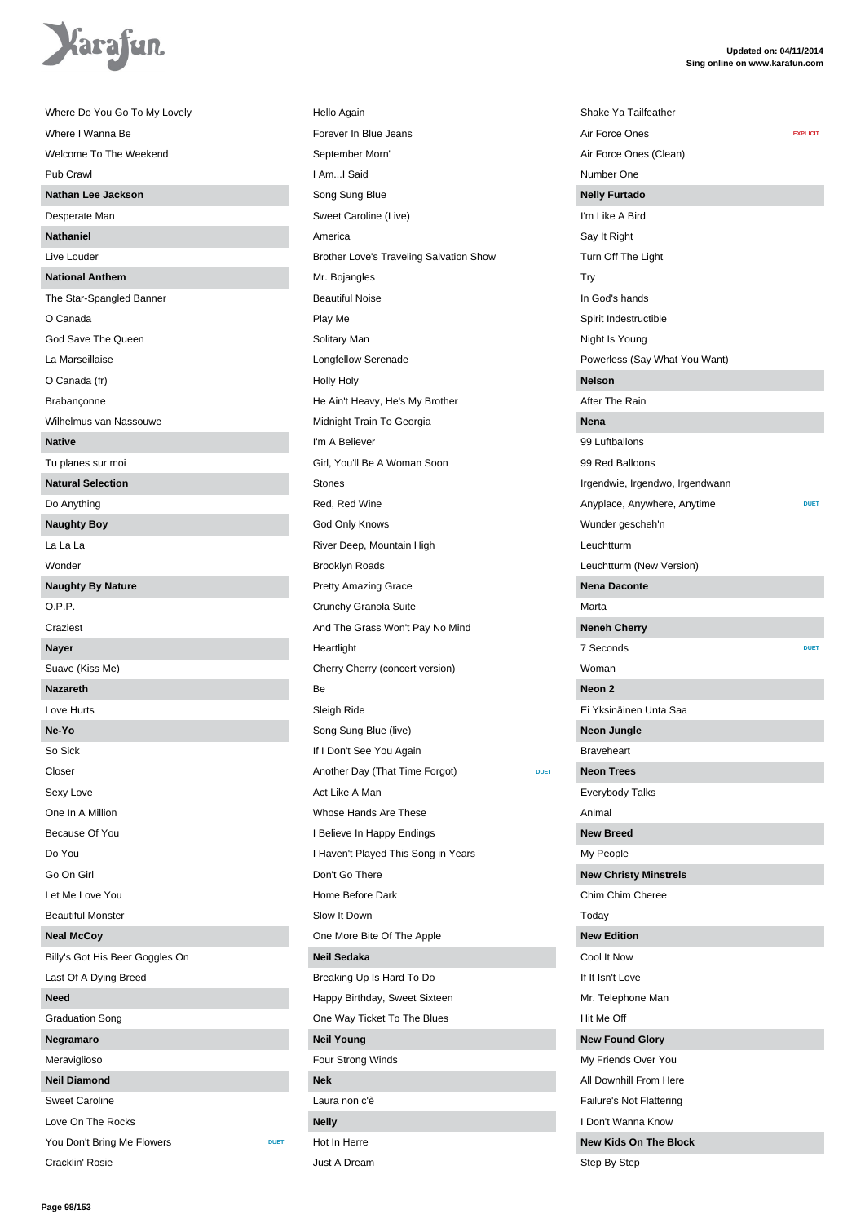

| Where Do You Go To My Lovely    |             |
|---------------------------------|-------------|
| Where I Wanna Be                |             |
| Welcome To The Weekend          |             |
| Pub Crawl                       |             |
| Nathan Lee Jackson              |             |
| Desperate Man                   |             |
| <b>Nathaniel</b>                |             |
| Live Louder                     |             |
| <b>National Anthem</b>          |             |
| The Star-Spangled Banner        |             |
| O Canada                        |             |
| God Save The Queen              |             |
| La Marseillaise                 |             |
| O Canada (fr)                   |             |
| Brabançonne                     |             |
| Wilhelmus van Nassouwe          |             |
| <b>Native</b>                   |             |
| Tu planes sur moi               |             |
| <b>Natural Selection</b>        |             |
| Do Anything                     |             |
| <b>Naughty Boy</b>              |             |
| La La La                        |             |
| Wonder                          |             |
| <b>Naughty By Nature</b>        |             |
| O.P.P.                          |             |
| Craziest                        |             |
| <b>Nayer</b>                    |             |
| Suave (Kiss Me)                 |             |
| <b>Nazareth</b>                 |             |
| Love Hurts                      |             |
| Ne-Yo                           |             |
| So Sick                         |             |
| Closer                          |             |
| Sexy Love                       |             |
| One In A Million                |             |
| Because Of You                  |             |
| Do You                          |             |
| Go On Girl                      |             |
| Let Me Love You                 |             |
| <b>Beautiful Monster</b>        |             |
| <b>Neal McCoy</b>               |             |
| Billy's Got His Beer Goggles On |             |
| Last Of A Dying Breed           |             |
| <b>Need</b>                     |             |
| <b>Graduation Song</b>          |             |
| Negramaro                       |             |
| Meraviglioso                    |             |
| <b>Neil Diamond</b>             |             |
| <b>Sweet Caroline</b>           |             |
| Love On The Rocks               |             |
| You Don't Bring Me Flowers      | <b>DUET</b> |
| Cracklin' Rosie                 |             |

Hello Again Forever In Blue Jeans September Morn' I Am...I Said Song Sung Blue Sweet Caroline (Live) America Brother Love's Traveling Salvation Show Mr. Bojangles Beautiful Noise Play Me Solitary Man Longfellow Serenade Holly Holy He Ain't Heavy, He's My Brother Midnight Train To Georgia I'm A Believer Girl, You'll Be A Woman Soon Stones Red, Red Wine God Only Knows River Deep, Mountain High Brooklyn Roads Pretty Amazing Grace Crunchy Granola Suite And The Grass Won't Pay No Mind Heartlight Cherry Cherry (concert version) Be Sleigh Ride Song Sung Blue (live) If I Don't See You Again Another Day (That Time Forgot) **DUET** Act Like A Man Whose Hands Are These I Believe In Happy Endings I Haven't Played This Song in Years Don't Go There Home Before Dark Slow It Down One More Bite Of The Apple **Neil Sedaka** Breaking Up Is Hard To Do Happy Birthday, Sweet Sixteen One Way Ticket To The Blues **Neil Young** Four Strong Winds **Nek** Laura non c'è **Nelly** Hot In Herre Just A Dream

| Shake Ya Tailfeather            |                 |
|---------------------------------|-----------------|
| Air Force Ones                  | <b>EXPLICIT</b> |
| Air Force Ones (Clean)          |                 |
| Number One                      |                 |
| <b>Nelly Furtado</b>            |                 |
| I'm Like A Bird                 |                 |
| Say It Right                    |                 |
| Turn Off The Light              |                 |
| Try                             |                 |
| In God's hands                  |                 |
| Spirit Indestructible           |                 |
| Night Is Young                  |                 |
| Powerless (Say What You Want)   |                 |
| <b>Nelson</b>                   |                 |
| After The Rain                  |                 |
| Nena                            |                 |
| 99 Luftballons                  |                 |
| 99 Red Balloons                 |                 |
| Irgendwie, Irgendwo, Irgendwann |                 |
| Anyplace, Anywhere, Anytime     | <b>DUET</b>     |
| Wunder gescheh'n                |                 |
| Leuchtturm                      |                 |
| Leuchtturm (New Version)        |                 |
| <b>Nena Daconte</b>             |                 |
| Marta                           |                 |
| <b>Neneh Cherry</b>             |                 |
| 7 Seconds                       | <b>DUET</b>     |
| Woman                           |                 |
| Neon <sub>2</sub>               |                 |
| Ei Yksinäinen Unta Saa          |                 |
| Neon Jungle                     |                 |
| <b>Braveheart</b>               |                 |
| <b>Neon Trees</b>               |                 |
| <b>Everybody Talks</b>          |                 |
| Animal                          |                 |
| <b>New Breed</b>                |                 |
| My People                       |                 |
| <b>New Christy Minstrels</b>    |                 |
| Chim Chim Cheree                |                 |
| Today                           |                 |
| <b>New Edition</b>              |                 |
| Cool It Now                     |                 |
| If It Isn't Love                |                 |
| Mr. Telephone Man               |                 |
| Hit Me Off                      |                 |
| <b>New Found Glory</b>          |                 |
| My Friends Over You             |                 |
| All Downhill From Here          |                 |
| Failure's Not Flattering        |                 |
| I Don't Wanna Know              |                 |
| <b>New Kids On The Block</b>    |                 |
| Step By Step                    |                 |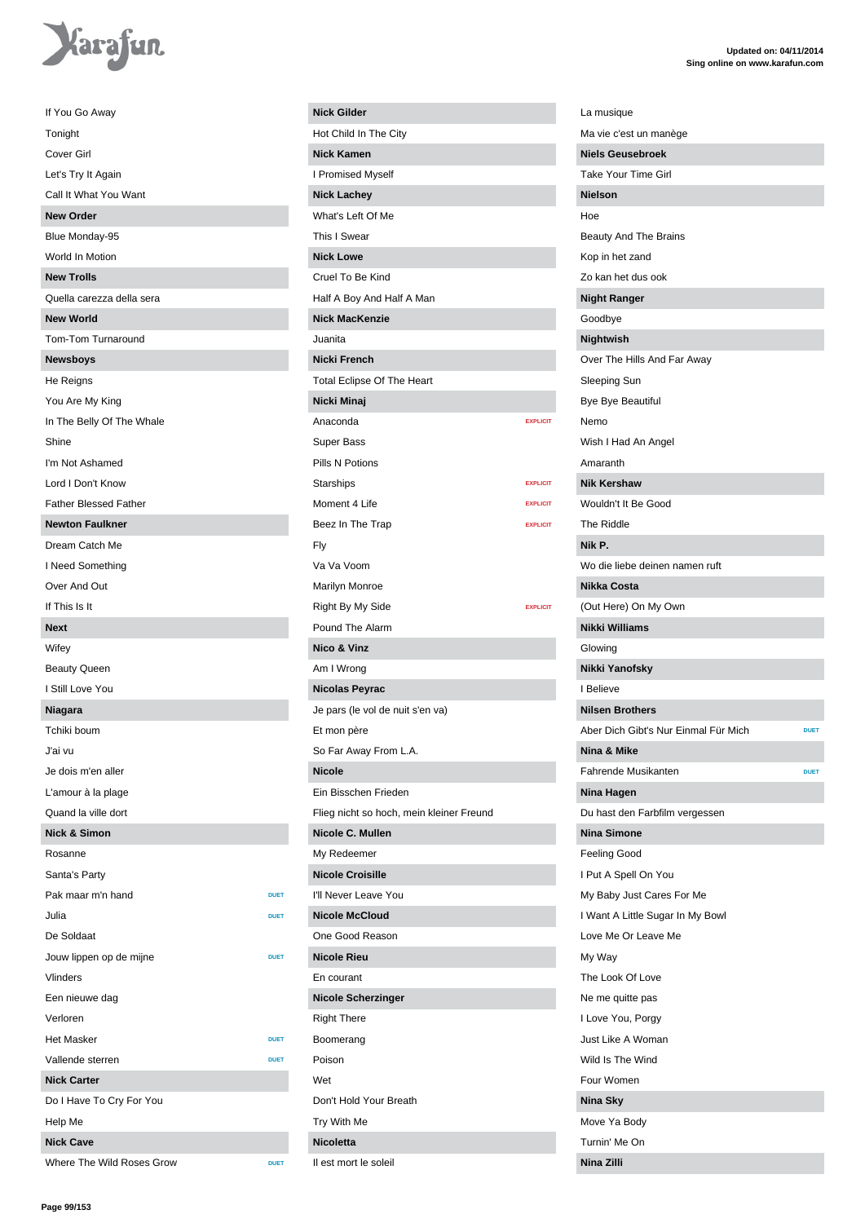

| If You Go Away               |             |
|------------------------------|-------------|
| Tonight                      |             |
| Cover Girl                   |             |
| Let's Try It Again           |             |
| Call It What You Want        |             |
| <b>New Order</b>             |             |
| Blue Monday-95               |             |
| World In Motion              |             |
| <b>New Trolls</b>            |             |
| Quella carezza della sera    |             |
| <b>New World</b>             |             |
| Tom-Tom Turnaround           |             |
| <b>Newsboys</b>              |             |
| He Reigns                    |             |
| You Are My King              |             |
| In The Belly Of The Whale    |             |
| Shine                        |             |
| I'm Not Ashamed              |             |
| Lord I Don't Know            |             |
| <b>Father Blessed Father</b> |             |
| <b>Newton Faulkner</b>       |             |
| Dream Catch Me               |             |
| I Need Something             |             |
| Over And Out                 |             |
| If This Is It                |             |
| <b>Next</b>                  |             |
| Wifey                        |             |
| <b>Beauty Queen</b>          |             |
| I Still Love You             |             |
| Niagara                      |             |
| Tchiki boum                  |             |
| J'ai vu                      |             |
| Je dois m'en aller           |             |
| L'amour à la plage           |             |
| Quand la ville dort          |             |
| <b>Nick &amp; Simon</b>      |             |
| Rosanne                      |             |
| Santa's Party                |             |
| Pak maar m'n hand            | <b>DUET</b> |
| Julia                        | <b>DUET</b> |
| De Soldaat                   |             |
| Jouw lippen op de mijne      | <b>DUET</b> |
| Vlinders                     |             |
| Een nieuwe dag               |             |
| Verloren                     |             |
| <b>Het Masker</b>            | <b>DUET</b> |
| Vallende sterren             | <b>DUET</b> |
| <b>Nick Carter</b>           |             |
| Do I Have To Cry For You     |             |
| Help Me                      |             |
| <b>Nick Cave</b>             |             |
|                              |             |

Where The Wild Roses Grow **DUET** 

# **Nick Gilder** Hot Child In The City **Nick Kamen** I Promised Myself **Nick Lachey** What's Left Of Me This I Swear **Nick Lowe** Cruel To Be Kind Half A Boy And Half A Man **Nick MacKenzie** Juanita **Nicki French** Total Eclipse Of The Heart **Nicki Minaj Anaconda** EXPLICIT Super Bass Pills N Potions Starships **EXPLICIT** Moment 4 Life **EXPLICIT** Beez In The Trap **EXPLICIT** Fly Va Va Voom Marilyn Monroe Right By My Side **EXPLICIT** Pound The Alarm **Nico & Vinz** Am I Wrong **Nicolas Peyrac** Je pars (le vol de nuit s'en va) Et mon père So Far Away From L.A. **Nicole** Ein Bisschen Frieden Flieg nicht so hoch, mein kleiner Freund **Nicole C. Mullen** My Redeemer **Nicole Croisille** I'll Never Leave You **Nicole McCloud** One Good Reason **Nicole Rieu** En courant **Nicole Scherzinger** Right There Boomerang Poison Wet Don't Hold Your Breath Try With Me **Nicoletta**

Il est mort le soleil

| <b>Niels Geusebroek</b>              |             |
|--------------------------------------|-------------|
| Take Your Time Girl                  |             |
| <b>Nielson</b>                       |             |
| Hoe                                  |             |
| <b>Beauty And The Brains</b>         |             |
| Kop in het zand                      |             |
| Zo kan het dus ook                   |             |
| <b>Night Ranger</b>                  |             |
| Goodbye                              |             |
| Nightwish                            |             |
| Over The Hills And Far Away          |             |
| Sleeping Sun                         |             |
| Bye Bye Beautiful                    |             |
| Nemo                                 |             |
| Wish I Had An Angel                  |             |
| Amaranth                             |             |
| <b>Nik Kershaw</b>                   |             |
| Wouldn't It Be Good                  |             |
| The Riddle                           |             |
| Nik P.                               |             |
| Wo die liebe deinen namen ruft       |             |
| <b>Nikka Costa</b>                   |             |
| (Out Here) On My Own                 |             |
| <b>Nikki Williams</b>                |             |
| Glowing                              |             |
| Nikki Yanofsky                       |             |
| I Believe                            |             |
| <b>Nilsen Brothers</b>               |             |
| Aber Dich Gibt's Nur Einmal Für Mich | <b>DUET</b> |
| Nina & Mike                          |             |
| Fahrende Musikanten                  | <b>DUET</b> |
| Nina Hagen                           |             |
| Du hast den Farbfilm vergessen       |             |
| <b>Nina Simone</b>                   |             |
| <b>Feeling Good</b>                  |             |
| I Put A Spell On You                 |             |
| My Baby Just Cares For Me            |             |
| I Want A Little Sugar In My Bowl     |             |
| Love Me Or Leave Me                  |             |
| My Way                               |             |
| The Look Of Love                     |             |
| Ne me quitte pas                     |             |
| I Love You, Porgy                    |             |
| Just Like A Woman                    |             |
| Wild Is The Wind                     |             |
| Four Women                           |             |
| Nina Sky                             |             |
|                                      |             |
| Move Ya Body                         |             |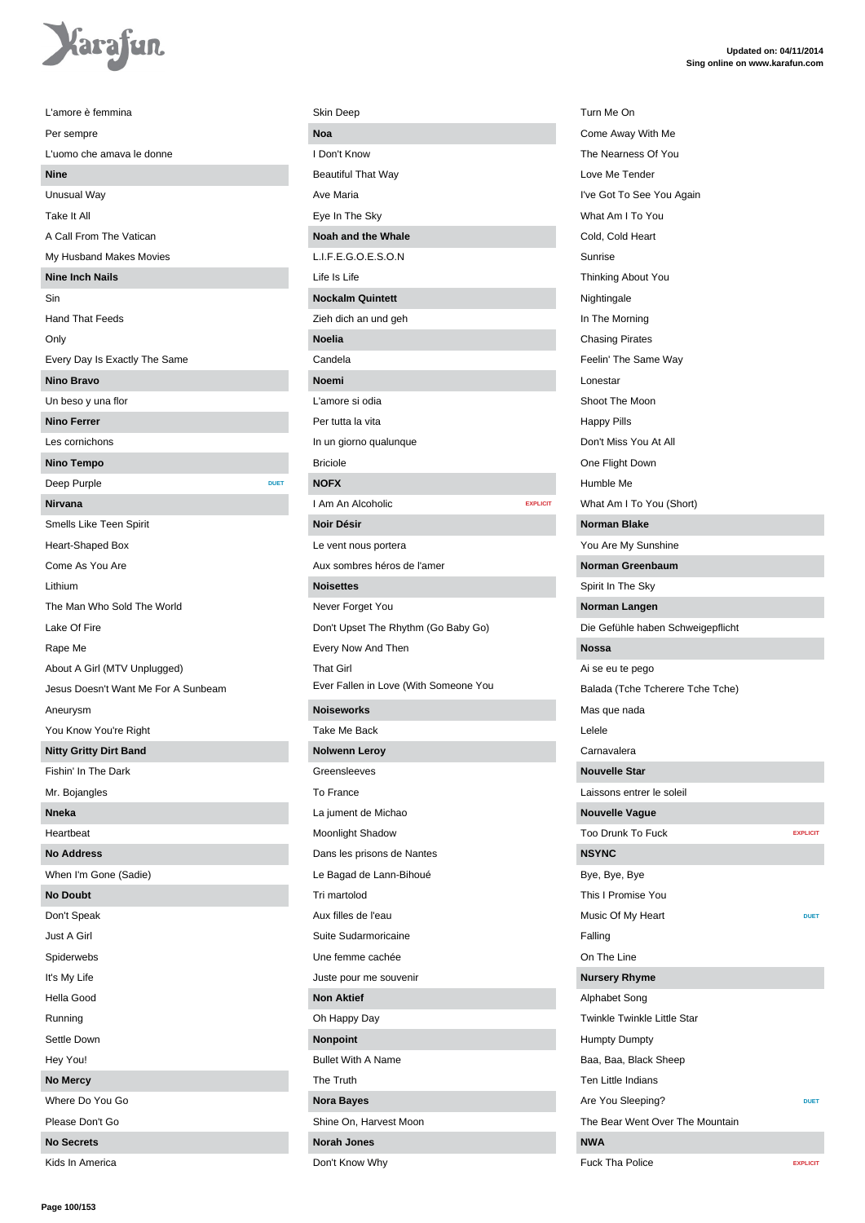

| L'amore è femmina                   |             |
|-------------------------------------|-------------|
| Per sempre                          |             |
| L'uomo che amava le donne           |             |
| Nine                                |             |
| Unusual Way                         |             |
| Take It All                         |             |
| A Call From The Vatican             |             |
| My Husband Makes Movies             |             |
| <b>Nine Inch Nails</b>              |             |
| Sin                                 |             |
| <b>Hand That Feeds</b>              |             |
| Only                                |             |
| Every Day Is Exactly The Same       |             |
| <b>Nino Bravo</b>                   |             |
| Un beso y una flor                  |             |
| <b>Nino Ferrer</b>                  |             |
| Les cornichons                      |             |
| Nino Tempo                          |             |
| Deep Purple                         | <b>DUET</b> |
| <b>Nirvana</b>                      |             |
| Smells Like Teen Spirit             |             |
| Heart-Shaped Box                    |             |
| Come As You Are                     |             |
| Lithium                             |             |
| The Man Who Sold The World          |             |
| Lake Of Fire                        |             |
| Rape Me                             |             |
| About A Girl (MTV Unplugged)        |             |
| Jesus Doesn't Want Me For A Sunbeam |             |
| Aneurysm                            |             |
| You Know You're Right               |             |
| <b>Nitty Gritty Dirt Band</b>       |             |
| Fishin' In The Dark                 |             |
| Mr. Bojangles                       |             |
| <b>Nneka</b>                        |             |
| Heartbeat                           |             |
| <b>No Address</b>                   |             |
| When I'm Gone (Sadie)               |             |
| <b>No Doubt</b>                     |             |
| Don't Speak                         |             |
| Just A Girl                         |             |
| Spiderwebs                          |             |
| It's My Life                        |             |
| Hella Good                          |             |
| Running                             |             |
| Settle Down                         |             |
| Hey You!                            |             |
| No Mercy                            |             |
| Where Do You Go                     |             |
| Please Don't Go                     |             |
| <b>No Secrets</b>                   |             |
| Kids In America                     |             |

| Skin Deep                                   |                 |
|---------------------------------------------|-----------------|
| <b>Noa</b>                                  |                 |
| I Don't Know                                |                 |
| <b>Beautiful That Way</b>                   |                 |
| Ave Maria                                   |                 |
| Eye In The Sky                              |                 |
| Noah and the Whale                          |                 |
| L.I.F.E.G.O.E.S.O.N                         |                 |
| Life Is Life                                |                 |
| <b>Nockalm Quintett</b>                     |                 |
| Zieh dich an und geh                        |                 |
| Noelia                                      |                 |
| Candela                                     |                 |
| <b>Noemi</b>                                |                 |
| L'amore si odia                             |                 |
| Per tutta la vita                           |                 |
| In un giorno qualunque                      |                 |
| <b>Briciole</b>                             |                 |
| <b>NOFX</b>                                 |                 |
| I Am An Alcoholic                           | <b>EXPLICIT</b> |
| Noir Désir                                  |                 |
| Le vent nous portera                        |                 |
| Aux sombres héros de l'amer                 |                 |
| <b>Noisettes</b>                            |                 |
| Never Forget You                            |                 |
| Don't Upset The Rhythm (Go Baby Go)         |                 |
| Every Now And Then                          |                 |
| <b>That Girl</b>                            |                 |
| Ever Fallen in Love (With Someone You       |                 |
| <b>Noiseworks</b>                           |                 |
| Take Me Back                                |                 |
| <b>Nolwenn Leroy</b>                        |                 |
| Greensleeves                                |                 |
| To France                                   |                 |
| La jument de Michao                         |                 |
| Moonlight Shadow                            |                 |
| Dans les prisons de Nantes                  |                 |
| Le Bagad de Lann-Bihoué                     |                 |
| Tri martolod                                |                 |
| Aux filles de l'eau                         |                 |
| Suite Sudarmoricaine                        |                 |
| Une femme cachée                            |                 |
|                                             |                 |
| Juste pour me souvenir<br><b>Non Aktief</b> |                 |
|                                             |                 |
| Oh Happy Day                                |                 |
| Nonpoint                                    |                 |
| <b>Bullet With A Name</b>                   |                 |
| The Truth                                   |                 |
| <b>Nora Bayes</b>                           |                 |
| Shine On, Harvest Moon                      |                 |
| <b>Norah Jones</b>                          |                 |

Don't Know Why

Turn Me On Come Away With Me The Nearness Of You Love Me Tender I've Got To See You Again What Am I To You Cold, Cold Heart Sunrise Thinking About You Nightingale In The Morning Chasing Pirates Feelin' The Same Way Lonestar Shoot The Moon Happy Pills Don't Miss You At All One Flight Down Humble Me What Am I To You (Short) **Norman Blake** You Are My Sunshine **Norman Greenbaum** Spirit In The Sky **Norman Langen** Die Gefühle haben Schweigepflicht **Nossa** Ai se eu te pego Balada (Tche Tcherere Tche Tche) Mas que nada Lelele Carnavalera **Nouvelle Star** Laissons entrer le soleil **Nouvelle Vague Too Drunk To Fuck EXPLICIT NSYNC** Bye, Bye, Bye This I Promise You **Music Of My Heart DUET** Falling On The Line **Nursery Rhyme** Alphabet Song Twinkle Twinkle Little Star Humpty Dumpty Baa, Baa, Black Sheep Ten Little Indians Are You Sleeping? **DUET** The Bear Went Over The Mountain

**NWA**

**Fuck Tha Police EXPLICIT**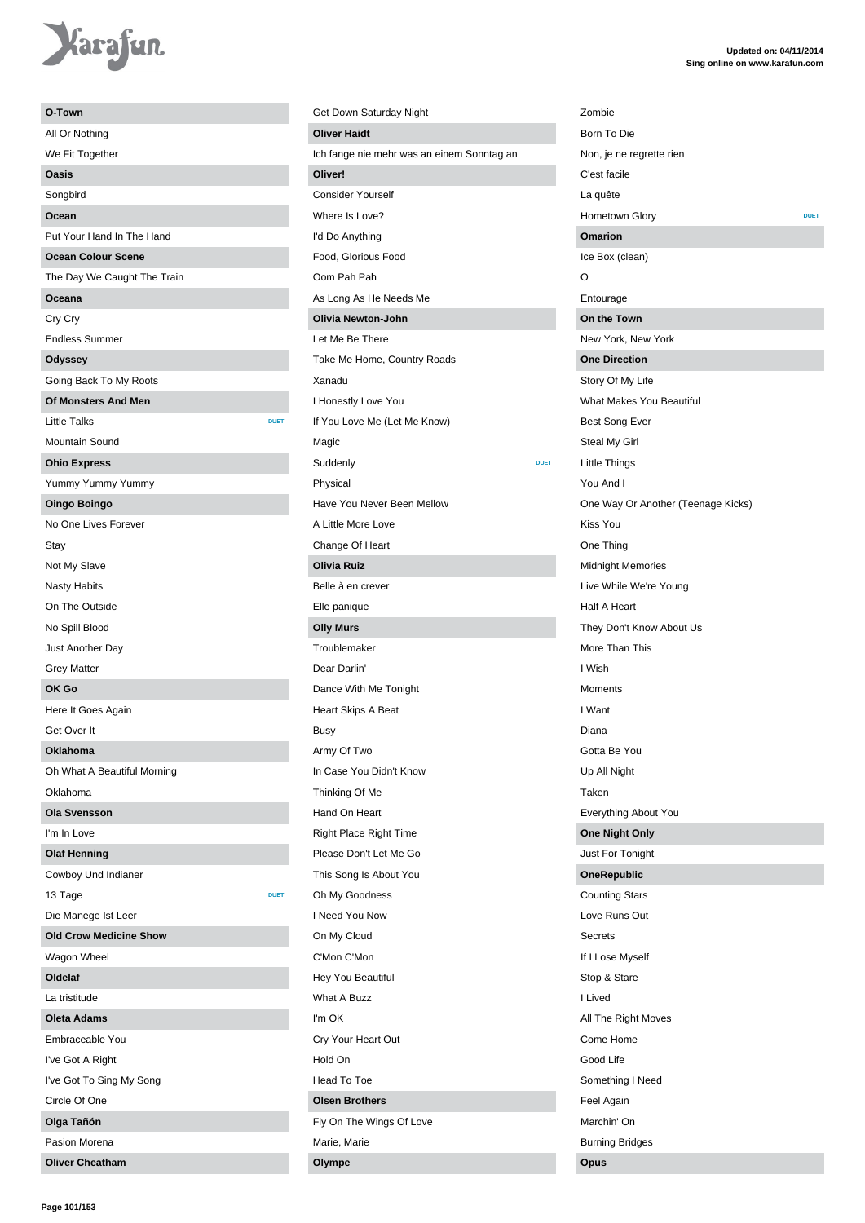

| O-Town                        |             |
|-------------------------------|-------------|
| All Or Nothing                |             |
| We Fit Together               |             |
| Oasis                         |             |
| Songbird                      |             |
| Ocean                         |             |
| Put Your Hand In The Hand     |             |
| <b>Ocean Colour Scene</b>     |             |
| The Day We Caught The Train   |             |
| Oceana                        |             |
| Cry Cry                       |             |
| <b>Endless Summer</b>         |             |
| Odyssey                       |             |
| Going Back To My Roots        |             |
| Of Monsters And Men           |             |
| <b>Little Talks</b>           | <b>DUET</b> |
| Mountain Sound                |             |
| <b>Ohio Express</b>           |             |
| Yummy Yummy Yummy             |             |
| <b>Oingo Boingo</b>           |             |
| No One Lives Forever          |             |
| Stay                          |             |
| Not My Slave                  |             |
| <b>Nasty Habits</b>           |             |
| On The Outside                |             |
| No Spill Blood                |             |
| Just Another Day              |             |
| <b>Grey Matter</b>            |             |
| OK Go                         |             |
| Here It Goes Again            |             |
| Get Over It                   |             |
| Oklahoma                      |             |
| Oh What A Beautiful Morning   |             |
| Oklahoma                      |             |
| <b>Ola Svensson</b>           |             |
| I'm In Love                   |             |
| <b>Olaf Henning</b>           |             |
| Cowboy Und Indianer           |             |
| 13 Tage                       | <b>DUET</b> |
| Die Manege Ist Leer           |             |
| <b>Old Crow Medicine Show</b> |             |
| Wagon Wheel                   |             |
| Oldelaf                       |             |
| La tristitude                 |             |
| <b>Oleta Adams</b>            |             |
| Embraceable You               |             |
| I've Got A Right              |             |
| I've Got To Sing My Song      |             |
| Circle Of One                 |             |
| Olga Tañón                    |             |
| Pasion Morena                 |             |
| <b>Oliver Cheatham</b>        |             |

## Get Down Saturday Night **Oliver Haidt** Ich fange nie mehr was an eine **Oliver!** Consider Yourself Where Is Love? I'd Do Anything Food, Glorious Food Oom Pah Pah As Long As He Needs Me **Olivia Newton-John** Let Me Be There Take Me Home, Country Roads Xanadu I Honestly Love You If You Love Me (Let Me Know) Magic **Suddenly** Physical Have You Never Been Mellow A Little More Love Change Of Heart **Olivia Ruiz** Belle à en crever Elle panique **Olly Murs** Troublemaker Dear Darlin' Dance With Me Tonight Heart Skips A Beat Busy Army Of Two In Case You Didn't Know Thinking Of Me Hand On Heart Right Place Right Time Please Don't Let Me Go This Song Is About You Oh My Goodness I Need You Now On My Cloud C'Mon C'Mon Hey You Beautiful What A Buzz I'm OK Cry Your Heart Out Hold On Head To Toe **Olsen Brothers** Fly On The Wings Of Love Marie, Marie

**Olympe**

**Updated on: 04/11/2014 Sing online on www.karafun.com**

|               |             | Zombie                                 |             |
|---------------|-------------|----------------------------------------|-------------|
|               |             | Born To Die                            |             |
| ⊧m Sonntag an |             | Non, je ne regrette rien               |             |
|               |             | C'est facile                           |             |
|               |             | La quête                               |             |
|               |             | Hometown Glory                         | <b>DUET</b> |
|               |             | <b>Omarion</b>                         |             |
|               |             | Ice Box (clean)                        |             |
|               |             | O                                      |             |
|               |             | Entourage                              |             |
|               |             | On the Town                            |             |
|               |             | New York, New York                     |             |
| 3             |             | <b>One Direction</b>                   |             |
|               |             | Story Of My Life                       |             |
|               |             | <b>What Makes You Beautiful</b>        |             |
|               |             | Best Song Ever                         |             |
|               |             | Steal My Girl                          |             |
|               | <b>DUET</b> | <b>Little Things</b>                   |             |
|               |             | You And I                              |             |
|               |             | One Way Or Another (Teenage Kicks)     |             |
|               |             | <b>Kiss You</b>                        |             |
|               |             | One Thing                              |             |
|               |             | <b>Midnight Memories</b>               |             |
|               |             | Live While We're Young                 |             |
|               |             | Half A Heart                           |             |
|               |             | They Don't Know About Us               |             |
|               |             | More Than This                         |             |
|               |             | I Wish                                 |             |
|               |             | <b>Moments</b>                         |             |
|               |             | I Want                                 |             |
|               |             | Diana                                  |             |
|               |             | Gotta Be You                           |             |
|               |             | Up All Night                           |             |
|               |             | Taken                                  |             |
|               |             | Everything About You                   |             |
|               |             | <b>One Night Only</b>                  |             |
|               |             | Just For Tonight                       |             |
|               |             | <b>OneRepublic</b>                     |             |
|               |             | <b>Counting Stars</b><br>Love Runs Out |             |
|               |             | <b>Secrets</b>                         |             |
|               |             | If I Lose Myself                       |             |
|               |             | Stop & Stare                           |             |
|               |             | I Lived                                |             |
|               |             | All The Right Moves                    |             |
|               |             | Come Home                              |             |
|               |             | Good Life                              |             |
|               |             | Something I Need                       |             |
|               |             | Feel Again                             |             |
|               |             | Marchin' On                            |             |
|               |             | <b>Burning Bridges</b>                 |             |
|               |             |                                        |             |

**Opus**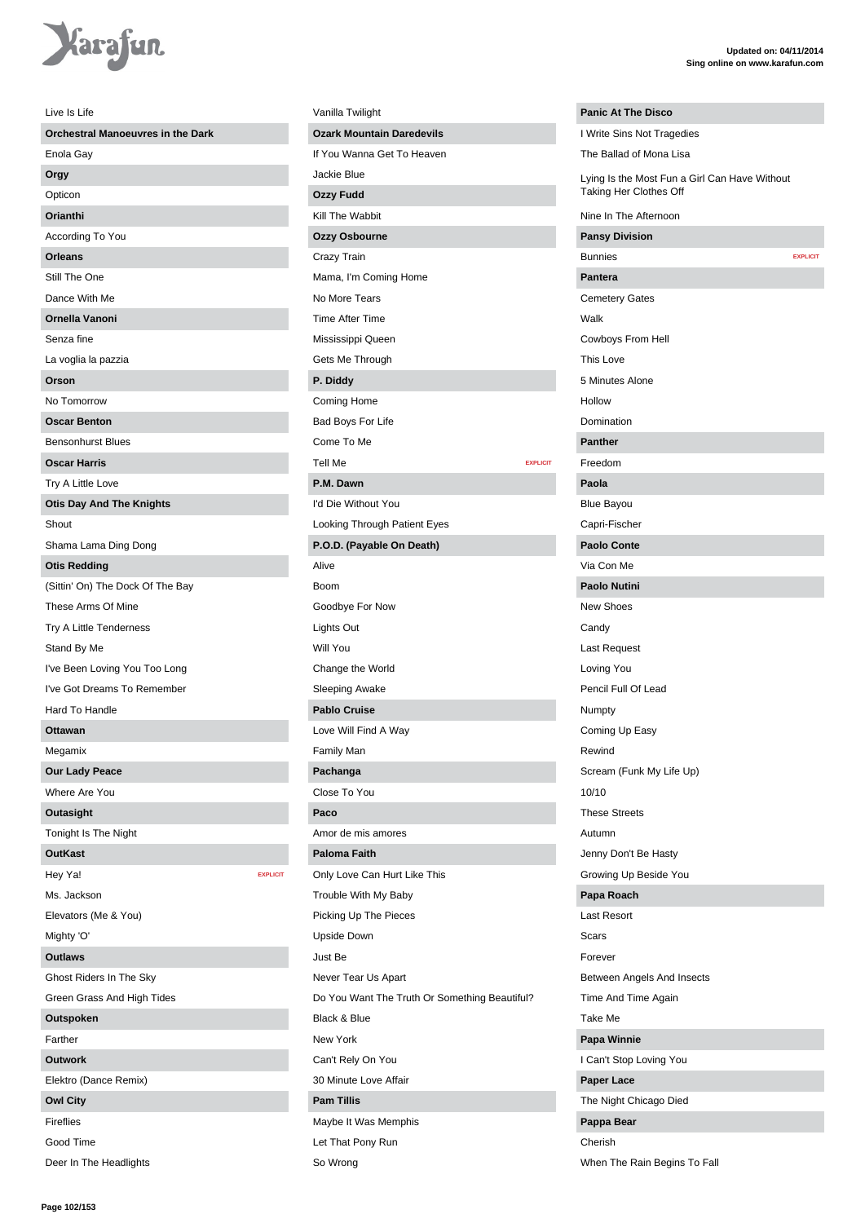

| Live Is Life                             |
|------------------------------------------|
| <b>Orchestral Manoeuvres in the Dark</b> |
| Enola Gay                                |
| Orgy                                     |
| Opticon                                  |
| Orianthi                                 |
| According To You                         |
| <b>Orleans</b>                           |
| Still The One                            |
| Dance With Me                            |
| Ornella Vanoni                           |
| Senza fine                               |
| La voglia la pazzia                      |
| Orson                                    |
| No Tomorrow                              |
| <b>Oscar Benton</b>                      |
| <b>Bensonhurst Blues</b>                 |
| <b>Oscar Harris</b>                      |
| Try A Little Love                        |
| <b>Otis Day And The Knights</b>          |
| Shout                                    |
| Shama Lama Ding Dong                     |
| <b>Otis Redding</b>                      |
| (Sittin' On) The Dock Of The Bay         |
| These Arms Of Mine                       |
| Try A Little Tenderness                  |
| Stand By Me                              |
| I've Been Loving You Too Long            |
| I've Got Dreams To Remember              |
| <b>Hard To Handle</b>                    |
| <b>Ottawan</b>                           |
| Megamix                                  |
| <b>Our Lady Peace</b>                    |
| Where Are You                            |
| Outasight                                |
| Tonight Is The Night                     |
| <b>OutKast</b>                           |
| Hey Ya!<br><b>EXPLICIT</b>               |
| Ms. Jackson                              |
| Elevators (Me & You)                     |
| Mighty 'O'                               |
| <b>Outlaws</b>                           |
| Ghost Riders In The Sky                  |
| Green Grass And High Tides               |
| Outspoken                                |
| Farther                                  |
| <b>Outwork</b>                           |
| Elektro (Dance Remix)                    |
| <b>Owl City</b>                          |
| <b>Fireflies</b>                         |
| Good Time                                |
| Deer In The Headlights                   |

| Vanilla Twilight                              | <b>Panic At The Disco</b>  |
|-----------------------------------------------|----------------------------|
| <b>Ozark Mountain Daredevils</b>              | I Write Sins Not Trag      |
| If You Wanna Get To Heaven                    | The Ballad of Mona I       |
| Jackie Blue                                   | Lying Is the Most Fur      |
| <b>Ozzy Fudd</b>                              | Taking Her Clothes 0       |
| Kill The Wabbit                               | Nine In The Afternoo       |
| Ozzy Osbourne                                 | <b>Pansy Division</b>      |
| Crazy Train                                   | <b>Bunnies</b>             |
| Mama, I'm Coming Home                         | <b>Pantera</b>             |
| No More Tears                                 | <b>Cemetery Gates</b>      |
| <b>Time After Time</b>                        | Walk                       |
| Mississippi Queen                             | Cowboys From Hell          |
| Gets Me Through                               | This Love                  |
| P. Diddy                                      | 5 Minutes Alone            |
| Coming Home                                   | Hollow                     |
| Bad Boys For Life                             | Domination                 |
| Come To Me                                    | <b>Panther</b>             |
| Tell Me                                       | Freedom<br><b>EXPLICIT</b> |
| P.M. Dawn                                     | Paola                      |
| I'd Die Without You                           | <b>Blue Bayou</b>          |
| Looking Through Patient Eyes                  | Capri-Fischer              |
| P.O.D. (Payable On Death)                     | <b>Paolo Conte</b>         |
| Alive                                         | Via Con Me                 |
| Boom                                          | Paolo Nutini               |
| Goodbye For Now                               | <b>New Shoes</b>           |
| Lights Out                                    | Candy                      |
| Will You                                      | Last Request               |
| Change the World                              | Loving You                 |
| Sleeping Awake                                | Pencil Full Of Lead        |
| <b>Pablo Cruise</b>                           | Numpty                     |
| Love Will Find A Way                          | Coming Up Easy             |
| Family Man                                    | Rewind                     |
| Pachanga                                      | Scream (Funk My Lif        |
| Close To You                                  | 10/10                      |
| Paco                                          | <b>These Streets</b>       |
| Amor de mis amores                            | Autumn                     |
| <b>Paloma Faith</b>                           | Jenny Don't Be Hast        |
| Only Love Can Hurt Like This                  | Growing Up Beside \        |
| Trouble With My Baby                          | Papa Roach                 |
| Picking Up The Pieces                         | <b>Last Resort</b>         |
| Upside Down                                   | Scars                      |
| Just Be                                       | Forever                    |
| Never Tear Us Apart                           | Between Angels And         |
| Do You Want The Truth Or Something Beautiful? | Time And Time Agai         |
| Black & Blue                                  | Take Me                    |
| New York                                      | Papa Winnie                |
| Can't Rely On You                             | I Can't Stop Loving Y      |
| 30 Minute Love Affair                         | Paper Lace                 |
| <b>Pam Tillis</b>                             | The Night Chicago D        |
| Maybe It Was Memphis                          | Pappa Bear                 |
| Let That Pony Run                             | Cherish                    |
| So Wrong                                      | When The Rain Begi         |
|                                               |                            |

| I Write Sins Not Tragedies                                              |  |
|-------------------------------------------------------------------------|--|
| The Ballad of Mona Lisa                                                 |  |
| Lying Is the Most Fun a Girl Can Have Without<br>Taking Her Clothes Off |  |
| Nine In The Afternoon                                                   |  |
| <b>Pansy Division</b>                                                   |  |
| <b>Bunnies</b><br><b>EXPLICIT</b>                                       |  |
| <b>Pantera</b>                                                          |  |
| <b>Cemetery Gates</b>                                                   |  |
| Walk                                                                    |  |
| Cowboys From Hell                                                       |  |
| This Love                                                               |  |
| 5 Minutes Alone                                                         |  |
| Hollow                                                                  |  |
| Domination                                                              |  |
| <b>Panther</b>                                                          |  |
| Freedom                                                                 |  |
| Paola                                                                   |  |
| Blue Bayou                                                              |  |
| Capri-Fischer                                                           |  |
| <b>Paolo Conte</b>                                                      |  |
| Via Con Me                                                              |  |
| <b>Paolo Nutini</b>                                                     |  |
| <b>New Shoes</b>                                                        |  |
| Candy                                                                   |  |
| Last Request                                                            |  |
| Loving You                                                              |  |
| Pencil Full Of Lead                                                     |  |
| Numpty                                                                  |  |
| Coming Up Easy                                                          |  |
| Rewind                                                                  |  |
| Scream (Funk My Life Up)                                                |  |
| 10/10                                                                   |  |
| <b>These Streets</b>                                                    |  |
| Autumn                                                                  |  |
| Jenny Don't Be Hasty                                                    |  |
| Growing Up Beside You                                                   |  |
| Papa Roach                                                              |  |
| <b>Last Resort</b>                                                      |  |
| Scars                                                                   |  |
| Forever                                                                 |  |
| Between Angels And Insects                                              |  |
| Time And Time Again                                                     |  |
| Take Me                                                                 |  |
| Papa Winnie                                                             |  |
| I Can't Stop Loving You                                                 |  |
| <b>Paper Lace</b>                                                       |  |
| The Night Chicago Died                                                  |  |
| Pappa Bear                                                              |  |
| Cherish                                                                 |  |
| When The Rain Begins To Fall                                            |  |
|                                                                         |  |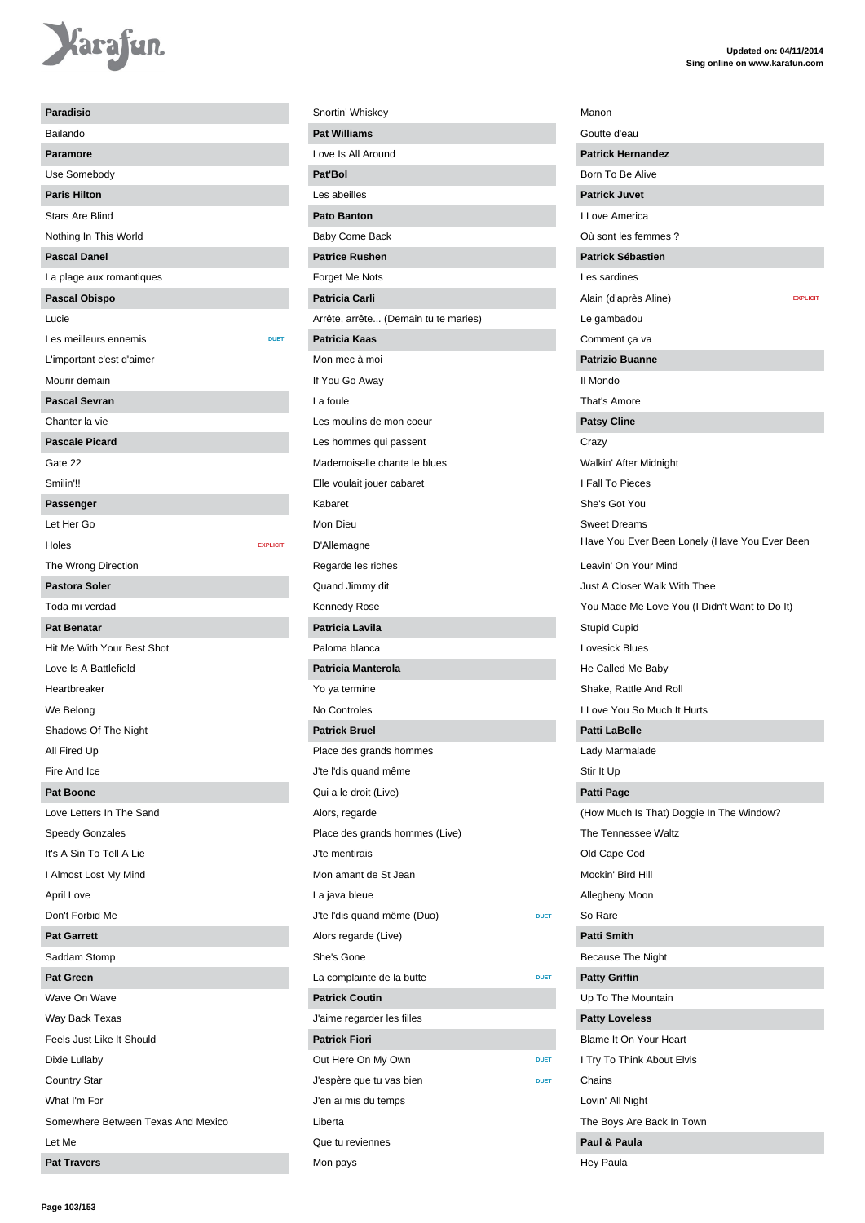

| <b>Paradisio</b>                     |
|--------------------------------------|
| Bailando                             |
| Paramore                             |
| Use Somebody                         |
| <b>Paris Hilton</b>                  |
| <b>Stars Are Blind</b>               |
| Nothing In This World                |
| <b>Pascal Danel</b>                  |
| La plage aux romantiques             |
| <b>Pascal Obispo</b>                 |
| Lucie                                |
| Les meilleurs ennemis<br><b>DUET</b> |
| L'important c'est d'aimer            |
| Mourir demain                        |
| <b>Pascal Sevran</b>                 |
| Chanter la vie                       |
| <b>Pascale Picard</b>                |
| Gate 22                              |
| Smilin'!!                            |
| Passenger                            |
| Let Her Go                           |
| Holes<br><b>EXPLICIT</b>             |
| The Wrong Direction                  |
| <b>Pastora Soler</b>                 |
| Toda mi verdad                       |
| <b>Pat Benatar</b>                   |
| Hit Me With Your Best Shot           |
| Love Is A Battlefield                |
| Heartbreaker                         |
| We Belong                            |
| Shadows Of The Night                 |
| All Fired Up                         |
| Fire And Ice                         |
| Pat Boone                            |
| Love Letters In The Sand             |
| <b>Speedy Gonzales</b>               |
| It's A Sin To Tell A Lie             |
| I Almost Lost My Mind                |
| April Love                           |
| Don't Forbid Me                      |
| <b>Pat Garrett</b>                   |
| Saddam Stomp                         |
| <b>Pat Green</b>                     |
| Wave On Wave                         |
| Way Back Texas                       |
| Feels Just Like It Should            |
| Dixie Lullaby                        |
| <b>Country Star</b>                  |
| What I'm For                         |
| Somewhere Between Texas And Mexico   |
| Let Me                               |
| <b>Pat Travers</b>                   |

### **Updated on: 04/11/2014 Sing online on www.karafun.com**

| Snortin' Whiskey                     |             |
|--------------------------------------|-------------|
| <b>Pat Williams</b>                  |             |
| Love Is All Around                   |             |
| Pat'Bol                              |             |
| Les abeilles                         |             |
| <b>Pato Banton</b>                   |             |
| <b>Baby Come Back</b>                |             |
| <b>Patrice Rushen</b>                |             |
| Forget Me Nots                       |             |
| <b>Patricia Carli</b>                |             |
| Arrête, arrête (Demain tu te maries) |             |
| <b>Patricia Kaas</b>                 |             |
| Mon mec à moi                        |             |
| If You Go Away                       |             |
| La foule                             |             |
| Les moulins de mon coeur             |             |
| Les hommes qui passent               |             |
| Mademoiselle chante le blues         |             |
| Elle voulait jouer cabaret           |             |
| Kabaret                              |             |
| Mon Dieu                             |             |
| D'Allemagne                          |             |
| Regarde les riches                   |             |
| Quand Jimmy dit                      |             |
| Kennedy Rose                         |             |
| Patricia Lavila                      |             |
| Paloma blanca                        |             |
| Patricia Manterola                   |             |
| Yo ya termine                        |             |
| No Controles                         |             |
| <b>Patrick Bruel</b>                 |             |
| Place des grands hommes              |             |
| J'te l'dis quand même                |             |
| Qui a le droit (Live)                |             |
| Alors, regarde                       |             |
| Place des grands hommes (Live)       |             |
| J'te mentirais                       |             |
| Mon amant de St Jean                 |             |
| La java bleue                        |             |
| J'te l'dis quand même (Duo)          | <b>DUET</b> |
| Alors regarde (Live)                 |             |
| She's Gone                           |             |
| La complainte de la butte            | <b>DUET</b> |
| <b>Patrick Coutin</b>                |             |
| J'aime regarder les filles           |             |
| <b>Patrick Fiori</b>                 |             |
| Out Here On My Own                   | <b>DUET</b> |
| J'espère que tu vas bien             | <b>DUET</b> |
| J'en ai mis du temps                 |             |
| Liberta                              |             |
| Que tu reviennes                     |             |

Mon pays

| Manon                                         |                 |
|-----------------------------------------------|-----------------|
| Goutte d'eau                                  |                 |
| <b>Patrick Hernandez</b>                      |                 |
| Born To Be Alive                              |                 |
| <b>Patrick Juvet</b>                          |                 |
| I Love America                                |                 |
| Où sont les femmes?                           |                 |
| <b>Patrick Sébastien</b>                      |                 |
| Les sardines                                  |                 |
| Alain (d'après Aline)                         | <b>EXPLICIT</b> |
| Le gambadou                                   |                 |
| Comment ça va                                 |                 |
| <b>Patrizio Buanne</b>                        |                 |
| II Mondo                                      |                 |
| That's Amore                                  |                 |
| <b>Patsy Cline</b>                            |                 |
| Crazy                                         |                 |
| Walkin' After Midnight                        |                 |
| I Fall To Pieces                              |                 |
| She's Got You                                 |                 |
| <b>Sweet Dreams</b>                           |                 |
| Have You Ever Been Lonely (Have You Ever Been |                 |
| Leavin' On Your Mind                          |                 |
| Just A Closer Walk With Thee                  |                 |
| You Made Me Love You (I Didn't Want to Do It) |                 |
| Stupid Cupid                                  |                 |
| <b>Lovesick Blues</b>                         |                 |
| He Called Me Baby                             |                 |
| Shake, Rattle And Roll                        |                 |
| I Love You So Much It Hurts                   |                 |
| Patti LaBelle                                 |                 |
| Lady Marmalade                                |                 |
| Stir It Up                                    |                 |
| <b>Patti Page</b>                             |                 |
| (How Much Is That) Doggie In The Window?      |                 |
| The Tennessee Waltz                           |                 |
| Old Cape Cod                                  |                 |
| Mockin' Bird Hill                             |                 |
| Allegheny Moon                                |                 |
| So Rare                                       |                 |
| <b>Patti Smith</b>                            |                 |
| <b>Because The Night</b>                      |                 |
| <b>Patty Griffin</b>                          |                 |
| Up To The Mountain                            |                 |
| <b>Patty Loveless</b>                         |                 |
| Blame It On Your Heart                        |                 |
| I Try To Think About Elvis                    |                 |
| Chains                                        |                 |
| Lovin' All Night                              |                 |
| The Boys Are Back In Town                     |                 |
| Paul & Paula                                  |                 |

Hey Paula

**Page 103/153**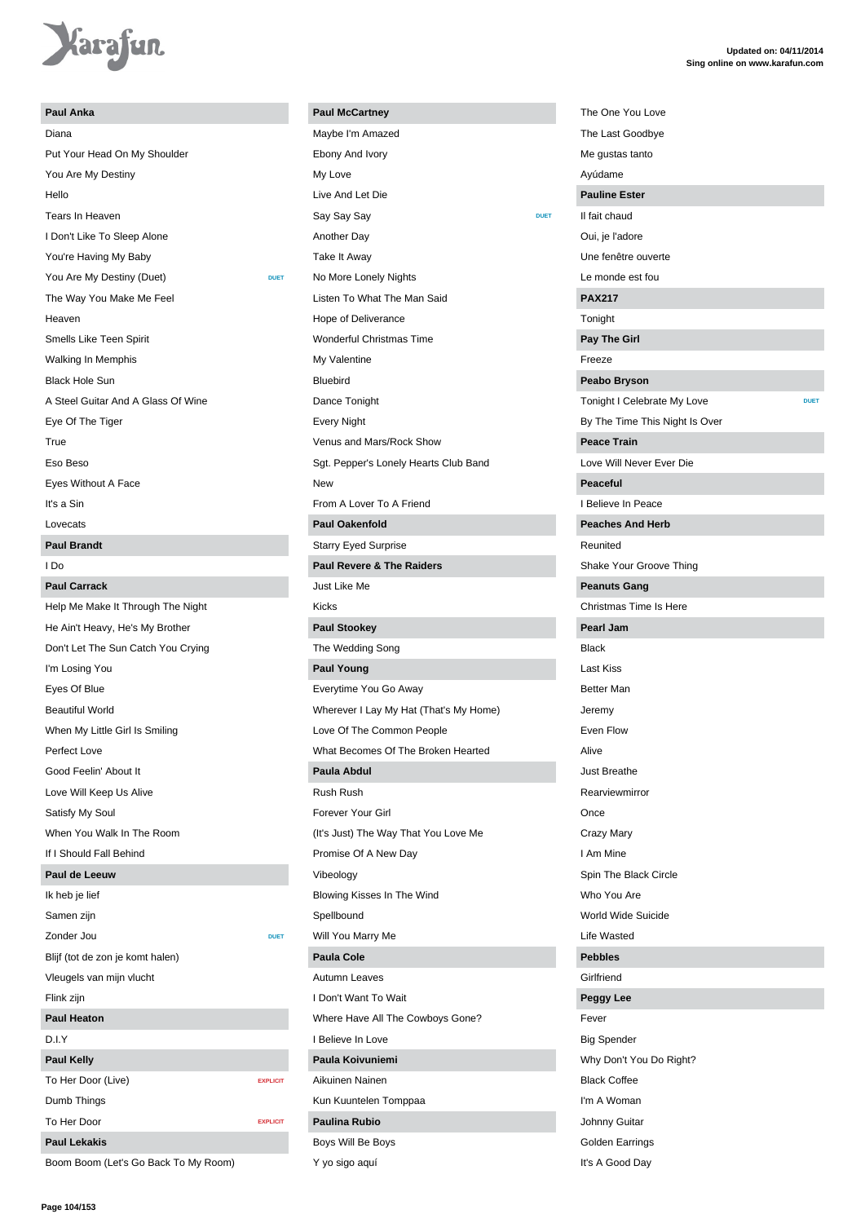

| <b>Paul Anka</b>                   |                 |
|------------------------------------|-----------------|
| Diana                              |                 |
| Put Your Head On My Shoulder       |                 |
| You Are My Destiny                 |                 |
| Hello                              |                 |
| Tears In Heaven                    |                 |
| I Don't Like To Sleep Alone        |                 |
| You're Having My Baby              |                 |
| You Are My Destiny (Duet)          | <b>DUET</b>     |
| The Way You Make Me Feel           |                 |
| Heaven                             |                 |
| Smells Like Teen Spirit            |                 |
| <b>Walking In Memphis</b>          |                 |
| <b>Black Hole Sun</b>              |                 |
| A Steel Guitar And A Glass Of Wine |                 |
| Eye Of The Tiger                   |                 |
| True                               |                 |
| Eso Beso                           |                 |
| Eyes Without A Face                |                 |
| It's a Sin                         |                 |
| Lovecats                           |                 |
| <b>Paul Brandt</b>                 |                 |
| l Do                               |                 |
| <b>Paul Carrack</b>                |                 |
| Help Me Make It Through The Night  |                 |
| He Ain't Heavy, He's My Brother    |                 |
| Don't Let The Sun Catch You Crying |                 |
| I'm Losing You                     |                 |
| Eyes Of Blue                       |                 |
| <b>Beautiful World</b>             |                 |
| When My Little Girl Is Smiling     |                 |
| Perfect Love                       |                 |
| Good Feelin' About It              |                 |
| Love Will Keep Us Alive            |                 |
| Satisfy My Soul                    |                 |
| When You Walk In The Room          |                 |
| If I Should Fall Behind            |                 |
| Paul de Leeuw                      |                 |
| Ik heb je lief                     |                 |
| Samen zijn                         |                 |
| Zonder Jou                         | <b>DUET</b>     |
| Blijf (tot de zon je komt halen)   |                 |
| Vleugels van mijn vlucht           |                 |
| Flink zijn                         |                 |
| <b>Paul Heaton</b>                 |                 |
| D.I.Y                              |                 |
| <b>Paul Kelly</b>                  |                 |
| To Her Door (Live)                 | <b>EXPLICIT</b> |
| Dumb Things                        |                 |
| To Her Door                        | <b>EXPLICIT</b> |
| <b>Paul Lekakis</b>                |                 |
|                                    |                 |

Boom Boom (Let's Go Back To My Room)

| <b>Paul McCartney</b>                  |             |
|----------------------------------------|-------------|
| Maybe I'm Amazed                       |             |
| Ebony And Ivory                        |             |
| My Love                                |             |
| Live And Let Die                       |             |
| Say Say Say                            | <b>DUET</b> |
| Another Day                            |             |
| Take It Away                           |             |
| No More Lonely Nights                  |             |
| Listen To What The Man Said            |             |
| Hope of Deliverance                    |             |
| <b>Wonderful Christmas Time</b>        |             |
| My Valentine                           |             |
| <b>Bluebird</b>                        |             |
| Dance Tonight                          |             |
| Every Night                            |             |
| Venus and Mars/Rock Show               |             |
| Sgt. Pepper's Lonely Hearts Club Band  |             |
| New                                    |             |
| From A Lover To A Friend               |             |
| <b>Paul Oakenfold</b>                  |             |
| <b>Starry Eyed Surprise</b>            |             |
| <b>Paul Revere &amp; The Raiders</b>   |             |
| Just Like Me                           |             |
| Kicks                                  |             |
| <b>Paul Stookey</b>                    |             |
| The Wedding Song                       |             |
| <b>Paul Young</b>                      |             |
| Everytime You Go Away                  |             |
| Wherever I Lay My Hat (That's My Home) |             |
| Love Of The Common People              |             |
| What Becomes Of The Broken Hearted     |             |
| <b>Paula Abdul</b>                     |             |
| Rush Rush                              |             |
| <b>Forever Your Girl</b>               |             |
| (It's Just) The Way That You Love Me   |             |
| Promise Of A New Day                   |             |
| Vibeology                              |             |
| Blowing Kisses In The Wind             |             |
| Spellbound                             |             |
| Will You Marry Me                      |             |
| <b>Paula Cole</b>                      |             |
| Autumn Leaves                          |             |
| I Don't Want To Wait                   |             |
| Where Have All The Cowboys Gone?       |             |
| I Believe In Love                      |             |
| Paula Koivuniemi                       |             |
| Aikuinen Nainen                        |             |
| Kun Kuuntelen Tomppaa                  |             |
| <b>Paulina Rubio</b>                   |             |
| Boys Will Be Boys                      |             |
| Y yo sigo aquí                         |             |

| The One You Love               |             |
|--------------------------------|-------------|
| The Last Goodbye               |             |
| Me gustas tanto                |             |
| Ayúdame                        |             |
| <b>Pauline Ester</b>           |             |
| Il fait chaud                  |             |
| Oui, je l'adore                |             |
| Une fenêtre ouverte            |             |
| Le monde est fou               |             |
| <b>PAX217</b>                  |             |
| Tonight                        |             |
| Pay The Girl                   |             |
| Freeze                         |             |
| Peabo Bryson                   |             |
| Tonight I Celebrate My Love    | <b>DUET</b> |
| By The Time This Night Is Over |             |
| <b>Peace Train</b>             |             |
| Love Will Never Ever Die       |             |
| Peaceful                       |             |
| I Believe In Peace             |             |
| <b>Peaches And Herb</b>        |             |
| Reunited                       |             |
| Shake Your Groove Thing        |             |
| <b>Peanuts Gang</b>            |             |
| Christmas Time Is Here         |             |
| Pearl Jam                      |             |
| <b>Black</b>                   |             |
| <b>Last Kiss</b>               |             |
| <b>Better Man</b>              |             |
| Jeremy                         |             |
| Even Flow                      |             |
| Alive                          |             |
| <b>Just Breathe</b>            |             |
| Rearviewmirror                 |             |
| Once                           |             |
| Crazy Mary                     |             |
| I Am Mine                      |             |
| Spin The Black Circle          |             |
| Who You Are                    |             |
| World Wide Suicide             |             |
| Life Wasted                    |             |
| <b>Pebbles</b>                 |             |
| Girlfriend                     |             |
| Peggy Lee                      |             |
| Fever                          |             |
| <b>Big Spender</b>             |             |
| Why Don't You Do Right?        |             |
| <b>Black Coffee</b>            |             |
| I'm A Woman                    |             |
| Johnny Guitar                  |             |
| Golden Earrings                |             |
| It's A Good Day                |             |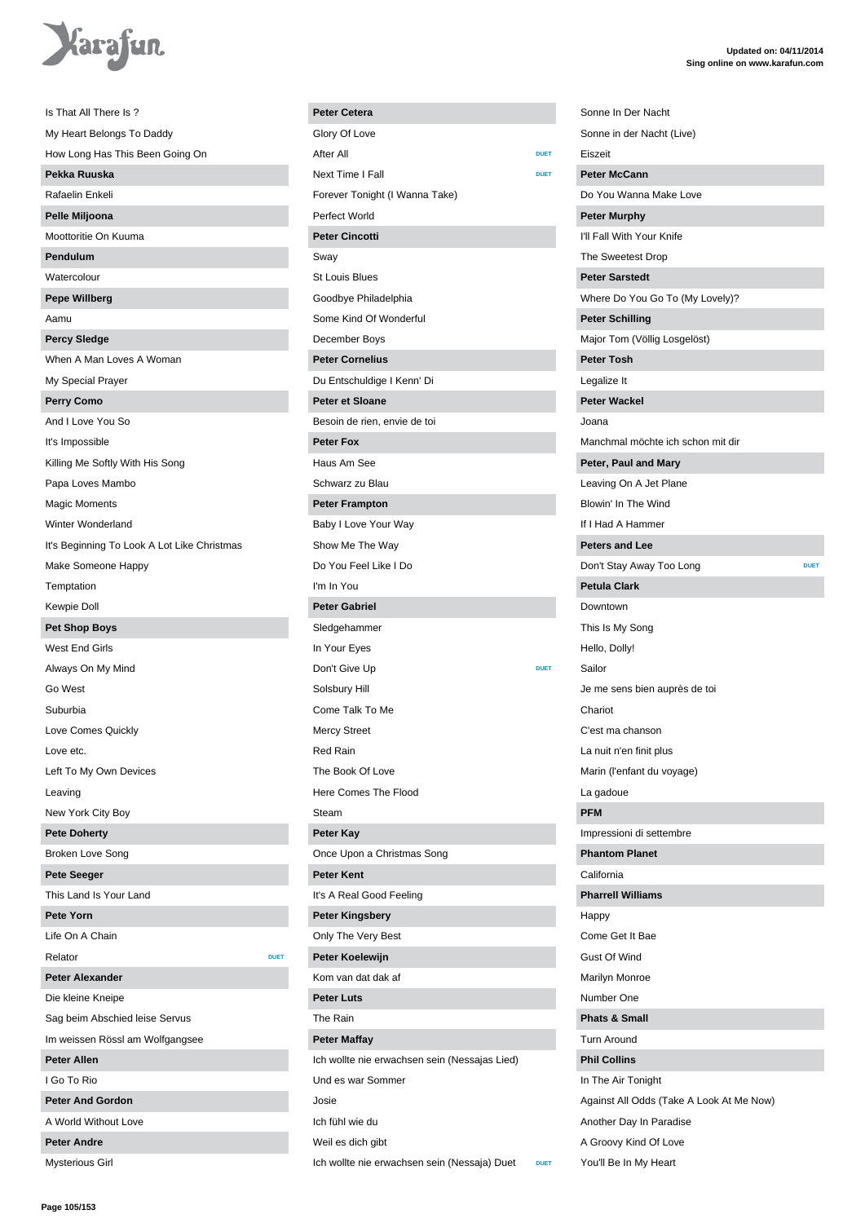

| Is That All There Is ?                      |
|---------------------------------------------|
| My Heart Belongs To Daddy                   |
| How Long Has This Been Going On             |
| Pekka Ruuska                                |
| Rafaelin Enkeli                             |
| Pelle Miljoona                              |
| Moottoritie On Kuuma                        |
| Pendulum                                    |
| Watercolour                                 |
| <b>Pepe Willberg</b>                        |
| Aamu                                        |
| <b>Percy Sledge</b>                         |
| When A Man Loves A Woman                    |
| My Special Prayer                           |
| <b>Perry Como</b>                           |
| And I Love You So                           |
| It's Impossible                             |
| Killing Me Softly With His Song             |
| Papa Loves Mambo                            |
| <b>Magic Moments</b>                        |
| Winter Wonderland                           |
| It's Beginning To Look A Lot Like Christmas |
| Make Someone Happy                          |
| Temptation                                  |
| Kewpie Doll                                 |
| <b>Pet Shop Boys</b>                        |
| <b>West End Girls</b>                       |
| Always On My Mind                           |
| Go West                                     |
| Suburbia                                    |
| Love Comes Quickly                          |
| Love etc.                                   |
| Left To My Own Devices                      |
| Leaving                                     |
| New York City Boy                           |
| <b>Pete Doherty</b>                         |
| <b>Broken Love Song</b>                     |
| <b>Pete Seeger</b>                          |
| This Land Is Your Land                      |
| Pete Yorn                                   |
| Life On A Chain                             |
| Relator<br><b>DUET</b>                      |
| <b>Peter Alexander</b>                      |
| Die kleine Kneipe                           |
| Sag beim Abschied leise Servus              |
| Im weissen Rössl am Wolfgangsee             |
| <b>Peter Allen</b>                          |
| I Go To Rio                                 |
| <b>Peter And Gordon</b>                     |
| A World Without Love                        |
| <b>Peter Andre</b>                          |
| Mysterious Girl                             |

| <b>Peter Cetera</b>                           |             |
|-----------------------------------------------|-------------|
| Glory Of Love                                 |             |
| After All                                     | <b>DUET</b> |
| Next Time I Fall                              | <b>DUET</b> |
| Forever Tonight (I Wanna Take)                |             |
| <b>Perfect World</b>                          |             |
| <b>Peter Cincotti</b>                         |             |
| Sway                                          |             |
| <b>St Louis Blues</b>                         |             |
| Goodbye Philadelphia                          |             |
| Some Kind Of Wonderful                        |             |
| December Boys                                 |             |
| <b>Peter Cornelius</b>                        |             |
| Du Entschuldige I Kenn' Di                    |             |
| <b>Peter et Sloane</b>                        |             |
| Besoin de rien, envie de toi                  |             |
| <b>Peter Fox</b>                              |             |
| Haus Am See                                   |             |
| Schwarz zu Blau                               |             |
| <b>Peter Frampton</b>                         |             |
| Baby I Love Your Way                          |             |
| Show Me The Way                               |             |
| Do You Feel Like I Do                         |             |
| I'm In You                                    |             |
| <b>Peter Gabriel</b>                          |             |
| Sledgehammer                                  |             |
| In Your Eyes                                  |             |
|                                               |             |
| Don't Give Up                                 | <b>DUET</b> |
| Solsbury Hill                                 |             |
| Come Talk To Me                               |             |
| <b>Mercy Street</b>                           |             |
| <b>Red Rain</b>                               |             |
| The Book Of Love                              |             |
| Here Comes The Flood                          |             |
| Steam                                         |             |
| <b>Peter Kay</b>                              |             |
| Once Upon a Christmas Song                    |             |
| <b>Peter Kent</b>                             |             |
| It's A Real Good Feeling                      |             |
| <b>Peter Kingsbery</b>                        |             |
| Only The Very Best                            |             |
| Peter Koelewijn                               |             |
| Kom van dat dak af                            |             |
| <b>Peter Luts</b>                             |             |
| The Rain                                      |             |
| <b>Peter Maffay</b>                           |             |
| Ich wollte nie erwachsen sein (Nessajas Lied) |             |
| Und es war Sommer                             |             |
| Josie                                         |             |
| Ich fühl wie du                               |             |
| Weil es dich gibt                             |             |

Sonne In Der Nacht Sonne in der Nacht (Live) Eiszeit **Peter McCann** Do You Wanna Make Love **Peter Murphy** I'll Fall With Your Knife The Sweetest Drop **Peter Sarstedt** Where Do You Go To (My Lovely)? **Peter Schilling** Major Tom (Völlig Losgelöst) **Peter Tosh** Legalize It **Peter Wackel** Joana Manchmal möchte ich schon mit dir **Peter, Paul and Mary** Leaving On A Jet Plane Blowin' In The Wind If I Had A Hammer **Peters and Lee Don't Stay Away Too Long DUET Petula Clark** Downtown This Is My Song Hello, Dolly! Sailor Je me sens bien auprès de toi Chariot C'est ma chanson La nuit n'en finit plus Marin (l'enfant du voyage) La gadoue **PFM** Impressioni di settembre **Phantom Planet** California **Pharrell Williams** Happy Come Get It Bae Gust Of Wind Marilyn Monroe Number One **Phats & Small** Turn Around **Phil Collins** In The Air Tonight Against All Odds (Take A Look At Me Now) Another Day In Paradise A Groovy Kind Of Love You'll Be In My Heart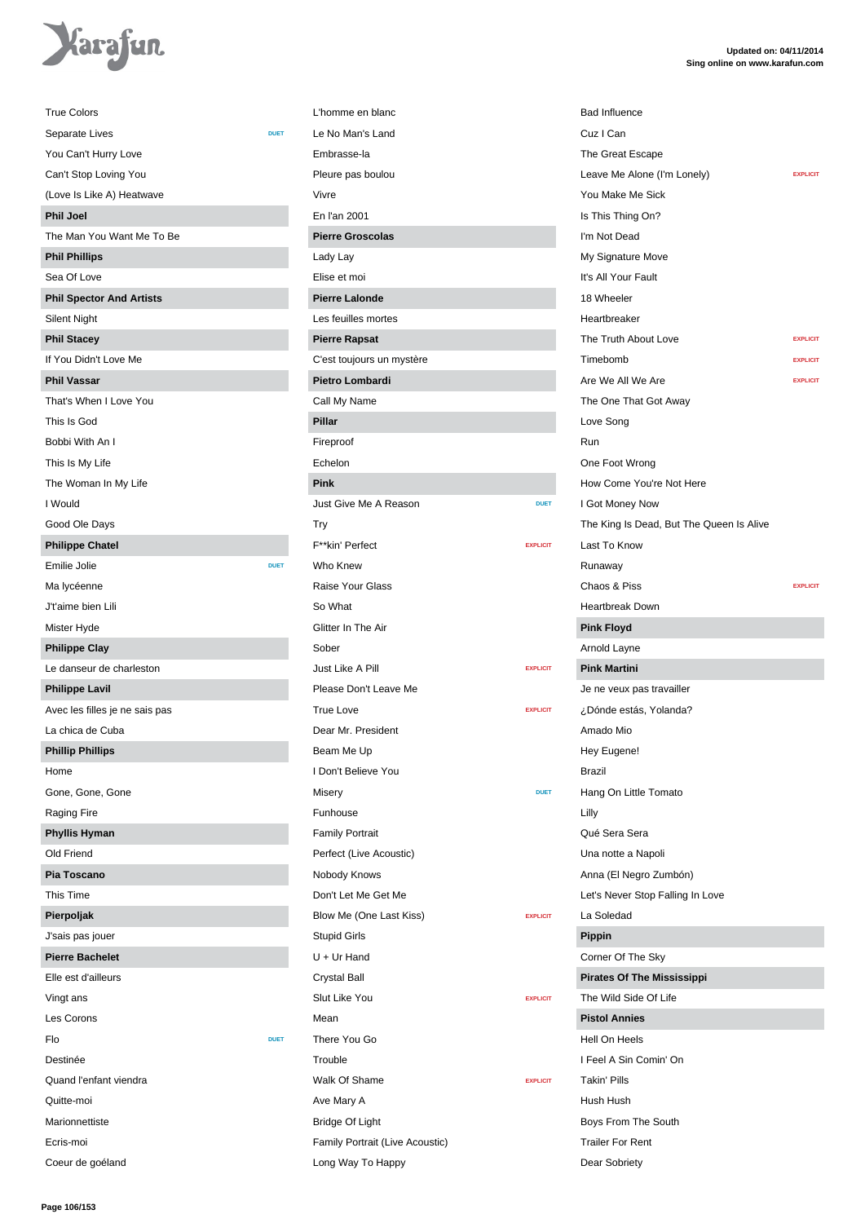

| <b>True Colors</b>              |             |
|---------------------------------|-------------|
| Separate Lives                  | <b>DUET</b> |
| You Can't Hurry Love            |             |
| Can't Stop Loving You           |             |
| (Love Is Like A) Heatwave       |             |
| <b>Phil Joel</b>                |             |
| The Man You Want Me To Be       |             |
| <b>Phil Phillips</b>            |             |
| Sea Of Love                     |             |
| <b>Phil Spector And Artists</b> |             |
| <b>Silent Night</b>             |             |
| <b>Phil Stacey</b>              |             |
| If You Didn't Love Me           |             |
| <b>Phil Vassar</b>              |             |
| That's When I Love You          |             |
| This Is God                     |             |
| Bobbi With An I                 |             |
| This Is My Life                 |             |
| The Woman In My Life            |             |
| I Would                         |             |
| Good Ole Days                   |             |
| <b>Philippe Chatel</b>          |             |
| Emilie Jolie                    | <b>DUET</b> |
| Ma lycéenne                     |             |
| J't'aime bien Lili              |             |
| Mister Hyde                     |             |
| <b>Philippe Clay</b>            |             |
| Le danseur de charleston        |             |
| <b>Philippe Lavil</b>           |             |
| Avec les filles je ne sais pas  |             |
| La chica de Cuba                |             |
| <b>Phillip Phillips</b>         |             |
| Home                            |             |
| Gone, Gone, Gone                |             |
| Raging Fire                     |             |
| <b>Phyllis Hyman</b>            |             |
| Old Friend                      |             |
| Pia Toscano                     |             |
| This Time                       |             |
| Pierpoljak                      |             |
| J'sais pas jouer                |             |
| <b>Pierre Bachelet</b>          |             |
| Elle est d'ailleurs             |             |
| Vingt ans                       |             |
| Les Corons                      |             |
| Flo                             | <b>DUET</b> |
| Destinée                        |             |
| Quand l'enfant viendra          |             |
| Quitte-moi                      |             |
| Marionnettiste                  |             |
| Ecris-moi                       |             |
|                                 |             |

| L'homme en blanc                |                 |
|---------------------------------|-----------------|
| Le No Man's Land                |                 |
| Embrasse-la                     |                 |
| Pleure pas boulou               |                 |
| Vivre                           |                 |
| En l'an 2001                    |                 |
| <b>Pierre Groscolas</b>         |                 |
| Lady Lay                        |                 |
| Elise et moi                    |                 |
| <b>Pierre Lalonde</b>           |                 |
| Les feuilles mortes             |                 |
| <b>Pierre Rapsat</b>            |                 |
| C'est toujours un mystère       |                 |
| Pietro Lombardi                 |                 |
| Call My Name                    |                 |
| <b>Pillar</b>                   |                 |
| Fireproof                       |                 |
| Echelon                         |                 |
| Pink                            |                 |
| Just Give Me A Reason           | <b>DUET</b>     |
| Try                             |                 |
| F**kin' Perfect                 | <b>EXPLICIT</b> |
| Who Knew                        |                 |
| Raise Your Glass                |                 |
| So What                         |                 |
| Glitter In The Air              |                 |
| Sober                           |                 |
| Just Like A Pill                | <b>EXPLICIT</b> |
| Please Don't Leave Me           |                 |
| <b>True Love</b>                | <b>EXPLICIT</b> |
| Dear Mr. President              |                 |
| Beam Me Up                      |                 |
| I Don't Believe You             |                 |
|                                 | <b>DUET</b>     |
| Misery<br>Funhouse              |                 |
|                                 |                 |
| <b>Family Portrait</b>          |                 |
| Perfect (Live Acoustic)         |                 |
| Nobody Knows                    |                 |
| Don't Let Me Get Me             |                 |
| Blow Me (One Last Kiss)         | <b>EXPLICIT</b> |
| <b>Stupid Girls</b>             |                 |
| U + Ur Hand                     |                 |
| Crystal Ball                    |                 |
| Slut Like You                   | <b>EXPLICIT</b> |
| Mean                            |                 |
| There You Go                    |                 |
| Trouble                         |                 |
| Walk Of Shame                   | <b>EXPLICIT</b> |
| Ave Mary A                      |                 |
| <b>Bridge Of Light</b>          |                 |
| Family Portrait (Live Acoustic) |                 |
| Long Way To Happy               |                 |

|                | <b>Bad Influence</b>                     |                 |
|----------------|------------------------------------------|-----------------|
|                | Cuz I Can                                |                 |
|                | The Great Escape                         |                 |
|                | Leave Me Alone (I'm Lonely)              | <b>EXPLICIT</b> |
|                | You Make Me Sick                         |                 |
|                | Is This Thing On?                        |                 |
|                | I'm Not Dead                             |                 |
|                | My Signature Move                        |                 |
|                | It's All Your Fault                      |                 |
|                | 18 Wheeler                               |                 |
|                | Heartbreaker                             |                 |
|                | The Truth About Love                     | <b>EXPLICIT</b> |
|                | Timebomb                                 | <b>EXPLICIT</b> |
|                | Are We All We Are                        | <b>EXPLICIT</b> |
|                | The One That Got Away                    |                 |
|                | Love Song                                |                 |
|                | Run                                      |                 |
|                | One Foot Wrong                           |                 |
|                | How Come You're Not Here                 |                 |
| <b>DUET</b>    | I Got Money Now                          |                 |
|                | The King Is Dead, But The Queen Is Alive |                 |
| <b>(PLICIT</b> | Last To Know                             |                 |
|                | Runaway                                  |                 |
|                | Chaos & Piss                             | <b>EXPLICIT</b> |
|                | <b>Heartbreak Down</b>                   |                 |
|                | <b>Pink Floyd</b>                        |                 |
|                | Arnold Layne                             |                 |
| <b>PLICIT</b>  | <b>Pink Martini</b>                      |                 |
|                | Je ne veux pas travailler                |                 |
| <b>PLICIT</b>  | ¿Dónde estás, Yolanda?                   |                 |
|                | Amado Mio                                |                 |
|                | Hey Eugene!                              |                 |
|                | Brazil                                   |                 |
| <b>DUET</b>    | Hang On Little Tomato                    |                 |
|                | Lilly                                    |                 |
|                | Qué Sera Sera                            |                 |
|                | Una notte a Napoli                       |                 |
|                | Anna (El Negro Zumbón)                   |                 |
|                | Let's Never Stop Falling In Love         |                 |
| <b>PLICIT</b>  | La Soledad                               |                 |
|                | Pippin                                   |                 |
|                | Corner Of The Sky                        |                 |
|                | <b>Pirates Of The Mississippi</b>        |                 |
| <b>PLICIT</b>  | The Wild Side Of Life                    |                 |
|                | <b>Pistol Annies</b>                     |                 |
|                | Hell On Heels                            |                 |
|                | I Feel A Sin Comin' On                   |                 |
| <b>PLICIT</b>  | <b>Takin' Pills</b>                      |                 |
|                | Hush Hush                                |                 |
|                | Boys From The South                      |                 |
|                |                                          |                 |
|                | <b>Trailer For Rent</b>                  |                 |
|                | Dear Sobriety                            |                 |

Coeur de goéland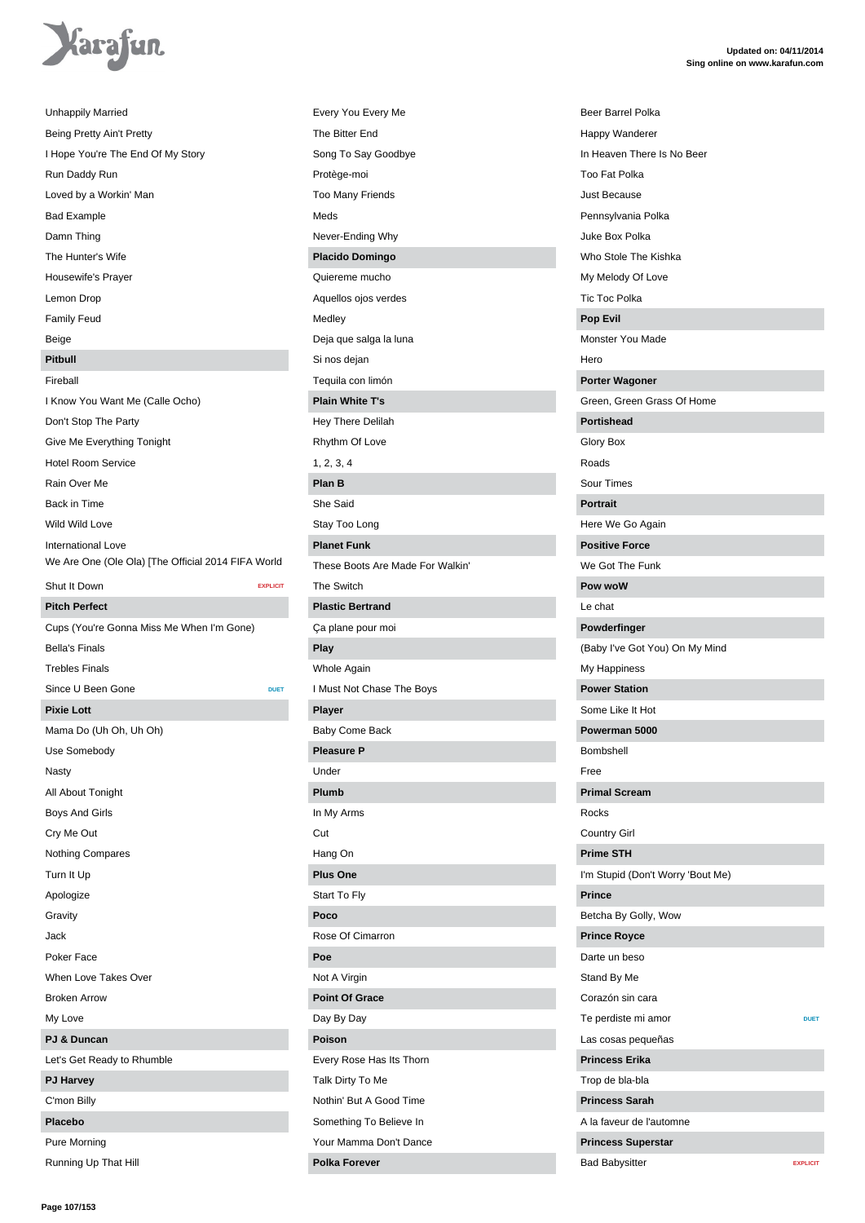

| <b>Unhappily Married</b>                                                        |
|---------------------------------------------------------------------------------|
| Being Pretty Ain't Pretty                                                       |
| I Hope You're The End Of My Story                                               |
| Run Daddy Run                                                                   |
| Loved by a Workin' Man                                                          |
| <b>Bad Example</b>                                                              |
| Damn Thing                                                                      |
| The Hunter's Wife                                                               |
| Housewife's Prayer                                                              |
| Lemon Drop                                                                      |
| <b>Family Feud</b>                                                              |
| Beige                                                                           |
| <b>Pitbull</b>                                                                  |
| Fireball                                                                        |
| I Know You Want Me (Calle Ocho)                                                 |
| Don't Stop The Party                                                            |
| Give Me Everything Tonight                                                      |
| <b>Hotel Room Service</b>                                                       |
| Rain Over Me                                                                    |
| <b>Back in Time</b>                                                             |
| Wild Wild Love                                                                  |
| <b>International Love</b><br>We Are One (Ole Ola) [The Official 2014 FIFA World |
| Shut It Down<br><b>EXPLICIT</b>                                                 |
| <b>Pitch Perfect</b>                                                            |
| Cups (You're Gonna Miss Me When I'm Gone)                                       |
| <b>Bella's Finals</b>                                                           |
| <b>Trebles Finals</b>                                                           |
| Since U Been Gone<br><b>DUET</b>                                                |
| <b>Pixie Lott</b>                                                               |
| Mama Do (Uh Oh, Uh Oh)                                                          |
| Use Somebody                                                                    |
| Nasty                                                                           |
| All About Tonight                                                               |
| <b>Boys And Girls</b>                                                           |
| Cry Me Out                                                                      |
| Nothing Compares                                                                |
| Turn It Up                                                                      |
| Apologize                                                                       |
| Gravity                                                                         |
| Jack                                                                            |
| Poker Face                                                                      |
| When Love Takes Over                                                            |
| <b>Broken Arrow</b>                                                             |
| My Love                                                                         |
| PJ & Duncan                                                                     |
| Let's Get Ready to Rhumble                                                      |
| <b>PJ Harvey</b>                                                                |
| C'mon Billy                                                                     |
|                                                                                 |
| <b>Placebo</b>                                                                  |

Running Up That Hill

Every You Every Me The Bitter End Song To Say Goodbye Protège-moi Too Many Friends Meds Never-Ending Why **Placido Domingo** Quiereme mucho Aquellos ojos verdes Medley Deja que salga la luna Si nos dejan Tequila con limón **Plain White T's** Hey There Delilah Rhythm Of Love 1, 2, 3, 4 **Plan B** She Said Stay Too Long **Planet Funk** These Boots Are Made For Walkin' The Switch **Plastic Bertrand** Ça plane pour moi **Play** Whole Again I Must Not Chase The Boys **Player** Baby Come Back **Pleasure P** Under **Plumb** In My Arms Cut Hang On **Plus One** Start To Fly **Poco** Rose Of Cimarron **Poe** Not A Virgin **Point Of Grace** Day By Day **Poison** Every Rose Has Its Thorn Talk Dirty To Me Nothin' But A Good Time Something To Believe In

Your Mamma Don't Dance

**Polka Forever**

| Beer Barrel Polka                 |                 |
|-----------------------------------|-----------------|
| Happy Wanderer                    |                 |
| In Heaven There Is No Beer        |                 |
| <b>Too Fat Polka</b>              |                 |
| <b>Just Because</b>               |                 |
| Pennsylvania Polka                |                 |
| Juke Box Polka                    |                 |
| Who Stole The Kishka              |                 |
| My Melody Of Love                 |                 |
| <b>Tic Toc Polka</b>              |                 |
| Pop Evil                          |                 |
| Monster You Made                  |                 |
| Hero                              |                 |
| Porter Wagoner                    |                 |
| Green, Green Grass Of Home        |                 |
| <b>Portishead</b>                 |                 |
| Glory Box                         |                 |
| Roads                             |                 |
| Sour Times                        |                 |
| <b>Portrait</b>                   |                 |
| Here We Go Again                  |                 |
| <b>Positive Force</b>             |                 |
| We Got The Funk                   |                 |
| Pow woW                           |                 |
| Le chat                           |                 |
| Powderfinger                      |                 |
| (Baby I've Got You) On My Mind    |                 |
| My Happiness                      |                 |
| <b>Power Station</b>              |                 |
| Some Like It Hot                  |                 |
| Powerman 5000                     |                 |
| Bombshell                         |                 |
| Free                              |                 |
| <b>Primal Scream</b>              |                 |
| Rocks                             |                 |
| <b>Country Girl</b>               |                 |
| <b>Prime STH</b>                  |                 |
| I'm Stupid (Don't Worry 'Bout Me) |                 |
| Prince                            |                 |
| Betcha By Golly, Wow              |                 |
| <b>Prince Royce</b>               |                 |
| Darte un beso                     |                 |
| Stand By Me                       |                 |
| Corazón sin cara                  |                 |
| Te perdiste mi amor               | <b>DUET</b>     |
| Las cosas pequeñas                |                 |
| <b>Princess Erika</b>             |                 |
| Trop de bla-bla                   |                 |
| <b>Princess Sarah</b>             |                 |
| A la faveur de l'automne          |                 |
| <b>Princess Superstar</b>         |                 |
| <b>Bad Babysitter</b>             | <b>EXPLICIT</b> |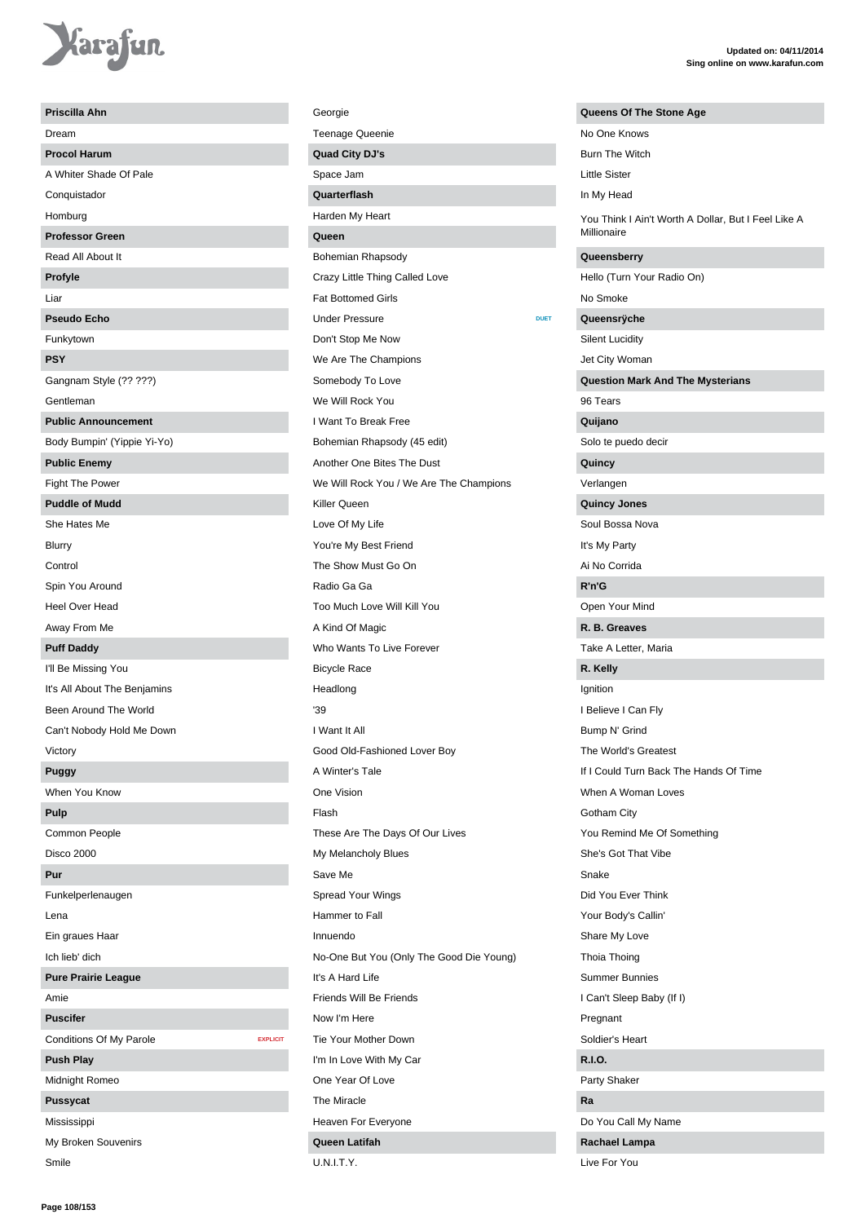

| Priscilla Ahn                                     |
|---------------------------------------------------|
| Dream                                             |
| <b>Procol Harum</b>                               |
| A Whiter Shade Of Pale                            |
| Conquistador                                      |
| Homburg                                           |
| <b>Professor Green</b>                            |
| Read All About It                                 |
| Profyle                                           |
| Liar                                              |
| <b>Pseudo Echo</b>                                |
| Funkytown                                         |
| <b>PSY</b>                                        |
| Gangnam Style (?? ???)                            |
| Gentleman                                         |
| <b>Public Announcement</b>                        |
| Body Bumpin' (Yippie Yi-Yo)                       |
| <b>Public Enemy</b>                               |
| <b>Fight The Power</b>                            |
| <b>Puddle of Mudd</b>                             |
| She Hates Me                                      |
| Blurry                                            |
| Control                                           |
| Spin You Around                                   |
| <b>Heel Over Head</b>                             |
| Away From Me                                      |
| <b>Puff Daddy</b>                                 |
| I'll Be Missing You                               |
| It's All About The Benjamins                      |
| Been Around The World                             |
| Can't Nobody Hold Me Down                         |
| Victory                                           |
| Puggy                                             |
| When You Know                                     |
| Pulp                                              |
| Common People                                     |
| Disco 2000                                        |
| Pur                                               |
| Funkelperlenaugen                                 |
| Lena                                              |
| Ein graues Haar                                   |
| Ich lieb' dich                                    |
| <b>Pure Prairie League</b>                        |
| Amie                                              |
| <b>Puscifer</b>                                   |
| <b>Conditions Of My Parole</b><br><b>EXPLICIT</b> |
| <b>Push Play</b>                                  |
| Midnight Romeo                                    |
| <b>Pussycat</b>                                   |
| Mississippi                                       |
| My Broken Souvenirs                               |
| Smile                                             |

Georgie Teenage Queenie **Quad City DJ's** Space Jam **Quarterflash** Harden My Heart **Queen** Bohemian Rhapsody Crazy Little Thing Called Love Fat Bottomed Girls Under Pressure **DUET** Don't Stop Me Now We Are The Champions Somebody To Love We Will Rock You I Want To Break Free Bohemian Rhapsody (45 edit) Another One Bites The Dust We Will Rock You / We Are The Champions Killer Queen Love Of My Life You're My Best Friend The Show Must Go On Radio Ga Ga Too Much Love Will Kill You A Kind Of Magic Who Wants To Live Forever Bicycle Race Headlong '39 I Want It All Good Old-Fashioned Lover Boy A Winter's Tale One Vision Flash These Are The Days Of Our Lives My Melancholy Blues Save Me Spread Your Wings Hammer to Fall Innuendo No-One But You (Only The Good Die Young) It's A Hard Life Friends Will Be Friends Now I'm Here Tie Your Mother Down I'm In Love With My Car One Year Of Love The Miracle Heaven For Everyone **Queen Latifah** U.N.I.T.Y.

**Updated on: 04/11/2014 Sing online on www.karafun.com Queens Of The Stone Age**

|                      | No One Knows                                        |
|----------------------|-----------------------------------------------------|
|                      | <b>Burn The Witch</b>                               |
| <b>Little Sister</b> |                                                     |
| In My Head           |                                                     |
| Millionaire          | You Think I Ain't Worth A Dollar, But I Feel Like A |
|                      | Queensberry                                         |
|                      | Hello (Turn Your Radio On)                          |
| No Smoke             |                                                     |
|                      | Queensryche                                         |
|                      | <b>Silent Lucidity</b>                              |
|                      | Jet City Woman                                      |
|                      | <b>Question Mark And The Mysterians</b>             |
| 96 Tears             |                                                     |
| Quijano              |                                                     |
|                      | Solo te puedo decir                                 |
| Quincy               |                                                     |
| Verlangen            |                                                     |
|                      | <b>Quincy Jones</b>                                 |
|                      | Soul Bossa Nova                                     |
| It's My Party        |                                                     |
|                      | Ai No Corrida                                       |
| R'n'G                |                                                     |
|                      | Open Your Mind                                      |
|                      | R. B. Greaves                                       |
|                      | Take A Letter, Maria                                |
| R. Kelly             |                                                     |
| Ignition             |                                                     |
|                      | I Believe I Can Fly                                 |
|                      | Bump N' Grind                                       |
|                      | The World's Greatest                                |
|                      | If I Could Turn Back The Hands Of Time              |
|                      | When A Woman Loves                                  |
| <b>Gotham City</b>   |                                                     |
|                      | You Remind Me Of Something                          |
|                      | She's Got That Vibe                                 |
| Snake                |                                                     |
|                      | Did You Ever Think                                  |
|                      | Your Body's Callin'                                 |
|                      | Share My Love                                       |
|                      | Thoia Thoing                                        |
|                      | <b>Summer Bunnies</b>                               |
|                      | I Can't Sleep Baby (If I)                           |
| Pregnant             |                                                     |
|                      | Soldier's Heart                                     |
| R.I.O.               |                                                     |
| Party Shaker         |                                                     |
| Ra                   |                                                     |
|                      | Do You Call My Name                                 |
|                      | Rachael Lampa                                       |

Live For You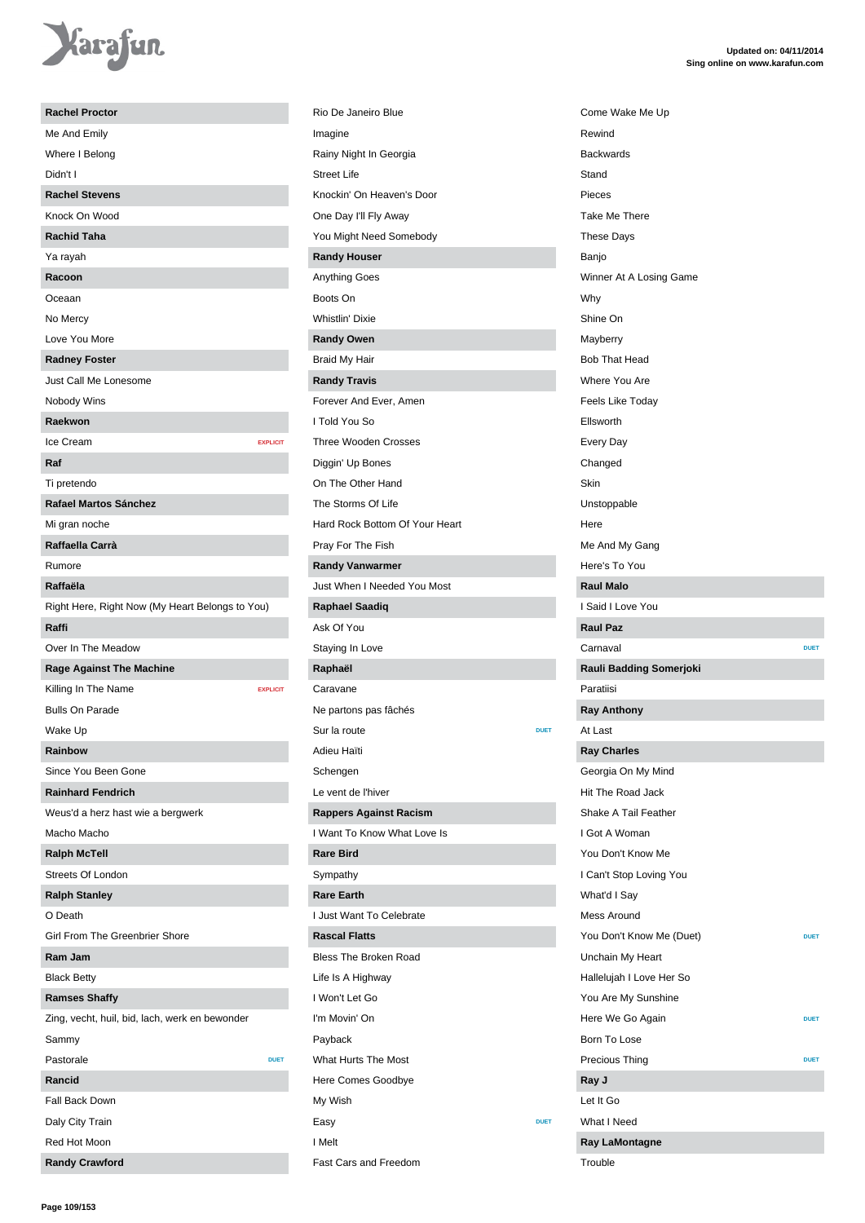

| <b>Rachel Proctor</b>                           |                 |
|-------------------------------------------------|-----------------|
| Me And Emily                                    |                 |
| Where I Belong                                  |                 |
| Didn't I                                        |                 |
| <b>Rachel Stevens</b>                           |                 |
| Knock On Wood                                   |                 |
| <b>Rachid Taha</b>                              |                 |
| Ya rayah                                        |                 |
| Racoon                                          |                 |
| Oceaan                                          |                 |
| No Mercy                                        |                 |
| Love You More                                   |                 |
| <b>Radney Foster</b>                            |                 |
| Just Call Me Lonesome                           |                 |
| Nobody Wins                                     |                 |
| Raekwon                                         |                 |
| Ice Cream                                       | <b>EXPLICIT</b> |
| Raf                                             |                 |
| Ti pretendo                                     |                 |
| <b>Rafael Martos Sánchez</b>                    |                 |
| Mi gran noche                                   |                 |
| Raffaella Carrà                                 |                 |
| Rumore                                          |                 |
| Raffaëla                                        |                 |
| Right Here, Right Now (My Heart Belongs to You) |                 |
| Raffi                                           |                 |
| Over In The Meadow                              |                 |
| <b>Rage Against The Machine</b>                 |                 |
| Killing In The Name                             | <b>EXPLICIT</b> |
| <b>Bulls On Parade</b>                          |                 |
| Wake Up                                         |                 |
| <b>Rainbow</b>                                  |                 |
| Since You Been Gone                             |                 |
| <b>Rainhard Fendrich</b>                        |                 |
| Weus'd a herz hast wie a bergwerk               |                 |
| Macho Macho                                     |                 |
| <b>Ralph McTell</b>                             |                 |
| Streets Of London                               |                 |
| <b>Ralph Stanley</b>                            |                 |
|                                                 |                 |
| O Death                                         |                 |
| Girl From The Greenbrier Shore                  |                 |
| Ram Jam                                         |                 |
| <b>Black Betty</b>                              |                 |
| <b>Ramses Shaffy</b>                            |                 |
| Zing, vecht, huil, bid, lach, werk en bewonder  |                 |
| Sammy                                           |                 |
| Pastorale                                       | <b>DUET</b>     |
| Rancid                                          |                 |
| Fall Back Down                                  |                 |
| Daly City Train                                 |                 |
| <b>Red Hot Moon</b>                             |                 |

Rio De Janeiro Blue Imagine Rainy Night In Georgia Street Life Knockin' On Heaven's Door One Day I'll Fly Away You Might Need Somebody **Randy Houser** Anything Goes Boots On Whistlin' Dixie **Randy Owen** Braid My Hair **Randy Travis** Forever And Ever, Amen I Told You So Three Wooden Crosses Diggin' Up Bones On The Other Hand The Storms Of Life Hard Rock Bottom Of Your Heart Pray For The Fish **Randy Vanwarmer** Just When I Needed You Most **Raphael Saadiq** Ask Of You Staying In Love **Raphaël** Caravane Ne partons pas fâchés Sur la route **DUET** Adieu Haïti Schengen Le vent de l'hiver **Rappers Against Racism** I Want To Know What Love Is **Rare Bird** Sympathy **Rare Earth** I Just Want To Celebrate **Rascal Flatts** Bless The Broken Road Life Is A Highway I Won't Let Go I'm Movin' On Payback What Hurts The Most Here Comes Goodbye My Wish Easy **DUET** I Melt

Fast Cars and Freedom

Come Wake Me Up Rewind Backwards **Stand** Pieces Take Me There These Days Banjo Winner At A Losing Game Why Shine On Mayberry Bob That Head Where You Are Feels Like Today Ellsworth Every Day Changed Skin Unstoppable Here Me And My Gang Here's To You **Raul Malo** I Said I Love You **Raul Paz** Carnaval **Rauli Badding Somerjoki** Paratiisi **Ray Anthony** At Last **Ray Charles** Georgia On My Mind Hit The Road Jack Shake A Tail Feather I Got A Woman You Don't Know Me I Can't Stop Loving You What'd I Say Mess Around You Don't Know Me (Duet) **DUET** Unchain My Heart Hallelujah I Love Her So You Are My Sunshine **Here We Go Again** Born To Lose **Precious Thing Ray J** Let It Go What I Need **Ray LaMontagne**

**Trouble** 

**Page 109/153**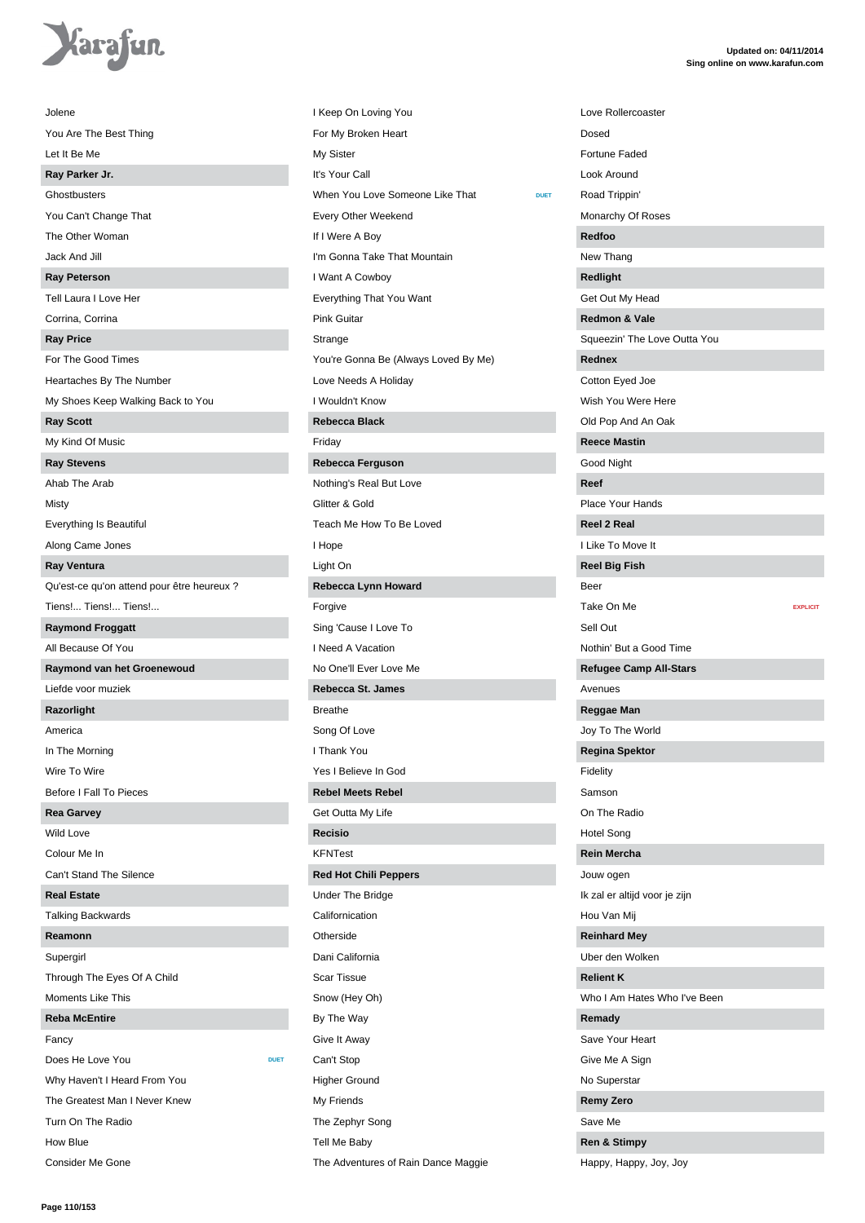

| Jolene                                     |
|--------------------------------------------|
| You Are The Best Thing                     |
| Let It Be Me                               |
| Ray Parker Jr.                             |
| Ghostbusters                               |
| You Can't Change That                      |
| The Other Woman                            |
| Jack And Jill                              |
| <b>Ray Peterson</b>                        |
| Tell Laura I Love Her                      |
| Corrina, Corrina                           |
| <b>Ray Price</b>                           |
| For The Good Times                         |
| Heartaches By The Number                   |
| My Shoes Keep Walking Back to You          |
| <b>Ray Scott</b>                           |
| My Kind Of Music                           |
| <b>Ray Stevens</b>                         |
| Ahab The Arab                              |
| Misty                                      |
| Everything Is Beautiful                    |
| Along Came Jones                           |
| <b>Ray Ventura</b>                         |
| Qu'est-ce qu'on attend pour être heureux ? |
| Tiens! Tiens! Tiens!                       |
| <b>Raymond Froggatt</b>                    |
|                                            |
| All Because Of You                         |
| Raymond van het Groenewoud                 |
| Liefde voor muziek                         |
| Razorlight                                 |
| America                                    |
| In The Morning                             |
| Wire To Wire                               |
| <b>Before I Fall To Pieces</b>             |
| <b>Rea Garvey</b>                          |
| Wild Love                                  |
| Colour Me In                               |
| Can't Stand The Silence                    |
| <b>Real Estate</b>                         |
| <b>Talking Backwards</b>                   |
| Reamonn                                    |
| Supergirl                                  |
| Through The Eyes Of A Child                |
| <b>Moments Like This</b>                   |
| <b>Reba McEntire</b>                       |
| Fancy                                      |
| Does He Love You<br><b>DUET</b>            |
| Why Haven't I Heard From You               |
| The Greatest Man I Never Knew              |
| Turn On The Radio                          |

I Keep On Loving You For My Broken Heart My Sister It's Your Call When You Love Someone Like That **DUET** Every Other Weekend If I Were A Boy I'm Gonna Take That Mountain I Want A Cowboy Everything That You Want Pink Guitar Strange You're Gonna Be (Always Loved By Me) Love Needs A Holiday I Wouldn't Know **Rebecca Black** Friday **Rebecca Ferguson** Nothing's Real But Love Glitter & Gold Teach Me How To Be Loved I Hope Light On **Rebecca Lynn Howard** Forgive Sing 'Cause I Love To I Need A Vacation No One'll Ever Love Me **Rebecca St. James** Breathe Song Of Love I Thank You Yes I Believe In God **Rebel Meets Rebel** Get Outta My Life **Recisio** KFNTest **Red Hot Chili Peppers** Under The Bridge Californication Otherside Dani California Scar Tissue Snow (Hey Oh) By The Way Give It Away Can't Stop Higher Ground My Friends The Zephyr Song Tell Me Baby The Adventures of Rain Dance Maggie

**Updated on: 04/11/2014 Sing online on www.karafun.com**

| Love Rollercoaster                     |                 |
|----------------------------------------|-----------------|
| Dosed                                  |                 |
| Fortune Faded                          |                 |
| Look Around                            |                 |
| Road Trippin'                          |                 |
| Monarchy Of Roses                      |                 |
| Redfoo                                 |                 |
| New Thang                              |                 |
| <b>Redlight</b>                        |                 |
| Get Out My Head                        |                 |
| Redmon & Vale                          |                 |
| Squeezin' The Love Outta You           |                 |
| <b>Rednex</b>                          |                 |
| Cotton Eyed Joe                        |                 |
| Wish You Were Here                     |                 |
| Old Pop And An Oak                     |                 |
| <b>Reece Mastin</b>                    |                 |
| Good Night                             |                 |
| Reef                                   |                 |
| <b>Place Your Hands</b>                |                 |
| <b>Reel 2 Real</b>                     |                 |
| I Like To Move It                      |                 |
| <b>Reel Big Fish</b>                   |                 |
| Beer                                   |                 |
| Take On Me                             | <b>EXPLICIT</b> |
| Sell Out                               |                 |
| Nothin' But a Good Time                |                 |
| <b>Refugee Camp All-Stars</b>          |                 |
| Avenues                                |                 |
| Reggae Man                             |                 |
| Joy To The World                       |                 |
| <b>Regina Spektor</b>                  |                 |
| Fidelity                               |                 |
| Samson                                 |                 |
| On The Radio                           |                 |
| Hotel Song                             |                 |
| Rein Mercha                            |                 |
| Jouw ogen                              |                 |
| Ik zal er altijd voor je zijn          |                 |
| Hou Van Mij                            |                 |
| <b>Reinhard Mey</b>                    |                 |
| Uber den Wolken                        |                 |
| <b>Relient K</b>                       |                 |
| Who I Am Hates Who I've Been           |                 |
| Remady                                 |                 |
| Save Your Heart                        |                 |
| Give Me A Sign                         |                 |
|                                        |                 |
|                                        |                 |
| No Superstar                           |                 |
| <b>Remy Zero</b><br>Save Me            |                 |
|                                        |                 |
| Ren & Stimpy<br>Happy, Happy, Joy, Joy |                 |

Consider Me Gone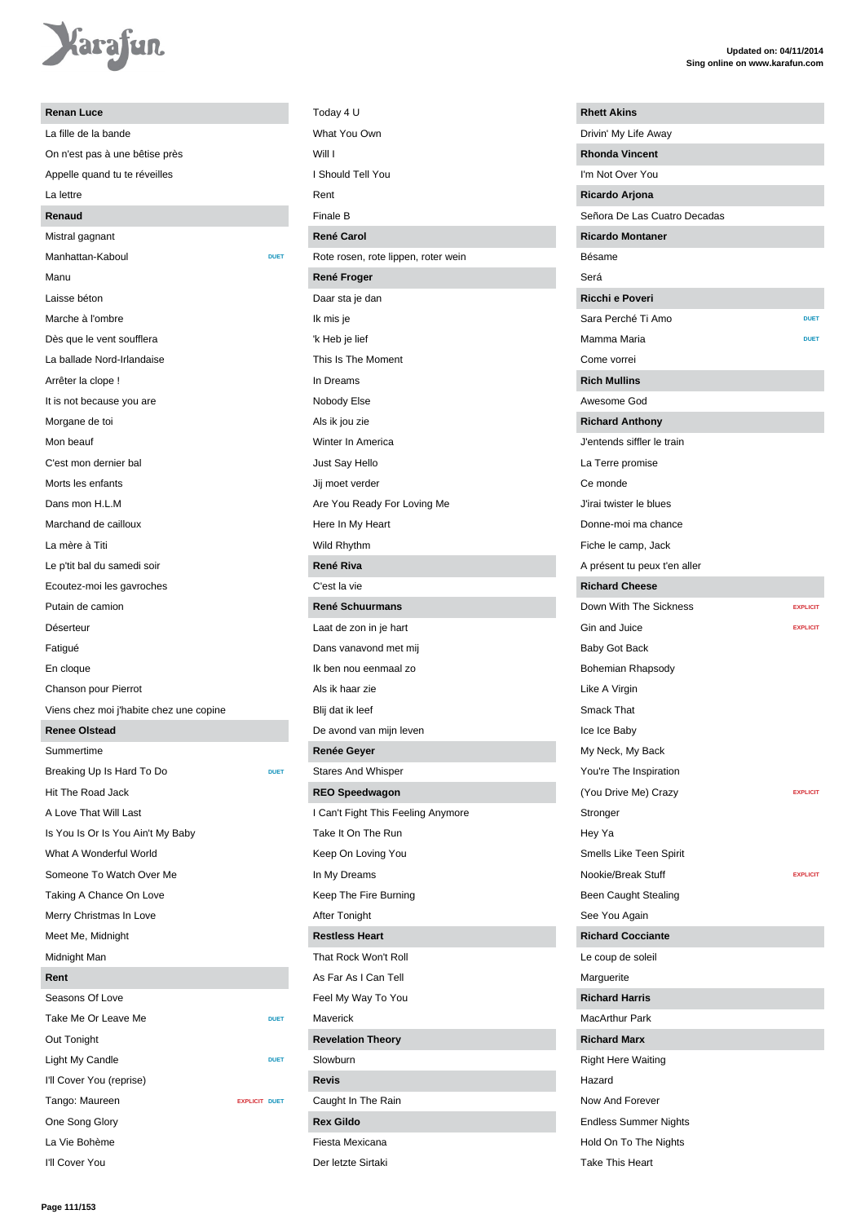

| <b>Renan Luce</b>                       |                      |             |
|-----------------------------------------|----------------------|-------------|
| La fille de la bande                    |                      |             |
| On n'est pas à une bêtise près          |                      |             |
| Appelle quand tu te réveilles           |                      |             |
| La lettre                               |                      |             |
| Renaud                                  |                      |             |
| Mistral gagnant                         |                      |             |
| Manhattan-Kaboul                        |                      | <b>DUET</b> |
| Manu                                    |                      |             |
| Laisse béton                            |                      |             |
| Marche à l'ombre                        |                      |             |
|                                         |                      |             |
| Dès que le vent soufflera               |                      |             |
| La ballade Nord-Irlandaise              |                      |             |
| Arrêter la clope !                      |                      |             |
| It is not because you are               |                      |             |
| Morgane de toi                          |                      |             |
| Mon beauf                               |                      |             |
| C'est mon dernier bal                   |                      |             |
| Morts les enfants                       |                      |             |
| Dans mon H.L.M                          |                      |             |
| Marchand de cailloux                    |                      |             |
| La mère à Titi                          |                      |             |
| Le p'tit bal du samedi soir             |                      |             |
| Ecoutez-moi les gavroches               |                      |             |
| Putain de camion                        |                      |             |
| Déserteur                               |                      |             |
| Fatigué                                 |                      |             |
| En cloque                               |                      |             |
| Chanson pour Pierrot                    |                      |             |
| Viens chez moi j'habite chez une copine |                      |             |
| <b>Renee Olstead</b>                    |                      |             |
| Summertime                              |                      |             |
| Breaking Up Is Hard To Do               |                      | <b>DUET</b> |
| Hit The Road Jack                       |                      |             |
| A Love That Will Last                   |                      |             |
| Is You Is Or Is You Ain't My Baby       |                      |             |
| What A Wonderful World                  |                      |             |
| Someone To Watch Over Me                |                      |             |
| Taking A Chance On Love                 |                      |             |
| Merry Christmas In Love                 |                      |             |
| Meet Me, Midnight                       |                      |             |
| Midnight Man                            |                      |             |
| Rent                                    |                      |             |
| Seasons Of Love                         |                      |             |
| Take Me Or Leave Me                     |                      | <b>DUET</b> |
| Out Tonight                             |                      |             |
| Light My Candle                         |                      | <b>DUET</b> |
| I'll Cover You (reprise)                |                      |             |
| Tango: Maureen                          | <b>EXPLICIT DUET</b> |             |
| One Song Glory                          |                      |             |
| La Vie Bohème                           |                      |             |

| Today 4 U                           |
|-------------------------------------|
| What You Own                        |
| Will I                              |
| I Should Tell You                   |
| Rent                                |
| Finale B                            |
| <b>René Carol</b>                   |
| Rote rosen, rote lippen, roter wein |
| René Froger                         |
| Daar sta je dan                     |
| Ik mis je                           |
| 'k Heb je lief                      |
| This Is The Moment                  |
| In Dreams                           |
| Nobody Else                         |
| Als ik jou zie                      |
| Winter In America                   |
| Just Say Hello                      |
| Jij moet verder                     |
| Are You Ready For Loving Me         |
| Here In My Heart                    |
| Wild Rhythm                         |
| René Riva                           |
| C'est la vie                        |
| <b>René Schuurmans</b>              |
| Laat de zon in je hart              |
| Dans vanavond met mij               |
| Ik ben nou eenmaal zo               |
| Als ik haar zie                     |
| Blij dat ik leef                    |
| De avond van mijn leven             |
| Renée Geyer                         |
| <b>Stares And Whisper</b>           |
| <b>REO Speedwagon</b>               |
| I Can't Fight This Feeling Anymore  |
| Take It On The Run                  |
| Keep On Loving You                  |
| In My Dreams                        |
| Keep The Fire Burning               |
| After Tonight                       |
| <b>Restless Heart</b>               |
| That Rock Won't Roll                |
| As Far As I Can Tell                |
| Feel My Way To You                  |
| Maverick                            |
| <b>Revelation Theory</b>            |
| Slowburn                            |
| Revis                               |
| Caught In The Rain                  |
| <b>Rex Gildo</b>                    |
| Fiesta Mexicana                     |

Der letzte Sirtaki

**Updated on: 04/11/2014 Sing online on www.karafun.com**

| <b>Rhett Akins</b>           |                 |
|------------------------------|-----------------|
| Drivin' My Life Away         |                 |
| <b>Rhonda Vincent</b>        |                 |
| I'm Not Over You             |                 |
| Ricardo Arjona               |                 |
| Señora De Las Cuatro Decadas |                 |
| <b>Ricardo Montaner</b>      |                 |
| Bésame                       |                 |
| Será                         |                 |
| Ricchi e Poveri              |                 |
| Sara Perché Ti Amo           | <b>DUET</b>     |
| Mamma Maria                  | <b>DUET</b>     |
| Come vorrei                  |                 |
| <b>Rich Mullins</b>          |                 |
| Awesome God                  |                 |
| <b>Richard Anthony</b>       |                 |
| J'entends siffler le train   |                 |
| La Terre promise             |                 |
| Ce monde                     |                 |
| J'irai twister le blues      |                 |
| Donne-moi ma chance          |                 |
| Fiche le camp, Jack          |                 |
| A présent tu peux t'en aller |                 |
| <b>Richard Cheese</b>        |                 |
| Down With The Sickness       | <b>EXPLICIT</b> |
| Gin and Juice                | <b>EXPLICIT</b> |
| Baby Got Back                |                 |
| Bohemian Rhapsody            |                 |
| Like A Virgin                |                 |
| Smack That                   |                 |
| Ice Ice Baby                 |                 |
| My Neck, My Back             |                 |
| You're The Inspiration       |                 |
| (You Drive Me) Crazy         | <b>EXPLICIT</b> |
| Stronger                     |                 |
| Hey Ya                       |                 |
| Smells Like Teen Spirit      |                 |
| Nookie/Break Stuff           | <b>EXPLICIT</b> |
| Been Caught Stealing         |                 |
| See You Again                |                 |
| <b>Richard Cocciante</b>     |                 |
| Le coup de soleil            |                 |
| Marguerite                   |                 |
| <b>Richard Harris</b>        |                 |
| <b>MacArthur Park</b>        |                 |
| <b>Richard Marx</b>          |                 |
| <b>Right Here Waiting</b>    |                 |
| Hazard                       |                 |
| Now And Forever              |                 |
| <b>Endless Summer Nights</b> |                 |
| Hold On To The Nights        |                 |
|                              |                 |
| Take This Heart              |                 |

I'll Cover You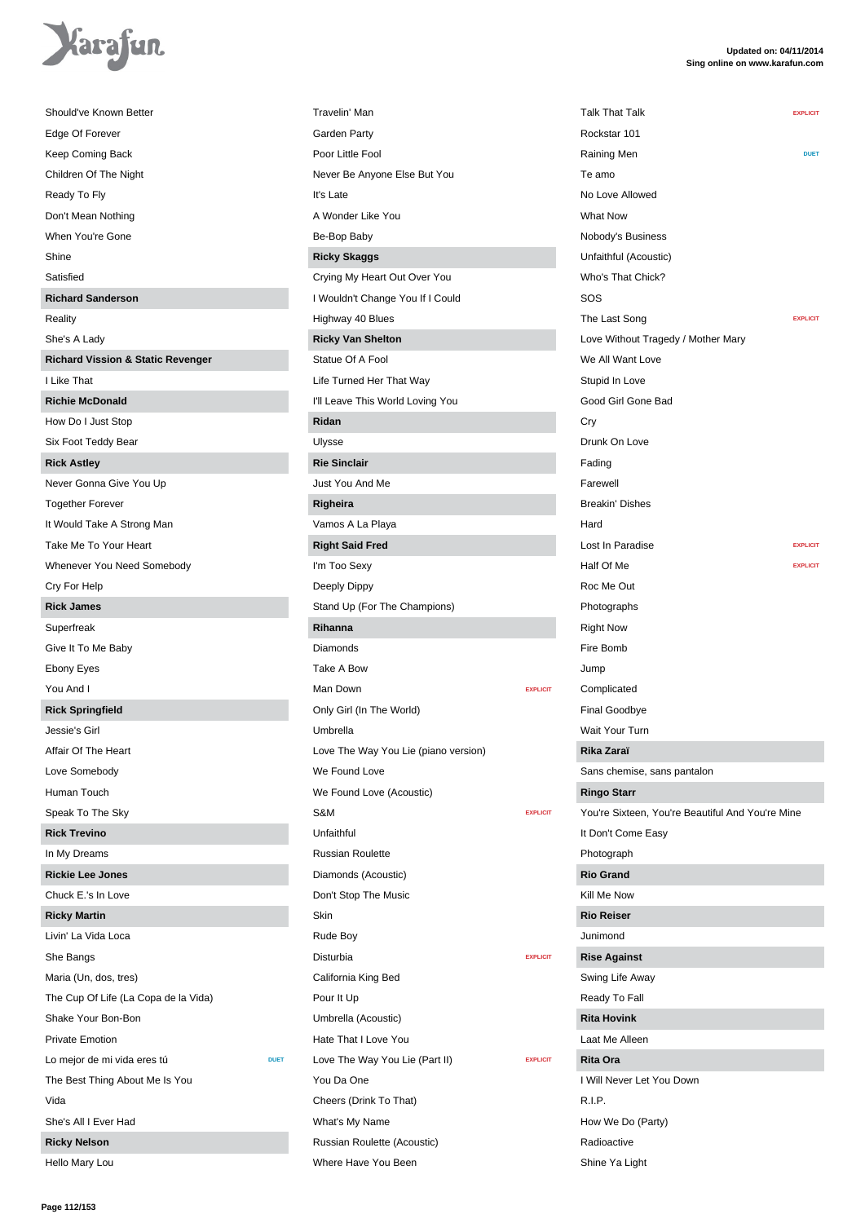

Should've Known Better Edge Of Forever Keep Coming Back Children Of The Night Ready To Fly Don't Mean Nothing When You're Gone Shine Satisfied **Richard Sanderson** Reality She's A Lady **Richard Vission & Static Revenger** I Like That **Richie McDonald** How Do I Just Stop Six Foot Teddy Bear **Rick Astley** Never Gonna Give You Up Together Forever It Would Take A Strong Man Take Me To Your Heart Whenever You Need Somebody Cry For Help **Rick James** Superfreak Give It To Me Baby Ebony Eyes You And I **Rick Springfield** Jessie's Girl Affair Of The Heart Love Somebody Human Touch Speak To The Sky **Rick Trevino** In My Dreams **Rickie Lee Jones** Chuck E.'s In Love **Ricky Martin** Livin' La Vida Loca She Bangs Maria (Un, dos, tres) The Cup Of Life (La Copa de la Vida) Shake Your Bon-Bon Private Emotion Lo mejor de mi vida eres tú **DUET** The Best Thing About Me Is You Vida She's All I Ever Had **Ricky Nelson**

Hello Mary Lou

| Travelin' Man                                         |                 |
|-------------------------------------------------------|-----------------|
| Garden Party                                          |                 |
| Poor Little Fool                                      |                 |
| Never Be Anyone Else But You                          |                 |
| It's Late                                             |                 |
| A Wonder Like You                                     |                 |
| Be-Bop Baby                                           |                 |
| <b>Ricky Skaggs</b>                                   |                 |
| Crying My Heart Out Over You                          |                 |
| I Wouldn't Change You If I Could                      |                 |
| Highway 40 Blues                                      |                 |
| <b>Ricky Van Shelton</b>                              |                 |
| Statue Of A Fool                                      |                 |
| Life Turned Her That Way                              |                 |
| I'll Leave This World Loving You                      |                 |
| Ridan                                                 |                 |
| Ulysse                                                |                 |
| <b>Rie Sinclair</b>                                   |                 |
| Just You And Me                                       |                 |
| Righeira                                              |                 |
| Vamos A La Playa                                      |                 |
| <b>Right Said Fred</b>                                |                 |
| I'm Too Sexy                                          |                 |
| Deeply Dippy                                          |                 |
| Stand Up (For The Champions)                          |                 |
| Rihanna                                               |                 |
| Diamonds                                              |                 |
| Take A Bow                                            |                 |
|                                                       |                 |
| Man Down                                              | <b>EXPLICIT</b> |
|                                                       |                 |
| Only Girl (In The World)<br>Umbrella                  |                 |
|                                                       |                 |
| Love The Way You Lie (piano version)<br>We Found Love |                 |
|                                                       |                 |
| We Found Love (Acoustic)<br>S&M                       | <b>EXPLICIT</b> |
| Unfaithful                                            |                 |
| <b>Russian Roulette</b>                               |                 |
| Diamonds (Acoustic)                                   |                 |
| Don't Stop The Music                                  |                 |
| Skin                                                  |                 |
| Rude Boy                                              |                 |
| Disturbia                                             | <b>EXPLICIT</b> |
| California King Bed                                   |                 |
| Pour It Up                                            |                 |
|                                                       |                 |
| Umbrella (Acoustic)<br>Hate That I Love You           |                 |
| Love The Way You Lie (Part II)                        | <b>EXPLICIT</b> |
| You Da One                                            |                 |
| Cheers (Drink To That)                                |                 |
| What's My Name                                        |                 |
| Russian Roulette (Acoustic)                           |                 |

| Talk That Talk                                   | <b>EXPLICIT</b> |
|--------------------------------------------------|-----------------|
| Rockstar 101                                     |                 |
| Raining Men                                      | <b>DUET</b>     |
| Te amo                                           |                 |
| No Love Allowed                                  |                 |
| <b>What Now</b>                                  |                 |
| Nobody's Business                                |                 |
| Unfaithful (Acoustic)                            |                 |
| Who's That Chick?                                |                 |
| SOS                                              |                 |
| The Last Song                                    | <b>EXPLICIT</b> |
| Love Without Tragedy / Mother Mary               |                 |
| We All Want Love                                 |                 |
| Stupid In Love                                   |                 |
| Good Girl Gone Bad                               |                 |
| Cry                                              |                 |
| Drunk On Love                                    |                 |
| Fading                                           |                 |
| Farewell                                         |                 |
| <b>Breakin' Dishes</b>                           |                 |
| Hard                                             |                 |
| Lost In Paradise                                 | <b>EXPLICIT</b> |
| Half Of Me                                       | <b>EXPLICIT</b> |
| Roc Me Out                                       |                 |
| Photographs                                      |                 |
| <b>Right Now</b>                                 |                 |
| Fire Bomb                                        |                 |
|                                                  |                 |
| Jump                                             |                 |
| Complicated                                      |                 |
| Final Goodbye<br>Wait Your Turn                  |                 |
|                                                  |                 |
| Rika Zaraï                                       |                 |
| Sans chemise, sans pantalon                      |                 |
| <b>Ringo Starr</b>                               |                 |
| You're Sixteen, You're Beautiful And You're Mine |                 |
| It Don't Come Easy                               |                 |
| Photograph                                       |                 |
| <b>Rio Grand</b>                                 |                 |
| Kill Me Now                                      |                 |
| <b>Rio Reiser</b>                                |                 |
| Junimond                                         |                 |
| <b>Rise Against</b>                              |                 |
| Swing Life Away                                  |                 |
| Ready To Fall                                    |                 |
| <b>Rita Hovink</b>                               |                 |
| Laat Me Alleen                                   |                 |
| <b>Rita Ora</b>                                  |                 |
| I Will Never Let You Down                        |                 |
| R.I.P.                                           |                 |
| How We Do (Party)                                |                 |
| Radioactive                                      |                 |
| Shine Ya Light                                   |                 |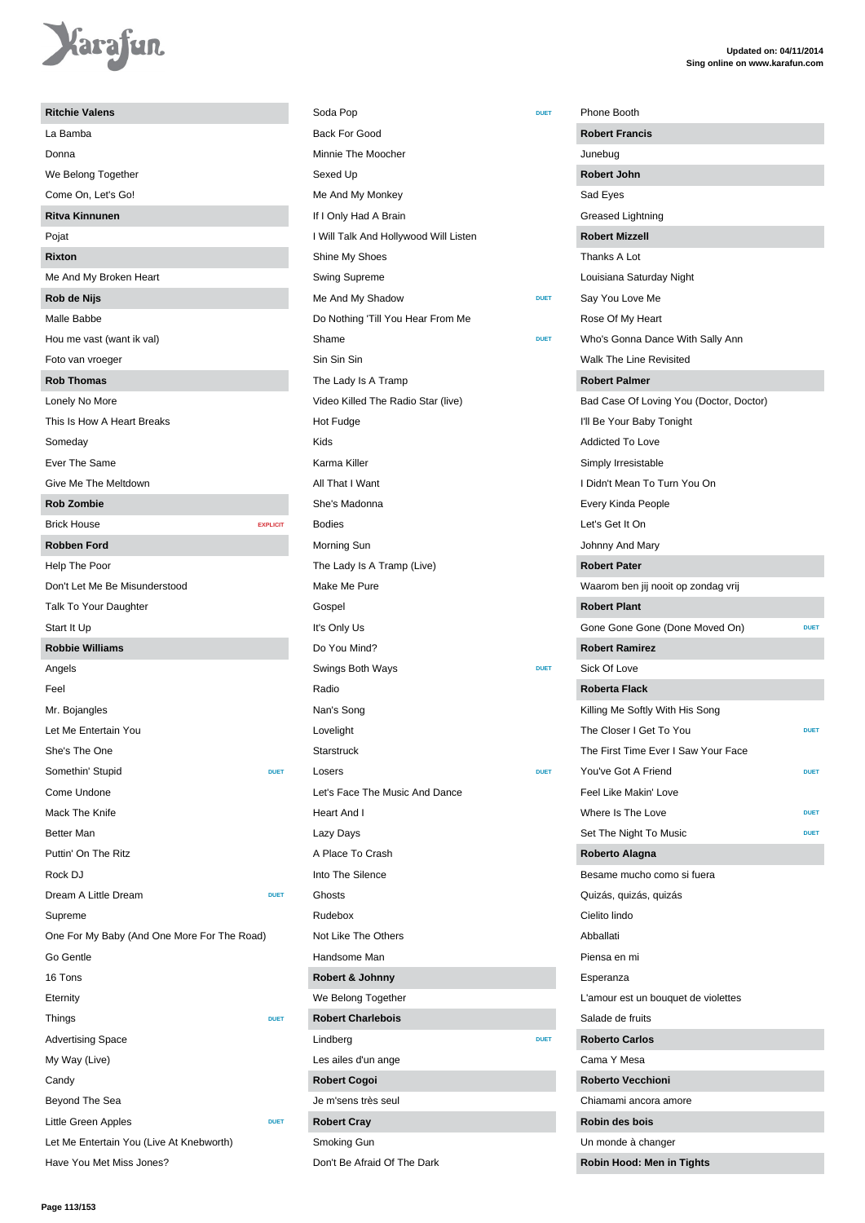

| <b>Ritchie Valens</b>                       |                 |
|---------------------------------------------|-----------------|
| La Bamba                                    |                 |
| Donna                                       |                 |
| We Belong Together                          |                 |
| Come On, Let's Go!                          |                 |
| <b>Ritva Kinnunen</b>                       |                 |
| Pojat                                       |                 |
| <b>Rixton</b>                               |                 |
| Me And My Broken Heart                      |                 |
| Rob de Nijs                                 |                 |
| Malle Babbe                                 |                 |
| Hou me vast (want ik val)                   |                 |
| Foto van vroeger                            |                 |
| <b>Rob Thomas</b>                           |                 |
| Lonely No More                              |                 |
| This Is How A Heart Breaks                  |                 |
| Someday                                     |                 |
| Ever The Same                               |                 |
| Give Me The Meltdown                        |                 |
| <b>Rob Zombie</b>                           |                 |
| <b>Brick House</b>                          | <b>EXPLICIT</b> |
| <b>Robben Ford</b>                          |                 |
| Help The Poor                               |                 |
| Don't Let Me Be Misunderstood               |                 |
| Talk To Your Daughter                       |                 |
| Start It Up                                 |                 |
|                                             |                 |
| <b>Robbie Williams</b>                      |                 |
| Angels                                      |                 |
| Feel                                        |                 |
| Mr. Bojangles                               |                 |
| Let Me Entertain You                        |                 |
| She's The One                               |                 |
| Somethin' Stupid                            | <b>DUET</b>     |
| Come Undone                                 |                 |
| Mack The Knife                              |                 |
| <b>Better Man</b>                           |                 |
| Puttin' On The Ritz                         |                 |
| Rock DJ                                     |                 |
| Dream A Little Dream                        | <b>DUET</b>     |
| Supreme                                     |                 |
| One For My Baby (And One More For The Road) |                 |
| Go Gentle                                   |                 |
| 16 Tons                                     |                 |
| Eternity                                    |                 |
| Things                                      | <b>DUET</b>     |
| <b>Advertising Space</b>                    |                 |
| My Way (Live)                               |                 |
| Candy                                       |                 |
| Beyond The Sea                              |                 |
| Little Green Apples                         | <b>DUET</b>     |
| Let Me Entertain You (Live At Knebworth)    |                 |

| Soda Pop                              | <b>DUET</b> |
|---------------------------------------|-------------|
| <b>Back For Good</b>                  |             |
| Minnie The Moocher                    |             |
| Sexed Up                              |             |
| Me And My Monkey                      |             |
| If I Only Had A Brain                 |             |
| I Will Talk And Hollywood Will Listen |             |
| Shine My Shoes                        |             |
| <b>Swing Supreme</b>                  |             |
| Me And My Shadow                      | <b>DUET</b> |
| Do Nothing 'Till You Hear From Me     |             |
| Shame                                 | <b>DUET</b> |
| Sin Sin Sin                           |             |
| The Lady Is A Tramp                   |             |
| Video Killed The Radio Star (live)    |             |
| Hot Fudge                             |             |
| Kids                                  |             |
| Karma Killer                          |             |
| All That I Want                       |             |
| She's Madonna                         |             |
| <b>Bodies</b>                         |             |
| Morning Sun                           |             |
| The Lady Is A Tramp (Live)            |             |
| Make Me Pure                          |             |
| Gospel                                |             |
| It's Only Us                          |             |
| Do You Mind?                          |             |
| Swings Both Ways                      | <b>DUET</b> |
| Radio                                 |             |
| Nan's Song                            |             |
| Lovelight                             |             |
| <b>Starstruck</b>                     |             |
| Losers                                | <b>DUET</b> |
| Let's Face The Music And Dance        |             |
| <b>Heart And I</b>                    |             |
| Lazy Days                             |             |
| A Place To Crash                      |             |
| Into The Silence                      |             |
| Ghosts                                |             |
| Rudebox                               |             |
| Not Like The Others                   |             |
| Handsome Man                          |             |
| Robert & Johnny                       |             |
| We Belong Together                    |             |
| <b>Robert Charlebois</b>              |             |
| Lindberg                              | <b>DUET</b> |
| Les ailes d'un ange                   |             |
| <b>Robert Cogoi</b>                   |             |
| Je m'sens très seul                   |             |
| <b>Robert Cray</b>                    |             |
| Smoking Gun                           |             |
| Don't Be Afraid Of The Dark           |             |

| Phone Booth                             |  |
|-----------------------------------------|--|
| <b>Robert Francis</b>                   |  |
| Junebug                                 |  |
| <b>Robert John</b>                      |  |
| Sad Eyes                                |  |
| <b>Greased Lightning</b>                |  |
| <b>Robert Mizzell</b>                   |  |
| Thanks A Lot                            |  |
| Louisiana Saturday Night                |  |
| Say You Love Me                         |  |
| Rose Of My Heart                        |  |
| Who's Gonna Dance With Sally Ann        |  |
| Walk The Line Revisited                 |  |
| <b>Robert Palmer</b>                    |  |
| Bad Case Of Loving You (Doctor, Doctor) |  |
| I'll Be Your Baby Tonight               |  |
| <b>Addicted To Love</b>                 |  |
| Simply Irresistable                     |  |
| I Didn't Mean To Turn You On            |  |
| Every Kinda People                      |  |
| Let's Get It On                         |  |
| Johnny And Mary                         |  |
| <b>Robert Pater</b>                     |  |
| Waarom ben jij nooit op zondag vrij     |  |
| <b>Robert Plant</b>                     |  |
| Gone Gone Gone (Done Moved On)          |  |
| <b>Robert Ramirez</b>                   |  |
| Sick Of Love                            |  |
| <b>Roberta Flack</b>                    |  |
| Killing Me Softly With His Song         |  |
| The Closer I Get To You                 |  |
| The First Time Ever I Saw Your Face     |  |
| You've Got A Friend                     |  |
| Feel Like Makin' Love                   |  |
| Where Is The Love                       |  |
| Set The Night To Music                  |  |
| Roberto Alagna                          |  |
| Besame mucho como si fuera              |  |
| Quizás, quizás, quizás                  |  |
| Cielito lindo                           |  |
| Abballati                               |  |
| Piensa en mi                            |  |
| Esperanza                               |  |
| L'amour est un bouquet de violettes     |  |
| Salade de fruits                        |  |
| <b>Roberto Carlos</b>                   |  |
| Cama Y Mesa                             |  |
| <b>Roberto Vecchioni</b>                |  |
| Chiamami ancora amore                   |  |
|                                         |  |
| Robin des bois                          |  |
| Un monde à changer                      |  |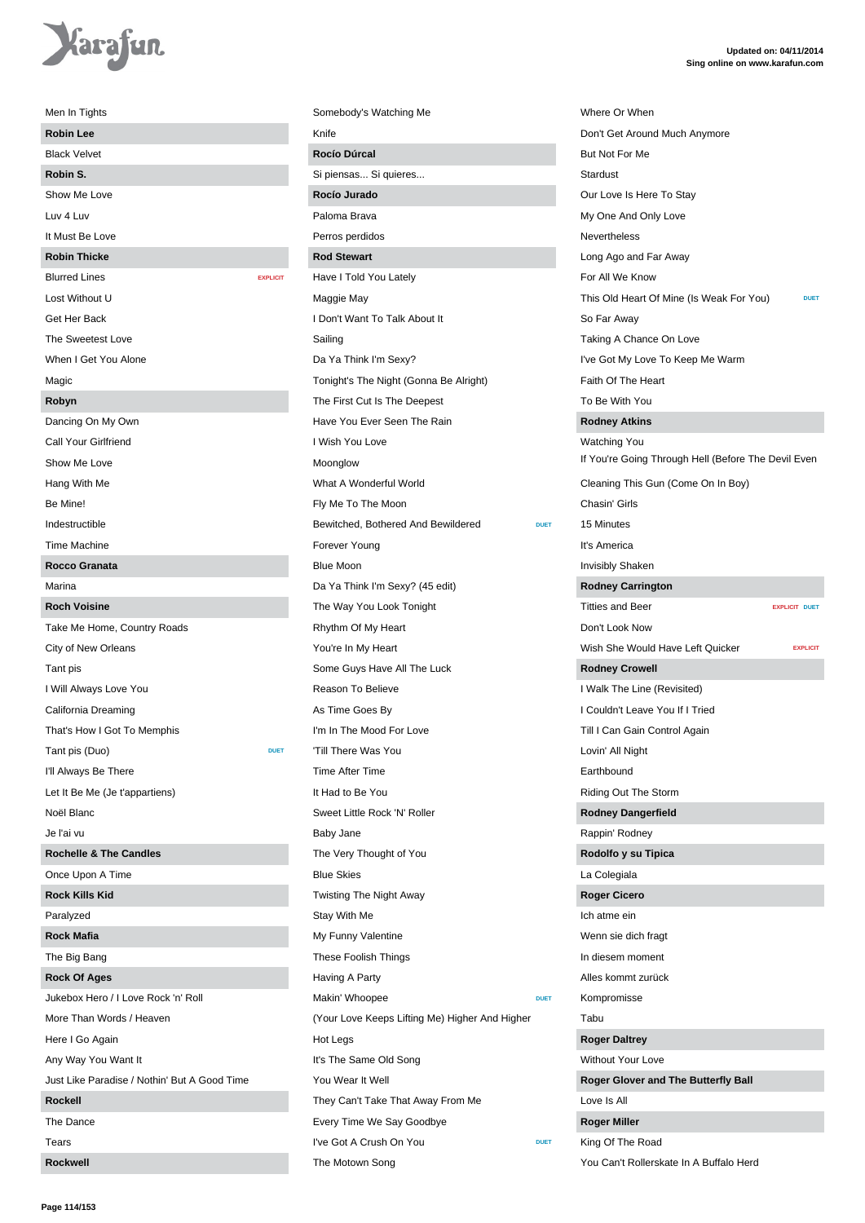

| <b>Robin Lee</b><br><b>Black Velvet</b><br>Robin S.<br>Show Me Love<br>Luv 4 Luv<br>It Must Be Love<br><b>Robin Thicke</b><br><b>Blurred Lines</b><br><b>EXPLICIT</b><br>Lost Without U<br>Get Her Back<br>The Sweetest Love<br>When I Get You Alone<br>Magic<br>Robyn<br>Dancing On My Own<br>Call Your Girlfriend<br>Show Me Love<br>Hang With Me<br>Be Mine!<br>Indestructible<br><b>Time Machine</b><br>Rocco Granata<br>Marina<br><b>Roch Voisine</b><br>Take Me Home, Country Roads<br>City of New Orleans<br>Tant pis<br>I Will Always Love You<br>California Dreaming<br>That's How I Got To Memphis<br>Tant pis (Duo)<br><b>DUET</b><br>I'll Always Be There<br>Let It Be Me (Je t'appartiens)<br>Noël Blanc<br>Je l'ai vu<br><b>Rochelle &amp; The Candles</b><br>Once Upon A Time<br><b>Rock Kills Kid</b><br>Paralyzed<br><b>Rock Mafia</b><br>The Big Bang<br><b>Rock Of Ages</b><br>Jukebox Hero / I Love Rock 'n' Roll<br>More Than Words / Heaven<br>Here I Go Again<br>Any Way You Want It<br>Just Like Paradise / Nothin' But A Good Time<br>Rockell<br>The Dance<br>Tears | Men In Tights   |
|----------------------------------------------------------------------------------------------------------------------------------------------------------------------------------------------------------------------------------------------------------------------------------------------------------------------------------------------------------------------------------------------------------------------------------------------------------------------------------------------------------------------------------------------------------------------------------------------------------------------------------------------------------------------------------------------------------------------------------------------------------------------------------------------------------------------------------------------------------------------------------------------------------------------------------------------------------------------------------------------------------------------------------------------------------------------------------------------|-----------------|
|                                                                                                                                                                                                                                                                                                                                                                                                                                                                                                                                                                                                                                                                                                                                                                                                                                                                                                                                                                                                                                                                                              |                 |
|                                                                                                                                                                                                                                                                                                                                                                                                                                                                                                                                                                                                                                                                                                                                                                                                                                                                                                                                                                                                                                                                                              |                 |
|                                                                                                                                                                                                                                                                                                                                                                                                                                                                                                                                                                                                                                                                                                                                                                                                                                                                                                                                                                                                                                                                                              |                 |
|                                                                                                                                                                                                                                                                                                                                                                                                                                                                                                                                                                                                                                                                                                                                                                                                                                                                                                                                                                                                                                                                                              |                 |
|                                                                                                                                                                                                                                                                                                                                                                                                                                                                                                                                                                                                                                                                                                                                                                                                                                                                                                                                                                                                                                                                                              |                 |
|                                                                                                                                                                                                                                                                                                                                                                                                                                                                                                                                                                                                                                                                                                                                                                                                                                                                                                                                                                                                                                                                                              |                 |
|                                                                                                                                                                                                                                                                                                                                                                                                                                                                                                                                                                                                                                                                                                                                                                                                                                                                                                                                                                                                                                                                                              |                 |
|                                                                                                                                                                                                                                                                                                                                                                                                                                                                                                                                                                                                                                                                                                                                                                                                                                                                                                                                                                                                                                                                                              |                 |
|                                                                                                                                                                                                                                                                                                                                                                                                                                                                                                                                                                                                                                                                                                                                                                                                                                                                                                                                                                                                                                                                                              |                 |
|                                                                                                                                                                                                                                                                                                                                                                                                                                                                                                                                                                                                                                                                                                                                                                                                                                                                                                                                                                                                                                                                                              |                 |
|                                                                                                                                                                                                                                                                                                                                                                                                                                                                                                                                                                                                                                                                                                                                                                                                                                                                                                                                                                                                                                                                                              |                 |
|                                                                                                                                                                                                                                                                                                                                                                                                                                                                                                                                                                                                                                                                                                                                                                                                                                                                                                                                                                                                                                                                                              |                 |
|                                                                                                                                                                                                                                                                                                                                                                                                                                                                                                                                                                                                                                                                                                                                                                                                                                                                                                                                                                                                                                                                                              |                 |
|                                                                                                                                                                                                                                                                                                                                                                                                                                                                                                                                                                                                                                                                                                                                                                                                                                                                                                                                                                                                                                                                                              |                 |
|                                                                                                                                                                                                                                                                                                                                                                                                                                                                                                                                                                                                                                                                                                                                                                                                                                                                                                                                                                                                                                                                                              |                 |
|                                                                                                                                                                                                                                                                                                                                                                                                                                                                                                                                                                                                                                                                                                                                                                                                                                                                                                                                                                                                                                                                                              |                 |
|                                                                                                                                                                                                                                                                                                                                                                                                                                                                                                                                                                                                                                                                                                                                                                                                                                                                                                                                                                                                                                                                                              |                 |
|                                                                                                                                                                                                                                                                                                                                                                                                                                                                                                                                                                                                                                                                                                                                                                                                                                                                                                                                                                                                                                                                                              |                 |
|                                                                                                                                                                                                                                                                                                                                                                                                                                                                                                                                                                                                                                                                                                                                                                                                                                                                                                                                                                                                                                                                                              |                 |
|                                                                                                                                                                                                                                                                                                                                                                                                                                                                                                                                                                                                                                                                                                                                                                                                                                                                                                                                                                                                                                                                                              |                 |
|                                                                                                                                                                                                                                                                                                                                                                                                                                                                                                                                                                                                                                                                                                                                                                                                                                                                                                                                                                                                                                                                                              |                 |
|                                                                                                                                                                                                                                                                                                                                                                                                                                                                                                                                                                                                                                                                                                                                                                                                                                                                                                                                                                                                                                                                                              |                 |
|                                                                                                                                                                                                                                                                                                                                                                                                                                                                                                                                                                                                                                                                                                                                                                                                                                                                                                                                                                                                                                                                                              |                 |
|                                                                                                                                                                                                                                                                                                                                                                                                                                                                                                                                                                                                                                                                                                                                                                                                                                                                                                                                                                                                                                                                                              |                 |
|                                                                                                                                                                                                                                                                                                                                                                                                                                                                                                                                                                                                                                                                                                                                                                                                                                                                                                                                                                                                                                                                                              |                 |
|                                                                                                                                                                                                                                                                                                                                                                                                                                                                                                                                                                                                                                                                                                                                                                                                                                                                                                                                                                                                                                                                                              |                 |
|                                                                                                                                                                                                                                                                                                                                                                                                                                                                                                                                                                                                                                                                                                                                                                                                                                                                                                                                                                                                                                                                                              |                 |
|                                                                                                                                                                                                                                                                                                                                                                                                                                                                                                                                                                                                                                                                                                                                                                                                                                                                                                                                                                                                                                                                                              |                 |
|                                                                                                                                                                                                                                                                                                                                                                                                                                                                                                                                                                                                                                                                                                                                                                                                                                                                                                                                                                                                                                                                                              |                 |
|                                                                                                                                                                                                                                                                                                                                                                                                                                                                                                                                                                                                                                                                                                                                                                                                                                                                                                                                                                                                                                                                                              |                 |
|                                                                                                                                                                                                                                                                                                                                                                                                                                                                                                                                                                                                                                                                                                                                                                                                                                                                                                                                                                                                                                                                                              |                 |
|                                                                                                                                                                                                                                                                                                                                                                                                                                                                                                                                                                                                                                                                                                                                                                                                                                                                                                                                                                                                                                                                                              |                 |
|                                                                                                                                                                                                                                                                                                                                                                                                                                                                                                                                                                                                                                                                                                                                                                                                                                                                                                                                                                                                                                                                                              |                 |
|                                                                                                                                                                                                                                                                                                                                                                                                                                                                                                                                                                                                                                                                                                                                                                                                                                                                                                                                                                                                                                                                                              |                 |
|                                                                                                                                                                                                                                                                                                                                                                                                                                                                                                                                                                                                                                                                                                                                                                                                                                                                                                                                                                                                                                                                                              |                 |
|                                                                                                                                                                                                                                                                                                                                                                                                                                                                                                                                                                                                                                                                                                                                                                                                                                                                                                                                                                                                                                                                                              |                 |
|                                                                                                                                                                                                                                                                                                                                                                                                                                                                                                                                                                                                                                                                                                                                                                                                                                                                                                                                                                                                                                                                                              |                 |
|                                                                                                                                                                                                                                                                                                                                                                                                                                                                                                                                                                                                                                                                                                                                                                                                                                                                                                                                                                                                                                                                                              |                 |
|                                                                                                                                                                                                                                                                                                                                                                                                                                                                                                                                                                                                                                                                                                                                                                                                                                                                                                                                                                                                                                                                                              |                 |
|                                                                                                                                                                                                                                                                                                                                                                                                                                                                                                                                                                                                                                                                                                                                                                                                                                                                                                                                                                                                                                                                                              |                 |
|                                                                                                                                                                                                                                                                                                                                                                                                                                                                                                                                                                                                                                                                                                                                                                                                                                                                                                                                                                                                                                                                                              |                 |
|                                                                                                                                                                                                                                                                                                                                                                                                                                                                                                                                                                                                                                                                                                                                                                                                                                                                                                                                                                                                                                                                                              |                 |
|                                                                                                                                                                                                                                                                                                                                                                                                                                                                                                                                                                                                                                                                                                                                                                                                                                                                                                                                                                                                                                                                                              |                 |
|                                                                                                                                                                                                                                                                                                                                                                                                                                                                                                                                                                                                                                                                                                                                                                                                                                                                                                                                                                                                                                                                                              |                 |
|                                                                                                                                                                                                                                                                                                                                                                                                                                                                                                                                                                                                                                                                                                                                                                                                                                                                                                                                                                                                                                                                                              |                 |
|                                                                                                                                                                                                                                                                                                                                                                                                                                                                                                                                                                                                                                                                                                                                                                                                                                                                                                                                                                                                                                                                                              |                 |
|                                                                                                                                                                                                                                                                                                                                                                                                                                                                                                                                                                                                                                                                                                                                                                                                                                                                                                                                                                                                                                                                                              |                 |
|                                                                                                                                                                                                                                                                                                                                                                                                                                                                                                                                                                                                                                                                                                                                                                                                                                                                                                                                                                                                                                                                                              |                 |
|                                                                                                                                                                                                                                                                                                                                                                                                                                                                                                                                                                                                                                                                                                                                                                                                                                                                                                                                                                                                                                                                                              |                 |
|                                                                                                                                                                                                                                                                                                                                                                                                                                                                                                                                                                                                                                                                                                                                                                                                                                                                                                                                                                                                                                                                                              |                 |
|                                                                                                                                                                                                                                                                                                                                                                                                                                                                                                                                                                                                                                                                                                                                                                                                                                                                                                                                                                                                                                                                                              | <b>Rockwell</b> |

| Somebody's Watching Me                         |             |
|------------------------------------------------|-------------|
| Knife                                          |             |
| Rocío Dúrcal                                   |             |
| Si piensas Si quieres                          |             |
| Rocío Jurado                                   |             |
| Paloma Brava                                   |             |
| Perros perdidos                                |             |
| <b>Rod Stewart</b>                             |             |
| Have I Told You Lately                         |             |
| Maggie May                                     |             |
| I Don't Want To Talk About It                  |             |
| Sailing                                        |             |
| Da Ya Think I'm Sexy?                          |             |
| Tonight's The Night (Gonna Be Alright)         |             |
| The First Cut Is The Deepest                   |             |
| Have You Ever Seen The Rain                    |             |
| I Wish You Love                                |             |
| Moonglow                                       |             |
| What A Wonderful World                         |             |
| Fly Me To The Moon                             |             |
| Bewitched, Bothered And Bewildered             | <b>DUET</b> |
| Forever Young                                  |             |
| <b>Blue Moon</b>                               |             |
| Da Ya Think I'm Sexy? (45 edit)                |             |
| The Way You Look Tonight                       |             |
| Rhythm Of My Heart                             |             |
| You're In My Heart                             |             |
| Some Guys Have All The Luck                    |             |
| Reason To Believe                              |             |
| As Time Goes By                                |             |
| I'm In The Mood For Love                       |             |
| 'Till There Was You                            |             |
| <b>Time After Time</b>                         |             |
| It Had to Be You                               |             |
| Sweet Little Rock 'N' Roller                   |             |
| Baby Jane                                      |             |
| The Very Thought of You                        |             |
| <b>Blue Skies</b>                              |             |
| Twisting The Night Away                        |             |
| Stay With Me                                   |             |
| My Funny Valentine                             |             |
| These Foolish Things                           |             |
| Having A Party                                 |             |
| Makin' Whoopee                                 | <b>DUET</b> |
| (Your Love Keeps Lifting Me) Higher And Higher |             |
| Hot Legs                                       |             |
| It's The Same Old Song                         |             |
| You Wear It Well                               |             |
| They Can't Take That Away From Me              |             |
| Every Time We Say Goodbye                      |             |
| I've Got A Crush On You                        | <b>DUET</b> |
|                                                |             |

The Motown Song

Where Or When Don't Get Around Much Anymore But Not For Me Stardust Our Love Is Here To Stay My One And Only Love Nevertheless Long Ago and Far Away For All We Know **This Old Heart Of Mine (Is Weak For You)** DUET So Far Away Taking A Chance On Love I've Got My Love To Keep Me Warm Faith Of The Heart To Be With You **Rodney Atkins** Watching You If You're Going Through Hell (Before The Devil Even Cleaning This Gun (Come On In Boy) Chasin' Girls 15 Minutes It's America Invisibly Shaken **Rodney Carrington Titties and Beer EXPLICIT EXPLICIT DUET** Don't Look Now Wish She Would Have Left Quicker **EXPLICIT Rodney Crowell** I Walk The Line (Revisited) I Couldn't Leave You If I Tried Till I Can Gain Control Again Lovin' All Night Earthbound Riding Out The Storm **Rodney Dangerfield** Rappin' Rodney **Rodolfo y su Tipica** La Colegiala **Roger Cicero** Ich atme ein Wenn sie dich fragt In diesem moment Alles kommt zurück Kompromisse Tabu **Roger Daltrey** Without Your Love **Roger Glover and The Butterfly Ball** Love Is All

King Of The Road You Can't Rollerskate In A Buffalo Herd

**Roger Miller**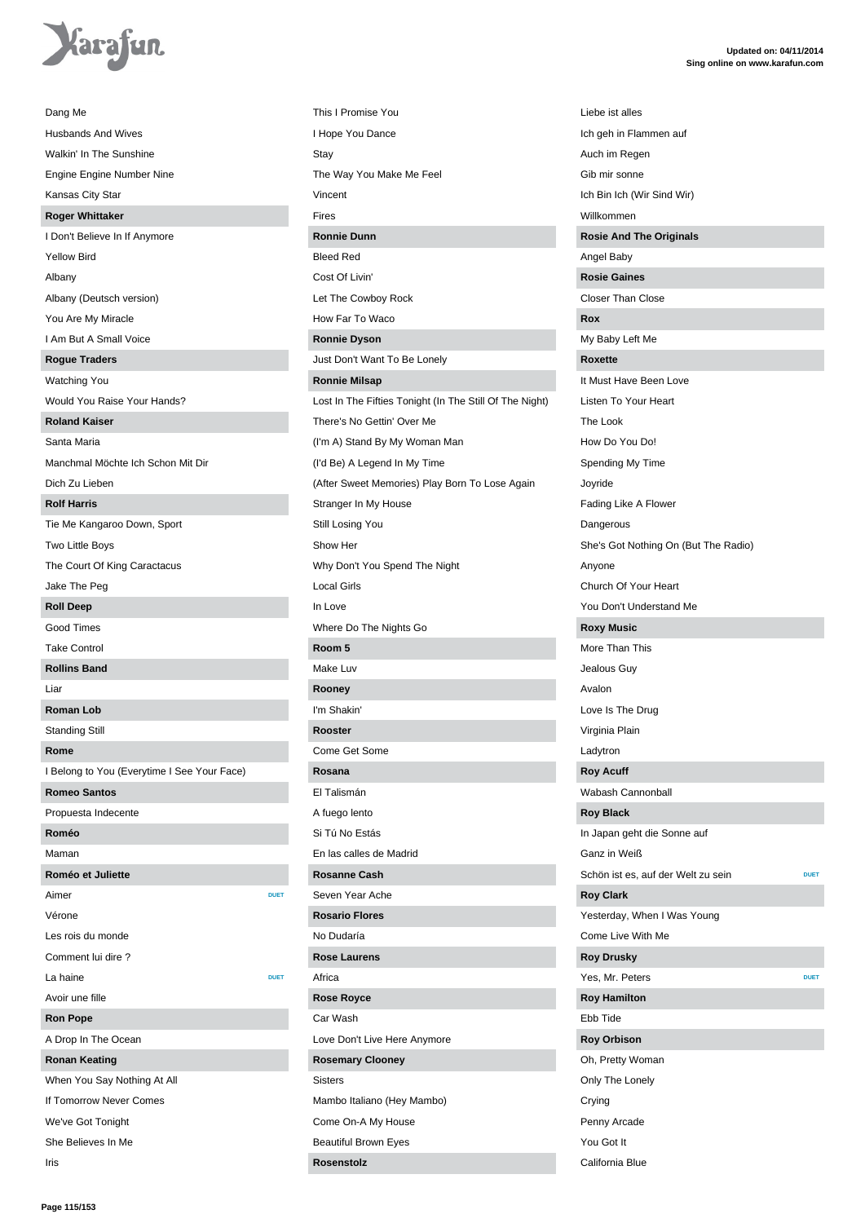

| Dang Me                                     |
|---------------------------------------------|
| <b>Husbands And Wives</b>                   |
| Walkin' In The Sunshine                     |
| Engine Engine Number Nine                   |
| Kansas City Star                            |
| <b>Roger Whittaker</b>                      |
| I Don't Believe In If Anymore               |
| <b>Yellow Bird</b>                          |
| Albany                                      |
| Albany (Deutsch version)                    |
| You Are My Miracle                          |
| I Am But A Small Voice                      |
| <b>Rogue Traders</b>                        |
| <b>Watching You</b>                         |
| Would You Raise Your Hands?                 |
| <b>Roland Kaiser</b>                        |
| Santa Maria                                 |
| Manchmal Möchte Ich Schon Mit Dir           |
| Dich Zu Lieben                              |
| <b>Rolf Harris</b>                          |
| Tie Me Kangaroo Down, Sport                 |
| Two Little Boys                             |
| The Court Of King Caractacus                |
| Jake The Peg                                |
| <b>Roll Deep</b>                            |
| Good Times                                  |
| <b>Take Control</b>                         |
| <b>Rollins Band</b>                         |
| I jar                                       |
| <b>Roman Lob</b>                            |
| Standing Still                              |
| Rome                                        |
| I Belong to You (Everytime I See Your Face) |
| <b>Romeo Santos</b>                         |
| Propuesta Indecente                         |
| Roméo                                       |
| Maman                                       |
| Roméo et Juliette                           |
| Aimer<br><b>DUET</b>                        |
| Vérone                                      |
| Les rois du monde                           |
| Comment lui dire ?                          |
| La haine<br><b>DUET</b>                     |
| Avoir une fille                             |
| <b>Ron Pope</b>                             |
| A Drop In The Ocean                         |
| <b>Ronan Keating</b>                        |
| When You Say Nothing At All                 |
| If Tomorrow Never Comes                     |
|                                             |
| We've Got Tonight<br>She Believes In Me     |
|                                             |

I Hope You Dance Stay The Way You Make Me Feel Vincent Fires **Ronnie Dunn** Bleed Red Cost Of Livin' Let The Cowboy Rock How Far To Waco **Ronnie Dyson** Just Don't Want To Be Lonely **Ronnie Milsap** Lost In The Fifties Tonight (In The Still Of The Night) There's No Gettin' Over Me (I'm A) Stand By My Woman Man (I'd Be) A Legend In My Time (After Sweet Memories) Play Born To Lose Again Stranger In My House Still Losing You Show Her Why Don't You Spend The Night Local Girls In Love Where Do The Nights Go **Room 5** Make Luv **Rooney** I'm Shakin' **Rooster** Come Get Some **Rosana** El Talismán A fuego lento Si Tú No Estás En las calles de Madrid **Rosanne Cash** Seven Year Ache **Rosario Flores** No Dudaría **Rose Laurens** Africa **Rose Royce** Car Wash Love Don't Live Here Anymore **Rosemary Clooney** Sisters Mambo Italiano (Hey Mambo) Come On-A My House Beautiful Brown Eyes

**Rosenstolz**

This I Promise You

Liebe ist alles Ich geh in Flammen auf Auch im Regen Gib mir sonne Ich Bin Ich (Wir Sind Wir) Willkommen **Rosie And The Originals** Angel Baby **Rosie Gaines** Closer Than Close **Rox** My Baby Left Me **Roxette** It Must Have Been Love Listen To Your Heart The Look How Do You Do! Spending My Time Joyride Fading Like A Flower Dangerous She's Got Nothing On (But The Radio) Anyone Church Of Your Heart You Don't Understand Me **Roxy Music** More Than This Jealous Guy Avalon Love Is The Drug Virginia Plain Ladytron **Roy Acuff** Wabash Cannonball **Roy Black** In Japan geht die Sonne auf Ganz in Weiß Schön ist es, auf der Welt zu sein **Roy Clark** Yesterday, When I Was Young Come Live With Me **Roy Drusky** Yes, Mr. Peters **Roy Hamilton** Ebb Tide **Roy Orbison** Oh, Pretty Woman Only The Lonely Crying Penny Arcade You Got It California Blue

Iris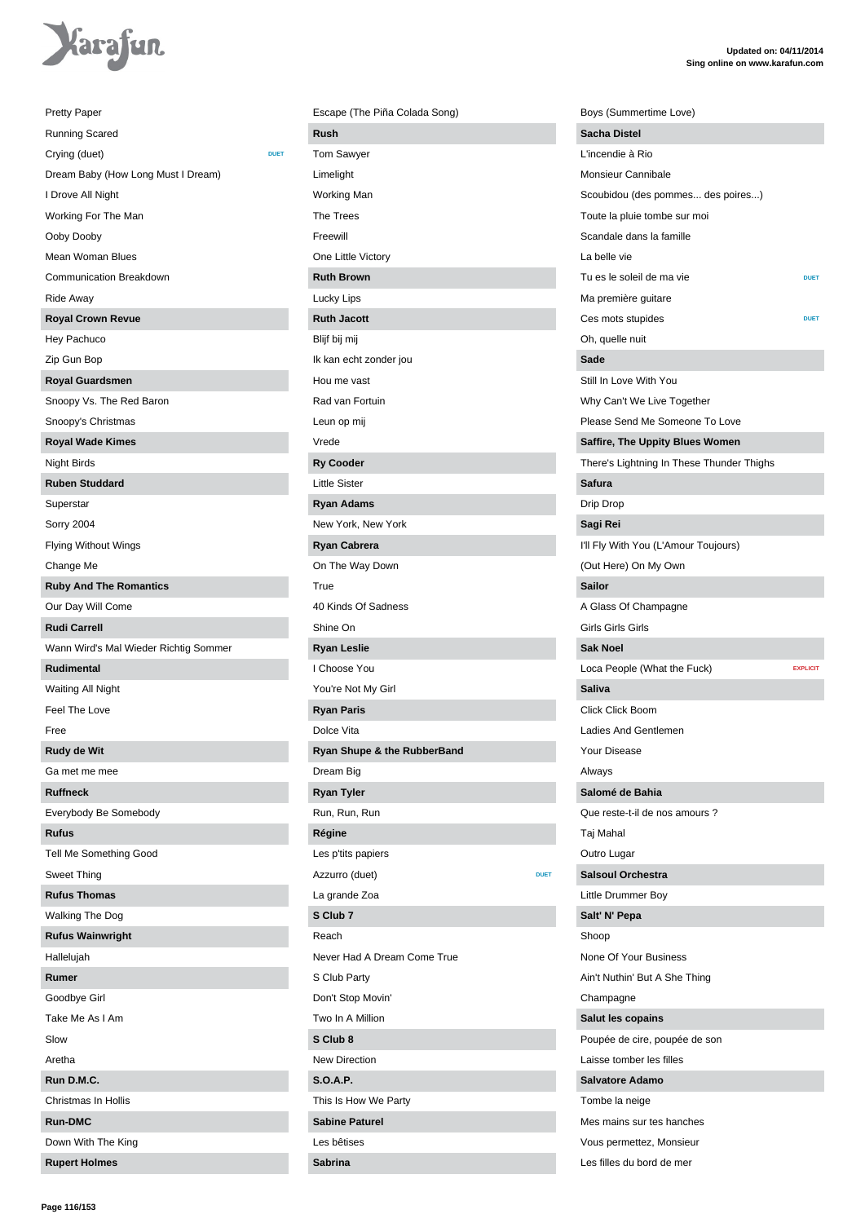

| <b>Pretty Paper</b>                   |
|---------------------------------------|
| <b>Running Scared</b>                 |
| Crying (duet)<br><b>DUET</b>          |
| Dream Baby (How Long Must I Dream)    |
| I Drove All Night                     |
| Working For The Man                   |
| Ooby Dooby                            |
| Mean Woman Blues                      |
| Communication Breakdown               |
| Ride Away                             |
| <b>Royal Crown Revue</b>              |
| Hey Pachuco                           |
| Zip Gun Bop                           |
| <b>Royal Guardsmen</b>                |
| Snoopy Vs. The Red Baron              |
| Snoopy's Christmas                    |
| <b>Royal Wade Kimes</b>               |
| Night Birds                           |
| <b>Ruben Studdard</b>                 |
| Superstar                             |
| <b>Sorry 2004</b>                     |
| <b>Flying Without Wings</b>           |
| Change Me                             |
| <b>Ruby And The Romantics</b>         |
| Our Day Will Come                     |
| <b>Rudi Carrell</b>                   |
| Wann Wird's Mal Wieder Richtig Sommer |
| <b>Rudimental</b>                     |
| Waiting All Night                     |
| Feel The Love                         |
| Free                                  |
| Rudy de Wit                           |
| Ga met me mee                         |
| <b>Ruffneck</b>                       |
| Everybody Be Somebody                 |
| <b>Rufus</b>                          |
| Tell Me Something Good                |
| Sweet Thing                           |
| <b>Rufus Thomas</b>                   |
| <b>Walking The Dog</b>                |
| <b>Rufus Wainwright</b>               |
| Hallelujah                            |
| Rumer                                 |
| Goodbye Girl                          |
| Take Me As I Am                       |
| Slow                                  |
| Aretha                                |
| Run D.M.C.                            |
| <b>Christmas In Hollis</b>            |
| <b>Run-DMC</b>                        |
| Down With The King                    |
| <b>Rupert Holmes</b>                  |

| Escape (The Piña Colada Song) |             |
|-------------------------------|-------------|
| <b>Rush</b>                   |             |
| <b>Tom Sawyer</b>             |             |
| Limelight                     |             |
| Working Man                   |             |
| The Trees                     |             |
| Freewill                      |             |
| One Little Victory            |             |
| <b>Ruth Brown</b>             |             |
| Lucky Lips                    |             |
| <b>Ruth Jacott</b>            |             |
| Blijf bij mij                 |             |
| Ik kan echt zonder jou        |             |
| Hou me vast                   |             |
| Rad van Fortuin               |             |
| Leun op mij                   |             |
| Vrede                         |             |
| <b>Ry Cooder</b>              |             |
| <b>Little Sister</b>          |             |
| <b>Ryan Adams</b>             |             |
| New York, New York            |             |
| Ryan Cabrera                  |             |
| On The Way Down               |             |
| True                          |             |
| 40 Kinds Of Sadness           |             |
| Shine On                      |             |
| <b>Ryan Leslie</b>            |             |
| I Choose You                  |             |
| You're Not My Girl            |             |
| Ryan Paris                    |             |
| Dolce Vita                    |             |
| Ryan Shupe & the RubberBand   |             |
| Dream Big                     |             |
| <b>Ryan Tyler</b>             |             |
| Run, Run, Run                 |             |
| Régine                        |             |
| Les p'tits papiers            |             |
| Azzurro (duet)                | <b>DUET</b> |
| La grande Zoa                 |             |
| S Club 7                      |             |
| Reach                         |             |
| Never Had A Dream Come True   |             |
| S Club Party                  |             |
| Don't Stop Movin'             |             |
| Two In A Million              |             |
| S Club 8                      |             |
| <b>New Direction</b>          |             |
| <b>S.O.A.P.</b>               |             |
| This Is How We Party          |             |
| <b>Sabine Paturel</b>         |             |
| Les bêtises                   |             |
| <b>Sabrina</b>                |             |
|                               |             |

| Boys (Summertime Love)                                |
|-------------------------------------------------------|
| <b>Sacha Distel</b>                                   |
| L'incendie à Rio                                      |
| <b>Monsieur Cannibale</b>                             |
| Scoubidou (des pommes des poires)                     |
| Toute la pluie tombe sur moi                          |
| Scandale dans la famille                              |
| La belle vie                                          |
| Tu es le soleil de ma vie<br><b>DUET</b>              |
| Ma première guitare                                   |
| Ces mots stupides<br><b>DUET</b>                      |
| Oh, quelle nuit                                       |
| Sade                                                  |
| Still In Love With You                                |
| Why Can't We Live Together                            |
| Please Send Me Someone To Love                        |
| Saffire, The Uppity Blues Women                       |
|                                                       |
| There's Lightning In These Thunder Thighs             |
| <b>Safura</b>                                         |
| Drip Drop                                             |
| Sagi Rei                                              |
| I'll Fly With You (L'Amour Toujours)                  |
| (Out Here) On My Own                                  |
| <b>Sailor</b>                                         |
| A Glass Of Champagne                                  |
| Girls Girls Girls                                     |
|                                                       |
| <b>Sak Noel</b>                                       |
| Loca People (What the Fuck)<br><b>EXPLICIT</b>        |
| <b>Saliva</b>                                         |
| <b>Click Click Boom</b>                               |
| Ladies And Gentlemen                                  |
| Your Disease                                          |
| Always                                                |
| Salomé de Bahia                                       |
| Que reste-t-il de nos amours?                         |
| Taj Mahal                                             |
| Outro Lugar                                           |
| <b>Salsoul Orchestra</b>                              |
| Little Drummer Boy                                    |
| Salt' N' Pepa                                         |
| Shoop                                                 |
| None Of Your Business                                 |
|                                                       |
| Ain't Nuthin' But A She Thing                         |
| Champagne                                             |
| Salut les copains                                     |
| Poupée de cire, poupée de son                         |
| Laisse tomber les filles                              |
| <b>Salvatore Adamo</b>                                |
| Tombe la neige                                        |
| Mes mains sur tes hanches                             |
| Vous permettez, Monsieur<br>Les filles du bord de mer |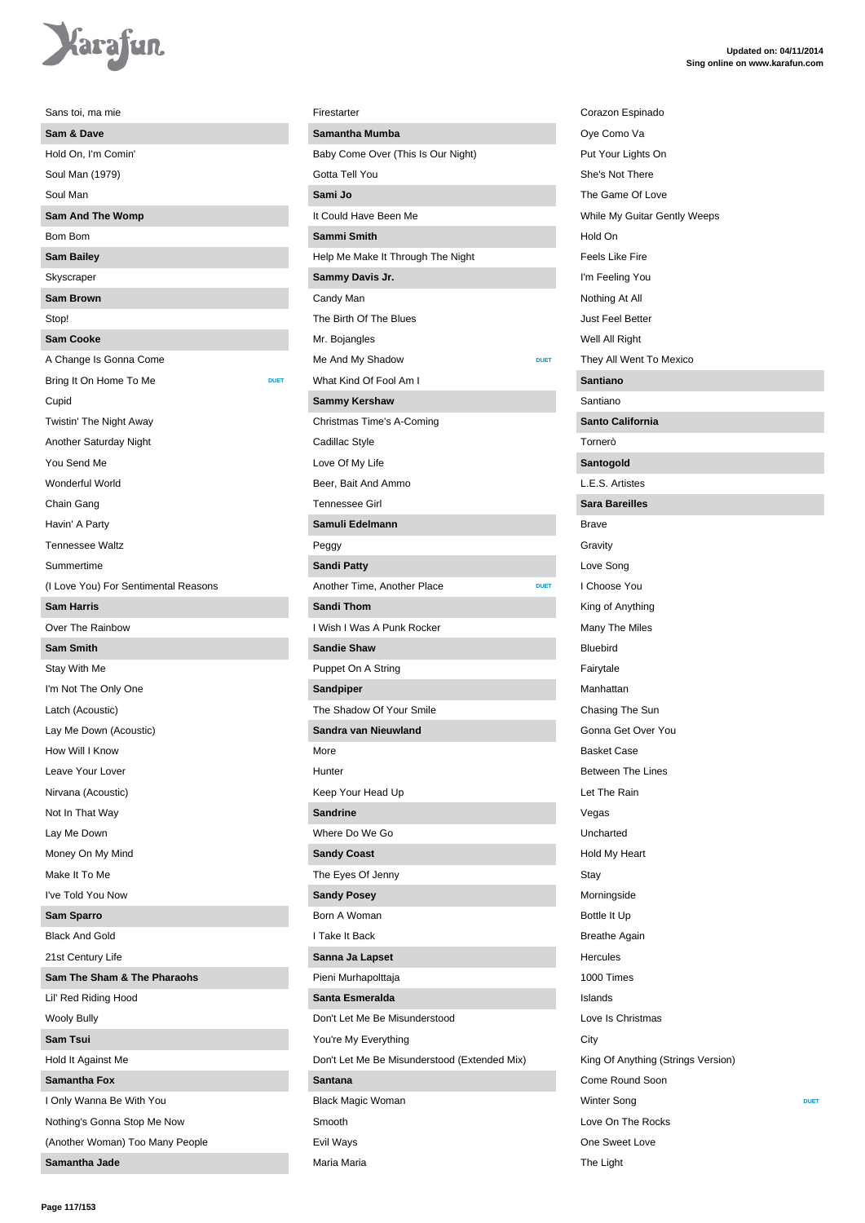

| Sans toi, ma mie                      |             |
|---------------------------------------|-------------|
| Sam & Dave                            |             |
| Hold On, I'm Comin'                   |             |
| Soul Man (1979)                       |             |
| Soul Man                              |             |
| <b>Sam And The Womp</b>               |             |
| <b>Bom Bom</b>                        |             |
| <b>Sam Bailey</b>                     |             |
| Skyscraper                            |             |
| <b>Sam Brown</b>                      |             |
| Stop!                                 |             |
| <b>Sam Cooke</b>                      |             |
| A Change Is Gonna Come                |             |
| Bring It On Home To Me                | <b>DUET</b> |
| Cupid                                 |             |
| Twistin' The Night Away               |             |
| Another Saturday Night                |             |
| You Send Me                           |             |
| Wonderful World                       |             |
| Chain Gang                            |             |
| Havin' A Party                        |             |
| <b>Tennessee Waltz</b>                |             |
| Summertime                            |             |
| (I Love You) For Sentimental Reasons  |             |
| <b>Sam Harris</b>                     |             |
| Over The Rainbow                      |             |
| <b>Sam Smith</b>                      |             |
| Stay With Me                          |             |
| I'm Not The Only One                  |             |
| Latch (Acoustic)                      |             |
| Lay Me Down (Acoustic)                |             |
| How Will I Know                       |             |
| Leave Your Lover                      |             |
| Nirvana (Acoustic)                    |             |
| Not In That Way                       |             |
| Lay Me Down                           |             |
| Money On My Mind                      |             |
| Make It To Me                         |             |
| I've Told You Now                     |             |
| <b>Sam Sparro</b>                     |             |
| <b>Black And Gold</b>                 |             |
| 21st Century Life                     |             |
| Sam The Sham & The Pharaohs           |             |
| Lil' Red Riding Hood                  |             |
| <b>Wooly Bully</b><br><b>Sam Tsui</b> |             |
| Hold It Against Me                    |             |
| <b>Samantha Fox</b>                   |             |
| I Only Wanna Be With You              |             |
| Nothing's Gonna Stop Me Now           |             |
| (Another Woman) Too Many People       |             |
| Samantha Jade                         |             |
|                                       |             |

| Firestarter                                  |
|----------------------------------------------|
| Samantha Mumba                               |
| Baby Come Over (This Is Our Night)           |
| Gotta Tell You                               |
| Sami Jo                                      |
| It Could Have Been Me                        |
| Sammi Smith                                  |
| Help Me Make It Through The Night            |
| Sammy Davis Jr.                              |
| Candy Man                                    |
| The Birth Of The Blues                       |
| Mr. Bojangles                                |
| Me And My Shadow<br><b>DUET</b>              |
| What Kind Of Fool Am I                       |
| <b>Sammy Kershaw</b>                         |
| Christmas Time's A-Coming                    |
| Cadillac Style                               |
| Love Of My Life                              |
| Beer, Bait And Ammo                          |
| Tennessee Girl                               |
| Samuli Edelmann                              |
| Peggy                                        |
| Sandi Patty                                  |
| Another Time, Another Place<br><b>DUET</b>   |
| <b>Sandi Thom</b>                            |
| I Wish I Was A Punk Rocker                   |
| <b>Sandie Shaw</b>                           |
| Puppet On A String                           |
| Sandpiper                                    |
| The Shadow Of Your Smile                     |
| Sandra van Nieuwland                         |
| More                                         |
| Hunter                                       |
| Keep Your Head Up                            |
| <b>Sandrine</b>                              |
| Where Do We Go                               |
| <b>Sandy Coast</b>                           |
| The Eyes Of Jenny                            |
| <b>Sandy Posey</b>                           |
| Born A Woman                                 |
| I Take It Back                               |
| Sanna Ja Lapset                              |
| Pieni Murhapolttaja                          |
| Santa Esmeralda                              |
| Don't Let Me Be Misunderstood                |
| You're My Everything                         |
| Don't Let Me Be Misunderstood (Extended Mix) |
| <b>Santana</b>                               |
| Black Magic Woman                            |
| Smooth                                       |
| Evil Ways                                    |
|                                              |

| Corazon Espinado                   |             |
|------------------------------------|-------------|
| Oye Como Va                        |             |
| Put Your Lights On                 |             |
| She's Not There                    |             |
| The Game Of Love                   |             |
| While My Guitar Gently Weeps       |             |
| Hold On                            |             |
| <b>Feels Like Fire</b>             |             |
| I'm Feeling You                    |             |
| Nothing At All                     |             |
| Just Feel Better                   |             |
| Well All Right                     |             |
| They All Went To Mexico            |             |
| <b>Santiano</b>                    |             |
| Santiano                           |             |
| <b>Santo California</b>            |             |
| Tornerò                            |             |
| Santogold                          |             |
| L.E.S. Artistes                    |             |
| <b>Sara Bareilles</b>              |             |
| Brave                              |             |
| Gravity                            |             |
| Love Song                          |             |
| I Choose You                       |             |
| King of Anything                   |             |
| Many The Miles                     |             |
| <b>Bluebird</b>                    |             |
| Fairytale                          |             |
| Manhattan                          |             |
| Chasing The Sun                    |             |
| Gonna Get Over You                 |             |
| <b>Basket Case</b>                 |             |
| <b>Between The Lines</b>           |             |
| Let The Rain                       |             |
| Vegas                              |             |
| Uncharted                          |             |
| Hold My Heart                      |             |
| Stay                               |             |
| Morningside                        |             |
| Bottle It Up                       |             |
| Breathe Again                      |             |
| Hercules                           |             |
| 1000 Times                         |             |
| Islands                            |             |
| Love Is Christmas                  |             |
| City                               |             |
| King Of Anything (Strings Version) |             |
| Come Round Soon                    |             |
| Winter Song                        | <b>DUET</b> |
| Love On The Rocks                  |             |
| One Sweet Love                     |             |
| The Light                          |             |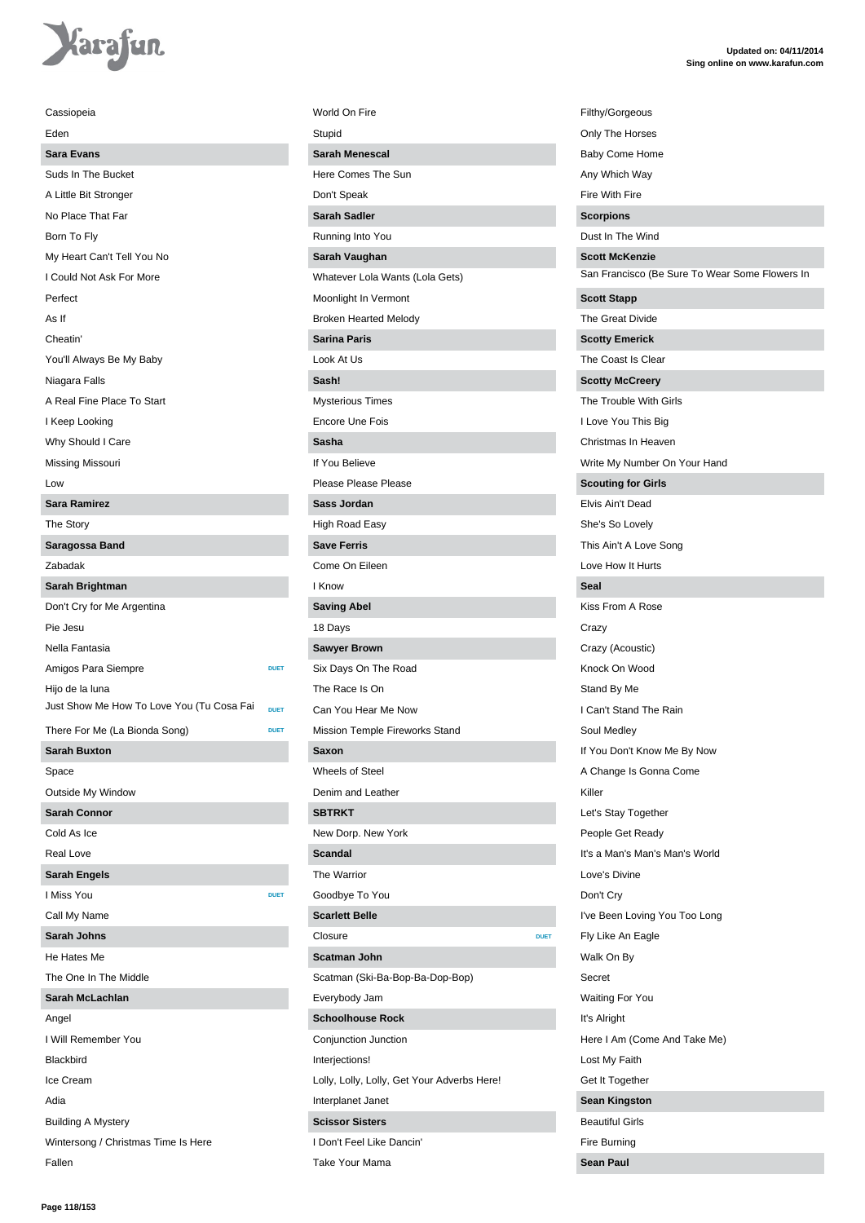

| Cassiopeia                                |             | World On Fire                       |
|-------------------------------------------|-------------|-------------------------------------|
| Eden                                      |             | Stupid                              |
| <b>Sara Evans</b>                         |             | <b>Sarah Menescal</b>               |
| Suds In The Bucket                        |             | Here Comes The Sun                  |
| A Little Bit Stronger                     |             | Don't Speak                         |
| No Place That Far                         |             | <b>Sarah Sadler</b>                 |
| Born To Fly                               |             | Running Into You                    |
| My Heart Can't Tell You No                |             | Sarah Vaughan                       |
| I Could Not Ask For More                  |             | Whatever Lola Wants (Lola Gets)     |
| Perfect                                   |             | Moonlight In Vermont                |
| As If                                     |             | <b>Broken Hearted Melody</b>        |
| Cheatin'                                  |             | <b>Sarina Paris</b>                 |
| You'll Always Be My Baby                  |             | Look At Us                          |
| Niagara Falls                             |             | Sash!                               |
| A Real Fine Place To Start                |             | <b>Mysterious Times</b>             |
| I Keep Looking                            |             | Encore Une Fois                     |
| Why Should I Care                         |             | Sasha                               |
| Missing Missouri                          |             | If You Believe                      |
| Low                                       |             | Please Please Please                |
| <b>Sara Ramirez</b>                       |             | Sass Jordan                         |
| The Story                                 |             | High Road Easy                      |
| Saragossa Band                            |             | <b>Save Ferris</b>                  |
| Zabadak                                   |             | Come On Eileen                      |
| Sarah Brightman                           |             | I Know                              |
| Don't Cry for Me Argentina                |             | <b>Saving Abel</b>                  |
| Pie Jesu                                  |             | 18 Days                             |
| Nella Fantasia                            |             | Sawyer Brown                        |
| Amigos Para Siempre                       | <b>DUET</b> | Six Days On The Road                |
| Hijo de la luna                           |             | The Race Is On                      |
| Just Show Me How To Love You (Tu Cosa Fai | <b>DUET</b> | Can You Hear Me Now                 |
| There For Me (La Bionda Song)             | <b>DUET</b> | Mission Temple Fireworks Stand      |
| <b>Sarah Buxton</b>                       |             | Saxon                               |
|                                           |             | Wheels of Steel                     |
| Space                                     |             | Denim and Leather                   |
| <b>Outside My Window</b>                  |             |                                     |
| <b>Sarah Connor</b>                       |             | <b>SBTRKT</b>                       |
| Cold As Ice                               |             | New Dorp. New York                  |
| Real Love                                 |             | <b>Scandal</b>                      |
| <b>Sarah Engels</b>                       |             | The Warrior                         |
| I Miss You                                | <b>DUET</b> | Goodbye To You                      |
| Call My Name                              |             | <b>Scarlett Belle</b>               |
| Sarah Johns                               |             | Closure                             |
| He Hates Me                               |             | <b>Scatman John</b>                 |
| The One In The Middle                     |             | Scatman (Ski-Ba-Bop-Ba-Dop-Bo       |
| Sarah McLachlan                           |             | Everybody Jam                       |
| Angel                                     |             | <b>Schoolhouse Rock</b>             |
| I Will Remember You                       |             | Conjunction Junction                |
| <b>Blackbird</b>                          |             | Interjections!                      |
| Ice Cream                                 |             | Lolly, Lolly, Lolly, Get Your Adver |
| Adia                                      |             | Interplanet Janet                   |
| <b>Building A Mystery</b>                 |             | <b>Scissor Sisters</b>              |
|                                           |             |                                     |
| Wintersong / Christmas Time Is Here       |             | I Don't Feel Like Dancin'           |

**Page 118/153**

Filthy/Gorgeous Only The Horses Baby Come Home Any Which Way Fire With Fire **Scorpions** Dust In The Wind **Scott McKenzie** San Francisco (Be Sure To Wear Some Flowers In **Scott Stapp** The Great Divide **Scotty Emerick** The Coast Is Clear **Scotty McCreery** The Trouble With Girls I Love You This Big Christmas In Heaven Write My Number On Your Hand **Scouting for Girls** Elvis Ain't Dead She's So Lovely This Ain't A Love Song Love How It Hurts Kiss From A Rose Crazy (Acoustic) Knock On Wood Stand By Me I Can't Stand The Rain Soul Medley If You Don't Know Me By Now A Change Is Gonna Come Let's Stay Together

**Seal**

Crazy

Killer

People Get Ready

Love's Divine Don't Cry

Fly Like An Eagle Walk On By Secret

Waiting For You It's Alright

Lost My Faith Get It Together **Sean Kingston** Beautiful Girls Fire Burning **Sean Paul**

It's a Man's Man's Man's World

I've Been Loving You Too Long

Here I Am (Come And Take Me)

**Updated on: 04/11/2014 Sing online on www.karafun.com**

**Saxon** eels of Steel im and Leather **SRKT** v Dorp. New York **Scandal** Warrior dbye To You **Scarlett Belle Closure DUET Scatman John** atman (Ski-Ba-Bop-Ba-Dop-Bop) rybody Jam **Schoolhouse Rock** ijunction Junction rjections! y, Lolly, Lolly, Get Your Adverbs Here! rplanet Janet **Scissor Sisters** n't Feel Like Dancin'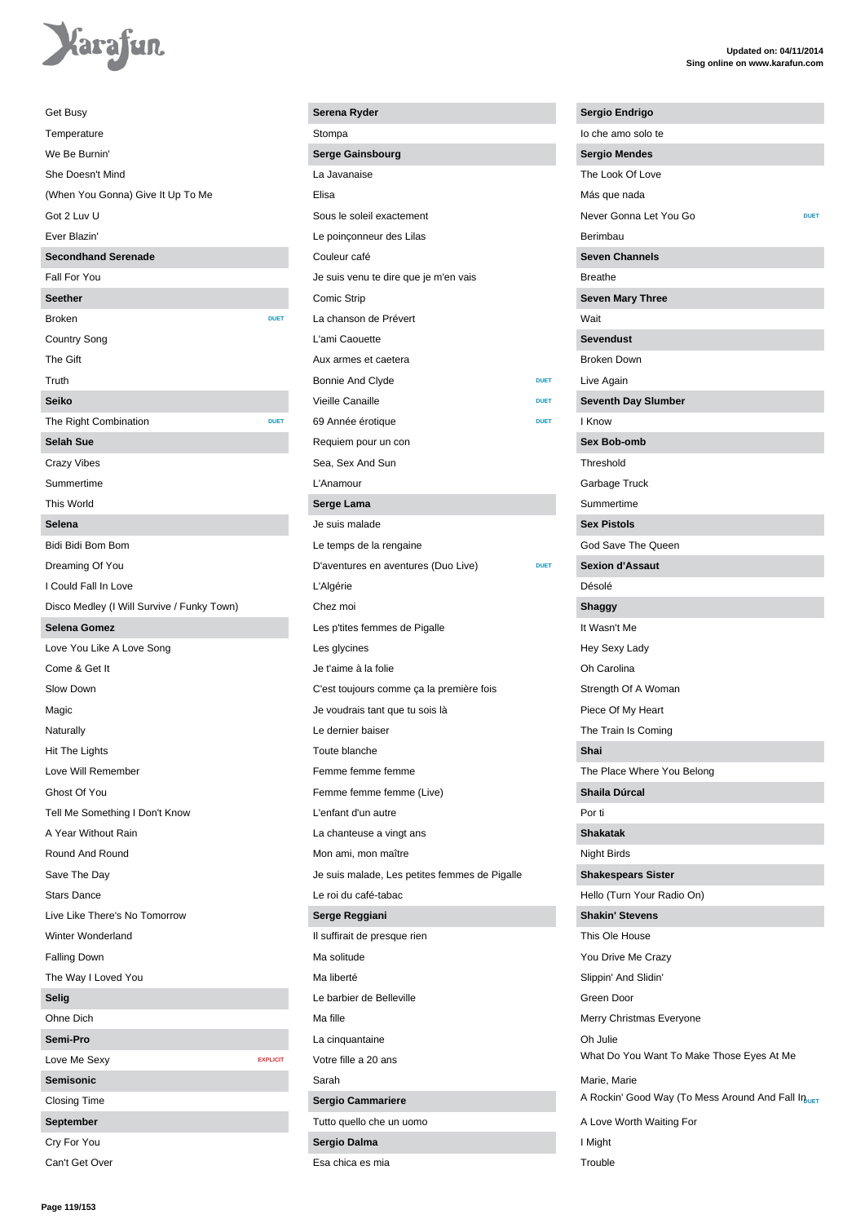

| Get Busy                                   |
|--------------------------------------------|
| Temperature                                |
| We Be Burnin'                              |
| She Doesn't Mind                           |
| (When You Gonna) Give It Up To Me          |
| Got 2 Luv U                                |
| Ever Blazin'                               |
| <b>Secondhand Serenade</b>                 |
| Fall For You                               |
| <b>Seether</b>                             |
| <b>Broken</b><br><b>DUET</b>               |
| Country Song                               |
| The Gift                                   |
| Truth                                      |
| <b>Seiko</b>                               |
| The Right Combination<br><b>DUET</b>       |
| <b>Selah Sue</b>                           |
| <b>Crazy Vibes</b>                         |
| Summertime                                 |
| This World                                 |
| Selena                                     |
| Bidi Bidi Bom Bom                          |
| Dreaming Of You                            |
| I Could Fall In Love                       |
| Disco Medley (I Will Survive / Funky Town) |
| Selena Gomez                               |
|                                            |
| Love You Like A Love Song                  |
| Come & Get It                              |
| Slow Down                                  |
| Magic                                      |
| Naturally                                  |
| <b>Hit The Lights</b>                      |
| Love Will Remember                         |
| Ghost Of You                               |
| Tell Me Something I Don't Know             |
| A Year Without Rain                        |
| Round And Round                            |
| Save The Day                               |
| <b>Stars Dance</b>                         |
| Live Like There's No Tomorrow              |
| <b>Winter Wonderland</b>                   |
| <b>Falling Down</b>                        |
| The Way I Loved You                        |
| Selig                                      |
| Ohne Dich                                  |
| Semi-Pro                                   |
| Love Me Sexy<br><b>EXPLICIT</b>            |
| <b>Semisonic</b>                           |
| <b>Closing Time</b>                        |
| September                                  |

| Serena Ryder                                  |             |
|-----------------------------------------------|-------------|
| Stompa                                        |             |
| <b>Serge Gainsbourg</b>                       |             |
| La Javanaise                                  |             |
| Elisa                                         |             |
| Sous le soleil exactement                     |             |
| Le poinçonneur des Lilas                      |             |
| Couleur café                                  |             |
| Je suis venu te dire que je m'en vais         |             |
| Comic Strip                                   |             |
| La chanson de Prévert                         |             |
| L'ami Caouette                                |             |
| Aux armes et caetera                          |             |
| Bonnie And Clyde                              | <b>DUET</b> |
| Vieille Canaille                              | <b>DUET</b> |
| 69 Année érotique                             | <b>DUET</b> |
| Requiem pour un con                           |             |
| Sea, Sex And Sun                              |             |
| L'Anamour                                     |             |
| Serge Lama                                    |             |
| Je suis malade                                |             |
| Le temps de la rengaine                       |             |
| D'aventures en aventures (Duo Live)           | <b>DUET</b> |
| L'Algérie                                     |             |
| Chez moi                                      |             |
| Les p'tites femmes de Pigalle                 |             |
| Les glycines                                  |             |
| Je t'aime à la folie                          |             |
| C'est toujours comme ça la première fois      |             |
| Je voudrais tant que tu sois là               |             |
| Le dernier baiser                             |             |
| Toute blanche                                 |             |
| Femme femme femme                             |             |
| Femme femme femme (Live)                      |             |
| L'enfant d'un autre                           |             |
| La chanteuse a vingt ans                      |             |
| Mon ami, mon maître                           |             |
| Je suis malade, Les petites femmes de Pigalle |             |
| Le roi du café-tabac                          |             |
| Serge Reggiani                                |             |
| Il suffirait de presque rien                  |             |
| Ma solitude                                   |             |
| Ma liberté                                    |             |
| Le barbier de Belleville                      |             |
| Ma fille                                      |             |
| La cinquantaine                               |             |
| Votre fille a 20 ans                          |             |
| Sarah                                         |             |
| <b>Sergio Cammariere</b>                      |             |
| Tutto quello che un uomo                      |             |
| Sergio Dalma                                  |             |
| Esa chica es mia                              |             |

Ī

I

| Sergio Endrigo                                                                 |
|--------------------------------------------------------------------------------|
| lo che amo solo te                                                             |
| <b>Sergio Mendes</b>                                                           |
| The Look Of Love                                                               |
| Más que nada                                                                   |
| Never Gonna Let You Go<br><b>DUET</b>                                          |
| Berimbau                                                                       |
| <b>Seven Channels</b>                                                          |
| <b>Breathe</b>                                                                 |
| <b>Seven Mary Three</b>                                                        |
| Wait                                                                           |
| <b>Sevendust</b>                                                               |
| <b>Broken Down</b>                                                             |
| Live Again                                                                     |
| <b>Seventh Day Slumber</b>                                                     |
| I Know                                                                         |
| <b>Sex Bob-omb</b>                                                             |
| Threshold                                                                      |
| Garbage Truck                                                                  |
| Summertime                                                                     |
| <b>Sex Pistols</b>                                                             |
| God Save The Queen                                                             |
| <b>Sexion d'Assaut</b>                                                         |
| Désolé                                                                         |
| Shaggy                                                                         |
| It Wasn't Me                                                                   |
| Hey Sexy Lady                                                                  |
| Oh Carolina                                                                    |
| Strength Of A Woman                                                            |
| Piece Of My Heart                                                              |
| The Train Is Coming                                                            |
| Shai                                                                           |
| The Place Where You Belong                                                     |
| Shaila Dúrcal                                                                  |
| Por ti                                                                         |
| <b>Shakatak</b>                                                                |
| Night Birds                                                                    |
| <b>Shakespears Sister</b>                                                      |
| Hello (Turn Your Radio On)                                                     |
| <b>Shakin' Stevens</b>                                                         |
| This Ole House                                                                 |
| You Drive Me Crazy                                                             |
| Slippin' And Slidin'                                                           |
| Green Door                                                                     |
| Merry Christmas Everyone                                                       |
| Oh Julie                                                                       |
| What Do You Want To Make Those Eyes At Me                                      |
| Marie, Marie<br>A Rockin' Good Way (To Mess Around And Fall In <sub>buer</sub> |
| A Love Worth Waiting For                                                       |
|                                                                                |

I Might Trouble

Can't Get Over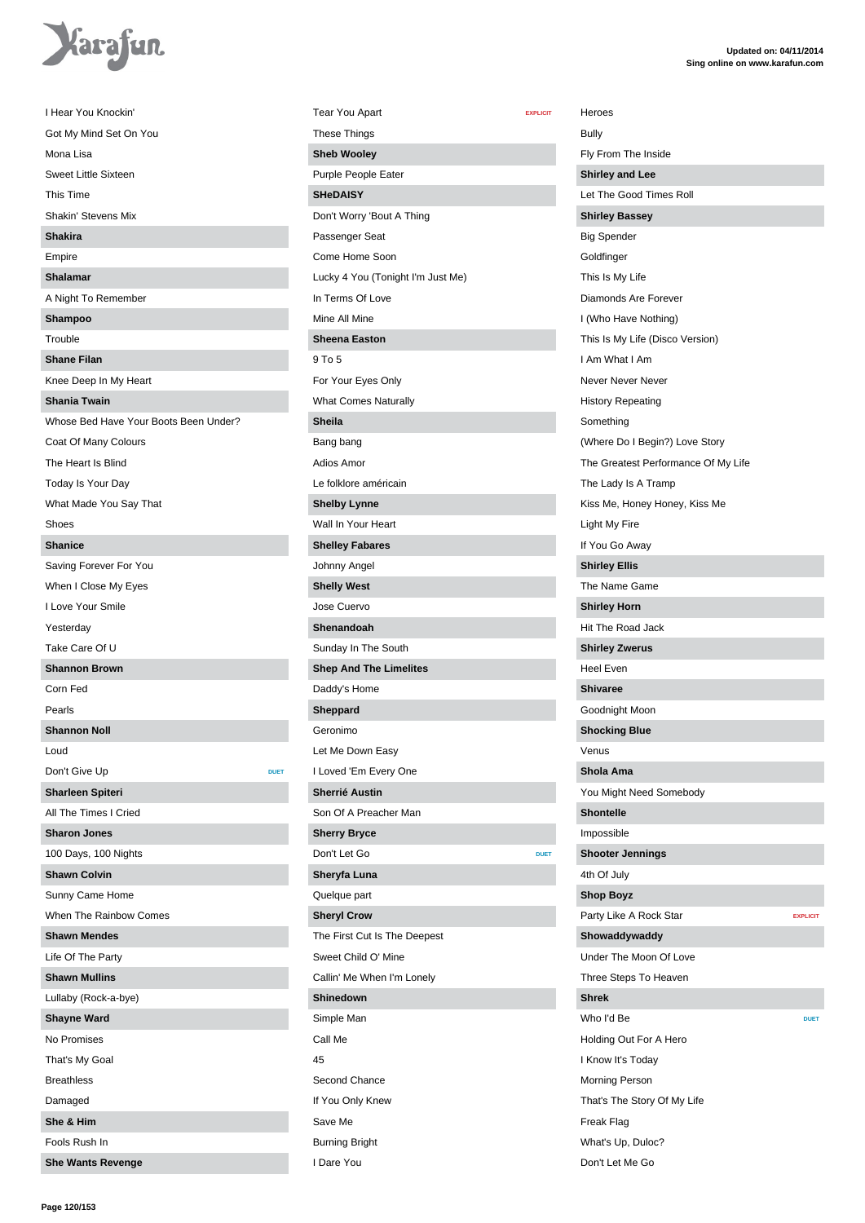

| I Hear You Knockin'                   |             |
|---------------------------------------|-------------|
| Got My Mind Set On You                |             |
| Mona Lisa                             |             |
| <b>Sweet Little Sixteen</b>           |             |
| This Time                             |             |
| Shakin' Stevens Mix                   |             |
| <b>Shakira</b>                        |             |
| Empire                                |             |
| <b>Shalamar</b>                       |             |
| A Night To Remember                   |             |
| Shampoo                               |             |
| Trouble                               |             |
| <b>Shane Filan</b>                    |             |
| Knee Deep In My Heart                 |             |
| <b>Shania Twain</b>                   |             |
| Whose Bed Have Your Boots Been Under? |             |
| Coat Of Many Colours                  |             |
| The Heart Is Blind                    |             |
| Today Is Your Day                     |             |
| What Made You Say That                |             |
| Shoes                                 |             |
| <b>Shanice</b>                        |             |
| Saving Forever For You                |             |
| When I Close My Eyes                  |             |
| I Love Your Smile                     |             |
| Yesterday                             |             |
| Take Care Of U                        |             |
| <b>Shannon Brown</b>                  |             |
| Corn Fed                              |             |
| Pearls                                |             |
| <b>Shannon Noll</b>                   |             |
| Loud                                  |             |
| Don't Give Up                         | <b>DUET</b> |
| <b>Sharleen Spiteri</b>               |             |
| All The Times I Cried                 |             |
| <b>Sharon Jones</b>                   |             |
| 100 Days, 100 Nights                  |             |
| <b>Shawn Colvin</b>                   |             |
| Sunny Came Home                       |             |
| When The Rainbow Comes                |             |
| <b>Shawn Mendes</b>                   |             |
| Life Of The Party                     |             |
| <b>Shawn Mullins</b>                  |             |
| Lullaby (Rock-a-bye)                  |             |
| <b>Shayne Ward</b>                    |             |
|                                       |             |
| No Promises                           |             |
| That's My Goal                        |             |
| <b>Breathless</b>                     |             |
|                                       |             |
| Damaged<br>She & Him                  |             |
| Fools Rush In                         |             |

| Tear You Apart                    | <b>EXPLICIT</b> |
|-----------------------------------|-----------------|
| These Things                      |                 |
| <b>Sheb Wooley</b>                |                 |
| Purple People Eater               |                 |
| <b>SHeDAISY</b>                   |                 |
| Don't Worry 'Bout A Thing         |                 |
| Passenger Seat                    |                 |
| Come Home Soon                    |                 |
| Lucky 4 You (Tonight I'm Just Me) |                 |
| In Terms Of Love                  |                 |
| Mine All Mine                     |                 |
| <b>Sheena Easton</b>              |                 |
| 9 To 5                            |                 |
| For Your Eyes Only                |                 |
| <b>What Comes Naturally</b>       |                 |
| <b>Sheila</b>                     |                 |
| Bang bang                         |                 |
| Adios Amor                        |                 |
| Le folklore américain             |                 |
| <b>Shelby Lynne</b>               |                 |
| Wall In Your Heart                |                 |
| <b>Shelley Fabares</b>            |                 |
| Johnny Angel                      |                 |
| <b>Shelly West</b>                |                 |
| Jose Cuervo                       |                 |
| Shenandoah                        |                 |
| Sunday In The South               |                 |
| <b>Shep And The Limelites</b>     |                 |
| Daddy's Home                      |                 |
| Sheppard                          |                 |
| Geronimo                          |                 |
| Let Me Down Easy                  |                 |
| I Loved 'Em Every One             |                 |
| Sherrié Austin                    |                 |
| Son Of A Preacher Man             |                 |
| <b>Sherry Bryce</b>               |                 |
| Don't Let Go                      | <b>DUET</b>     |
| Sheryfa Luna                      |                 |
| Quelque part                      |                 |
| <b>Sheryl Crow</b>                |                 |
| The First Cut Is The Deepest      |                 |
| Sweet Child O' Mine               |                 |
| Callin' Me When I'm Lonely        |                 |
| Shinedown                         |                 |
| Simple Man                        |                 |
| Call Me                           |                 |
| 45                                |                 |
| Second Chance                     |                 |
| If You Only Knew                  |                 |
| Save Me                           |                 |
| Burning Bright                    |                 |

I Dare You

| Heroes                                    |                 |
|-------------------------------------------|-----------------|
| Bully                                     |                 |
| Fly From The Inside                       |                 |
| <b>Shirley and Lee</b>                    |                 |
| Let The Good Times Roll                   |                 |
| <b>Shirley Bassey</b>                     |                 |
| <b>Big Spender</b>                        |                 |
| Goldfinger                                |                 |
| This Is My Life                           |                 |
| Diamonds Are Forever                      |                 |
| I (Who Have Nothing)                      |                 |
| This Is My Life (Disco Version)           |                 |
| I Am What I Am                            |                 |
| <b>Never Never Never</b>                  |                 |
| <b>History Repeating</b>                  |                 |
| Something                                 |                 |
| (Where Do I Begin?) Love Story            |                 |
| The Greatest Performance Of My Life       |                 |
| The Lady Is A Tramp                       |                 |
| Kiss Me, Honey Honey, Kiss Me             |                 |
| Light My Fire                             |                 |
| If You Go Away                            |                 |
| <b>Shirley Ellis</b>                      |                 |
| The Name Game                             |                 |
|                                           |                 |
| <b>Shirley Horn</b><br>Hit The Road Jack  |                 |
|                                           |                 |
| <b>Shirley Zwerus</b><br><b>Heel Even</b> |                 |
|                                           |                 |
| <b>Shivaree</b>                           |                 |
| Goodnight Moon                            |                 |
| <b>Shocking Blue</b>                      |                 |
| Venus                                     |                 |
| Shola Ama                                 |                 |
| You Might Need Somebody                   |                 |
| <b>Shontelle</b>                          |                 |
| Impossible                                |                 |
| <b>Shooter Jennings</b>                   |                 |
| 4th Of July                               |                 |
| <b>Shop Boyz</b>                          |                 |
| Party Like A Rock Star                    | <b>EXPLICIT</b> |
| Showaddywaddy                             |                 |
| Under The Moon Of Love                    |                 |
| Three Steps To Heaven                     |                 |
| <b>Shrek</b>                              |                 |
| Who I'd Be                                | <b>DUET</b>     |
| Holding Out For A Hero                    |                 |
| I Know It's Today                         |                 |
| <b>Morning Person</b>                     |                 |
| That's The Story Of My Life               |                 |
| Freak Flag                                |                 |
| What's Up, Duloc?                         |                 |
| Don't Let Me Go                           |                 |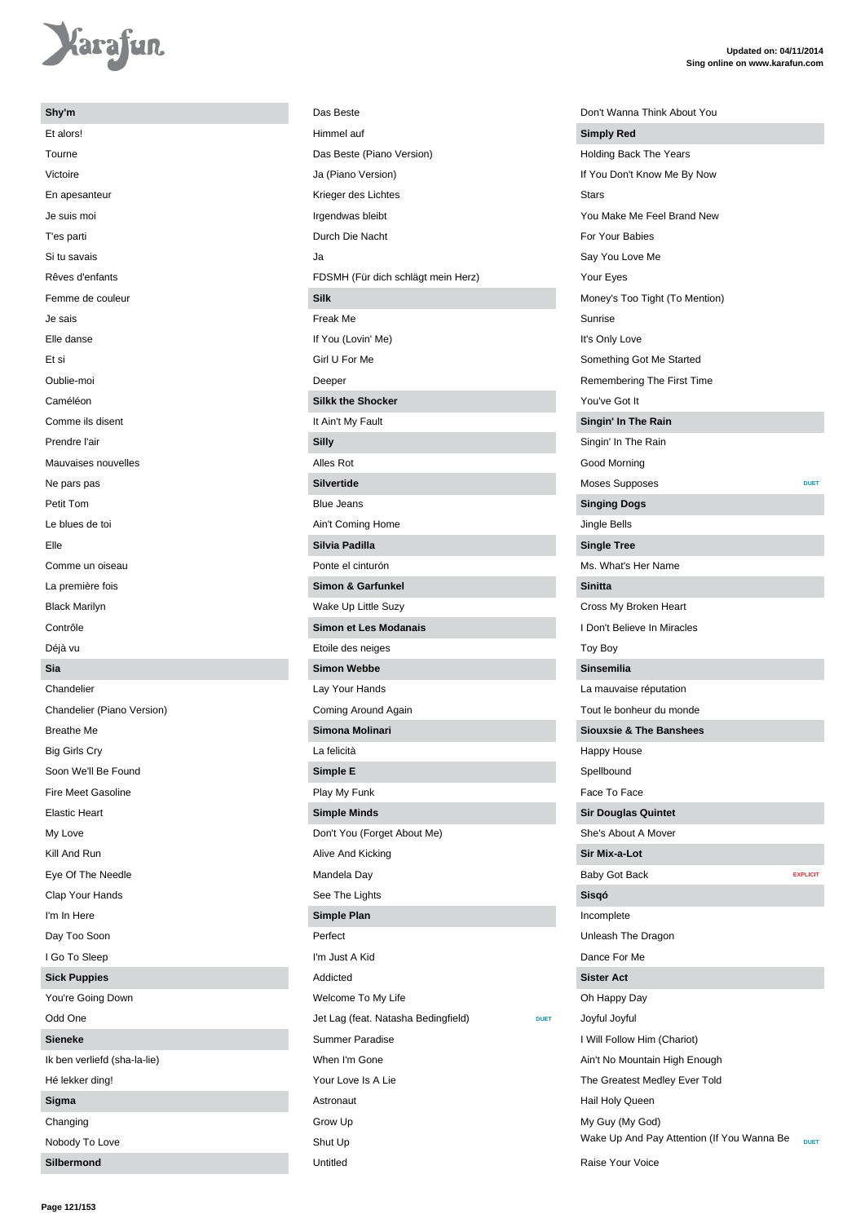

| Shy'm                        |
|------------------------------|
| Et alors!                    |
| Tourne                       |
| Victoire                     |
| En apesanteur                |
| Je suis moi                  |
| T'es parti                   |
| Si tu savais                 |
| Rêves d'enfants              |
| Femme de couleur             |
| Je sais                      |
| Elle danse                   |
| Et si                        |
| Oublie-moi                   |
| Caméléon                     |
| Comme ils disent             |
| Prendre l'air                |
| Mauvaises nouvelles          |
| Ne pars pas                  |
| Petit Tom                    |
| Le blues de toi              |
| Elle                         |
| Comme un oiseau              |
| La première fois             |
| <b>Black Marilyn</b>         |
| Contrôle                     |
| Déjà vu                      |
| Sia                          |
| Chandelier                   |
| Chandelier (Piano Version)   |
| <b>Breathe Me</b>            |
| <b>Big Girls Cry</b>         |
| Soon We'll Be Found          |
| <b>Fire Meet Gasoline</b>    |
| <b>Elastic Heart</b>         |
| My Love                      |
| Kill And Run                 |
| Eye Of The Needle            |
| Clap Your Hands              |
| I'm In Here                  |
| Day Too Soon                 |
| I Go To Sleep                |
| <b>Sick Puppies</b>          |
| You're Going Down            |
| Odd One                      |
| <b>Sieneke</b>               |
| Ik ben verliefd (sha-la-lie) |
| Hé lekker ding!              |
|                              |
| Sigma                        |
| Changing                     |
| Nobody To Love               |

## Das Beste Himmel auf Das Beste (Piano Version) Ja (Piano Version) Krieger des Lichtes Irgendwas bleibt Durch Die Nacht Ja FDSMH (Für dich schlägt mein Herz) **Silk** Freak Me If You (Lovin' Me) Girl U For Me Deeper **Silkk the Shocker** It Ain't My Fault **Silly** Alles Rot **Silvertide** Blue Jeans Ain't Coming Home **Silvia Padilla** Ponte el cinturón **Simon & Garfunkel** Wake Up Little Suzy **Simon et Les Modanais** Etoile des neiges **Simon Webbe** Lay Your Hands Coming Around Again **Simona Molinari** La felicità **Simple E** Play My Funk **Simple Minds** Don't You (Forget About Me) Alive And Kicking Mandela Day See The Lights **Simple Plan** Perfect I'm Just A Kid Addicted Welcome To My Life Jet Lag (feat. Natasha Bedingfield) **DUET** Summer Paradise When I'm Gone Your Love Is A Lie Astronaut Grow Up

Shut Up Untitled

| Don't Wanna Think About You                               |
|-----------------------------------------------------------|
| <b>Simply Red</b>                                         |
| <b>Holding Back The Years</b>                             |
| If You Don't Know Me By Now                               |
| Stars                                                     |
| You Make Me Feel Brand New                                |
| For Your Babies                                           |
| Say You Love Me                                           |
| Your Eyes                                                 |
| Money's Too Tight (To Mention)                            |
| Sunrise                                                   |
| It's Only Love                                            |
| Something Got Me Started                                  |
| Remembering The First Time                                |
| You've Got It                                             |
| Singin' In The Rain                                       |
|                                                           |
| Singin' In The Rain                                       |
| Good Morning                                              |
| Moses Supposes<br><b>DUET</b>                             |
| <b>Singing Dogs</b>                                       |
| Jingle Bells                                              |
| <b>Single Tree</b>                                        |
| Ms. What's Her Name                                       |
| <b>Sinitta</b>                                            |
| Cross My Broken Heart                                     |
| I Don't Believe In Miracles                               |
| Toy Boy                                                   |
| <b>Sinsemilia</b>                                         |
| La mauvaise réputation                                    |
| Tout le bonheur du monde                                  |
| <b>Siouxsie &amp; The Banshees</b>                        |
| Happy House                                               |
| Spellbound                                                |
| Face To Face                                              |
| <b>Sir Douglas Quintet</b>                                |
| She's About A Mover                                       |
| Sir Mix-a-Lot                                             |
| Baby Got Back<br><b>EXPLICIT</b>                          |
| Sisqó                                                     |
| Incomplete                                                |
| Unleash The Dragon                                        |
| Dance For Me                                              |
| <b>Sister Act</b>                                         |
| Oh Happy Day                                              |
| Joyful Joyful                                             |
| I Will Follow Him (Chariot)                               |
| Ain't No Mountain High Enough                             |
| The Greatest Medley Ever Told                             |
| Hail Holy Queen                                           |
| My Guy (My God)                                           |
| Wake Up And Pay Attention (If You Wanna Be<br><b>DUET</b> |

Raise Your Voice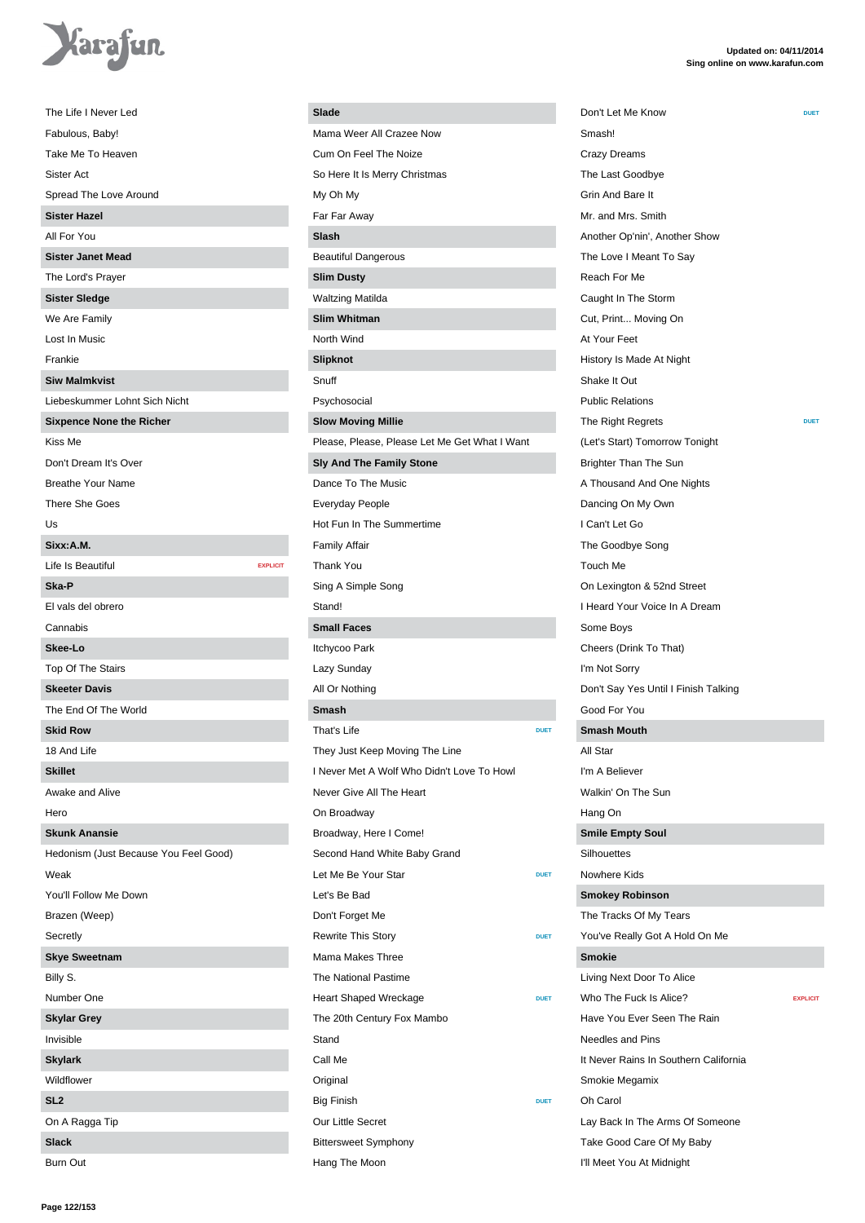

| The Life I Never Led                  |
|---------------------------------------|
| Fabulous, Baby!                       |
| Take Me To Heaven                     |
| Sister Act                            |
| Spread The Love Around                |
| <b>Sister Hazel</b>                   |
| All For You                           |
| <b>Sister Janet Mead</b>              |
| The Lord's Prayer                     |
| <b>Sister Sledge</b>                  |
| We Are Family                         |
| Lost In Music                         |
| Frankie                               |
| <b>Siw Malmkvist</b>                  |
| Liebeskummer Lohnt Sich Nicht         |
| <b>Sixpence None the Richer</b>       |
| Kiss Me                               |
| Don't Dream It's Over                 |
| <b>Breathe Your Name</b>              |
| <b>There She Goes</b>                 |
| Us                                    |
| Sixx:A.M.                             |
| Life Is Beautiful<br><b>EXPLICIT</b>  |
| Ska-P                                 |
| El vals del obrero                    |
| Cannabis                              |
|                                       |
| Skee-Lo                               |
| Top Of The Stairs                     |
| <b>Skeeter Davis</b>                  |
| The End Of The World                  |
| <b>Skid Row</b>                       |
| 18 And Life                           |
| <b>Skillet</b>                        |
| Awake and Alive                       |
| Hero                                  |
| <b>Skunk Anansie</b>                  |
| Hedonism (Just Because You Feel Good) |
| Weak                                  |
| You'll Follow Me Down                 |
| Brazen (Weep)                         |
| Secretly                              |
| <b>Skye Sweetnam</b>                  |
| Billy S.                              |
| Number One                            |
| <b>Skylar Grey</b>                    |
| Invisible                             |
| <b>Skylark</b>                        |
| Wildflower                            |
| SL <sub>2</sub>                       |
| On A Ragga Tip                        |

Burn Out

**Slade** Mama Weer All Crazee Now Cum On Feel The Noize So Here It Is Merry Christmas My Oh My Far Far Away **Slash** Beautiful Dangerous **Slim Dusty** Waltzing Matilda **Slim Whitman** North Wind **Slipknot** Snuff Psychosocial **Slow Moving Millie** Please, Please, Please Let Me Get What I Want **Sly And The Family Stone** Dance To The Music Everyday People Hot Fun In The Summertime Family Affair Thank You Sing A Simple Song Stand! **Small Faces** Itchycoo Park Lazy Sunday All Or Nothing **Smash** That's Life **DUET** They Just Keep Moving The Line I Never Met A Wolf Who Didn't Love To Howl Never Give All The Heart On Broadway Broadway, Here I Come! Second Hand White Baby Grand Let Me Be Your Star **DUET** Let's Be Bad Don't Forget Me **Rewrite This Story DUET** Mama Makes Three The National Pastime Heart Shaped Wreckage **DUET** The 20th Century Fox Mambo Stand Call Me Original

**Big Finish DUET** 

Our Little Secret Bittersweet Symphony Hang The Moon

**Updated on: 04/11/2014 Sing online on www.karafun.com**

| Don't Let Me Know                     | <b>DUET</b>     |
|---------------------------------------|-----------------|
| Smash!                                |                 |
| Crazy Dreams                          |                 |
| The Last Goodbye                      |                 |
| Grin And Bare It                      |                 |
| Mr. and Mrs. Smith                    |                 |
| Another Op'nin', Another Show         |                 |
| The Love I Meant To Say               |                 |
| Reach For Me                          |                 |
| Caught In The Storm                   |                 |
| Cut, Print Moving On                  |                 |
| At Your Feet                          |                 |
| History Is Made At Night              |                 |
| Shake It Out                          |                 |
| <b>Public Relations</b>               |                 |
| The Right Regrets                     | <b>DUET</b>     |
| (Let's Start) Tomorrow Tonight        |                 |
| Brighter Than The Sun                 |                 |
| A Thousand And One Nights             |                 |
| Dancing On My Own                     |                 |
| I Can't Let Go                        |                 |
| The Goodbye Song                      |                 |
| Touch Me                              |                 |
| On Lexington & 52nd Street            |                 |
| I Heard Your Voice In A Dream         |                 |
| Some Boys                             |                 |
| Cheers (Drink To That)                |                 |
| I'm Not Sorry                         |                 |
| Don't Say Yes Until I Finish Talking  |                 |
| Good For You                          |                 |
| Smash Mouth                           |                 |
| All Star                              |                 |
| I'm A Believer                        |                 |
| Walkin' On The Sun                    |                 |
| Hang On                               |                 |
| <b>Smile Empty Soul</b>               |                 |
| Silhouettes                           |                 |
| Nowhere Kids                          |                 |
| <b>Smokey Robinson</b>                |                 |
| The Tracks Of My Tears                |                 |
| You've Really Got A Hold On Me        |                 |
| <b>Smokie</b>                         |                 |
| Living Next Door To Alice             |                 |
| Who The Fuck Is Alice?                | <b>EXPLICIT</b> |
| Have You Ever Seen The Rain           |                 |
| Needles and Pins                      |                 |
| It Never Rains In Southern California |                 |
|                                       |                 |
| Smokie Megamix<br>Oh Carol            |                 |
|                                       |                 |
| Lay Back In The Arms Of Someone       |                 |
| Take Good Care Of My Baby             |                 |
| I'll Meet You At Midnight             |                 |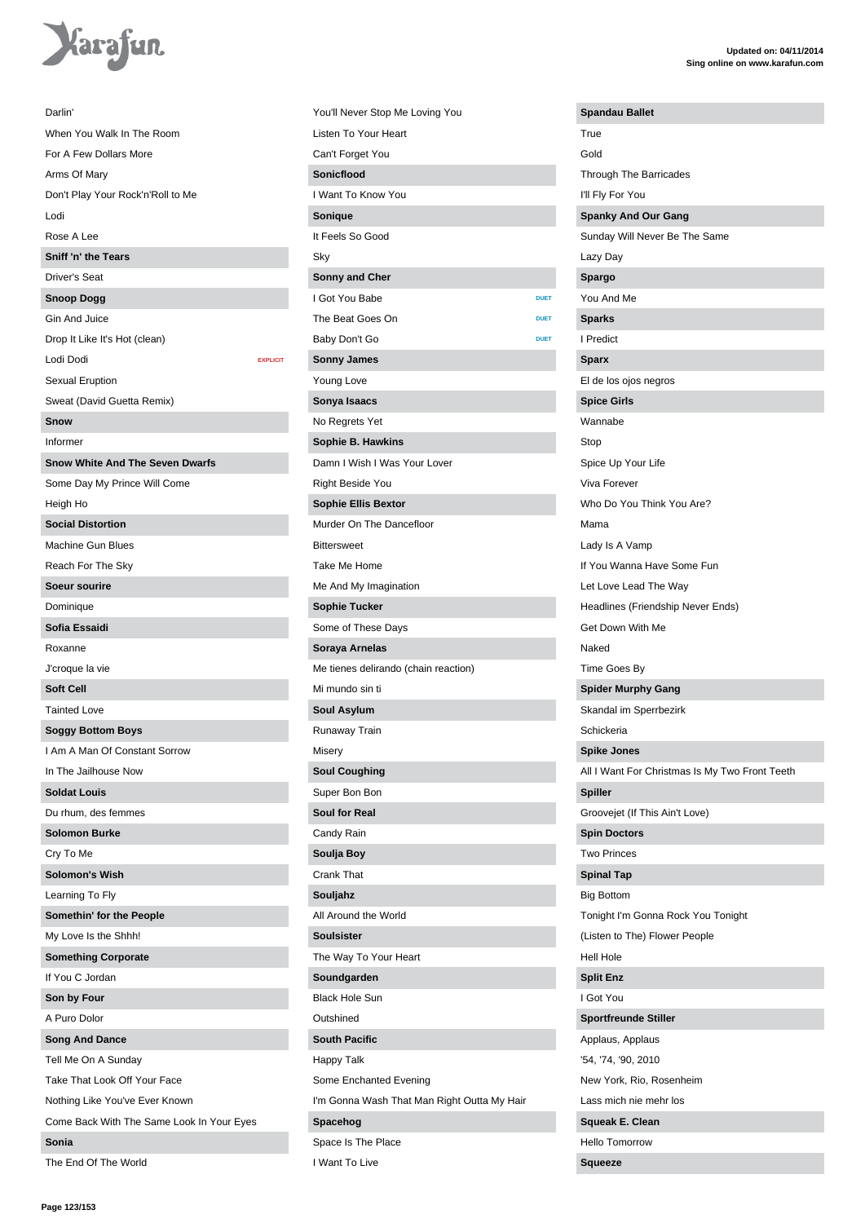

| Darlin'                                   |
|-------------------------------------------|
| When You Walk In The Room                 |
| For A Few Dollars More                    |
| Arms Of Mary                              |
| Don't Play Your Rock'n'Roll to Me         |
| Lodi                                      |
| Rose A Lee                                |
| <b>Sniff 'n' the Tears</b>                |
| <b>Driver's Seat</b>                      |
| <b>Snoop Dogg</b>                         |
| <b>Gin And Juice</b>                      |
| Drop It Like It's Hot (clean)             |
| Lodi Dodi<br><b>EXPLICIT</b>              |
| Sexual Eruption                           |
| Sweat (David Guetta Remix)                |
| Snow                                      |
| Informer                                  |
| <b>Snow White And The Seven Dwarfs</b>    |
| Some Day My Prince Will Come              |
| Heigh Ho                                  |
| <b>Social Distortion</b>                  |
| <b>Machine Gun Blues</b>                  |
| Reach For The Sky                         |
| <b>Soeur sourire</b>                      |
| Dominique                                 |
| Sofia Essaidi                             |
| Roxanne                                   |
| J'croque la vie                           |
| <b>Soft Cell</b>                          |
| <b>Tainted Love</b>                       |
| <b>Soggy Bottom Boys</b>                  |
| I Am A Man Of Constant Sorrow             |
| In The Jailhouse Now                      |
| <b>Soldat Louis</b>                       |
| Du rhum, des femmes                       |
| <b>Solomon Burke</b>                      |
| Cry To Me                                 |
| <b>Solomon's Wish</b>                     |
| Learning To Fly                           |
| Somethin' for the People                  |
| My Love Is the Shhh!                      |
| <b>Something Corporate</b>                |
| If You C Jordan                           |
| Son by Four                               |
| A Puro Dolor                              |
| <b>Song And Dance</b>                     |
| Tell Me On A Sunday                       |
| Take That Look Off Your Face              |
| Nothing Like You've Ever Known            |
| Come Back With The Same Look In Your Eyes |
| Sonia                                     |
| The End Of The World                      |

| You'll Never Stop Me Loving You             |
|---------------------------------------------|
| Listen To Your Heart                        |
| Can't Forget You                            |
| Sonicflood                                  |
| I Want To Know You                          |
| Sonique                                     |
| It Feels So Good                            |
| Sky                                         |
| Sonny and Cher                              |
| I Got You Babe<br><b>DUET</b>               |
| The Beat Goes On<br><b>DUET</b>             |
| Baby Don't Go<br><b>DUET</b>                |
| <b>Sonny James</b>                          |
| Young Love                                  |
| Sonya Isaacs                                |
| No Regrets Yet                              |
| Sophie B. Hawkins                           |
| Damn I Wish I Was Your Lover                |
| <b>Right Beside You</b>                     |
| <b>Sophie Ellis Bextor</b>                  |
| Murder On The Dancefloor                    |
| <b>Bittersweet</b>                          |
| Take Me Home                                |
| Me And My Imagination                       |
| <b>Sophie Tucker</b>                        |
| Some of These Days                          |
| Soraya Arnelas                              |
| Me tienes delirando (chain reaction)        |
| Mi mundo sin ti                             |
| <b>Soul Asylum</b>                          |
| Runaway Train                               |
| Misery                                      |
| <b>Soul Coughing</b>                        |
| Super Bon Bon                               |
| Soul for Real                               |
| Candy Rain                                  |
| Soulja Boy                                  |
| Crank That                                  |
| Souljahz                                    |
| All Around the World                        |
| <b>Soulsister</b>                           |
| The Way To Your Heart                       |
|                                             |
| Soundgarden                                 |
| <b>Black Hole Sun</b>                       |
| Outshined<br><b>South Pacific</b>           |
|                                             |
| Happy Talk                                  |
| Some Enchanted Evening                      |
| I'm Gonna Wash That Man Right Outta My Hair |
| Spacehog                                    |
| Space Is The Place                          |
| I Want To Live                              |

| <b>Spandau Ballet</b> |                                                |
|-----------------------|------------------------------------------------|
| True                  |                                                |
| Gold                  |                                                |
|                       | Through The Barricades                         |
| I'll Fly For You      |                                                |
|                       | <b>Spanky And Our Gang</b>                     |
|                       | Sunday Will Never Be The Same                  |
| Lazy Day              |                                                |
| Spargo                |                                                |
| You And Me            |                                                |
| Sparks                |                                                |
| I Predict             |                                                |
| Sparx                 |                                                |
| El de los ojos negros |                                                |
| <b>Spice Girls</b>    |                                                |
| Wannabe               |                                                |
| Stop                  |                                                |
| Spice Up Your Life    |                                                |
| Viva Forever          |                                                |
|                       | Who Do You Think You Are?                      |
| Mama                  |                                                |
| Lady Is A Vamp        |                                                |
|                       | If You Wanna Have Some Fun                     |
|                       | Let Love Lead The Way                          |
|                       | Headlines (Friendship Never Ends)              |
| Get Down With Me      |                                                |
| Naked                 |                                                |
| Time Goes By          |                                                |
|                       | <b>Spider Murphy Gang</b>                      |
|                       | Skandal im Sperrbezirk                         |
| Schickeria            |                                                |
| <b>Spike Jones</b>    |                                                |
|                       | All I Want For Christmas Is My Two Front Teeth |
| <b>Spiller</b>        |                                                |
|                       | Groovejet (If This Ain't Love)                 |
| <b>Spin Doctors</b>   |                                                |
| <b>Two Princes</b>    |                                                |
| <b>Spinal Tap</b>     |                                                |
| <b>Big Bottom</b>     |                                                |
|                       | Tonight I'm Gonna Rock You Tonight             |
|                       | (Listen to The) Flower People                  |
| <b>Hell Hole</b>      |                                                |
| <b>Split Enz</b>      |                                                |
| I Got You             |                                                |
|                       | <b>Sportfreunde Stiller</b>                    |
| Applaus, Applaus      |                                                |
| '54, '74, '90, 2010   |                                                |
|                       | New York, Rio, Rosenheim                       |
|                       | Lass mich nie mehr los                         |
| Squeak E. Clean       |                                                |
| <b>Hello Tomorrow</b> |                                                |
|                       |                                                |
| Squeeze               |                                                |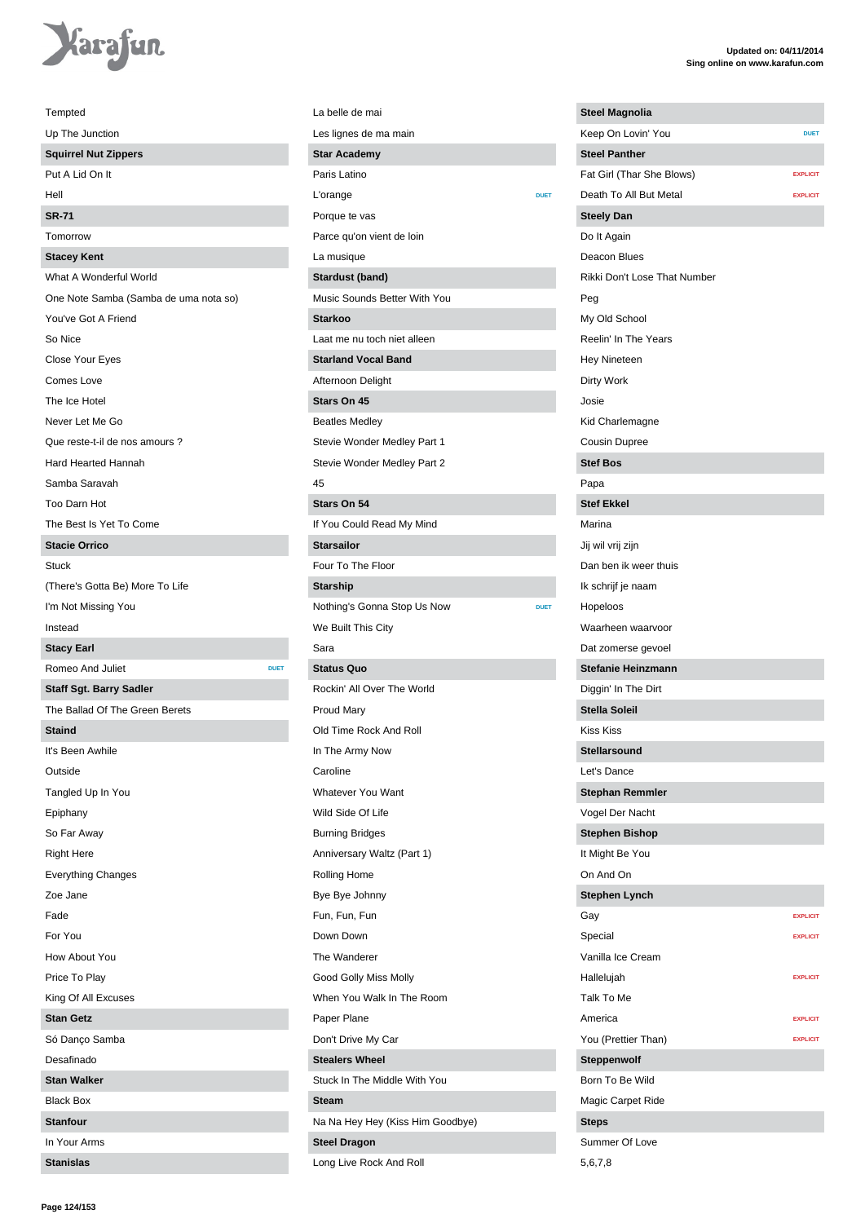

| Tempted                                                          |
|------------------------------------------------------------------|
| Up The Junction                                                  |
| <b>Squirrel Nut Zippers</b>                                      |
| Put A Lid On It                                                  |
| Hell                                                             |
| <b>SR-71</b>                                                     |
| Tomorrow                                                         |
| <b>Stacey Kent</b>                                               |
| What A Wonderful World                                           |
| One Note Samba (Samba de uma nota so)                            |
| You've Got A Friend                                              |
| So Nice                                                          |
| Close Your Eyes                                                  |
| <b>Comes Love</b>                                                |
| The Ice Hotel                                                    |
| Never Let Me Go                                                  |
| Que reste-t-il de nos amours ?                                   |
| <b>Hard Hearted Hannah</b>                                       |
| Samba Saravah                                                    |
| Too Darn Hot                                                     |
| The Best Is Yet To Come                                          |
| <b>Stacie Orrico</b>                                             |
| <b>Stuck</b>                                                     |
| (There's Gotta Be) More To Life                                  |
| I'm Not Missing You                                              |
| Instead                                                          |
|                                                                  |
|                                                                  |
| <b>Stacy Earl</b><br><b>DUET</b>                                 |
| Romeo And Juliet                                                 |
| <b>Staff Sgt. Barry Sadler</b><br>The Ballad Of The Green Berets |
| <b>Staind</b>                                                    |
| It's Reen Awhile                                                 |
| Outside                                                          |
| Tangled Up In You                                                |
| Epiphany                                                         |
| So Far Away                                                      |
| <b>Right Here</b>                                                |
| <b>Everything Changes</b>                                        |
| Zoe Jane                                                         |
| Fade                                                             |
| For You                                                          |
| How About You                                                    |
| Price To Play                                                    |
|                                                                  |
| King Of All Excuses<br><b>Stan Getz</b>                          |
| Só Danço Samba                                                   |
| Desafinado                                                       |
| <b>Stan Walker</b>                                               |
| <b>Black Box</b>                                                 |
| <b>Stanfour</b>                                                  |
| In Your Arms                                                     |

Les lignes de ma main **Star Academy** Paris Latino L'orange **DUET** Porque te vas Parce qu'on vient de loin La musique **Stardust (band)** Music Sounds Better With You **Starkoo** Laat me nu toch niet alleen **Starland Vocal Band** Afternoon Delight **Stars On 45** Beatles Medley Stevie Wonder Medley Part 1 Stevie Wonder Medley Part 2 45 **Stars On 54** If You Could Read My Mind **Starsailor** Four To The Floor **Starship Nothing's Gonna Stop Us Now DUET** We Built This City Sara **Status Quo** Rockin' All Over The World Proud Mary Old Time Rock And Roll In The Army Now Caroline Whatever You Want Wild Side Of Life Burning Bridges Anniversary Waltz (Part 1) Rolling Home Bye Bye Johnny Fun, Fun, Fun Down Down The Wanderer Good Golly Miss Molly When You Walk In The Room Paper Plane Don't Drive My Car **Stealers Wheel** Stuck In The Middle With You **Steam** Na Na Hey Hey (Kiss Him Goodbye) **Steel Dragon**

Long Live Rock And Roll

La belle de mai

### **Updated on: 04/11/2014 Sing online on www.karafun.com**

| <b>Steel Magnolia</b>        |                 |
|------------------------------|-----------------|
| Keep On Lovin' You           | <b>DUET</b>     |
| <b>Steel Panther</b>         |                 |
| Fat Girl (Thar She Blows)    | <b>EXPLICIT</b> |
| Death To All But Metal       | <b>EXPLICIT</b> |
| <b>Steely Dan</b>            |                 |
| Do It Again                  |                 |
| Deacon Blues                 |                 |
| Rikki Don't Lose That Number |                 |
| Peg                          |                 |
| My Old School                |                 |
| Reelin' In The Years         |                 |
| <b>Hey Nineteen</b>          |                 |
| Dirty Work                   |                 |
| Josie                        |                 |
| Kid Charlemagne              |                 |
| <b>Cousin Dupree</b>         |                 |
| <b>Stef Bos</b>              |                 |
| Papa                         |                 |
| <b>Stef Ekkel</b>            |                 |
| Marina                       |                 |
| Jij wil vrij zijn            |                 |
| Dan ben ik weer thuis        |                 |
| Ik schrijf je naam           |                 |
| Hopeloos                     |                 |
| Waarheen waarvoor            |                 |
| Dat zomerse gevoel           |                 |
| <b>Stefanie Heinzmann</b>    |                 |
| Diggin' In The Dirt          |                 |
| <b>Stella Soleil</b>         |                 |
| <b>Kiss Kiss</b>             |                 |
| <b>Stellarsound</b>          |                 |
| Let's Dance                  |                 |
| <b>Stephan Remmler</b>       |                 |
| Vogel Der Nacht              |                 |
| <b>Stephen Bishop</b>        |                 |
| It Might Be You              |                 |
| On And On                    |                 |
| <b>Stephen Lynch</b>         |                 |
| Gay                          | <b>EXPLICIT</b> |
| Special                      | <b>EXPLICIT</b> |
| Vanilla Ice Cream            |                 |
| Hallelujah                   | <b>EXPLICIT</b> |
| Talk To Me                   |                 |
| America                      | <b>EXPLICIT</b> |
| You (Prettier Than)          | <b>EXPLICIT</b> |
| <b>Steppenwolf</b>           |                 |
| Born To Be Wild              |                 |
| Magic Carpet Ride            |                 |
| Steps                        |                 |
| Summer Of Love               |                 |
| 5,6,7,8                      |                 |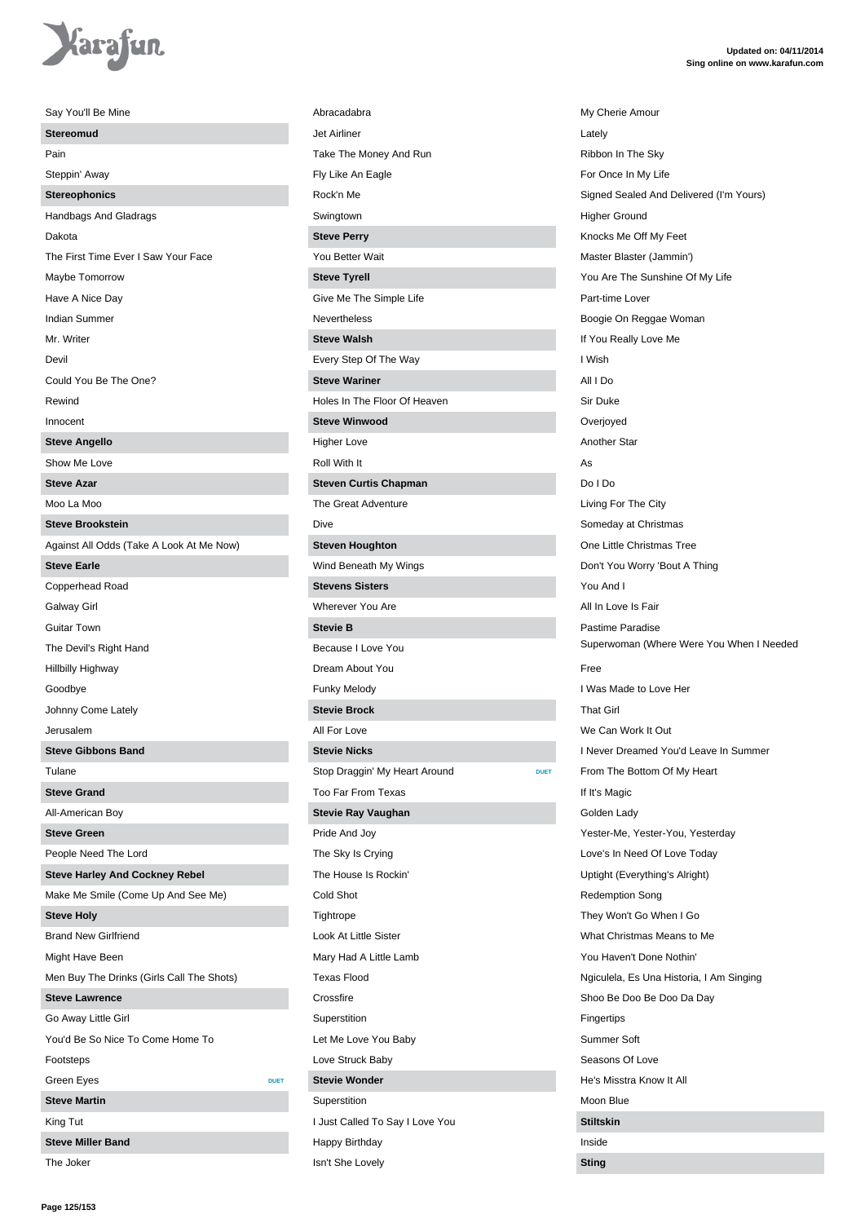

| Say You'll Be Mine                        |             |
|-------------------------------------------|-------------|
| <b>Stereomud</b>                          |             |
| Pain                                      |             |
| Steppin' Away                             |             |
| <b>Stereophonics</b>                      |             |
| Handbags And Gladrags                     |             |
| Dakota                                    |             |
| The First Time Ever I Saw Your Face       |             |
| Maybe Tomorrow                            |             |
| Have A Nice Day                           |             |
| <b>Indian Summer</b>                      |             |
| Mr. Writer                                |             |
| Devil                                     |             |
| Could You Be The One?                     |             |
| Rewind                                    |             |
| Innocent                                  |             |
| <b>Steve Angello</b>                      |             |
| Show Me Love                              |             |
| <b>Steve Azar</b>                         |             |
| Moo La Moo                                |             |
| <b>Steve Brookstein</b>                   |             |
| Against All Odds (Take A Look At Me Now)  |             |
| <b>Steve Earle</b>                        |             |
| Copperhead Road                           |             |
| <b>Galway Girl</b>                        |             |
| <b>Guitar Town</b>                        |             |
| The Devil's Right Hand                    |             |
| Hillbilly Highway                         |             |
| Goodbye                                   |             |
| Johnny Come Lately                        |             |
| Jerusalem                                 |             |
| <b>Steve Gibbons Band</b>                 |             |
| Tulane                                    |             |
| <b>Steve Grand</b>                        |             |
| All-American Boy                          |             |
| <b>Steve Green</b>                        |             |
| People Need The Lord                      |             |
| <b>Steve Harley And Cockney Rebel</b>     |             |
| Make Me Smile (Come Up And See Me)        |             |
| <b>Steve Holy</b>                         |             |
| <b>Brand New Girlfriend</b>               |             |
| Might Have Been                           |             |
| Men Buy The Drinks (Girls Call The Shots) |             |
| <b>Steve Lawrence</b>                     |             |
| Go Away Little Girl                       |             |
| You'd Be So Nice To Come Home To          |             |
| Footsteps                                 |             |
| Green Eyes                                | <b>DUET</b> |
| <b>Steve Martin</b>                       |             |
|                                           |             |
| King Tut<br><b>Steve Miller Band</b>      |             |
|                                           |             |

Abracadabra Jet Airliner Take The Money And Run Fly Like An Eagle Rock'n Me Swingtown **Steve Perry** You Better Wait **Steve Tyrell** Give Me The Simple Life Nevertheless **Steve Walsh** Every Step Of The Way **Steve Wariner** Holes In The Floor Of Heaven **Steve Winwood** Higher Love Roll With It **Steven Curtis Chapman** The Great Adventure Dive **Steven Houghton** Wind Beneath My Wings **Stevens Sisters** Wherever You Are **Stevie B** Because I Love You Dream About You Funky Melody **Stevie Brock** All For Love **Stevie Nicks** Stop Draggin' My Heart Around **DUET** Too Far From Texas **Stevie Ray Vaughan** Pride And Joy The Sky Is Crying The House Is Rockin' Cold Shot **Tightrope** Look At Little Sister Mary Had A Little Lamb Texas Flood Crossfire Superstition Let Me Love You Baby Love Struck Baby **Stevie Wonder** Superstition I Just Called To Say I Love You Happy Birthday

Isn't She Lovely

My Cherie Amour Lately Ribbon In The Sky For Once In My Life Signed Sealed And Delivered (I'm Yours) Higher Ground Knocks Me Off My Feet Master Blaster (Jammin') You Are The Sunshine Of My Life Part-time Lover Boogie On Reggae Woman If You Really Love Me I Wish All I Do Sir Duke Overjoyed Another Star As Do I Do Living For The City Someday at Christmas One Little Christmas Tree Don't You Worry 'Bout A Thing You And I All In Love Is Fair Pastime Paradise Superwoman (Where Were You When I Needed Free I Was Made to Love Her That Girl We Can Work It Out I Never Dreamed You'd Leave In Summer From The Bottom Of My Heart If It's Magic Golden Lady Yester-Me, Yester-You, Yesterday Love's In Need Of Love Today Uptight (Everything's Alright) Redemption Song They Won't Go When I Go What Christmas Means to Me You Haven't Done Nothin' Ngiculela, Es Una Historia, I Am Singing Shoo Be Doo Be Doo Da Day Fingertips Summer Soft Seasons Of Love He's Misstra Know It All Moon Blue **Stiltskin** Inside **Sting**

The Joker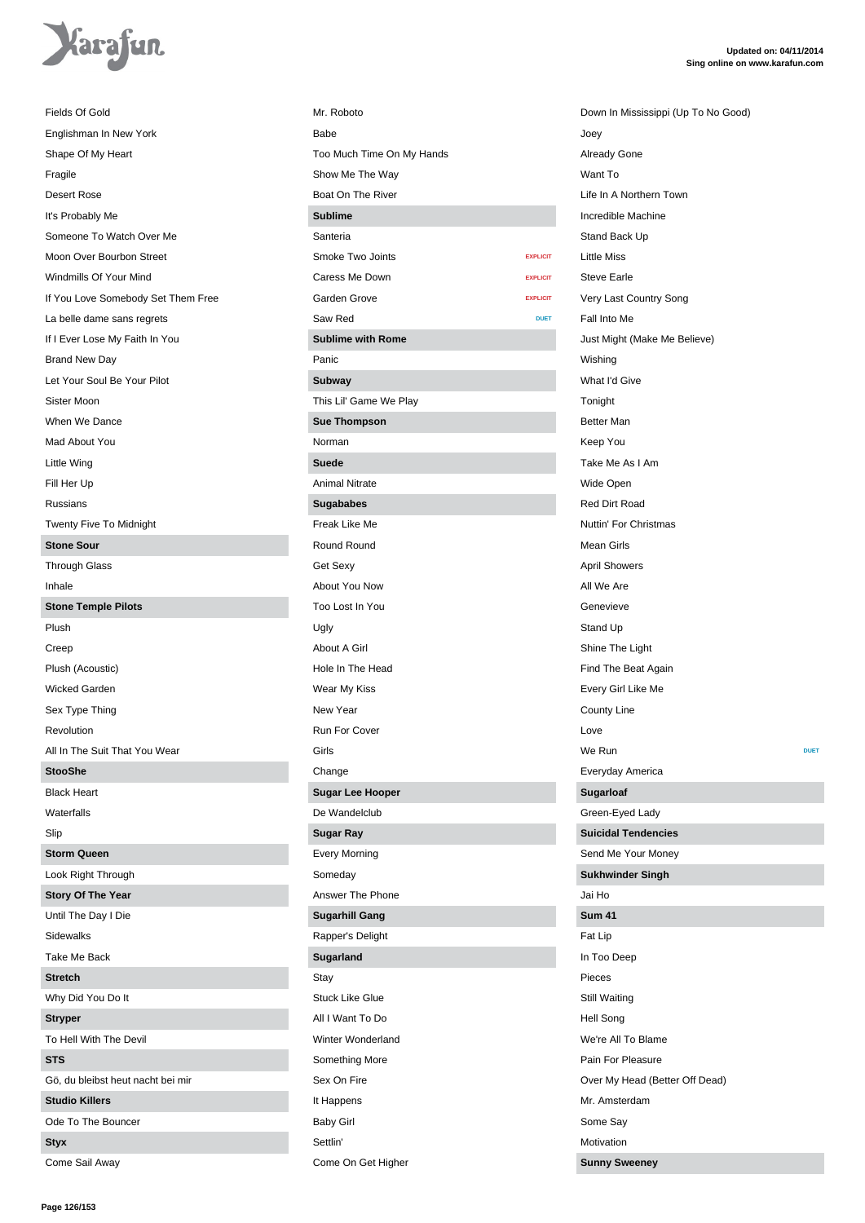

| Fields Of Gold                     |
|------------------------------------|
| Englishman In New York             |
| Shape Of My Heart                  |
| Fragile                            |
| <b>Desert Rose</b>                 |
| It's Probably Me                   |
| Someone To Watch Over Me           |
| Moon Over Bourbon Street           |
| Windmills Of Your Mind             |
| If You Love Somebody Set Them Free |
| La belle dame sans regrets         |
| If I Ever Lose My Faith In You     |
| <b>Brand New Day</b>               |
| Let Your Soul Be Your Pilot        |
| Sister Moon                        |
| When We Dance                      |
| Mad About You                      |
| Little Wing                        |
| Fill Her Up                        |
| Russians                           |
| Twenty Five To Midnight            |
| <b>Stone Sour</b>                  |
| <b>Through Glass</b>               |
| Inhale                             |
| <b>Stone Temple Pilots</b>         |
| Plush                              |
|                                    |
|                                    |
| Creep                              |
| Plush (Acoustic)                   |
| <b>Wicked Garden</b>               |
| Sex Type Thing<br>Revolution       |
| All In The Suit That You Wear      |
|                                    |
| <b>StooShe</b>                     |
| <b>Black Heart</b>                 |
| Waterfalls                         |
| Slip                               |
| <b>Storm Queen</b>                 |
| Look Right Through                 |
| <b>Story Of The Year</b>           |
| Until The Day I Die                |
| Sidewalks                          |
| <b>Take Me Back</b>                |
| <b>Stretch</b>                     |
| Why Did You Do It                  |
| <b>Stryper</b>                     |
| To Hell With The Devil             |
| <b>STS</b>                         |
| Gö, du bleibst heut nacht bei mir  |
| <b>Studio Killers</b>              |
| Ode To The Bouncer                 |
| Styx<br>Come Sail Away             |

| Mr. Roboto                |                 |
|---------------------------|-----------------|
| Babe                      |                 |
| Too Much Time On My Hands |                 |
| Show Me The Way           |                 |
| Boat On The River         |                 |
| <b>Sublime</b>            |                 |
| Santeria                  |                 |
| Smoke Two Joints          | <b>EXPLICIT</b> |
| Caress Me Down            | <b>EXPLICIT</b> |
| Garden Grove              | <b>EXPLICIT</b> |
| Saw Red                   | <b>DUET</b>     |
| <b>Sublime with Rome</b>  |                 |
| Panic                     |                 |
| Subway                    |                 |
| This Lil' Game We Play    |                 |
| <b>Sue Thompson</b>       |                 |
| Norman                    |                 |
| <b>Suede</b>              |                 |
| <b>Animal Nitrate</b>     |                 |
| <b>Sugababes</b>          |                 |
| Freak Like Me             |                 |
| Round Round               |                 |
| Get Sexy                  |                 |
| About You Now             |                 |
| Too Lost In You           |                 |
| Ugly                      |                 |
| About A Girl              |                 |
| Hole In The Head          |                 |
| Wear My Kiss              |                 |
| New Year                  |                 |
| <b>Run For Cover</b>      |                 |
| Girls                     |                 |
| Change                    |                 |
| <b>Sugar Lee Hooper</b>   |                 |
| De Wandelclub             |                 |
| <b>Sugar Ray</b>          |                 |
| <b>Every Morning</b>      |                 |
| Someday                   |                 |
| Answer The Phone          |                 |
| <b>Sugarhill Gang</b>     |                 |
| Rapper's Delight          |                 |
| Sugarland                 |                 |
| Stay                      |                 |
| <b>Stuck Like Glue</b>    |                 |
| All I Want To Do          |                 |
| Winter Wonderland         |                 |
| Something More            |                 |
| Sex On Fire               |                 |
| It Happens                |                 |
| <b>Baby Girl</b>          |                 |
| Settlin'                  |                 |
|                           |                 |

Come On Get Higher

I

| Down In Mississippi (Up To No Good) |
|-------------------------------------|
| Joey                                |
| <b>Already Gone</b>                 |
| Want To                             |
| Life In A Northern Town             |
| Incredible Machine                  |
| Stand Back Up                       |
| <b>Little Miss</b>                  |
| <b>Steve Earle</b>                  |
| Very Last Country Song              |
| Fall Into Me                        |
| Just Might (Make Me Believe)        |
| Wishing                             |
| What I'd Give                       |
| Tonight                             |
| <b>Better Man</b>                   |
| Keep You                            |
| Take Me As I Am                     |
| Wide Open                           |
| <b>Red Dirt Road</b>                |
| Nuttin' For Christmas               |
| <b>Mean Girls</b>                   |
| <b>April Showers</b>                |
| All We Are                          |
| Genevieve                           |
| Stand Up                            |
| Shine The Light                     |
| Find The Beat Again                 |
| Every Girl Like Me                  |
| County Line                         |
| Love                                |
| We Run<br><b>DUET</b>               |
| Everyday America                    |
| Sugarloaf                           |
| Green-Eyed Lady                     |
| <b>Suicidal Tendencies</b>          |
| Send Me Your Money                  |
| <b>Sukhwinder Singh</b>             |
| Jai Ho                              |
| <b>Sum 41</b>                       |
| Fat Lip                             |
| In Too Deep                         |
| Pieces                              |
| Still Waiting                       |
| Hell Song                           |
| We're All To Blame                  |
| Pain For Pleasure                   |
| Over My Head (Better Off Dead)      |
| Mr. Amsterdam                       |
| Some Say                            |
| Motivation                          |
| <b>Sunny Sweeney</b>                |
|                                     |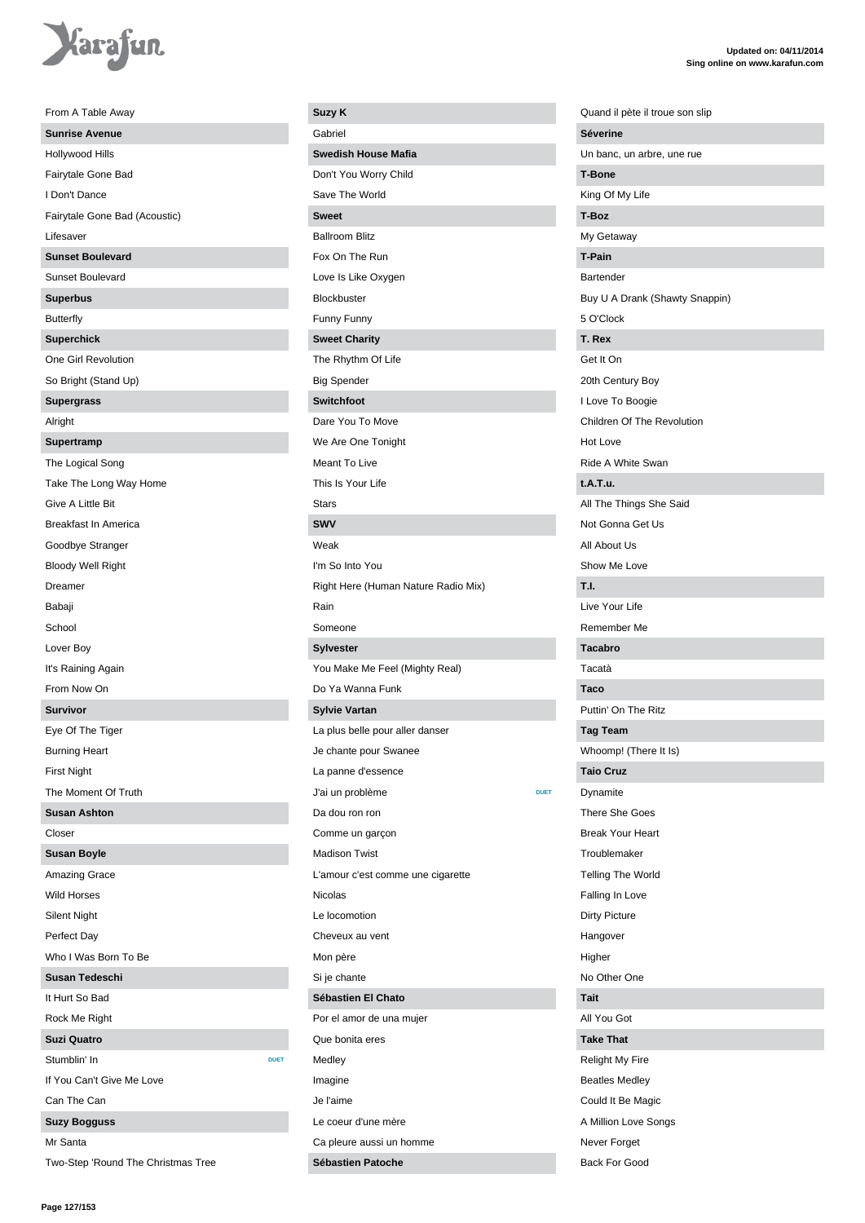

| From A Table Away             |
|-------------------------------|
| <b>Sunrise Avenue</b>         |
| <b>Hollywood Hills</b>        |
| Fairytale Gone Bad            |
| I Don't Dance                 |
| Fairytale Gone Bad (Acoustic) |
| Lifesaver                     |
| <b>Sunset Boulevard</b>       |
| <b>Sunset Boulevard</b>       |
| <b>Superbus</b>               |
| Butterfly                     |
| <b>Superchick</b>             |
| One Girl Revolution           |
| So Bright (Stand Up)          |
| <b>Supergrass</b>             |
| Alright                       |
| Supertramp                    |
| The Logical Song              |
| Take The Long Way Home        |
| Give A Little Bit             |
| <b>Breakfast In America</b>   |
| Goodbye Stranger              |
|                               |
| <b>Bloody Well Right</b>      |
| Dreamer                       |
| Babaji                        |
| School                        |
| Lover Boy                     |
| It's Raining Again            |
| From Now On                   |
| <b>Survivor</b>               |
| Eye Of The Tiger              |
| <b>Burning Heart</b>          |
| <b>First Night</b>            |
| The Moment Of Truth           |
| <b>Susan Ashton</b>           |
| Closer                        |
| <b>Susan Boyle</b>            |
| Amazing Grace                 |
| <b>Wild Horses</b>            |
| Silent Night                  |
| Perfect Day                   |
| Who I Was Born To Be          |
| <b>Susan Tedeschi</b>         |
| It Hurt So Bad                |
| Rock Me Right                 |
| <b>Suzi Quatro</b>            |
| Stumblin' In<br><b>DUET</b>   |
| If You Can't Give Me Love     |
| Can The Can                   |
|                               |
| Suzy Bogguss                  |
| Mr Santa                      |

Two-Step 'Round The Christmas Tree

# **Updated on: 04/11/2014 Sing online on www.karafun.com**

Quand il pète il troue son slip

| Suzy K                              |             |
|-------------------------------------|-------------|
| Gabriel                             |             |
| <b>Swedish House Mafia</b>          |             |
| Don't You Worry Child               |             |
| Save The World                      |             |
| <b>Sweet</b>                        |             |
| <b>Ballroom Blitz</b>               |             |
| Fox On The Run                      |             |
| Love Is Like Oxygen                 |             |
| <b>Blockbuster</b>                  |             |
| <b>Funny Funny</b>                  |             |
| <b>Sweet Charity</b>                |             |
| The Rhythm Of Life                  |             |
| <b>Big Spender</b>                  |             |
| <b>Switchfoot</b>                   |             |
| Dare You To Move                    |             |
| We Are One Tonight                  |             |
| <b>Meant To Live</b>                |             |
| This Is Your Life                   |             |
| <b>Stars</b>                        |             |
| <b>SWV</b>                          |             |
| Weak                                |             |
| I'm So Into You                     |             |
| Right Here (Human Nature Radio Mix) |             |
| Rain                                |             |
| Someone                             |             |
| Sylvester                           |             |
| You Make Me Feel (Mighty Real)      |             |
| Do Ya Wanna Funk                    |             |
| <b>Sylvie Vartan</b>                |             |
| La plus belle pour aller danser     |             |
| Je chante pour Swanee               |             |
| La panne d'essence                  |             |
| J'ai un problème                    | <b>DUET</b> |
| Da dou ron ron                      |             |
| Comme un garçon                     |             |
| <b>Madison Twist</b>                |             |
| L'amour c'est comme une cigarette   |             |
| Nicolas                             |             |
| Le locomotion                       |             |
| Cheveux au vent                     |             |
| Mon père                            |             |
| Si je chante                        |             |
| Sébastien El Chato                  |             |
| Por el amor de una mujer            |             |
| Que bonita eres                     |             |
| Medley                              |             |
|                                     |             |
| Imagine                             |             |
| Je l'aime                           |             |
| Le coeur d'une mère                 |             |
| Ca pleure aussi un homme            |             |

| Séverine                          |
|-----------------------------------|
| Un banc, un arbre, une rue        |
| T-Bone                            |
| King Of My Life                   |
| <b>T-Boz</b>                      |
| My Getaway                        |
| <b>T-Pain</b>                     |
| Bartender                         |
| Buy U A Drank (Shawty Snappin)    |
| 5 O'Clock                         |
| T. Rex                            |
| Get It On                         |
| 20th Century Boy                  |
| I Love To Boogie                  |
| <b>Children Of The Revolution</b> |
| Hot Love                          |
| Ride A White Swan                 |
| t.A.T.u.                          |
| All The Things She Said           |
| Not Gonna Get Us                  |
| All About Us                      |
| Show Me Love                      |
| T.I.                              |
| Live Your Life                    |
| Remember Me                       |
| <b>Tacabro</b>                    |
| Tacatà                            |
|                                   |
| Taco<br>Puttin' On The Ritz       |
|                                   |
| <b>Tag Team</b>                   |
| Whoomp! (There It Is)             |
| <b>Taio Cruz</b>                  |
| Dynamite                          |
| There She Goes                    |
| <b>Break Your Heart</b>           |
| Troublemaker                      |
| <b>Telling The World</b>          |
| Falling In Love                   |
| <b>Dirty Picture</b>              |
| Hangover                          |
| Higher                            |
| No Other One                      |
| <b>Tait</b>                       |
| All You Got                       |
| <b>Take That</b>                  |
| Relight My Fire                   |
| <b>Beatles Medley</b>             |
| Could It Be Magic                 |
| A Million Love Songs              |
| Never Forget                      |
| <b>Back For Good</b>              |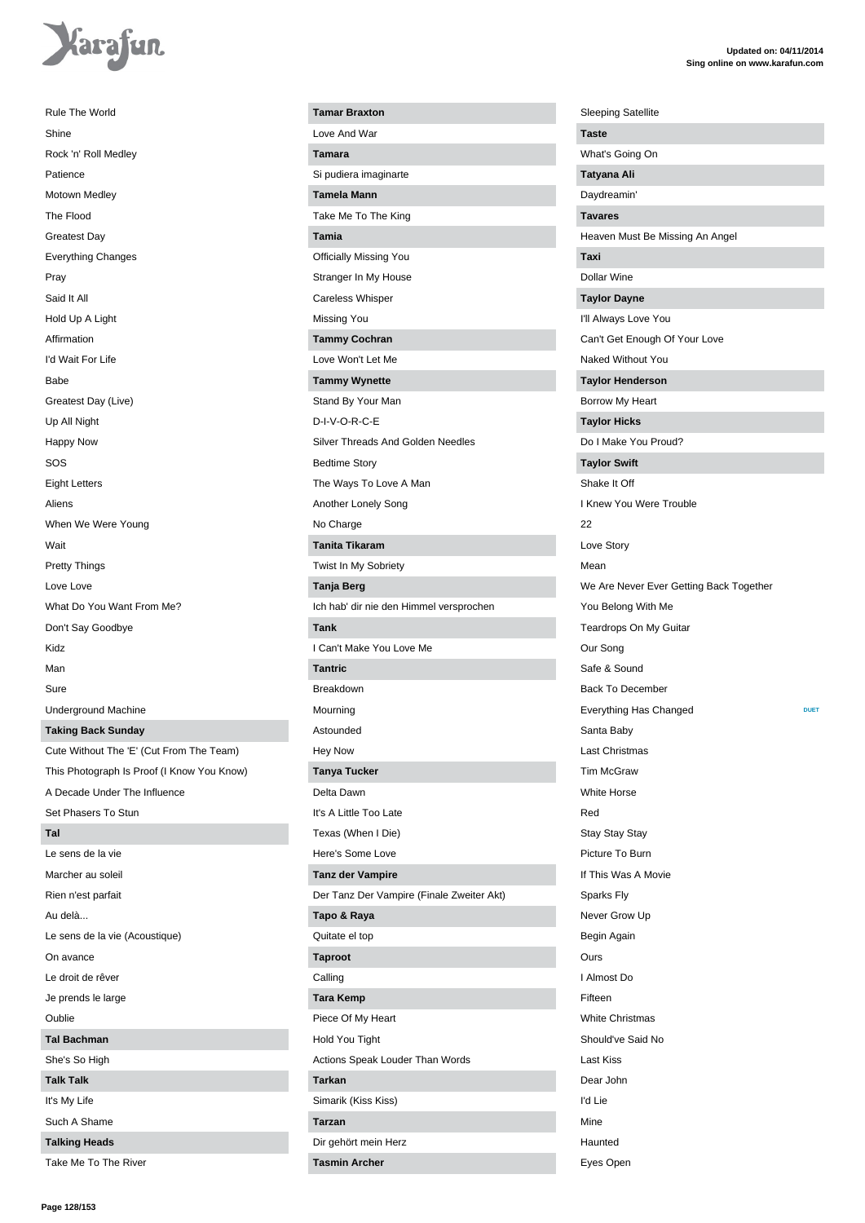

| <b>Rule The World</b>                      |
|--------------------------------------------|
| Shine                                      |
| Rock 'n' Roll Medley                       |
| Patience                                   |
| Motown Medley                              |
| The Flood                                  |
| <b>Greatest Day</b>                        |
| <b>Everything Changes</b>                  |
| Pray                                       |
| Said It All                                |
| Hold Up A Light                            |
| Affirmation                                |
| I'd Wait For Life                          |
| Babe                                       |
| Greatest Day (Live)                        |
| Up All Night                               |
| <b>Happy Now</b>                           |
| SOS                                        |
| <b>Eight Letters</b>                       |
| Aliens                                     |
| When We Were Young                         |
| Wait                                       |
| <b>Pretty Things</b>                       |
| Love Love                                  |
| What Do You Want From Me?                  |
| Don't Say Goodbye                          |
| Kidz                                       |
| Man                                        |
| Sure                                       |
| <b>Underground Machine</b>                 |
| <b>Taking Back Sunday</b>                  |
| Cute Without The 'E' (Cut From The Team)   |
| This Photograph Is Proof (I Know You Know) |
| A Decade Under The Influence               |
| Set Phasers To Stun                        |
| Tal                                        |
| Le sens de la vie                          |
| Marcher au soleil                          |
| Rien n'est parfait                         |
| Au delà                                    |
| Le sens de la vie (Acoustique)             |
| On avance                                  |
| Le droit de rêver                          |
| Je prends le large                         |
| Oublie                                     |
| <b>Tal Bachman</b>                         |
| She's So High                              |
| <b>Talk Talk</b>                           |
|                                            |
| It's My Life                               |
| Such A Shame                               |

Take Me To The River

**Updated on: 04/11/2014 Sing online on www.karafun.com**

| <b>Tamar Braxton</b>                      |
|-------------------------------------------|
| Love And War                              |
| <b>Tamara</b>                             |
| Si pudiera imaginarte                     |
| <b>Tamela Mann</b>                        |
| Take Me To The King                       |
| <b>Tamia</b>                              |
| Officially Missing You                    |
| Stranger In My House                      |
| <b>Careless Whisper</b>                   |
| Missing You                               |
| <b>Tammy Cochran</b>                      |
| Love Won't Let Me                         |
| <b>Tammy Wynette</b>                      |
| Stand By Your Man                         |
| D-I-V-O-R-C-E                             |
| Silver Threads And Golden Needles         |
| <b>Bedtime Story</b>                      |
| The Ways To Love A Man                    |
| Another Lonely Song                       |
| No Charge                                 |
| <b>Tanita Tikaram</b>                     |
| Twist In My Sobriety                      |
| Tanja Berg                                |
| Ich hab' dir nie den Himmel versprochen   |
| <b>Tank</b>                               |
| I Can't Make You Love Me                  |
| <b>Tantric</b>                            |
| Breakdown                                 |
| Mourning                                  |
| Astounded                                 |
| <b>Hey Now</b>                            |
| <b>Tanya Tucker</b>                       |
| Delta Dawn                                |
| It's A Little Too Late                    |
| Texas (When I Die)                        |
| Here's Some Love                          |
| <b>Tanz der Vampire</b>                   |
| Der Tanz Der Vampire (Finale Zweiter Akt) |
|                                           |
| Tapo & Raya<br>Quitate el top             |
|                                           |
| <b>Taproot</b>                            |
| Calling                                   |
| <b>Tara Kemp</b>                          |
| Piece Of My Heart                         |
| Hold You Tight                            |
| Actions Speak Louder Than Words           |
| <b>Tarkan</b>                             |
| Simarik (Kiss Kiss)                       |
| Tarzan                                    |
| Dir gehört mein Herz                      |
| <b>Tasmin Archer</b>                      |

| <b>Sleeping Satellite</b>               |             |
|-----------------------------------------|-------------|
| <b>Taste</b>                            |             |
| What's Going On                         |             |
| Tatyana Ali                             |             |
| Daydreamin'                             |             |
| Tavares                                 |             |
| Heaven Must Be Missing An Angel         |             |
| Taxi                                    |             |
| <b>Dollar Wine</b>                      |             |
| <b>Taylor Dayne</b>                     |             |
| I'll Always Love You                    |             |
| Can't Get Enough Of Your Love           |             |
| Naked Without You                       |             |
| <b>Taylor Henderson</b>                 |             |
| Borrow My Heart                         |             |
| <b>Taylor Hicks</b>                     |             |
| Do I Make You Proud?                    |             |
| <b>Taylor Swift</b>                     |             |
| Shake It Off                            |             |
| I Knew You Were Trouble                 |             |
| 22                                      |             |
| Love Story                              |             |
| Mean                                    |             |
| We Are Never Ever Getting Back Together |             |
| You Belong With Me                      |             |
| Teardrops On My Guitar                  |             |
| Our Song                                |             |
|                                         |             |
| Safe & Sound                            |             |
| <b>Back To December</b>                 |             |
| Everything Has Changed                  | <b>DUET</b> |
| Santa Baby                              |             |
| <b>Last Christmas</b>                   |             |
| <b>Tim McGraw</b>                       |             |
| White Horse                             |             |
| Red                                     |             |
| Stay Stay Stay                          |             |
| Picture To Burn                         |             |
| If This Was A Movie                     |             |
| Sparks Fly                              |             |
| Never Grow Up                           |             |
| Begin Again                             |             |
| Ours                                    |             |
| I Almost Do                             |             |
| Fifteen                                 |             |
| <b>White Christmas</b>                  |             |
| Should've Said No                       |             |
| Last Kiss                               |             |
| Dear John                               |             |
| I'd Lie                                 |             |
| Mine                                    |             |
| Haunted                                 |             |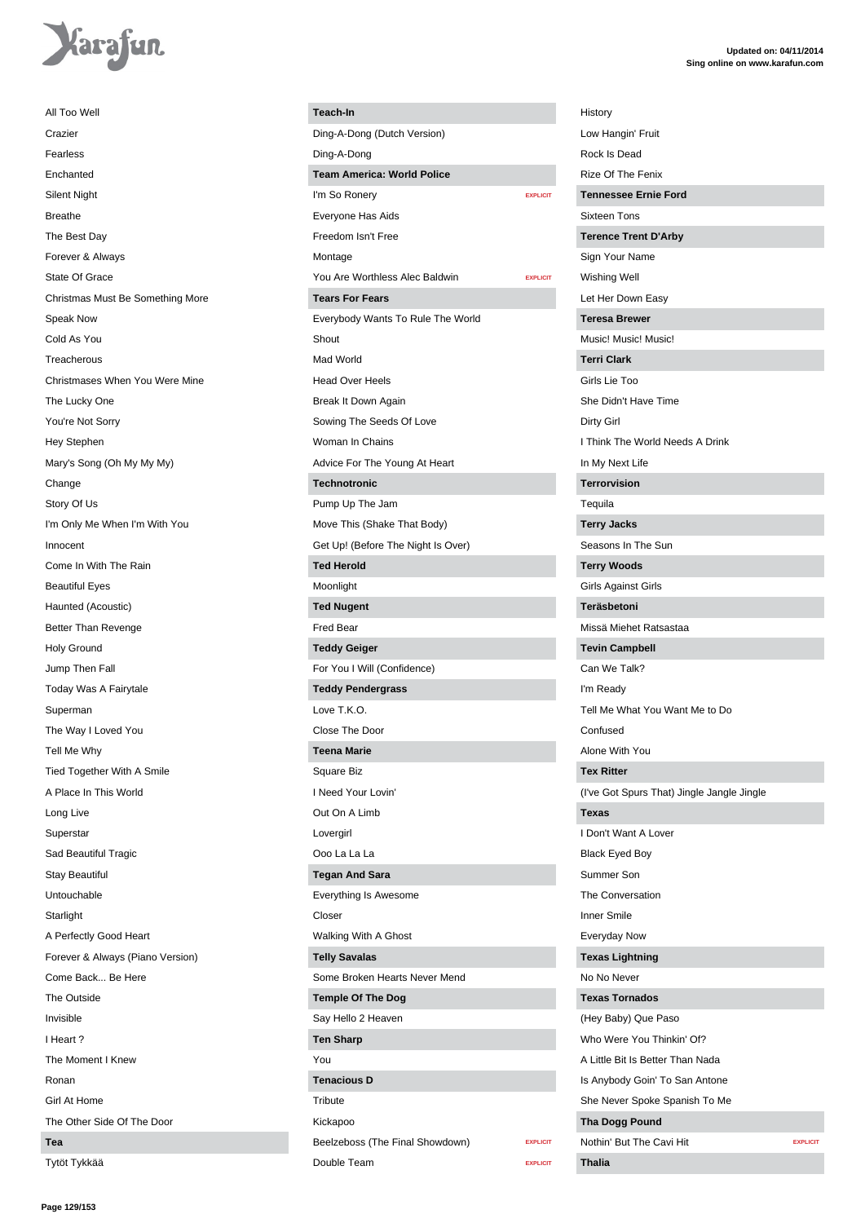

All Too Well Crazier Fearless Enchanted Silent Night Breathe The Best Day Forever & Always State Of Grace Christmas Must Be Something More Speak Now Cold As You Treacherous Christmases When You Were Mine The Lucky One You're Not Sorry Hey Stephen Mary's Song (Oh My My My) Change Story Of Us I'm Only Me When I'm With You Innocent Come In With The Rain Beautiful Eyes Haunted (Acoustic) Better Than Revenge Holy Ground Jump Then Fall Today Was A Fairytale Superman The Way I Loved You Tell Me Why Tied Together With A Smile A Place In This World Long Live Superstar Sad Beautiful Tragic Stay Beautiful Untouchable **Starlight** A Perfectly Good Heart Forever & Always (Piano Version) Come Back... Be Here The Outside Invisible I Heart ? The Moment I Knew Ronan Girl At Home The Other Side Of The Door **Tea** Tytöt Tykkää

**Teach-In** Ding-A-Dong (Dutch Version) Ding-A-Dong **Team America: World Police I'm So Ronery EXPLICIT** Everyone Has Aids Freedom Isn't Free Montage You Are Worthless Alec Baldwin **EXPLICIT Tears For Fears** Everybody Wants To Rule The World Shout Mad World Head Over Heels Break It Down Again Sowing The Seeds Of Love Woman In Chains Advice For The Young At Heart **Technotronic** Pump Up The Jam Move This (Shake That Body) Get Up! (Before The Night Is Over) **Ted Herold** Moonlight **Ted Nugent** Fred Bear **Teddy Geiger** For You I Will (Confidence) **Teddy Pendergrass** Love T.K.O. Close The Door **Teena Marie** Square Biz I Need Your Lovin' Out On A Limb Lovergirl Ooo La La La **Tegan And Sara** Everything Is Awesome Closer Walking With A Ghost **Telly Savalas** Some Broken Hearts Never Mend **Temple Of The Dog** Say Hello 2 Heaven **Ten Sharp** You **Tenacious D Tribute** Kickapoo Beelzeboss (The Final Showdown) **EXPLICIT** 

**Double Team EXPLICIT** 

**History** Low Hangin' Fruit Rock Is Dead Rize Of The Fenix **Tennessee Ernie Ford** Sixteen Tons **Terence Trent D'Arby** Sign Your Name Wishing Well Let Her Down Easy **Teresa Brewer** Music! Music! Music! **Terri Clark** Girls Lie Too She Didn't Have Time Dirty Girl I Think The World Needs A Drink In My Next Life **Terrorvision** Tequila **Terry Jacks** Seasons In The Sun **Terry Woods** Girls Against Girls **Teräsbetoni** Missä Miehet Ratsastaa **Tevin Campbell** Can We Talk? I'm Ready Tell Me What You Want Me to Do Confused Alone With You **Tex Ritter** (I've Got Spurs That) Jingle Jangle Jingle **Texas** I Don't Want A Lover Black Eyed Boy Summer Son The Conversation Inner Smile Everyday Now **Texas Lightning** No No Never **Texas Tornados** (Hey Baby) Que Paso Who Were You Thinkin' Of? A Little Bit Is Better Than Nada Is Anybody Goin' To San Antone She Never Spoke Spanish To Me **Tha Dogg Pound Nothin' But The Cavi Hit Thalia**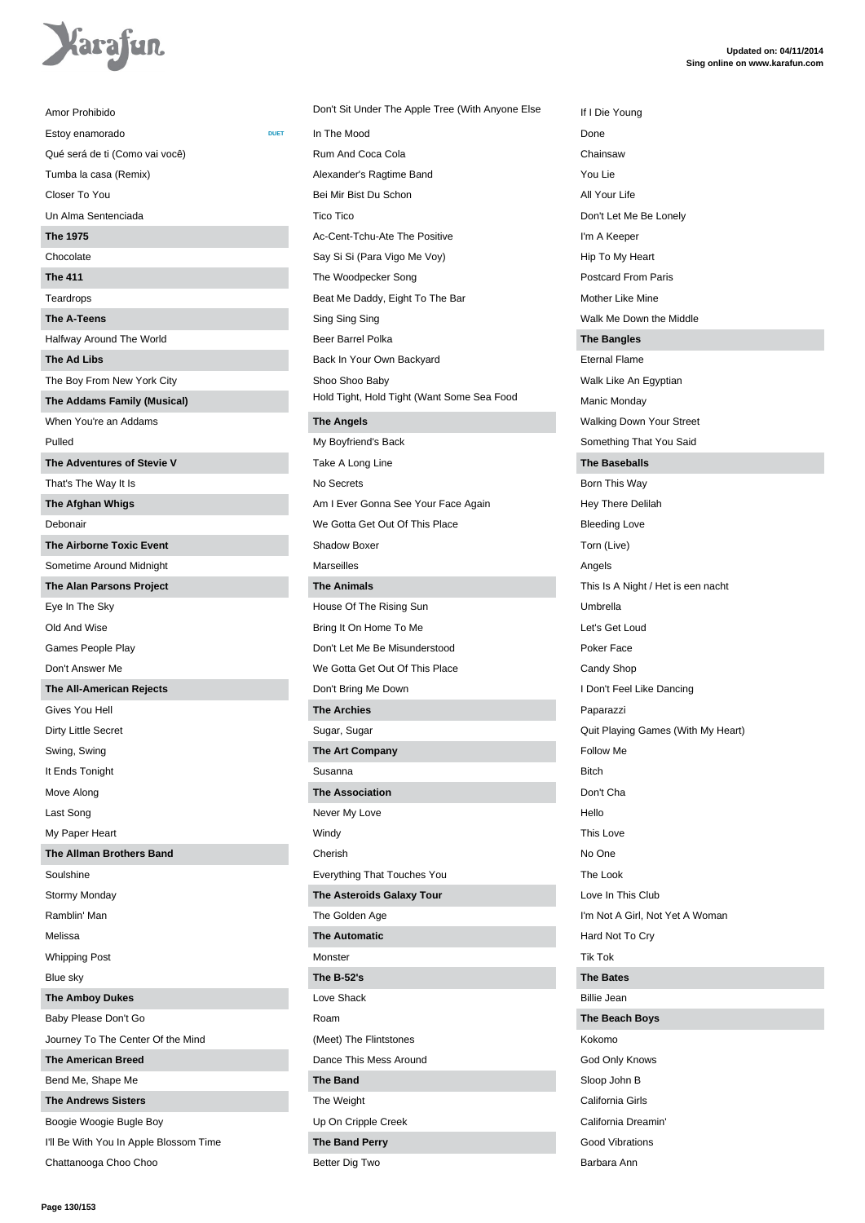

| Amor Prohibido                                                    |             | Don't Sit Under                       |
|-------------------------------------------------------------------|-------------|---------------------------------------|
| Estoy enamorado                                                   | <b>DUET</b> | In The Mood                           |
| Qué será de ti (Como vai você)                                    |             | Rum And Coca                          |
| Tumba la casa (Remix)                                             |             | Alexander's Ra                        |
| Closer To You                                                     |             | Bei Mir Bist Du                       |
| Un Alma Sentenciada                                               |             | <b>Tico Tico</b>                      |
| <b>The 1975</b>                                                   |             | Ac-Cent-Tchu-                         |
| Chocolate                                                         |             | Say Si Si (Para                       |
| <b>The 411</b>                                                    |             | The Woodpeck                          |
| Teardrops                                                         |             | Beat Me Daddy                         |
| <b>The A-Teens</b>                                                |             | Sing Sing Sing                        |
| Halfway Around The World                                          |             | Beer Barrel Pol                       |
| The Ad Libs                                                       |             | Back In Your O                        |
| The Boy From New York City                                        |             | Shoo Shoo Bal                         |
| The Addams Family (Musical)                                       |             | Hold Tight, Hol                       |
| When You're an Addams                                             |             | <b>The Angels</b>                     |
| Pulled                                                            |             | My Boyfriend's                        |
| The Adventures of Stevie V                                        |             | Take A Long Li                        |
| That's The Way It Is                                              |             | No Secrets                            |
| The Afghan Whigs                                                  |             | Am I Ever Goni                        |
| Debonair                                                          |             | We Gotta Get (                        |
| <b>The Airborne Toxic Event</b>                                   |             | Shadow Boxer                          |
| Sometime Around Midnight                                          |             | <b>Marseilles</b>                     |
| The Alan Parsons Project                                          |             | <b>The Animals</b>                    |
| Eye In The Sky                                                    |             | House Of The I                        |
|                                                                   |             |                                       |
| Old And Wise                                                      |             |                                       |
|                                                                   |             | Bring It On Hor<br>Don't Let Me B     |
| Games People Play                                                 |             |                                       |
| Don't Answer Me                                                   |             | We Gotta Get (                        |
| The All-American Rejects<br>Gives You Hell                        |             | Don't Bring Me<br><b>The Archies</b>  |
| <b>Dirty Little Secret</b>                                        |             | Sugar, Sugar                          |
|                                                                   |             |                                       |
| Swing, Swing                                                      |             | The Art Comp<br>Susanna               |
| It Ends Tonight                                                   |             |                                       |
| Move Along                                                        |             | <b>The Association</b>                |
| Last Song                                                         |             | Never My Love<br>Windy                |
| My Paper Heart<br><b>The Allman Brothers Band</b>                 |             | Cherish                               |
| Soulshine                                                         |             | Everything Tha                        |
|                                                                   |             | <b>The Asteroids</b>                  |
| Stormy Monday<br>Ramblin' Man                                     |             |                                       |
| Melissa                                                           |             | The Golden Ag<br><b>The Automatio</b> |
|                                                                   |             | Monster                               |
| <b>Whipping Post</b><br>Blue sky                                  |             | The B-52's                            |
|                                                                   |             | Love Shack                            |
| <b>The Amboy Dukes</b>                                            |             | Roam                                  |
| Baby Please Don't Go                                              |             |                                       |
| Journey To The Center Of the Mind<br><b>The American Breed</b>    |             | (Meet) The Flin<br>Dance This Me      |
| Bend Me, Shape Me                                                 |             | <b>The Band</b>                       |
| <b>The Andrews Sisters</b>                                        |             |                                       |
|                                                                   |             | The Weight                            |
| Boogie Woogie Bugle Boy<br>I'll Be With You In Apple Blossom Time |             | Up On Cripple<br><b>The Band Perr</b> |

If I Die Young

Don't Sit Under The Apple Tree (With Anyone Else n The Mood Rum And Coca Cola Alexander's Ragtime Band Bei Mir Bist Du Schon Tico Tico Ac-Cent-Tchu-Ate The Positive Say Si Si (Para Vigo Me Voy) he Woodpecker Song Beat Me Daddy, Eight To The Bar Sing Sing Sing Beer Barrel Polka ack In Your Own Backyard Shoo Shoo Baby Hold Tight, Hold Tight (Want Some Sea Food **The Angels** My Boyfriend's Back -<br>Take A Long Line No Secrets Am I Ever Gonna See Your Face Again We Gotta Get Out Of This Place Shadow Boxer Marseilles **The Animals** louse Of The Rising Sun Bring It On Home To Me on't Let Me Be Misunderstood We Gotta Get Out Of This Place on't Bring Me Down **The Archies** Sugar, Sugar **The Art Company** Susanna **The Association** Never My Love Windy Cherish verything That Touches You **The Asteroids Galaxy Tour** he Golden Age **The Automatic** Monster **The B-52's** Love Shack oam Meet) The Flintstones ance This Mess Around **The Band** he Weight Up On Cripple Creek **The Band Perry**

Done **Chainsaw** You Lie All Your Life Don't Let Me Be Lonely I'm A Keeper Hip To My Heart Postcard From Paris Mother Like Mine Walk Me Down the Middle **The Bangles** Eternal Flame Walk Like An Egyptian Manic Monday Walking Down Your Street Something That You Said **The Baseballs** Born This Way Hey There Delilah Bleeding Love Torn (Live) Angels This Is A Night / Het is een nacht Umbrella Let's Get Loud Poker Face Candy Shop I Don't Feel Like Dancing Paparazzi Quit Playing Games (With My Heart) Follow Me Bitch Don't Cha Hello This Love No One The Look Love In This Club I'm Not A Girl, Not Yet A Woman Hard Not To Cry Tik Tok **The Bates** Billie Jean **The Beach Boys** Kokomo God Only Knows Sloop John B California Girls California Dreamin' Good Vibrations

Barbara Ann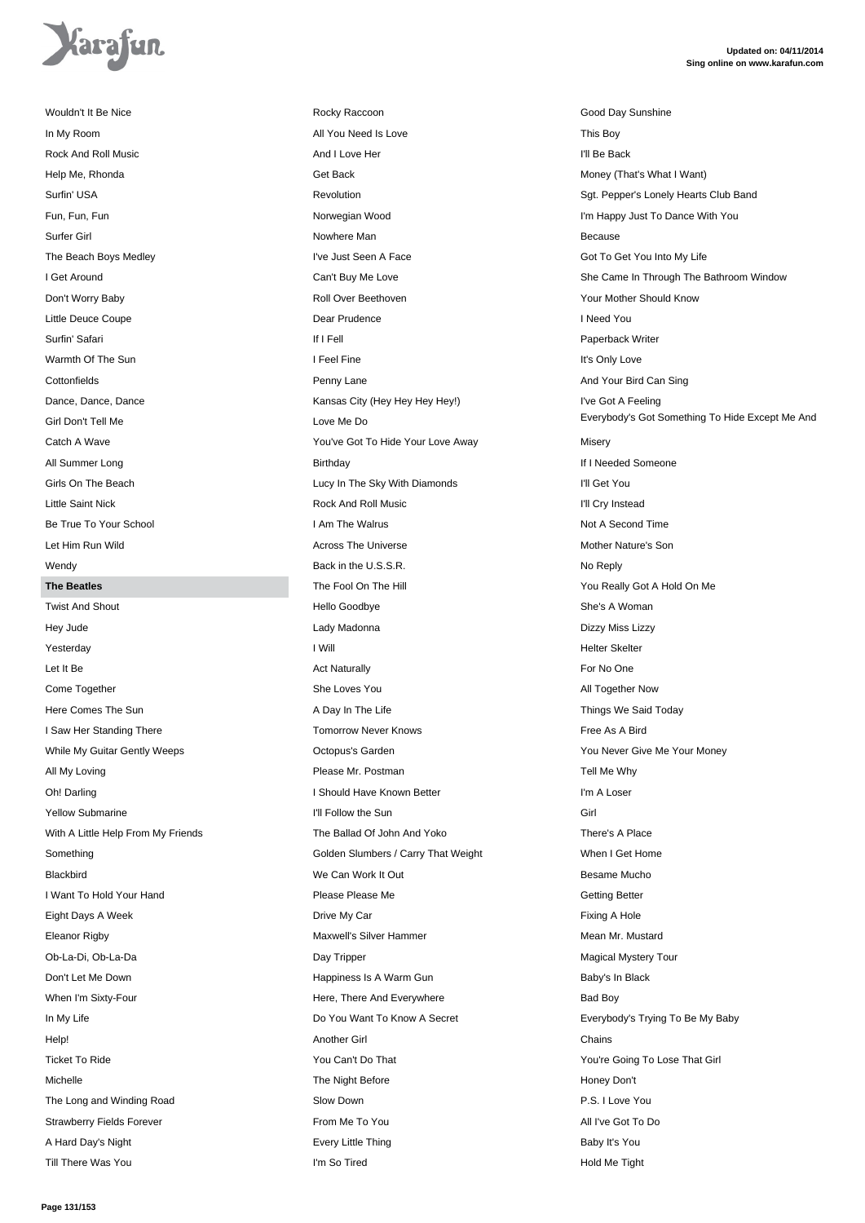

Wouldn't It Be Nice In My Room Rock And Roll Music Help Me, Rhonda Surfin' USA Fun, Fun, Fun Surfer Girl The Beach Boys Medley I Get Around Don't Worry Baby Little Deuce Coupe Surfin' Safari Warmth Of The Sun Cottonfields Dance, Dance, Dance Girl Don't Tell Me Catch A Wave All Summer Long Girls On The Beach Little Saint Nick Be True To Your School Let Him Run Wild Wendy **The Beatles** Twist And Shout Hey Jude Yesterday Let It Be Come Together Here Comes The Sun I Saw Her Standing There While My Guitar Gently Weeps All My Loving Oh! Darling Yellow Submarine With A Little Help From My Friends Something Blackbird I Want To Hold Your Hand Eight Days A Week Eleanor Rigby Ob-La-Di, Ob-La-Da Don't Let Me Down When I'm Sixty-Four In My Life Help! Ticket To Ride Michelle The Long and Winding Road Strawberry Fields Forever A Hard Day's Night Till There Was You

Rocky Raccoon All You Need Is Love And I Love Her Get Back Revolution Norwegian Wood Nowhere Man I've Just Seen A Face Can't Buy Me Love Roll Over Beethoven Dear Prudence If I Fell I Feel Fine Penny Lane Kansas City (Hey Hey Hey Hey!) Love Me Do You've Got To Hide Your Love Away Birthday Lucy In The Sky With Diamonds Rock And Roll Music I Am The Walrus Across The Universe Back in the U.S.S.R. The Fool On The Hill Hello Goodbye Lady Madonna I Will Act Naturally She Loves You A Day In The Life Tomorrow Never Knows Octopus's Garden Please Mr. Postman I Should Have Known Better I'll Follow the Sun The Ballad Of John And Yoko Golden Slumbers / Carry That Weight We Can Work It Out Please Please Me Drive My Car Maxwell's Silver Hammer Day Tripper Happiness Is A Warm Gun Here, There And Everywhere Do You Want To Know A Secret Another Girl You Can't Do That The Night Before Slow Down From Me To You Every Little Thing I'm So Tired

Good Day Sunshine This Boy I'll Be Back Money (That's What I Want) Sgt. Pepper's Lonely Hearts Club Band I'm Happy Just To Dance With You Because Got To Get You Into My Life She Came In Through The Bathroom Window Your Mother Should Know I Need You Paperback Writer It's Only Love And Your Bird Can Sing I've Got A Feeling Everybody's Got Something To Hide Except Me And Misery If I Needed Someone I'll Get You I'll Cry Instead Not A Second Time Mother Nature's Son No Reply You Really Got A Hold On Me She's A Woman Dizzy Miss Lizzy Helter Skelter For No One All Together Now Things We Said Today Free As A Bird You Never Give Me Your Money Tell Me Why I'm A Loser Girl There's A Place When I Get Home Besame Mucho Getting Better Fixing A Hole Mean Mr. Mustard Magical Mystery Tour Baby's In Black Bad Boy Everybody's Trying To Be My Baby Chains You're Going To Lose That Girl Honey Don't P.S. I Love You All I've Got To Do Baby It's You Hold Me Tight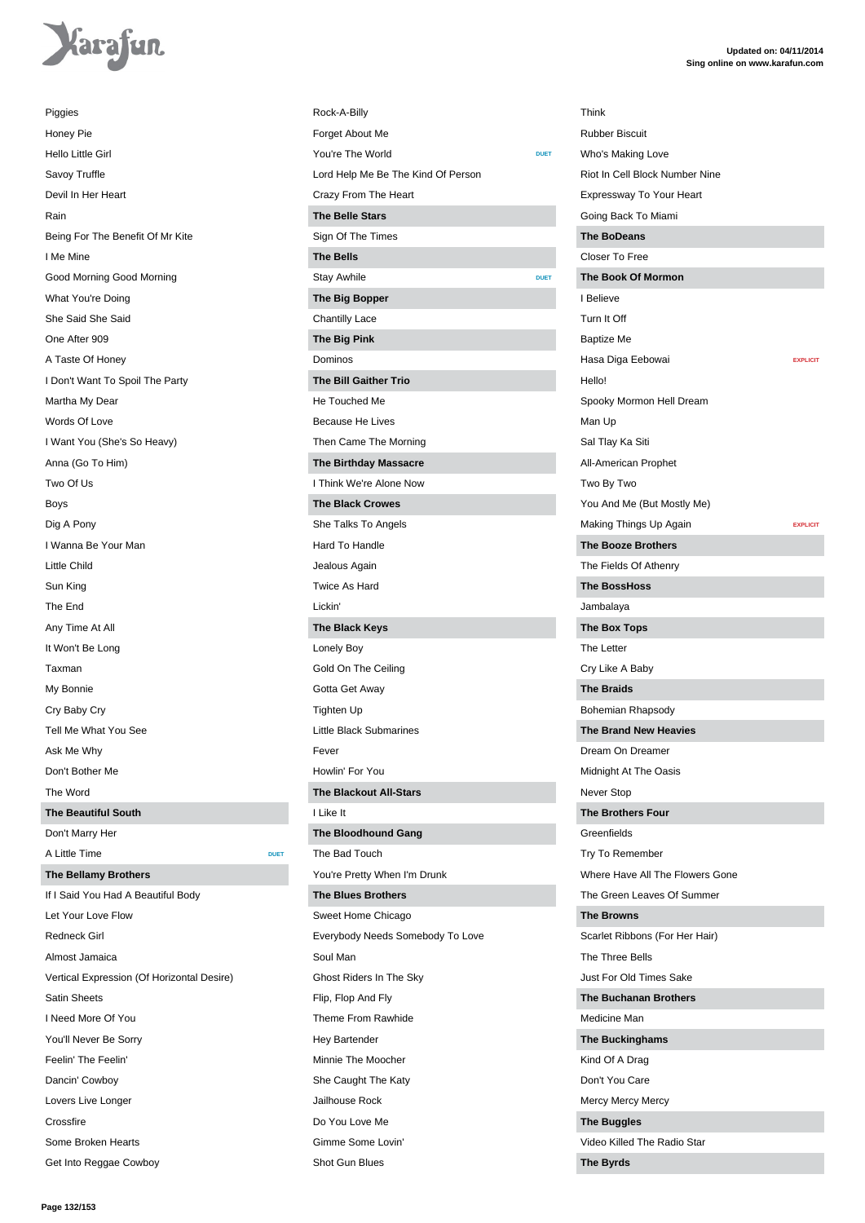

Piggies Honey Pie Hello Little Girl Savoy Truffle Devil In Her Heart Rain Being For The Benefit Of Mr Kite I Me Mine Good Morning Good Morning What You're Doing She Said She Said One After 909 A Taste Of Honey I Don't Want To Spoil The Party Martha My Dear Words Of Love I Want You (She's So Heavy) Anna (Go To Him) Two Of Us Boys Dig A Pony I Wanna Be Your Man Little Child Sun King The End Any Time At All It Won't Be Long Taxman My Bonnie Cry Baby Cry Tell Me What You See Ask Me Why Don't Bother Me The Word **The Beautiful South** Don't Marry Her A Little Time **DUE The Bellamy Brothers** If I Said You Had A Beautiful Body Let Your Love Flow Redneck Girl Almost Jamaica Vertical Expression (Of Horizontal Desire) Satin Sheets I Need More Of You You'll Never Be Sorry Feelin' The Feelin' Dancin' Cowboy Lovers Live Longer Crossfire

Rock-A-Billy Forget About Me You're The World **DUET** Lord Help Me Be The Kind Of Person Crazy From The Heart **The Belle Stars** Sign Of The Times **The Bells Stay Awhile The Big Bopper** Chantilly Lace **The Big Pink** Dominos **The Bill Gaither Trio** He Touched Me Because He Lives Then Came The Morning **The Birthday Massacre** I Think We're Alone Now **The Black Crowes** She Talks To Angels Hard To Handle Jealous Again Twice As Hard Lickin' **The Black Keys** Lonely Boy Gold On The Ceiling Gotta Get Away Tighten Up Little Black Submarines Fever Howlin' For You **The Blackout All-Stars** I Like It **The Bloodhound Gang** The Bad Touch You're Pretty When I'm Drunk **The Blues Brothers** Sweet Home Chicago Everybody Needs Somebody To Love Soul Man Ghost Riders In The Sky Flip, Flop And Fly Theme From Rawhide Hey Bartender Minnie The Moocher She Caught The Katy Jailhouse Rock Do You Love Me Gimme Some Lovin' Shot Gun Blues

| Think                           |                 |
|---------------------------------|-----------------|
| <b>Rubber Biscuit</b>           |                 |
| Who's Making Love               |                 |
| Riot In Cell Block Number Nine  |                 |
| Expressway To Your Heart        |                 |
| Going Back To Miami             |                 |
| <b>The BoDeans</b>              |                 |
| Closer To Free                  |                 |
| <b>The Book Of Mormon</b>       |                 |
| I Believe                       |                 |
| Turn It Off                     |                 |
| Baptize Me                      |                 |
| Hasa Diga Eebowai               | <b>EXPLICIT</b> |
| Hello!                          |                 |
| Spooky Mormon Hell Dream        |                 |
| Man Up                          |                 |
| Sal Tlay Ka Siti                |                 |
| All-American Prophet            |                 |
| Two By Two                      |                 |
| You And Me (But Mostly Me)      |                 |
| Making Things Up Again          | <b>EXPLICIT</b> |
| <b>The Booze Brothers</b>       |                 |
| The Fields Of Athenry           |                 |
| <b>The BossHoss</b>             |                 |
| Jambalaya                       |                 |
| The Box Tops                    |                 |
| The Letter                      |                 |
| Cry Like A Baby                 |                 |
| <b>The Braids</b>               |                 |
| Bohemian Rhapsody               |                 |
| <b>The Brand New Heavies</b>    |                 |
| Dream On Dreamer                |                 |
| Midnight At The Oasis           |                 |
| Never Stop                      |                 |
| The Brothers Four               |                 |
| Greenfields                     |                 |
| Try To Remember                 |                 |
| Where Have All The Flowers Gone |                 |
| The Green Leaves Of Summer      |                 |
| <b>The Browns</b>               |                 |
| Scarlet Ribbons (For Her Hair)  |                 |
| The Three Bells                 |                 |
| Just For Old Times Sake         |                 |
| <b>The Buchanan Brothers</b>    |                 |
| Medicine Man                    |                 |
| <b>The Buckinghams</b>          |                 |
| Kind Of A Drag                  |                 |
| Don't You Care                  |                 |
| Mercy Mercy Mercy               |                 |
| <b>The Buggles</b>              |                 |
| Video Killed The Radio Star     |                 |
| The Byrds                       |                 |

Some Broken Hearts Get Into Reggae Cowboy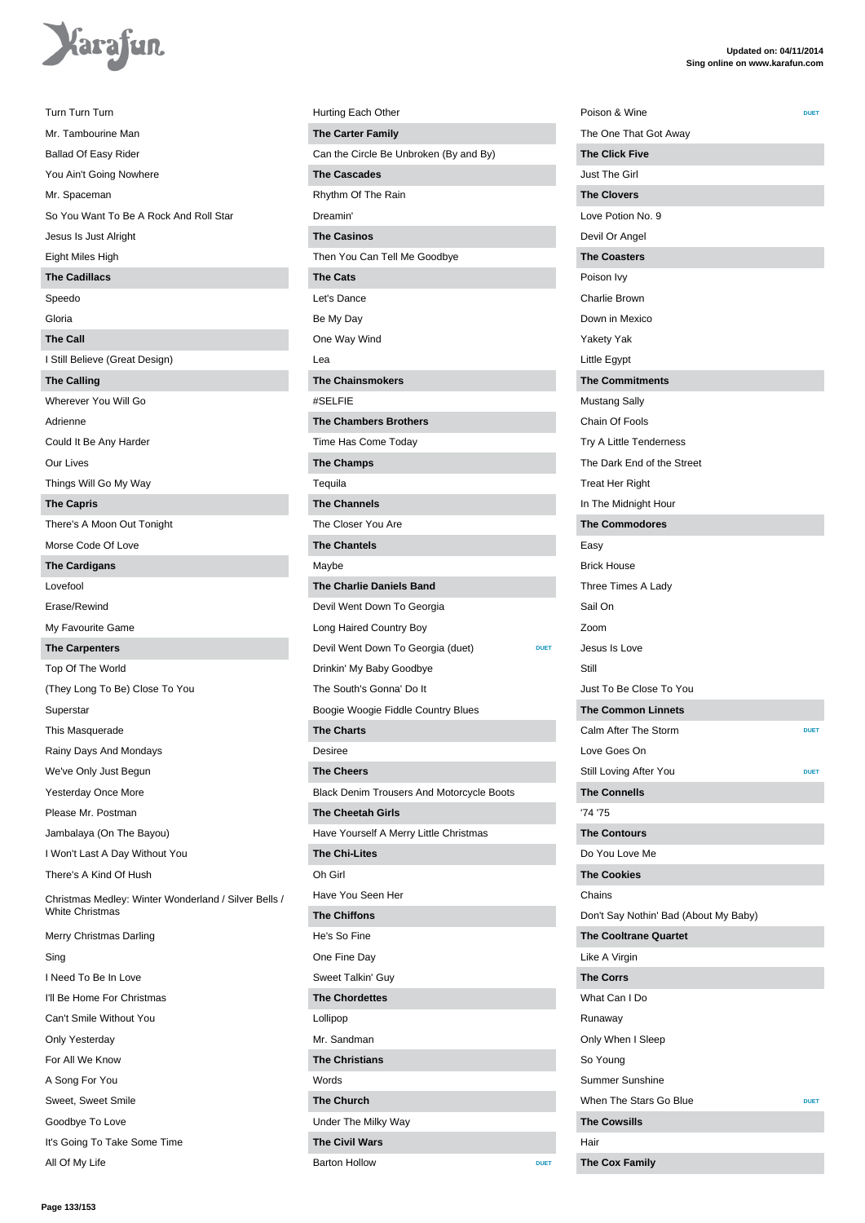

Turn Turn Turn Mr. Tambourine Man Ballad Of Easy Rider You Ain't Going Nowhere Mr. Spaceman So You Want To Be A Rock And Roll Star Jesus Is Just Alright Eight Miles High **The Cadillacs** Speedo Gloria **The Call** I Still Believe (Great Design) **The Calling** Wherever You Will Go Adrienne Could It Be Any Harder Our Lives Things Will Go My Way **The Capris** There's A Moon Out Tonight Morse Code Of Love **The Cardigans** Lovefool Erase/Rewind My Favourite Game **The Carpenters** Top Of The World (They Long To Be) Close To You Superstar This Masquerade Rainy Days And Mondays We've Only Just Begun Yesterday Once More Please Mr. Postman Jambalaya (On The Bayou) I Won't Last A Day Without You There's A Kind Of Hush Christmas Medley: Winter Wonderland / Silver Bells / White Christmas Merry Christmas Darling Sing I Need To Be In Love I'll Be Home For Christmas Can't Smile Without You Only Yesterday For All We Know A Song For You Sweet, Sweet Smile Goodbye To Love It's Going To Take Some Time

Hurting Each Other **The Carter Family** Can the Circle Be Unbroken (By and By) **The Cascades** Rhythm Of The Rain Dreamin' **The Casinos** Then You Can Tell Me Goodbye **The Cats** Let's Dance Be My Day One Way Wind Lea **The Chainsmokers** #SELFIE **The Chambers Brothers** Time Has Come Today **The Champs Tequila The Channels** The Closer You Are **The Chantels** Maybe **The Charlie Daniels Band** Devil Went Down To Georgia Long Haired Country Boy **Devil Went Down To Georgia (duet)** DUET Drinkin' My Baby Goodbye The South's Gonna' Do It Boogie Woogie Fiddle Country Blues **The Charts** Desiree **The Cheers** Black Denim Trousers And Motorcycle Boots **The Cheetah Girls** Have Yourself A Merry Little Christmas **The Chi-Lites** Oh Girl Have You Seen Her **The Chiffons** He's So Fine One Fine Day Sweet Talkin' Guy **The Chordettes** Lollipop Mr. Sandman **The Christians** Words **The Church** Under The Milky Way **The Civil Wars Barton Hollow DUET** 

#### **Updated on: 04/11/2014 Sing online on www.karafun.com**

| Poison & Wine                         | <b>DUET</b> |
|---------------------------------------|-------------|
| The One That Got Away                 |             |
| <b>The Click Five</b>                 |             |
| <b>Just The Girl</b>                  |             |
| <b>The Clovers</b>                    |             |
| Love Potion No. 9                     |             |
| Devil Or Angel                        |             |
| <b>The Coasters</b>                   |             |
| Poison Ivy                            |             |
| <b>Charlie Brown</b>                  |             |
| Down in Mexico                        |             |
| <b>Yakety Yak</b>                     |             |
| Little Egypt                          |             |
| <b>The Commitments</b>                |             |
| <b>Mustang Sally</b>                  |             |
| Chain Of Fools                        |             |
| Try A Little Tenderness               |             |
| The Dark End of the Street            |             |
| Treat Her Right                       |             |
| In The Midnight Hour                  |             |
| <b>The Commodores</b>                 |             |
| Easy                                  |             |
| <b>Brick House</b>                    |             |
| Three Times A Lady                    |             |
| Sail On                               |             |
| Zoom                                  |             |
| Jesus Is Love                         |             |
| Still                                 |             |
| Just To Be Close To You               |             |
| <b>The Common Linnets</b>             |             |
| Calm After The Storm                  | <b>DUET</b> |
| Love Goes On                          |             |
| Still Loving After You                | <b>DUET</b> |
| <b>The Connells</b>                   |             |
| '74 '75                               |             |
| <b>The Contours</b>                   |             |
| Do You Love Me                        |             |
| <b>The Cookies</b>                    |             |
| Chains                                |             |
| Don't Say Nothin' Bad (About My Baby) |             |
| <b>The Cooltrane Quartet</b>          |             |
| Like A Virgin                         |             |
| <b>The Corrs</b>                      |             |
| What Can I Do                         |             |
| Runaway                               |             |
| Only When I Sleep                     |             |
| So Young                              |             |
| Summer Sunshine                       |             |
| When The Stars Go Blue                | <b>DUET</b> |
|                                       |             |
| <b>The Cowsills</b>                   |             |
| Hair                                  |             |

All Of My Life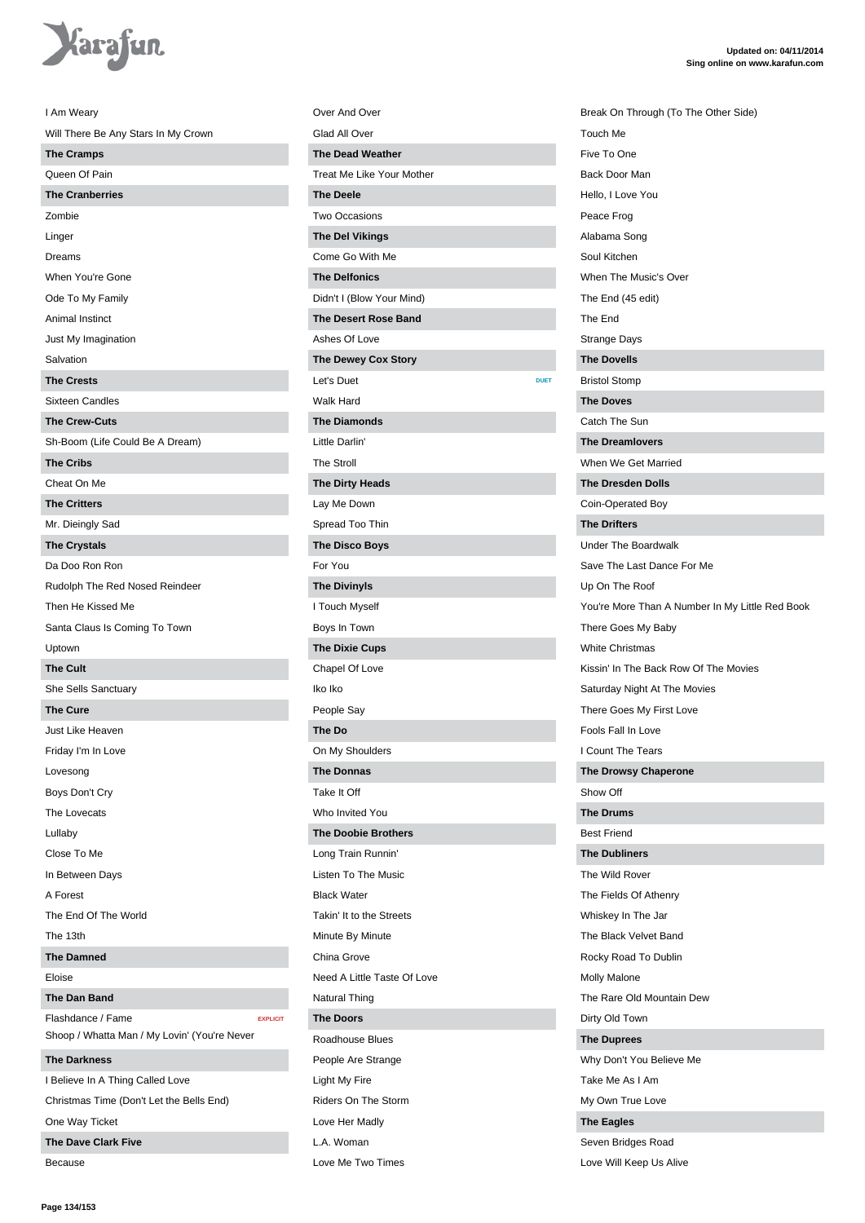

| I Am Weary                                                                           |
|--------------------------------------------------------------------------------------|
| Will There Be Any Stars In My Crown                                                  |
| <b>The Cramps</b>                                                                    |
| Queen Of Pain                                                                        |
| <b>The Cranberries</b>                                                               |
| Zombie                                                                               |
| Linger                                                                               |
| Dreams                                                                               |
| When You're Gone                                                                     |
| Ode To My Family                                                                     |
| Animal Instinct                                                                      |
| Just My Imagination                                                                  |
| Salvation                                                                            |
| <b>The Crests</b>                                                                    |
| <b>Sixteen Candles</b>                                                               |
| <b>The Crew-Cuts</b>                                                                 |
| Sh-Boom (Life Could Be A Dream)                                                      |
| <b>The Cribs</b>                                                                     |
| Cheat On Me                                                                          |
| <b>The Critters</b>                                                                  |
| Mr. Dieingly Sad                                                                     |
| <b>The Crystals</b>                                                                  |
| Da Doo Ron Ron                                                                       |
| Rudolph The Red Nosed Reindeer                                                       |
| Then He Kissed Me                                                                    |
| Santa Claus Is Coming To Town                                                        |
| Uptown                                                                               |
| <b>The Cult</b>                                                                      |
| She Sells Sanctuary                                                                  |
| <b>The Cure</b>                                                                      |
| Just Like Heaven                                                                     |
| Friday I'm In Love                                                                   |
|                                                                                      |
| Lovesong                                                                             |
| Boys Don't Cry                                                                       |
| The Lovecats                                                                         |
| Lullaby                                                                              |
| Close To Me                                                                          |
| In Between Days                                                                      |
| A Forest                                                                             |
| The End Of The World                                                                 |
| The 13th                                                                             |
| <b>The Damned</b>                                                                    |
| Eloise                                                                               |
| <b>The Dan Band</b>                                                                  |
| Flashdance / Fame<br><b>EXPLICIT</b><br>Shoop / Whatta Man / My Lovin' (You're Never |
| <b>The Darkness</b>                                                                  |
| I Believe In A Thing Called Love                                                     |
| Christmas Time (Don't Let the Bells End)                                             |
| One Way Ticket                                                                       |
| <b>The Dave Clark Five</b>                                                           |

| Over And Over               |             |
|-----------------------------|-------------|
| Glad All Over               |             |
| <b>The Dead Weather</b>     |             |
| Treat Me Like Your Mother   |             |
| <b>The Deele</b>            |             |
| <b>Two Occasions</b>        |             |
| <b>The Del Vikings</b>      |             |
| Come Go With Me             |             |
| <b>The Delfonics</b>        |             |
| Didn't I (Blow Your Mind)   |             |
| <b>The Desert Rose Band</b> |             |
| Ashes Of Love               |             |
| <b>The Dewey Cox Story</b>  |             |
| Let's Duet                  | <b>DUET</b> |
| <b>Walk Hard</b>            |             |
| <b>The Diamonds</b>         |             |
| Little Darlin'              |             |
| <b>The Stroll</b>           |             |
| <b>The Dirty Heads</b>      |             |
| Lay Me Down                 |             |
| Spread Too Thin             |             |
| <b>The Disco Boys</b>       |             |
| For You                     |             |
| <b>The Divinyls</b>         |             |
| I Touch Myself              |             |
| Boys In Town                |             |
| <b>The Dixie Cups</b>       |             |
| Chapel Of Love              |             |
| Iko Iko                     |             |
| People Say                  |             |
| The Do                      |             |
| On My Shoulders             |             |
| <b>The Donnas</b>           |             |
| Take It Off                 |             |
| Who Invited You             |             |
| <b>The Doobie Brothers</b>  |             |
| Long Train Runnin'          |             |
| Listen To The Music         |             |
| <b>Black Water</b>          |             |
| Takin' It to the Streets    |             |
| Minute By Minute            |             |
| China Grove                 |             |
| Need A Little Taste Of Love |             |
| Natural Thing               |             |
| <b>The Doors</b>            |             |
| Roadhouse Blues             |             |
| People Are Strange          |             |
| Light My Fire               |             |
| Riders On The Storm         |             |
| Love Her Madly              |             |
| L.A. Woman                  |             |
| Love Me Two Times           |             |

Break On Through (To The Other Side) Touch Me Five To One Back Door Man Hello, I Love You Peace Frog Alabama Song Soul Kitchen When The Music's Over The End (45 edit) The End Strange Days **The Dovells** Bristol Stomp **The Doves** Catch The Sun **The Dreamlovers** When We Get Married **The Dresden Dolls** Coin-Operated Boy **The Drifters** Under The Boardwalk Save The Last Dance For Me Up On The Roof You're More Than A Number In My Little Red Book There Goes My Baby White Christmas Kissin' In The Back Row Of The Movies Saturday Night At The Movies There Goes My First Love Fools Fall In Love I Count The Tears **The Drowsy Chaperone** Show Off **The Drums** Best Friend **The Dubliners** The Wild Rover The Fields Of Athenry Whiskey In The Jar The Black Velvet Band Rocky Road To Dublin Molly Malone The Rare Old Mountain Dew Dirty Old Town **The Duprees** Why Don't You Believe Me Take Me As I Am My Own True Love **The Eagles** Seven Bridges Road

Love Will Keep Us Alive

Because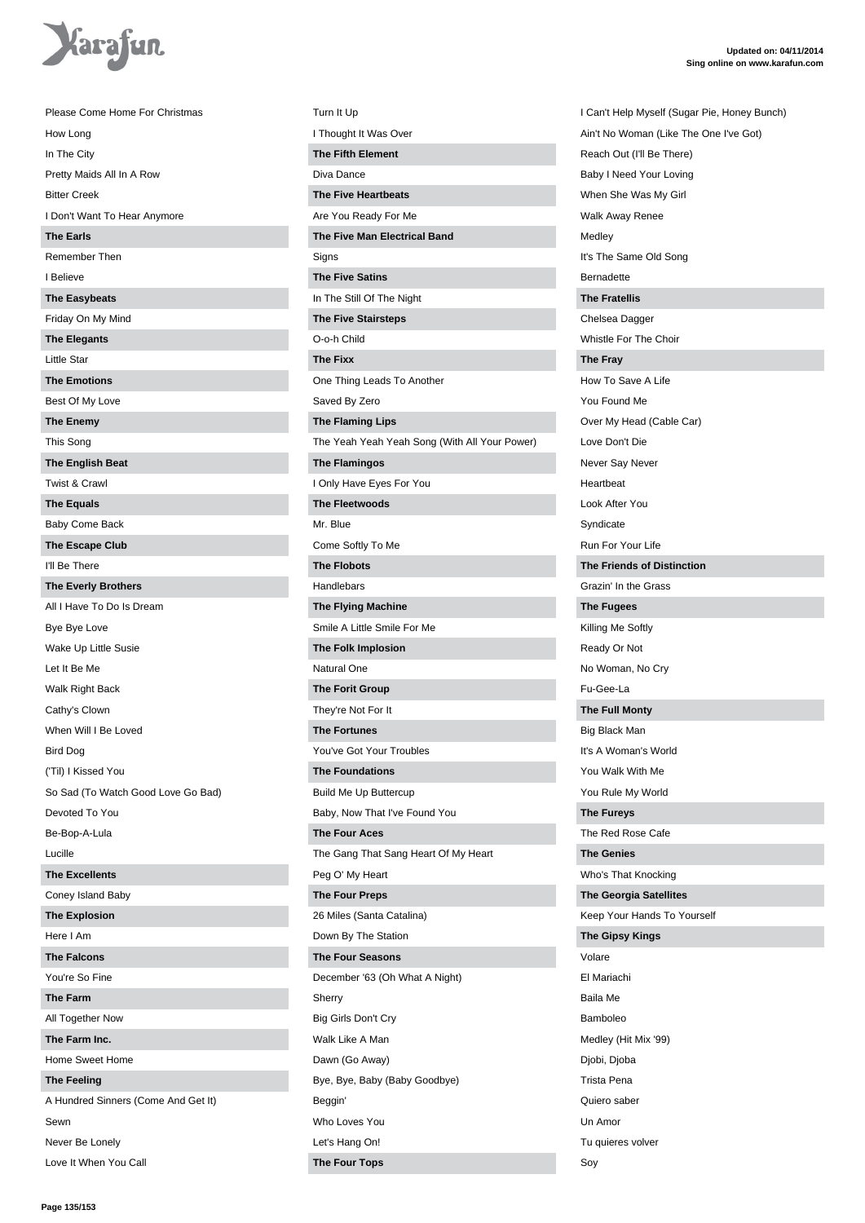

| Please Come Home For Christmas      |
|-------------------------------------|
| How Long                            |
| In The City                         |
| Pretty Maids All In A Row           |
| <b>Bitter Creek</b>                 |
| I Don't Want To Hear Anymore        |
| <b>The Earls</b>                    |
| <b>Remember Then</b>                |
| I Believe                           |
| <b>The Easybeats</b>                |
| Friday On My Mind                   |
| <b>The Elegants</b>                 |
| <b>Little Star</b>                  |
| <b>The Emotions</b>                 |
| Best Of My Love                     |
| <b>The Enemy</b>                    |
| This Song                           |
| <b>The English Beat</b>             |
| <b>Twist &amp; Crawl</b>            |
| <b>The Equals</b>                   |
| <b>Baby Come Back</b>               |
| The Escape Club                     |
| I'll Be There                       |
| <b>The Everly Brothers</b>          |
| All I Have To Do Is Dream           |
| Bye Bye Love                        |
| Wake Up Little Susie                |
| Let It Be Me                        |
| Walk Right Back                     |
| Cathy's Clown                       |
| When Will I Be Loved                |
| <b>Bird Dog</b>                     |
| ('Til) I Kissed You                 |
| So Sad (To Watch Good Love Go Bad)  |
| Devoted To You                      |
| Be-Bop-A-Lula                       |
| Lucille                             |
| <b>The Excellents</b>               |
| Coney Island Baby                   |
| <b>The Explosion</b>                |
| Here I Am                           |
| <b>The Falcons</b>                  |
| You're So Fine                      |
| <b>The Farm</b>                     |
| All Together Now                    |
| The Farm Inc.                       |
| Home Sweet Home                     |
| <b>The Feeling</b>                  |
|                                     |
| A Hundred Sinners (Come And Get It) |
| Sewn                                |

| Turn It Up                                    |
|-----------------------------------------------|
| I Thought It Was Over                         |
| <b>The Fifth Element</b>                      |
| Diva Dance                                    |
| <b>The Five Heartbeats</b>                    |
| Are You Ready For Me                          |
| The Five Man Electrical Band                  |
| Signs                                         |
| <b>The Five Satins</b>                        |
| In The Still Of The Night                     |
| <b>The Five Stairsteps</b>                    |
| O-o-h Child                                   |
| <b>The Fixx</b>                               |
| One Thing Leads To Another                    |
| Saved By Zero                                 |
| <b>The Flaming Lips</b>                       |
| The Yeah Yeah Yeah Song (With All Your Power) |
| <b>The Flamingos</b>                          |
| I Only Have Eyes For You                      |
| <b>The Fleetwoods</b>                         |
| Mr. Blue                                      |
| Come Softly To Me                             |
| <b>The Flobots</b>                            |
| Handlebars                                    |
| <b>The Flying Machine</b>                     |
| Smile A Little Smile For Me                   |
| The Folk Implosion                            |
| Natural One                                   |
| <b>The Forit Group</b>                        |
| They're Not For It                            |
| <b>The Fortunes</b>                           |
| You've Got Your Troubles                      |
| <b>The Foundations</b>                        |
| <b>Build Me Up Buttercup</b>                  |
| Baby, Now That I've Found You                 |
| <b>The Four Aces</b>                          |
| The Gang That Sang Heart Of My Heart          |
| Peg O' My Heart                               |
| <b>The Four Preps</b>                         |
| 26 Miles (Santa Catalina)                     |
| Down By The Station                           |
| <b>The Four Seasons</b>                       |
| December '63 (Oh What A Night)                |
| Sherry                                        |
| Big Girls Don't Cry                           |
| Walk Like A Man                               |
| Dawn (Go Away)                                |
| Bye, Bye, Baby (Baby Goodbye)                 |
| Beggin'                                       |
| Who Loves You                                 |
| Let's Hang On!                                |

**The Four Tops**

I Can't Help Myself (Sugar Pie, Honey Bunch) Ain't No Woman (Like The One I've Got) Reach Out (I'll Be There) Baby I Need Your Loving When She Was My Girl Walk Away Renee Medley It's The Same Old Song Bernadette **The Fratellis** Chelsea Dagger Whistle For The Choir **The Fray** How To Save A Life You Found Me Over My Head (Cable Car) Love Don't Die Never Say Never Heartbeat Look After You Syndicate Run For Your Life **The Friends of Distinction** Grazin' In the Grass **The Fugees** Killing Me Softly Ready Or Not No Woman, No Cry Fu-Gee-La **The Full Monty** Big Black Man It's A Woman's World You Walk With Me You Rule My World **The Fureys** The Red Rose Cafe **The Genies** Who's That Knocking **The Georgia Satellites** Keep Your Hands To Yourself **The Gipsy Kings** Volare El Mariachi Baila Me Bamboleo Medley (Hit Mix '99) Djobi, Djoba Trista Pena Quiero saber Un Amor Tu quieres volver Soy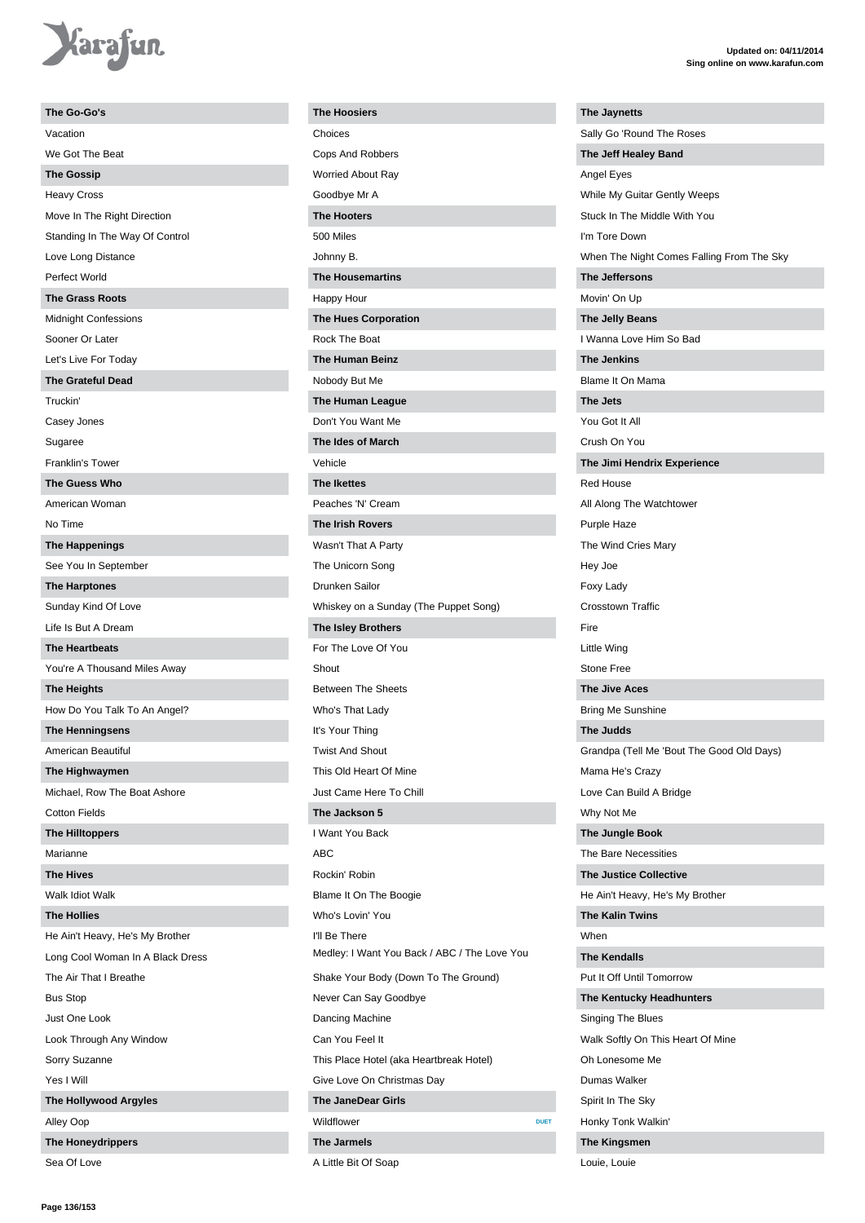

| The Go-Go's                      |
|----------------------------------|
| Vacation                         |
| We Got The Beat                  |
| <b>The Gossip</b>                |
| Heavy Cross                      |
| Move In The Right Direction      |
| Standing In The Way Of Control   |
| Love Long Distance               |
| Perfect World                    |
| <b>The Grass Roots</b>           |
| <b>Midnight Confessions</b>      |
| Sooner Or Later                  |
| Let's Live For Today             |
| <b>The Grateful Dead</b>         |
| Truckin'                         |
| Casey Jones                      |
| Sugaree                          |
| <b>Franklin's Tower</b>          |
| The Guess Who                    |
| American Woman                   |
| No Time                          |
| <b>The Happenings</b>            |
| See You In September             |
| <b>The Harptones</b>             |
| Sunday Kind Of Love              |
| Life Is But A Dream              |
| <b>The Heartbeats</b>            |
| You're A Thousand Miles Away     |
| <b>The Heights</b>               |
| How Do You Talk To An Angel?     |
| <b>The Henningsens</b>           |
| American Beautiful               |
| The Highwaymen                   |
| Michael, Row The Boat Ashore     |
| <b>Cotton Fields</b>             |
| <b>The Hilltoppers</b>           |
| Marianne                         |
| <b>The Hives</b>                 |
| Walk Idiot Walk                  |
| <b>The Hollies</b>               |
| He Ain't Heavy, He's My Brother  |
| Long Cool Woman In A Black Dress |
| The Air That I Breathe           |
| <b>Bus Stop</b>                  |
| Just One Look                    |
| Look Through Any Window          |
| Sorry Suzanne                    |
| Yes I Will                       |
| <b>The Hollywood Argyles</b>     |
| Alley Oop                        |
| <b>The Honeydrippers</b>         |
| Sea Of Love                      |

| <b>The Hoosiers</b>                          |             |
|----------------------------------------------|-------------|
| Choices                                      |             |
| Cops And Robbers                             |             |
| <b>Worried About Ray</b>                     |             |
| Goodbye Mr A                                 |             |
| <b>The Hooters</b>                           |             |
| 500 Miles                                    |             |
| Johnny B.                                    |             |
| <b>The Housemartins</b>                      |             |
| Happy Hour                                   |             |
| <b>The Hues Corporation</b>                  |             |
| Rock The Boat                                |             |
| <b>The Human Beinz</b>                       |             |
| Nobody But Me                                |             |
| <b>The Human League</b>                      |             |
| Don't You Want Me                            |             |
| The Ides of March                            |             |
| Vehicle                                      |             |
| <b>The Ikettes</b>                           |             |
| Peaches 'N' Cream                            |             |
| <b>The Irish Rovers</b>                      |             |
| Wasn't That A Party                          |             |
| The Unicorn Song                             |             |
| Drunken Sailor                               |             |
| Whiskey on a Sunday (The Puppet Song)        |             |
| <b>The Isley Brothers</b>                    |             |
| For The Love Of You                          |             |
| Shout                                        |             |
| <b>Between The Sheets</b>                    |             |
| Who's That Lady                              |             |
| It's Your Thing                              |             |
| <b>Twist And Shout</b>                       |             |
| This Old Heart Of Mine                       |             |
| Just Came Here To Chill                      |             |
| The Jackson 5                                |             |
| I Want You Back                              |             |
| ABC                                          |             |
| Rockin' Robin                                |             |
| Blame It On The Boogie                       |             |
| Who's Lovin' You                             |             |
| I'll Be There                                |             |
| Medley: I Want You Back / ABC / The Love You |             |
| Shake Your Body (Down To The Ground)         |             |
| Never Can Say Goodbye                        |             |
| Dancing Machine                              |             |
| Can You Feel It                              |             |
| This Place Hotel (aka Heartbreak Hotel)      |             |
| Give Love On Christmas Day                   |             |
| <b>The JaneDear Girls</b>                    |             |
| Wildflower                                   | <b>DUET</b> |
| <b>The Jarmels</b>                           |             |
| A Little Bit Of Soap                         |             |

**The Jaynetts** Sally Go 'Round The Roses **The Jeff Healey Band** Angel Eyes While My Guitar Gently Weeps Stuck In The Middle With You I'm Tore Down When The Night Comes Falling From The Sky **The Jeffersons** Movin' On Up **The Jelly Beans** I Wanna Love Him So Bad **The Jenkins** Blame It On Mama **The Jets** You Got It All Crush On You **The Jimi Hendrix Experience** Red House All Along The Watchtower Purple Haze The Wind Cries Mary Hey Joe Foxy Lady Crosstown Traffic Fire Little Wing Stone Free **The Jive Aces** Bring Me Sunshine **The Judds** Grandpa (Tell Me 'Bout The Good Old Days) Mama He's Crazy Love Can Build A Bridge Why Not Me **The Jungle Book** The Bare Necessities **The Justice Collective** He Ain't Heavy, He's My Brother **The Kalin Twins** When **The Kendalls** Put It Off Until Tomorrow **The Kentucky Headhunters** Singing The Blues Walk Softly On This Heart Of Mine Oh Lonesome Me Dumas Walker Spirit In The Sky Honky Tonk Walkin' **The Kingsmen**

Louie, Louie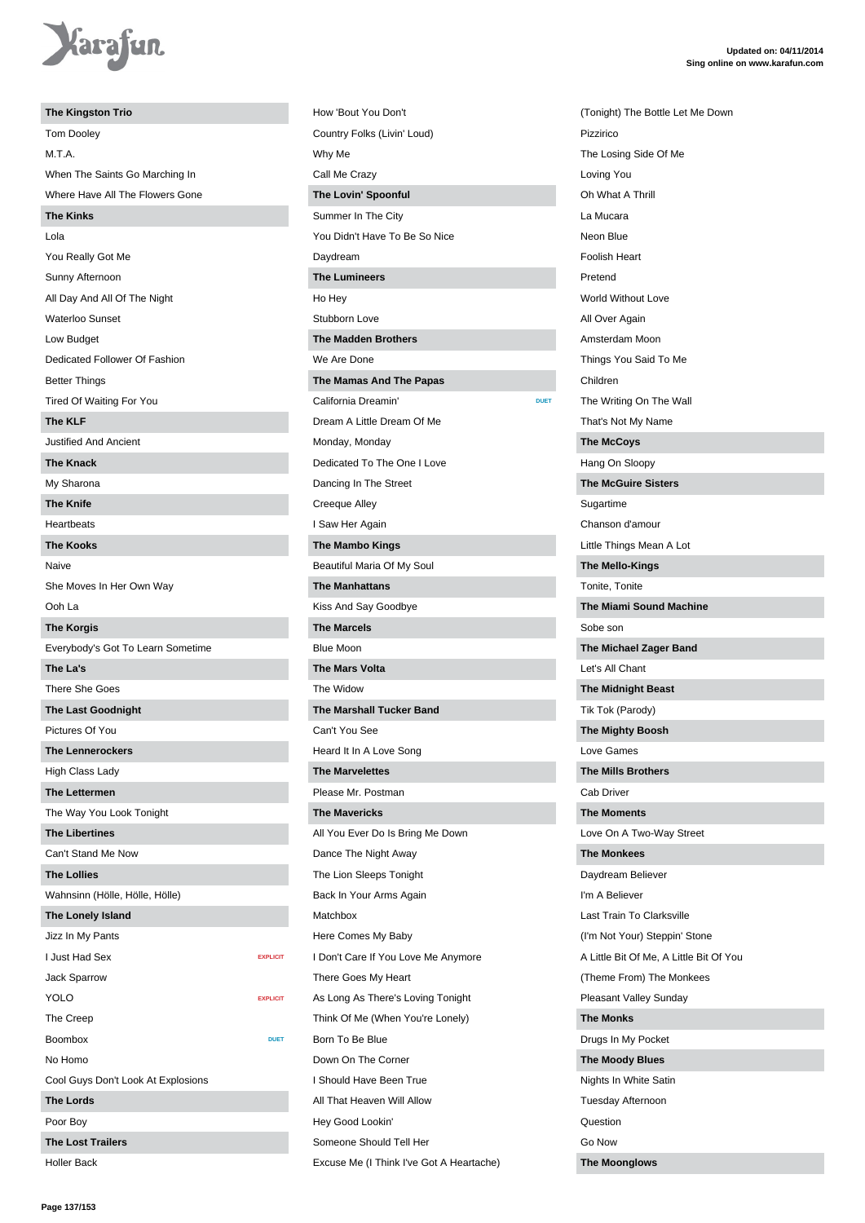

| <b>The Kingston Trio</b>           |
|------------------------------------|
| <b>Tom Dooley</b>                  |
| M.T.A.                             |
| When The Saints Go Marching In     |
| Where Have All The Flowers Gone    |
| <b>The Kinks</b>                   |
| Lola                               |
| You Really Got Me                  |
| Sunny Afternoon                    |
| All Day And All Of The Night       |
| <b>Waterloo Sunset</b>             |
| Low Budget                         |
| Dedicated Follower Of Fashion      |
| <b>Better Things</b>               |
| Tired Of Waiting For You           |
| <b>The KLF</b>                     |
| <b>Justified And Ancient</b>       |
| <b>The Knack</b>                   |
| My Sharona                         |
| <b>The Knife</b>                   |
| Heartbeats                         |
| <b>The Kooks</b>                   |
| Naive                              |
| She Moves In Her Own Way           |
| Ooh La                             |
| <b>The Korgis</b>                  |
| Everybody's Got To Learn Sometime  |
| The La's                           |
| <b>There She Goes</b>              |
| <b>The Last Goodnight</b>          |
| Pictures Of You                    |
| <b>The Lennerockers</b>            |
| High Class Lady                    |
| <b>The Lettermen</b>               |
| The Way You Look Tonight           |
| <b>The Libertines</b>              |
| Can't Stand Me Now                 |
| <b>The Lollies</b>                 |
| Wahnsinn (Hölle, Hölle, Hölle)     |
| The Lonely Island                  |
| Jizz In My Pants                   |
| I Just Had Sex<br><b>EXPLICIT</b>  |
| <b>Jack Sparrow</b>                |
| <b>YOLO</b><br><b>EXPLICIT</b>     |
| The Creep                          |
| Boombox<br><b>DUET</b>             |
| No Homo                            |
| Cool Guys Don't Look At Explosions |
| <b>The Lords</b>                   |
| Poor Boy                           |
| <b>The Lost Trailers</b>           |
| <b>Holler Back</b>                 |

How 'Bout You Don't Country Folks (Livin' Loud) Why Me Call Me Crazy **The Lovin' Spoonful** Summer In The City You Didn't Have To Be So Nice Daydream **The Lumineers** Ho Hey Stubborn Love **The Madden Brothers** We Are Done **The Mamas And The Papas** California Dreamin' **DUET** DUET Dream A Little Dream Of Me Monday, Monday Dedicated To The One I Love Dancing In The Street Creeque Alley I Saw Her Again **The Mambo Kings** Beautiful Maria Of My Soul **The Manhattans** Kiss And Say Goodbye **The Marcels** Blue Moon **The Mars Volta** The Widow **The Marshall Tucker Band** Can't You See Heard It In A Love Song **The Marvelettes** Please Mr. Postman **The Mavericks** All You Ever Do Is Bring Me Down Dance The Night Away The Lion Sleeps Tonight Back In Your Arms Again Matchbox Here Comes My Baby I Don't Care If You Love Me Anymore There Goes My Heart As Long As There's Loving Tonight Think Of Me (When You're Lonely) Born To Be Blue Down On The Corner I Should Have Been True All That Heaven Will Allow Hey Good Lookin' Someone Should Tell Her

Excuse Me (I Think I've Got A Heartache)

(Tonight) The Bottle Let Me Down Pizzirico The Losing Side Of Me Loving You Oh What A Thrill La Mucara Neon Blue Foolish Heart Pretend World Without Love All Over Again Amsterdam Moon Things You Said To Me Children The Writing On The Wall That's Not My Name **The McCoys** Hang On Sloopy **The McGuire Sisters** Sugartime Chanson d'amour Little Things Mean A Lot **The Mello-Kings** Tonite, Tonite **The Miami Sound Machine** Sobe son **The Michael Zager Band** Let's All Chant **The Midnight Beast** Tik Tok (Parody) **The Mighty Boosh** Love Games **The Mills Brothers** Cab Driver **The Moments** Love On A Two-Way Street **The Monkees** Daydream Believer I'm A Believer Last Train To Clarksville (I'm Not Your) Steppin' Stone A Little Bit Of Me, A Little Bit Of You (Theme From) The Monkees Pleasant Valley Sunday **The Monks** Drugs In My Pocket **The Moody Blues** Nights In White Satin Tuesday Afternoon Question Go Now **The Moonglows**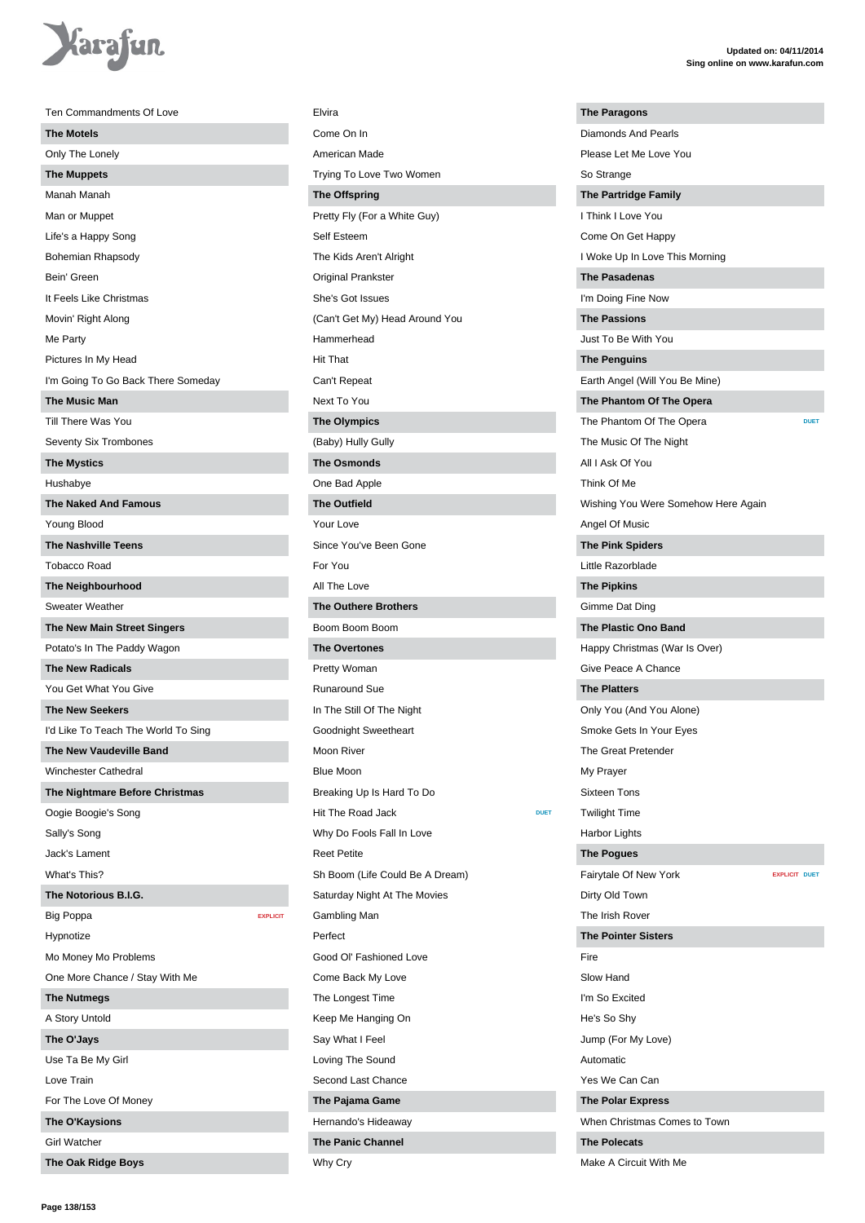

| Ten Commandments Of Love            |
|-------------------------------------|
| <b>The Motels</b>                   |
| Only The Lonely                     |
| <b>The Muppets</b>                  |
| Manah Manah                         |
| Man or Muppet                       |
| Life's a Happy Song                 |
| <b>Bohemian Rhapsody</b>            |
| Bein' Green                         |
| It Feels Like Christmas             |
| Movin' Right Along                  |
| Me Party                            |
| Pictures In My Head                 |
| I'm Going To Go Back There Someday  |
| <b>The Music Man</b>                |
| Till There Was You                  |
| Seventy Six Trombones               |
| <b>The Mystics</b>                  |
| Hushabye                            |
| <b>The Naked And Famous</b>         |
| Young Blood                         |
| <b>The Nashville Teens</b>          |
| <b>Tobacco Road</b>                 |
| <b>The Neighbourhood</b>            |
| <b>Sweater Weather</b>              |
| The New Main Street Singers         |
| Potato's In The Paddy Wagon         |
| <b>The New Radicals</b>             |
| You Get What You Give               |
| <b>The New Seekers</b>              |
| I'd Like To Teach The World To Sing |
| The New Vaudeville Band             |
| <b>Winchester Cathedral</b>         |
| The Nightmare Before Christmas      |
| Oogie Boogie's Song                 |
| Sally's Song                        |
| Jack's Lament                       |
| What's This?                        |
| The Notorious B.I.G.                |
| Big Poppa<br><b>EXPLICIT</b>        |
| Hypnotize                           |
| Mo Money Mo Problems                |
| One More Chance / Stay With Me      |
| <b>The Nutmegs</b>                  |
| A Story Untold                      |
| The O'Jays                          |
| Use Ta Be My Girl                   |
| Love Train                          |
| For The Love Of Money               |
| The O'Kaysions                      |
| <b>Girl Watcher</b>                 |
| The Oak Ridge Boys                  |

Elvira Come On In American Made Trying To Love Two Women **The Offspring** Pretty Fly (For a White Guy) Self Esteem The Kids Aren't Alright Original Prankster She's Got Issues (Can't Get My) Head Around You Hammerhead Hit That Can't Repeat Next To You **The Olympics** (Baby) Hully Gully **The Osmonds** One Bad Apple **The Outfield** Your Love Since You've Been Gone For You All The Love **The Outhere Brothers** Boom Boom Boom **The Overtones** Pretty Woman Runaround Sue In The Still Of The Night Goodnight Sweetheart Moon River Blue Moon Breaking Up Is Hard To Do Hit The Road Jack **DUET** Why Do Fools Fall In Love Reet Petite Sh Boom (Life Could Be A Dream) Saturday Night At The Movies Gambling Man Perfect Good Ol' Fashioned Love Come Back My Love The Longest Time Keep Me Hanging On Say What I Feel Loving The Sound Second Last Chance **The Pajama Game** Hernando's Hideaway **The Panic Channel**

Why Cry

**Updated on: 04/11/2014 Sing online on www.karafun.com**

| <b>The Paragons</b>                 |                      |             |
|-------------------------------------|----------------------|-------------|
| <b>Diamonds And Pearls</b>          |                      |             |
| Please Let Me Love You              |                      |             |
| So Strange                          |                      |             |
| <b>The Partridge Family</b>         |                      |             |
| I Think I Love You                  |                      |             |
| Come On Get Happy                   |                      |             |
| I Woke Up In Love This Morning      |                      |             |
| <b>The Pasadenas</b>                |                      |             |
| I'm Doing Fine Now                  |                      |             |
| <b>The Passions</b>                 |                      |             |
| Just To Be With You                 |                      |             |
| <b>The Penguins</b>                 |                      |             |
| Earth Angel (Will You Be Mine)      |                      |             |
| The Phantom Of The Opera            |                      |             |
| The Phantom Of The Opera            |                      | <b>DUET</b> |
| The Music Of The Night              |                      |             |
| All I Ask Of You                    |                      |             |
| Think Of Me                         |                      |             |
| Wishing You Were Somehow Here Again |                      |             |
| Angel Of Music                      |                      |             |
| <b>The Pink Spiders</b>             |                      |             |
| Little Razorblade                   |                      |             |
| <b>The Pipkins</b>                  |                      |             |
| Gimme Dat Ding                      |                      |             |
| <b>The Plastic Ono Band</b>         |                      |             |
| Happy Christmas (War Is Over)       |                      |             |
| Give Peace A Chance                 |                      |             |
| <b>The Platters</b>                 |                      |             |
| Only You (And You Alone)            |                      |             |
| Smoke Gets In Your Eyes             |                      |             |
| The Great Pretender                 |                      |             |
| My Prayer                           |                      |             |
| <b>Sixteen Tons</b>                 |                      |             |
| <b>Twilight Time</b>                |                      |             |
| Harbor Lights                       |                      |             |
| <b>The Pogues</b>                   |                      |             |
| Fairytale Of New York               | <b>EXPLICIT DUET</b> |             |
| Dirty Old Town                      |                      |             |
| The Irish Rover                     |                      |             |
| <b>The Pointer Sisters</b>          |                      |             |
| Fire                                |                      |             |
| Slow Hand                           |                      |             |
| I'm So Excited                      |                      |             |
| He's So Shy                         |                      |             |
| Jump (For My Love)                  |                      |             |
| Automatic                           |                      |             |
| Yes We Can Can                      |                      |             |
| <b>The Polar Express</b>            |                      |             |
| When Christmas Comes to Town        |                      |             |
| <b>The Polecats</b>                 |                      |             |
| Make A Circuit With Me              |                      |             |
|                                     |                      |             |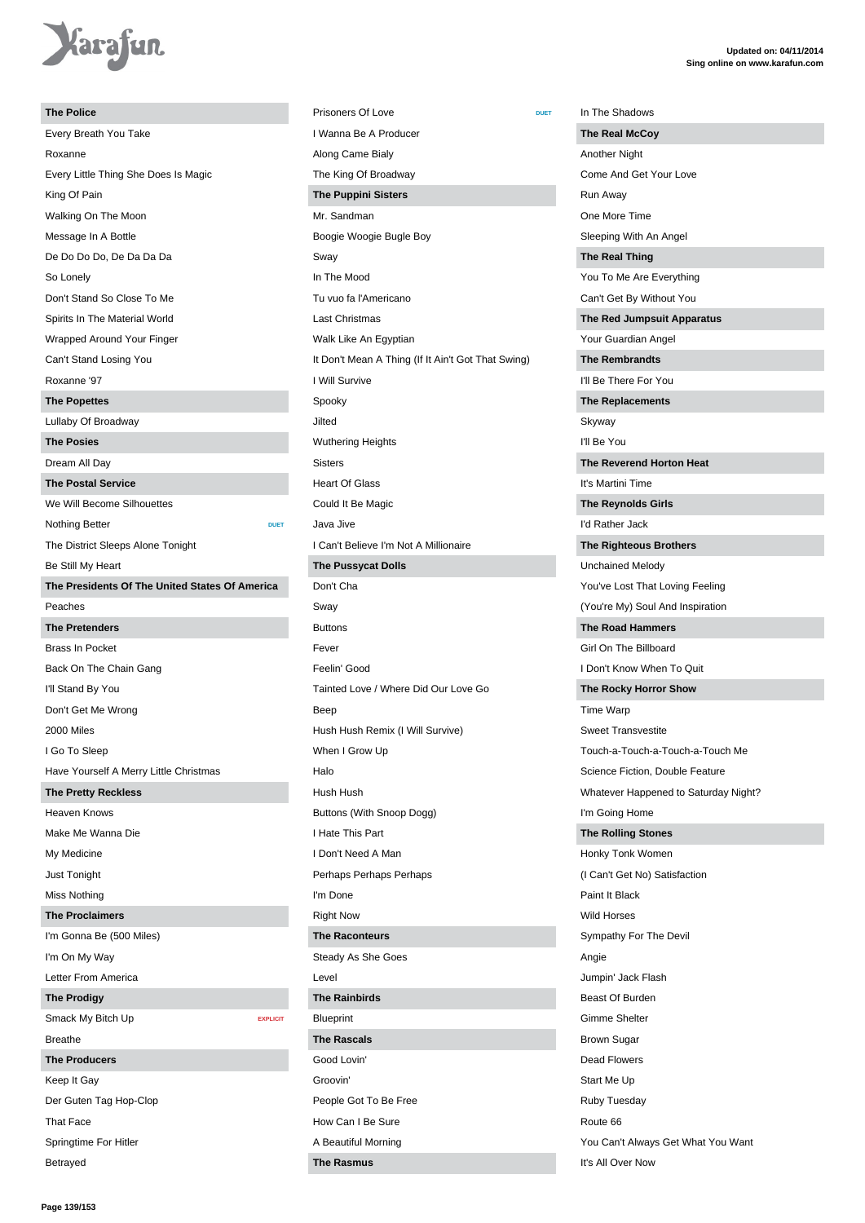

**The Police**

| THE LONGE                                      |
|------------------------------------------------|
| Every Breath You Take                          |
| Roxanne                                        |
| Every Little Thing She Does Is Magic           |
| King Of Pain                                   |
| Walking On The Moon                            |
| Message In A Bottle                            |
| De Do Do Do, De Da Da Da                       |
| So Lonely                                      |
| Don't Stand So Close To Me                     |
| Spirits In The Material World                  |
| Wrapped Around Your Finger                     |
| Can't Stand Losing You                         |
| Roxanne '97                                    |
| <b>The Popettes</b>                            |
| Lullaby Of Broadway                            |
| <b>The Posies</b>                              |
| Dream All Day                                  |
| <b>The Postal Service</b>                      |
| We Will Become Silhouettes                     |
| Nothing Better<br><b>DUET</b>                  |
| The District Sleeps Alone Tonight              |
| Be Still My Heart                              |
| The Presidents Of The United States Of America |
| Peaches                                        |
| <b>The Pretenders</b>                          |
| <b>Brass In Pocket</b>                         |
| Back On The Chain Gang                         |
| I'll Stand By You                              |
| Don't Get Me Wrong                             |
| 2000 Miles                                     |
|                                                |
| I Go To Sleep                                  |
| Have Yourself A Merry Little Christmas         |
| <b>The Pretty Reckless</b>                     |
| <b>Heaven Knows</b>                            |
| Make Me Wanna Die                              |
| My Medicine                                    |
| <b>Just Tonight</b>                            |
| Miss Nothing                                   |
| <b>The Proclaimers</b>                         |
| I'm Gonna Be (500 Miles)                       |
| I'm On My Way                                  |
| Letter From America                            |
| <b>The Prodigy</b>                             |
| Smack My Bitch Up<br><b>EXPLICIT</b>           |
| <b>Breathe</b>                                 |
| <b>The Producers</b>                           |
| Keep It Gay                                    |
| Der Guten Tag Hop-Clop                         |
| That Face                                      |
| Springtime For Hitler                          |

Prisoners Of Love **DUET** I Wanna Be A Producer Along Came Bialy The King Of Broadway **The Puppini Sisters** Mr. Sandman Boogie Woogie Bugle Boy Sway In The Mood Tu vuo fa l'Americano Last Christmas Walk Like An Egyptian It Don't Mean A Thing (If It Ain't Got That Swing) I Will Survive Spooky Jilted Wuthering Heights Sisters Heart Of Glass Could It Be Magic Java Jive I Can't Believe I'm Not A Millionaire **The Pussycat Dolls** Don't Cha Sway Buttons Fever Feelin' Good Tainted Love / Where Did Our Love Go Beep Hush Hush Remix (I Will Survive) When I Grow Up Halo Hush Hush Buttons (With Snoop Dogg) I Hate This Part I Don't Need A Man Perhaps Perhaps Perhaps I'm Done Right Now **The Raconteurs** Steady As She Goes Level **The Rainbirds** Blueprint **The Rascals** Good Lovin' Groovin' People Got To Be Free How Can I Be Sure A Beautiful Morning

**The Rasmus**

You To Me Are Everything Can't Get By Without You **The Red Jumpsuit Apparatus** Your Guardian Angel **The Rembrandts** I'll Be There For You **The Replacements** Skyway I'll Be You **The Reverend Horton Heat** It's Martini Time **The Reynolds Girls** I'd Rather Jack **The Righteous Brothers** Unchained Melody You've Lost That Loving Feeling (You're My) Soul And Inspiration **The Road Hammers** Girl On The Billboard I Don't Know When To Quit **The Rocky Horror Show** Time Warp Sweet Transvestite Touch-a-Touch-a-Touch-a-Touch Me Science Fiction, Double Feature Whatever Happened to Saturday Night? I'm Going Home **The Rolling Stones** Honky Tonk Women (I Can't Get No) Satisfaction Paint It Black Wild Horses Sympathy For The Devil Angie Jumpin' Jack Flash Beast Of Burden Gimme Shelter Brown Sugar Dead Flowers Start Me Up Ruby Tuesday Route 66 You Can't Always Get What You Want

It's All Over Now

In The Shadows **The Real McCoy** Another Night

Run Away One More Time Sleeping With An Angel **The Real Thing**

Come And Get Your Love

Betrayed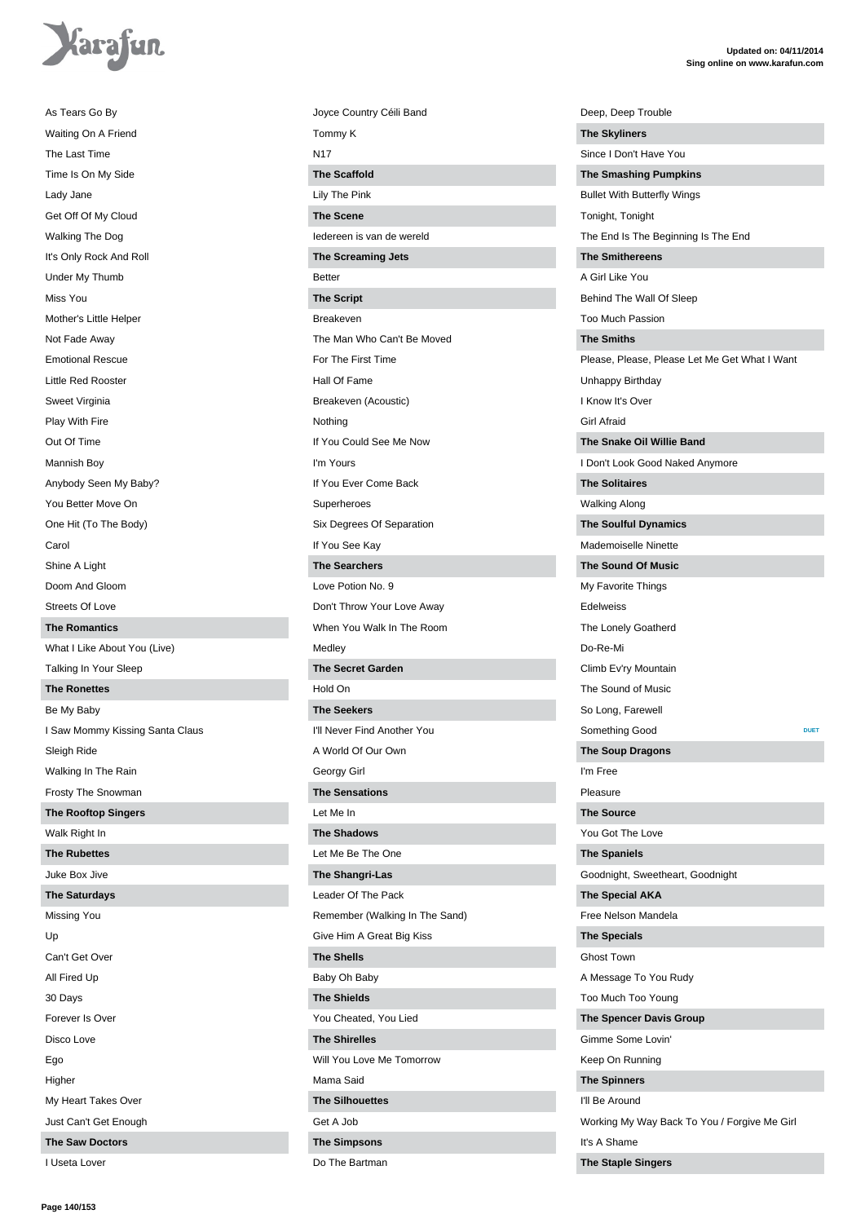

As Tears Go By Waiting On A Friend The Last Time Time Is On My Side Lady Jane Get Off Of My Cloud Walking The Dog It's Only Rock And Roll Under My Thumb Miss You Mother's Little Helper Not Fade Away Emotional Rescue Little Red Rooster Sweet Virginia Play With Fire Out Of Time Mannish Boy Anybody Seen My Baby? You Better Move On One Hit (To The Body) Carol Shine A Light Doom And Gloom Streets Of Love **The Romantics** What I Like About You (Live) Talking In Your Sleep **The Ronettes** Be My Baby I Saw Mommy Kissing Santa Claus Sleigh Ride Walking In The Rain Frosty The Snowman **The Rooftop Singers** Walk Right In **The Rubettes** Juke Box Jive **The Saturdays** Missing You Up Can't Get Over All Fired Up 30 Days Forever Is Over Disco Love Ego Higher My Heart Takes Over Just Can't Get Enough **The Saw Doctors**

I Useta Lover

**Updated on: 04/11/2014 Sing online on www.karafun.com**

Joyce Country Céili Band Tommy K N17 **The Scaffold** Lily The Pink **The Scene** Iedereen is van de wereld **The Screaming Jets** Better **The Script** Breakeven The Man Who Can't Be Moved For The First Time Hall Of Fame Breakeven (Acoustic) Nothing If You Could See Me Now I'm Yours If You Ever Come Back Superheroes Six Degrees Of Separation If You See Kay **The Searchers** Love Potion No. 9 Don't Throw Your Love Away When You Walk In The Room Medley **The Secret Garden** Hold On **The Seekers** I'll Never Find Another You A World Of Our Own Georgy Girl **The Sensations** Let Me In **The Shadows** Let Me Be The One **The Shangri-Las** Leader Of The Pack Remember (Walking In The Sand) Give Him A Great Big Kiss **The Shells** Baby Oh Baby **The Shields** You Cheated, You Lied **The Shirelles** Will You Love Me Tomorrow Mama Said **The Silhouettes** Get A Job **The Simpsons** Do The Bartman

Deep, Deep Trouble **The Skyliners** Since I Don't Have You **The Smashing Pumpkins** Bullet With Butterfly Wings Tonight, Tonight The End Is The Beginning Is The End **The Smithereens** A Girl Like You Behind The Wall Of Sleep Too Much Passion **The Smiths** Please, Please, Please Let Me Get What I Want Unhappy Birthday I Know It's Over Girl Afraid **The Snake Oil Willie Band** I Don't Look Good Naked Anymore **The Solitaires** Walking Along **The Soulful Dynamics** Mademoiselle Ninette **The Sound Of Music** My Favorite Things Edelweiss The Lonely Goatherd Do-Re-Mi Climb Ev'ry Mountain The Sound of Music So Long, Farewell **Something Good The Soup Dragons** I'm Free Pleasure **The Source** You Got The Love **The Spaniels** Goodnight, Sweetheart, Goodnight **The Special AKA** Free Nelson Mandela **The Specials** Ghost Town A Message To You Rudy Too Much Too Young **The Spencer Davis Group** Gimme Some Lovin' Keep On Running **The Spinners** I'll Be Around Working My Way Back To You / Forgive Me Girl It's A Shame **The Staple Singers**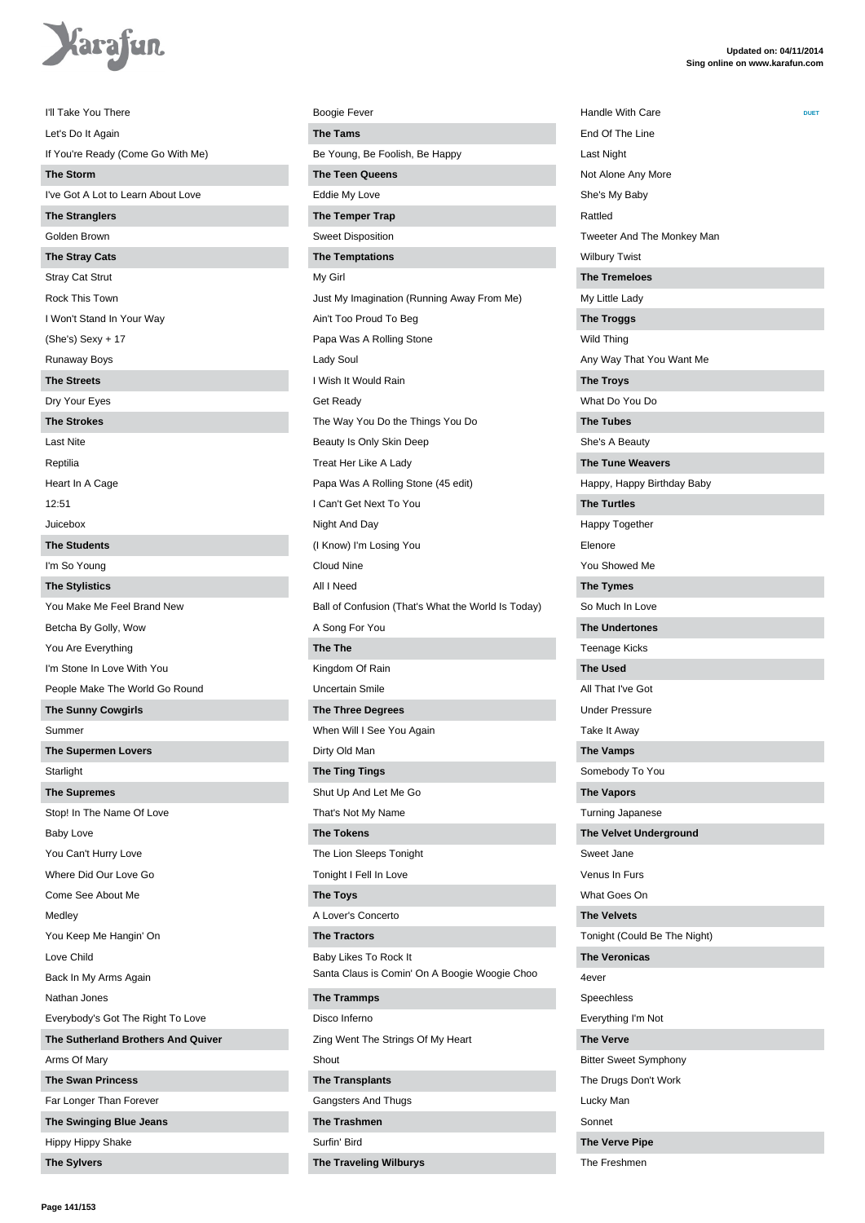

I'll Take You There Let's Do It Again If You're Ready (Come Go With Me) **The Storm** I've Got A Lot to Learn About Love **The Stranglers** Golden Brown **The Stray Cats** Stray Cat Strut Rock This Town I Won't Stand In Your Way (She's) Sexy + 17 Runaway Boys **The Streets** Dry Your Eyes **The Strokes** Last Nite Reptilia Heart In A Cage  $12:51$ Juicebox **The Students** I'm So Young **The Stylistics** You Make Me Feel Brand New Betcha By Golly, Wow You Are Everything I'm Stone In Love With You People Make The World Go Round **The Sunny Cowgirls** Summer **The Supermen Lovers** Starlight **The Supremes** Stop! In The Name Of Love Baby Love You Can't Hurry Love Where Did Our Love Go Come See About Me Medley You Keep Me Hangin' On Love Child Back In My Arms Again Nathan Jones Everybody's Got The Right To Love **The Sutherland Brothers And Quiver** Arms Of Mary **The Swan Princess** Far Longer Than Forever **The Swinging Blue Jeans** Hippy Hippy Shake

Boogie Fever **The Tams** Be Young, Be Foolish, Be Happy **The Teen Queens** Eddie My Love **The Temper Trap** Sweet Disposition **The Temptations** My Girl Just My Imagination (Running Away From Me) Ain't Too Proud To Beg Papa Was A Rolling Stone Lady Soul I Wish It Would Rain Get Ready The Way You Do the Things You Do Beauty Is Only Skin Deep Treat Her Like A Lady Papa Was A Rolling Stone (45 edit) I Can't Get Next To You Night And Day (I Know) I'm Losing You Cloud Nine All I Need Ball of Confusion (That's What the World Is Today) A Song For You **The The** Kingdom Of Rain Uncertain Smile **The Three Degrees** When Will I See You Again Dirty Old Man **The Ting Tings** Shut Up And Let Me Go That's Not My Name **The Tokens** The Lion Sleeps Tonight Tonight I Fell In Love **The Toys** A Lover's Concerto **The Tractors** Baby Likes To Rock It Santa Claus is Comin' On A Boogie Woogie Choo **The Trammps** Disco Inferno Zing Went The Strings Of My Heart Shout **The Transplants** Gangsters And Thugs **The Trashmen** Surfin' Bird

**The Traveling Wilburys**

Handle With Care **DUET** End Of The Line Last Night Not Alone Any More She's My Baby Rattled Tweeter And The Monkey Man Wilbury Twist **The Tremeloes** My Little Lady **The Troggs** Wild Thing Any Way That You Want Me **The Troys** What Do You Do **The Tubes** She's A Beauty **The Tune Weavers** Happy, Happy Birthday Baby **The Turtles** Happy Together Elenore You Showed Me **The Tymes** So Much In Love **The Undertones** Teenage Kicks **The Used** All That I've Got Under Pressure Take It Away **The Vamps** Somebody To You **The Vapors** Turning Japanese **The Velvet Underground** Sweet Jane Venus In Furs What Goes On **The Velvets** Tonight (Could Be The Night) **The Veronicas** 4ever Speechless Everything I'm Not **The Verve** Bitter Sweet Symphony The Drugs Don't Work Lucky Man Sonnet **The Verve Pipe** The Freshmen

**The Sylvers**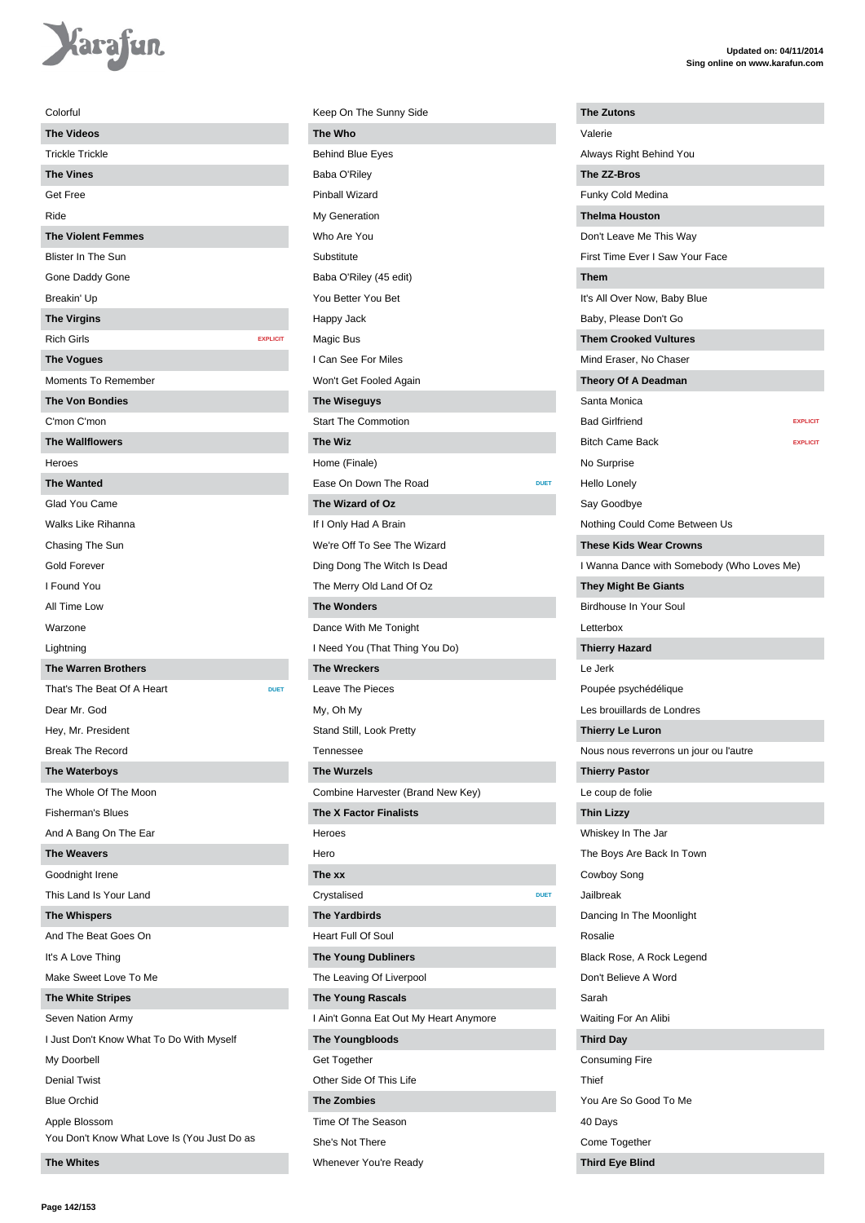

| Colorful                                    |
|---------------------------------------------|
| <b>The Videos</b>                           |
| <b>Trickle Trickle</b>                      |
| <b>The Vines</b>                            |
| Get Free                                    |
| Ride                                        |
| <b>The Violent Femmes</b>                   |
| <b>Blister In The Sun</b>                   |
| Gone Daddy Gone                             |
| Breakin' Up                                 |
| <b>The Virgins</b>                          |
| <b>Rich Girls</b><br><b>EXPLICIT</b>        |
| <b>The Vogues</b>                           |
| <b>Moments To Remember</b>                  |
| <b>The Von Bondies</b>                      |
| C'mon C'mon                                 |
| <b>The Wallflowers</b>                      |
| Heroes                                      |
| <b>The Wanted</b>                           |
| Glad You Came                               |
| Walks Like Rihanna                          |
| Chasing The Sun                             |
| <b>Gold Forever</b>                         |
| I Found You                                 |
| All Time Low                                |
| Warzone                                     |
| Lightning                                   |
| <b>The Warren Brothers</b>                  |
| That's The Beat Of A Heart<br><b>DUET</b>   |
| Dear Mr. God                                |
| Hey, Mr. President                          |
| <b>Break The Record</b>                     |
| <b>The Waterboys</b>                        |
| The Whole Of The Moon                       |
| <b>Fisherman's Blues</b>                    |
| And A Bang On The Ear                       |
| <b>The Weavers</b>                          |
| Goodnight Irene                             |
| This Land Is Your Land                      |
| <b>The Whispers</b>                         |
| And The Beat Goes On                        |
| It's A Love Thing                           |
| Make Sweet Love To Me                       |
| <b>The White Stripes</b>                    |
| Seven Nation Army                           |
| I Just Don't Know What To Do With Myself    |
| My Doorbell                                 |
| <b>Denial Twist</b>                         |
| <b>Blue Orchid</b>                          |
| Apple Blossom                               |
| You Don't Know What Love Is (You Just Do as |
| <b>The Whites</b>                           |

Keep On The Sunny Side **The Who** Behind Blue Eyes Baba O'Riley Pinball Wizard My Generation Who Are You Substitute Baba O'Riley (45 edit) You Better You Bet Happy Jack Magic Bus I Can See For Miles Won't Get Fooled Again **The Wiseguys** Start The Commotion **The Wiz** Home (Finale) Ease On Down The Road **DUET The Wizard of Oz** If I Only Had A Brain We're Off To See The Wizard Ding Dong The Witch Is Dead The Merry Old Land Of Oz **The Wonders** Dance With Me Tonight I Need You (That Thing You Do) **The Wreckers** Leave The Pieces My, Oh My Stand Still, Look Pretty Tennessee **The Wurzels** Combine Harvester (Brand New Key) **The X Factor Finalists** Heroes Hero **The xx** Crystalised **DUET The Yardbirds** Heart Full Of Soul **The Young Dubliners** The Leaving Of Liverpool **The Young Rascals** I Ain't Gonna Eat Out My Heart Anymore **The Youngbloods** Get Together Other Side Of This Life **The Zombies** Time Of The Season She's Not There

Whenever You're Ready

| <b>The Zutons</b>                          |                 |
|--------------------------------------------|-----------------|
| Valerie                                    |                 |
| Always Right Behind You                    |                 |
| The ZZ-Bros                                |                 |
| Funky Cold Medina                          |                 |
| <b>Thelma Houston</b>                      |                 |
| Don't Leave Me This Way                    |                 |
| First Time Ever I Saw Your Face            |                 |
| Them                                       |                 |
| It's All Over Now, Baby Blue               |                 |
| Baby, Please Don't Go                      |                 |
| <b>Them Crooked Vultures</b>               |                 |
| Mind Eraser, No Chaser                     |                 |
| Theory Of A Deadman                        |                 |
| Santa Monica                               |                 |
| <b>Bad Girlfriend</b>                      | <b>EXPLICIT</b> |
| <b>Bitch Came Back</b>                     | <b>EXPLICIT</b> |
| No Surprise                                |                 |
| <b>Hello Lonely</b>                        |                 |
| Say Goodbye                                |                 |
| Nothing Could Come Between Us              |                 |
| <b>These Kids Wear Crowns</b>              |                 |
| I Wanna Dance with Somebody (Who Loves Me) |                 |
| <b>They Might Be Giants</b>                |                 |
| Birdhouse In Your Soul                     |                 |
| Letterbox                                  |                 |
| <b>Thierry Hazard</b>                      |                 |
| Le Jerk                                    |                 |
| Poupée psychédélique                       |                 |
| Les brouillards de Londres                 |                 |
| Thierry Le Luron                           |                 |
| Nous nous reverrons un jour ou l'autre     |                 |
| <b>Thierry Pastor</b>                      |                 |
| Le coup de folie                           |                 |
| <b>Thin Lizzy</b>                          |                 |
| Whiskey In The Jar                         |                 |
| The Boys Are Back In Town                  |                 |
| Cowboy Song                                |                 |
| Jailbreak                                  |                 |
| Dancing In The Moonlight                   |                 |
| Rosalie                                    |                 |
| Black Rose, A Rock Legend                  |                 |
| Don't Believe A Word                       |                 |
| Sarah                                      |                 |
| Waiting For An Alibi                       |                 |
| <b>Third Day</b>                           |                 |
| Consuming Fire                             |                 |
| Thief                                      |                 |
| You Are So Good To Me                      |                 |
| 40 Days                                    |                 |
| Come Together                              |                 |
| <b>Third Eye Blind</b>                     |                 |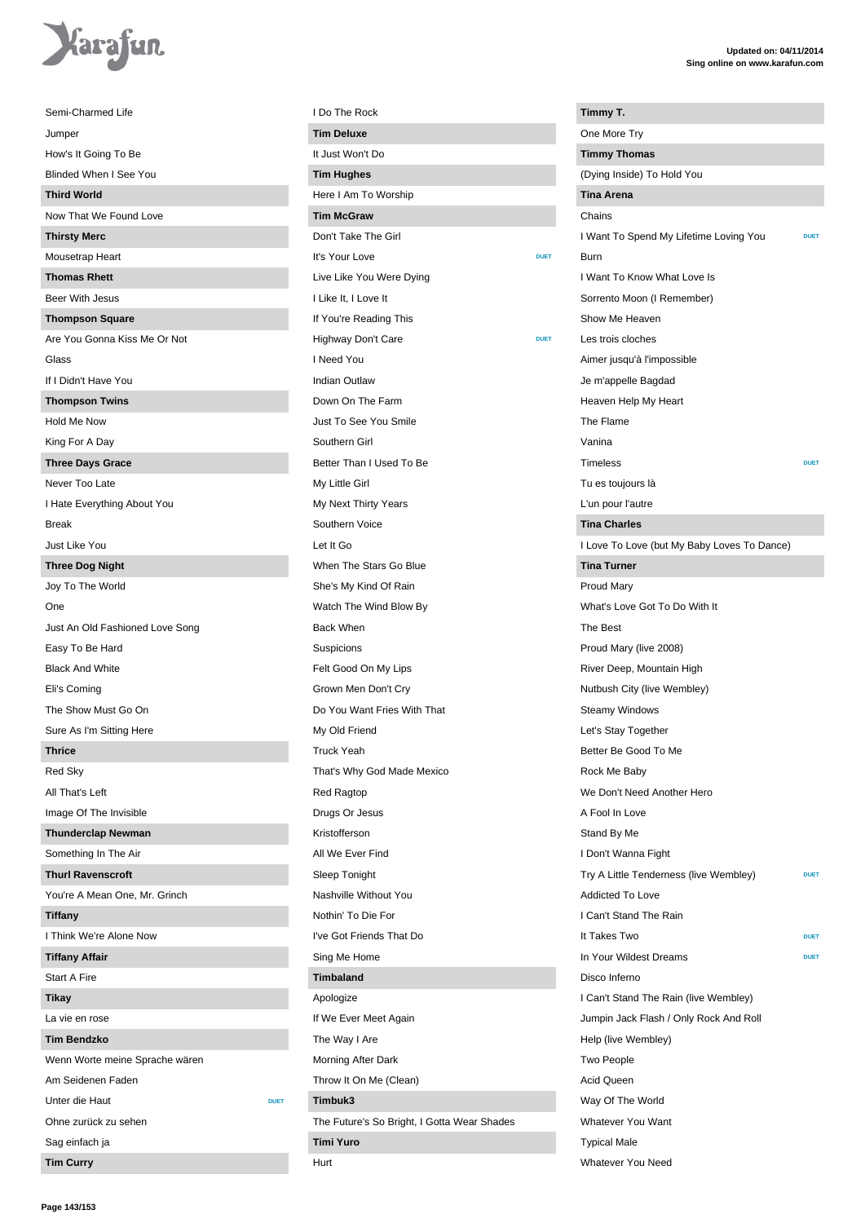

| Semi-Charmed Life               |             |
|---------------------------------|-------------|
| Jumper                          |             |
| How's It Going To Be            |             |
| <b>Blinded When I See You</b>   |             |
| <b>Third World</b>              |             |
| Now That We Found Love          |             |
| <b>Thirsty Merc</b>             |             |
| Mousetrap Heart                 |             |
| <b>Thomas Rhett</b>             |             |
| <b>Beer With Jesus</b>          |             |
| <b>Thompson Square</b>          |             |
| Are You Gonna Kiss Me Or Not    |             |
| Glass                           |             |
| If I Didn't Have You            |             |
| <b>Thompson Twins</b>           |             |
| Hold Me Now                     |             |
| King For A Day                  |             |
| <b>Three Days Grace</b>         |             |
| Never Too Late                  |             |
| I Hate Everything About You     |             |
| <b>Break</b>                    |             |
| Just Like You                   |             |
| <b>Three Dog Night</b>          |             |
| Joy To The World                |             |
| One                             |             |
| Just An Old Fashioned Love Song |             |
| Easy To Be Hard                 |             |
| <b>Black And White</b>          |             |
| Eli's Coming                    |             |
| The Show Must Go On             |             |
| Sure As I'm Sitting Here        |             |
| <b>Thrice</b>                   |             |
| <b>Red Sky</b>                  |             |
| All That's Left                 |             |
| Image Of The Invisible          |             |
| <b>Thunderclap Newman</b>       |             |
| Something In The Air            |             |
| <b>Thurl Ravenscroft</b>        |             |
| You're A Mean One, Mr. Grinch   |             |
| Tiffany                         |             |
| I Think We're Alone Now         |             |
| <b>Tiffany Affair</b>           |             |
| <b>Start A Fire</b>             |             |
| Tikay                           |             |
| La vie en rose                  |             |
| <b>Tim Bendzko</b>              |             |
| Wenn Worte meine Sprache wären  |             |
| Am Seidenen Faden               |             |
| Unter die Haut                  | <b>DUET</b> |
| Ohne zurück zu sehen            |             |
| Sag einfach ja                  |             |
| <b>Tim Curry</b>                |             |

| I Do The Rock                               |             |
|---------------------------------------------|-------------|
| <b>Tim Deluxe</b>                           |             |
| It Just Won't Do                            |             |
| <b>Tim Hughes</b>                           |             |
| Here I Am To Worship                        |             |
| <b>Tim McGraw</b>                           |             |
| Don't Take The Girl                         |             |
| It's Your Love                              | <b>DUET</b> |
| Live Like You Were Dying                    |             |
| I Like It, I Love It                        |             |
| If You're Reading This                      |             |
| Highway Don't Care                          | <b>DUET</b> |
| I Need You                                  |             |
| <b>Indian Outlaw</b>                        |             |
| Down On The Farm                            |             |
| Just To See You Smile                       |             |
| Southern Girl                               |             |
| Better Than I Used To Be                    |             |
| My Little Girl                              |             |
| My Next Thirty Years                        |             |
| Southern Voice                              |             |
| Let It Go                                   |             |
| When The Stars Go Blue                      |             |
| She's My Kind Of Rain                       |             |
| Watch The Wind Blow By                      |             |
| <b>Back When</b>                            |             |
| Suspicions                                  |             |
| Felt Good On My Lips                        |             |
| Grown Men Don't Cry                         |             |
| Do You Want Fries With That                 |             |
| My Old Friend                               |             |
| <b>Truck Yeah</b>                           |             |
| That's Why God Made Mexico                  |             |
| Red Ragtop                                  |             |
| Drugs Or Jesus                              |             |
| Kristofferson                               |             |
| All We Ever Find                            |             |
| Sleep Tonight                               |             |
| Nashville Without You                       |             |
| Nothin' To Die For                          |             |
| I've Got Friends That Do                    |             |
|                                             |             |
| Sing Me Home<br><b>Timbaland</b>            |             |
|                                             |             |
| Apologize                                   |             |
| If We Ever Meet Again                       |             |
| The Way I Are                               |             |
| Morning After Dark                          |             |
| Throw It On Me (Clean)                      |             |
| Timbuk3                                     |             |
| The Future's So Bright, I Gotta Wear Shades |             |
| <b>Timi Yuro</b>                            |             |
| Hurt                                        |             |

### **Updated on: 04/11/2014 Sing online on www.karafun.com**

| Timmy T.                                    |             |
|---------------------------------------------|-------------|
| One More Try                                |             |
| <b>Timmy Thomas</b>                         |             |
| (Dying Inside) To Hold You                  |             |
| <b>Tina Arena</b>                           |             |
| Chains                                      |             |
| I Want To Spend My Lifetime Loving You      | <b>DUET</b> |
| Burn                                        |             |
| I Want To Know What Love Is                 |             |
| Sorrento Moon (I Remember)                  |             |
| Show Me Heaven                              |             |
| Les trois cloches                           |             |
| Aimer jusqu'à l'impossible                  |             |
| Je m'appelle Bagdad                         |             |
| Heaven Help My Heart                        |             |
| The Flame                                   |             |
| Vanina                                      |             |
| <b>Timeless</b>                             | <b>DUET</b> |
| Tu es toujours là                           |             |
| L'un pour l'autre                           |             |
| <b>Tina Charles</b>                         |             |
| I Love To Love (but My Baby Loves To Dance) |             |
| <b>Tina Turner</b>                          |             |
| <b>Proud Mary</b>                           |             |
| What's Love Got To Do With It               |             |
| The Best                                    |             |
| Proud Mary (live 2008)                      |             |
| River Deep, Mountain High                   |             |
| Nutbush City (live Wembley)                 |             |
| <b>Steamy Windows</b>                       |             |
| Let's Stay Together                         |             |
| Better Be Good To Me                        |             |
| Rock Me Baby                                |             |
| We Don't Need Another Hero                  |             |
| A Fool In Love                              |             |
| Stand By Me                                 |             |
| I Don't Wanna Fight                         |             |
| Try A Little Tenderness (live Wembley)      | <b>DUET</b> |
| <b>Addicted To Love</b>                     |             |
| I Can't Stand The Rain                      |             |
| It Takes Two                                | <b>DUET</b> |
| In Your Wildest Dreams                      | <b>DUET</b> |
| Disco Inferno                               |             |
| I Can't Stand The Rain (live Wembley)       |             |
| Jumpin Jack Flash / Only Rock And Roll      |             |
| Help (live Wembley)                         |             |
| <b>Two People</b>                           |             |
| Acid Queen                                  |             |
| Way Of The World                            |             |
| <b>Whatever You Want</b>                    |             |
| Typical Male                                |             |
| Whatever You Need                           |             |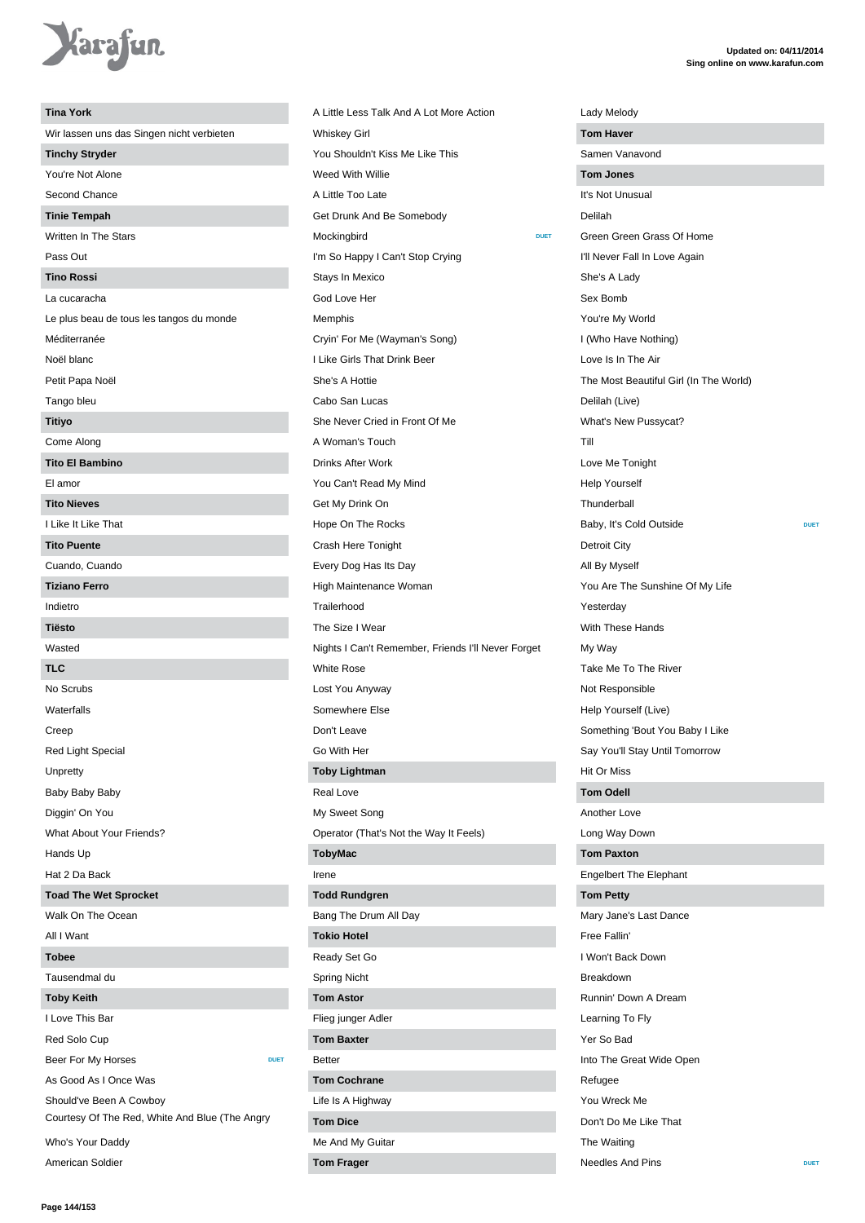

| <b>Tina York</b>                                                          |
|---------------------------------------------------------------------------|
| Wir lassen uns das Singen nicht verbieten                                 |
| <b>Tinchy Stryder</b>                                                     |
| You're Not Alone                                                          |
| Second Chance                                                             |
| <b>Tinie Tempah</b>                                                       |
| Written In The Stars                                                      |
| Pass Out                                                                  |
| <b>Tino Rossi</b>                                                         |
| La cucaracha                                                              |
| Le plus beau de tous les tangos du monde                                  |
| Méditerranée                                                              |
| Noël blanc                                                                |
| Petit Papa Noël                                                           |
| Tango bleu                                                                |
| <b>Titiyo</b>                                                             |
| Come Along                                                                |
| <b>Tito El Bambino</b>                                                    |
| El amor                                                                   |
| <b>Tito Nieves</b>                                                        |
| I Like It Like That                                                       |
| <b>Tito Puente</b>                                                        |
| Cuando, Cuando                                                            |
| <b>Tiziano Ferro</b>                                                      |
| Indietro                                                                  |
| <b>Tiësto</b>                                                             |
|                                                                           |
| Wasted                                                                    |
| <b>TLC</b>                                                                |
| No Scrubs                                                                 |
| Waterfalls                                                                |
| Creep                                                                     |
| Red Light Special                                                         |
| Unpretty                                                                  |
| Baby Baby Baby                                                            |
| Diggin' On You                                                            |
| What About Your Friends?                                                  |
| Hands Up                                                                  |
| Hat 2 Da Back                                                             |
| <b>Toad The Wet Sprocket</b>                                              |
| Walk On The Ocean                                                         |
| All I Want                                                                |
| <b>Tobee</b>                                                              |
| Tausendmal du                                                             |
| <b>Toby Keith</b>                                                         |
| I Love This Bar                                                           |
| Red Solo Cup                                                              |
| Beer For My Horses<br><b>DUET</b>                                         |
| As Good As I Once Was                                                     |
| Should've Been A Cowboy<br>Courtesy Of The Red, White And Blue (The Angry |
| Who's Your Daddy                                                          |

A Little Less Talk And A Lot More Action Whiskey Girl You Shouldn't Kiss Me Like This Weed With Willie A Little Too Late Get Drunk And Be Somebody **Mockingbird** DUET I'm So Happy I Can't Stop Crying Stays In Mexico God Love Her Memphis Cryin' For Me (Wayman's Song) I Like Girls That Drink Beer She's A Hottie Cabo San Lucas She Never Cried in Front Of Me A Woman's Touch Drinks After Work You Can't Read My Mind Get My Drink On Hope On The Rocks Crash Here Tonight Every Dog Has Its Day High Maintenance Woman Trailerhood The Size I Wear Nights I Can't Remember, Friends I'll Never Forget White Rose Lost You Anyway Somewhere Else Don't Leave Go With Her **Toby Lightman** Real Love My Sweet Song Operator (That's Not the Way It Feels) **TobyMac** Irene **Todd Rundgren** Bang The Drum All Day **Tokio Hotel** Ready Set Go Spring Nicht **Tom Astor** Flieg junger Adler **Tom Baxter** Better **Tom Cochrane** Life Is A Highway **Tom Dice** Me And My Guitar

**Tom Frager**

Lady Melody **Tom Haver** Samen Vanavond **Tom Jones** It's Not Unusual Delilah Green Green Grass Of Home I'll Never Fall In Love Again She's A Lady Sex Bomb You're My World I (Who Have Nothing) Love Is In The Air The Most Beautiful Girl (In The World) Delilah (Live) What's New Pussycat? Till Love Me Tonight Help Yourself **Thunderball** Baby, It's Cold Outside **DUET** Detroit City All By Myself You Are The Sunshine Of My Life Yesterday With These Hands My Way Take Me To The River Not Responsible Help Yourself (Live) Something 'Bout You Baby I Like Say You'll Stay Until Tomorrow Hit Or Miss **Tom Odell** Another Love Long Way Down **Tom Paxton** Engelbert The Elephant **Tom Petty** Mary Jane's Last Dance Free Fallin' I Won't Back Down Breakdown Runnin' Down A Dream Learning To Fly Yer So Bad Into The Great Wide Open Refugee You Wreck Me Don't Do Me Like That The Waiting **Needles And Pins DUET**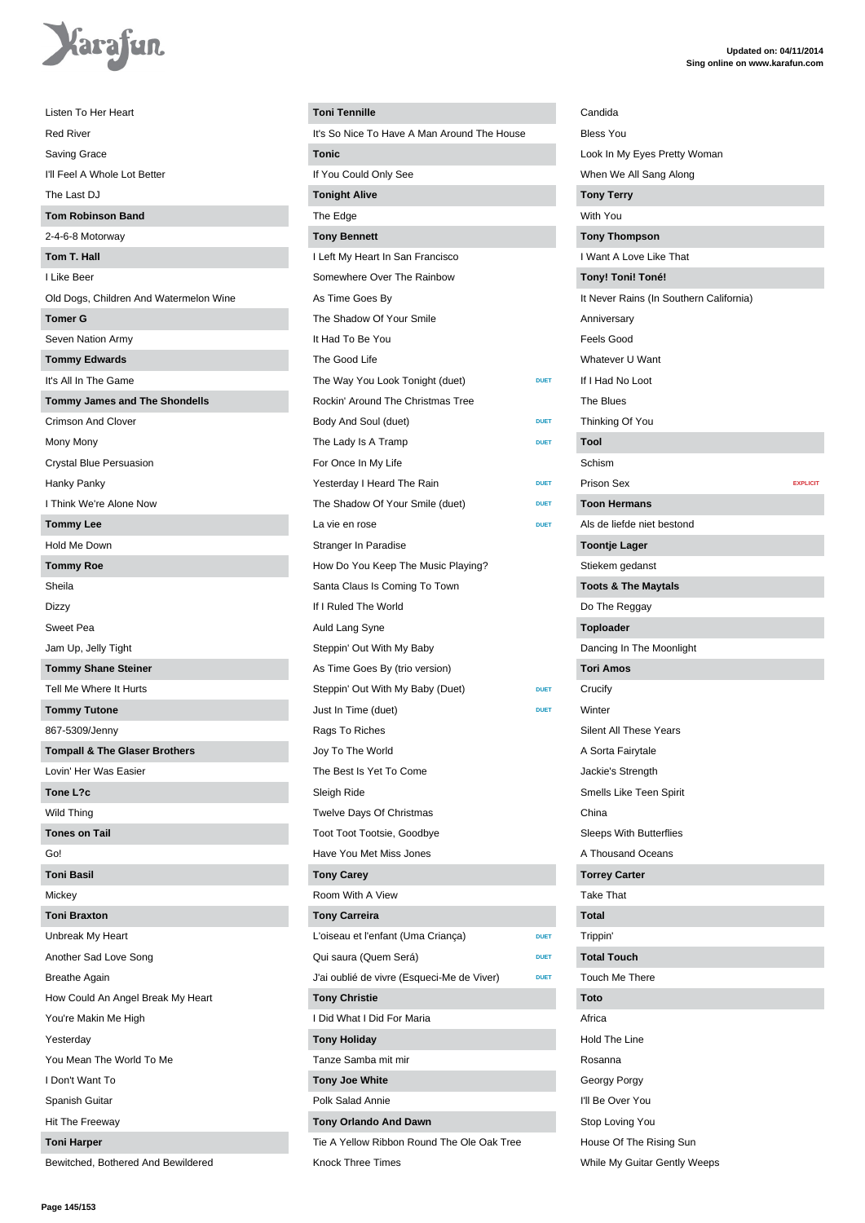

| Listen To Her Heart                      |
|------------------------------------------|
| <b>Red River</b>                         |
| <b>Saving Grace</b>                      |
| I'll Feel A Whole Lot Better             |
| The Last DJ                              |
| <b>Tom Robinson Band</b>                 |
| 2-4-6-8 Motorway                         |
| Tom T. Hall                              |
| I Like Beer                              |
| Old Dogs, Children And Watermelon Wine   |
| <b>Tomer G</b>                           |
| Seven Nation Army                        |
| <b>Tommy Edwards</b>                     |
| It's All In The Game                     |
| <b>Tommy James and The Shondells</b>     |
| <b>Crimson And Clover</b>                |
| Mony Mony                                |
| <b>Crystal Blue Persuasion</b>           |
| Hanky Panky                              |
| I Think We're Alone Now                  |
| <b>Tommy Lee</b>                         |
| Hold Me Down                             |
| <b>Tommy Roe</b>                         |
| Sheila                                   |
| Dizzy                                    |
| Sweet Pea                                |
| Jam Up, Jelly Tight                      |
| <b>Tommy Shane Steiner</b>               |
| Tell Me Where It Hurts                   |
| <b>Tommy Tutone</b>                      |
| 867-5309/Jenny                           |
| <b>Tompall &amp; The Glaser Brothers</b> |
| Lovin' Her Was Easier                    |
| Tone L?c                                 |
| Wild Thing                               |
| <b>Tones on Tail</b>                     |
| Go!                                      |
| <b>Toni Basil</b>                        |
| Mickey                                   |
| <b>Toni Braxton</b>                      |
| Unbreak My Heart                         |
| Another Sad Love Song                    |
| <b>Breathe Again</b>                     |
| How Could An Angel Break My Heart        |
| You're Makin Me High                     |
| Yesterday                                |
| You Mean The World To Me                 |
| I Don't Want To                          |
| Spanish Guitar                           |
| <b>Hit The Freeway</b>                   |
| <b>Toni Harper</b>                       |
| Bewitched, Bothered And Bewildered       |

| <b>Toni Tennille</b>                        |             |
|---------------------------------------------|-------------|
| It's So Nice To Have A Man Around The House |             |
| Tonic                                       |             |
| If You Could Only See                       |             |
| <b>Tonight Alive</b>                        |             |
| The Edge                                    |             |
| <b>Tony Bennett</b>                         |             |
| I Left My Heart In San Francisco            |             |
| Somewhere Over The Rainbow                  |             |
| As Time Goes By                             |             |
| The Shadow Of Your Smile                    |             |
| It Had To Be You                            |             |
| The Good Life                               |             |
| The Way You Look Tonight (duet)             | <b>DUET</b> |
| Rockin' Around The Christmas Tree           |             |
| Body And Soul (duet)                        | <b>DUET</b> |
| The Lady Is A Tramp                         | <b>DUET</b> |
| For Once In My Life                         |             |
| Yesterday I Heard The Rain                  | <b>DUET</b> |
| The Shadow Of Your Smile (duet)             | <b>DUET</b> |
| La vie en rose                              | <b>DUET</b> |
| Stranger In Paradise                        |             |
| How Do You Keep The Music Playing?          |             |
| Santa Claus Is Coming To Town               |             |
| If I Ruled The World                        |             |
| Auld Lang Syne                              |             |
| Steppin' Out With My Baby                   |             |
| As Time Goes By (trio version)              |             |
| Steppin' Out With My Baby (Duet)            | <b>DUET</b> |
| Just In Time (duet)                         | <b>DUET</b> |
| Rags To Riches                              |             |
| Joy To The World                            |             |
| The Best Is Yet To Come                     |             |
| Sleigh Ride                                 |             |
| <b>Twelve Days Of Christmas</b>             |             |
| Toot Toot Tootsie, Goodbye                  |             |
| Have You Met Miss Jones                     |             |
| <b>Tony Carey</b>                           |             |
| Room With A View                            |             |
| <b>Tony Carreira</b>                        |             |
| L'oiseau et l'enfant (Uma Criança)          | <b>DUET</b> |
| Qui saura (Quem Será)                       | <b>DUET</b> |
| J'ai oublié de vivre (Esqueci-Me de Viver)  | <b>DUET</b> |
| <b>Tony Christie</b>                        |             |
| I Did What I Did For Maria                  |             |
| <b>Tony Holiday</b>                         |             |
| Tanze Samba mit mir                         |             |
| <b>Tony Joe White</b>                       |             |
| Polk Salad Annie                            |             |
| <b>Tony Orlando And Dawn</b>                |             |
| Tie A Yellow Ribbon Round The Ole Oak Tree  |             |
| Knock Three Times                           |             |

| Candida                                 |                 |
|-----------------------------------------|-----------------|
| <b>Bless You</b>                        |                 |
| Look In My Eyes Pretty Woman            |                 |
| When We All Sang Along                  |                 |
| <b>Tony Terry</b>                       |                 |
| With You                                |                 |
| <b>Tony Thompson</b>                    |                 |
| I Want A Love Like That                 |                 |
| <b>Tony! Toni! Toné!</b>                |                 |
| It Never Rains (In Southern California) |                 |
| Anniversary                             |                 |
| <b>Feels Good</b>                       |                 |
| Whatever U Want                         |                 |
| If I Had No Loot                        |                 |
| <b>The Blues</b>                        |                 |
| Thinking Of You                         |                 |
| Tool                                    |                 |
| Schism                                  |                 |
| Prison Sex                              | <b>EXPLICIT</b> |
| <b>Toon Hermans</b>                     |                 |
| Als de liefde niet bestond              |                 |
| <b>Toontje Lager</b>                    |                 |
| Stiekem gedanst                         |                 |
| <b>Toots &amp; The Maytals</b>          |                 |
| Do The Reggay                           |                 |
| <b>Toploader</b>                        |                 |
| Dancing In The Moonlight                |                 |
| <b>Tori Amos</b>                        |                 |
| Crucify                                 |                 |
| Winter                                  |                 |
| <b>Silent All These Years</b>           |                 |
| A Sorta Fairytale                       |                 |
| Jackie's Strength                       |                 |
| <b>Smells Like Teen Spirit</b>          |                 |
| China                                   |                 |
| <b>Sleeps With Butterflies</b>          |                 |
| A Thousand Oceans                       |                 |
| <b>Torrey Carter</b>                    |                 |
| <b>Take That</b>                        |                 |
| <b>Total</b>                            |                 |
| Trippin'                                |                 |
| <b>Total Touch</b>                      |                 |
| <b>Touch Me There</b>                   |                 |
| <b>Toto</b>                             |                 |
| Africa                                  |                 |
| <b>Hold The Line</b>                    |                 |
| Rosanna                                 |                 |
| Georgy Porgy                            |                 |
| I'll Be Over You                        |                 |
| Stop Loving You                         |                 |
| House Of The Rising Sun                 |                 |
| While My Guitar Gently Weeps            |                 |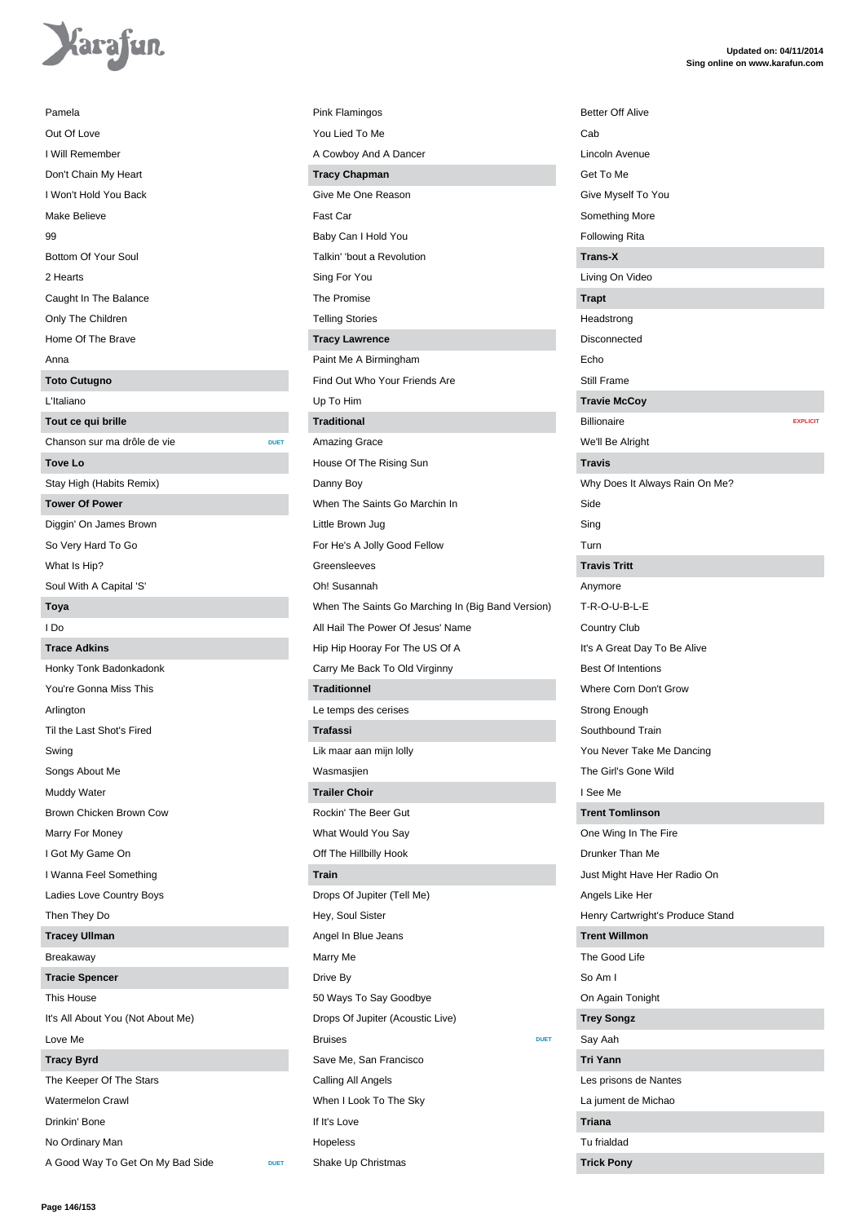

| Pamela                                           |             |
|--------------------------------------------------|-------------|
| Out Of Love                                      |             |
| I Will Remember                                  |             |
| Don't Chain My Heart                             |             |
| I Won't Hold You Back                            |             |
| <b>Make Believe</b>                              |             |
| 99                                               |             |
| Bottom Of Your Soul                              |             |
| 2 Hearts                                         |             |
| Caught In The Balance                            |             |
| Only The Children                                |             |
| Home Of The Brave                                |             |
| Anna                                             |             |
| <b>Toto Cutugno</b>                              |             |
| L'Italiano                                       |             |
| Tout ce qui brille                               |             |
| Chanson sur ma drôle de vie                      | <b>DUET</b> |
| <b>Tove Lo</b>                                   |             |
| Stay High (Habits Remix)                         |             |
| <b>Tower Of Power</b>                            |             |
| Diggin' On James Brown                           |             |
| So Very Hard To Go                               |             |
| What Is Hip?                                     |             |
| Soul With A Capital 'S'                          |             |
| Toya                                             |             |
| I Do                                             |             |
| <b>Trace Adkins</b>                              |             |
|                                                  |             |
|                                                  |             |
| Honky Tonk Badonkadonk<br>You're Gonna Miss This |             |
|                                                  |             |
| Arlington<br>Til the Last Shot's Fired           |             |
|                                                  |             |
| Swing                                            |             |
| Songs About Me                                   |             |
| Muddy Water<br>Brown Chicken Brown Cow           |             |
| Marry For Money                                  |             |
| I Got My Game On                                 |             |
| I Wanna Feel Something                           |             |
| Ladies Love Country Boys                         |             |
| Then They Do                                     |             |
| <b>Tracey Ullman</b>                             |             |
| Breakaway                                        |             |
| <b>Tracie Spencer</b>                            |             |
| This House                                       |             |
|                                                  |             |
| It's All About You (Not About Me)<br>Love Me     |             |
| <b>Tracy Byrd</b>                                |             |
| The Keeper Of The Stars                          |             |
| <b>Watermelon Crawl</b>                          |             |
| Drinkin' Bone                                    |             |
| No Ordinary Man                                  |             |

Better Off Alive

Lincoln Avenue Get To Me

Give Myself To You Something More Following Rita **Trans-X**

Cab

Pink Flamingos You Lied To Me A Cowboy And A Dancer **Tracy Chapman** Give Me One Reason Fast Car Baby Can I Hold You Talkin' 'bout a Revolution Sing For You The Promise Telling Stories **Tracy Lawrence** Paint Me A Birmingham Find Out Who Your Friends Are Up To Him **Traditional** Amazing Grace House Of The Rising Sun Danny Boy When The Saints Go Marchin In Little Brown Jug For He's A Jolly Good Fellow Greensleeves Oh! Susannah When The Saints Go Marching In (Big Band Version) All Hail The Power Of Jesus' Name Hip Hip Hooray For The US Of A Carry Me Back To Old Virginny **Traditionnel** Le temps des cerises **Trafassi** Lik maar aan mijn lolly Wasmasjien **Trailer Choir** Rockin' The Beer Gut What Would You Say Off The Hillbilly Hook **Train** Drops Of Jupiter (Tell Me) Hey, Soul Sister Angel In Blue Jeans Marry Me Drive By 50 Ways To Say Goodbye Drops Of Jupiter (Acoustic Live) **Bruises DUET** Save Me, San Francisco Calling All Angels When I Look To The Sky If It's Love Hopeless

Shake Up Christmas

Living On Video **Trapt** Headstrong Disconnected Echo Still Frame **Travie McCoy** Billionaire **EXPLICIT** We'll Be Alright **Travis** Why Does It Always Rain On Me? Side Sing Turn **Travis Tritt** Anymore T-R-O-U-B-L-E Country Club It's A Great Day To Be Alive Best Of Intentions Where Corn Don't Grow Strong Enough Southbound Train You Never Take Me Dancing The Girl's Gone Wild I See Me **Trent Tomlinson** One Wing In The Fire Drunker Than Me Just Might Have Her Radio On Angels Like Her Henry Cartwright's Produce Stand **Trent Willmon** The Good Life So Am I On Again Tonight **Trey Songz** Say Aah **Tri Yann** Les prisons de Nantes La jument de Michao **Triana** Tu frialdad **Trick Pony**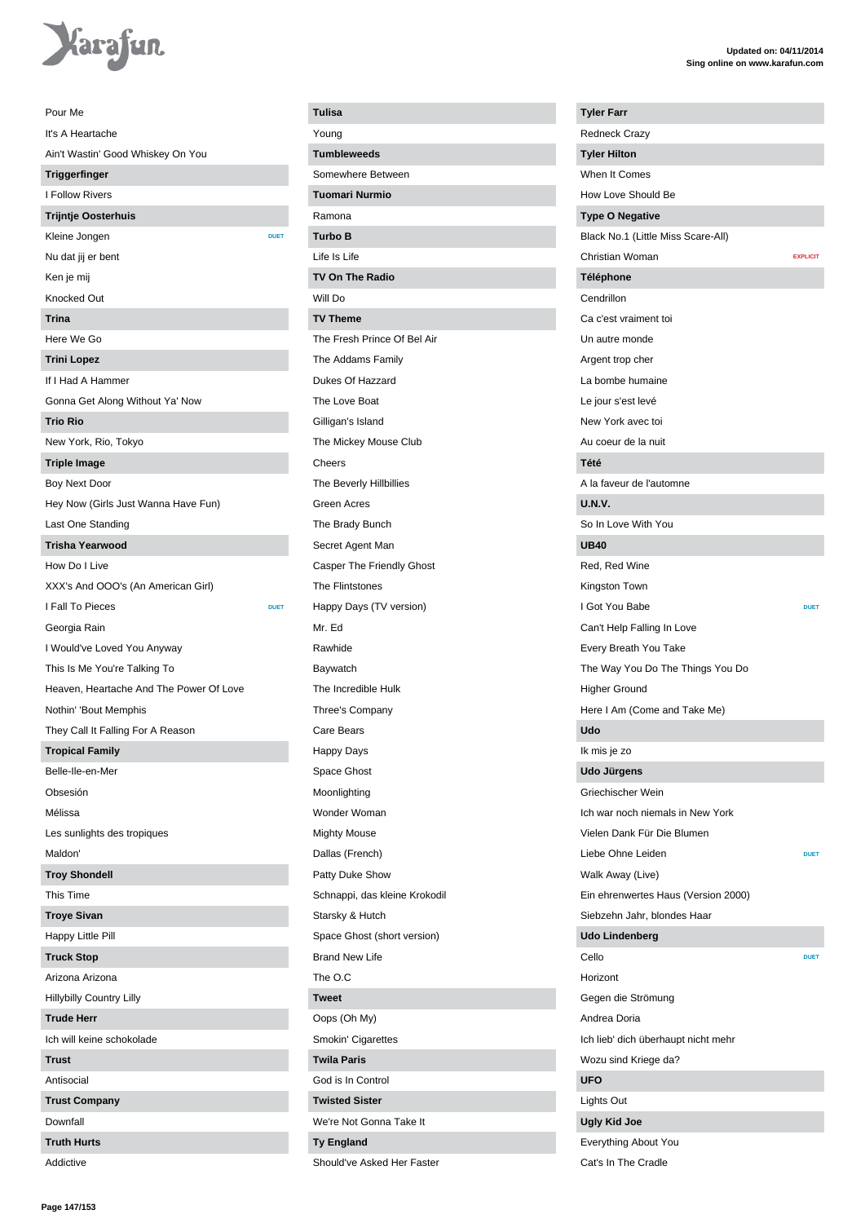

| Pour Me                                 |
|-----------------------------------------|
| It's A Heartache                        |
| Ain't Wastin' Good Whiskey On You       |
| <b>Triggerfinger</b>                    |
| I Follow Rivers                         |
| <b>Trijntje Oosterhuis</b>              |
| Kleine Jongen<br><b>DUET</b>            |
| Nu dat jij er bent                      |
| Ken je mij                              |
| Knocked Out                             |
| <b>Trina</b>                            |
| Here We Go                              |
| Trini Lopez                             |
| If I Had A Hammer                       |
| Gonna Get Along Without Ya' Now         |
| <b>Trio Rio</b>                         |
| New York, Rio, Tokyo                    |
| <b>Triple Image</b>                     |
| Boy Next Door                           |
| Hey Now (Girls Just Wanna Have Fun)     |
| Last One Standing                       |
| <b>Trisha Yearwood</b>                  |
| How Do I Live                           |
| XXX's And OOO's (An American Girl)      |
| I Fall To Pieces<br><b>DUET</b>         |
| Georgia Rain                            |
| I Would've Loved You Anyway             |
| This Is Me You're Talking To            |
| Heaven, Heartache And The Power Of Love |
| Nothin' 'Bout Memphis                   |
| They Call It Falling For A Reason       |
| <b>Tropical Family</b>                  |
| Belle-Ile-en-Mer                        |
| Obsesión                                |
| Mélissa                                 |
| Les sunlights des tropiques             |
| Maldon'                                 |
| <b>Troy Shondell</b>                    |
| This Time                               |
| <b>Troye Sivan</b>                      |
| Happy Little Pill                       |
| <b>Truck Stop</b>                       |
| Arizona Arizona                         |
| <b>Hillybilly Country Lilly</b>         |
| <b>Trude Herr</b>                       |
| Ich will keine schokolade               |
| <b>Trust</b>                            |
| Antisocial                              |
| <b>Trust Company</b>                    |
| Downfall                                |
| <b>Truth Hurts</b>                      |
| Addictive                               |

**Tulisa** Young **Tumbleweeds** Somewhere Between **Tuomari Nurmio** Ramona **Turbo B** Life Is Life **TV On The Radio** Will Do **TV Theme** The Fresh Prince Of Bel Air The Addams Family Dukes Of Hazzard The Love Boat Gilligan's Island The Mickey Mouse Club Cheers The Beverly Hillbillies Green Acres The Brady Bunch Secret Agent Man Casper The Friendly Ghost The Flintstones Happy Days (TV version) Mr. Ed Rawhide Baywatch The Incredible Hulk Three's Company Care Bears Happy Days Space Ghost Moonlighting Wonder Woman Mighty Mouse Dallas (French) Patty Duke Show Schnappi, das kleine Krokodil Starsky & Hutch Space Ghost (short version) Brand New Life The O.C **Tweet** Oops (Oh My) Smokin' Cigarettes **Twila Paris** God is In Control **Twisted Sister** We're Not Gonna Take It **Ty England** Should've Asked Her Faster

| Tyler Farr                          |                 |
|-------------------------------------|-----------------|
| <b>Redneck Crazy</b>                |                 |
| <b>Tyler Hilton</b>                 |                 |
| When It Comes                       |                 |
| How Love Should Be                  |                 |
| <b>Type O Negative</b>              |                 |
| Black No.1 (Little Miss Scare-All)  |                 |
| Christian Woman                     | <b>EXPLICIT</b> |
| Téléphone                           |                 |
| Cendrillon                          |                 |
| Ca c'est vraiment toi               |                 |
| Un autre monde                      |                 |
| Argent trop cher                    |                 |
| La bombe humaine                    |                 |
| Le jour s'est levé                  |                 |
| New York avec toi                   |                 |
| Au coeur de la nuit                 |                 |
| Tété                                |                 |
| A la faveur de l'automne            |                 |
| <b>U.N.V.</b>                       |                 |
| So In Love With You                 |                 |
| <b>UB40</b>                         |                 |
| Red, Red Wine                       |                 |
| Kingston Town                       |                 |
| I Got You Babe                      | <b>DUET</b>     |
| Can't Help Falling In Love          |                 |
| Every Breath You Take               |                 |
| The Way You Do The Things You Do    |                 |
| Higher Ground                       |                 |
| Here I Am (Come and Take Me)        |                 |
| Udo                                 |                 |
| Ik mis je zo                        |                 |
| Udo Jürgens                         |                 |
| Griechischer Wein                   |                 |
| Ich war noch niemals in New York    |                 |
| Vielen Dank Für Die Blumen          |                 |
| Liebe Ohne Leiden                   | <b>DUET</b>     |
| Walk Away (Live)                    |                 |
| Ein ehrenwertes Haus (Version 2000) |                 |
| Siebzehn Jahr, blondes Haar         |                 |
| Udo Lindenberg                      |                 |
| Cello                               | <b>DUET</b>     |
| Horizont                            |                 |
| Gegen die Strömung                  |                 |
| Andrea Doria                        |                 |
| Ich lieb' dich überhaupt nicht mehr |                 |
| Wozu sind Kriege da?                |                 |
| <b>UFO</b>                          |                 |
| Lights Out                          |                 |
| <b>Ugly Kid Joe</b>                 |                 |
| Everything About You                |                 |
| Cat's In The Cradle                 |                 |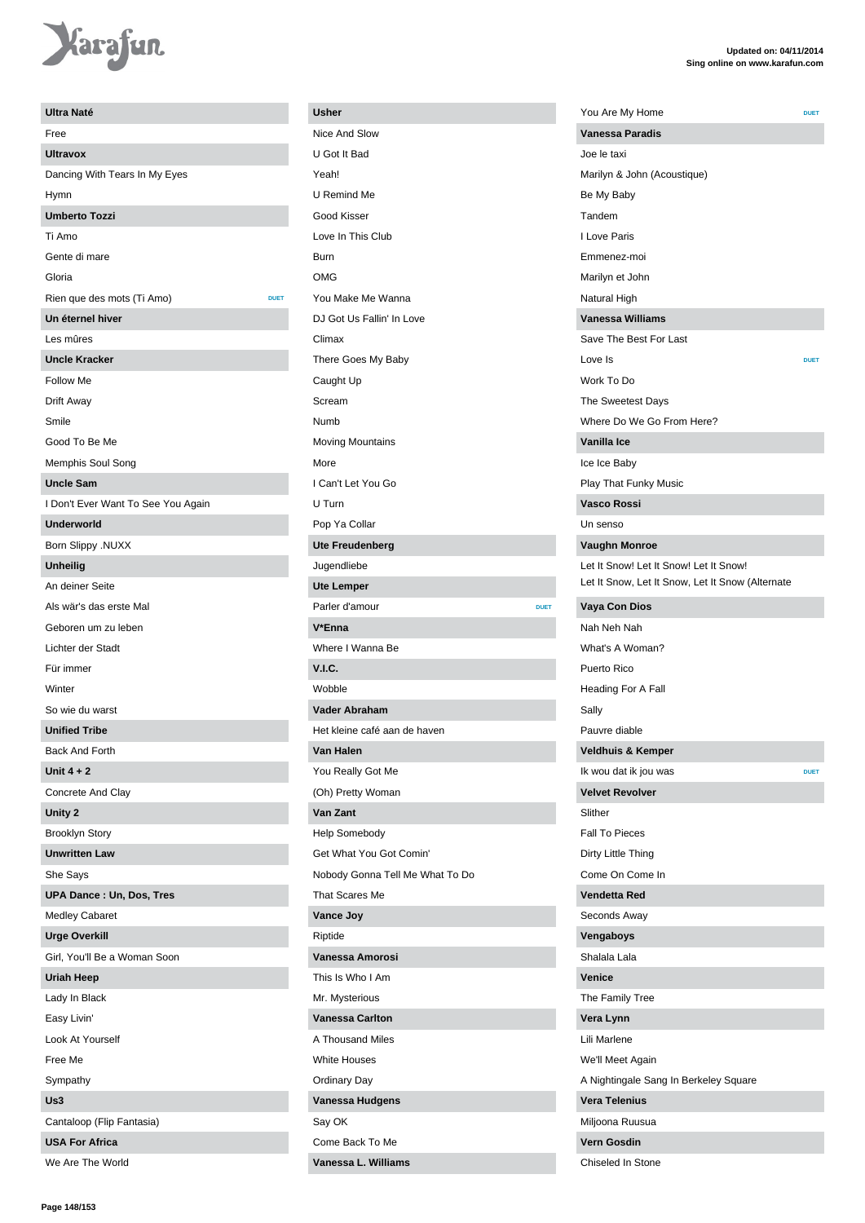

| <b>Ultra Naté</b>                         |  |
|-------------------------------------------|--|
| Free                                      |  |
| <b>Ultravox</b>                           |  |
| Dancing With Tears In My Eyes             |  |
| Hymn                                      |  |
| <b>Umberto Tozzi</b>                      |  |
| Ti Amo                                    |  |
| Gente di mare                             |  |
| Gloria                                    |  |
| Rien que des mots (Ti Amo)<br><b>DUET</b> |  |
| Un éternel hiver                          |  |
| Les mûres                                 |  |
| <b>Uncle Kracker</b>                      |  |
| <b>Follow Me</b>                          |  |
| Drift Away                                |  |
| Smile                                     |  |
| Good To Be Me                             |  |
| Memphis Soul Song                         |  |
| <b>Uncle Sam</b>                          |  |
| I Don't Ever Want To See You Again        |  |
| <b>Underworld</b>                         |  |
| <b>Born Slippy .NUXX</b>                  |  |
| <b>Unheilig</b>                           |  |
| An deiner Seite                           |  |
| Als wär's das erste Mal                   |  |
| Geboren um zu leben                       |  |
| Lichter der Stadt                         |  |
| Für immer                                 |  |
| Winter                                    |  |
| So wie du warst                           |  |
| <b>Unified Tribe</b>                      |  |
| <b>Back And Forth</b>                     |  |
| Unit $4 + 2$                              |  |
| Concrete And Clay                         |  |
| Unity 2                                   |  |
| <b>Brooklyn Story</b>                     |  |
| <b>Unwritten Law</b>                      |  |
| She Says                                  |  |
| <b>UPA Dance: Un, Dos, Tres</b>           |  |
| <b>Medley Cabaret</b>                     |  |
| <b>Urge Overkill</b>                      |  |
| Girl, You'll Be a Woman Soon              |  |
| <b>Uriah Heep</b>                         |  |
| Lady In Black                             |  |
| Easy Livin'                               |  |
| Look At Yourself                          |  |
| Free Me                                   |  |
| Sympathy                                  |  |
| Us <sub>3</sub>                           |  |
| Cantaloop (Flip Fantasia)                 |  |
| <b>USA For Africa</b>                     |  |
| We Are The World                          |  |

## **Updated on: 04/11/2014 Sing online on www.karafun.com**

| Usher                           |
|---------------------------------|
| Nice And Slow                   |
| U Got It Bad                    |
| Yeah!                           |
| U Remind Me                     |
| Good Kisser                     |
| Love In This Club               |
| Burn                            |
| OMG                             |
| You Make Me Wanna               |
| DJ Got Us Fallin' In Love       |
| Climax                          |
| There Goes My Baby              |
| Caught Up                       |
| Scream                          |
| Numb                            |
| <b>Moving Mountains</b>         |
| More                            |
| I Can't Let You Go              |
| U Turn                          |
| Pop Ya Collar                   |
| <b>Ute Freudenberg</b>          |
| Jugendliebe                     |
| <b>Ute Lemper</b>               |
| Parler d'amour<br><b>DUET</b>   |
| V*Enna                          |
| Where I Wanna Be                |
| V.I.C.                          |
| Wobble                          |
| Vader Abraham                   |
| Het kleine café aan de haven    |
| Van Halen                       |
| You Really Got Me               |
| (Oh) Pretty Woman               |
| Van Zant                        |
| <b>Help Somebody</b>            |
| Get What You Got Comin'         |
| Nobody Gonna Tell Me What To Do |
| <b>That Scares Me</b>           |
| Vance Joy                       |
| Riptide                         |
| Vanessa Amorosi                 |
| This Is Who I Am                |
| Mr. Mysterious                  |
| <b>Vanessa Carlton</b>          |
| A Thousand Miles                |
| <b>White Houses</b>             |
| <b>Ordinary Day</b>             |
| Vanessa Hudgens                 |
| Say OK                          |
| Come Back To Me                 |
|                                 |

**Vanessa L. Williams**

|                                                               | <b>DUET</b> |
|---------------------------------------------------------------|-------------|
| <b>Vanessa Paradis</b>                                        |             |
| Joe le taxi                                                   |             |
| Marilyn & John (Acoustique)                                   |             |
| Be My Baby                                                    |             |
| Tandem                                                        |             |
| I Love Paris                                                  |             |
| Emmenez-moi                                                   |             |
| Marilyn et John                                               |             |
| Natural High                                                  |             |
| <b>Vanessa Williams</b>                                       |             |
| Save The Best For Last                                        |             |
| Love Is                                                       | <b>DUET</b> |
| Work To Do                                                    |             |
| The Sweetest Days                                             |             |
| Where Do We Go From Here?                                     |             |
| Vanilla Ice                                                   |             |
| Ice Ice Baby                                                  |             |
| Play That Funky Music                                         |             |
| <b>Vasco Rossi</b>                                            |             |
| Un senso                                                      |             |
| <b>Vaughn Monroe</b>                                          |             |
| Let It Snow! Let It Snow! Let It Snow!                        |             |
| Let It Snow, Let It Snow, Let It Snow (Alternate              |             |
| Vaya Con Dios                                                 |             |
| Nah Neh Nah                                                   |             |
| What's A Woman?                                               |             |
| Puerto Rico                                                   |             |
|                                                               |             |
| Heading For A Fall                                            |             |
| Sally                                                         |             |
| Pauvre diable                                                 |             |
| Veldhuis & Kemper                                             |             |
| Ik wou dat ik jou was                                         |             |
| <b>Velvet Revolver</b>                                        |             |
| Slither                                                       |             |
| <b>Fall To Pieces</b>                                         |             |
| Dirty Little Thing                                            |             |
| Come On Come In                                               |             |
| <b>Vendetta Red</b>                                           |             |
| Seconds Away                                                  |             |
| Vengaboys                                                     |             |
| Shalala Lala                                                  |             |
| Venice                                                        |             |
| The Family Tree                                               |             |
| Vera Lynn                                                     |             |
| Lili Marlene                                                  |             |
| We'll Meet Again                                              |             |
|                                                               |             |
| A Nightingale Sang In Berkeley Square<br><b>Vera Telenius</b> |             |
|                                                               |             |
| Miljoona Ruusua<br><b>Vern Gosdin</b>                         | <b>DUET</b> |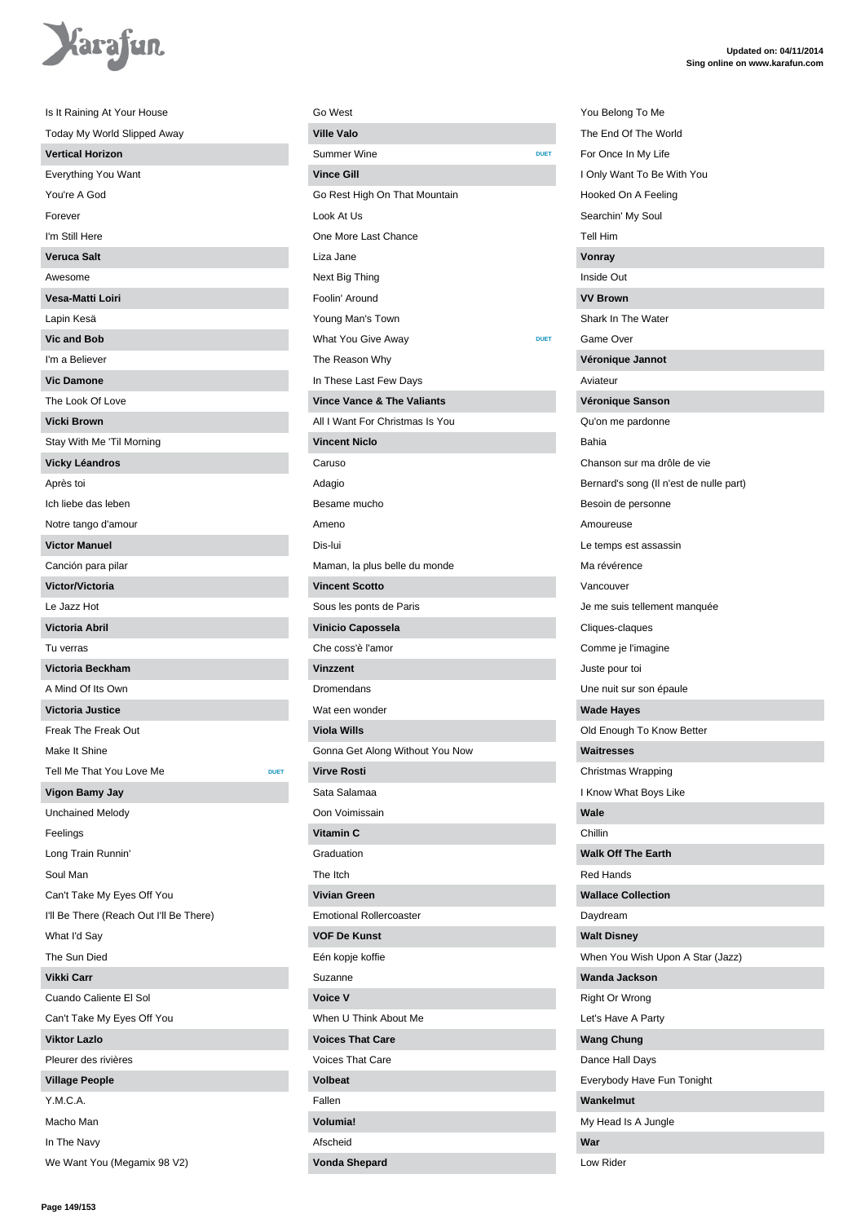

| Is It Raining At Your House             |             |
|-----------------------------------------|-------------|
| Today My World Slipped Away             |             |
| <b>Vertical Horizon</b>                 |             |
| Everything You Want                     |             |
| You're A God                            |             |
| Forever                                 |             |
| I'm Still Here                          |             |
| Veruca Salt                             |             |
| Awesome                                 |             |
| Vesa-Matti Loiri                        |             |
| Lapin Kesä                              |             |
| <b>Vic and Bob</b>                      |             |
| I'm a Believer                          |             |
| <b>Vic Damone</b>                       |             |
| The Look Of Love                        |             |
| <b>Vicki Brown</b>                      |             |
| Stay With Me 'Til Morning               |             |
| Vicky Léandros                          |             |
| Après toi                               |             |
| Ich liebe das leben                     |             |
| Notre tango d'amour                     |             |
| <b>Victor Manuel</b>                    |             |
| Canción para pilar                      |             |
| Victor/Victoria                         |             |
| Le Jazz Hot                             |             |
| <b>Victoria Abril</b>                   |             |
| Tu verras                               |             |
| Victoria Beckham                        |             |
| A Mind Of Its Own                       |             |
| <b>Victoria Justice</b>                 |             |
| <b>Freak The Freak Out</b>              |             |
| Make It Shine                           |             |
| Tell Me That You Love Me                | <b>DUET</b> |
| Vigon Bamy Jay                          |             |
| <b>Unchained Melody</b>                 |             |
| Feelings                                |             |
| Long Train Runnin'                      |             |
| Soul Man                                |             |
| Can't Take My Eyes Off You              |             |
| I'll Be There (Reach Out I'll Be There) |             |
| What I'd Say                            |             |
| The Sun Died                            |             |
| <b>Vikki Carr</b>                       |             |
| Cuando Caliente El Sol                  |             |
| Can't Take My Eyes Off You              |             |
| <b>Viktor Lazlo</b>                     |             |
| Pleurer des rivières                    |             |
| <b>Village People</b>                   |             |
| Y.M.C.A.                                |             |
| Macho Man                               |             |
| In The Navy                             |             |
|                                         |             |

| Go West                               |             |
|---------------------------------------|-------------|
| <b>Ville Valo</b>                     |             |
| Summer Wine                           | <b>DUET</b> |
| <b>Vince Gill</b>                     |             |
| Go Rest High On That Mountain         |             |
| Look At Us                            |             |
| One More Last Chance                  |             |
| Liza Jane                             |             |
| Next Big Thing                        |             |
| Foolin' Around                        |             |
| Young Man's Town                      |             |
| What You Give Away                    | <b>DUET</b> |
| The Reason Why                        |             |
| In These Last Few Days                |             |
| <b>Vince Vance &amp; The Valiants</b> |             |
| All I Want For Christmas Is You       |             |
| <b>Vincent Niclo</b>                  |             |
| Caruso                                |             |
| Adagio                                |             |
| Besame mucho                          |             |
| Ameno                                 |             |
| Dis-lui                               |             |
| Maman, la plus belle du monde         |             |
| <b>Vincent Scotto</b>                 |             |
| Sous les ponts de Paris               |             |
| <b>Vinicio Capossela</b>              |             |
| Che coss'è l'amor                     |             |
| <b>Vinzzent</b>                       |             |
| Dromendans                            |             |
| Wat een wonder                        |             |
| <b>Viola Wills</b>                    |             |
| Gonna Get Along Without You Now       |             |
| <b>Virve Rosti</b>                    |             |
| Sata Salamaa                          |             |
| Oon Voimissain                        |             |
| Vitamin C                             |             |
| Graduation                            |             |
| The Itch                              |             |
| <b>Vivian Green</b>                   |             |
| <b>Emotional Rollercoaster</b>        |             |
| <b>VOF De Kunst</b>                   |             |
| Eén kopje koffie                      |             |
| Suzanne                               |             |
| <b>Voice V</b>                        |             |
| When U Think About Me                 |             |
| <b>Voices That Care</b>               |             |
| <b>Voices That Care</b>               |             |
| <b>Volbeat</b>                        |             |
| Fallen                                |             |
| Volumia!                              |             |
| Afscheid                              |             |

**Vonda Shepard**

You Belong To Me The End Of The World For Once In My Life I Only Want To Be With You Hooked On A Feeling Searchin' My Soul Tell Him **Vonray** Inside Out **VV Brown** Shark In The Water Game Over **Véronique Jannot** Aviateur **Véronique Sanson** Qu'on me pardonne Bahia Chanson sur ma drôle de vie Bernard's song (Il n'est de nulle part) Besoin de personne Amoureuse Le temps est assassin Ma révérence Vancouver Je me suis tellement manquée Cliques-claques Comme je l'imagine Juste pour toi Une nuit sur son épaule **Wade Hayes** Old Enough To Know Better **Waitresses** Christmas Wrapping I Know What Boys Like **Wale** Chillin **Walk Off The Earth** Red Hands **Wallace Collection** Daydream **Walt Disney** When You Wish Upon A Star (Jazz) **Wanda Jackson** Right Or Wrong Let's Have A Party **Wang Chung** Dance Hall Days Everybody Have Fun Tonight **Wankelmut** My Head Is A Jungle **War** Low Rider

We Want You (Megamix 98 V2)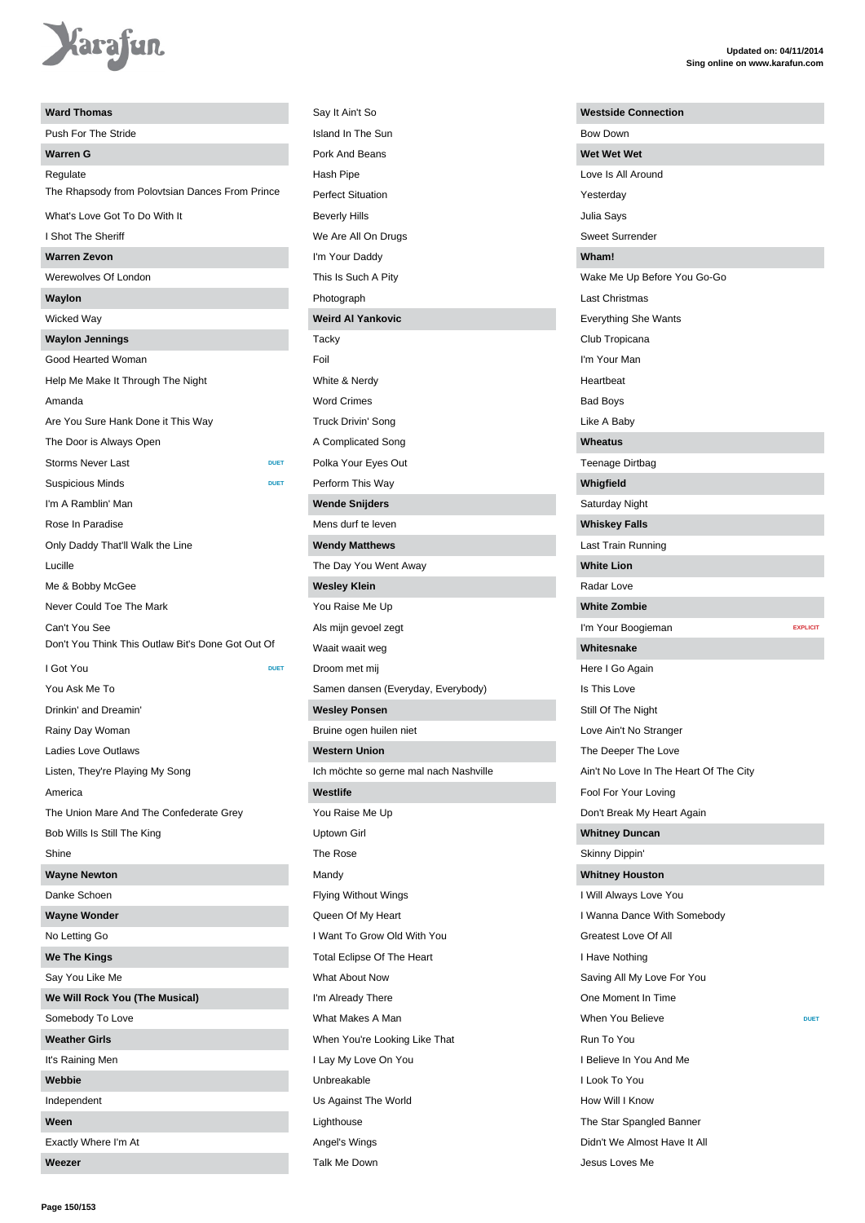

| <b>Ward Thomas</b>                                          |  |
|-------------------------------------------------------------|--|
| <b>Push For The Stride</b>                                  |  |
| <b>Warren G</b>                                             |  |
| Regulate<br>The Rhapsody from Polovtsian Dances From Prince |  |
| What's Love Got To Do With It                               |  |
| I Shot The Sheriff                                          |  |
| <b>Warren Zevon</b>                                         |  |
| Werewolves Of London                                        |  |
| Waylon                                                      |  |
| Wicked Way                                                  |  |
| <b>Waylon Jennings</b>                                      |  |
| Good Hearted Woman                                          |  |
| Help Me Make It Through The Night                           |  |
| Amanda                                                      |  |
| Are You Sure Hank Done it This Way                          |  |
| The Door is Always Open                                     |  |
| <b>Storms Never Last</b><br><b>DUET</b>                     |  |
| <b>Suspicious Minds</b><br><b>DUET</b>                      |  |
| I'm A Ramblin' Man                                          |  |
| Rose In Paradise                                            |  |
| Only Daddy That'll Walk the Line                            |  |
| Lucille                                                     |  |
| Me & Bobby McGee                                            |  |
| Never Could Toe The Mark                                    |  |
| Can't You See                                               |  |
| Don't You Think This Outlaw Bit's Done Got Out Of           |  |
| I Got You<br><b>DUET</b>                                    |  |
| You Ask Me To                                               |  |
| Drinkin' and Dreamin'                                       |  |
| Rainy Day Woman                                             |  |
| Ladies Love Outlaws                                         |  |
| Listen, They're Playing My Song                             |  |
| America                                                     |  |
| The Union Mare And The Confederate Grey                     |  |
| Bob Wills Is Still The King                                 |  |
| Shine                                                       |  |
| <b>Wayne Newton</b>                                         |  |
| Danke Schoen                                                |  |
| Wayne Wonder                                                |  |
| No Letting Go                                               |  |
| <b>We The Kings</b>                                         |  |
| Say You Like Me                                             |  |
| We Will Rock You (The Musical)                              |  |
| Somebody To Love                                            |  |
| <b>Weather Girls</b>                                        |  |
| It's Raining Men                                            |  |
| Webbie                                                      |  |
| Independent                                                 |  |
| Ween                                                        |  |
| Exactly Where I'm At                                        |  |
| Weezer                                                      |  |

| Say It Ain't So                        |
|----------------------------------------|
| Island In The Sun                      |
| Pork And Beans                         |
| Hash Pipe                              |
| <b>Perfect Situation</b>               |
| Beverly Hills                          |
| We Are All On Drugs                    |
| I'm Your Daddy                         |
| This Is Such A Pity                    |
| Photograph                             |
| <b>Weird AI Yankovic</b>               |
| Tacky                                  |
| Foil                                   |
| White & Nerdy                          |
| <b>Word Crimes</b>                     |
| Truck Drivin' Song                     |
| A Complicated Song                     |
| Polka Your Eyes Out                    |
| Perform This Way                       |
| <b>Wende Snijders</b>                  |
| Mens durf te leven                     |
| <b>Wendy Matthews</b>                  |
| The Day You Went Away                  |
| <b>Wesley Klein</b>                    |
| You Raise Me Up                        |
| Als mijn gevoel zegt                   |
| Waait waait weg                        |
| Droom met mij                          |
| Samen dansen (Everyday, Everybody)     |
| <b>Wesley Ponsen</b>                   |
| Bruine ogen huilen niet                |
| <b>Western Union</b>                   |
| Ich möchte so gerne mal nach Nashville |
| Westlife                               |
| You Raise Me Up                        |
| Uptown Girl                            |
| The Rose                               |
| Mandv                                  |
| Flying Without Wings                   |
| Queen Of My Heart                      |
| I Want To Grow Old With You            |
| Total Eclipse Of The Heart             |
| What About Now                         |
| I'm Already There                      |
| What Makes A Man                       |
| When You're Looking Like That          |
| I Lay My Love On You                   |
| Unbreakable                            |
| Us Against The World                   |
|                                        |
| Lighthouse                             |
| Angel's Wings                          |

| <b>Westside Connection</b>             |                 |
|----------------------------------------|-----------------|
| <b>Bow Down</b>                        |                 |
| Wet Wet Wet                            |                 |
| Love Is All Around                     |                 |
| Yesterday                              |                 |
| Julia Says                             |                 |
| <b>Sweet Surrender</b>                 |                 |
| Wham!                                  |                 |
| Wake Me Up Before You Go-Go            |                 |
| <b>Last Christmas</b>                  |                 |
| <b>Everything She Wants</b>            |                 |
| Club Tropicana                         |                 |
| I'm Your Man                           |                 |
| Heartbeat                              |                 |
| <b>Bad Boys</b>                        |                 |
| Like A Baby                            |                 |
| Wheatus                                |                 |
| <b>Teenage Dirtbag</b>                 |                 |
| Whigfield                              |                 |
| Saturday Night                         |                 |
| <b>Whiskey Falls</b>                   |                 |
| Last Train Running                     |                 |
| <b>White Lion</b>                      |                 |
| Radar Love                             |                 |
| <b>White Zombie</b>                    |                 |
| I'm Your Boogieman                     | <b>EXPLICIT</b> |
| Whitesnake                             |                 |
| Here I Go Again                        |                 |
| Is This Love                           |                 |
| Still Of The Night                     |                 |
| Love Ain't No Stranger                 |                 |
| The Deeper The Love                    |                 |
| Ain't No Love In The Heart Of The City |                 |
| Fool For Your Loving                   |                 |
| Don't Break My Heart Again             |                 |
| <b>Whitney Duncan</b>                  |                 |
| Skinny Dippin'                         |                 |
| <b>Whitney Houston</b>                 |                 |
| I Will Always Love You                 |                 |
| I Wanna Dance With Somebody            |                 |
| Greatest Love Of All                   |                 |
| I Have Nothing                         |                 |
| Saving All My Love For You             |                 |
| One Moment In Time                     |                 |
| When You Believe                       | <b>DUET</b>     |
| Run To You                             |                 |
| I Believe In You And Me                |                 |
| I Look To You                          |                 |
| How Will I Know                        |                 |
| The Star Spangled Banner               |                 |
| Didn't We Almost Have It All           |                 |
|                                        |                 |

Jesus Loves Me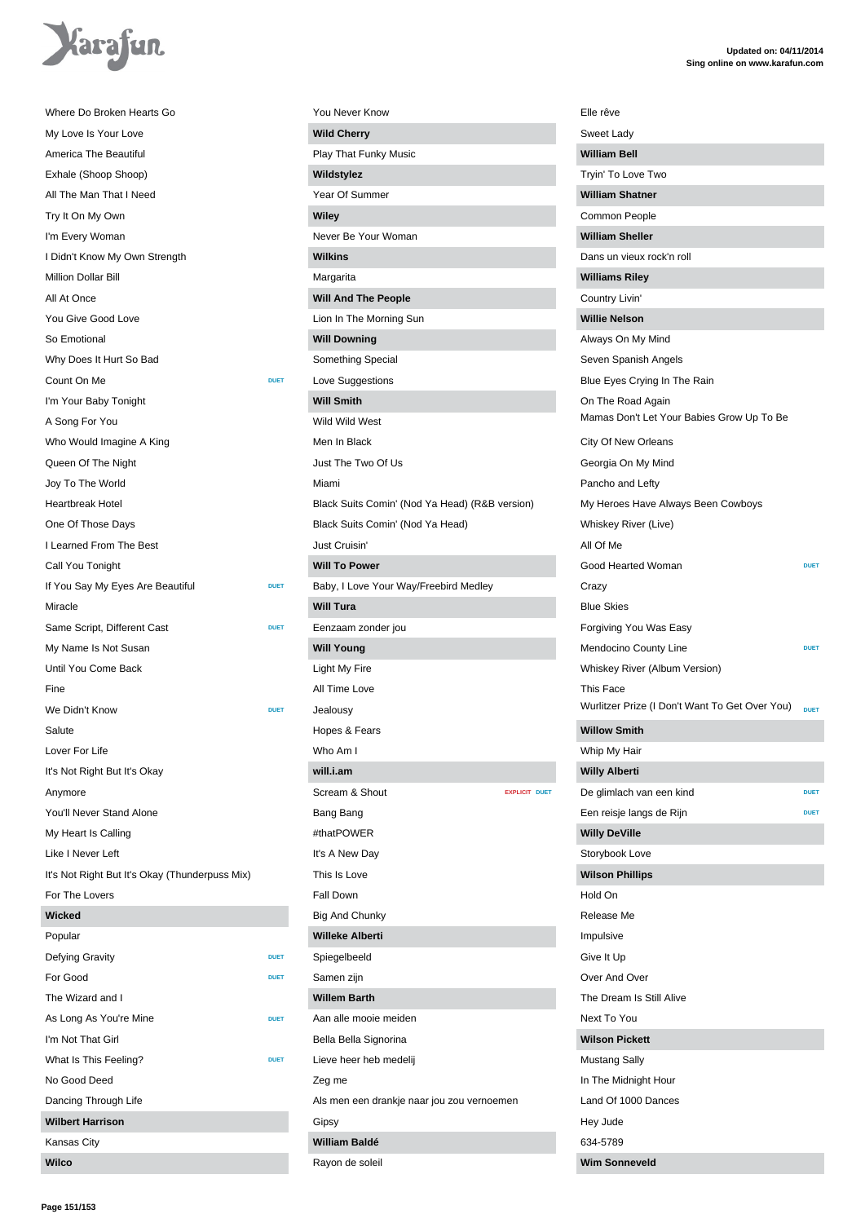

Where Do Broken Hearts Go My Love Is Your Love America The Beautiful Exhale (Shoop Shoop) All The Man That I Need Try It On My Own I'm Every Woman I Didn't Know My Own Strength Million Dollar Bill All At Once You Give Good Love So Emotional Why Does It Hurt So Bad **Count On Me DUET** I'm Your Baby Tonight A Song For You Who Would Imagine A King Queen Of The Night Joy To The World Heartbreak Hotel One Of Those Days I Learned From The Best Call You Tonight If You Say My Eyes Are Beautiful **DUET** Miracle Same Script, Different Cast **DIET** My Name Is Not Susan Until You Come Back Fine **We Didn't Know** Salute Lover For Life It's Not Right But It's Okay Anymore You'll Never Stand Alone My Heart Is Calling Like I Never Left It's Not Right But It's Okay (Thunderpuss Mix) For The Lovers **Wicked** Popular **Defying Gravity Definition DUET For Good DUET** The Wizard and I As Long As You're Mine I'm Not That Girl What Is This Feeling? **DUET** No Good Deed Dancing Through Life **Wilbert Harrison** Kansas City **Wilco**

## You Never Know **Wild Cherry** Play That Funky Music **Wildstylez** Year Of Summer **Wiley** Never Be Your Woman **Wilkins** Margarita **Will And The People** Lion In The Morning Sun **Will Downing** Something Special Love Suggestions **Will Smith** Wild Wild West Men In Black Just The Two Of Us Miami Black Suits Comin' (Nod Ya Head) (R&B version) Black Suits Comin' (Nod Ya Head) Just Cruisin' **Will To Power** Baby, I Love Your Way/Freebird Medley **Will Tura** Eenzaam zonder jou **Will Young** Light My Fire All Time Love Jealousy Hopes & Fears Who Am I **will.i.am Scream & Shout EXPLICIT EXPLICIT DUET** Bang Bang #thatPOWER It's A New Day This Is Love Fall Down Big And Chunky **Willeke Alberti** Spiegelbeeld Samen zijn **Willem Barth** Aan alle mooie meiden Bella Bella Signorina Lieve heer heb medelij Zeg me Als men een drankje naar jou zou vernoemen Gipsy **William Baldé** Rayon de soleil

| <b>Sweet Lady</b>                                    |             |
|------------------------------------------------------|-------------|
| <b>William Bell</b>                                  |             |
| Tryin' To Love Two                                   |             |
| <b>William Shatner</b>                               |             |
| Common People                                        |             |
| <b>William Sheller</b>                               |             |
| Dans un vieux rock'n roll                            |             |
| <b>Williams Riley</b>                                |             |
| Country Livin'                                       |             |
| <b>Willie Nelson</b>                                 |             |
| Always On My Mind                                    |             |
| Seven Spanish Angels                                 |             |
| Blue Eyes Crying In The Rain                         |             |
| On The Road Again                                    |             |
| Mamas Don't Let Your Babies Grow Up To Be            |             |
| <b>City Of New Orleans</b>                           |             |
| Georgia On My Mind                                   |             |
| Pancho and Lefty                                     |             |
| My Heroes Have Always Been Cowboys                   |             |
| Whiskey River (Live)                                 |             |
| All Of Me                                            |             |
| Good Hearted Woman                                   | <b>DUET</b> |
| Crazy                                                |             |
| <b>Blue Skies</b>                                    |             |
| Forgiving You Was Easy                               |             |
| Mendocino County Line                                | <b>DUET</b> |
| Whiskey River (Album Version)                        |             |
| This Face                                            |             |
| Wurlitzer Prize (I Don't Want To Get Over You)       | <b>DUET</b> |
| <b>Willow Smith</b>                                  |             |
| Whip My Hair                                         |             |
| <b>Willy Alberti</b>                                 |             |
|                                                      | <b>DUET</b> |
| De glimlach van een kind<br>Een reisje langs de Rijn | <b>DUET</b> |
|                                                      |             |
| <b>Willy DeVille</b>                                 |             |
| Storybook Love                                       |             |
| <b>Wilson Phillips</b>                               |             |
| Hold On                                              |             |
| Release Me                                           |             |
| Impulsive                                            |             |
| Give It Up                                           |             |
| Over And Over                                        |             |
| The Dream Is Still Alive                             |             |
| Next To You                                          |             |
| <b>Wilson Pickett</b>                                |             |
| Mustang Sally                                        |             |
| In The Midnight Hour                                 |             |
| Land Of 1000 Dances                                  |             |
| Hey Jude                                             |             |
| 634-5789                                             |             |
|                                                      |             |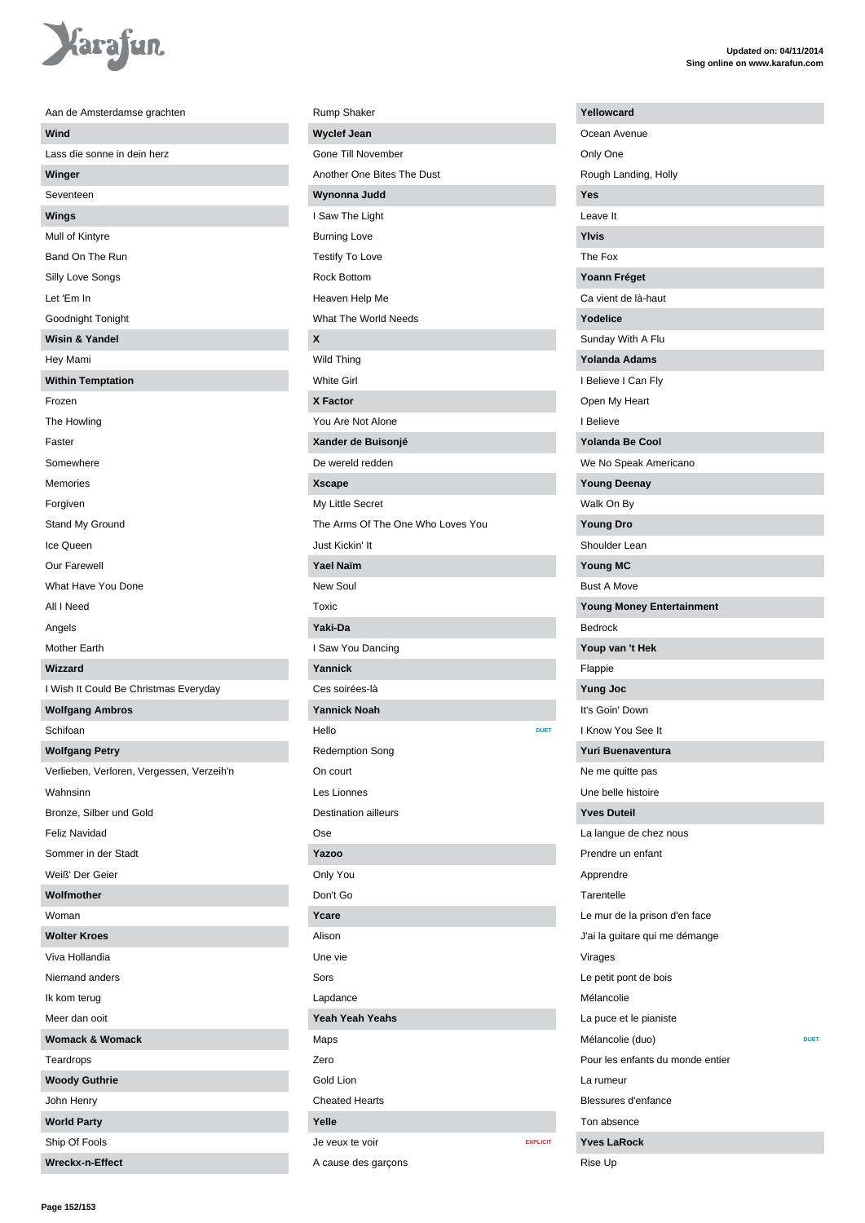

| Aan de Amsterdamse grachten                           |
|-------------------------------------------------------|
| Wind                                                  |
| Lass die sonne in dein herz                           |
| Winger                                                |
| Seventeen                                             |
| Wings                                                 |
| Mull of Kintyre                                       |
| Band On The Run                                       |
| Silly Love Songs                                      |
| Let 'Em In                                            |
| Goodnight Tonight                                     |
| <b>Wisin &amp; Yandel</b>                             |
| Hey Mami                                              |
| <b>Within Temptation</b>                              |
| Frozen                                                |
| The Howling                                           |
| Faster                                                |
| Somewhere                                             |
| Memories                                              |
| Forgiven                                              |
| Stand My Ground                                       |
| Ice Queen                                             |
| <b>Our Farewell</b>                                   |
| What Have You Done                                    |
| All I Need                                            |
| Angels                                                |
| Mother Earth                                          |
| Wizzard                                               |
| I Wish It Could Be Christmas Everyday                 |
| <b>Wolfgang Ambros</b><br>Schifoan                    |
| <b>Wolfgang Petry</b>                                 |
|                                                       |
| Verlieben, Verloren, Vergessen, Verzeih'n<br>Wahnsinn |
| Bronze, Silber und Gold                               |
| Feliz Navidad                                         |
| Sommer in der Stadt                                   |
| Weiß' Der Geier                                       |
| Wolfmother                                            |
| Woman                                                 |
| <b>Wolter Kroes</b>                                   |
| Viva Hollandia                                        |
| Niemand anders                                        |
| Ik kom terug                                          |
| Meer dan ooit                                         |
| <b>Womack &amp; Womack</b>                            |
|                                                       |
| Teardrops                                             |
| <b>Woody Guthrie</b>                                  |
| John Henry                                            |
| <b>World Party</b>                                    |
| Ship Of Fools                                         |

## Rump Shaker **Wyclef Jean** Gone Till November Another One Bites The Dust **Wynonna Judd** I Saw The Light Burning Love Testify To Love Rock Bottom Heaven Help Me What The World Needs **X** Wild Thing White Girl **X Factor** You Are Not Alone **Xander de Buisonjé** De wereld redden **Xscape** My Little Secret The Arms Of The One Who Loves You Just Kickin' It **Yael Naïm** New Soul Toxic **Yaki-Da** I Saw You Dancing **Yannick** Ces soirées-là **Yannick Noah Hello DUET** Redemption Song On court Les Lionnes Destination ailleurs Ose **Yazoo** Only You Don't Go **Ycare** Alison Une vie Sors Lapdance **Yeah Yeah Yeahs** Maps Zero Gold Lion Cheated Hearts **Yelle** Je veux te voir **EXPLICIT**

A cause des garçons

| Yellowcard                       |             |
|----------------------------------|-------------|
| Ocean Avenue                     |             |
| Only One                         |             |
| Rough Landing, Holly             |             |
| Yes                              |             |
| Leave It                         |             |
| Ylvis                            |             |
| The Fox                          |             |
| Yoann Fréget                     |             |
| Ca vient de là-haut              |             |
| Yodelice                         |             |
| Sunday With A Flu                |             |
| <b>Yolanda Adams</b>             |             |
| I Believe I Can Fly              |             |
| Open My Heart                    |             |
| I Believe                        |             |
| Yolanda Be Cool                  |             |
| We No Speak Americano            |             |
| <b>Young Deenay</b>              |             |
| Walk On By                       |             |
| <b>Young Dro</b>                 |             |
| Shoulder Lean                    |             |
| <b>Young MC</b>                  |             |
| <b>Bust A Move</b>               |             |
| Young Money Entertainment        |             |
| <b>Bedrock</b>                   |             |
| Youp van 't Hek                  |             |
| Flappie                          |             |
| <b>Yung Joc</b>                  |             |
| It's Goin' Down                  |             |
| I Know You See It                |             |
| Yuri Buenaventura                |             |
| Ne me quitte pas                 |             |
| Une belle histoire               |             |
| <b>Yves Duteil</b>               |             |
| La langue de chez nous           |             |
| Prendre un enfant                |             |
| Apprendre                        |             |
| Tarentelle                       |             |
| Le mur de la prison d'en face    |             |
| J'ai la guitare qui me démange   |             |
| Virages                          |             |
| Le petit pont de bois            |             |
| Mélancolie                       |             |
| La puce et le pianiste           |             |
| Mélancolie (duo)                 | <b>DUET</b> |
| Pour les enfants du monde entier |             |
| La rumeur                        |             |
| Blessures d'enfance              |             |
| Ton absence                      |             |
| <b>Yves LaRock</b>               |             |

Rise Up

**Page 152/153**